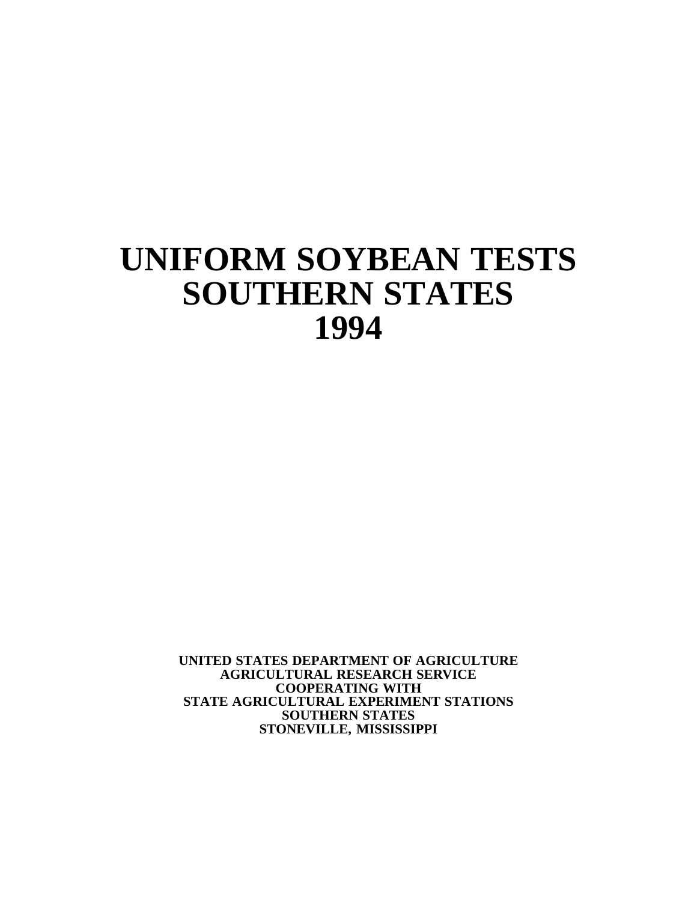# **UNIFORM SOYBEAN TESTS SOUTHERN STATES 1994**

**UNITED STATES DEPARTMENT OF AGRICULTURE AGRICULTURAL RESEARCH SERVICE COOPERATING WITH STATE AGRICULTURAL EXPERIMENT STATIONS SOUTHERN STATES STONEVILLE, MISSISSIPPI**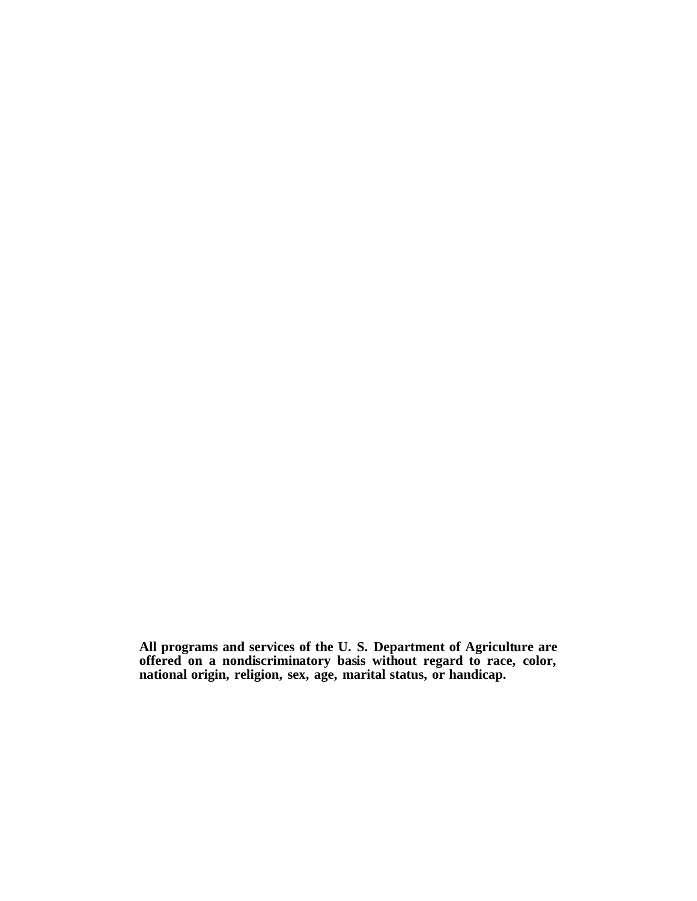**All programs and services of the U. S. Department of Agriculture are offered on a nondiscriminatory basis without regard to race, color, national origin, religion, sex, age, marital status, or handicap.**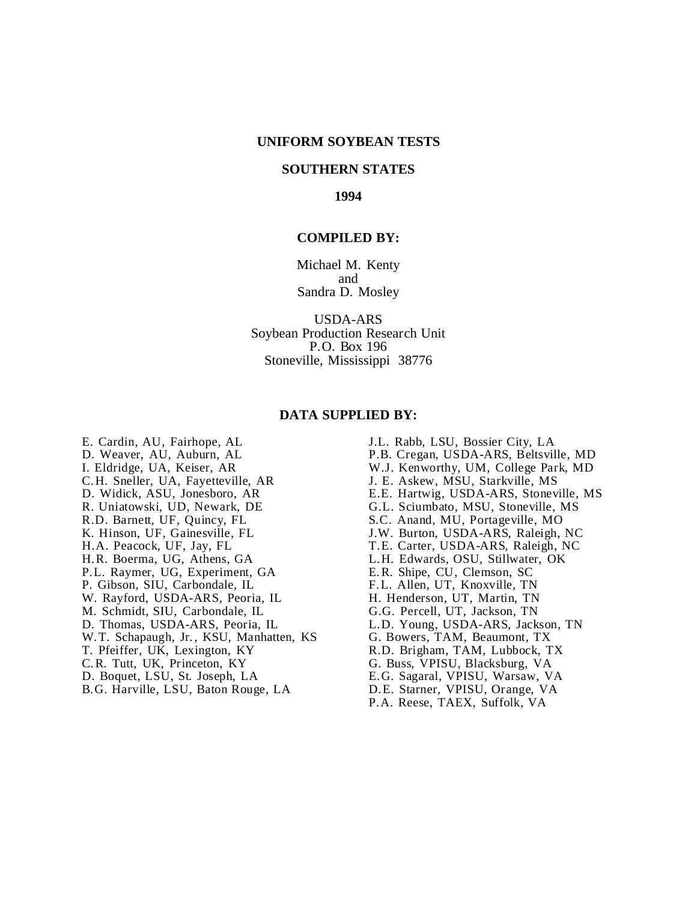#### **UNIFORM SOYBEAN TESTS**

#### **SOUTHERN STATES**

**1994**

#### **COMPILED BY:**

Michael M. Kenty and Sandra D. Mosley

USDA-ARS Soybean Production Research Unit P.O. Box 196 Stoneville, Mississippi 38776

#### **DATA SUPPLIED BY:**

E. Cardin, AU, Fairhope, AL J.L. Rabb, LSU, Bossier City, LA C.H. Sneller, UA, Fayetteville, AR R. Uniatowski, UD, Newark, DE G.L. Sciumbato, MSU, Stoneville, MS<br>R.D. Barnett, UF, Quincy, FL S.C. Anand, MU, Portageville, MO R.D. Barnett, UF, Quincy, FL<br>
K. Hinson, UF, Gainesville, FL<br>
J.W. Burton, USDA-ARS, Raleigh, H.A. Peacock, UF, Jay, FL<br>
H.R. Boerma, UG, Athens, GA<br>
L.H. Edwards, OSU, Stillwater, OK P.L. Raymer, UG, Experiment, GA P. Gibson, SIU, Carbondale, IL F.L. Allen, UT, Knoxville, TN<br>W. Rayford, USDA-ARS, Peoria, IL H. Henderson, UT, Martin, TN W. Rayford, USDA-ARS, Peoria, IL H. Henderson, UT, Martin, TN<br>M. Schmidt, SIU, Carbondale, IL G.G. Percell, UT, Jackson, TN M. Schmidt, SIU, Carbondale, IL<br>D. Thomas, USDA-ARS, Peoria, IL W.T. Schapaugh, Jr., KSU, Manhatten, KS<br>T. Pfeiffer, UK, Lexington, KY C.R. Tutt, UK, Princeton, KY G. Buss, VPISU, Blacksburg, VA

- B.G. Harville, LSU, Baton Rouge, LA
- D. Weaver, AU, Auburn, AL P.B. Cregan, USDA-ARS, Beltsville, MD<br>
I. Eldridge, UA, Keiser, AR W.J. Kenworthy, UM, College Park, MD W.J. Kenworthy, UM, College Park, MD<br>J. E. Askew, MSU, Starkville, MS D. Widick, ASU, Jonesboro, AR E.E. Hartwig, USDA-ARS, Stoneville, MS<br>R. Uniatowski, UD, Newark, DE G.L. Sciumbato, MSU, Stoneville, MS J.W. Burton, USDA-ARS, Raleigh, NC L.H. Edwards, OSU, Stillwater, OK<br>E.R. Shipe, CU, Clemson, SC L.D. Young, USDA-ARS, Jackson, TN<br>G. Bowers, TAM, Beaumont, TX
	- R.D. Brigham, TAM, Lubbock, TX
	-
	-
- D. Boquet, LSU, St. Joseph, LA B.G. Sagaral, VPISU, Warsaw, VA<br>B.G. Harville, LSU, Baton Rouge, LA D.E. Starner, VPISU, Orange, VA
	- P.A. Reese, TAEX, Suffolk, VA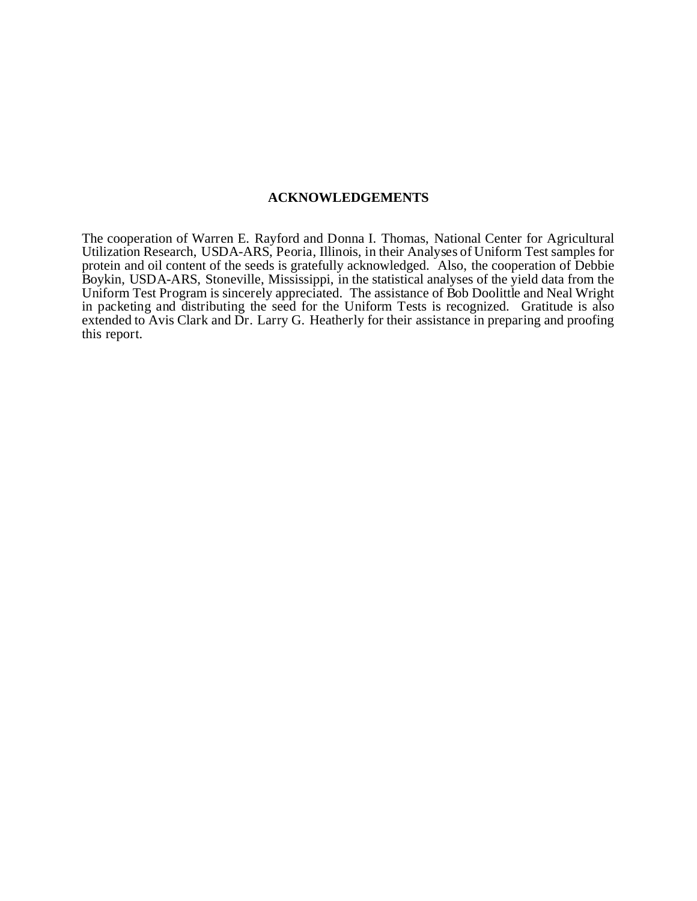#### **ACKNOWLEDGEMENTS**

The cooperation of Warren E. Rayford and Donna I. Thomas, National Center for Agricultural Utilization Research, USDA-ARS, Peoria, Illinois, in their Analyses of Uniform Test samples for protein and oil content of the seeds is gratefully acknowledged. Also, the cooperation of Debbie Boykin, USDA-ARS, Stoneville, Mississippi, in the statistical analyses of the yield data from the Uniform Test Program is sincerely appreciated. The assistance of Bob Doolittle and Neal Wright in packeting and distributing the seed for the Uniform Tests is recognized. Gratitude is also extended to Avis Clark and Dr. Larry G. Heatherly for their assistance in preparing and proofing this report.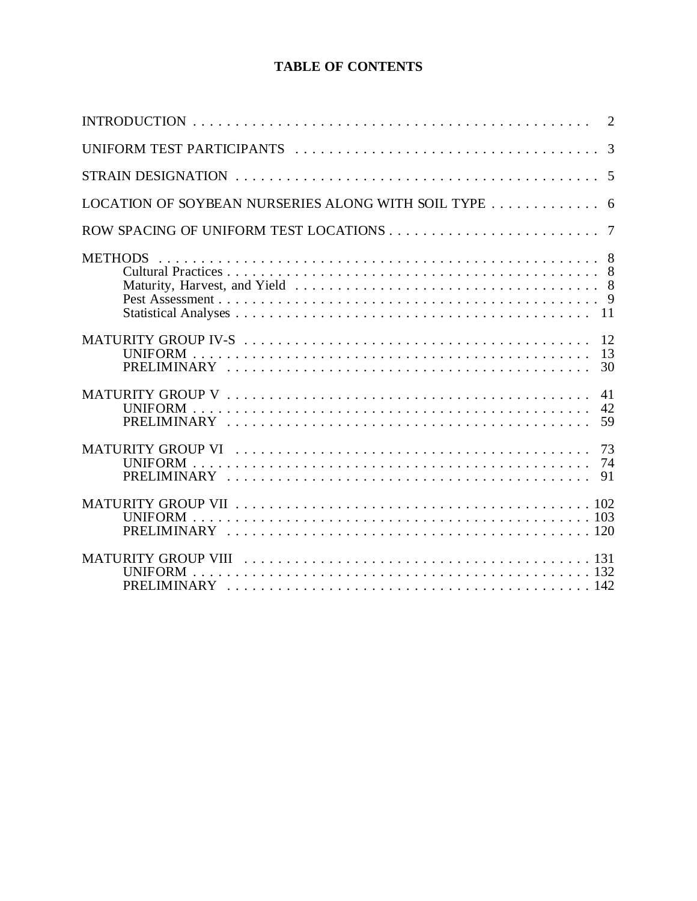#### **TABLE OF CONTENTS**

| LOCATION OF SOYBEAN NURSERIES ALONG WITH SOIL TYPE  6 |
|-------------------------------------------------------|
|                                                       |
|                                                       |
|                                                       |
| 41<br>42                                              |
|                                                       |
|                                                       |
|                                                       |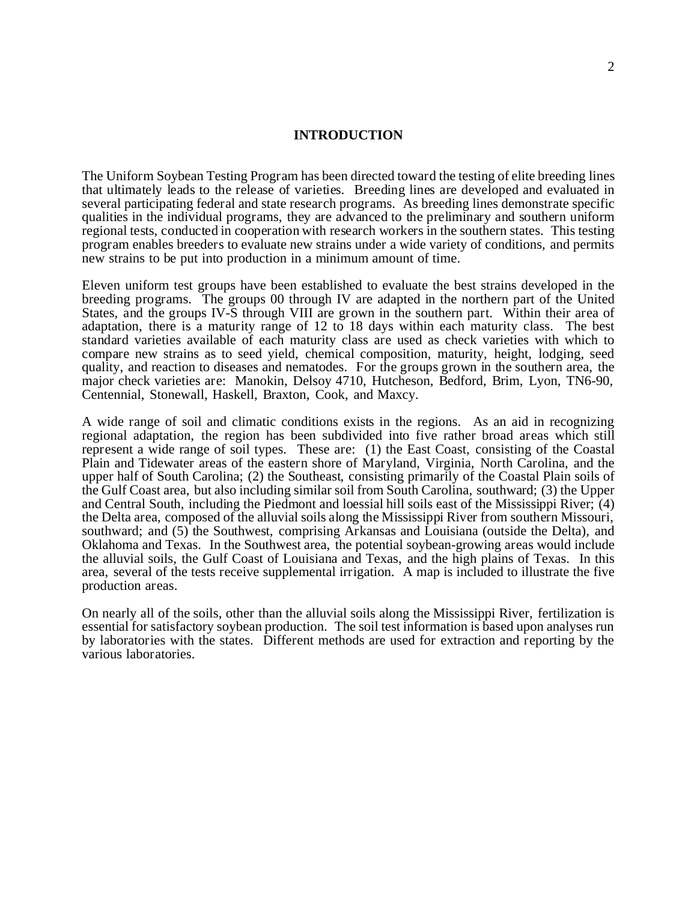#### **INTRODUCTION**

The Uniform Soybean Testing Program has been directed toward the testing of elite breeding lines that ultimately leads to the release of varieties. Breeding lines are developed and evaluated in several participating federal and state research programs. As breeding lines demonstrate specific qualities in the individual programs, they are advanced to the preliminary and southern uniform regional tests, conducted in cooperation with research workers in the southern states. This testing program enables breeders to evaluate new strains under a wide variety of conditions, and permits new strains to be put into production in a minimum amount of time.

Eleven uniform test groups have been established to evaluate the best strains developed in the breeding programs. The groups 00 through IV are adapted in the northern part of the United States, and the groups IV-S through VIII are grown in the southern part. Within their area of adaptation, there is a maturity range of 12 to 18 days within each maturity class. The best standard varieties available of each maturity class are used as check varieties with which to compare new strains as to seed yield, chemical composition, maturity, height, lodging, seed quality, and reaction to diseases and nematodes. For the groups grown in the southern area, the major check varieties are: Manokin, Delsoy 4710, Hutcheson, Bedford, Brim, Lyon, TN6-90, Centennial, Stonewall, Haskell, Braxton, Cook, and Maxcy.

A wide range of soil and climatic conditions exists in the regions. As an aid in recognizing regional adaptation, the region has been subdivided into five rather broad areas which still represent a wide range of soil types. These are: (1) the East Coast, consisting of the Coastal Plain and Tidewater areas of the eastern shore of Maryland, Virginia, North Carolina, and the upper half of South Carolina; (2) the Southeast, consisting primarily of the Coastal Plain soils of the Gulf Coast area, but also including similar soil from South Carolina, southward; (3) the Upper and Central South, including the Piedmont and loessial hill soils east of the Mississippi River; (4) the Delta area, composed of the alluvial soils along the Mississippi River from southern Missouri, southward; and (5) the Southwest, comprising Arkansas and Louisiana (outside the Delta), and Oklahoma and Texas. In the Southwest area, the potential soybean-growing areas would include the alluvial soils, the Gulf Coast of Louisiana and Texas, and the high plains of Texas. In this area, several of the tests receive supplemental irrigation. A map is included to illustrate the five production areas.

On nearly all of the soils, other than the alluvial soils along the Mississippi River, fertilization is essential for satisfactory soybean production. The soil test information is based upon analyses run by laboratories with the states. Different methods are used for extraction and reporting by the various laboratories.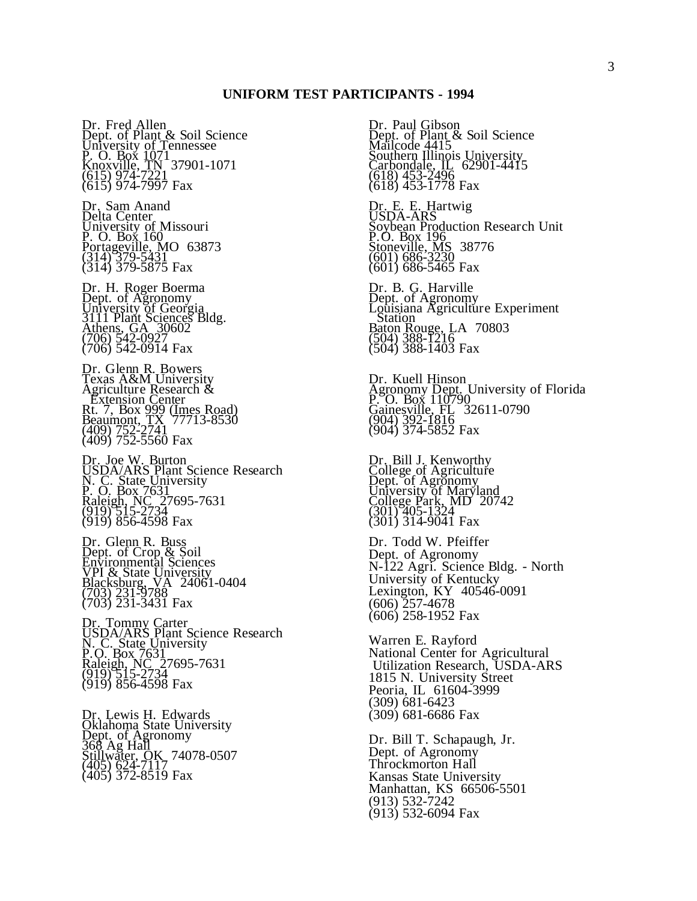Dr. Fred Allen Dept. of Plant & Soil Science University of Tennessee P. O. Box 1071 Knoxville, TN 37901-1071 (615) 974-7221 (615) 974-7997 Fax

Dr. Sam Anand Delta Center University of Missouri P. O. Box 160 Portageville, MO 63873 (314) 379-5431 (314) 379-5875 Fax

Dr. H. Roger Boerma Dept. of Agronomy University of Georgia 3111 Plant Sciences Bldg. Athens, GA 30602 (706) 542-0927 (706) 542-0914 Fax

Dr. Glenn R. Bowers Texas A&M University Agriculture Research & **Extension Center** Rt. 7, Box 999 (Imes Road) Beaumont, TX 77713-8530 (409) 752-2741 (409) 752-5560 Fax

Dr. Joe W. Burton USDA/ARS Plant Science Research N. C. State University P. O. Box 7631 Raleigh, NC 27695-7631 (919) 515-2734 (919) 856-4598 Fax

Dr. Glenn R. Buss Dept. of Crop & Soil Environmental Sciences VPI & State University Blacksburg, VA 24061-0404 (703) 231-9788 (703) 231-3431 Fax

Dr. Tommy Carter USDA/ARS Plant Science Research N. C. State University P.O. Box 7631 Raleigh, NC 27695-7631  $(919)$  515-2734 (919) 856-4598 Fax

Dr. Lewis H. Edwards Oklahoma State University Dept. of Agronomy 368 Ag Hall Stillwater, OK 74078-0507 (405) 624-7117 (405) 372-8519 Fax

Dr. Paul Gibson Dept. of Plant & Soil Science Mailcode 4415 Southern Illinois University Carbondale, IL 62901-4415 (618) 453-2496 (618) 453-1778 Fax

Dr. E. E. Hartwig USDA-ARS Soybean Production Research Unit P.O. Box 196 Stoneville, MS 38776 (601) 686-3230 (601) 686-5465 Fax

Dr. B. G. Harville Dept. of Agronomy Louisiana Agriculture Experiment  $\sum$ Station Baton Rouge, LA 70803 (504) 388-1216 (504) 388-1403 Fax

Dr. Kuell Hinson Agronomy Dept. University of Florida P. O. Box 110790 Gainesville, FL 32611-0790 (904) 392-1816 (904) 374-5852 Fax

Dr. Bill J. Kenworthy College of Agriculture Dept. of Agronomy University of Maryland College Park, MD 20742 (301) 405-1324 (301) 314-9041 Fax

Dr. Todd W. Pfeiffer Dept. of Agronomy N-122 Agri. Science Bldg. - North University of Kentucky Lexington, KY 40546-0091 (606) 257-4678 (606) 258-1952 Fax

Warren E. Rayford National Center for Agricultural Utilization Research, USDA-ARS 1815 N. University Street Peoria, IL 61604-3999 (309) 681-6423 (309) 681-6686 Fax

Dr. Bill T. Schapaugh, Jr. Dept. of Agronomy Throckmorton Hall Kansas State University Manhattan, KS 66506-5501 (913) 532-7242 (913) 532-6094 Fax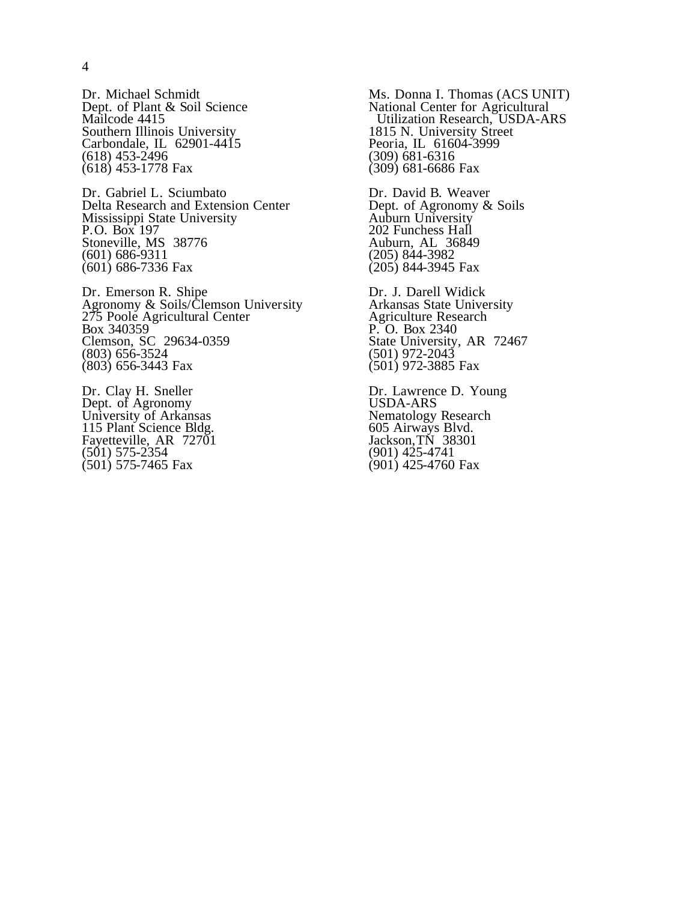Dr. Michael Schmidt Dept. of Plant & Soil Science Mailcode 4415 Southern Illinois University Carbondale, IL 62901-4415 (618) 453-2496 (618) 453-1778 Fax

Dr. Gabriel L. Sciumbato Delta Research and Extension Center Mississippi State University P.O. Box 197 Stoneville, MS 38776 (601) 686-9311 (601) 686-7336 Fax

Dr. Emerson R. Shipe Agronomy & Soils/Clemson University 275 Poole Agricultural Center Box 340359 Clemson, SC 29634-0359 (803) 656-3524 (803) 656-3443 Fax

Dr. Clay H. Sneller Dept. of Agronomy University of Arkansas 115 Plant Science Bldg. Fayetteville, AR 72701 (501) 575-2354 (501) 575-7465 Fax

Ms. Donna I. Thomas (ACS UNIT) National Center for Agricultural Utilization Research, USDA-ARS 1815 N. University Street Peoria, IL 61604-3999 (309) 681-6316 (309) 681-6686 Fax

Dr. David B. Weaver Dept. of Agronomy & Soils Auburn University 202 Funchess Hall Auburn, AL 36849 (205) 844-3982 (205) 844-3945 Fax

Dr. J. Darell Widick Arkansas State University Agriculture Research P. O. Box 2340 State University, AR 72467 (501) 972-2043 (501) 972-3885 Fax

Dr. Lawrence D. Young USDA-ARS Nematology Research 605 Airways Blvd. Jackson,TN 38301 (901) 425-4741 (901) 425-4760 Fax

4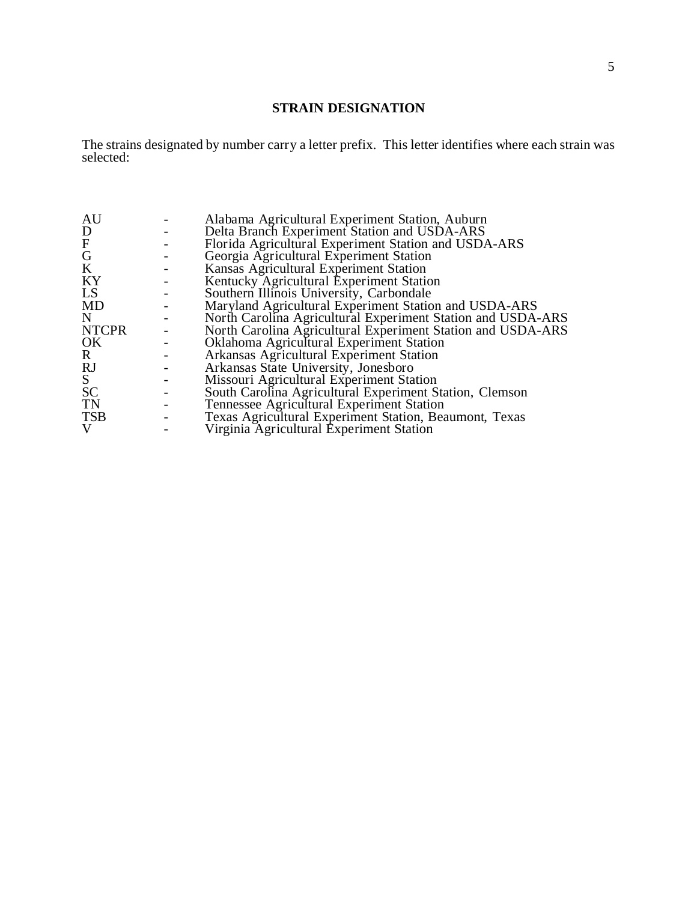#### **STRAIN DESIGNATION**

The strains designated by number carry a letter prefix. This letter identifies where each strain was selected:

| Alabama Agricultural Experiment Station, Auburn             |
|-------------------------------------------------------------|
| Delta Branch Experiment Station and USDA-ARS                |
| Florida Agricultural Experiment Station and USDA-ARS        |
| Georgia Agricultural Experiment Station                     |
| Kansas Agricultural Experiment Station                      |
| Kentucky Agricultural Experiment Station                    |
| Southern Illinois University, Carbondale                    |
| Maryland Agricultural Experiment Station and USDA-ARS       |
| North Carolina Agricultural Experiment Station and USDA-ARS |
| North Carolina Agricultural Experiment Station and USDA-ARS |
| Oklahoma Agricultural Experiment Station                    |
| Arkansas Agricultural Experiment Station                    |
| Arkansas State University, Jonesboro                        |
| Missouri Agricultural Experiment Station                    |
| South Carolina Agricultural Experiment Station, Clemson     |
| Tennessee Agricultural Experiment Station                   |
| Texas Agricultural Experiment Station, Beaumont, Texas      |
| Virginia Agricultural Experiment Station                    |
|                                                             |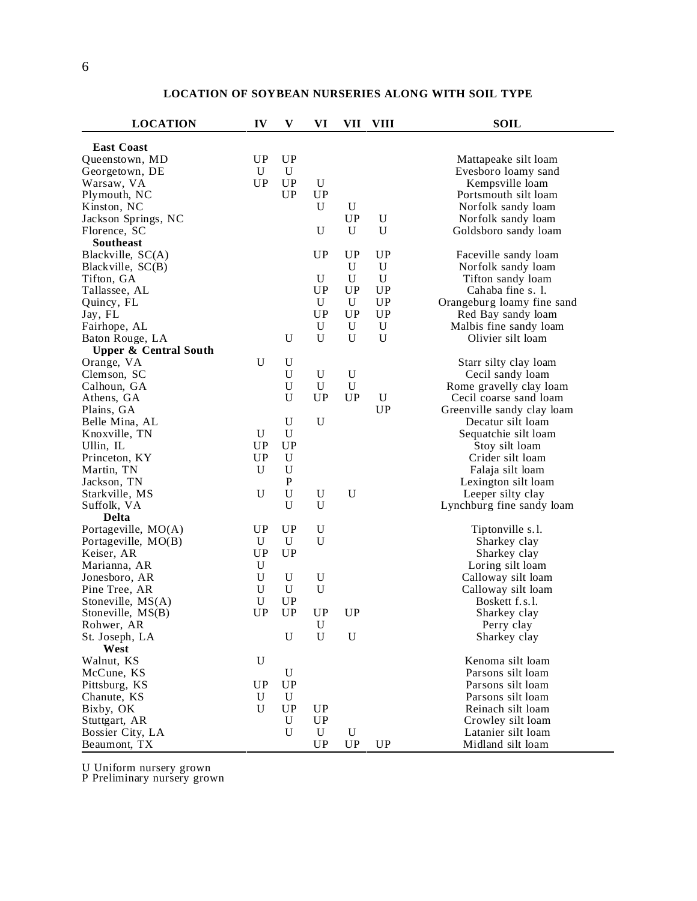| <b>LOCATION</b>                  | IV          | V           | VI          | VII         | <b>VIII</b> | <b>SOIL</b>                |
|----------------------------------|-------------|-------------|-------------|-------------|-------------|----------------------------|
| <b>East Coast</b>                |             |             |             |             |             |                            |
| Queenstown, MD                   | <b>UP</b>   | <b>UP</b>   |             |             |             | Mattapeake silt loam       |
| Georgetown, DE                   | U           | U           |             |             |             | Evesboro loamy sand        |
| Warsaw, VA                       | <b>UP</b>   | <b>UP</b>   | U           |             |             | Kempsville loam            |
| Plymouth, NC                     |             | <b>UP</b>   | <b>UP</b>   |             |             | Portsmouth silt loam       |
| Kinston, NC                      |             |             | U           | U           |             | Norfolk sandy loam         |
| Jackson Springs, NC              |             |             |             | UP          | U           | Norfolk sandy loam         |
| Florence, SC                     |             |             | U           | U           | $\mathbf U$ | Goldsboro sandy loam       |
| <b>Southeast</b>                 |             |             |             |             |             |                            |
| Blackville, SC(A)                |             |             | UP          | <b>UP</b>   | <b>UP</b>   | Faceville sandy loam       |
| Blackville, SC(B)                |             |             |             | U           | $\mathbf U$ | Norfolk sandy loam         |
| Tifton, GA                       |             |             | U           | U           | $\mathbf U$ | Tifton sandy loam          |
| Tallassee, AL                    |             |             | <b>UP</b>   | <b>UP</b>   | <b>UP</b>   | Cahaba fine s. 1.          |
| Quincy, FL                       |             |             | $\mathbf U$ | U           | <b>UP</b>   | Orangeburg loamy fine sand |
| Jay, FL                          |             |             | <b>UP</b>   | <b>UP</b>   | <b>UP</b>   | Red Bay sandy loam         |
| Fairhope, AL                     |             |             | $\mathbf U$ | U           | $\mathbf U$ | Malbis fine sandy loam     |
| Baton Rouge, LA                  |             | U           | U           | $\mathbf U$ | $\mathbf U$ | Olivier silt loam          |
| <b>Upper &amp; Central South</b> |             |             |             |             |             |                            |
| Orange, VA                       | U           | $\mathbf U$ |             |             |             | Starr silty clay loam      |
| Clemson, SC                      |             | $\mathbf U$ | U           | $\mathbf U$ |             | Cecil sandy loam           |
| Calhoun, GA                      |             | $\mathbf U$ | $\mathbf U$ | $\mathbf U$ |             | Rome gravelly clay loam    |
| Athens, GA                       |             | U           | UP          | <b>UP</b>   | U           | Cecil coarse sand loam     |
| Plains, GA                       |             |             |             |             | UP          | Greenville sandy clay loam |
| Belle Mina, AL                   |             | $\mathbf U$ | $\mathbf U$ |             |             | Decatur silt loam          |
| Knoxville, TN                    | U           | U           |             |             |             | Sequatchie silt loam       |
| Ullin, IL                        | UP          | <b>UP</b>   |             |             |             | Stoy silt loam             |
| Princeton, KY                    | <b>UP</b>   | U           |             |             |             | Crider silt loam           |
| Martin, TN                       | U           | U           |             |             |             | Falaja silt loam           |
| Jackson, TN                      |             | ${\bf P}$   |             |             |             | Lexington silt loam        |
| Starkville, MS                   | U           | U           | $\mathbf U$ | $\mathbf U$ |             | Leeper silty clay          |
| Suffolk, VA                      |             | U           | U           |             |             | Lynchburg fine sandy loam  |
| <b>Delta</b>                     |             |             |             |             |             |                            |
| Portageville, MO(A)              | <b>UP</b>   | <b>UP</b>   | U           |             |             | Tiptonville s.l.           |
| Portageville, MO(B)              | U           | U           | U           |             |             | Sharkey clay               |
| Keiser, AR                       | <b>UP</b>   | <b>UP</b>   |             |             |             | Sharkey clay               |
| Marianna, AR                     | $\mathbf U$ |             |             |             |             | Loring silt loam           |
| Jonesboro, AR                    | $\mathbf U$ | U           | U           |             |             | Calloway silt loam         |
| Pine Tree, AR                    | U           | U           | U           |             |             | Calloway silt loam         |
| Stoneville, MS(A)                | $\mathbf U$ | <b>UP</b>   |             |             |             | Boskett f.s.l.             |
| Stoneville, MS(B)                | UP          | <b>UP</b>   | UP          | UP          |             | Sharkey clay               |
| Rohwer, AR                       |             |             | $\mathbf U$ |             |             | Perry clay                 |
| St. Joseph, LA                   |             | U           | $\mathbf U$ | U           |             | Sharkey clay               |
| West                             |             |             |             |             |             |                            |
| Walnut, KS                       | $\mathbf U$ |             |             |             |             | Kenoma silt loam           |
| McCune, KS                       |             | U           |             |             |             | Parsons silt loam          |
| Pittsburg, KS                    | UP          | <b>UP</b>   |             |             |             | Parsons silt loam          |
| Chanute, KS                      | U           | U           |             |             |             | Parsons silt loam          |
| Bixby, OK                        | U           | <b>UP</b>   | <b>UP</b>   |             |             | Reinach silt loam          |
| Stuttgart, AR                    |             | U           | UP          |             |             | Crowley silt loam          |
| Bossier City, LA                 |             | U           | U           | U           |             | Latanier silt loam         |
| Beaumont, TX                     |             |             | <b>UP</b>   | <b>UP</b>   | <b>UP</b>   | Midland silt loam          |

#### **LOCATION OF SOYBEAN NURSERIES ALONG WITH SOIL TYPE**

U Uniform nursery grown

P Preliminary nursery grown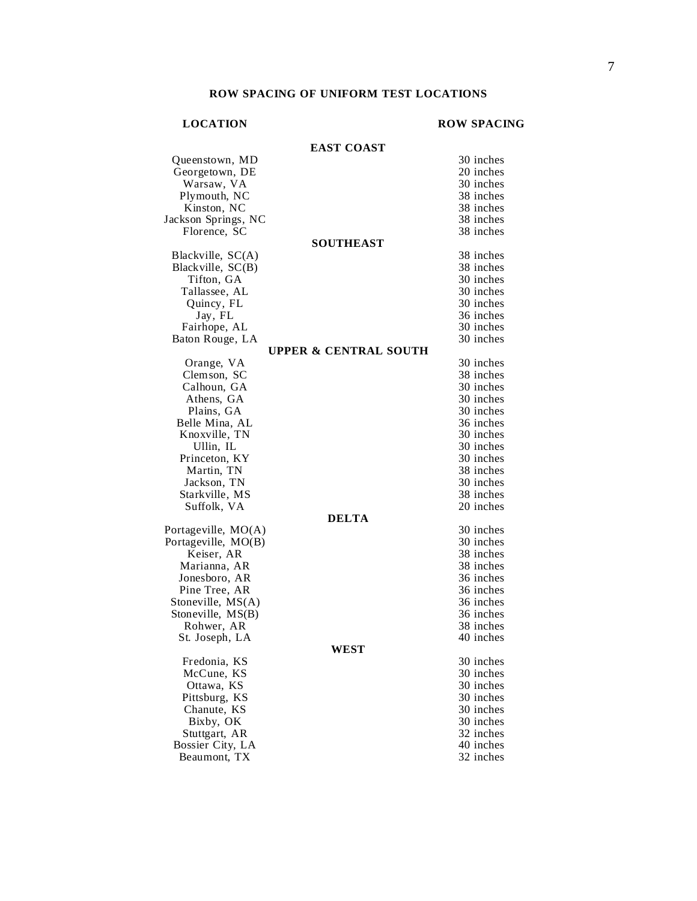#### **LOCATION ROW SPACING**

#### **EAST COAST** Queenstown, MD 30 inches<br>
Georgetown, DE 20 inches Georgetown, DE 20 inches<br>
Warsaw, VA 30 inches Warsaw, VA 30 inches<br>
2011 - 30 inches<br>
38 inches Plymouth, NC 38 inches<br>Kinston, NC 38 inches Kinston, NC 38 inches<br>
Son Springs, NC 38 inches Jackson Springs, NC 38 inches Florence, SC **SOUTHEAST** Blackville, SC(A) 38 inches Blackville, SC(B) 38 inches Tifton, GA 30 inches Tallassee, AL 30 inches Quincy, FL 30 inches Jay, FL 36 inches Fairhope, AL 30 inches Baton Rouge, LA 30 inches **UPPER & CENTRAL SOUTH** Orange, VA 30 inches Clemson, SC 38 inches Calhoun, GA 30 inches Athens, GA 30 inches Plains, GA 30 inches Belle Mina, AL 36 inches Knoxville, TN 30 inches Ullin, IL 30 inches Princeton, KY 30 inches Martin, TN 38 inches Jackson, TN 30 inches Starkville, MS 38 inches Suffolk, VA 20 inches **DELTA** Portageville, MO(A) 30 inches Portageville, MO(B) 30 inches Keiser, AR 38 inches<br>
1938 inches<br>
1938 inches Marianna, AR 38 inches<br>Jonesboro, AR 36 inches Jonesboro, AR 36 inches Pine Tree, AR 36 inches<br>
toneville, MS(A) 36 inches Stoneville, MS(A) 36 inches<br>Stoneville, MS(B) 36 inches Stoneville, MS(B) 36 inches<br>Rohwer, AR 38 inches Rohwer, AR 38 inches<br>St. Joseph, LA 40 inches St. Joseph, LA **WEST** Fredonia, KS 30 inches<br>McCune. KS 30 inches McCune, KS 30 inches<br>
Ottawa, KS 30 inches Ottawa, KS 30 inches<br>Pittsburg, KS 30 inches Pittsburg, KS 30 inches<br>
Chanute. KS 30 inches Chanute, KS 30 inches<br>Bixby, OK 30 inches Bixby, OK 30 inches<br>
Stuttgart. AR 32 inches Stuttgart, AR 32 inches<br>
ossier City, LA 40 inches Bossier City, LA 40 inches<br>Beaumont, TX 32 inches Beaumont, TX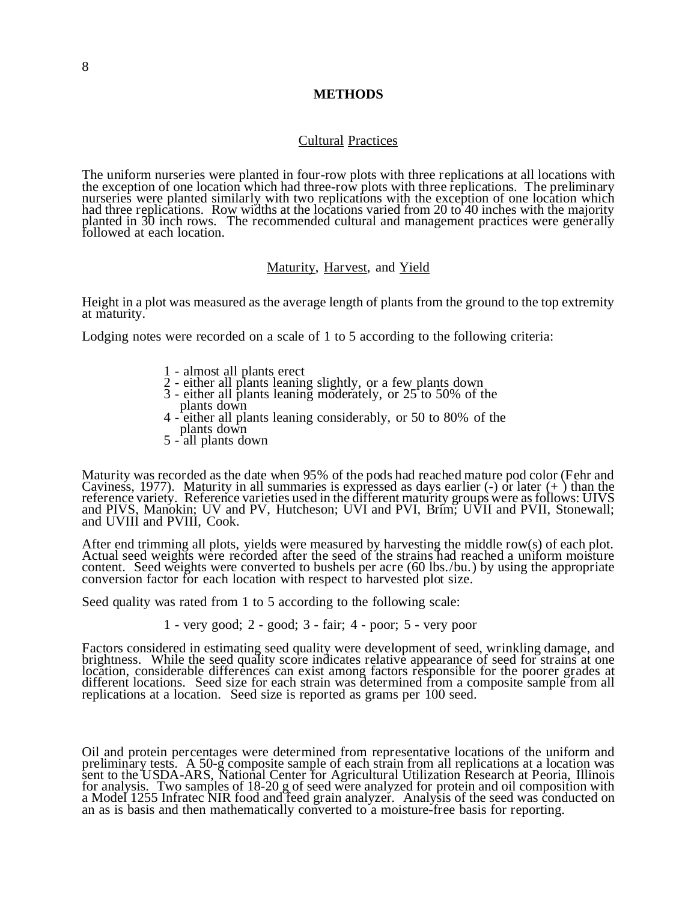#### **METHODS**

#### Cultural Practices

The uniform nurseries were planted in four-row plots with three replications at all locations with the exception of one location which had three-row plots with three replications. The preliminary nurseries were planted similarly with two replications with the exception of one location which had three replications. Row widths at the locations varied from 20 to 40 inches with the majority planted in 30 inch rows. The recommended cultural and management practices were generally followed at each location.

#### Maturity, Harvest, and Yield

Height in a plot was measured as the average length of plants from the ground to the top extremity at maturity.

Lodging notes were recorded on a scale of 1 to 5 according to the following criteria:

- 1 almost all plants erect
- 2 either all plants leaning slightly, or a few plants down
- 3 either all plants leaning moderately, or 25 to 50% of the plants down
- 4 either all plants leaning considerably, or 50 to 80% of the plants down
- 5 all plants down

Maturity was recorded as the date when 95% of the pods had reached mature pod color (Fehr and Caviness, 1977). Maturity in all summaries is expressed as days earlier  $\left(\text{-}\right)$  or later  $\left(\text{+}\right)$  than the reference variety. Reference varieties used in the different maturity groups were as follows: UIVS and PIVS, Manokin; UV and PV, Hutcheson; UVI and PVI, Brim; UVII and PVII, Stonewall; and UVIII and PVIII, Cook.

After end trimming all plots, yields were measured by harvesting the middle row(s) of each plot. Actual seed weights were recorded after the seed of the strains had reached a uniform moisture content. Seed weights were converted to bushels per acre (60 lbs./bu.) by using the appropriate conversion factor for each location with respect to harvested plot size.

Seed quality was rated from 1 to 5 according to the following scale:

1 - very good; 2 - good; 3 - fair; 4 - poor; 5 - very poor

Factors considered in estimating seed quality were development of seed, wrinkling damage, and brightness. While the seed quality score indicates relative appearance of seed for strains at one location, considerable differences can exist among factors responsible for the poorer grades at different locations. Seed size for each strain was determined from a composite sample from all replications at a location. Seed size is reported as grams per 100 seed.

Oil and protein percentages were determined from representative locations of the uniform and preliminary tests. A 50-g composite sample of each strain from all replications at a location was sent to the USDA-ARS, National Center for Agricultural Utilization Research at Peoria, Illinois for analysis. Two samples of 18-20 g of seed were analyzed for protein and oil composition with a Model 1255 Infratec NIR food and feed grain analyzer. Analysis of the seed was conducted on an as is basis and then mathematically converted to a moisture-free basis for reporting.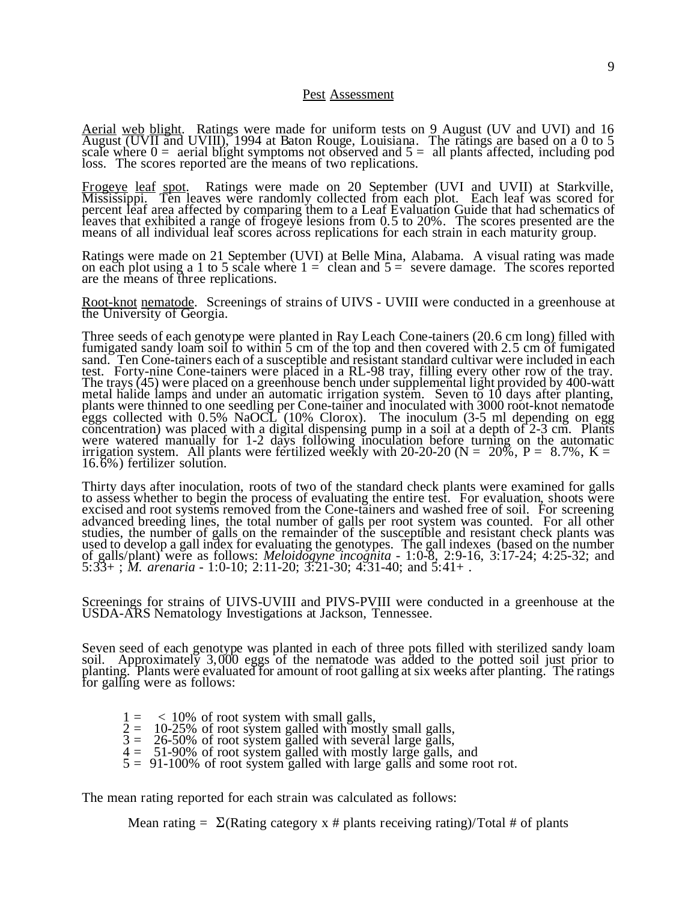#### Pest Assessment

Aerial web blight. Ratings were made for uniform tests on 9 August (UV and UVI) and 16 August (UVII and UVIII), 1994 at Baton Rouge, Louisiana. The ratings are based on a 0 to 5 scale where  $0 =$  aerial blight symptoms not observed and  $5 =$  all plants affected, including pod loss. The scores reported are the means of two replications.

Frogeye leaf spot. Ratings were made on 20 September (UVI and UVII) at Starkville, Mississippi. Ten leaves were randomly collected from each plot. Each leaf was scored for percent leaf area affected by comparing them to a Leaf Evaluation Guide that had schematics of leaves that exhibited a range of frogeye lesions from 0.5 to 20%. The scores presented are the means of all individual leaf scores across replications for each strain in each maturity group.

Ratings were made on 21 September (UVI) at Belle Mina, Alabama. A visual rating was made on each plot using a 1 to 5 scale where  $1 =$  clean and  $5 =$  severe damage. The scores reported are the means of three replications.

Root-knot nematode. Screenings of strains of UIVS - UVIII were conducted in a greenhouse at the University of Georgia.

Three seeds of each genotype were planted in Ray Leach Cone-tainers (20.6 cm long) filled with fumigated sandy loam soil to within 5 cm of the top and then covered with 2.5 cm of fumigated sand. Ten Cone-tainers each of a susceptible and resistant standard cultivar were included in each test. Forty-nine Cone-tainers were placed in a RL-98 tray, filling every other row of the tray. The trays (45) were placed on a greenhouse bench under supplemental light provided by 400-watt metal halide lamps and under an automatic irrigation system. Seven to 10 days after planting, plants were thinned to one seedling per Cone-tainer and inoculated with 3000 root-knot nematode eggs collected with 0.5% NaOCL (10% Clorox). The inoculum (3-5 ml depending on egg concentration) was placed with a digital dispensing pump in a soil at a depth of 2-3 cm. Plants were watered manually for 1-2 days following inoculation before turning on the automatic irrigation system. All plants were fertilized weekly with 20-20-20 ( $N = 20\%$ ,  $P = 8.7\%$ , K = 16.6%) fertilizer solution.

Thirty days after inoculation, roots of two of the standard check plants were examined for galls to assess whether to begin the process of evaluating the entire test. For evaluation, shoots were excised and root systems removed from the Cone-tainers and washed free of soil. For screening advanced breeding lines, the total number of galls per root system was counted. For all other studies, the number of galls on the remainder of the susceptible and resistant check plants was used to develop a gall index for evaluating the genotypes. The gall indexes (based on the number of galls/plant) were as follows: *Meloidogyne incognita* - 1:0-8, 2:9-16, 3:17-24; 4:25-32; and 5:33+ ; *M. arenaria* - 1:0-10; 2:11-20; 3:21-30; 4:31-40; and 5:41+ .

Screenings for strains of UIVS-UVIII and PIVS-PVIII were conducted in a greenhouse at the USDA-ARS Nematology Investigations at Jackson, Tennessee.

Seven seed of each genotype was planted in each of three pots filled with sterilized sandy loam soil. Approximately 3,000 eggs of the nematode was added to the potted soil just prior to planting. Plants were evaluated for amount of root galling at six weeks after planting. The ratings for galling were as follows:

 $1 = 10\%$  of root system with small galls,<br> $2 = 10-25\%$  of root system galled with most  $10-25\%$  of root system galled with mostly small galls,  $3 = 26-50\%$  of root system galled with several large galls,  $4 = 51-90\%$  of root system galled with mostly large galls, and  $5 = 91-100\%$  of root system galled with large galls and some root rot.

The mean rating reported for each strain was calculated as follows:

Mean rating  $= \Sigma(Rating category x # plants receiving rating)/Total # of plants$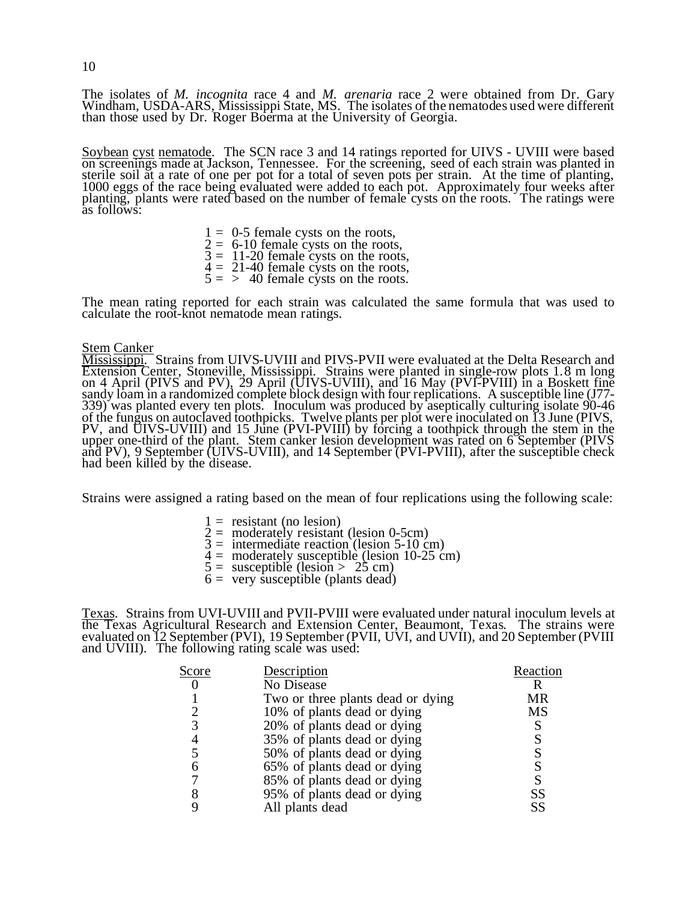The isolates of *M. incognita* race 4 and *M. arenaria* race 2 were obtained from Dr. Gary Windham, USDA-ARS, Mississippi State, MS. The isolates of the nematodes used were different than those used by Dr. Roger Boerma at the University of Georgia.

Soybean cyst nematode. The SCN race 3 and 14 ratings reported for UIVS - UVIII were based on screenings made at Jackson, Tennessee. For the screening, seed of each strain was planted in sterile soil at a rate of one per pot for a total of seven pots per strain. At the time of planting, 1000 eggs of the race being evaluated were added to each pot. Approximately four weeks after planting, plants were rated based on the number of female cysts on the roots. The ratings were as follows:

> $1 = 0.5$  female cysts on the roots,  $2 = 6-10$  female cysts on the roots,  $3 = 11-20$  female cysts on the roots,  $4 = 21-40$  female cysts on the roots,  $5 = \frac{1}{2}$  40 female cysts on the roots.

The mean rating reported for each strain was calculated the same formula that was used to calculate the root-knot nematode mean ratings.

#### <u>Stem Canker</u>

Mississippi. Strains from UIVS-UVIII and PIVS-PVII were evaluated at the Delta Research and Extension Center, Stoneville, Mississippi. Strains were planted in single-row plots 1.8 m long on 4 April (PIVS and PV), 29 April (UIVS-UVIII), and 16 May (PVI-PVIII) in a Boskett fine sandy loam in a randomized complete block design with four replications. A susceptible line (J77-339) was planted every ten plots. Inoculum was produced by aseptically culturing isolate 90-46 of the fungus on autoclaved toothpicks. Twelve plants per plot were inoculated on 13 June (PIVS, PV, and UIVS-UVIII) and 15 June (PVI-PVIII) by forcing a toothpick through the stem in the upper one-third of the plant. Stem canker lesion development was rated on 6 September (PIVS and PV), 9 September (UIVS-UVIII), and 14 September (PVI-PVIII), after the susceptible check had been killed by the disease.

Strains were assigned a rating based on the mean of four replications using the following scale:

- $1 =$  resistant (no lesion)
- $2 =$  moderately resistant (lesion 0-5cm)
- $3 =$  intermediate reaction (lesion 5-10 cm)
- $4 =$  moderately susceptible (lesion 10-25 cm)
- $5 =$  susceptible (lesion  $> 25$  cm)
- $6 = \text{very susceptible (plants dead)}$

Texas. Strains from UVI-UVIII and PVII-PVIII were evaluated under natural inoculum levels at the Texas Agricultural Research and Extension Center, Beaumont, Texas. The strains were evaluated on 12 September (PVI), 19 September (PVII, UVI, and UVII), and 20 September (PVIII and UVIII). The following rating scale was used:

| Score | Description                       | Reaction |
|-------|-----------------------------------|----------|
|       | No Disease                        |          |
|       | Two or three plants dead or dying | MR       |
| ↑     | 10% of plants dead or dying       | MS       |
| 3     | 20% of plants dead or dying       |          |
| 4     | 35% of plants dead or dying       | S        |
| 5     | 50% of plants dead or dying       |          |
|       | 65% of plants dead or dying       |          |
|       | 85% of plants dead or dying       |          |
|       | 95% of plants dead or dying       | SS       |
|       | All plants dead                   | SS       |

10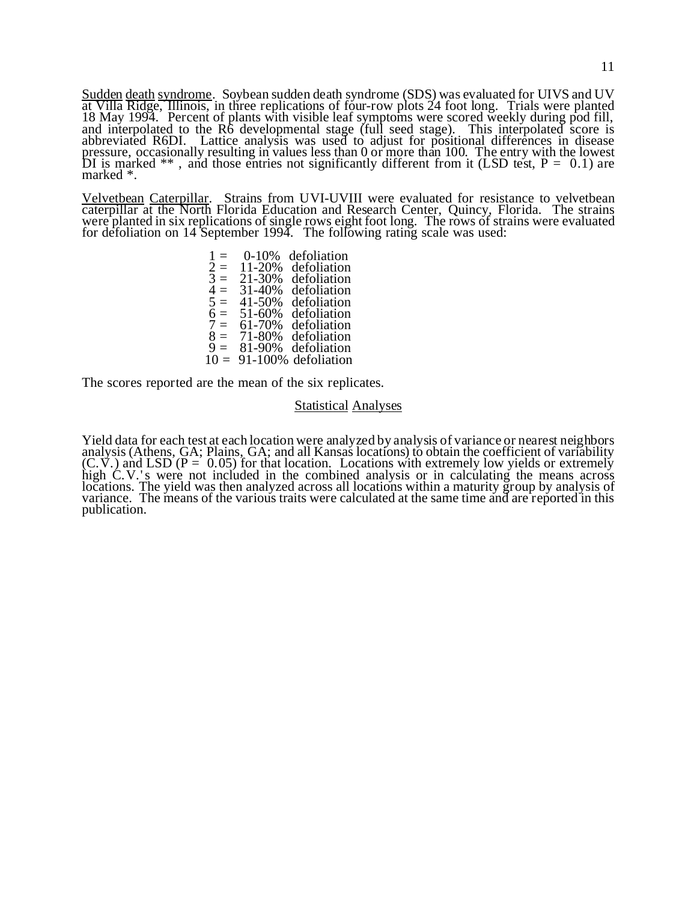Sudden death syndrome. Soybean sudden death syndrome (SDS) was evaluated for UIVS and UV at Villa Ridge, Illinois, in three replications of four-row plots 24 foot long. Trials were planted 18 May 1994. Percent of plants with visible leaf symptoms were scored weekly during pod fill, and interpolated to the R6 developmental stage (full seed stage). This interpolated score is abbreviated R6DI. Lattice analysis was used to adjust for positional differences in disease pressure, occasionally resulting in values less than 0 or more than 100. The entry with the lowest DI is marked  $**$ , and those entries not significantly different from it (LSD test,  $P = 0.1$ ) are marked \*.

Velvetbean Caterpillar. Strains from UVI-UVIII were evaluated for resistance to velvetbean caterpillar at the North Florida Education and Research Center, Quincy, Florida. The strains were planted in six replications of single rows eight foot long. The rows of strains were evaluated for defoliation on 14 September 1994. The following rating scale was used:

> $1 = 0.10\%$  defoliation<br> $2 = 11-20\%$  defoliation  $2 = 11-20%$  defoliation<br> $3 = 21-30%$  defoliation  $3 = 21-30\%$  defoliation<br> $4 = 31-40\%$  defoliation<br> $5 = 41-50\%$  defoliation 31-40% defoliation  $5 = 41-50%$  defoliation<br> $6 = 51-60%$  defoliation<br> $7 = 61-70%$  defoliation 51-60% defoliation  $7 = 61-70%$  defoliation<br> $8 = 71-80%$  defoliation<br> $9 = 81-90%$  defoliation 71-80% defoliation 81-90% defoliation  $10 = 91 - 100\%$  defoliation

The scores reported are the mean of the six replicates.

#### **Statistical Analyses**

Yield data for each test at each location were analyzed by analysis of variance or nearest neighbors analysis (Athens, GA; Plains, GA; and all Kansas locations) to obtain the coefficient of variability  $(C.V.)$  and LSD  $(P = 0.05)$  for that location. Locations with extremely low yields or extremely high C.V.'s were not included in the combined analysis or in calculating the means across locations. The yield was then analyzed across all locations within a maturity group by analysis of variance. The means of the various traits were calculated at the same time and are reported in this publication.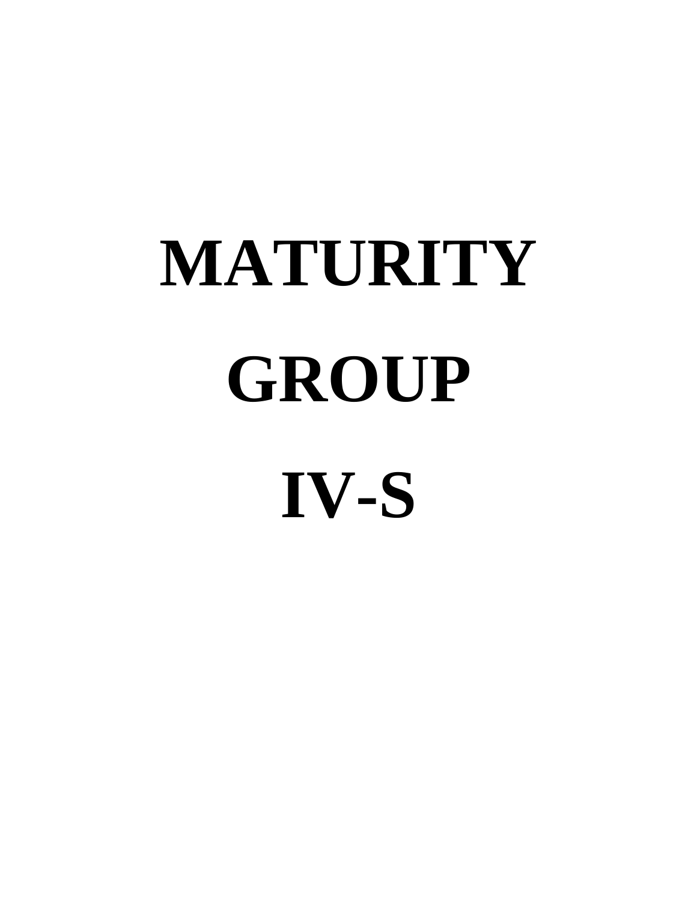# **MATURITY GROUP IV-S**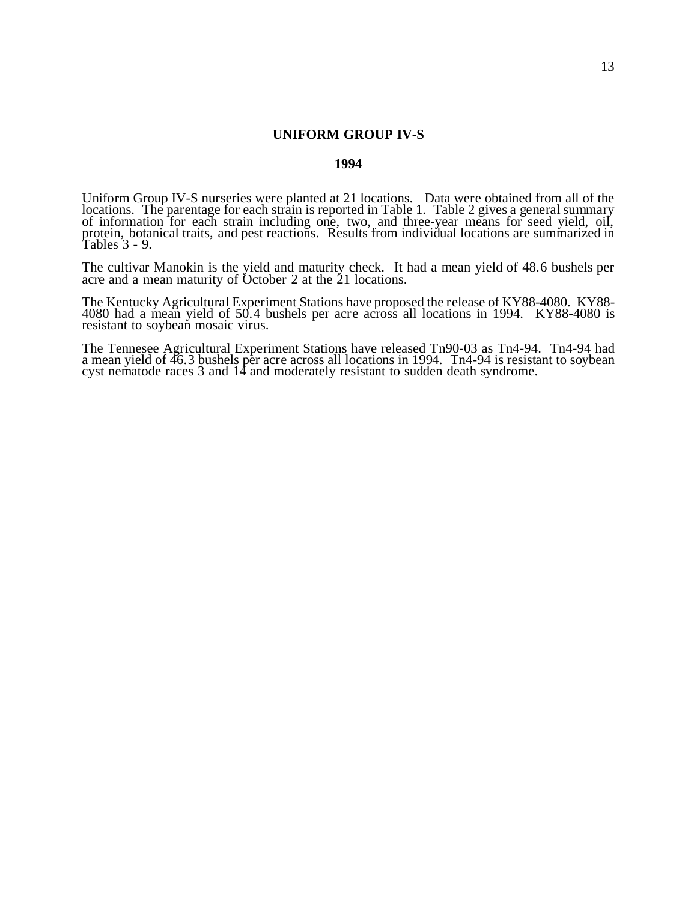# **UNIFORM GROUP IV-S**

#### **1994**

Uniform Group IV-S nurseries were planted at 21 locations. Data were obtained from all of the locations. The parentage for each strain is reported in Table 1. Table 2 gives a general summary of information for each strain including one, two, and three-year means for seed yield, oil, protein, botanical traits, and pest reactions. Results from individual locations are summarized in Tables 3 - 9.

The cultivar Manokin is the yield and maturity check. It had a mean yield of 48.6 bushels per acre and a mean maturity of October 2 at the 21 locations.

The Kentucky Agricultural Experiment Stations have proposed the release of KY88-4080. KY88- 4080 had a mean yield of 50.4 bushels per acre across all locations in 1994. KY88-4080 is resistant to soybean mosaic virus.

The Tennesee Agricultural Experiment Stations have released Tn90-03 as Tn4-94. Tn4-94 had a mean yield of 46.3 bushels per acre across all locations in 1994. Tn4-94 is resistant to soybean cyst nematode races 3 and 14 and moderately resistant to sudden death syndrome.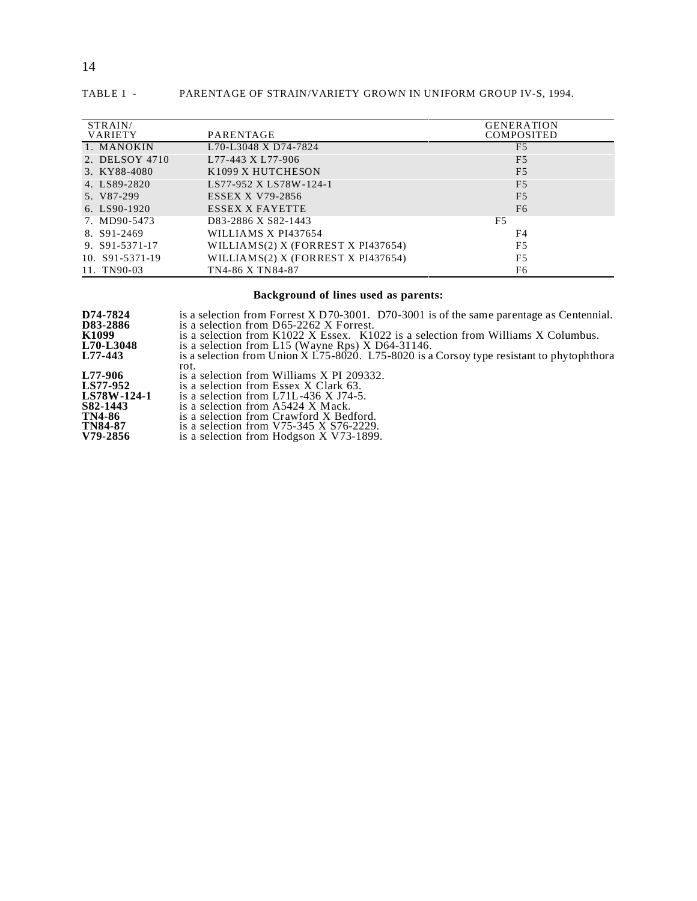| STRAIN/         |                                       | <b>GENERATION</b> |
|-----------------|---------------------------------------|-------------------|
| <b>VARIETY</b>  | PARENTAGE                             | <b>COMPOSITED</b> |
| 1. MANOKIN      | L70-L3048 X D74-7824                  | F <sub>5</sub>    |
| 2. DELSOY 4710  | L77-443 X L77-906                     | F <sub>5</sub>    |
| 3. KY88-4080    | K1099 X HUTCHESON                     | F <sub>5</sub>    |
| 4. LS89-2820    | LS77-952 X LS78W-124-1                | F <sub>5</sub>    |
| 5. V87-299      | <b>ESSEX X V79-2856</b>               | F <sub>5</sub>    |
| $6.$ LS90-1920  | ESSEX X FAYETTE                       | F <sub>6</sub>    |
| 7. MD90-5473    | D83-2886 X S82-1443                   | F5                |
| 8. S91-2469     | WILLIAMS X PI437654                   | F4                |
| 9. S91-5371-17  | WILLIAMS $(2)$ X (FORREST X PI437654) | F5                |
| 10. S91-5371-19 | WILLIAMS(2) X (FORREST X PI437654)    | F <sub>5</sub>    |
| 11. TN90-03     | TN4-86 X TN84-87                      | F6                |

#### TABLE 1 - PARENTAGE OF STRAIN/VARIETY GROWN IN UNIFORM GROUP IV-S, 1994.

#### **Background of lines used as parents:**

| is a selection from Forrest X D70-3001. D70-3001 is of the same parentage as Centennial.     |
|----------------------------------------------------------------------------------------------|
| is a selection from $D65-2262$ X Forrest.                                                    |
| is a selection from $K1022$ X Essex. $K1022$ is a selection from Williams X Columbus.        |
| is a selection from L15 (Wayne Rps) $X$ D64-31146.                                           |
| is a selection from Union X $L75-8020$ . L75-8020 is a Corsoy type resistant to phytophthora |
| rot.                                                                                         |
| is a selection from Williams X PI 209332.                                                    |
| is a selection from Essex X Clark 63.                                                        |
| is a selection from L71L-436 X J74-5.                                                        |
| is a selection from A5424 X Mack.                                                            |
| is a selection from Crawford X Bedford.                                                      |
| is a selection from V75-345 X $S76-2229$ .                                                   |
| is a selection from Hodgson X V73-1899.                                                      |
|                                                                                              |

#### 14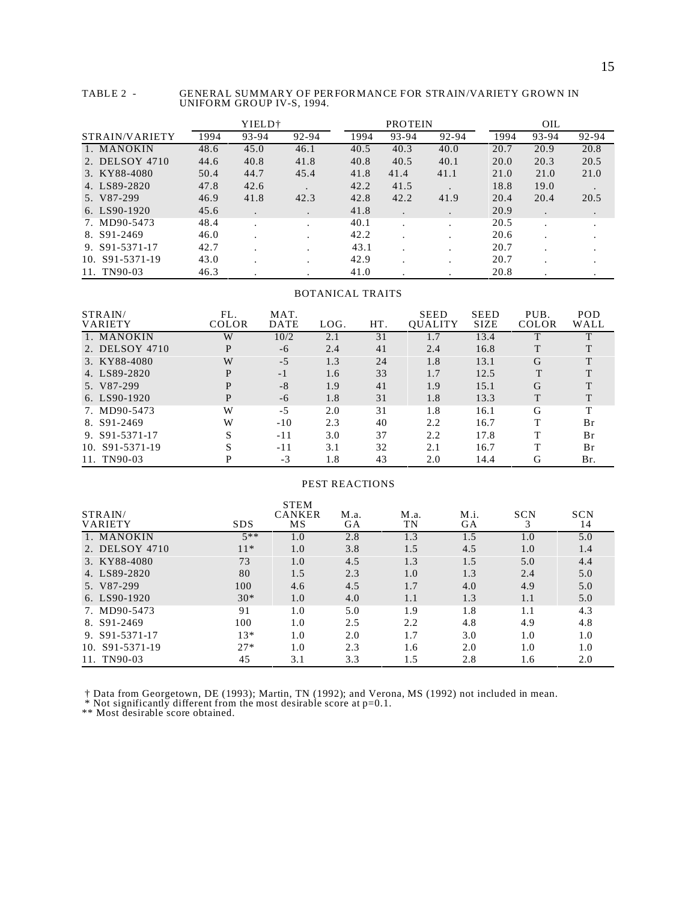| TABLE 2 - | GENERAL SUMMARY OF PERFORMANCE FOR STRAIN/VARIETY GROWN IN |
|-----------|------------------------------------------------------------|
|           | UNIFORM GROUP IV-S, 1994.                                  |

|                       |      | YIELD <sup>+</sup> |       |      | <b>PROTEIN</b> |       |      | <b>OIL</b> |           |
|-----------------------|------|--------------------|-------|------|----------------|-------|------|------------|-----------|
| STRAIN/VARIETY        | 1994 | 93-94              | 92-94 | 1994 | 93-94          | 92-94 | 1994 | 93-94      | 92-94     |
| 1. MANOKIN            | 48.6 | 45.0               | 46.1  | 40.5 | 40.3           | 40.0  | 20.7 | 20.9       | 20.8      |
| 2. DELSOY 4710        | 44.6 | 40.8               | 41.8  | 40.8 | 40.5           | 40.1  | 20.0 | 20.3       | 20.5      |
| 3. KY88-4080          | 50.4 | 44.7               | 45.4  | 41.8 | 41.4           | 41.1  | 21.0 | 21.0       | 21.0      |
| 4. LS89-2820          | 47.8 | 42.6               |       | 42.2 | 41.5           |       | 18.8 | 19.0       |           |
| 5. V87-299            | 46.9 | 41.8               | 42.3  | 42.8 | 42.2           | 41.9  | 20.4 | 20.4       | 20.5      |
| $6.$ LS90-1920        | 45.6 | $\cdot$            |       | 41.8 | ٠              |       | 20.9 |            | $\bullet$ |
| 7. MD90-5473          | 48.4 |                    |       | 40.1 |                |       | 20.5 |            |           |
| 8. S91-2469           | 46.0 |                    |       | 42.2 |                |       | 20.6 |            |           |
| 9. $S91 - 5371 - 17$  | 42.7 |                    |       | 43.1 |                |       | 20.7 |            |           |
| 10. $S91 - 5371 - 19$ | 43.0 |                    |       | 42.9 |                |       | 20.7 |            |           |
| 11. TN90-03           | 46.3 |                    |       | 41.0 |                |       | 20.8 |            |           |

#### BOTANICAL TRAITS

| STRAIN/<br>VARIETY | FL.<br>COLOR | MAT.<br><b>DATE</b> | LOG. | HT. | <b>SEED</b><br>OUALITY | <b>SEED</b><br><b>SIZE</b> | PUB.<br><b>COLOR</b> | <b>POD</b><br>WALL |
|--------------------|--------------|---------------------|------|-----|------------------------|----------------------------|----------------------|--------------------|
| 1. MANOKIN         | W            | 10/2                | 2.1  | 31  | 1.7                    | 13.4                       |                      |                    |
| 2. DELSOY 4710     | P            | $-6$                | 2.4  | 41  | 2.4                    | 16.8                       | T                    |                    |
| 3. KY88-4080       | W            | $-5$                | 1.3  | 24  | 1.8                    | 13.1                       | G                    | T                  |
| 4. LS89-2820       | P            | $-1$                | 1.6  | 33  | 1.7                    | 12.5                       | T                    |                    |
| 5. V87-299         | P            | $-8$                | 1.9  | 41  | 1.9                    | 15.1                       | G                    |                    |
| $6.$ LS90-1920     | P            | -6                  | 1.8  | 31  | 1.8                    | 13.3                       | T                    |                    |
| 7. MD90-5473       | W            | $-5$                | 2.0  | 31  | 1.8                    | 16.1                       | G                    | т                  |
| 8. S91-2469        | W            | $-10$               | 2.3  | 40  | 2.2                    | 16.7                       | T                    | Br                 |
| 9. S91-5371-17     | S            | -11                 | 3.0  | 37  | 2.2                    | 17.8                       | т                    | Br                 |
| 10. S91-5371-19    | S            | $-11$               | 3.1  | 32  | 2.1                    | 16.7                       | т                    | Br                 |
| 11. TN90-03        |              | $-3$                | 1.8  | 43  | 2.0                    | 14.4                       | G                    | Br.                |

#### PEST REACTIONS

| STRAIN/         |            | <b>STEM</b><br><b>CANKER</b> | M.a. | M.a. | M.i. | <b>SCN</b> | <b>SCN</b> |
|-----------------|------------|------------------------------|------|------|------|------------|------------|
| VARIETY         | <b>SDS</b> | MS                           | GА   | TN   | GA   |            | 14         |
| 1. MANOKIN      | $5**$      | 1.0                          | 2.8  | 1.3  | 1.5  | 1.0        | 5.0        |
| 2. DELSOY 4710  | $11*$      | 1.0                          | 3.8  | 1.5  | 4.5  | 1.0        | 1.4        |
| 3. KY88-4080    | 73         | 1.0                          | 4.5  | 1.3  | 1.5  | 5.0        | 4.4        |
| 4. LS89-2820    | 80         | 1.5                          | 2.3  | 1.0  | 1.3  | 2.4        | 5.0        |
| 5. V87-299      | 100        | 4.6                          | 4.5  | 1.7  | 4.0  | 4.9        | 5.0        |
| 6. LS90-1920    | $30*$      | 1.0                          | 4.0  | 1.1  | 1.3  | 1.1        | 5.0        |
| 7. MD90-5473    | 91         | 1.0                          | 5.0  | 1.9  | 1.8  | 1.1        | 4.3        |
| 8. S91-2469     | 100        | 1.0                          | 2.5  | 2.2  | 4.8  | 4.9        | 4.8        |
| 9. S91-5371-17  | $13*$      | 1.0                          | 2.0  | 1.7  | 3.0  | 1.0        | 1.0        |
| 10. S91-5371-19 | $27*$      | 1.0                          | 2.3  | 1.6  | 2.0  | 1.0        | 1.0        |
| 11. TN90-03     | 45         | 3.1                          | 3.3  | 1.5  | 2.8  | 1.6        | 2.0        |

† Data from Georgetown, DE (1993); Martin, TN (1992); and Verona, MS (1992) not included in mean.

\* Not significantly different from the most desirable score at  $p=0.1$ .

\*\* Most desirable score obtained.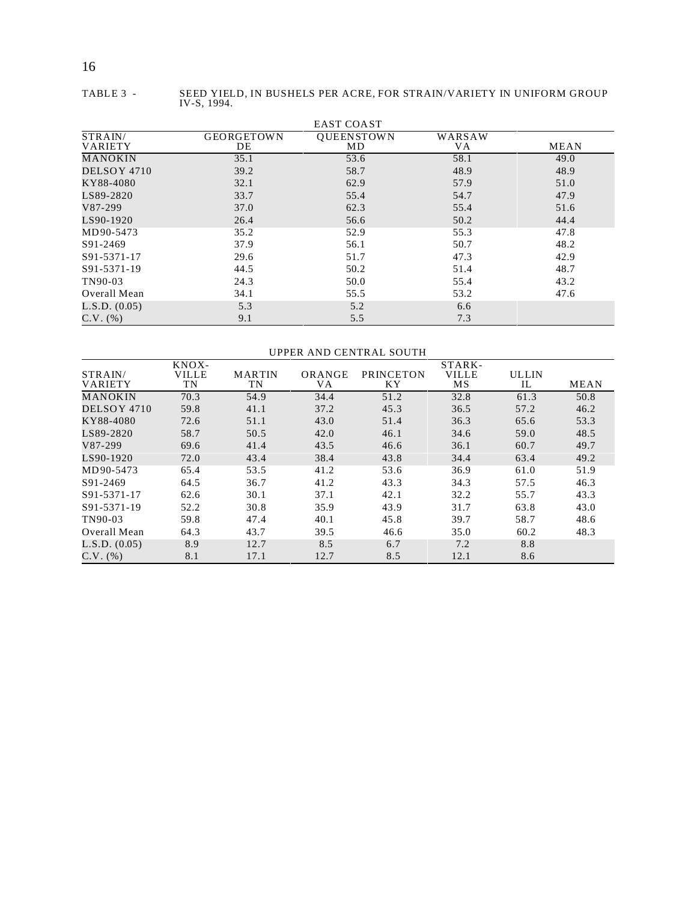| TABLE 3 - | SEED YIELD, IN BUSHELS PER ACRE, FOR STRAIN/VARIETY IN UNIFORM GROUP<br>IV-S, 1994. |
|-----------|-------------------------------------------------------------------------------------|
|           |                                                                                     |

| <b>EAST COAST</b>         |                         |                         |               |      |  |  |  |  |  |
|---------------------------|-------------------------|-------------------------|---------------|------|--|--|--|--|--|
| STRAIN/<br><b>VARIETY</b> | <b>GEORGETOWN</b><br>DE | <b>OUEENSTOWN</b><br>MD | WARSAW<br>VA. | MEAN |  |  |  |  |  |
| <b>MANOKIN</b>            | 35.1                    | 53.6                    | 58.1          | 49.0 |  |  |  |  |  |
| DELSOY 4710               | 39.2                    | 58.7                    | 48.9          | 48.9 |  |  |  |  |  |
| KY88-4080                 | 32.1                    | 62.9                    | 57.9          | 51.0 |  |  |  |  |  |
| LS89-2820                 | 33.7                    | 55.4                    | 54.7          | 47.9 |  |  |  |  |  |
| V87-299                   | 37.0                    | 62.3                    | 55.4          | 51.6 |  |  |  |  |  |
| LS90-1920                 | 26.4                    | 56.6                    | 50.2          | 44.4 |  |  |  |  |  |
| MD90-5473                 | 35.2                    | 52.9                    | 55.3          | 47.8 |  |  |  |  |  |
| S91-2469                  | 37.9                    | 56.1                    | 50.7          | 48.2 |  |  |  |  |  |
| S91-5371-17               | 29.6                    | 51.7                    | 47.3          | 42.9 |  |  |  |  |  |
| S91-5371-19               | 44.5                    | 50.2                    | 51.4          | 48.7 |  |  |  |  |  |
| TN90-03                   | 24.3                    | 50.0                    | 55.4          | 43.2 |  |  |  |  |  |
| Overall Mean              | 34.1                    | 55.5                    | 53.2          | 47.6 |  |  |  |  |  |
| L.S.D. (0.05)             | 5.3                     | 5.2                     | 6.6           |      |  |  |  |  |  |
| $C.V.$ (%)                | 9.1                     | 5.5                     | 7.3           |      |  |  |  |  |  |

#### UPPER AND CENTRAL SOUTH

|                | KNOX-        |               |        |           | STARK-       |              |             |
|----------------|--------------|---------------|--------|-----------|--------------|--------------|-------------|
| STRAIN/        | <b>VILLE</b> | <b>MARTIN</b> | ORANGE | PRINCETON | <b>VILLE</b> | <b>ULLIN</b> |             |
| <b>VARIETY</b> | TN           | TN            | VА     | ΚY        | <b>MS</b>    | IL           | <b>MEAN</b> |
| MANOKIN        | 70.3         | 54.9          | 34.4   | 51.2      | 32.8         | 61.3         | 50.8        |
| DELSOY 4710    | 59.8         | 41.1          | 37.2   | 45.3      | 36.5         | 57.2         | 46.2        |
| KY88-4080      | 72.6         | 51.1          | 43.0   | 51.4      | 36.3         | 65.6         | 53.3        |
| LS89-2820      | 58.7         | 50.5          | 42.0   | 46.1      | 34.6         | 59.0         | 48.5        |
| V87-299        | 69.6         | 41.4          | 43.5   | 46.6      | 36.1         | 60.7         | 49.7        |
| LS90-1920      | 72.0         | 43.4          | 38.4   | 43.8      | 34.4         | 63.4         | 49.2        |
| MD90-5473      | 65.4         | 53.5          | 41.2   | 53.6      | 36.9         | 61.0         | 51.9        |
| S91-2469       | 64.5         | 36.7          | 41.2   | 43.3      | 34.3         | 57.5         | 46.3        |
| S91-5371-17    | 62.6         | 30.1          | 37.1   | 42.1      | 32.2         | 55.7         | 43.3        |
| S91-5371-19    | 52.2         | 30.8          | 35.9   | 43.9      | 31.7         | 63.8         | 43.0        |
| TN90-03        | 59.8         | 47.4          | 40.1   | 45.8      | 39.7         | 58.7         | 48.6        |
| Overall Mean   | 64.3         | 43.7          | 39.5   | 46.6      | 35.0         | 60.2         | 48.3        |
| L.S.D. (0.05)  | 8.9          | 12.7          | 8.5    | 6.7       | 7.2          | 8.8          |             |
| $C.V.$ (%)     | 8.1          | 17.1          | 12.7   | 8.5       | 12.1         | 8.6          |             |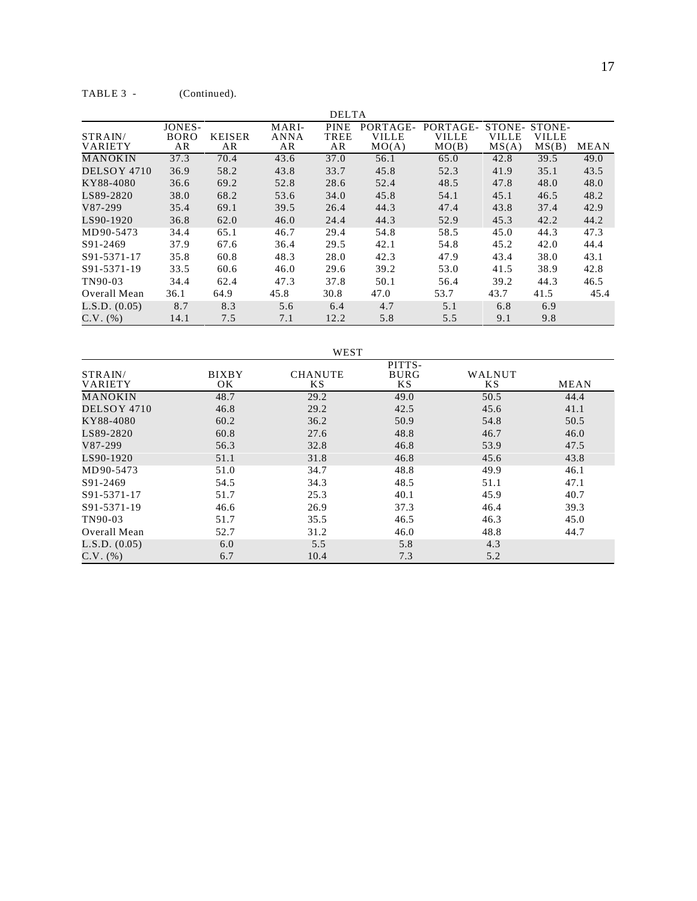|                           |                             |                     |                            | <b>DELTA</b>              |                                   |                                   |                                 |                          |             |
|---------------------------|-----------------------------|---------------------|----------------------------|---------------------------|-----------------------------------|-----------------------------------|---------------------------------|--------------------------|-------------|
| STRAIN/<br><b>VARIETY</b> | JONES-<br><b>BORO</b><br>AR | <b>KEISER</b><br>AR | MARI-<br><b>ANNA</b><br>AR | <b>PINE</b><br>TREE<br>AR | PORTAGE-<br><b>VILLE</b><br>MO(A) | PORTAGE-<br><b>VILLE</b><br>MO(B) | STONE-<br><b>VILLE</b><br>MS(A) | STONE-<br>VILLE<br>MS(B) | <b>MEAN</b> |
| <b>MANOKIN</b>            | 37.3                        | 70.4                | 43.6                       | 37.0                      | 56.1                              | 65.0                              | 42.8                            | 39.5                     | 49.0        |
| DELSOY 4710               | 36.9                        | 58.2                | 43.8                       | 33.7                      | 45.8                              | 52.3                              | 41.9                            | 35.1                     | 43.5        |
| KY88-4080                 | 36.6                        | 69.2                | 52.8                       | 28.6                      | 52.4                              | 48.5                              | 47.8                            | 48.0                     | 48.0        |
| LS89-2820                 | 38.0                        | 68.2                | 53.6                       | 34.0                      | 45.8                              | 54.1                              | 45.1                            | 46.5                     | 48.2        |
| V87-299                   | 35.4                        | 69.1                | 39.5                       | 26.4                      | 44.3                              | 47.4                              | 43.8                            | 37.4                     | 42.9        |
| LS90-1920                 | 36.8                        | 62.0                | 46.0                       | 24.4                      | 44.3                              | 52.9                              | 45.3                            | 42.2                     | 44.2        |
| MD90-5473                 | 34.4                        | 65.1                | 46.7                       | 29.4                      | 54.8                              | 58.5                              | 45.0                            | 44.3                     | 47.3        |
| S91-2469                  | 37.9                        | 67.6                | 36.4                       | 29.5                      | 42.1                              | 54.8                              | 45.2                            | 42.0                     | 44.4        |
| S91-5371-17               | 35.8                        | 60.8                | 48.3                       | 28.0                      | 42.3                              | 47.9                              | 43.4                            | 38.0                     | 43.1        |
| S91-5371-19               | 33.5                        | 60.6                | 46.0                       | 29.6                      | 39.2                              | 53.0                              | 41.5                            | 38.9                     | 42.8        |
| TN90-03                   | 34.4                        | 62.4                | 47.3                       | 37.8                      | 50.1                              | 56.4                              | 39.2                            | 44.3                     | 46.5        |
| Overall Mean              | 36.1                        | 64.9                | 45.8                       | 30.8                      | 47.0                              | 53.7                              | 43.7                            | 41.5                     | 45.4        |
| L.S.D. (0.05)             | 8.7                         | 8.3                 | 5.6                        | 6.4                       | 4.7                               | 5.1                               | 6.8                             | 6.9                      |             |
| $C.V.$ (%)                | 14.1                        | 7.5                 | 7.1                        | 12.2                      | 5.8                               | 5.5                               | 9.1                             | 9.8                      |             |

#### WEST

|                |              |                | PITTS-      |           |             |
|----------------|--------------|----------------|-------------|-----------|-------------|
| STRAIN/        | <b>BIXBY</b> | <b>CHANUTE</b> | <b>BURG</b> | WALNUT    |             |
| <b>VARIETY</b> | OK           | KS.            | KS.         | <b>KS</b> | <b>MEAN</b> |
| MANOKIN        | 48.7         | 29.2           | 49.0        | 50.5      | 44.4        |
| DELSOY 4710    | 46.8         | 29.2           | 42.5        | 45.6      | 41.1        |
| KY88-4080      | 60.2         | 36.2           | 50.9        | 54.8      | 50.5        |
| LS89-2820      | 60.8         | 27.6           | 48.8        | 46.7      | 46.0        |
| V87-299        | 56.3         | 32.8           | 46.8        | 53.9      | 47.5        |
| LS90-1920      | 51.1         | 31.8           | 46.8        | 45.6      | 43.8        |
| MD90-5473      | 51.0         | 34.7           | 48.8        | 49.9      | 46.1        |
| S91-2469       | 54.5         | 34.3           | 48.5        | 51.1      | 47.1        |
| S91-5371-17    | 51.7         | 25.3           | 40.1        | 45.9      | 40.7        |
| S91-5371-19    | 46.6         | 26.9           | 37.3        | 46.4      | 39.3        |
| TN90-03        | 51.7         | 35.5           | 46.5        | 46.3      | 45.0        |
| Overall Mean   | 52.7         | 31.2           | 46.0        | 48.8      | 44.7        |
| L.S.D. (0.05)  | 6.0          | 5.5            | 5.8         | 4.3       |             |
| $C.V.$ (%)     | 6.7          | 10.4           | 7.3         | 5.2       |             |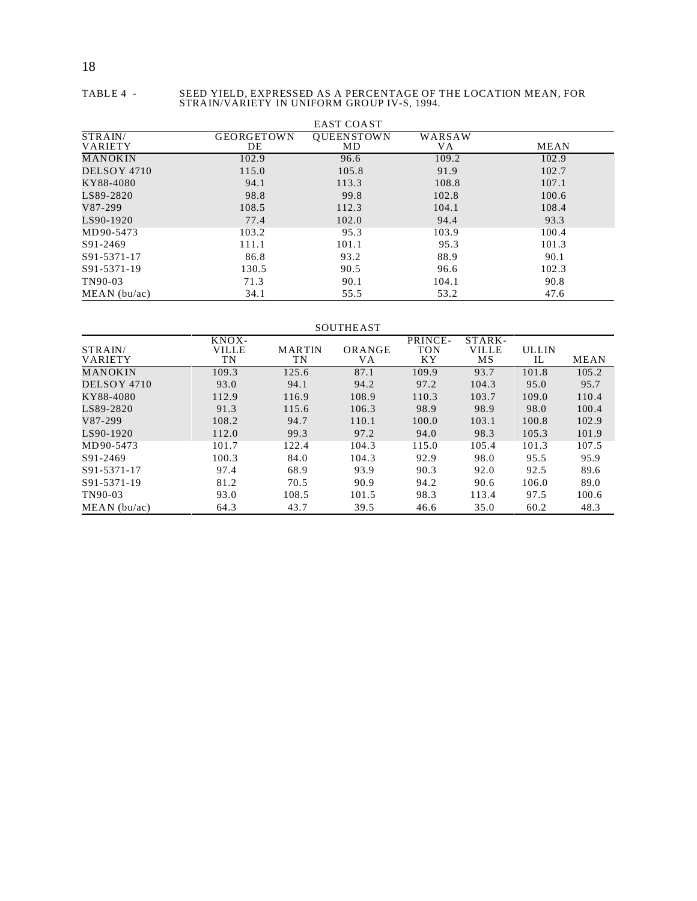18

#### TABLE 4 - SEED YIELD, EXPRESSED AS A PERCENTAGE OF THE LOCATION MEAN, FOR STRAIN/VARIETY IN UNIFORM GROUP IV-S, 1994.

|                           |                         | <b>EAST COAST</b>       |               |             |
|---------------------------|-------------------------|-------------------------|---------------|-------------|
| STRAIN/<br><b>VARIETY</b> | <b>GEORGETOWN</b><br>DE | <b>OUEENSTOWN</b><br>MD | WARSAW<br>VA. | <b>MEAN</b> |
| MANOKIN                   | 102.9                   | 96.6                    | 109.2         | 102.9       |
| DELSOY 4710               | 115.0                   | 105.8                   | 91.9          | 102.7       |
| KY88-4080                 | 94.1                    | 113.3                   | 108.8         | 107.1       |
| LS89-2820                 | 98.8                    | 99.8                    | 102.8         | 100.6       |
| V87-299                   | 108.5                   | 112.3                   | 104.1         | 108.4       |
| LS90-1920                 | 77.4                    | 102.0                   | 94.4          | 93.3        |
| MD90-5473                 | 103.2                   | 95.3                    | 103.9         | 100.4       |
| S91-2469                  | 111.1                   | 101.1                   | 95.3          | 101.3       |
| S91-5371-17               | 86.8                    | 93.2                    | 88.9          | 90.1        |
| S91-5371-19               | 130.5                   | 90.5                    | 96.6          | 102.3       |
| TN90-03                   | 71.3                    | 90.1                    | 104.1         | 90.8        |
| MEAN (bu/ac)              | 34.1                    | 55.5                    | 53.2          | 47.6        |

#### SOUTHEAST

|                           | KNOX-              |                     |              | PRINCE-          | STARK-             |                    |             |
|---------------------------|--------------------|---------------------|--------------|------------------|--------------------|--------------------|-------------|
| STRAIN/<br><b>VARIETY</b> | <b>VILLE</b><br>TN | <b>MARTIN</b><br>TN | ORANGE<br>VА | <b>TON</b><br>ΚY | <b>VILLE</b><br>МS | <b>ULLIN</b><br>IL | <b>MEAN</b> |
| MANOKIN                   | 109.3              | 125.6               | 87.1         | 109.9            | 93.7               | 101.8              | 105.2       |
| DELSOY 4710               | 93.0               | 94.1                | 94.2         | 97.2             | 104.3              | 95.0               | 95.7        |
| KY88-4080                 | 112.9              | 116.9               | 108.9        | 110.3            | 103.7              | 109.0              | 110.4       |
| LS89-2820                 | 91.3               | 115.6               | 106.3        | 98.9             | 98.9               | 98.0               | 100.4       |
| V87-299                   | 108.2              | 94.7                | 110.1        | 100.0            | 103.1              | 100.8              | 102.9       |
| LS90-1920                 | 112.0              | 99.3                | 97.2         | 94.0             | 98.3               | 105.3              | 101.9       |
| MD90-5473                 | 101.7              | 122.4               | 104.3        | 115.0            | 105.4              | 101.3              | 107.5       |
| S91-2469                  | 100.3              | 84.0                | 104.3        | 92.9             | 98.0               | 95.5               | 95.9        |
| S91-5371-17               | 97.4               | 68.9                | 93.9         | 90.3             | 92.0               | 92.5               | 89.6        |
| S91-5371-19               | 81.2               | 70.5                | 90.9         | 94.2             | 90.6               | 106.0              | 89.0        |
| TN90-03                   | 93.0               | 108.5               | 101.5        | 98.3             | 113.4              | 97.5               | 100.6       |
| MEAN (bu/ac)              | 64.3               | 43.7                | 39.5         | 46.6             | 35.0               | 60.2               | 48.3        |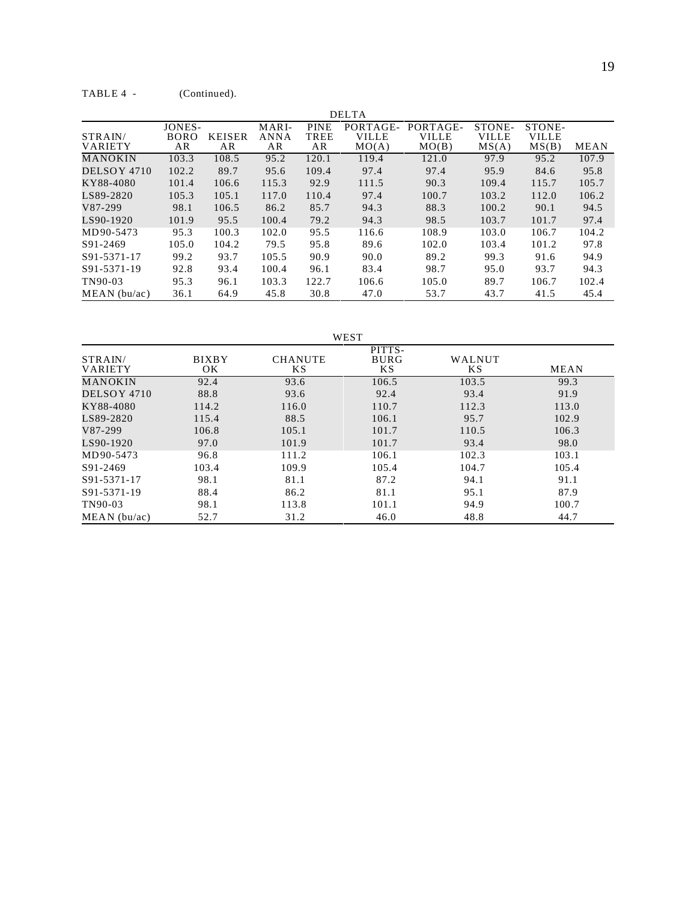|                           |                             |                     |                            |                                  | <b>DELTA</b>                      |                                   |                                 |                                 |             |
|---------------------------|-----------------------------|---------------------|----------------------------|----------------------------------|-----------------------------------|-----------------------------------|---------------------------------|---------------------------------|-------------|
| STRAIN/<br><b>VARIETY</b> | JONES-<br><b>BORO</b><br>AR | <b>KEISER</b><br>AR | MARI-<br><b>ANNA</b><br>AR | <b>PINE</b><br><b>TREE</b><br>AR | PORTAGE-<br><b>VILLE</b><br>MO(A) | PORTAGE-<br><b>VILLE</b><br>MO(B) | STONE-<br><b>VILLE</b><br>MS(A) | STONE-<br><b>VILLE</b><br>MS(B) | <b>MEAN</b> |
| <b>MANOKIN</b>            | 103.3                       | 108.5               | 95.2                       | 120.1                            | 119.4                             | 121.0                             | 97.9                            | 95.2                            | 107.9       |
| DELSOY 4710               | 102.2                       | 89.7                | 95.6                       | 109.4                            | 97.4                              | 97.4                              | 95.9                            | 84.6                            | 95.8        |
| KY88-4080                 | 101.4                       | 106.6               | 115.3                      | 92.9                             | 111.5                             | 90.3                              | 109.4                           | 115.7                           | 105.7       |
| LS89-2820                 | 105.3                       | 105.1               | 117.0                      | 110.4                            | 97.4                              | 100.7                             | 103.2                           | 112.0                           | 106.2       |
| V87-299                   | 98.1                        | 106.5               | 86.2                       | 85.7                             | 94.3                              | 88.3                              | 100.2                           | 90.1                            | 94.5        |
| LS90-1920                 | 101.9                       | 95.5                | 100.4                      | 79.2                             | 94.3                              | 98.5                              | 103.7                           | 101.7                           | 97.4        |
| MD90-5473                 | 95.3                        | 100.3               | 102.0                      | 95.5                             | 116.6                             | 108.9                             | 103.0                           | 106.7                           | 104.2       |
| S91-2469                  | 105.0                       | 104.2               | 79.5                       | 95.8                             | 89.6                              | 102.0                             | 103.4                           | 101.2                           | 97.8        |
| S91-5371-17               | 99.2                        | 93.7                | 105.5                      | 90.9                             | 90.0                              | 89.2                              | 99.3                            | 91.6                            | 94.9        |
| S91-5371-19               | 92.8                        | 93.4                | 100.4                      | 96.1                             | 83.4                              | 98.7                              | 95.0                            | 93.7                            | 94.3        |
| TN90-03                   | 95.3                        | 96.1                | 103.3                      | 122.7                            | 106.6                             | 105.0                             | 89.7                            | 106.7                           | 102.4       |
| $MEAN$ (bu/ac)            | 36.1                        | 64.9                | 45.8                       | 30.8                             | 47.0                              | 53.7                              | 43.7                            | 41.5                            | 45.4        |

WEST STRAIN/ VARIETY BIXBY OK CHANUTE KS PITTS-BURG KS  $\begin{array}{c} \text{WALNUT} \\ \text{KS} \end{array}$  $MEAN$ MANOKIN 92.4 93.6 106.5 103.5 99.3<br>DELSOY 4710 88.8 93.6 92.4 93.4 91.9 DELSOY 4710 88.8 93.6 92.4<br>KY88-4080 114.2 116.0 110.7 XY88-4080 114.2 116.0 110.7 112.3 113.0<br>
LS89-2820 115.4 88.5 106.1 95.7 102.9 115.4 88.5 106.1 95.7 102.9<br>V87-299 106.8 105.1 101.7 110.5 106.3 V87-299 106.8 105.1 101.7 110.5 106.3 LS90-1920 97.0 101.9 101.7 93.4 98.0 MD90-5473 96.8 111.2 106.1 102.3 103.1 S91-2469 103.4 109.9 105.4 104.7 105.4 S91-5371-17 98.1 81.1 87.2 94.1 91.1 S91-5371-19 88.4 86.2 81.1 95.1 87.9 TN90-03 98.1 113.8 101.1 94.9 100.7 MEAN (bu/ac) 52.7 31.2 46.0 48.8 44.7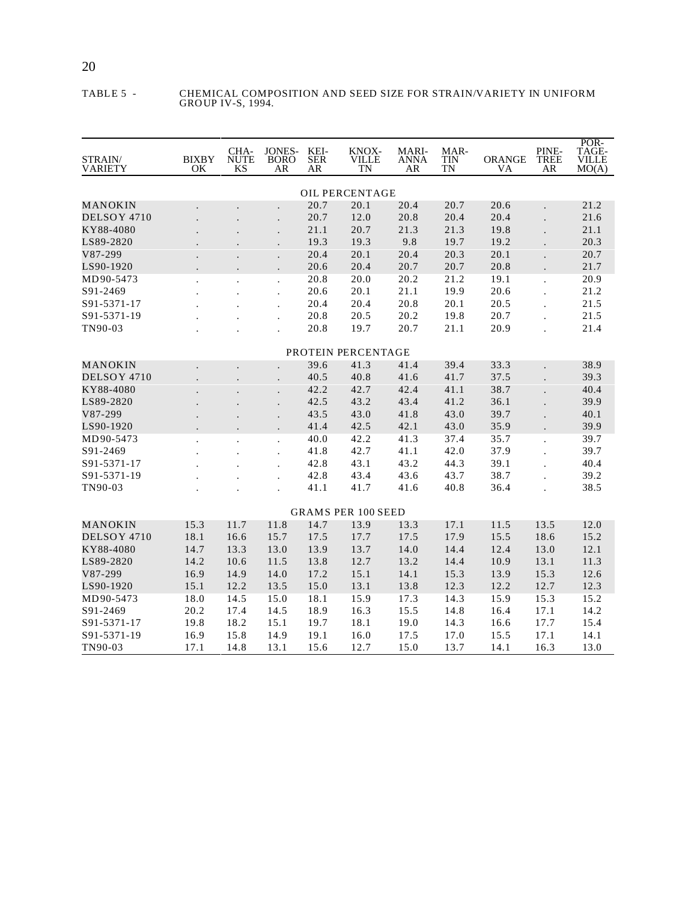#### TABLE 5 - CHEMICAL COMPOSITION AND SEED SIZE FOR STRAIN/VARIETY IN UNIFORM GROUP IV-S, 1994.

| STRAIN/<br>VARIETY | <b>BIXBY</b><br>ΟK   | CHA-<br><b>NUTE</b><br><b>KS</b> | JONES-<br><b>BORO</b><br>AR | KEI-<br><b>SER</b><br>AR | KNOX-<br>VILLE<br>TN      | <b>MARI-</b><br>ANNA<br>AR | MAR-<br>TIN<br>TN | <b>ORANGE</b><br>VA | PINE-<br>TREE<br>AR  | POR-<br>TAGE-<br>VILLE<br>MO(A) |
|--------------------|----------------------|----------------------------------|-----------------------------|--------------------------|---------------------------|----------------------------|-------------------|---------------------|----------------------|---------------------------------|
|                    |                      |                                  |                             |                          | <b>OIL PERCENTAGE</b>     |                            |                   |                     |                      |                                 |
| MANOKIN            |                      |                                  |                             | 20.7                     | 20.1                      | 20.4                       | 20.7              | 20.6                | $\overline{a}$       | 21.2                            |
| DELSOY 4710        |                      |                                  |                             | 20.7                     | 12.0                      | 20.8                       | 20.4              | 20.4                |                      | 21.6                            |
| KY88-4080          |                      |                                  |                             | 21.1                     | 20.7                      | 21.3                       | 21.3              | 19.8                |                      | 21.1                            |
| LS89-2820          |                      |                                  |                             | 19.3                     | 19.3                      | 9.8                        | 19.7              | 19.2                |                      | 20.3                            |
| V87-299            |                      |                                  |                             | 20.4                     | 20.1                      | 20.4                       | 20.3              | 20.1                |                      | 20.7                            |
| LS90-1920          |                      |                                  | $\cdot$                     | 20.6                     | 20.4                      | 20.7                       | 20.7              | 20.8                | $\ddot{\phantom{a}}$ | 21.7                            |
| MD90-5473          | $\ddot{\phantom{0}}$ |                                  |                             | 20.8                     | 20.0                      | 20.2                       | 21.2              | 19.1                | $\cdot$              | 20.9                            |
| S91-2469           |                      |                                  | $\ddot{\phantom{0}}$        | 20.6                     | 20.1                      | 21.1                       | 19.9              | 20.6                |                      | 21.2                            |
| S91-5371-17        |                      |                                  |                             | 20.4                     | 20.4                      | 20.8                       | 20.1              | 20.5                |                      | 21.5                            |
| S91-5371-19        |                      |                                  |                             | 20.8                     | 20.5                      | 20.2                       | 19.8              | 20.7                |                      | 21.5                            |
| TN90-03            |                      |                                  |                             | 20.8                     | 19.7                      | 20.7                       | 21.1              | 20.9                |                      | 21.4                            |
|                    |                      |                                  |                             |                          |                           |                            |                   |                     |                      |                                 |
|                    |                      |                                  |                             |                          | PROTEIN PERCENTAGE        |                            |                   |                     |                      |                                 |
| MANOKIN            |                      |                                  |                             | 39.6                     | 41.3                      | 41.4                       | 39.4              | 33.3                |                      | 38.9                            |
| DELSOY 4710        |                      |                                  |                             | 40.5                     | 40.8                      | 41.6                       | 41.7              | 37.5                |                      | 39.3                            |
| KY88-4080          |                      |                                  |                             | 42.2                     | 42.7                      | 42.4                       | 41.1              | 38.7                |                      | 40.4                            |
| LS89-2820          |                      |                                  |                             | 42.5                     | 43.2                      | 43.4                       | 41.2              | 36.1                |                      | 39.9                            |
| V87-299            |                      |                                  |                             | 43.5                     | 43.0                      | 41.8                       | 43.0              | 39.7                |                      | 40.1                            |
| LS90-1920          |                      |                                  |                             | 41.4                     | 42.5                      | 42.1                       | 43.0              | 35.9                |                      | 39.9                            |
| MD90-5473          | $\ddot{\phantom{0}}$ |                                  | $\cdot$                     | 40.0                     | 42.2                      | 41.3                       | 37.4              | 35.7                | $\cdot$              | 39.7                            |
| S91-2469           |                      |                                  | $\cdot$                     | 41.8                     | 42.7                      | 41.1                       | 42.0              | 37.9                |                      | 39.7                            |
| S91-5371-17        |                      |                                  |                             | 42.8                     | 43.1                      | 43.2                       | 44.3              | 39.1                |                      | 40.4                            |
| S91-5371-19        |                      |                                  |                             | 42.8                     | 43.4                      | 43.6                       | 43.7              | 38.7                |                      | 39.2                            |
| TN90-03            |                      |                                  |                             | 41.1                     | 41.7                      | 41.6                       | 40.8              | 36.4                |                      | 38.5                            |
|                    |                      |                                  |                             |                          | <b>GRAMS PER 100 SEED</b> |                            |                   |                     |                      |                                 |
| MANOKIN            | 15.3                 | 11.7                             | 11.8                        | 14.7                     | 13.9                      | 13.3                       | 17.1              | 11.5                | 13.5                 | 12.0                            |
| DELSOY 4710        | 18.1                 | 16.6                             | 15.7                        | 17.5                     | 17.7                      | 17.5                       | 17.9              | 15.5                | 18.6                 | 15.2                            |
| KY88-4080          | 14.7                 | 13.3                             | 13.0                        | 13.9                     | 13.7                      | 14.0                       | 14.4              | 12.4                | 13.0                 | 12.1                            |
| LS89-2820          | 14.2                 | 10.6                             | 11.5                        | 13.8                     | 12.7                      | 13.2                       | 14.4              | 10.9                | 13.1                 | 11.3                            |
| V87-299            | 16.9                 | 14.9                             | 14.0                        | 17.2                     | 15.1                      | 14.1                       | 15.3              | 13.9                | 15.3                 | 12.6                            |
| LS90-1920          | 15.1                 | 12.2                             | 13.5                        | 15.0                     | 13.1                      | 13.8                       | 12.3              | 12.2                | 12.7                 | 12.3                            |
| MD90-5473          | 18.0                 | 14.5                             | 15.0                        | 18.1                     | 15.9                      | 17.3                       | 14.3              | 15.9                | 15.3                 | 15.2                            |
| S91-2469           | 20.2                 | 17.4                             | 14.5                        | 18.9                     | 16.3                      | 15.5                       | 14.8              | 16.4                | 17.1                 | 14.2                            |
| S91-5371-17        | 19.8                 | 18.2                             | 15.1                        | 19.7                     | 18.1                      | 19.0                       | 14.3              | 16.6                | 17.7                 | 15.4                            |
| S91-5371-19        | 16.9                 | 15.8                             | 14.9                        | 19.1                     | 16.0                      | 17.5                       | 17.0              | 15.5                | 17.1                 | 14.1                            |
| TN90-03            | 17.1                 | 14.8                             | 13.1                        | 15.6                     | 12.7                      | 15.0                       | 13.7              | 14.1                | 16.3                 | 13.0                            |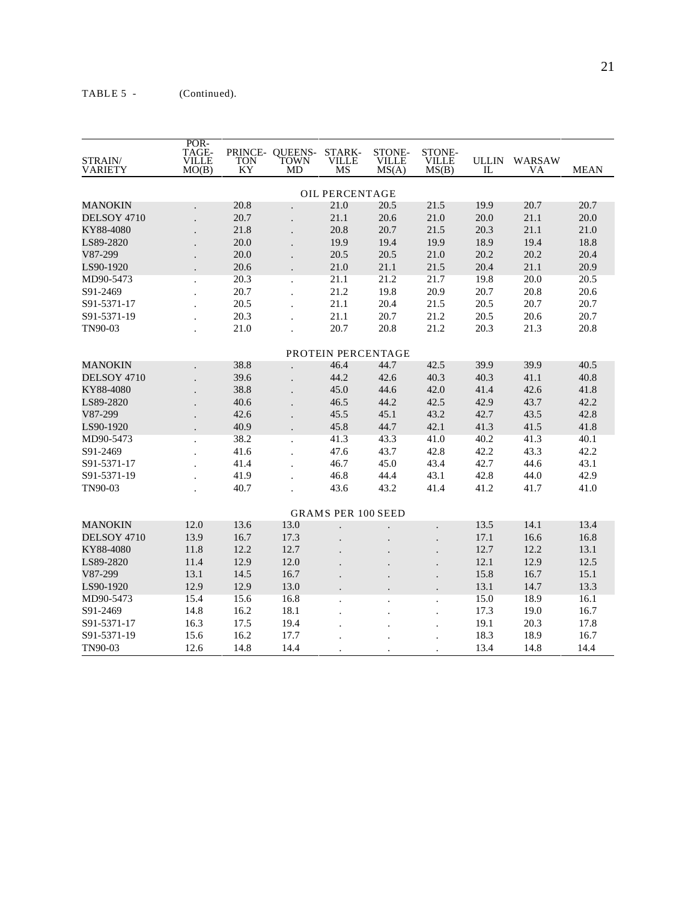$\overline{\mathbf{v}}$ 

| STRAIN/<br><b>VARIETY</b> | PUK-<br>TAGE-<br><b>VILLE</b><br>MO(B) | <b>TON</b><br>KY | PRINCE-QUEENS-<br>TOWN<br>MD | STARK-<br><b>VILLE</b><br>MS | STONE-<br><b>VILLE</b><br>MS(A) | STONE-<br><b>VILLE</b><br>MS(B) | <b>ULLIN</b><br>IL | WARSAW<br>VA | <b>MEAN</b> |
|---------------------------|----------------------------------------|------------------|------------------------------|------------------------------|---------------------------------|---------------------------------|--------------------|--------------|-------------|
|                           |                                        |                  |                              | OIL PERCENTAGE               |                                 |                                 |                    |              |             |
| MANOKIN                   |                                        | 20.8             |                              | 21.0                         | 20.5                            | 21.5                            | 19.9               | 20.7         | 20.7        |
| DELSOY 4710               |                                        | 20.7             |                              | 21.1                         | 20.6                            | 21.0                            | 20.0               | 21.1         | 20.0        |
| KY88-4080                 |                                        | 21.8             |                              | 20.8                         | 20.7                            | 21.5                            | 20.3               | 21.1         | 21.0        |
| LS89-2820                 |                                        | 20.0             |                              | 19.9                         | 19.4                            | 19.9                            | 18.9               | 19.4         | 18.8        |
| V87-299                   |                                        | 20.0             |                              | 20.5                         | 20.5                            | 21.0                            | 20.2               | 20.2         | 20.4        |
| LS90-1920                 |                                        | 20.6             |                              | 21.0                         | 21.1                            | 21.5                            | 20.4               | 21.1         | 20.9        |
| MD90-5473                 | $\ddot{\phantom{0}}$                   | 20.3             |                              | 21.1                         | 21.2                            | 21.7                            | 19.8               | 20.0         | 20.5        |
| S91-2469                  |                                        | 20.7             |                              | 21.2                         | 19.8                            | 20.9                            | 20.7               | 20.8         | 20.6        |
| S91-5371-17               |                                        | 20.5             |                              | 21.1                         | 20.4                            | 21.5                            | 20.5               | 20.7         | 20.7        |
| S91-5371-19               |                                        | 20.3             |                              | 21.1                         | 20.7                            | 21.2                            | 20.5               | 20.6         | 20.7        |
| TN90-03                   |                                        | 21.0             |                              | 20.7                         | 20.8                            | 21.2                            | 20.3               | 21.3         | 20.8        |
|                           |                                        |                  |                              | PROTEIN PERCENTAGE           |                                 |                                 |                    |              |             |
| MANOKIN                   |                                        | 38.8             |                              | 46.4                         | 44.7                            | 42.5                            | 39.9               | 39.9         | 40.5        |
| DELSOY 4710               |                                        | 39.6             |                              | 44.2                         | 42.6                            | 40.3                            | 40.3               | 41.1         | 40.8        |
| KY88-4080                 |                                        | 38.8             |                              | 45.0                         | 44.6                            | 42.0                            | 41.4               | 42.6         | 41.8        |
| LS89-2820                 |                                        | 40.6             |                              | 46.5                         | 44.2                            | 42.5                            | 42.9               | 43.7         | 42.2        |
| V87-299                   |                                        | 42.6             |                              | 45.5                         | 45.1                            | 43.2                            | 42.7               | 43.5         | 42.8        |
| LS90-1920                 |                                        | 40.9             |                              | 45.8                         | 44.7                            | 42.1                            | 41.3               | 41.5         | 41.8        |
| MD90-5473                 |                                        | 38.2             |                              | 41.3                         | 43.3                            | 41.0                            | 40.2               | 41.3         | 40.1        |
| S91-2469                  |                                        | 41.6             |                              | 47.6                         | 43.7                            | 42.8                            | 42.2               | 43.3         | 42.2        |
| S91-5371-17               |                                        | 41.4             |                              | 46.7                         | 45.0                            | 43.4                            | 42.7               | 44.6         | 43.1        |
| S91-5371-19               |                                        | 41.9             |                              | 46.8                         | 44.4                            | 43.1                            | 42.8               | 44.0         | 42.9        |
| TN90-03                   |                                        | 40.7             |                              | 43.6                         | 43.2                            | 41.4                            | 41.2               | 41.7         | 41.0        |
|                           |                                        |                  |                              | <b>GRAMS PER 100 SEED</b>    |                                 |                                 |                    |              |             |
| <b>MANOKIN</b>            | 12.0                                   | 13.6             | 13.0                         |                              |                                 |                                 | 13.5               | 14.1         | 13.4        |
| DELSOY 4710               | 13.9                                   | 16.7             | 17.3                         |                              |                                 |                                 | 17.1               | 16.6         | 16.8        |
| KY88-4080                 | 11.8                                   | 12.2             | 12.7                         |                              |                                 |                                 | 12.7               | 12.2         | 13.1        |
| LS89-2820                 | 11.4                                   | 12.9             | 12.0                         |                              |                                 |                                 | 12.1               | 12.9         | 12.5        |
| V87-299                   | 13.1                                   | 14.5             | 16.7                         |                              |                                 |                                 | 15.8               | 16.7         | 15.1        |
| LS90-1920                 | 12.9                                   | 12.9             | 13.0                         |                              |                                 |                                 | 13.1               | 14.7         | 13.3        |
| MD90-5473                 | 15.4                                   | 15.6             | 16.8                         | $\ddot{\phantom{a}}$         |                                 | $\ddot{\phantom{a}}$            | 15.0               | 18.9         | 16.1        |
| S91-2469                  | 14.8                                   | 16.2             | 18.1                         |                              |                                 |                                 | 17.3               | 19.0         | 16.7        |
| S91-5371-17               | 16.3                                   | 17.5             | 19.4                         |                              |                                 |                                 | 19.1               | 20.3         | 17.8        |
| S91-5371-19               | 15.6                                   | 16.2             | 17.7                         |                              |                                 |                                 | 18.3               | 18.9         | 16.7        |
| TN90-03                   | 12.6                                   | 14.8             | 14.4                         |                              |                                 |                                 | 13.4               | 14.8         | 14.4        |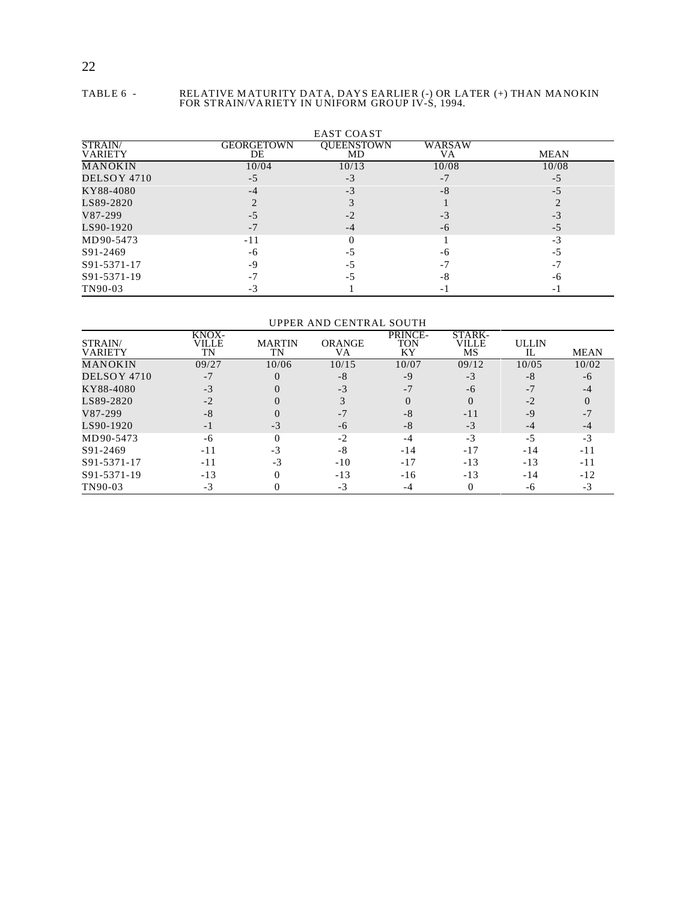#### TABLE 6 - RELATIVE M ATURITY DATA, DAYS EARLIER (-) OR LATER (+) THAN MANOKIN FOR STRAIN/VARIETY IN UNIFORM GROUP IV-S, 1994.

|                                  |                  | <b>EAST COAST</b> |                          |             |
|----------------------------------|------------------|-------------------|--------------------------|-------------|
| <b>STRAIN/</b><br><b>VARIETY</b> | GEORGETOWN<br>DE | OUEENSTOWN<br>MD  | WARSAW<br>VA             | <b>MEAN</b> |
| <b>MANOKIN</b>                   | 10/04            | 10/13             | 10/08                    | 10/08       |
| DELSOY 4710                      | $-5$             | -3                | $-7$                     | -5          |
| KY88-4080                        | -4               | $-3$              | -8                       | -5          |
| LS89-2820                        |                  |                   |                          |             |
| V87-299                          |                  | $-2$              | -3                       | -3          |
| LS90-1920                        | -7               | -4                | -6                       | $-5$        |
| MD90-5473                        | -11              |                   |                          | $-3$        |
| S91-2469                         | -6               | - د               | -6                       | -5          |
| S91-5371-17                      | -9               | - 7               | -7                       | -7          |
| S91-5371-19                      |                  |                   | -8                       | -6          |
| TN90-03                          |                  |                   | $\overline{\phantom{0}}$ |             |

UPPER AND CENTRAL SOUTH

| STRAIN/<br>VARIETY | KNOX-<br>VILLE<br>TN | <b>MARTIN</b><br>TN | <b>ORANGE</b><br>VA | PRINCE-<br>TON<br>KY | STARK-<br>VILLE<br>MS | <b>ULLIN</b><br>IL | <b>MEAN</b> |
|--------------------|----------------------|---------------------|---------------------|----------------------|-----------------------|--------------------|-------------|
| MANOKIN            | 09/27                | 10/06               | 10/15               | 10/07                | 09/12                 | 10/05              | 10/02       |
| DELSOY 4710        |                      |                     | $-8$                | -9                   | $-3$                  | -8                 | -6          |
| KY88-4080          | $-3$                 |                     | $-3$                |                      | -6                    | $-7$               |             |
| LS89-2820          | $-2$                 |                     |                     |                      | $\Omega$              | $-2$               |             |
| V87-299            | -8                   |                     | -7                  | -8                   | $-11$                 | $-9$               | -7          |
| LS90-1920          | -1                   | -3                  | -6                  | -8                   | $-3$                  | $-4$               | -4          |
| MD90-5473          | -6                   |                     | $-2$                | -4                   | $-3$                  | $-5$               | $-3$        |
| S91-2469           | -11                  | $-3$                | -8                  | $-14$                | $-17$                 | $-14$              | $-11$       |
| S91-5371-17        | -11                  | $-3$                | $-10$               | $-17$                | $-13$                 | $-13$              | $-11$       |
| S91-5371-19        | $-13$                |                     | $-13$               | $-16$                | $-13$                 | $-14$              | $-12$       |
| TN90-03            | $-3$                 |                     | $-3$                |                      |                       | -ი                 | $-3$        |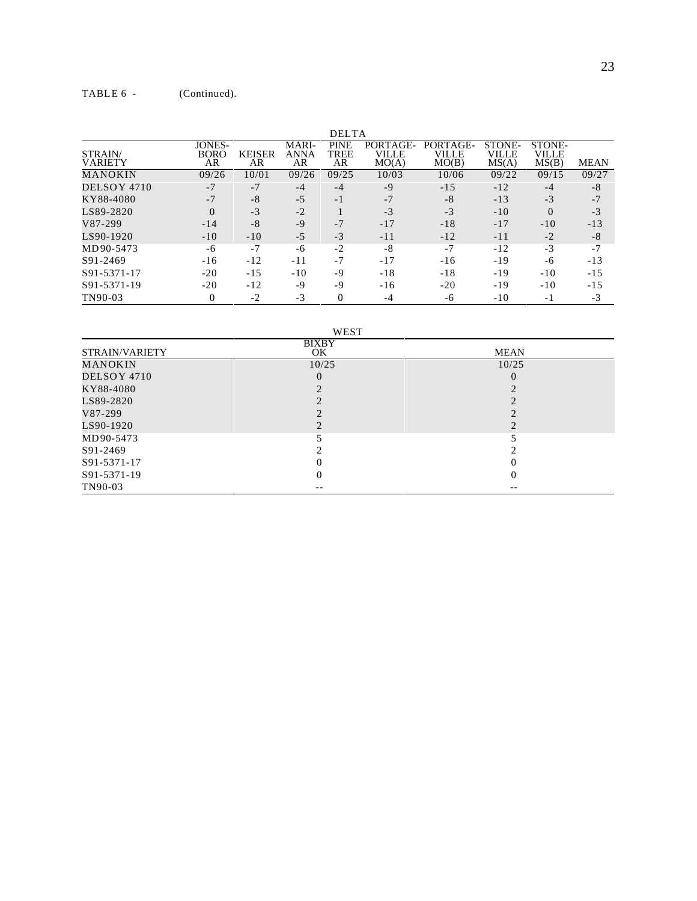|                           |                                    |                     |                            | <b>DELTA</b>              |                            |                            |                                 |                          |             |
|---------------------------|------------------------------------|---------------------|----------------------------|---------------------------|----------------------------|----------------------------|---------------------------------|--------------------------|-------------|
| STRAIN/<br><b>VARIETY</b> | <b>JONES-</b><br><b>BORO</b><br>AR | <b>KEISER</b><br>AR | MARI-<br><b>ANNA</b><br>AR | <b>PINE</b><br>TREE<br>AR | PORTAGE-<br>VILLE<br>MO(A) | PORTAGE-<br>VILLE<br>MO(B) | <b>STONE-</b><br>VILLE<br>MS(A) | STONE-<br>VILLE<br>MS(B) | <b>MEAN</b> |
| MANOKIN                   | 09/26                              | 10/01               | 09/26                      | 09/25                     | 10/03                      | 10/06                      | 09/22                           | 09/15                    | 09/27       |
| DELSOY 4710               | $-7$                               | $-7$                | $-4$                       | $-4$                      | $-9$                       | $-15$                      | $-12$                           | $-4$                     | -8          |
| KY88-4080                 | $-7$                               | $-8$                | $-5$                       | $-1$                      | $-7$                       | $-8$                       | $-13$                           | $-3$                     | $-7$        |
| LS89-2820                 | $\Omega$                           | $-3$                | $-2$                       |                           | $-3$                       | $-3$                       | $-10$                           | $\Omega$                 | $-3$        |
| V87-299                   | $-14$                              | $-8$                | $-9$                       | $-7$                      | $-17$                      | $-18$                      | $-17$                           | $-10$                    | $-13$       |
| LS90-1920                 | $-10$                              | $-10$               | $-5$                       | $-3$                      | $-11$                      | $-12$                      | -11                             | $-2$                     | $-8$        |
| MD90-5473                 | -6                                 | $-7$                | -6                         | $-2$                      | $-8$                       | $-7$                       | $-12$                           | $-3$                     | $-7$        |
| S91-2469                  | $-16$                              | $-12$               | -11                        | $-7$                      | $-17$                      | $-16$                      | $-19$                           | -6                       | $-13$       |
| S91-5371-17               | $-20$                              | $-15$               | $-10$                      | $-9$                      | $-18$                      | $-18$                      | $-19$                           | $-10$                    | $-15$       |
| S91-5371-19               | $-20$                              | $-12$               | -9                         | $-9$                      | $-16$                      | $-20$                      | $-19$                           | $-10$                    | $-15$       |
| TN90-03                   | 0                                  | $-2$                | $-3$                       | $\overline{0}$            | -4                         | -6                         | $-10$                           | $-1$                     | $-3$        |

WEST

|                       | <b>BIXBY</b> |              |
|-----------------------|--------------|--------------|
| <b>STRAIN/VARIETY</b> | OK           | <b>MEAN</b>  |
| MANOKIN               | 10/25        | 10/25        |
| DELSOY 4710           | $\Omega$     | $\mathbf{0}$ |
| KY88-4080             |              |              |
| LS89-2820             |              |              |
| V87-299               |              |              |
| LS90-1920             |              |              |
| MD90-5473             |              |              |
| S91-2469              |              |              |
| S91-5371-17           |              | U            |
| S91-5371-19           | 0            | O            |
| TN90-03               | --           | --           |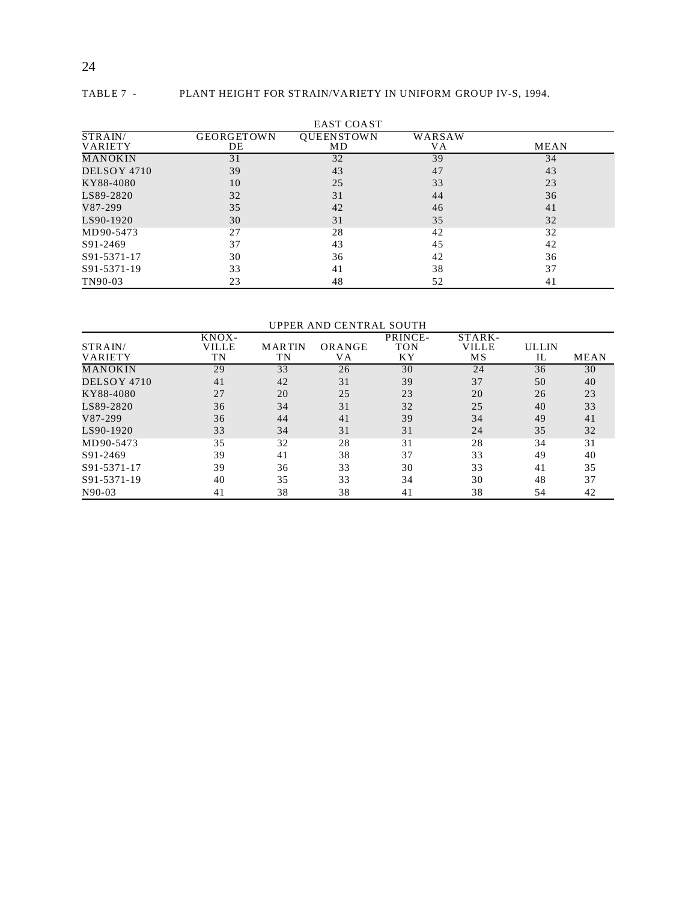### 24

#### TABLE 7 - PLANT HEIGHT FOR STRAIN/VARIETY IN UNIFORM GROUP IV-S, 1994.

|                           |                         | <b>EAST COAST</b>       |              |             |
|---------------------------|-------------------------|-------------------------|--------------|-------------|
| STRAIN/<br><b>VARIETY</b> | <b>GEORGETOWN</b><br>DE | <b>OUEENSTOWN</b><br>MD | WARSAW<br>VА | <b>MEAN</b> |
| MANOKIN                   | 31                      | 32                      | 39           | 34          |
| DELSOY 4710               | 39                      | 43                      | 47           | 43          |
| KY88-4080                 | 10                      | 25                      | 33           | 23          |
| LS89-2820                 | 32                      | 31                      | 44           | 36          |
| V87-299                   | 35                      | 42                      | 46           | 41          |
| LS90-1920                 | 30                      | 31                      | 35           | 32          |
| MD90-5473                 | 27                      | 28                      | 42           | 32          |
| S91-2469                  | 37                      | 43                      | 45           | 42          |
| S91-5371-17               | 30                      | 36                      | 42           | 36          |
| S91-5371-19               | 33                      | 41                      | 38           | 37          |
| TN90-03                   | 23                      | 48                      | 52           | 41          |

#### UPPER AND CENTRAL SOUTH

|                | KNOX- |               |        | PRINCE-    | STARK- |       |             |
|----------------|-------|---------------|--------|------------|--------|-------|-------------|
| STRAIN/        | VILLE | <b>MARTIN</b> | ORANGE | <b>TON</b> | VILLE  | ULLIN |             |
| <b>VARIETY</b> | TN    | TN            | VА     | ΚY         | MS     | IL    | <b>MEAN</b> |
| <b>MANOKIN</b> | 29    | 33            | 26     | 30         | 24     | 36    | 30          |
| DELSOY 4710    | 41    | 42            | 31     | 39         | 37     | 50    | 40          |
| KY88-4080      | 27    | 20            | 25     | 23         | 20     | 26    | 23          |
| LS89-2820      | 36    | 34            | 31     | 32         | 25     | 40    | 33          |
| V87-299        | 36    | 44            | 41     | 39         | 34     | 49    | 41          |
| LS90-1920      | 33    | 34            | 31     | 31         | 24     | 35    | 32          |
| MD90-5473      | 35    | 32            | 28     | 31         | 28     | 34    | 31          |
| S91-2469       | 39    | 41            | 38     | 37         | 33     | 49    | 40          |
| S91-5371-17    | 39    | 36            | 33     | 30         | 33     | 41    | 35          |
| S91-5371-19    | 40    | 35            | 33     | 34         | 30     | 48    | 37          |
| $N90-03$       | 41    | 38            | 38     | 41         | 38     | 54    | 42          |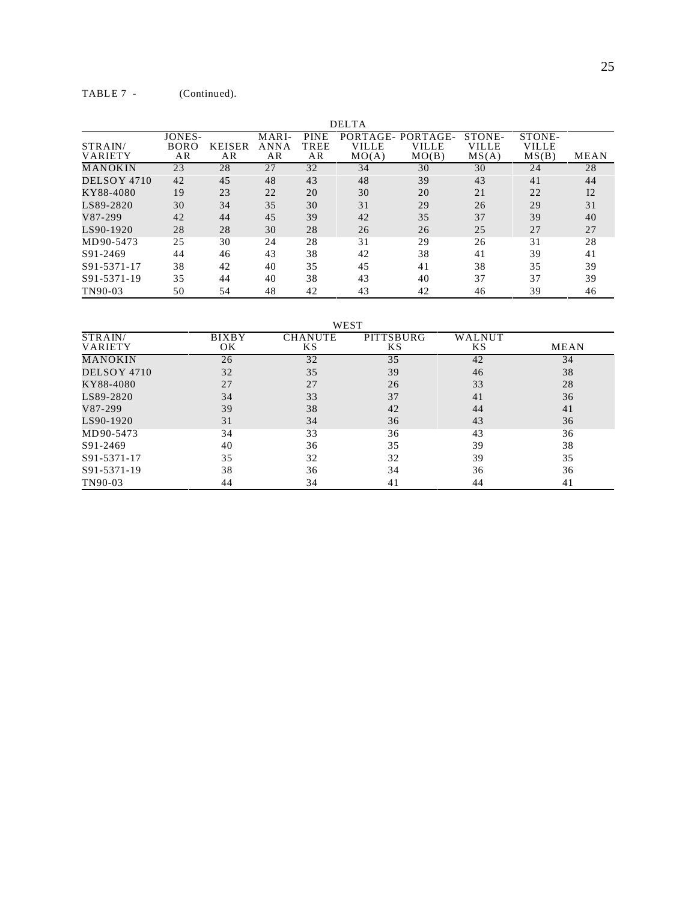| <b>DELTA</b>       |                             |                     |                     |                           |                            |                                   |                          |                          |      |
|--------------------|-----------------------------|---------------------|---------------------|---------------------------|----------------------------|-----------------------------------|--------------------------|--------------------------|------|
| STRAIN/<br>VARIETY | JONES-<br><b>BORO</b><br>AR | <b>KEISER</b><br>AR | MARI-<br>ANNA<br>AR | <b>PINE</b><br>TREE<br>AR | PORTAGE-<br>VILLE<br>MO(A) | PORTAGE-<br><b>VILLE</b><br>MO(B) | STONE-<br>VILLE<br>MS(A) | STONE-<br>VILLE<br>MS(B) | MEAN |
| MANOKIN            | 23                          | 28                  | 27                  | 32                        | 34                         | 30                                | 30                       | 24                       | 28   |
| DELSOY 4710        | 42                          | 45                  | 48                  | 43                        | 48                         | 39                                | 43                       | 41                       | 44   |
| KY88-4080          | 19                          | 23                  | 22                  | 20                        | 30                         | 20                                | 21                       | 22                       | 12   |
| LS89-2820          | 30                          | 34                  | 35                  | 30                        | 31                         | 29                                | 26                       | 29                       | 31   |
| V87-299            | 42                          | 44                  | 45                  | 39                        | 42                         | 35                                | 37                       | 39                       | 40   |
| LS90-1920          | 28                          | 28                  | 30                  | 28                        | 26                         | 26                                | 25                       | 27                       | 27   |
| MD90-5473          | 25                          | 30                  | 24                  | 28                        | 31                         | 29                                | 26                       | 31                       | 28   |
| S91-2469           | 44                          | 46                  | 43                  | 38                        | 42                         | 38                                | 41                       | 39                       | 41   |
| S91-5371-17        | 38                          | 42                  | 40                  | 35                        | 45                         | 41                                | 38                       | 35                       | 39   |
| S91-5371-19        | 35                          | 44                  | 40                  | 38                        | 43                         | 40                                | 37                       | 37                       | 39   |
| TN90-03            | 50                          | 54                  | 48                  | 42                        | 43                         | 42                                | 46                       | 39                       | 46   |

WEST

| STRAIN/<br><b>VARIETY</b> | <b>BIXBY</b><br>OK | <b>CHANUTE</b><br>ΚS | PITTSBURG<br>ΚS | WALNUT<br>KS. | MEAN |
|---------------------------|--------------------|----------------------|-----------------|---------------|------|
| MANOKIN                   | 26                 | 32                   | 35              | 42            | 34   |
| DELSOY 4710               | 32                 | 35                   | 39              | 46            | 38   |
| KY88-4080                 | 27                 | 27                   | 26              | 33            | 28   |
| LS89-2820                 | 34                 | 33                   | 37              | 41            | 36   |
| V87-299                   | 39                 | 38                   | 42              | 44            | 41   |
| LS90-1920                 | 31                 | 34                   | 36              | 43            | 36   |
| MD90-5473                 | 34                 | 33                   | 36              | 43            | 36   |
| S91-2469                  | 40                 | 36                   | 35              | 39            | 38   |
| S91-5371-17               | 35                 | 32                   | 32              | 39            | 35   |
| S91-5371-19               | 38                 | 36                   | 34              | 36            | 36   |
| TN90-03                   | 44                 | 34                   | 41              | 44            | 41   |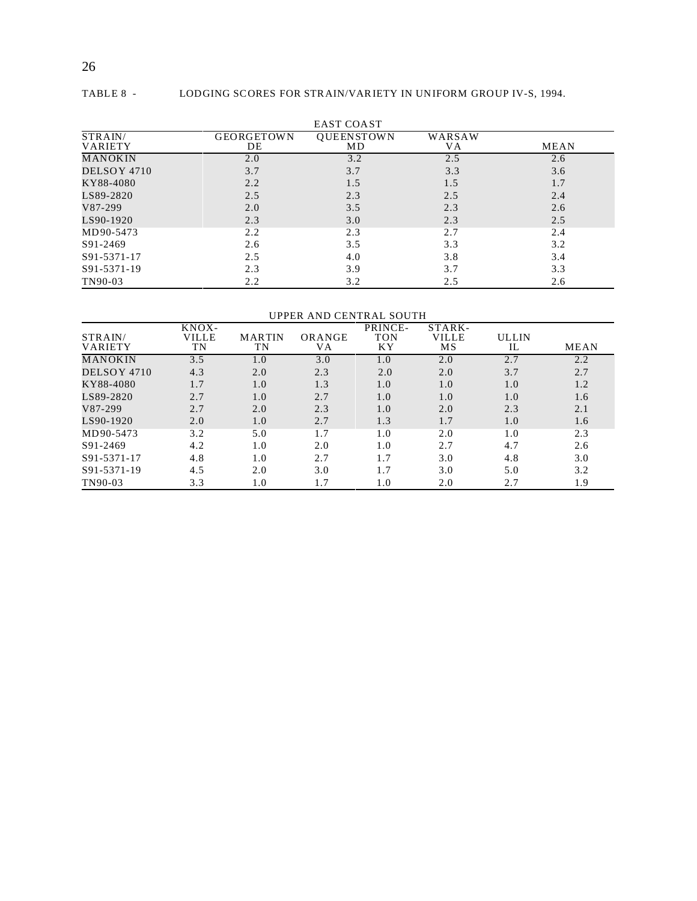#### TABLE 8 - LODGING SCORES FOR STRAIN/VARIETY IN UNIFORM GROUP IV-S, 1994.

|                           |                         | <b>EAST COAST</b>       |              |      |
|---------------------------|-------------------------|-------------------------|--------------|------|
| STRAIN/<br><b>VARIETY</b> | <b>GEORGETOWN</b><br>DE | <b>OUEENSTOWN</b><br>MD | WARSAW<br>VA | MEAN |
| MANOKIN                   | 2.0                     | 3.2                     | 2.5          | 2.6  |
| DELSOY 4710               | 3.7                     | 3.7                     | 3.3          | 3.6  |
| KY88-4080                 | 2.2                     | 1.5                     | 1.5          | 1.7  |
| LS89-2820                 | 2.5                     | 2.3                     | 2.5          | 2.4  |
| V87-299                   | 2.0                     | 3.5                     | 2.3          | 2.6  |
| LS90-1920                 | 2.3                     | 3.0                     | 2.3          | 2.5  |
| MD90-5473                 | 2.2                     | 2.3                     | 2.7          | 2.4  |
| S91-2469                  | 2.6                     | 3.5                     | 3.3          | 3.2  |
| S91-5371-17               | 2.5                     | 4.0                     | 3.8          | 3.4  |
| S91-5371-19               | 2.3                     | 3.9                     | 3.7          | 3.3  |
| TN90-03                   | 2.2                     | 3.2                     | 2.5          | 2.6  |

#### UPPER AND CENTRAL SOUTH

|                | KNOX- |               |        | PRINCE-    | STARK-       |              |             |
|----------------|-------|---------------|--------|------------|--------------|--------------|-------------|
| STRAIN/        | VILLE | <b>MARTIN</b> | ORANGE | <b>TON</b> | <b>VILLE</b> | <b>ULLIN</b> |             |
| <b>VARIETY</b> | TN    | TN            | VA     | ΚY         | MS           | IL           | <b>MEAN</b> |
| MANOKIN        | 3.5   | 1.0           | 3.0    | 1.0        | 2.0          | 2.7          | 2.2         |
| DELSOY 4710    | 4.3   | 2.0           | 2.3    | 2.0        | 2.0          | 3.7          | 2.7         |
| KY88-4080      | 1.7   | 1.0           | 1.3    | 1.0        | 1.0          | 1.0          | 1.2         |
| LS89-2820      | 2.7   | 1.0           | 2.7    | 1.0        | 1.0          | 1.0          | 1.6         |
| V87-299        | 2.7   | 2.0           | 2.3    | 1.0        | 2.0          | 2.3          | 2.1         |
| LS90-1920      | 2.0   | 1.0           | 2.7    | 1.3        | 1.7          | 1.0          | 1.6         |
| MD90-5473      | 3.2   | 5.0           | 1.7    | 1.0        | 2.0          | 1.0          | 2.3         |
| S91-2469       | 4.2   | 1.0           | 2.0    | 1.0        | 2.7          | 4.7          | 2.6         |
| S91-5371-17    | 4.8   | 1.0           | 2.7    | 1.7        | 3.0          | 4.8          | 3.0         |
| S91-5371-19    | 4.5   | 2.0           | 3.0    | 1.7        | 3.0          | 5.0          | 3.2         |
| TN90-03        | 3.3   | 1.0           | 1.7    | 1.0        | 2.0          | 2.7          | 1.9         |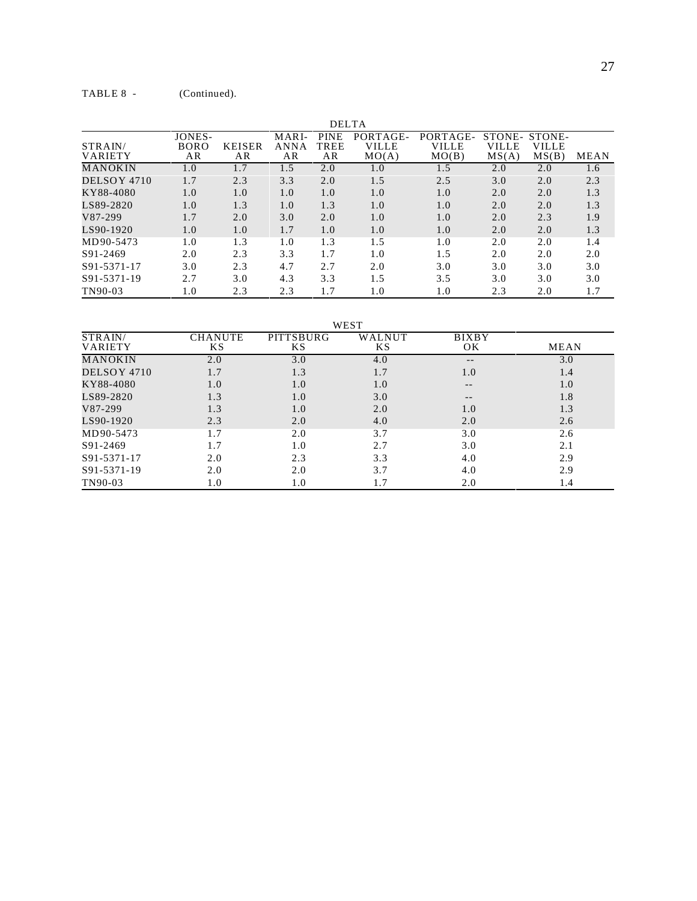|                    |                                    |                     |                     | <b>DELTA</b>              |                                   |                                   |                          |                          |             |
|--------------------|------------------------------------|---------------------|---------------------|---------------------------|-----------------------------------|-----------------------------------|--------------------------|--------------------------|-------------|
| STRAIN/<br>VARIETY | <b>JONES-</b><br><b>BORO</b><br>AR | <b>KEISER</b><br>AR | MARI-<br>ANNA<br>AR | <b>PINE</b><br>TREE<br>AR | PORTAGE-<br><b>VILLE</b><br>MO(A) | PORTAGE-<br><b>VILLE</b><br>MO(B) | STONE-<br>VILLE<br>MS(A) | STONE-<br>VILLE<br>MS(B) | <b>MEAN</b> |
| MANOKIN            | 1.0                                | 1.7                 | 1.5                 | 2.0                       | 1.0                               | 1.5                               | 2.0                      | 2.0                      | 1.6         |
| DELSOY 4710        | 1.7                                | 2.3                 | 3.3                 | 2.0                       | 1.5                               | 2.5                               | 3.0                      | 2.0                      | 2.3         |
| KY88-4080          | 1.0                                | 1.0                 | 1.0                 | 1.0                       | 1.0                               | 1.0                               | 2.0                      | 2.0                      | 1.3         |
| LS89-2820          | 1.0                                | 1.3                 | 1.0                 | 1.3                       | 1.0                               | 1.0                               | 2.0                      | 2.0                      | 1.3         |
| V87-299            | 1.7                                | 2.0                 | 3.0                 | 2.0                       | 1.0                               | 1.0                               | 2.0                      | 2.3                      | 1.9         |
| LS90-1920          | 1.0                                | 1.0                 | 1.7                 | 1.0                       | 1.0                               | 1.0                               | 2.0                      | 2.0                      | 1.3         |
| MD90-5473          | 1.0                                | 1.3                 | 1.0                 | 1.3                       | 1.5                               | 1.0                               | 2.0                      | 2.0                      | 1.4         |
| S91-2469           | 2.0                                | 2.3                 | 3.3                 | 1.7                       | 1.0                               | 1.5                               | 2.0                      | 2.0                      | 2.0         |
| S91-5371-17        | 3.0                                | 2.3                 | 4.7                 | 2.7                       | 2.0                               | 3.0                               | 3.0                      | 3.0                      | 3.0         |
| S91-5371-19        | 2.7                                | 3.0                 | 4.3                 | 3.3                       | 1.5                               | 3.5                               | 3.0                      | 3.0                      | 3.0         |
| TN90-03            | 1.0                                | 2.3                 | 2.3                 | 1.7                       | 1.0                               | 1.0                               | 2.3                      | 2.0                      | 1.7         |

WEST

| STRAIN/        | <b>CHANUTE</b> | PITTSBURG | WALNUT | <b>BIXBY</b> |      |
|----------------|----------------|-----------|--------|--------------|------|
| <b>VARIETY</b> | KS             | ΚS        | ΚS     | OK           | MEAN |
| MANOKIN        | 2.0            | 3.0       | 4.0    | $- -$        | 3.0  |
| DELSOY 4710    | 1.7            | 1.3       | 1.7    | 1.0          | 1.4  |
| KY88-4080      | 1.0            | 1.0       | 1.0    |              | 1.0  |
| LS89-2820      | 1.3            | 1.0       | 3.0    |              | 1.8  |
| V87-299        | 1.3            | 1.0       | 2.0    | 1.0          | 1.3  |
| LS90-1920      | 2.3            | 2.0       | 4.0    | 2.0          | 2.6  |
| MD90-5473      | 1.7            | 2.0       | 3.7    | 3.0          | 2.6  |
| S91-2469       | 1.7            | 1.0       | 2.7    | 3.0          | 2.1  |
| S91-5371-17    | 2.0            | 2.3       | 3.3    | 4.0          | 2.9  |
| S91-5371-19    | 2.0            | 2.0       | 3.7    | 4.0          | 2.9  |
| TN90-03        | $1.0\,$        | $1.0\,$   | 1.7    | 2.0          | 1.4  |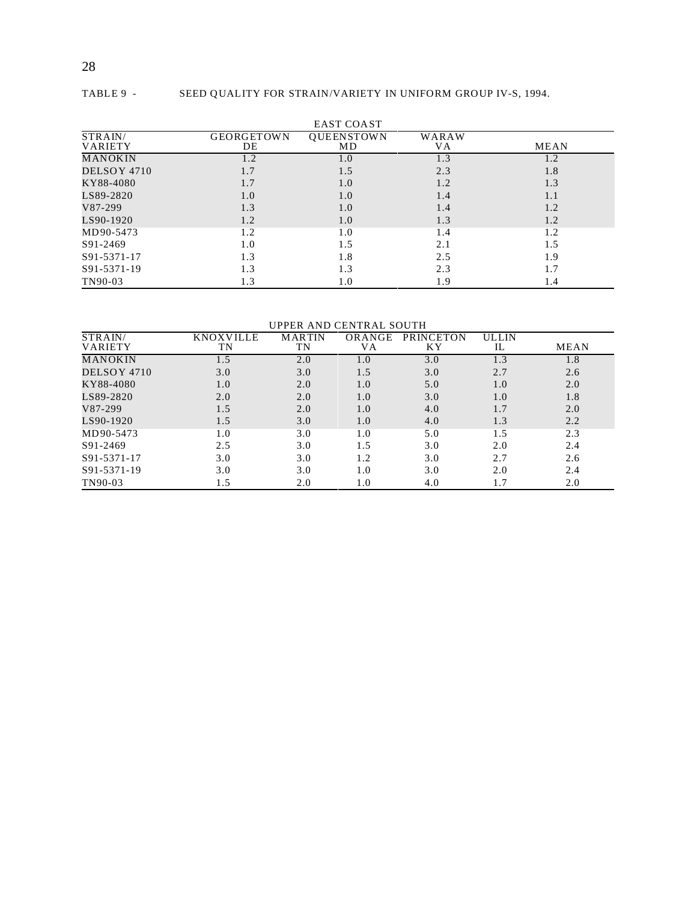## 28

#### TABLE 9 - SEED QUALITY FOR STRAIN/VARIETY IN UNIFORM GROUP IV-S, 1994.

|                |                   | <b>EAST COAST</b> |       |             |
|----------------|-------------------|-------------------|-------|-------------|
| STRAIN/        | <b>GEORGETOWN</b> | QUEENSTOWN        | WARAW |             |
| <b>VARIETY</b> | DE                | MD                | VA    | <b>MEAN</b> |
| MANOKIN        | 1.2               | 1.0               | 1.3   | 1.2         |
| DELSOY 4710    | 1.7               | 1.5               | 2.3   | 1.8         |
| KY88-4080      | 1.7               | 1.0               | 1.2   | 1.3         |
| LS89-2820      | 1.0               | 1.0               | 1.4   | 1.1         |
| V87-299        | 1.3               | 1.0               | 1.4   | 1.2         |
| LS90-1920      | 1.2               | 1.0               | 1.3   | 1.2         |
| MD90-5473      | 1.2               | 1.0               | 1.4   | 1.2         |
| S91-2469       | 1.0               | 1.5               | 2.1   | 1.5         |
| S91-5371-17    | 1.3               | 1.8               | 2.5   | 1.9         |
| S91-5371-19    | 1.3               | 1.3               | 2.3   | 1.7         |
| TN90-03        | 1.3               | 1.0               | 1.9   | 1.4         |

UPPER AND CENTRAL SOUTH

| STRAIN/        | KNOXVILLE | <b>MARTIN</b> | ORANGE | <b>PRINCETON</b> | <b>ULLIN</b> |             |
|----------------|-----------|---------------|--------|------------------|--------------|-------------|
| <b>VARIETY</b> | TN        | TN            | VА     | <b>KY</b>        | IL           | <b>MEAN</b> |
| MANOKIN        | 1.5       | 2.0           | 1.0    | 3.0              | 1.3          | 1.8         |
| DELSOY 4710    | 3.0       | 3.0           | 1.5    | 3.0              | 2.7          | 2.6         |
| KY88-4080      | 1.0       | 2.0           | 1.0    | 5.0              | 1.0          | 2.0         |
| LS89-2820      | 2.0       | 2.0           | 1.0    | 3.0              | 1.0          | 1.8         |
| V87-299        | 1.5       | 2.0           | 1.0    | 4.0              | 1.7          | 2.0         |
| LS90-1920      | 1.5       | 3.0           | 1.0    | 4.0              | 1.3          | 2.2         |
| MD90-5473      | $1.0\,$   | 3.0           | 1.0    | 5.0              | 1.5          | 2.3         |
| S91-2469       | 2.5       | 3.0           | 1.5    | 3.0              | 2.0          | 2.4         |
| S91-5371-17    | 3.0       | 3.0           | 1.2    | 3.0              | 2.7          | 2.6         |
| S91-5371-19    | 3.0       | 3.0           | 1.0    | 3.0              | 2.0          | 2.4         |
| TN90-03        | 1.5       | 2.0           | 1.0    | 4.0              | 1.7          | 2.0         |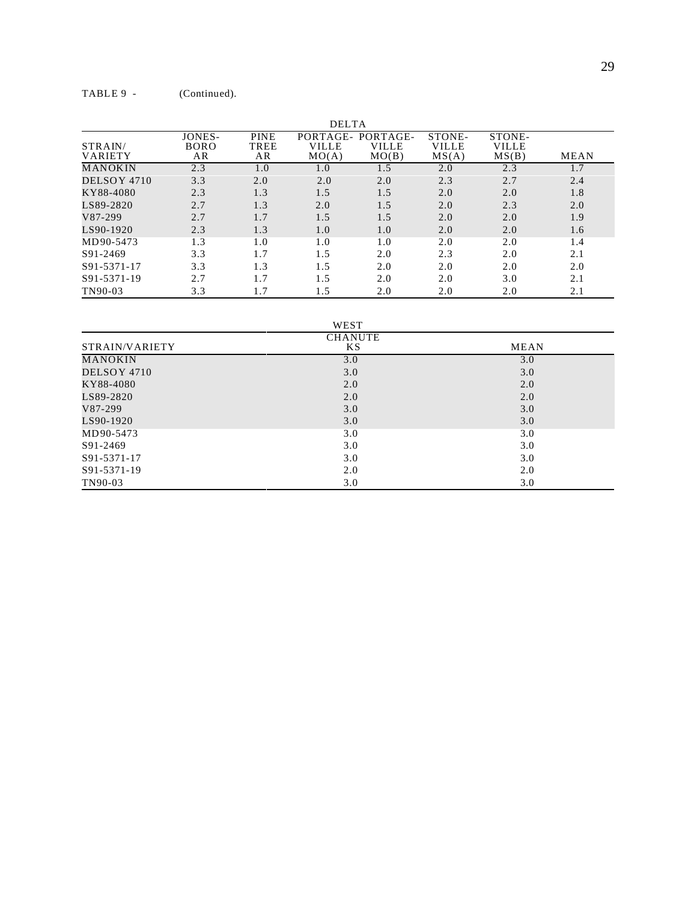| <b>DELTA</b>              |                             |                           |                                   |                            |                                 |                                 |             |
|---------------------------|-----------------------------|---------------------------|-----------------------------------|----------------------------|---------------------------------|---------------------------------|-------------|
| STRAIN/<br><b>VARIETY</b> | JONES-<br><b>BORO</b><br>AR | <b>PINE</b><br>TREE<br>AR | PORTAGE-<br><b>VILLE</b><br>MO(A) | PORTAGE-<br>VILLE<br>MO(B) | STONE-<br><b>VILLE</b><br>MS(A) | STONE-<br><b>VILLE</b><br>MS(B) | <b>MEAN</b> |
| MANOKIN                   | 2.3                         | 1.0                       | 1.0                               | 1.5                        | 2.0                             | 2.3                             | 1.7         |
| DELSOY 4710               | 3.3                         | 2.0                       | 2.0                               | 2.0                        | 2.3                             | 2.7                             | 2.4         |
| KY88-4080                 | 2.3                         | 1.3                       | 1.5                               | 1.5                        | 2.0                             | 2.0                             | 1.8         |
| LS89-2820                 | 2.7                         | 1.3                       | 2.0                               | 1.5                        | 2.0                             | 2.3                             | 2.0         |
| V87-299                   | 2.7                         | 1.7                       | 1.5                               | 1.5                        | 2.0                             | 2.0                             | 1.9         |
| LS90-1920                 | 2.3                         | 1.3                       | 1.0                               | 1.0                        | 2.0                             | 2.0                             | 1.6         |
| MD90-5473                 | 1.3                         | 1.0                       | 1.0                               | 1.0                        | 2.0                             | 2.0                             | 1.4         |
| S91-2469                  | 3.3                         | 1.7                       | 1.5                               | 2.0                        | 2.3                             | 2.0                             | 2.1         |
| S91-5371-17               | 3.3                         | 1.3                       | 1.5                               | 2.0                        | 2.0                             | 2.0                             | 2.0         |
| S91-5371-19               | 2.7                         | 1.7                       | 1.5                               | 2.0                        | 2.0                             | 3.0                             | 2.1         |
| TN90-03                   | 3.3                         | 1.7                       | 1.5                               | 2.0                        | 2.0                             | 2.0                             | 2.1         |

WEST

|                | <b>CHANUTE</b> |      |
|----------------|----------------|------|
| STRAIN/VARIETY | KS.            | MEAN |
| <b>MANOKIN</b> | 3.0            | 3.0  |
| DELSOY 4710    | 3.0            | 3.0  |
| KY88-4080      | 2.0            | 2.0  |
| LS89-2820      | 2.0            | 2.0  |
| V87-299        | 3.0            | 3.0  |
| LS90-1920      | 3.0            | 3.0  |
| MD90-5473      | 3.0            | 3.0  |
| S91-2469       | 3.0            | 3.0  |
| S91-5371-17    | 3.0            | 3.0  |
| S91-5371-19    | 2.0            | 2.0  |
| TN90-03        | 3.0            | 3.0  |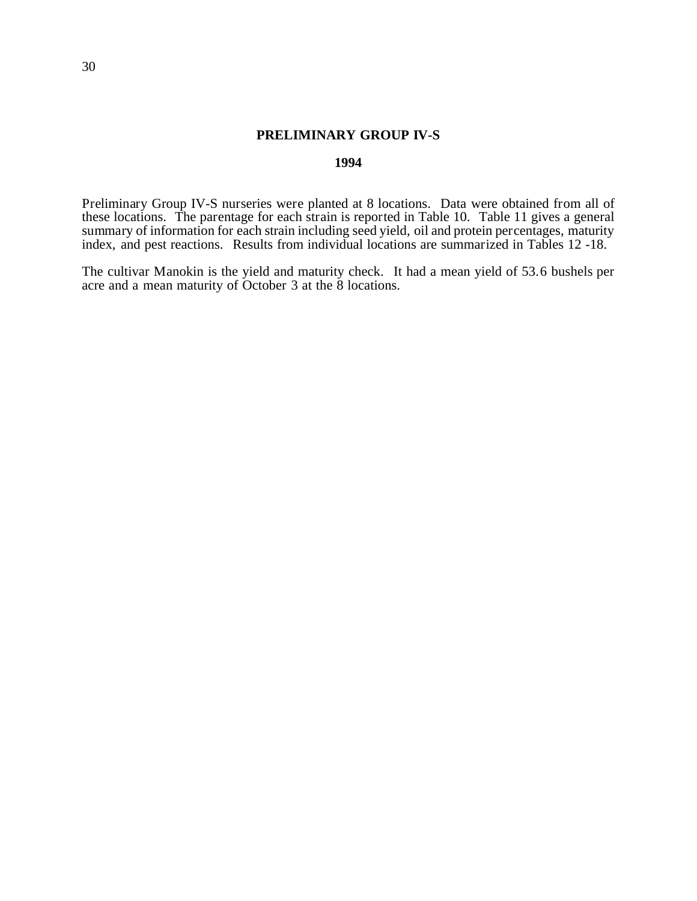#### **PRELIMINARY GROUP IV-S**

#### **1994**

Preliminary Group IV-S nurseries were planted at 8 locations. Data were obtained from all of these locations. The parentage for each strain is reported in Table 10. Table 11 gives a general summary of information for each strain including seed yield, oil and protein percentages, maturity index, and pest reactions. Results from individual locations are summarized in Tables 12 -18.

The cultivar Manokin is the yield and maturity check. It had a mean yield of 53.6 bushels per acre and a mean maturity of October 3 at the 8 locations.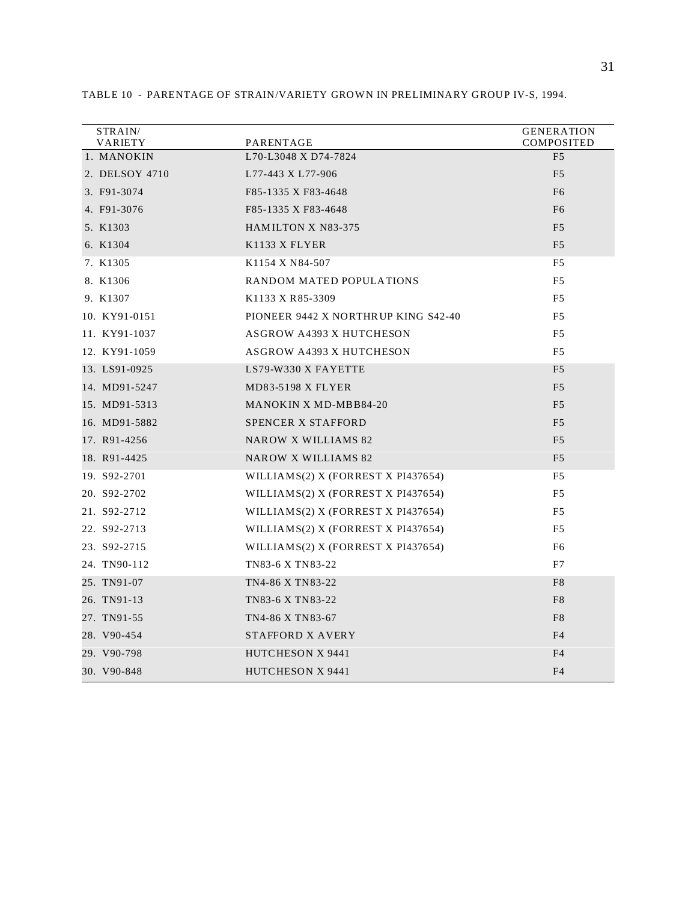| STRAIN/<br>VARIETY | PARENTAGE                              | <b>GENERATION</b><br>COMPOSITED |
|--------------------|----------------------------------------|---------------------------------|
| 1. MANOKIN         | L70-L3048 X D74-7824                   | F <sub>5</sub>                  |
| 2. DELSOY 4710     | L77-443 X L77-906                      | F <sub>5</sub>                  |
| 3. F91-3074        | F85-1335 X F83-4648                    | F <sub>6</sub>                  |
| 4. F91-3076        | F85-1335 X F83-4648                    | F <sub>6</sub>                  |
| 5. K1303           | <b>HAMILTON X N83-375</b>              | F <sub>5</sub>                  |
| 6. K1304           | K <sub>1133</sub> X FLYER              | F <sub>5</sub>                  |
| 7. K1305           | K <sub>1154</sub> X <sub>N84-507</sub> | F <sub>5</sub>                  |
| 8. K1306           | RANDOM MATED POPULATIONS               | F5                              |
| 9. K1307           | K1133 X R85-3309                       | F <sub>5</sub>                  |
| 10. KY91-0151      | PIONEER 9442 X NORTHRUP KING S42-40    | F5                              |
| 11. KY91-1037      | <b>ASGROW A4393 X HUTCHESON</b>        | F <sub>5</sub>                  |
| 12. KY91-1059      | <b>ASGROW A4393 X HUTCHESON</b>        | F <sub>5</sub>                  |
| 13. LS91-0925      | LS79-W330 X FAYETTE                    | F <sub>5</sub>                  |
| 14. MD91-5247      | <b>MD83-5198 X FLYER</b>               | F <sub>5</sub>                  |
| 15. MD91-5313      | <b>MANOKIN X MD-MBB84-20</b>           | F <sub>5</sub>                  |
| 16. MD91-5882      | <b>SPENCER X STAFFORD</b>              | F <sub>5</sub>                  |
| 17. R91-4256       | NAROW X WILLIAMS 82                    | F <sub>5</sub>                  |
| 18. R91-4425       | <b>NAROW X WILLIAMS 82</b>             | F <sub>5</sub>                  |
| 19. S92-2701       | WILLIAMS(2) X (FORREST X PI437654)     | F <sub>5</sub>                  |
| 20. S92-2702       | WILLIAMS $(2)$ X (FORREST X PI437654)  | F5                              |
| 21. S92-2712       | WILLIAMS(2) X (FORREST X PI437654)     | F5                              |
| 22. S92-2713       | WILLIAMS(2) X (FORREST X PI437654)     | F5                              |
| 23. S92-2715       | WILLIAMS(2) X (FORREST X PI437654)     | F <sub>6</sub>                  |
| 24. TN90-112       | TN83-6 X TN83-22                       | F7                              |
| 25. TN91-07        | TN4-86 X TN83-22                       | F <sub>8</sub>                  |
| 26. TN91-13        | TN83-6 X TN83-22                       | F <sub>8</sub>                  |
| 27. TN91-55        | TN4-86 X TN83-67                       | F <sub>8</sub>                  |
| 28. V90-454        | STAFFORD X AVERY                       | F <sub>4</sub>                  |
| 29. V90-798        | HUTCHESON X 9441                       | F <sub>4</sub>                  |
| 30. V90-848        | HUTCHESON X 9441                       | F <sub>4</sub>                  |

TABLE 10 - PARENTAGE OF STRAIN/VARIETY GROWN IN PRELIMINARY GROUP IV-S, 1994.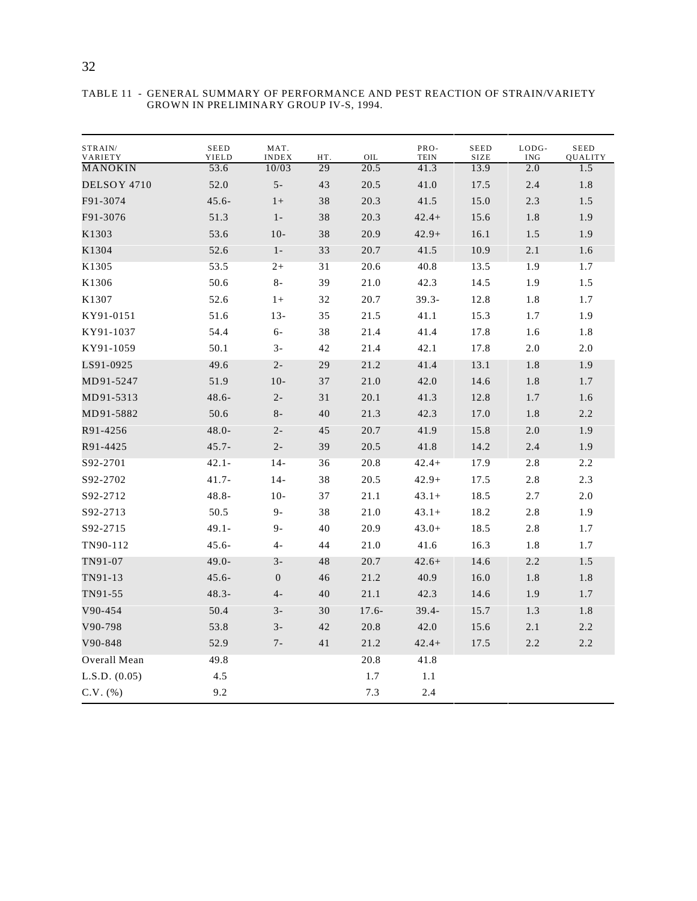| STRAIN/<br>VARIETY | <b>SEED</b><br>YIELD | MAT.<br><b>INDEX</b> | HT. | OIL     | PRO-<br><b>TEIN</b> | <b>SEED</b><br>SIZE | LODG-<br><b>ING</b> | <b>SEED</b><br>QUALITY |
|--------------------|----------------------|----------------------|-----|---------|---------------------|---------------------|---------------------|------------------------|
| MANOKIN            | 53.6                 | 10/03                | 29  | 20.5    | 41.3                | 13.9                | 2.0                 | 1.5                    |
| DELSOY 4710        | 52.0                 | $5-$                 | 43  | 20.5    | 41.0                | 17.5                | 2.4                 | 1.8                    |
| F91-3074           | $45.6 -$             | $1+$                 | 38  | 20.3    | 41.5                | 15.0                | 2.3                 | 1.5                    |
| F91-3076           | 51.3                 | $1 -$                | 38  | 20.3    | $42.4+$             | 15.6                | 1.8                 | 1.9                    |
| K1303              | 53.6                 | $10-$                | 38  | 20.9    | $42.9+$             | 16.1                | $1.5\,$             | 1.9                    |
| K1304              | 52.6                 | $1 -$                | 33  | 20.7    | 41.5                | 10.9                | 2.1                 | 1.6                    |
| K1305              | 53.5                 | $2+$                 | 31  | 20.6    | 40.8                | 13.5                | 1.9                 | 1.7                    |
| K1306              | 50.6                 | $8-$                 | 39  | 21.0    | 42.3                | 14.5                | 1.9                 | 1.5                    |
| K1307              | 52.6                 | $1+$                 | 32  | 20.7    | $39.3 -$            | 12.8                | 1.8                 | 1.7                    |
| KY91-0151          | 51.6                 | 13-                  | 35  | 21.5    | 41.1                | 15.3                | 1.7                 | 1.9                    |
| KY91-1037          | 54.4                 | 6-                   | 38  | 21.4    | 41.4                | 17.8                | 1.6                 | 1.8                    |
| KY91-1059          | 50.1                 | $3-$                 | 42  | 21.4    | 42.1                | 17.8                | $2.0$               | 2.0                    |
| LS91-0925          | 49.6                 | $2 -$                | 29  | 21.2    | 41.4                | 13.1                | 1.8                 | 1.9                    |
| MD91-5247          | 51.9                 | $10-$                | 37  | 21.0    | 42.0                | 14.6                | 1.8                 | 1.7                    |
| MD91-5313          | $48.6 -$             | $2 -$                | 31  | 20.1    | 41.3                | 12.8                | 1.7                 | 1.6                    |
| MD91-5882          | 50.6                 | $8-$                 | 40  | 21.3    | 42.3                | 17.0                | 1.8                 | 2.2                    |
| R91-4256           | $48.0 -$             | $2 -$                | 45  | 20.7    | 41.9                | 15.8                | $2.0\,$             | 1.9                    |
| R91-4425           | $45.7 -$             | $2 -$                | 39  | 20.5    | 41.8                | 14.2                | 2.4                 | 1.9                    |
| S92-2701           | $42.1 -$             | 14-                  | 36  | 20.8    | $42.4+$             | 17.9                | 2.8                 | 2.2                    |
| S92-2702           | $41.7 -$             | $14-$                | 38  | 20.5    | $42.9+$             | 17.5                | 2.8                 | 2.3                    |
| S92-2712           | $48.8 -$             | $10-$                | 37  | 21.1    | $43.1+$             | 18.5                | 2.7                 | 2.0                    |
| S92-2713           | 50.5                 | 9-                   | 38  | 21.0    | $43.1+$             | 18.2                | 2.8                 | 1.9                    |
| S92-2715           | 49.1-                | $9-$                 | 40  | 20.9    | $43.0+$             | 18.5                | 2.8                 | 1.7                    |
| TN90-112           | $45.6 -$             | $4-$                 | 44  | 21.0    | 41.6                | 16.3                | 1.8                 | 1.7                    |
| TN91-07            | $49.0 -$             | $3-$                 | 48  | 20.7    | $42.6+$             | 14.6                | 2.2                 | 1.5                    |
| TN91-13            | $45.6 -$             | $\boldsymbol{0}$     | 46  | 21.2    | 40.9                | 16.0                | 1.8                 | 1.8                    |
| TN91-55            | $48.3 -$             | $4-$                 | 40  | 21.1    | 42.3                | 14.6                | 1.9                 | 1.7                    |
| V90-454            | 50.4                 | $3-$                 | 30  | $17.6-$ | $39.4 -$            | 15.7                | 1.3                 | 1.8                    |
| V90-798            | 53.8                 | $3-$                 | 42  | 20.8    | 42.0                | 15.6                | 2.1                 | 2.2                    |
| V90-848            | 52.9                 | $7 -$                | 41  | 21.2    | $42.4+$             | 17.5                | $2.2\,$             | 2.2                    |
| Overall Mean       | 49.8                 |                      |     | 20.8    | 41.8                |                     |                     |                        |
| L.S.D. (0.05)      | 4.5                  |                      |     | 1.7     | 1.1                 |                     |                     |                        |
| $C.V.$ (%)         | 9.2                  |                      |     | 7.3     | 2.4                 |                     |                     |                        |

TABLE 11 - GENERAL SUMMARY OF PERFORMANCE AND PEST REACTION OF STRAIN/VARIETY GROWN IN PRELIMINARY GROUP IV-S, 1994.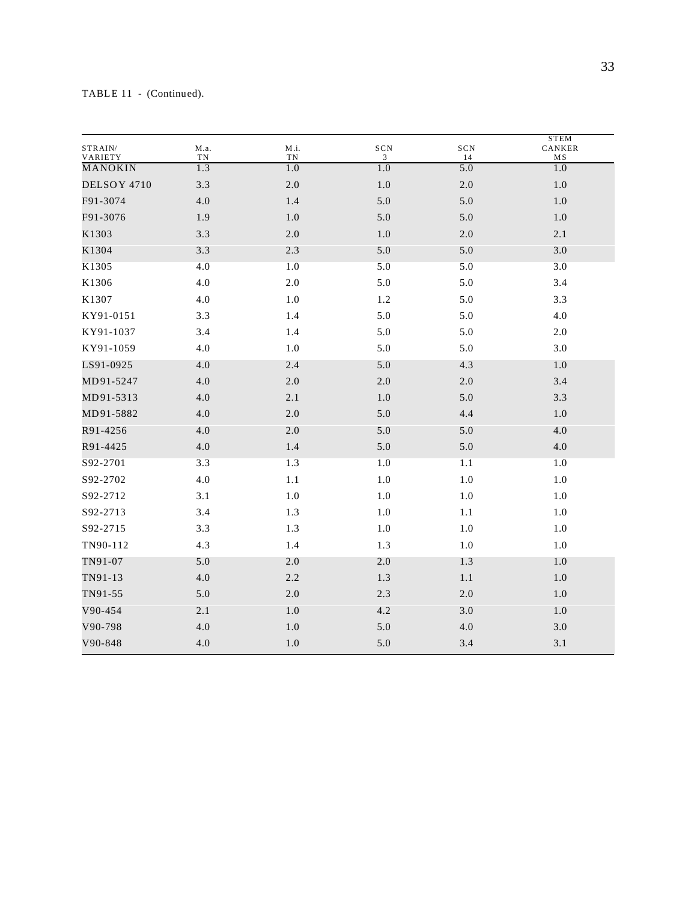| STRAIN/<br>VARIETY | M.a.<br>${\rm TN}$ | M.i.<br>TN | $_{\rm SCN}$<br>3 | SCN<br>14 | <b>STEM</b><br>CANKER<br>MS |
|--------------------|--------------------|------------|-------------------|-----------|-----------------------------|
| <b>MANOKIN</b>     | 1.3                | 1.0        | 1.0               | 5.0       | 1.0                         |
| DELSOY 4710        | 3.3                | $2.0\,$    | $1.0\,$           | $2.0\,$   | $1.0\,$                     |
| F91-3074           | 4.0                | 1.4        | 5.0               | 5.0       | 1.0                         |
| F91-3076           | 1.9                | 1.0        | 5.0               | 5.0       | 1.0                         |
| K1303              | 3.3                | $2.0\,$    | $1.0\,$           | $2.0\,$   | 2.1                         |
| K1304              | 3.3                | 2.3        | 5.0               | 5.0       | 3.0                         |
| K1305              | 4.0                | 1.0        | 5.0               | 5.0       | 3.0                         |
| K1306              | 4.0                | $2.0\,$    | 5.0               | 5.0       | 3.4                         |
| K1307              | 4.0                | $1.0\,$    | 1.2               | 5.0       | 3.3                         |
| KY91-0151          | 3.3                | 1.4        | 5.0               | 5.0       | 4.0                         |
| KY91-1037          | 3.4                | 1.4        | 5.0               | 5.0       | 2.0                         |
| KY91-1059          | 4.0                | 1.0        | 5.0               | 5.0       | 3.0                         |
| LS91-0925          | 4.0                | 2.4        | 5.0               | 4.3       | 1.0                         |
| MD91-5247          | 4.0                | $2.0\,$    | 2.0               | 2.0       | 3.4                         |
| MD91-5313          | 4.0                | 2.1        | 1.0               | 5.0       | 3.3                         |
| MD91-5882          | 4.0                | $2.0\,$    | 5.0               | 4.4       | $1.0\,$                     |
| R91-4256           | 4.0                | 2.0        | 5.0               | 5.0       | 4.0                         |
| R91-4425           | 4.0                | 1.4        | 5.0               | $5.0\,$   | 4.0                         |
| S92-2701           | 3.3                | 1.3        | 1.0               | 1.1       | 1.0                         |
| S92-2702           | 4.0                | 1.1        | 1.0               | $1.0\,$   | 1.0                         |
| S92-2712           | 3.1                | $1.0\,$    | $1.0\,$           | $1.0\,$   | $1.0\,$                     |
| S92-2713           | 3.4                | 1.3        | 1.0               | 1.1       | 1.0                         |
| S92-2715           | 3.3                | 1.3        | 1.0               | 1.0       | 1.0                         |
| TN90-112           | 4.3                | 1.4        | 1.3               | $1.0\,$   | $1.0\,$                     |
| TN91-07            | 5.0                | 2.0        | 2.0               | 1.3       | 1.0                         |
| TN91-13            | 4.0                | 2.2        | 1.3               | 1.1       | 1.0                         |
| TN91-55            | 5.0                | 2.0        | 2.3               | 2.0       | 1.0                         |
| V90-454            | 2.1                | 1.0        | 4.2               | 3.0       | 1.0                         |
| V90-798            | 4.0                | $1.0\,$    | 5.0               | 4.0       | 3.0                         |
| V90-848            | 4.0                | $1.0$      | 5.0               | 3.4       | 3.1                         |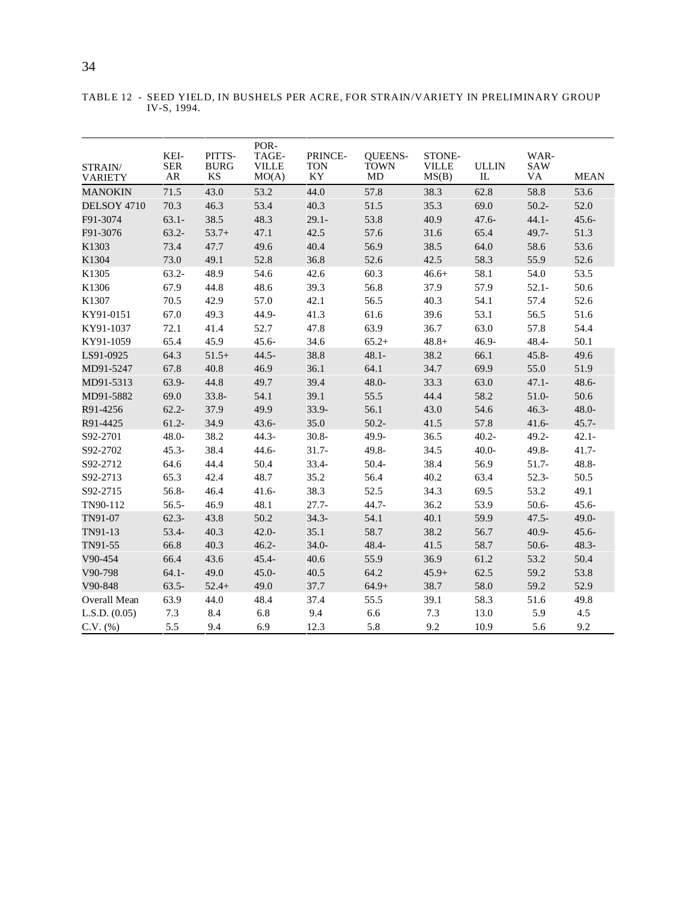| STRAIN/<br><b>VARIETY</b> | KEI-<br><b>SER</b><br>AR | PITTS-<br><b>BURG</b><br>KS | POR-<br>TAGE-<br><b>VILLE</b><br>MO(A) | PRINCE-<br><b>TON</b><br>KY | <b>OUEENS-</b><br><b>TOWN</b><br>MD | STONE-<br><b>VILLE</b><br>MS(B) | <b>ULLIN</b><br>${\rm IL}$ | WAR-<br><b>SAW</b><br><b>VA</b> | <b>MEAN</b> |
|---------------------------|--------------------------|-----------------------------|----------------------------------------|-----------------------------|-------------------------------------|---------------------------------|----------------------------|---------------------------------|-------------|
| <b>MANOKIN</b>            | 71.5                     | 43.0                        | 53.2                                   | 44.0                        | 57.8                                | 38.3                            | 62.8                       | 58.8                            | 53.6        |
| DELSOY 4710               | 70.3                     | 46.3                        | 53.4                                   | 40.3                        | 51.5                                | 35.3                            | 69.0                       | $50.2 -$                        | 52.0        |
| F91-3074                  | $63.1 -$                 | 38.5                        | 48.3                                   | $29.1 -$                    | 53.8                                | 40.9                            | $47.6 -$                   | $44.1 -$                        | $45.6 -$    |
| F91-3076                  | $63.2 -$                 | $53.7+$                     | 47.1                                   | 42.5                        | 57.6                                | 31.6                            | 65.4                       | $49.7 -$                        | 51.3        |
| K1303                     | 73.4                     | 47.7                        | 49.6                                   | 40.4                        | 56.9                                | 38.5                            | 64.0                       | 58.6                            | 53.6        |
| K1304                     | 73.0                     | 49.1                        | 52.8                                   | 36.8                        | 52.6                                | 42.5                            | 58.3                       | 55.9                            | 52.6        |
| K1305                     | $63.2 -$                 | 48.9                        | 54.6                                   | 42.6                        | 60.3                                | $46.6+$                         | 58.1                       | 54.0                            | 53.5        |
| K1306                     | 67.9                     | 44.8                        | 48.6                                   | 39.3                        | 56.8                                | 37.9                            | 57.9                       | $52.1 -$                        | 50.6        |
| K1307                     | 70.5                     | 42.9                        | 57.0                                   | 42.1                        | 56.5                                | 40.3                            | 54.1                       | 57.4                            | 52.6        |
| KY91-0151                 | 67.0                     | 49.3                        | 44.9-                                  | 41.3                        | 61.6                                | 39.6                            | 53.1                       | 56.5                            | 51.6        |
| KY91-1037                 | 72.1                     | 41.4                        | 52.7                                   | 47.8                        | 63.9                                | 36.7                            | 63.0                       | 57.8                            | 54.4        |
| KY91-1059                 | 65.4                     | 45.9                        | $45.6 -$                               | 34.6                        | $65.2+$                             | $48.8 +$                        | $46.9 -$                   | 48.4-                           | 50.1        |
| LS91-0925                 | 64.3                     | $51.5+$                     | $44.5 -$                               | 38.8                        | $48.1 -$                            | 38.2                            | 66.1                       | $45.8 -$                        | 49.6        |
| MD91-5247                 | 67.8                     | 40.8                        | 46.9                                   | 36.1                        | 64.1                                | 34.7                            | 69.9                       | 55.0                            | 51.9        |
| MD91-5313                 | $63.9 -$                 | 44.8                        | 49.7                                   | 39.4                        | 48.0-                               | 33.3                            | 63.0                       | $47.1 -$                        | $48.6 -$    |
| MD91-5882                 | 69.0                     | $33.8 -$                    | 54.1                                   | 39.1                        | 55.5                                | 44.4                            | 58.2                       | $51.0 -$                        | 50.6        |
| R91-4256                  | $62.2 -$                 | 37.9                        | 49.9                                   | $33.9 -$                    | 56.1                                | 43.0                            | 54.6                       | $46.3 -$                        | $48.0 -$    |
| R91-4425                  | $61.2 -$                 | 34.9                        | $43.6 -$                               | 35.0                        | $50.2 -$                            | 41.5                            | 57.8                       | $41.6-$                         | $45.7 -$    |
| S92-2701                  | $48.0 -$                 | 38.2                        | $44.3 -$                               | $30.8 -$                    | 49.9-                               | 36.5                            | $40.2 -$                   | $49.2 -$                        | $42.1 -$    |
| S92-2702                  | $45.3 -$                 | 38.4                        | $44.6 -$                               | $31.7 -$                    | 49.8-                               | 34.5                            | $40.0 -$                   | 49.8-                           | $41.7 -$    |
| S92-2712                  | 64.6                     | 44.4                        | 50.4                                   | $33.4 -$                    | $50.4 -$                            | 38.4                            | 56.9                       | 51.7-                           | 48.8-       |
| S92-2713                  | 65.3                     | 42.4                        | 48.7                                   | 35.2                        | 56.4                                | 40.2                            | 63.4                       | $52.3-$                         | 50.5        |
| S92-2715                  | 56.8-                    | 46.4                        | $41.6 -$                               | 38.3                        | 52.5                                | 34.3                            | 69.5                       | 53.2                            | 49.1        |
| TN90-112                  | $56.5 -$                 | 46.9                        | 48.1                                   | $27.7 -$                    | $44.7 -$                            | 36.2                            | 53.9                       | $50.6 -$                        | $45.6 -$    |
| TN91-07                   | $62.3-$                  | 43.8                        | 50.2                                   | $34.3 -$                    | 54.1                                | 40.1                            | 59.9                       | $47.5 -$                        | $49.0 -$    |
| TN91-13                   | 53.4-                    | 40.3                        | $42.0 -$                               | 35.1                        | 58.7                                | 38.2                            | 56.7                       | $40.9 -$                        | $45.6 -$    |
| TN91-55                   | 66.8                     | 40.3                        | $46.2 -$                               | $34.0 -$                    | $48.4 -$                            | 41.5                            | 58.7                       | $50.6 -$                        | $48.3 -$    |
| V90-454                   | 66.4                     | 43.6                        | $45.4 -$                               | 40.6                        | 55.9                                | 36.9                            | 61.2                       | 53.2                            | 50.4        |
| V90-798                   | $64.1 -$                 | 49.0                        | $45.0 -$                               | 40.5                        | 64.2                                | $45.9+$                         | 62.5                       | 59.2                            | 53.8        |
| V90-848                   | $63.5 -$                 | $52.4+$                     | 49.0                                   | 37.7                        | $64.9+$                             | 38.7                            | 58.0                       | 59.2                            | 52.9        |
| Overall Mean              | 63.9                     | 44.0                        | 48.4                                   | 37.4                        | 55.5                                | 39.1                            | 58.3                       | 51.6                            | 49.8        |
| L.S.D. (0.05)             | 7.3                      | 8.4                         | 6.8                                    | 9.4                         | 6.6                                 | 7.3                             | 13.0                       | 5.9                             | 4.5         |
| $C.V.$ $%$                | 5.5                      | 9.4                         | 6.9                                    | 12.3                        | 5.8                                 | 9.2                             | 10.9                       | 5.6                             | 9.2         |

TABLE 12 - SEED YIELD, IN BUSHELS PER ACRE, FOR STRAIN/VARIETY IN PRELIMINARY GROUP IV-S, 1994.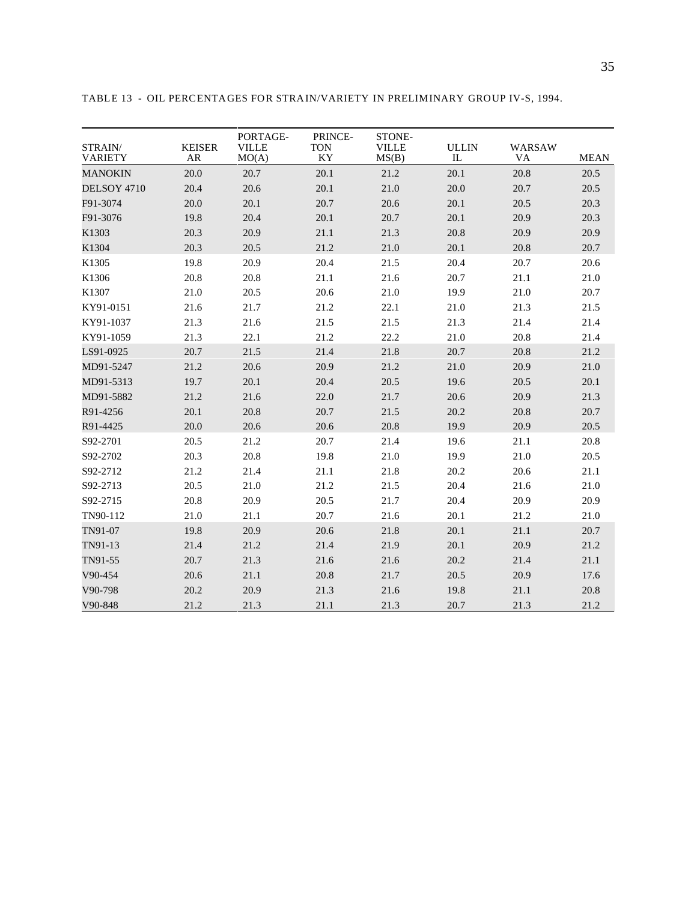| STRAIN/<br><b>VARIETY</b> | <b>KEISER</b><br>AR | PORTAGE-<br><b>VILLE</b><br>MO(A) | PRINCE-<br><b>TON</b><br>KY | STONE-<br><b>VILLE</b><br>MS(B) | <b>ULLIN</b><br>IL | <b>WARSAW</b><br>VA | <b>MEAN</b> |
|---------------------------|---------------------|-----------------------------------|-----------------------------|---------------------------------|--------------------|---------------------|-------------|
| <b>MANOKIN</b>            | 20.0                | 20.7                              | 20.1                        | 21.2                            | 20.1               | 20.8                | 20.5        |
| DELSOY 4710               | 20.4                | 20.6                              | 20.1                        | 21.0                            | 20.0               | 20.7                | 20.5        |
| F91-3074                  | 20.0                | 20.1                              | 20.7                        | 20.6                            | 20.1               | 20.5                | 20.3        |
| F91-3076                  | 19.8                | 20.4                              | 20.1                        | 20.7                            | 20.1               | 20.9                | 20.3        |
| K1303                     | 20.3                | 20.9                              | 21.1                        | 21.3                            | 20.8               | 20.9                | 20.9        |
| K1304                     | 20.3                | 20.5                              | 21.2                        | 21.0                            | 20.1               | 20.8                | 20.7        |
| K1305                     | 19.8                | 20.9                              | 20.4                        | 21.5                            | 20.4               | 20.7                | 20.6        |
| K1306                     | 20.8                | 20.8                              | 21.1                        | 21.6                            | 20.7               | 21.1                | 21.0        |
| K1307                     | 21.0                | 20.5                              | 20.6                        | 21.0                            | 19.9               | 21.0                | 20.7        |
| KY91-0151                 | 21.6                | 21.7                              | 21.2                        | 22.1                            | 21.0               | 21.3                | 21.5        |
| KY91-1037                 | 21.3                | 21.6                              | 21.5                        | 21.5                            | 21.3               | 21.4                | 21.4        |
| KY91-1059                 | 21.3                | 22.1                              | 21.2                        | 22.2                            | 21.0               | 20.8                | 21.4        |
| LS91-0925                 | 20.7                | 21.5                              | 21.4                        | 21.8                            | 20.7               | 20.8                | 21.2        |
| MD91-5247                 | 21.2                | 20.6                              | 20.9                        | 21.2                            | 21.0               | 20.9                | 21.0        |
| MD91-5313                 | 19.7                | 20.1                              | 20.4                        | 20.5                            | 19.6               | 20.5                | 20.1        |
| MD91-5882                 | 21.2                | 21.6                              | 22.0                        | 21.7                            | 20.6               | 20.9                | 21.3        |
| R91-4256                  | 20.1                | 20.8                              | 20.7                        | 21.5                            | 20.2               | 20.8                | 20.7        |
| R91-4425                  | 20.0                | 20.6                              | 20.6                        | 20.8                            | 19.9               | 20.9                | 20.5        |
| S92-2701                  | 20.5                | 21.2                              | 20.7                        | 21.4                            | 19.6               | 21.1                | 20.8        |
| S92-2702                  | 20.3                | 20.8                              | 19.8                        | 21.0                            | 19.9               | 21.0                | 20.5        |
| S92-2712                  | 21.2                | 21.4                              | 21.1                        | 21.8                            | 20.2               | 20.6                | 21.1        |
| S92-2713                  | 20.5                | 21.0                              | 21.2                        | 21.5                            | 20.4               | 21.6                | 21.0        |
| S92-2715                  | 20.8                | 20.9                              | 20.5                        | 21.7                            | 20.4               | 20.9                | 20.9        |
| TN90-112                  | 21.0                | 21.1                              | 20.7                        | 21.6                            | 20.1               | 21.2                | 21.0        |
| TN91-07                   | 19.8                | 20.9                              | 20.6                        | 21.8                            | 20.1               | 21.1                | 20.7        |
| TN91-13                   | 21.4                | 21.2                              | 21.4                        | 21.9                            | 20.1               | 20.9                | 21.2        |
| TN91-55                   | 20.7                | 21.3                              | 21.6                        | 21.6                            | 20.2               | 21.4                | 21.1        |
| V90-454                   | 20.6                | 21.1                              | 20.8                        | 21.7                            | 20.5               | 20.9                | 17.6        |
| V90-798                   | 20.2                | 20.9                              | 21.3                        | 21.6                            | 19.8               | 21.1                | 20.8        |
| V90-848                   | 21.2                | 21.3                              | 21.1                        | 21.3                            | 20.7               | 21.3                | 21.2        |

TABLE 13 - OIL PERCENTAGES FOR STRAIN/VARIETY IN PRELIMINARY GROUP IV-S, 1994.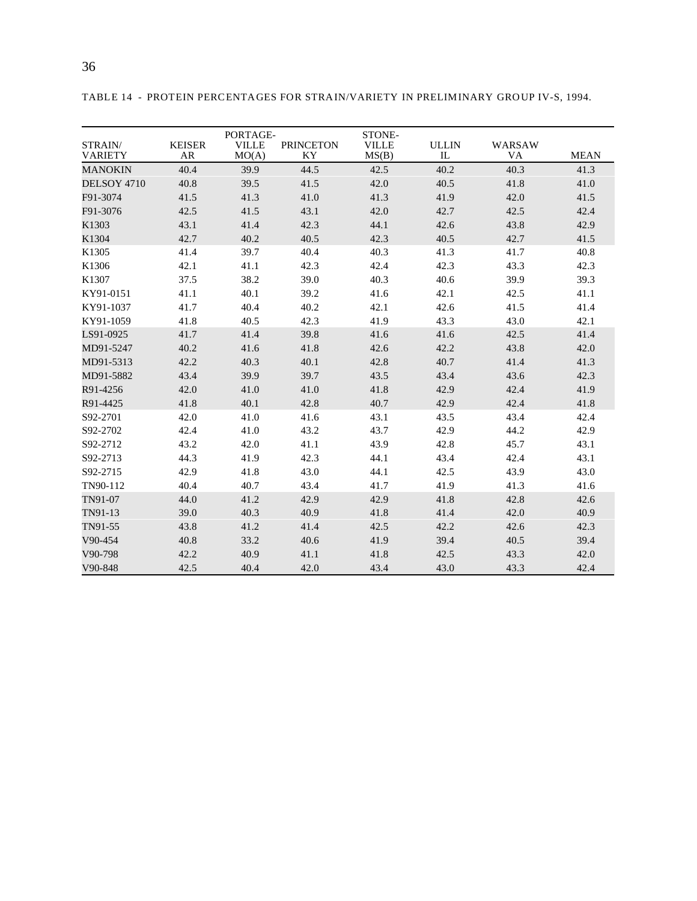| STRAIN/<br>VARIETY | <b>KEISER</b><br><b>AR</b> | PORTAGE-<br><b>VILLE</b><br>MO(A) | <b>PRINCETON</b><br>KY | STONE-<br><b>VILLE</b><br>MS(B) | <b>ULLIN</b><br>$_{\rm IL}$ | WARSAW<br>VA | <b>MEAN</b> |
|--------------------|----------------------------|-----------------------------------|------------------------|---------------------------------|-----------------------------|--------------|-------------|
| <b>MANOKIN</b>     | 40.4                       | 39.9                              | 44.5                   | 42.5                            | 40.2                        | 40.3         | 41.3        |
| DELSOY 4710        | 40.8                       | 39.5                              | 41.5                   | 42.0                            | 40.5                        | 41.8         | 41.0        |
| F91-3074           | 41.5                       | 41.3                              | 41.0                   | 41.3                            | 41.9                        | 42.0         | 41.5        |
| F91-3076           | 42.5                       | 41.5                              | 43.1                   | 42.0                            | 42.7                        | 42.5         | 42.4        |
| K1303              | 43.1                       | 41.4                              | 42.3                   | 44.1                            | 42.6                        | 43.8         | 42.9        |
| K1304              | 42.7                       | 40.2                              | 40.5                   | 42.3                            | 40.5                        | 42.7         | 41.5        |
| K1305              | 41.4                       | 39.7                              | 40.4                   | 40.3                            | 41.3                        | 41.7         | 40.8        |
| K1306              | 42.1                       | 41.1                              | 42.3                   | 42.4                            | 42.3                        | 43.3         | 42.3        |
| K1307              | 37.5                       | 38.2                              | 39.0                   | 40.3                            | 40.6                        | 39.9         | 39.3        |
| KY91-0151          | 41.1                       | 40.1                              | 39.2                   | 41.6                            | 42.1                        | 42.5         | 41.1        |
| KY91-1037          | 41.7                       | 40.4                              | 40.2                   | 42.1                            | 42.6                        | 41.5         | 41.4        |
| KY91-1059          | 41.8                       | 40.5                              | 42.3                   | 41.9                            | 43.3                        | 43.0         | 42.1        |
| LS91-0925          | 41.7                       | 41.4                              | 39.8                   | 41.6                            | 41.6                        | 42.5         | 41.4        |
| MD91-5247          | 40.2                       | 41.6                              | 41.8                   | 42.6                            | 42.2                        | 43.8         | 42.0        |
| MD91-5313          | 42.2                       | 40.3                              | 40.1                   | 42.8                            | 40.7                        | 41.4         | 41.3        |
| MD91-5882          | 43.4                       | 39.9                              | 39.7                   | 43.5                            | 43.4                        | 43.6         | 42.3        |
| R91-4256           | 42.0                       | 41.0                              | 41.0                   | 41.8                            | 42.9                        | 42.4         | 41.9        |
| R91-4425           | 41.8                       | 40.1                              | 42.8                   | 40.7                            | 42.9                        | 42.4         | 41.8        |
| S92-2701           | 42.0                       | 41.0                              | 41.6                   | 43.1                            | 43.5                        | 43.4         | 42.4        |
| S92-2702           | 42.4                       | 41.0                              | 43.2                   | 43.7                            | 42.9                        | 44.2         | 42.9        |
| S92-2712           | 43.2                       | 42.0                              | 41.1                   | 43.9                            | 42.8                        | 45.7         | 43.1        |
| S92-2713           | 44.3                       | 41.9                              | 42.3                   | 44.1                            | 43.4                        | 42.4         | 43.1        |
| S92-2715           | 42.9                       | 41.8                              | 43.0                   | 44.1                            | 42.5                        | 43.9         | 43.0        |
| TN90-112           | 40.4                       | 40.7                              | 43.4                   | 41.7                            | 41.9                        | 41.3         | 41.6        |
| TN91-07            | 44.0                       | 41.2                              | 42.9                   | 42.9                            | 41.8                        | 42.8         | 42.6        |
| TN91-13            | 39.0                       | 40.3                              | 40.9                   | 41.8                            | 41.4                        | 42.0         | 40.9        |
| TN91-55            | 43.8                       | 41.2                              | 41.4                   | 42.5                            | 42.2                        | 42.6         | 42.3        |
| V90-454            | 40.8                       | 33.2                              | 40.6                   | 41.9                            | 39.4                        | 40.5         | 39.4        |
| V90-798            | 42.2                       | 40.9                              | 41.1                   | 41.8                            | 42.5                        | 43.3         | 42.0        |
| V90-848            | 42.5                       | 40.4                              | 42.0                   | 43.4                            | 43.0                        | 43.3         | 42.4        |

TABLE 14 - PROTEIN PERCENTAGES FOR STRAIN/VARIETY IN PRELIMINARY GROUP IV-S, 1994.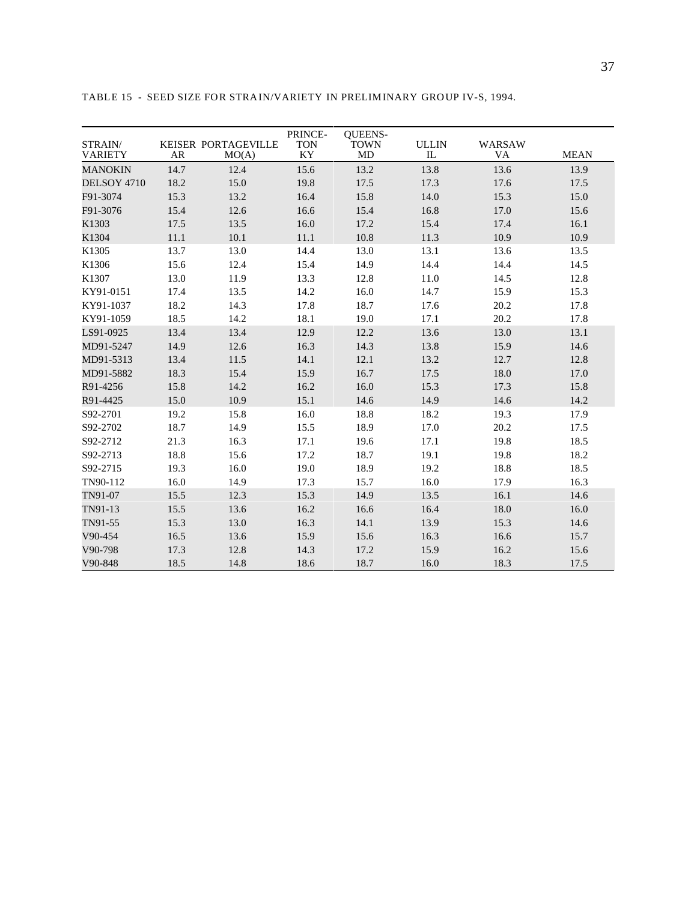| STRAIN/<br><b>VARIETY</b> | <b>AR</b> | KEISER PORTAGEVILLE<br>MO(A) | PRINCE-<br><b>TON</b><br>KY | <b>OUEENS-</b><br><b>TOWN</b><br>MD | <b>ULLIN</b><br>$_{\rm IL}$ | <b>WARSAW</b><br>VA | <b>MEAN</b> |
|---------------------------|-----------|------------------------------|-----------------------------|-------------------------------------|-----------------------------|---------------------|-------------|
| <b>MANOKIN</b>            | 14.7      | 12.4                         | 15.6                        | 13.2                                | 13.8                        | 13.6                | 13.9        |
| DELSOY 4710               | 18.2      | 15.0                         | 19.8                        | 17.5                                | 17.3                        | 17.6                | 17.5        |
| F91-3074                  | 15.3      | 13.2                         | 16.4                        | 15.8                                | 14.0                        | 15.3                | 15.0        |
| F91-3076                  | 15.4      | 12.6                         | 16.6                        | 15.4                                | 16.8                        | 17.0                | 15.6        |
| K1303                     | 17.5      | 13.5                         | 16.0                        | 17.2                                | 15.4                        | 17.4                | 16.1        |
| K1304                     | 11.1      | 10.1                         | 11.1                        | 10.8                                | 11.3                        | 10.9                | 10.9        |
| K1305                     | 13.7      | 13.0                         | 14.4                        | 13.0                                | 13.1                        | 13.6                | 13.5        |
| K1306                     | 15.6      | 12.4                         | 15.4                        | 14.9                                | 14.4                        | 14.4                | 14.5        |
| K1307                     | 13.0      | 11.9                         | 13.3                        | 12.8                                | 11.0                        | 14.5                | 12.8        |
| KY91-0151                 | 17.4      | 13.5                         | 14.2                        | 16.0                                | 14.7                        | 15.9                | 15.3        |
| KY91-1037                 | 18.2      | 14.3                         | 17.8                        | 18.7                                | 17.6                        | 20.2                | 17.8        |
| KY91-1059                 | 18.5      | 14.2                         | 18.1                        | 19.0                                | 17.1                        | 20.2                | 17.8        |
| LS91-0925                 | 13.4      | 13.4                         | 12.9                        | 12.2                                | 13.6                        | 13.0                | 13.1        |
| MD91-5247                 | 14.9      | 12.6                         | 16.3                        | 14.3                                | 13.8                        | 15.9                | 14.6        |
| MD91-5313                 | 13.4      | 11.5                         | 14.1                        | 12.1                                | 13.2                        | 12.7                | 12.8        |
| MD91-5882                 | 18.3      | 15.4                         | 15.9                        | 16.7                                | 17.5                        | 18.0                | 17.0        |
| R91-4256                  | 15.8      | 14.2                         | 16.2                        | 16.0                                | 15.3                        | 17.3                | 15.8        |
| R91-4425                  | 15.0      | 10.9                         | 15.1                        | 14.6                                | 14.9                        | 14.6                | 14.2        |
| S92-2701                  | 19.2      | 15.8                         | 16.0                        | 18.8                                | 18.2                        | 19.3                | 17.9        |
| S92-2702                  | 18.7      | 14.9                         | 15.5                        | 18.9                                | 17.0                        | 20.2                | 17.5        |
| S92-2712                  | 21.3      | 16.3                         | 17.1                        | 19.6                                | 17.1                        | 19.8                | 18.5        |
| S92-2713                  | 18.8      | 15.6                         | 17.2                        | 18.7                                | 19.1                        | 19.8                | 18.2        |
| S92-2715                  | 19.3      | 16.0                         | 19.0                        | 18.9                                | 19.2                        | 18.8                | 18.5        |
| TN90-112                  | 16.0      | 14.9                         | 17.3                        | 15.7                                | 16.0                        | 17.9                | 16.3        |
| TN91-07                   | 15.5      | 12.3                         | 15.3                        | 14.9                                | 13.5                        | 16.1                | 14.6        |
| TN91-13                   | 15.5      | 13.6                         | 16.2                        | 16.6                                | 16.4                        | 18.0                | 16.0        |
| TN91-55                   | 15.3      | 13.0                         | 16.3                        | 14.1                                | 13.9                        | 15.3                | 14.6        |
| V90-454                   | 16.5      | 13.6                         | 15.9                        | 15.6                                | 16.3                        | 16.6                | 15.7        |
| V90-798                   | 17.3      | 12.8                         | 14.3                        | 17.2                                | 15.9                        | 16.2                | 15.6        |
| V90-848                   | 18.5      | 14.8                         | 18.6                        | 18.7                                | 16.0                        | 18.3                | 17.5        |

TABLE 15 - SEED SIZE FOR STRAIN/VARIETY IN PRELIMINARY GROUP IV-S, 1994.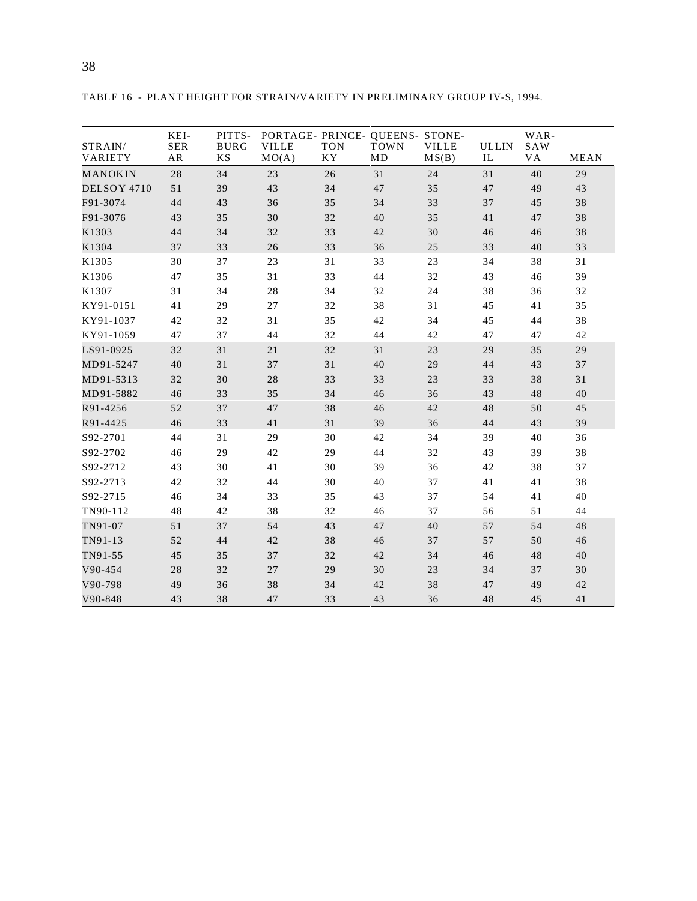| STRAIN/     | KEI-<br><b>SER</b> | PITTS-<br><b>BURG</b> | PORTAGE- PRINCE- QUEENS- STONE-<br><b>VILLE</b> | <b>TON</b> | <b>TOWN</b> | <b>VILLE</b> | <b>ULLIN</b> | WAR-<br>SAW |      |
|-------------|--------------------|-----------------------|-------------------------------------------------|------------|-------------|--------------|--------------|-------------|------|
| VARIETY     | AR                 | <b>KS</b>             | MO(A)                                           | <b>KY</b>  | MD          | MS(B)        | IL           | VA          | MEAN |
| MANOKIN     | 28                 | 34                    | 23                                              | 26         | 31          | 24           | 31           | 40          | 29   |
| DELSOY 4710 | 51                 | 39                    | 43                                              | 34         | 47          | 35           | 47           | 49          | 43   |
| F91-3074    | 44                 | 43                    | 36                                              | 35         | 34          | 33           | 37           | 45          | 38   |
| F91-3076    | 43                 | 35                    | 30                                              | 32         | 40          | 35           | 41           | 47          | 38   |
| K1303       | 44                 | 34                    | 32                                              | 33         | 42          | 30           | 46           | 46          | 38   |
| K1304       | 37                 | 33                    | 26                                              | 33         | 36          | 25           | 33           | 40          | 33   |
| K1305       | 30                 | 37                    | 23                                              | 31         | 33          | 23           | 34           | 38          | 31   |
| K1306       | 47                 | 35                    | 31                                              | 33         | 44          | 32           | 43           | 46          | 39   |
| K1307       | 31                 | 34                    | 28                                              | 34         | 32          | 24           | 38           | 36          | 32   |
| KY91-0151   | 41                 | 29                    | 27                                              | 32         | 38          | 31           | 45           | 41          | 35   |
| KY91-1037   | 42                 | 32                    | 31                                              | 35         | 42          | 34           | 45           | 44          | 38   |
| KY91-1059   | 47                 | 37                    | 44                                              | 32         | 44          | 42           | 47           | 47          | 42   |
| LS91-0925   | 32                 | 31                    | 21                                              | 32         | 31          | 23           | 29           | 35          | 29   |
| MD91-5247   | 40                 | 31                    | 37                                              | 31         | 40          | 29           | 44           | 43          | 37   |
| MD91-5313   | 32                 | 30                    | 28                                              | 33         | 33          | 23           | 33           | 38          | 31   |
| MD91-5882   | 46                 | 33                    | 35                                              | 34         | 46          | 36           | 43           | 48          | 40   |
| R91-4256    | 52                 | 37                    | 47                                              | 38         | 46          | 42           | 48           | 50          | 45   |
| R91-4425    | 46                 | 33                    | 41                                              | 31         | 39          | 36           | 44           | 43          | 39   |
| S92-2701    | 44                 | 31                    | 29                                              | 30         | 42          | 34           | 39           | 40          | 36   |
| S92-2702    | 46                 | 29                    | 42                                              | 29         | 44          | 32           | 43           | 39          | 38   |
| S92-2712    | 43                 | 30                    | 41                                              | 30         | 39          | 36           | 42           | 38          | 37   |
| S92-2713    | 42                 | 32                    | 44                                              | 30         | 40          | 37           | 41           | 41          | 38   |
| S92-2715    | 46                 | 34                    | 33                                              | 35         | 43          | 37           | 54           | 41          | 40   |
| TN90-112    | 48                 | 42                    | 38                                              | 32         | 46          | 37           | 56           | 51          | 44   |
| TN91-07     | 51                 | 37                    | 54                                              | 43         | $47\,$      | 40           | 57           | 54          | 48   |
| TN91-13     | 52                 | 44                    | 42                                              | 38         | 46          | 37           | 57           | 50          | 46   |
| TN91-55     | 45                 | 35                    | 37                                              | 32         | 42          | 34           | 46           | 48          | 40   |
| V90-454     | 28                 | 32                    | $27\,$                                          | 29         | 30          | 23           | 34           | 37          | 30   |
| V90-798     | 49                 | 36                    | 38                                              | 34         | 42          | 38           | 47           | 49          | 42   |
| V90-848     | 43                 | 38                    | 47                                              | 33         | 43          | 36           | 48           | 45          | 41   |

TABLE 16 - PLANT HEIGHT FOR STRAIN/VARIETY IN PRELIMINARY GROUP IV-S, 1994.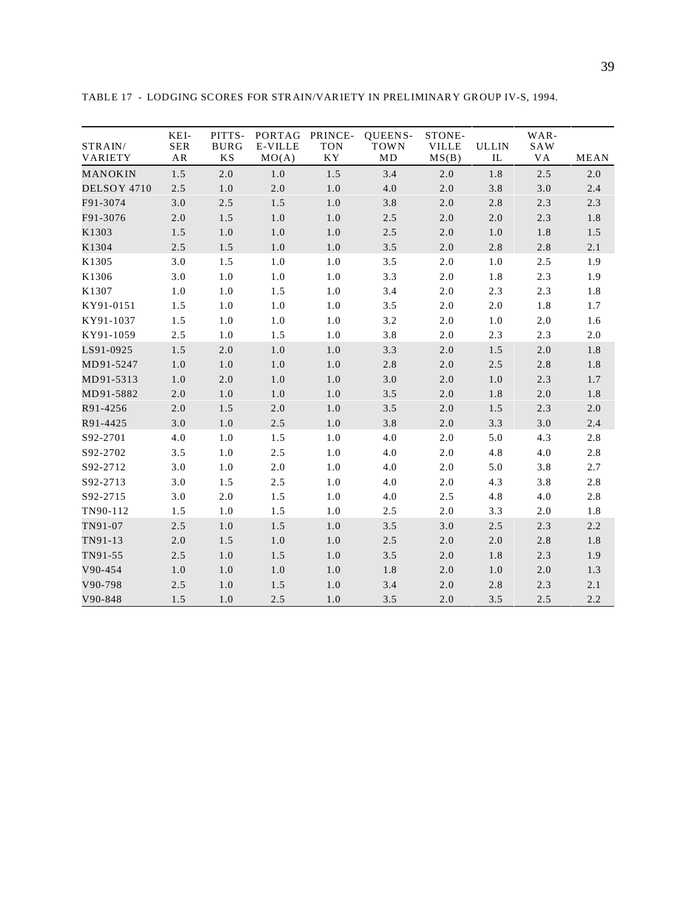| STRAIN/<br>VARIETY | KEI-<br><b>SER</b><br>AR | PITTS-<br><b>BURG</b><br><b>KS</b> | PORTAG<br><b>E-VILLE</b><br>MO(A) | PRINCE-<br><b>TON</b><br>KY | QUEENS-<br><b>TOWN</b><br>MD | STONE-<br><b>VILLE</b><br>MS(B) | <b>ULLIN</b><br>IL | WAR-<br>SAW<br>VA | MEAN    |
|--------------------|--------------------------|------------------------------------|-----------------------------------|-----------------------------|------------------------------|---------------------------------|--------------------|-------------------|---------|
| MANOKIN            | 1.5                      | $2.0\,$                            | $1.0\,$                           | 1.5                         | 3.4                          | $2.0\,$                         | 1.8                | 2.5               | $2.0\,$ |
| DELSOY 4710        | 2.5                      | 1.0                                | 2.0                               | $1.0\,$                     | 4.0                          | $2.0\,$                         | 3.8                | 3.0               | 2.4     |
| F91-3074           | 3.0                      | 2.5                                | 1.5                               | 1.0                         | 3.8                          | $2.0$                           | 2.8                | 2.3               | 2.3     |
| F91-3076           | 2.0                      | 1.5                                | 1.0                               | $1.0$                       | 2.5                          | 2.0                             | 2.0                | 2.3               | 1.8     |
| K1303              | 1.5                      | $1.0\,$                            | 1.0                               | $1.0\,$                     | 2.5                          | $2.0\,$                         | $1.0$              | 1.8               | 1.5     |
| K1304              | 2.5                      | 1.5                                | 1.0                               | 1.0                         | 3.5                          | 2.0                             | 2.8                | 2.8               | 2.1     |
| K1305              | 3.0                      | 1.5                                | $1.0$                             | $1.0$                       | 3.5                          | $2.0$                           | 1.0                | 2.5               | 1.9     |
| K1306              | 3.0                      | 1.0                                | 1.0                               | 1.0                         | 3.3                          | 2.0                             | 1.8                | 2.3               | 1.9     |
| K1307              | 1.0                      | $1.0\,$                            | 1.5                               | $1.0\,$                     | 3.4                          | $2.0$                           | 2.3                | 2.3               | 1.8     |
| KY91-0151          | 1.5                      | 1.0                                | $1.0\,$                           | 1.0                         | 3.5                          | $2.0$                           | $2.0\,$            | 1.8               | 1.7     |
| KY91-1037          | 1.5                      | 1.0                                | 1.0                               | $1.0$                       | 3.2                          | $2.0$                           | 1.0                | 2.0               | 1.6     |
| KY91-1059          | 2.5                      | 1.0                                | 1.5                               | 1.0                         | 3.8                          | 2.0                             | 2.3                | 2.3               | 2.0     |
| LS91-0925          | 1.5                      | $2.0\,$                            | 1.0                               | $1.0\,$                     | 3.3                          | $2.0\,$                         | 1.5                | 2.0               | 1.8     |
| MD91-5247          | 1.0                      | 1.0                                | 1.0                               | 1.0                         | 2.8                          | $2.0\,$                         | 2.5                | 2.8               | 1.8     |
| MD91-5313          | 1.0                      | 2.0                                | 1.0                               | 1.0                         | 3.0                          | 2.0                             | 1.0                | 2.3               | 1.7     |
| MD91-5882          | 2.0                      | 1.0                                | 1.0                               | 1.0                         | 3.5                          | 2.0                             | 1.8                | 2.0               | 1.8     |
| R91-4256           | 2.0                      | 1.5                                | 2.0                               | 1.0                         | 3.5                          | $2.0\,$                         | 1.5                | 2.3               | 2.0     |
| R91-4425           | 3.0                      | 1.0                                | 2.5                               | 1.0                         | 3.8                          | $2.0\,$                         | 3.3                | 3.0               | 2.4     |
| S92-2701           | 4.0                      | 1.0                                | 1.5                               | $1.0$                       | 4.0                          | 2.0                             | 5.0                | 4.3               | 2.8     |
| S92-2702           | 3.5                      | 1.0                                | 2.5                               | 1.0                         | 4.0                          | 2.0                             | 4.8                | 4.0               | 2.8     |
| S92-2712           | 3.0                      | 1.0                                | 2.0                               | 1.0                         | 4.0                          | $2.0$                           | 5.0                | 3.8               | 2.7     |
| S92-2713           | 3.0                      | 1.5                                | 2.5                               | 1.0                         | 4.0                          | $2.0$                           | 4.3                | 3.8               | 2.8     |
| S92-2715           | 3.0                      | 2.0                                | 1.5                               | $1.0$                       | 4.0                          | 2.5                             | 4.8                | 4.0               | 2.8     |
| TN90-112           | 1.5                      | 1.0                                | 1.5                               | 1.0                         | 2.5                          | 2.0                             | 3.3                | 2.0               | 1.8     |
| TN91-07            | 2.5                      | 1.0                                | 1.5                               | $1.0\,$                     | 3.5                          | 3.0                             | 2.5                | 2.3               | 2.2     |
| TN91-13            | 2.0                      | 1.5                                | 1.0                               | $1.0\,$                     | 2.5                          | $2.0\,$                         | $2.0\,$            | 2.8               | 1.8     |
| TN91-55            | 2.5                      | 1.0                                | 1.5                               | 1.0                         | 3.5                          | 2.0                             | 1.8                | 2.3               | 1.9     |
| V90-454            | 1.0                      | $1.0\,$                            | $1.0\,$                           | $1.0\,$                     | 1.8                          | $2.0\,$                         | 1.0                | 2.0               | 1.3     |
| V90-798            | 2.5                      | 1.0                                | 1.5                               | 1.0                         | 3.4                          | $2.0\,$                         | 2.8                | 2.3               | 2.1     |
| V90-848            | 1.5                      | 1.0                                | 2.5                               | 1.0                         | 3.5                          | 2.0                             | 3.5                | 2.5               | 2.2     |

TABLE 17 - LODGING SCORES FOR STRAIN/VARIETY IN PRELIMINARY GROUP IV-S, 1994.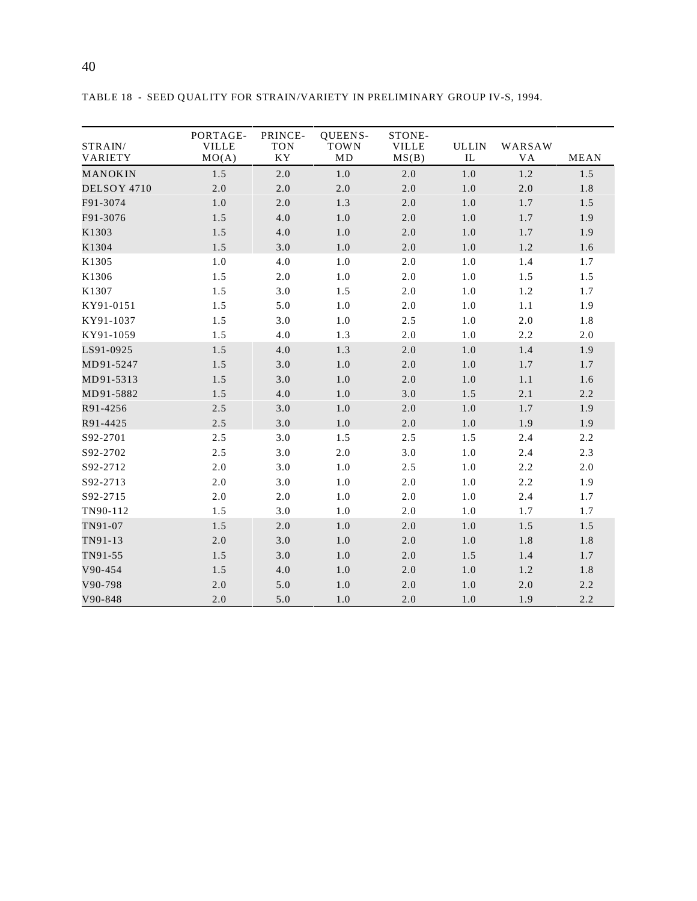|                    | PORTAGE-              | PRINCE-                                | QUEENS-           | STONE-                |                    |              |             |
|--------------------|-----------------------|----------------------------------------|-------------------|-----------------------|--------------------|--------------|-------------|
| STRAIN/<br>VARIETY | <b>VILLE</b><br>MO(A) | <b>TON</b><br>$\mathbf{K}\,\mathbf{Y}$ | <b>TOWN</b><br>MD | <b>VILLE</b><br>MS(B) | <b>ULLIN</b><br>IL | WARSAW<br>VA | <b>MEAN</b> |
| MANOKIN            | 1.5                   | 2.0                                    | 1.0               | 2.0                   | 1.0                | 1.2          | 1.5         |
| DELSOY 4710        | 2.0                   | 2.0                                    | 2.0               | 2.0                   | 1.0                | 2.0          | 1.8         |
| F91-3074           | 1.0                   | 2.0                                    | 1.3               | 2.0                   | 1.0                | 1.7          | 1.5         |
| F91-3076           | 1.5                   | 4.0                                    | 1.0               | 2.0                   | 1.0                | 1.7          | 1.9         |
| K1303              | 1.5                   | 4.0                                    | 1.0               | 2.0                   | 1.0                | 1.7          | 1.9         |
| K1304              | 1.5                   | 3.0                                    | 1.0               | 2.0                   | 1.0                | 1.2          | 1.6         |
| K1305              | 1.0                   | 4.0                                    | 1.0               | 2.0                   | 1.0                | 1.4          | 1.7         |
| K1306              | 1.5                   | 2.0                                    | 1.0               | 2.0                   | 1.0                | 1.5          | 1.5         |
| K1307              | 1.5                   | 3.0                                    | 1.5               | 2.0                   | 1.0                | 1.2          | 1.7         |
| KY91-0151          | 1.5                   | 5.0                                    | 1.0               | 2.0                   | 1.0                | 1.1          | 1.9         |
| KY91-1037          | 1.5                   | 3.0                                    | 1.0               | 2.5                   | 1.0                | 2.0          | 1.8         |
| KY91-1059          | 1.5                   | 4.0                                    | 1.3               | 2.0                   | 1.0                | 2.2          | 2.0         |
| LS91-0925          | 1.5                   | 4.0                                    | 1.3               | 2.0                   | 1.0                | 1.4          | 1.9         |
| MD91-5247          | 1.5                   | 3.0                                    | 1.0               | 2.0                   | 1.0                | 1.7          | 1.7         |
| MD91-5313          | 1.5                   | 3.0                                    | 1.0               | 2.0                   | 1.0                | 1.1          | 1.6         |
| MD91-5882          | 1.5                   | 4.0                                    | 1.0               | 3.0                   | 1.5                | 2.1          | 2.2         |
| R91-4256           | 2.5                   | 3.0                                    | 1.0               | 2.0                   | 1.0                | 1.7          | 1.9         |
| R91-4425           | 2.5                   | 3.0                                    | 1.0               | 2.0                   | 1.0                | 1.9          | 1.9         |
| S92-2701           | 2.5                   | 3.0                                    | 1.5               | 2.5                   | 1.5                | 2.4          | 2.2         |
| S92-2702           | 2.5                   | 3.0                                    | 2.0               | 3.0                   | 1.0                | 2.4          | 2.3         |
| S92-2712           | 2.0                   | 3.0                                    | 1.0               | 2.5                   | 1.0                | 2.2          | 2.0         |
| S92-2713           | 2.0                   | 3.0                                    | 1.0               | 2.0                   | 1.0                | 2.2          | 1.9         |
| S92-2715           | 2.0                   | 2.0                                    | 1.0               | 2.0                   | 1.0                | 2.4          | 1.7         |
| TN90-112           | 1.5                   | 3.0                                    | 1.0               | 2.0                   | 1.0                | 1.7          | 1.7         |
| TN91-07            | 1.5                   | 2.0                                    | 1.0               | 2.0                   | 1.0                | 1.5          | 1.5         |
| TN91-13            | 2.0                   | 3.0                                    | 1.0               | 2.0                   | 1.0                | 1.8          | 1.8         |
| TN91-55            | 1.5                   | 3.0                                    | 1.0               | 2.0                   | 1.5                | 1.4          | 1.7         |
| V90-454            | 1.5                   | 4.0                                    | 1.0               | 2.0                   | $1.0\,$            | 1.2          | 1.8         |
| V90-798            | 2.0                   | 5.0                                    | 1.0               | 2.0                   | 1.0                | 2.0          | 2.2         |
| V90-848            | 2.0                   | 5.0                                    | 1.0               | 2.0                   | 1.0                | 1.9          | 2.2         |

TABLE 18 - SEED QUALITY FOR STRAIN/VARIETY IN PRELIMINARY GROUP IV-S, 1994.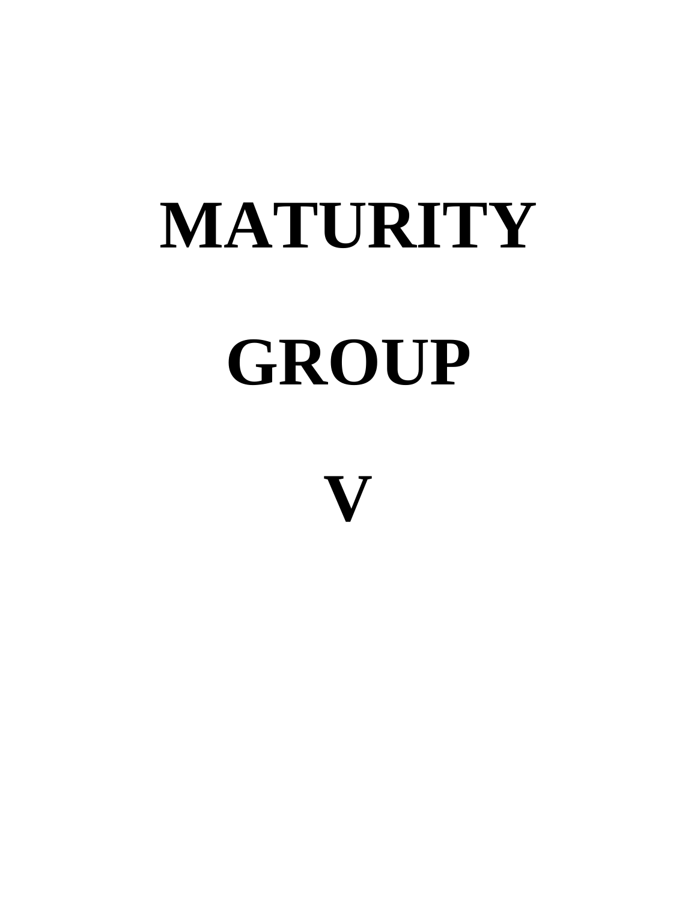# **MATURITY GROUP**

**V**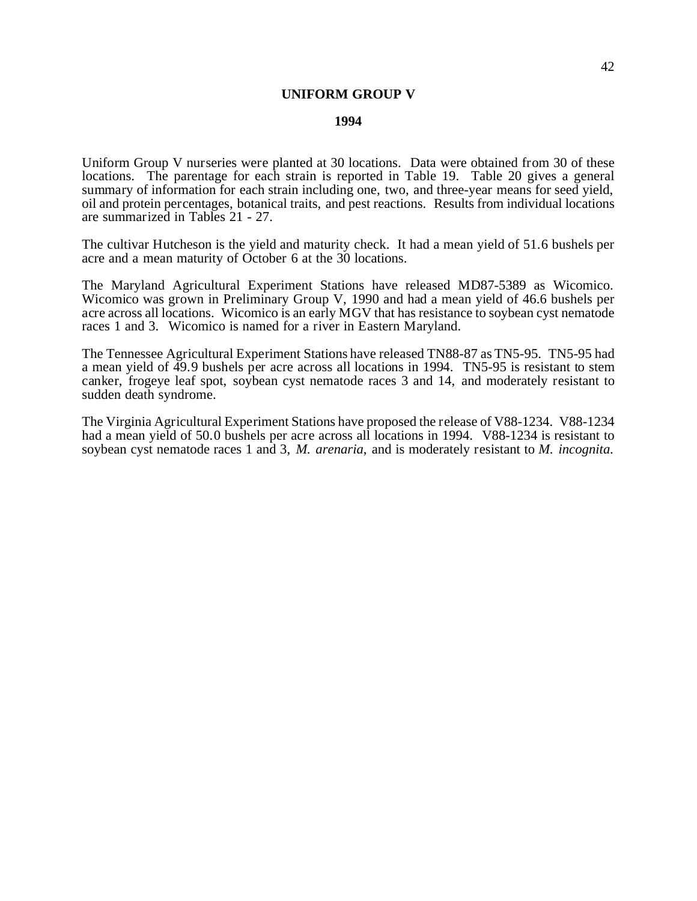### **UNIFORM GROUP V**

#### **1994**

Uniform Group V nurseries were planted at 30 locations. Data were obtained from 30 of these locations. The parentage for each strain is reported in Table 19. Table 20 gives a general summary of information for each strain including one, two, and three-year means for seed yield, oil and protein percentages, botanical traits, and pest reactions. Results from individual locations are summarized in Tables 21 - 27.

The cultivar Hutcheson is the yield and maturity check. It had a mean yield of 51.6 bushels per acre and a mean maturity of October 6 at the 30 locations.

The Maryland Agricultural Experiment Stations have released MD87-5389 as Wicomico. Wicomico was grown in Preliminary Group V, 1990 and had a mean yield of 46.6 bushels per acre across all locations. Wicomico is an early MGV that has resistance to soybean cyst nematode races 1 and 3. Wicomico is named for a river in Eastern Maryland.

The Tennessee Agricultural Experiment Stations have released TN88-87 as TN5-95. TN5-95 had a mean yield of 49.9 bushels per acre across all locations in 1994. TN5-95 is resistant to stem canker, frogeye leaf spot, soybean cyst nematode races 3 and 14, and moderately resistant to sudden death syndrome.

The Virginia Agricultural Experiment Stations have proposed the release of V88-1234. V88-1234 had a mean yield of 50.0 bushels per acre across all locations in 1994. V88-1234 is resistant to soybean cyst nematode races 1 and 3, *M. arenaria*, and is moderately resistant to *M. incognita*.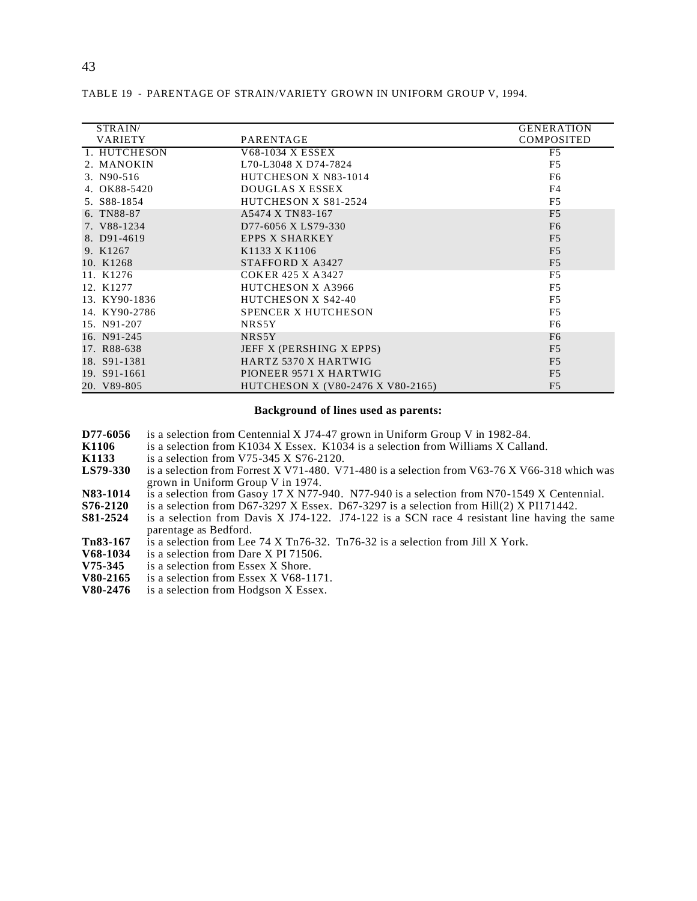| STRAIN/        |                                   | <b>GENERATION</b> |
|----------------|-----------------------------------|-------------------|
| <b>VARIETY</b> | PARENTAGE                         | <b>COMPOSITED</b> |
|                |                                   |                   |
| 1. HUTCHESON   | V68-1034 X ESSEX                  | F <sub>5</sub>    |
| 2. MANOKIN     | L70-L3048 X D74-7824              | F <sub>5</sub>    |
| 3. N90-516     | HUTCHESON X N83-1014              | F <sub>6</sub>    |
| 4. OK88-5420   | DOUGLAS X ESSEX                   | F <sub>4</sub>    |
| 5. S88-1854    | HUTCHESON X S81-2524              | F <sub>5</sub>    |
| 6. TN88-87     | A5474 X TN 83-167                 | F <sub>5</sub>    |
| 7. V88-1234    | D77-6056 X LS79-330               | F <sub>6</sub>    |
| 8. D91-4619    | <b>EPPS X SHARKEY</b>             | F <sub>5</sub>    |
| 9. K1267       | K1133 X K1106                     | F <sub>5</sub>    |
| 10. K1268      | STAFFORD X A3427                  | F <sub>5</sub>    |
| 11. K1276      | COKER 425 X A3427                 | F <sub>5</sub>    |
| 12. K1277      | <b>HUTCHESON X A3966</b>          | F <sub>5</sub>    |
| 13. KY90-1836  | HUTCHESON X S42-40                | F <sub>5</sub>    |
| 14. KY90-2786  | SPENCER X HUTCHESON               | F <sub>5</sub>    |
| 15. N91-207    | NRS5Y                             | F <sub>6</sub>    |
| 16. N91-245    | NRS5Y                             | F <sub>6</sub>    |
| 17. R88-638    | JEFF X (PERSHING X EPPS)          | F <sub>5</sub>    |
| 18. S91-1381   | HARTZ 5370 X HARTWIG              | F <sub>5</sub>    |
| 19. S91-1661   | PIONEER 9571 X HARTWIG            | F <sub>5</sub>    |
| 20. V89-805    | HUTCHESON X (V80-2476 X V80-2165) | F <sub>5</sub>    |

#### TABLE 19 - PARENTAGE OF STRAIN/VARIETY GROWN IN UNIFORM GROUP V, 1994.

#### **Background of lines used as parents:**

- **D77-6056** is a selection from Centennial X J74-47 grown in Uniform Group V in 1982-84.<br>**K1106** is a selection from K1034 X Essex. K1034 is a selection from Williams X Calla
- **K1106** is a selection from K1034 X Essex. K1034 is a selection from Williams X Calland.<br>**K1133** is a selection from V75-345 X S76-2120.
- **K1133** is a selection from V75-345 X S76-2120.<br>**LS79-330** is a selection from Forrest X V71-480. V
- **LS79-330** is a selection from Forrest X V71-480. V71-480 is a selection from V63-76 X V66-318 which was grown in Uniform Group V in 1974.
- **N83-1014** is a selection from Gasov 17 X N77-940. N77-940 is a selection from N70-1549 X Centennial.<br>**S76-2120** is a selection from D67-3297 X Essex. D67-3297 is a selection from Hill(2) X P1171442.
- **S76-2120** is a selection from D67-3297 X Essex. D67-3297 is a selection from Hill(2) X PI171442.<br>**S81-2524** is a selection from Davis X J74-122. J74-122 is a SCN race 4 resistant line having the
- **S81-2524** is a selection from Davis X J74-122. J74-122 is a SCN race 4 resistant line having the same parentage as Bedford.
- **Tn83-167** is a selection from Lee 74 X Tn76-32. Tn76-32 is a selection from Jill X York.<br>**V68-1034** is a selection from Dare X PI 71506.
- **V68-1034** is a selection from Dare X PI 71506.<br>**V75-345** is a selection from Essex X Shore.
- **V75-345** is a selection from Essex X Shore.<br>**V80-2165** is a selection from Essex X V68-1
- **V80-2165** is a selection from Essex X V68-1171.<br>**V80-2476** is a selection from Hodgson X Essex.
- is a selection from Hodgson X Essex.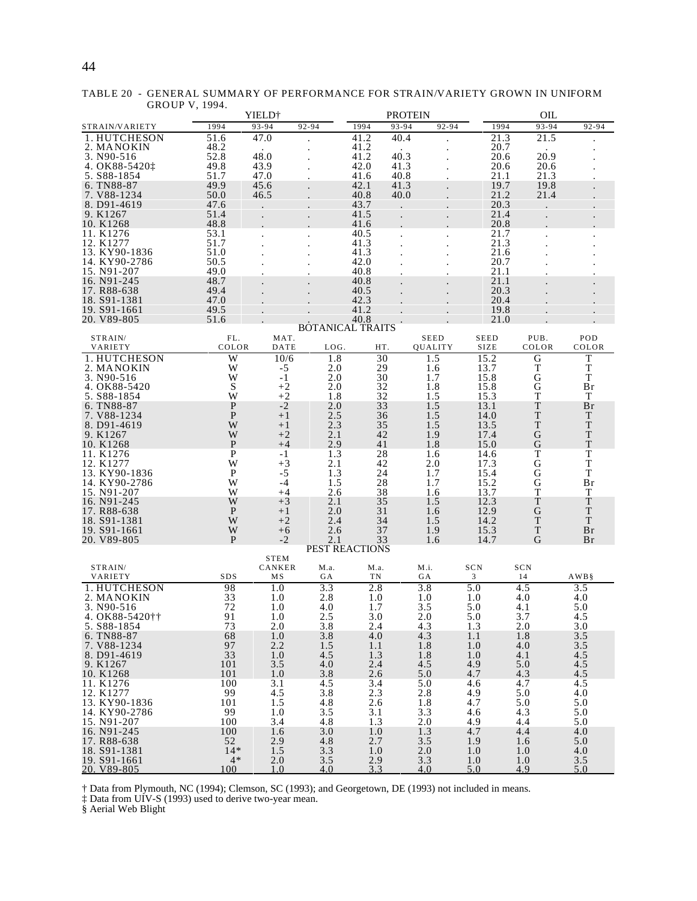# 44

|                                |              | YIELD†      |                         |              | <b>PROTEIN</b> |             |              | OIL         |                   |
|--------------------------------|--------------|-------------|-------------------------|--------------|----------------|-------------|--------------|-------------|-------------------|
| STRAIN/VARIETY                 | 1994         | 93-94       | 92-94                   | 1994         | $93 - 94$      | 92-94       | 1994         | $93 - 94$   | 92-94             |
| 1. HUTCHESON                   | 51.6         | 47.0        |                         | 41.2         | 40.4           |             | 21.3         | 21.5        |                   |
| 2. MANOKIN                     | 48.2         |             |                         | 41.2         |                |             | 20.7         |             |                   |
| 3. N90-516                     | 52.8         | 48.0        |                         | 41.2         | 40.3           |             | 20.6         | 20.9        |                   |
| 4. OK88-5420 <sup>t</sup>      | 49.8         | 43.9        |                         | 42.0         | 41.3           |             | 20.6         | 20.6        |                   |
| 5. S88-1854                    | 51.7         | 47.0        |                         | 41.6         | 40.8           |             | 21.1         | 21.3        |                   |
| 6. TN88-87                     | 49.9         | 45.6        |                         | 42.1         | 41.3           |             | 19.7         | 19.8        |                   |
| 7. V88-1234                    | 50.0         | 46.5        |                         | 40.8         | 40.0           |             | 21.2         | 21.4        |                   |
| 8. D91-4619                    | 47.6         |             |                         | 43.7         |                |             | 20.3         |             |                   |
| 9. K1267                       | 51.4         |             |                         | 41.5         |                |             | 21.4         |             |                   |
| 10. K1268                      | 48.8         |             |                         | 41.6         |                |             | 20.8         |             |                   |
| 11. K1276                      | 53.1         |             |                         | 40.5         |                |             | 21.7         |             |                   |
| 12. K1277                      | 51.7         |             |                         | 41.3         |                |             | 21.3         |             |                   |
| 13. KY90-1836<br>14. KY90-2786 | 51.0         |             |                         | 41.3         |                |             | 21.6         |             |                   |
| 15. N91-207                    | 50.5<br>49.0 |             |                         | 42.0<br>40.8 |                |             | 20.7<br>21.1 |             |                   |
| 16. N91-245                    | 48.7         |             |                         | 40.8         |                |             | 21.1         |             |                   |
| 17. R88-638                    | 49.4         |             |                         | 40.5         |                |             | 20.3         |             |                   |
| 18. S91-1381                   | 47.0         |             |                         | 42.3         |                |             | 20.4         |             |                   |
| 19. S91-1661                   | 49.5         |             |                         | 41.2         |                |             | 19.8         |             |                   |
| 20. V89-805                    | 51.6         |             |                         | 40.8         |                |             | 21.0         |             |                   |
|                                |              |             | <b>BOTANICAL TRAITS</b> |              |                |             |              |             |                   |
| STRAIN/                        | FL.          | MAT.        |                         |              |                | <b>SEED</b> | <b>SEED</b>  | PUB.        | POD               |
| VARIETY                        | COLOR        | DATE        | LOG.                    | HT.          |                | QUALITY     | <b>SIZE</b>  | COLOR       | COLOR             |
| 1. HUTCHESON                   | W            | 10/6        | 1.8                     | 30           |                | 1.5         | 15.2         | G           | T                 |
| 2. MANOKIN                     | W            | -5          | 2.0                     | 29           |                | 1.6         | 13.7         | T           | $\mathbf T$       |
| 3. N90-516                     | W            | $-1$        | 2.0                     | 30           |                | 1.7         | 15.8         | G           | $\mathbf T$       |
| 4. OK88-5420                   | S            | $^{+2}$     | 2.0                     | 32           |                | 1.8         | 15.8         | G           | Br                |
| 5. S88-1854                    | W            | $+2$        | 1.8                     | 32           |                | 1.5         | 15.3         | T           | T                 |
| 6. TN88-87                     | P            | $-2$        | 2.0                     | 33           |                | 1.5         | 13.1         | $\mathbf T$ | <b>Br</b>         |
| 7. V88-1234                    | P            | $+1$        | 2.5                     | 36           |                | 1.5         | 14.0         | T           | T                 |
| 8. D91-4619                    | W            | $+1$        | 2.3                     | 35           |                | 1.5         | 13.5         | $\mathbf T$ | T                 |
| 9. K1267                       | W            | $+2$        | 2.1                     | 42           |                | 1.9         | 17.4         | G           | T                 |
| 10. K1268                      | $\mathbf{P}$ | $+4$        | 2.9                     | 41           |                | 1.8         | 15.0         | G           | T                 |
| 11. K1276                      | $\mathbf{P}$ | $-1$        | 1.3                     | 28           |                | 1.6         | 14.6         | T           | T                 |
| 12. K1277                      | W            | $+3$        | 2.1                     | 42           |                | 2.0         | 17.3         | G           | $\mathbf T$       |
| 13. KY90-1836<br>14. KY90-2786 | P<br>W       | $-5$<br>-4  | 1.3<br>1.5              | 24<br>28     |                | 1.7<br>1.7  | 15.4<br>15.2 | G<br>G      | $\mathbf T$<br>Br |
| 15. N91-207                    | W            | $+4$        | 2.6                     | 38           |                | 1.6         | 13.7         | T           | T                 |
| 16. N91-245                    | W            | $+3$        | 2.1                     | 35           |                | 1.5         | 12.3         | $\mathbf T$ | $\mathbf T$       |
| 17. R88-638                    | P            | $+1$        | 2.0                     | 31           |                | 1.6         | 12.9         | G           | T                 |
| 18. S91-1381                   | W            | $+2$        | 2.4                     | 34           |                | 1.5         | 14.2         | $\mathbf T$ | T                 |
| 19. S91-1661                   | W            | $+6$        | 2.6                     | 37           |                | 1.9         | 15.3         | $\mathbf T$ | Br                |
| 20. V89-805                    | P            | $-2$        | 2.1                     | 33           |                | 1.6         | 14.7         | G           | Br                |
|                                |              |             | PEST REACTIONS          |              |                |             |              |             |                   |
|                                |              | <b>STEM</b> |                         |              |                |             |              |             |                   |
| STRAIN/                        |              | CANKER      | M.a.                    | M.a.         |                | M.i.        | SCN          | SCN         |                   |
| VARIETY                        | SDS          | MS          | GA                      | ΤN           |                | GА          | 3            | 14          | AWB§              |
| 1. HUTCHESON                   | 98           | 1.0         | 3.3                     | 2.8          |                | 3.8         | 5.0          | 4.5         | 3.5               |
| 2. MANOKIN                     | 33           | 1.0         | 2.8                     | 1.0          |                | 1.0         | 1.0          | 4.0         | 4.0               |
| 3. N90-516                     | 72           | 1.0         | 4.0                     | 1.7          |                | 3.5         | 5.0          | 4.1         | 5.0               |
| 4. OK88-5420††                 | 91           | 1.0         | 2.5                     | 3.0          |                | 2.0         | 5.0          | 3.7         | 4.5               |
| 5. S88-1854                    | 73<br>68     | 2.0<br>1.0  | 3.8<br>3.8              | 2.4<br>4.0   |                | 4.3<br>4.3  | 1.3<br>1.1   | 2.0<br>1.8  | 3.0               |
| 6. TN88-87<br>7. V88-1234      | 97           | 2.2         | 1.5                     | 1.1          |                | 1.8         | 1.0          | 4.0         | 3.5<br>3.5        |
| 8. D91-4619                    | 33           | 1.0         | 4.5                     | 1.3          |                | 1.8         | 1.0          | 4.1         | 4.5               |
| 9. K1267                       | 101          | 3.5         | 4.0                     | 2.4          |                | 4.5         | 4.9          | 5.0         | 4.5               |
| 10. K1268                      | 101          | 1.0         | 3.8                     | 2.6          |                | 5.0         | 4.7          | 4.3         | 4.5               |
| 11. K1276                      | 100          | 3.1         | 4.5                     | 3.4          |                | 5.0         | 4.6          | 4.7         | 4.5               |
| 12. K1277                      | 99           | 4.5         | 3.8                     | 2.3          |                | 2.8         | 4.9          | 5.0         | 4.0               |
| 13. KY90-1836                  | 101          | 1.5         | 4.8                     | 2.6          |                | 1.8         | 4.7          | 5.0         | 5.0               |
| 14. KY90-2786                  | 99           | 1.0         | 3.5                     | 3.1          |                | 3.3         | 4.6          | 4.3         | 5.0               |
| 15. N91-207                    | 100          | 3.4         | 4.8                     | 1.3          |                | 2.0         | 4.9          | 4.4         | 5.0               |
| 16. N91-245                    | 100          | 1.6         | 3.0                     | 1.0          |                | 1.3         | 4.7          | 4.4         | 4.0               |
| 17. R88-638                    | 52           | 2.9         | 4.8                     | 2.7          |                | 3.5         | 1.9          | 1.6         | 5.0               |
| 18. S91-1381                   | $14*$        | 1.5         | 3.3                     | 1.0          |                | 2.0         | 1.0          | 1.0         | 4.0               |
| 19. S91-1661                   | $4*$         | 2.0         | 3.5                     | 2.9          |                | 3.3         | 1.0          | 1.0         | 3.5               |
| 20. V89-805                    | 100          | 1.0         | 4.0                     | 3.3          |                | 4.0         | 5.0          | 4.9         | 5.0               |

TABLE 20 - GENERAL SUMMARY OF PERFORMANCE FOR STRAIN/VARIETY GROWN IN UNIFORM GROUP V, 1994.

† Data from Plymouth, NC (1994); Clemson, SC (1993); and Georgetown, DE (1993) not included in means.

‡ Data from UIV-S (1993) used to derive two-year mean.

§ Aerial Web Blight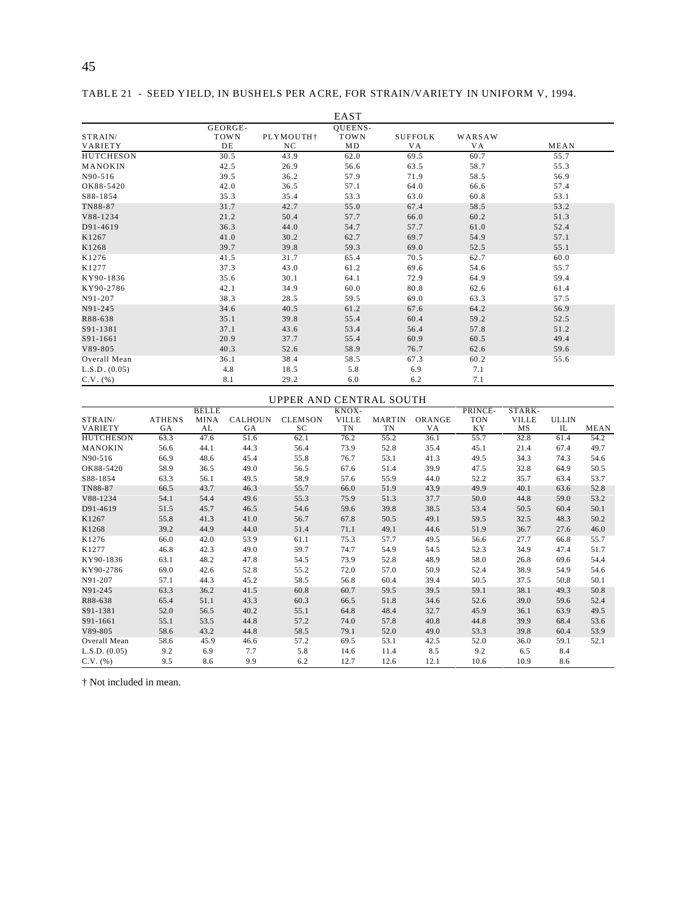TABLE 21 - SEED YIELD, IN BUSHELS PER ACRE, FOR STRAIN/VARIETY IN UNIFORM V, 1994.

|                    |                              |                              | EAST                         |                       |               |      |
|--------------------|------------------------------|------------------------------|------------------------------|-----------------------|---------------|------|
| STRAIN/<br>VARIETY | GEORGE-<br><b>TOWN</b><br>DE | PLYMOUTH <sup>+</sup><br>NC. | <b>QUEENS-</b><br>TOWN<br>MD | <b>SUFFOLK</b><br>VA. | WARSAW<br>V A | MEAN |
| <b>HUTCHESON</b>   | 30.5                         | 43.9                         | 62.0                         | 69.5                  | 60.7          | 55.7 |
| MANOKIN            | 42.5                         | 26.9                         | 56.6                         | 63.5                  | 58.7          | 55.3 |
| N90-516            | 39.5                         | 36.2                         | 57.9                         | 71.9                  | 58.5          | 56.9 |
| OK88-5420          | 42.0                         | 36.5                         | 57.1                         | 64.0                  | 66.6          | 57.4 |
| S88-1854           | 35.3                         | 35.4                         | 53.3                         | 63.0                  | 60.8          | 53.1 |
| TN88-87            | 31.7                         | 42.7                         | 55.0                         | 67.4                  | 58.5          | 53.2 |
| V88-1234           | 21.2                         | 50.4                         | 57.7                         | 66.0                  | 60.2          | 51.3 |
| D91-4619           | 36.3                         | 44.0                         | 54.7                         | 57.7                  | 61.0          | 52.4 |
| K1267              | 41.0                         | 30.2                         | 62.7                         | 69.7                  | 54.9          | 57.1 |
| K1268              | 39.7                         | 39.8                         | 59.3                         | 69.0                  | 52.5          | 55.1 |
| K1276              | 41.5                         | 31.7                         | 65.4                         | 70.5                  | 62.7          | 60.0 |
| K1277              | 37.3                         | 43.0                         | 61.2                         | 69.6                  | 54.6          | 55.7 |
| KY90-1836          | 35.6                         | 30.1                         | 64.1                         | 72.9                  | 64.9          | 59.4 |
| KY90-2786          | 42.1                         | 34.9                         | 60.0                         | 80.8                  | 62.6          | 61.4 |
| N91-207            | 38.3                         | 28.5                         | 59.5                         | 69.0                  | 63.3          | 57.5 |
| N91-245            | 34.6                         | 40.5                         | 61.2                         | 67.6                  | 64.2          | 56.9 |
| R88-638            | 35.1                         | 39.8                         | 55.4                         | 60.4                  | 59.2          | 52.5 |
| S91-1381           | 37.1                         | 43.6                         | 53.4                         | 56.4                  | 57.8          | 51.2 |
| S91-1661           | 20.9                         | 37.7                         | 55.4                         | 60.9                  | 60.5          | 49.4 |
| V89-805            | 40.3                         | 52.6                         | 58.9                         | 76.7                  | 62.6          | 59.6 |
| Overall Mean       | 36.1                         | 38.4                         | 58.5                         | 67.3                  | 60.2          | 55.6 |
| L.S.D. (0.05)      | 4.8                          | 18.5                         | 5.8                          | 6.9                   | 7.1           |      |
| $C.V.$ (%)         | 8.1                          | 29.2                         | 6.0                          | 6.2                   | 7.1           |      |

|                  | UPPER AND CENTRAL SOUTH |              |                |                |              |                   |        |            |              |              |      |
|------------------|-------------------------|--------------|----------------|----------------|--------------|-------------------|--------|------------|--------------|--------------|------|
|                  |                         | <b>BELLE</b> |                |                | KNOX-        |                   |        | PRINCE-    | STARK-       |              |      |
| STRAIN/          | <b>ATHENS</b>           | <b>MINA</b>  | <b>CALHOUN</b> | <b>CLEMSON</b> | <b>VILLE</b> | <b>MARTIN</b>     | ORANGE | <b>TON</b> | <b>VILLE</b> | <b>ULLIN</b> |      |
| VARIETY          | GA                      | AL           | GA             | SC             | TN           | TN                | VA     | <b>KY</b>  | MS           | IL           | MEAN |
| <b>HUTCHESON</b> | 63.3                    | 47.6         | 51.6           | 62.1           | 76.2         | $\overline{55.2}$ | 36.1   | 55.7       | 32.8         | 61.4         | 54.2 |
| <b>MANOKIN</b>   | 56.6                    | 44.1         | 44.3           | 56.4           | 73.9         | 52.8              | 35.4   | 45.1       | 21.4         | 67.4         | 49.7 |
| N90-516          | 66.9                    | 48.6         | 45.4           | 55.8           | 76.7         | 53.1              | 41.3   | 49.5       | 34.3         | 74.3         | 54.6 |
| OK88-5420        | 58.9                    | 36.5         | 49.0           | 56.5           | 67.6         | 51.4              | 39.9   | 47.5       | 32.8         | 64.9         | 50.5 |
| S88-1854         | 63.3                    | 56.1         | 49.5           | 58.9           | 57.6         | 55.9              | 44.0   | 52.2       | 35.7         | 63.4         | 53.7 |
| TN88-87          | 66.5                    | 43.7         | 46.3           | 55.7           | 66.0         | 51.9              | 43.9   | 49.9       | 40.1         | 63.6         | 52.8 |
| V88-1234         | 54.1                    | 54.4         | 49.6           | 55.3           | 75.9         | 51.3              | 37.7   | 50.0       | 44.8         | 59.0         | 53.2 |
| D91-4619         | 51.5                    | 45.7         | 46.5           | 54.6           | 59.6         | 39.8              | 38.5   | 53.4       | 50.5         | 60.4         | 50.1 |
| K1267            | 55.8                    | 41.3         | 41.0           | 56.7           | 67.8         | 50.5              | 49.1   | 59.5       | 32.5         | 48.3         | 50.2 |
| K1268            | 39.2                    | 44.9         | 44.0           | 51.4           | 71.1         | 49.1              | 44.6   | 51.9       | 36.7         | 27.6         | 46.0 |
| K1276            | 66.0                    | 42.0         | 53.9           | 61.1           | 75.3         | 57.7              | 49.5   | 56.6       | 27.7         | 66.8         | 55.7 |
| K1277            | 46.8                    | 42.3         | 49.0           | 59.7           | 74.7         | 54.9              | 54.5   | 52.3       | 34.9         | 47.4         | 51.7 |
| KY90-1836        | 63.1                    | 48.2         | 47.8           | 54.5           | 73.9         | 52.8              | 48.9   | 58.0       | 26.8         | 69.6         | 54.4 |
| KY90-2786        | 69.0                    | 42.6         | 52.8           | 55.2           | 72.0         | 57.0              | 50.9   | 52.4       | 38.9         | 54.9         | 54.6 |
| N91-207          | 57.1                    | 44.3         | 45.2           | 58.5           | 56.8         | 60.4              | 39.4   | 50.5       | 37.5         | 50.8         | 50.1 |
| N91-245          | 63.3                    | 36.2         | 41.5           | 60.8           | 60.7         | 59.5              | 39.5   | 59.1       | 38.1         | 49.3         | 50.8 |
| R88-638          | 65.4                    | 51.1         | 43.3           | 60.3           | 66.5         | 51.8              | 34.6   | 52.6       | 39.0         | 59.6         | 52.4 |
| S91-1381         | 52.0                    | 56.5         | 40.2           | 55.1           | 64.8         | 48.4              | 32.7   | 45.9       | 36.1         | 63.9         | 49.5 |
| S91-1661         | 55.1                    | 53.5         | 44.8           | 57.2           | 74.0         | 57.8              | 40.8   | 44.8       | 39.9         | 68.4         | 53.6 |
| V89-805          | 58.6                    | 43.2         | 44.8           | 58.5           | 79.1         | 52.0              | 49.0   | 53.3       | 39.8         | 60.4         | 53.9 |
| Overall Mean     | 58.6                    | 45.9         | 46.6           | 57.2           | 69.5         | 53.1              | 42.5   | 52.0       | 36.0         | 59.1         | 52.1 |
| L.S.D. (0.05)    | 9.2                     | 6.9          | 7.7            | 5.8            | 14.6         | 11.4              | 8.5    | 9.2        | 6.5          | 8.4          |      |
| $C.V.$ $(\% )$   | 9.5                     | 8.6          | 9.9            | 6.2            | 12.7         | 12.6              | 12.1   | 10.6       | 10.9         | 8.6          |      |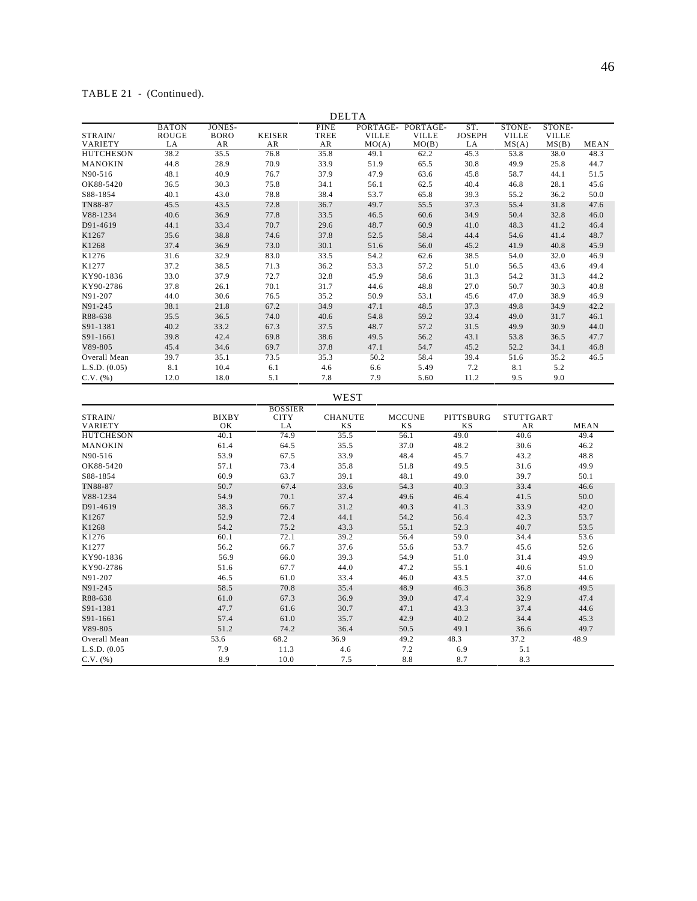# TABLE 21 - (Continued).

|                    |                                    |                                    |                                     | <b>DELTA</b>                     |                       |                                            |                            |                                 |                                 |      |
|--------------------|------------------------------------|------------------------------------|-------------------------------------|----------------------------------|-----------------------|--------------------------------------------|----------------------------|---------------------------------|---------------------------------|------|
| STRAIN/<br>VARIETY | <b>BATON</b><br><b>ROUGE</b><br>LA | <b>JONES-</b><br><b>BORO</b><br>AR | <b>KEISER</b><br>AR                 | <b>PINE</b><br><b>TREE</b><br>AR | <b>VILLE</b><br>MO(A) | PORTAGE- PORTAGE-<br><b>VILLE</b><br>MO(B) | ST.<br><b>JOSEPH</b><br>LA | STONE-<br><b>VILLE</b><br>MS(A) | STONE-<br><b>VILLE</b><br>MS(B) | MEAN |
| <b>HUTCHESON</b>   | 38.2                               | 35.5                               | 76.8                                | 35.8                             | 49.1                  | 62.2                                       | 45.3                       | 53.8                            | 38.0                            | 48.3 |
| MANOKIN            | 44.8                               | 28.9                               | 70.9                                | 33.9                             | 51.9                  | 65.5                                       | 30.8                       | 49.9                            | 25.8                            | 44.7 |
| N90-516            | 48.1                               | 40.9                               | 76.7                                | 37.9                             | 47.9                  | 63.6                                       | 45.8                       | 58.7                            | 44.1                            | 51.5 |
| OK88-5420          | 36.5                               | 30.3                               | 75.8                                | 34.1                             | 56.1                  | 62.5                                       | 40.4                       | 46.8                            | 28.1                            | 45.6 |
| S88-1854           | 40.1                               | 43.0                               | 78.8                                | 38.4                             | 53.7                  | 65.8                                       | 39.3                       | 55.2                            | 36.2                            | 50.0 |
| TN88-87            | 45.5                               | 43.5                               | 72.8                                | 36.7                             | 49.7                  | 55.5                                       | 37.3                       | 55.4                            | 31.8                            | 47.6 |
| V88-1234           | 40.6                               | 36.9                               | 77.8                                | 33.5                             | 46.5                  | 60.6                                       | 34.9                       | 50.4                            | 32.8                            | 46.0 |
| D91-4619           | 44.1                               | 33.4                               | 70.7                                | 29.6                             | 48.7                  | 60.9                                       | 41.0                       | 48.3                            | 41.2                            | 46.4 |
| K1267              | 35.6                               | 38.8                               | 74.6                                | 37.8                             | 52.5                  | 58.4                                       | 44.4                       | 54.6                            | 41.4                            | 48.7 |
| K1268              | 37.4                               | 36.9                               | 73.0                                | 30.1                             | 51.6                  | 56.0                                       | 45.2                       | 41.9                            | 40.8                            | 45.9 |
| K1276              | 31.6                               | 32.9                               | 83.0                                | 33.5                             | 54.2                  | 62.6                                       | 38.5                       | 54.0                            | 32.0                            | 46.9 |
| K1277              | 37.2                               | 38.5                               | 71.3                                | 36.2                             | 53.3                  | 57.2                                       | 51.0                       | 56.5                            | 43.6                            | 49.4 |
| KY90-1836          | 33.0                               | 37.9                               | 72.7                                | 32.8                             | 45.9                  | 58.6                                       | 31.3                       | 54.2                            | 31.3                            | 44.2 |
| KY90-2786          | 37.8                               | 26.1                               | 70.1                                | 31.7                             | 44.6                  | 48.8                                       | 27.0                       | 50.7                            | 30.3                            | 40.8 |
| N91-207            | 44.0                               | 30.6                               | 76.5                                | 35.2                             | 50.9                  | 53.1                                       | 45.6                       | 47.0                            | 38.9                            | 46.9 |
| N91-245            | 38.1                               | 21.8                               | 67.2                                | 34.9                             | 47.1                  | 48.5                                       | 37.3                       | 49.8                            | 34.9                            | 42.2 |
| R88-638            | 35.5                               | 36.5                               | 74.0                                | 40.6                             | 54.8                  | 59.2                                       | 33.4                       | 49.0                            | 31.7                            | 46.1 |
| S91-1381           | 40.2                               | 33.2                               | 67.3                                | 37.5                             | 48.7                  | 57.2                                       | 31.5                       | 49.9                            | 30.9                            | 44.0 |
| S91-1661           | 39.8                               | 42.4                               | 69.8                                | 38.6                             | 49.5                  | 56.2                                       | 43.1                       | 53.8                            | 36.5                            | 47.7 |
| V89-805            | 45.4                               | 34.6                               | 69.7                                | 37.8                             | 47.1                  | 54.7                                       | 45.2                       | 52.2                            | 34.1                            | 46.8 |
| Overall Mean       | 39.7                               | 35.1                               | 73.5                                | 35.3                             | 50.2                  | 58.4                                       | 39.4                       | 51.6                            | 35.2                            | 46.5 |
| L.S.D. (0.05)      | 8.1                                | 10.4                               | 6.1                                 | 4.6                              | 6.6                   | 5.49                                       | 7.2                        | 8.1                             | 5.2                             |      |
| $C.V.$ $(\%)$      | 12.0                               | 18.0                               | 5.1                                 | 7.8                              | 7.9                   | 5.60                                       | 11.2                       | 9.5                             | 9.0                             |      |
|                    |                                    |                                    |                                     | WEST                             |                       |                                            |                            |                                 |                                 |      |
| STRAIN/<br>VARIETY |                                    | <b>BIXBY</b><br>OK                 | <b>BOSSIER</b><br><b>CITY</b><br>LA | <b>CHANUTE</b><br>ΚS             |                       | <b>MCCUNE</b><br>ΚS                        | PITTSBURG<br>ΚS            | <b>STUTTGART</b><br>AR          |                                 | MEAN |
| <b>HUTCHESON</b>   |                                    | 40.1                               | 74.9                                | 35.5                             |                       | 56.1                                       | 49.0                       | 40.6                            |                                 | 49.4 |
| MANOKIN            |                                    | 61.4                               | 64.5                                | 35.5                             |                       | 37.0                                       | 48.2                       | 30.6                            |                                 | 46.2 |
| N90-516            |                                    | 53.9                               | 67.5                                | 33.9                             |                       | 48.4                                       | 45.7                       | 43.2                            |                                 | 48.8 |
| OK88-5420          |                                    | 57.1                               | 73.4                                | 35.8                             |                       | 51.8                                       | 49.5                       | 31.6                            |                                 | 49.9 |
| S88-1854           |                                    | 60.9                               | 63.7                                | 39.1                             |                       | 48.1                                       | 49.0                       | 39.7                            |                                 | 50.1 |
| TN88-87            |                                    | 50.7                               | 67.4                                | 33.6                             |                       | 54.3                                       | 40.3                       | 33.4                            |                                 | 46.6 |
| V88-1234           |                                    | 54.9                               | 70.1                                | 37.4                             |                       | 49.6                                       | 46.4                       | 41.5                            |                                 | 50.0 |
| D91-4619           |                                    | 38.3                               | 66.7                                | 31.2                             |                       | 40.3                                       | 41.3                       | 33.9                            |                                 | 42.0 |
| K1267              |                                    | 52.9                               | 72.4                                | 44.1                             |                       | 54.2                                       | 56.4                       | 42.3                            |                                 | 53.7 |
| K1268              |                                    | 54.2                               | 75.2                                | 43.3                             |                       | 55.1                                       | 52.3                       | 40.7                            |                                 | 53.5 |
| K1276              |                                    | 60.1                               | 72.1                                | 39.2                             |                       | 56.4                                       | 59.0                       | 34.4                            |                                 | 53.6 |
| K1277              |                                    | 56.2                               | 66.7                                | 37.6                             |                       | 55.6                                       | 53.7                       | 45.6                            |                                 | 52.6 |
| KY90-1836          |                                    | 56.9                               | 66.0                                | 39.3                             |                       | 54.9                                       | 51.0                       | 31.4                            |                                 | 49.9 |
| KY90-2786          |                                    | 51.6                               | 67.7                                | 44.0                             |                       | 47.2                                       | 55.1                       | 40.6                            |                                 | 51.0 |
| N91-207            |                                    | 46.5                               | 61.0                                | 33.4                             |                       | 46.0                                       | 43.5                       | 37.0                            |                                 | 44.6 |
| N91-245            |                                    | 58.5                               | 70.8                                | 35.4                             |                       | 48.9                                       | 46.3                       | 36.8                            |                                 | 49.5 |
| R88-638            |                                    | 61.0                               | 67.3                                | 36.9                             |                       | 39.0                                       | 47.4                       | 32.9                            |                                 | 47.4 |
| S91-1381           |                                    | 47.7                               | 61.6                                | 30.7                             |                       | 47.1                                       | 43.3                       | 37.4                            |                                 | 44.6 |
| S91-1661           |                                    | 57.4                               | 61.0                                | 35.7                             |                       | 42.9                                       | 40.2                       | 34.4                            |                                 | 45.3 |
| V89-805            |                                    | 51.2                               | 74.2                                | 36.4                             |                       | 50.5                                       | 49.1                       | 36.6                            |                                 | 49.7 |
| Overall Mean       |                                    | 53.6                               | 68.2                                | 36.9                             |                       | 49.2                                       | 48.3                       | 37.2                            |                                 | 48.9 |
| L.S.D. (0.05)      |                                    | 7.9                                | 11.3                                | 4.6                              |                       | 7.2                                        | 6.9                        | 5.1                             |                                 |      |

C.V. (%) 8.9 10.0 7.5 8.8 8.7 8.3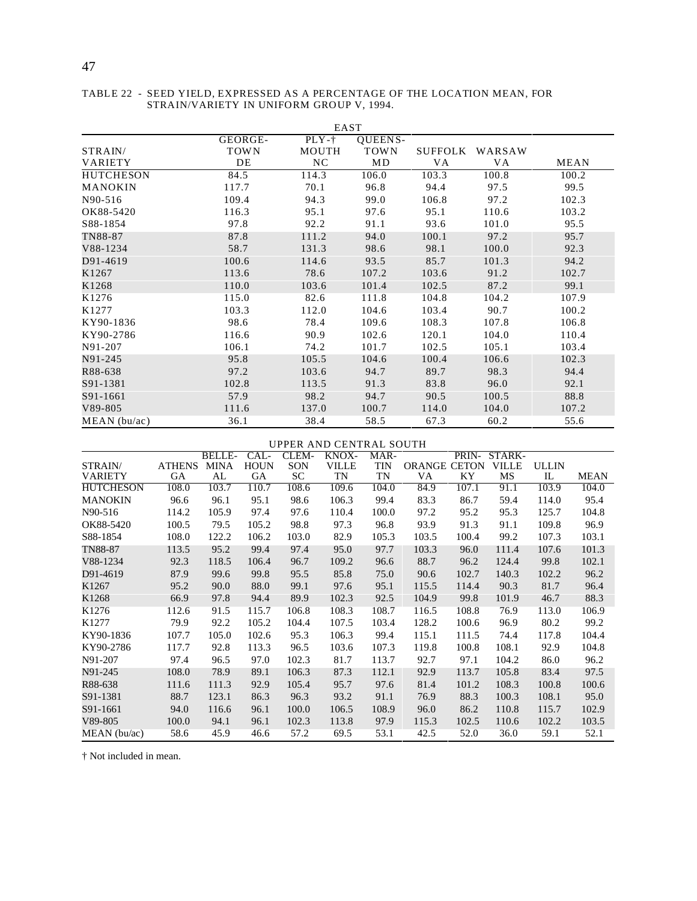| EAST             |             |                |             |         |        |       |  |  |  |  |  |
|------------------|-------------|----------------|-------------|---------|--------|-------|--|--|--|--|--|
|                  | GEORGE-     | $PLY-t$        | QUEENS-     |         |        |       |  |  |  |  |  |
| STRAIN/          | <b>TOWN</b> | MOUTH          | <b>TOWN</b> | SUFFOLK | WARSAW |       |  |  |  |  |  |
| <b>VARIETY</b>   | DE          | N <sub>C</sub> | MD          | VA.     | VA     | MEAN  |  |  |  |  |  |
| <b>HUTCHESON</b> | 84.5        | 114.3          | 106.0       | 103.3   | 100.8  | 100.2 |  |  |  |  |  |
| MANOKIN          | 117.7       | 70.1           | 96.8        | 94.4    | 97.5   | 99.5  |  |  |  |  |  |
| N90-516          | 109.4       | 94.3           | 99.0        | 106.8   | 97.2   | 102.3 |  |  |  |  |  |
| OK88-5420        | 116.3       | 95.1           | 97.6        | 95.1    | 110.6  | 103.2 |  |  |  |  |  |
| S88-1854         | 97.8        | 92.2           | 91.1        | 93.6    | 101.0  | 95.5  |  |  |  |  |  |
| TN88-87          | 87.8        | 111.2          | 94.0        | 100.1   | 97.2   | 95.7  |  |  |  |  |  |
| V88-1234         | 58.7        | 131.3          | 98.6        | 98.1    | 100.0  | 92.3  |  |  |  |  |  |
| D91-4619         | 100.6       | 114.6          | 93.5        | 85.7    | 101.3  | 94.2  |  |  |  |  |  |
| K1267            | 113.6       | 78.6           | 107.2       | 103.6   | 91.2   | 102.7 |  |  |  |  |  |
| K1268            | 110.0       | 103.6          | 101.4       | 102.5   | 87.2   | 99.1  |  |  |  |  |  |
| K1276            | 115.0       | 82.6           | 111.8       | 104.8   | 104.2  | 107.9 |  |  |  |  |  |
| K1277            | 103.3       | 112.0          | 104.6       | 103.4   | 90.7   | 100.2 |  |  |  |  |  |
| KY90-1836        | 98.6        | 78.4           | 109.6       | 108.3   | 107.8  | 106.8 |  |  |  |  |  |
| KY90-2786        | 116.6       | 90.9           | 102.6       | 120.1   | 104.0  | 110.4 |  |  |  |  |  |
| N91-207          | 106.1       | 74.2           | 101.7       | 102.5   | 105.1  | 103.4 |  |  |  |  |  |
| N91-245          | 95.8        | 105.5          | 104.6       | 100.4   | 106.6  | 102.3 |  |  |  |  |  |
| R88-638          | 97.2        | 103.6          | 94.7        | 89.7    | 98.3   | 94.4  |  |  |  |  |  |
| S91-1381         | 102.8       | 113.5          | 91.3        | 83.8    | 96.0   | 92.1  |  |  |  |  |  |
| S91-1661         | 57.9        | 98.2           | 94.7        | 90.5    | 100.5  | 88.8  |  |  |  |  |  |
| V89-805          | 111.6       | 137.0          | 100.7       | 114.0   | 104.0  | 107.2 |  |  |  |  |  |
| MEAN(bu/ac)      | 36.1        | 38.4           | 58.5        | 67.3    | 60.2   | 55.6  |  |  |  |  |  |

TABLE 22 - SEED YIELD, EXPRESSED AS A PERCENTAGE OF THE LOCATION MEAN, FOR STRAIN/VARIETY IN UNIFORM GROUP V, 1994.

#### UPPER AND CENTRAL SOUTH

|                   |               | <b>BELLE-</b> | CAL-        | CLEM- | KNOX-        | MAR-       |                     | PRIN- | STARK-       |              |             |
|-------------------|---------------|---------------|-------------|-------|--------------|------------|---------------------|-------|--------------|--------------|-------------|
| STRAIN/           | <b>ATHENS</b> | <b>MINA</b>   | <b>HOUN</b> | SON   | <b>VILLE</b> | <b>TIN</b> | <b>ORANGE CETON</b> |       | <b>VILLE</b> | <b>ULLIN</b> |             |
| <b>VARIETY</b>    | GA            | AL            | GA.         | SC    | TN           | TN         | VA                  | KY    | MS           | IL           | <b>MEAN</b> |
| <b>HUTCHESON</b>  | 108.0         | 103.7         | 110.7       | 108.6 | 109.6        | 104.0      | 84.9                | 107.1 | 91.1         | 103.9        | 104.0       |
| <b>MANOKIN</b>    | 96.6          | 96.1          | 95.1        | 98.6  | 106.3        | 99.4       | 83.3                | 86.7  | 59.4         | 114.0        | 95.4        |
| N90-516           | 114.2         | 105.9         | 97.4        | 97.6  | 110.4        | 100.0      | 97.2                | 95.2  | 95.3         | 125.7        | 104.8       |
| OK88-5420         | 100.5         | 79.5          | 105.2       | 98.8  | 97.3         | 96.8       | 93.9                | 91.3  | 91.1         | 109.8        | 96.9        |
| S88-1854          | 108.0         | 122.2         | 106.2       | 103.0 | 82.9         | 105.3      | 103.5               | 100.4 | 99.2         | 107.3        | 103.1       |
| <b>TN88-87</b>    | 113.5         | 95.2          | 99.4        | 97.4  | 95.0         | 97.7       | 103.3               | 96.0  | 111.4        | 107.6        | 101.3       |
| V88-1234          | 92.3          | 118.5         | 106.4       | 96.7  | 109.2        | 96.6       | 88.7                | 96.2  | 124.4        | 99.8         | 102.1       |
| D91-4619          | 87.9          | 99.6          | 99.8        | 95.5  | 85.8         | 75.0       | 90.6                | 102.7 | 140.3        | 102.2        | 96.2        |
| K1267             | 95.2          | 90.0          | 88.0        | 99.1  | 97.6         | 95.1       | 115.5               | 114.4 | 90.3         | 81.7         | 96.4        |
| K1268             | 66.9          | 97.8          | 94.4        | 89.9  | 102.3        | 92.5       | 104.9               | 99.8  | 101.9        | 46.7         | 88.3        |
| K1276             | 112.6         | 91.5          | 115.7       | 106.8 | 108.3        | 108.7      | 116.5               | 108.8 | 76.9         | 113.0        | 106.9       |
| K <sub>1277</sub> | 79.9          | 92.2          | 105.2       | 104.4 | 107.5        | 103.4      | 128.2               | 100.6 | 96.9         | 80.2         | 99.2        |
| KY90-1836         | 107.7         | 105.0         | 102.6       | 95.3  | 106.3        | 99.4       | 115.1               | 111.5 | 74.4         | 117.8        | 104.4       |
| KY90-2786         | 117.7         | 92.8          | 113.3       | 96.5  | 103.6        | 107.3      | 119.8               | 100.8 | 108.1        | 92.9         | 104.8       |
| N91-207           | 97.4          | 96.5          | 97.0        | 102.3 | 81.7         | 113.7      | 92.7                | 97.1  | 104.2        | 86.0         | 96.2        |
| N91-245           | 108.0         | 78.9          | 89.1        | 106.3 | 87.3         | 112.1      | 92.9                | 113.7 | 105.8        | 83.4         | 97.5        |
| R88-638           | 111.6         | 111.3         | 92.9        | 105.4 | 95.7         | 97.6       | 81.4                | 101.2 | 108.3        | 100.8        | 100.6       |
| S91-1381          | 88.7          | 123.1         | 86.3        | 96.3  | 93.2         | 91.1       | 76.9                | 88.3  | 100.3        | 108.1        | 95.0        |
| S91-1661          | 94.0          | 116.6         | 96.1        | 100.0 | 106.5        | 108.9      | 96.0                | 86.2  | 110.8        | 115.7        | 102.9       |
| V89-805           | 100.0         | 94.1          | 96.1        | 102.3 | 113.8        | 97.9       | 115.3               | 102.5 | 110.6        | 102.2        | 103.5       |
| $MEAN$ (bu/ac)    | 58.6          | 45.9          | 46.6        | 57.2  | 69.5         | 53.1       | 42.5                | 52.0  | 36.0         | 59.1         | 52.1        |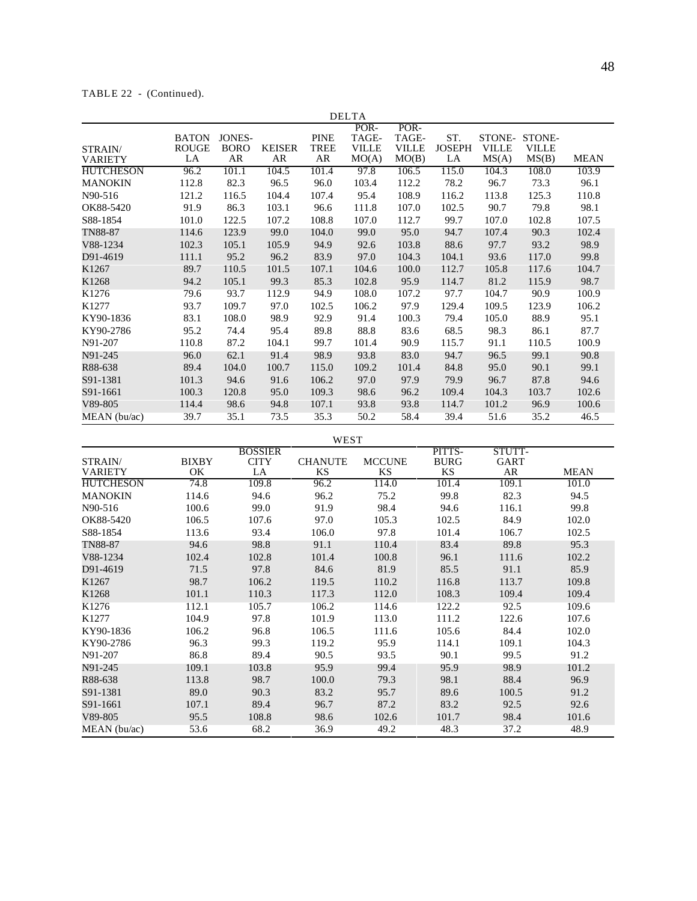# TABLE 22 - (Continued).

|                  |              |               |               |             | <b>DELTA</b> |              |               |              |              |             |
|------------------|--------------|---------------|---------------|-------------|--------------|--------------|---------------|--------------|--------------|-------------|
|                  |              |               |               |             | POR-         | POR-         |               |              |              |             |
|                  | <b>BATON</b> | <b>JONES-</b> |               | <b>PINE</b> | TAGE-        | TAGE-        | ST.           | STONE-       | STONE-       |             |
| STRAIN/          | <b>ROUGE</b> | <b>BORO</b>   | <b>KEISER</b> | TREE        | <b>VILLE</b> | <b>VILLE</b> | <b>JOSEPH</b> | <b>VILLE</b> | <b>VILLE</b> |             |
| <b>VARIETY</b>   | LA           | AR            | AR            | AR          | MO(A)        | MO(B)        | LA            | MS(A)        | MS(B)        | <b>MEAN</b> |
| <b>HUTCHESON</b> | 96.2         | 101.1         | 104.5         | 101.4       | 97.8         | 106.5        | 115.0         | 104.3        | 108.0        | 103.9       |
| <b>MANOKIN</b>   | 112.8        | 82.3          | 96.5          | 96.0        | 103.4        | 112.2        | 78.2          | 96.7         | 73.3         | 96.1        |
| N90-516          | 121.2        | 116.5         | 104.4         | 107.4       | 95.4         | 108.9        | 116.2         | 113.8        | 125.3        | 110.8       |
| OK88-5420        | 91.9         | 86.3          | 103.1         | 96.6        | 111.8        | 107.0        | 102.5         | 90.7         | 79.8         | 98.1        |
| S88-1854         | 101.0        | 122.5         | 107.2         | 108.8       | 107.0        | 112.7        | 99.7          | 107.0        | 102.8        | 107.5       |
| <b>TN88-87</b>   | 114.6        | 123.9         | 99.0          | 104.0       | 99.0         | 95.0         | 94.7          | 107.4        | 90.3         | 102.4       |
| V88-1234         | 102.3        | 105.1         | 105.9         | 94.9        | 92.6         | 103.8        | 88.6          | 97.7         | 93.2         | 98.9        |
| D91-4619         | 111.1        | 95.2          | 96.2          | 83.9        | 97.0         | 104.3        | 104.1         | 93.6         | 117.0        | 99.8        |
| K1267            | 89.7         | 110.5         | 101.5         | 107.1       | 104.6        | 100.0        | 112.7         | 105.8        | 117.6        | 104.7       |
| K1268            | 94.2         | 105.1         | 99.3          | 85.3        | 102.8        | 95.9         | 114.7         | 81.2         | 115.9        | 98.7        |
| K1276            | 79.6         | 93.7          | 112.9         | 94.9        | 108.0        | 107.2        | 97.7          | 104.7        | 90.9         | 100.9       |
| K1277            | 93.7         | 109.7         | 97.0          | 102.5       | 106.2        | 97.9         | 129.4         | 109.5        | 123.9        | 106.2       |
| KY90-1836        | 83.1         | 108.0         | 98.9          | 92.9        | 91.4         | 100.3        | 79.4          | 105.0        | 88.9         | 95.1        |
| KY90-2786        | 95.2         | 74.4          | 95.4          | 89.8        | 88.8         | 83.6         | 68.5          | 98.3         | 86.1         | 87.7        |
| N91-207          | 110.8        | 87.2          | 104.1         | 99.7        | 101.4        | 90.9         | 115.7         | 91.1         | 110.5        | 100.9       |
| N91-245          | 96.0         | 62.1          | 91.4          | 98.9        | 93.8         | 83.0         | 94.7          | 96.5         | 99.1         | 90.8        |
| R88-638          | 89.4         | 104.0         | 100.7         | 115.0       | 109.2        | 101.4        | 84.8          | 95.0         | 90.1         | 99.1        |
| S91-1381         | 101.3        | 94.6          | 91.6          | 106.2       | 97.0         | 97.9         | 79.9          | 96.7         | 87.8         | 94.6        |
| S91-1661         | 100.3        | 120.8         | 95.0          | 109.3       | 98.6         | 96.2         | 109.4         | 104.3        | 103.7        | 102.6       |
| V89-805          | 114.4        | 98.6          | 94.8          | 107.1       | 93.8         | 93.8         | 114.7         | 101.2        | 96.9         | 100.6       |
| MEAN (bu/ac)     | 39.7         | 35.1          | 73.5          | 35.3        | 50.2         | 58.4         | 39.4          | 51.6         | 35.2         | 46.5        |

WEST

|                  |              | <b>BOSSIER</b> |                |               | PITTS-      | STUTT- |             |
|------------------|--------------|----------------|----------------|---------------|-------------|--------|-------------|
| STRAIN/          | <b>BIXBY</b> | <b>CITY</b>    | <b>CHANUTE</b> | <b>MCCUNE</b> | <b>BURG</b> | GART   |             |
| <b>VARIETY</b>   | OK.          | LA             | KS             | KS            | KS          | AR.    | <b>MEAN</b> |
| <b>HUTCHESON</b> | 74.8         | 109.8          | 96.2           | 114.0         | 101.4       | 109.1  | 101.0       |
| <b>MANOKIN</b>   | 114.6        | 94.6           | 96.2           | 75.2          | 99.8        | 82.3   | 94.5        |
| N90-516          | 100.6        | 99.0           | 91.9           | 98.4          | 94.6        | 116.1  | 99.8        |
| OK88-5420        | 106.5        | 107.6          | 97.0           | 105.3         | 102.5       | 84.9   | 102.0       |
| S88-1854         | 113.6        | 93.4           | 106.0          | 97.8          | 101.4       | 106.7  | 102.5       |
| <b>TN88-87</b>   | 94.6         | 98.8           | 91.1           | 110.4         | 83.4        | 89.8   | 95.3        |
| V88-1234         | 102.4        | 102.8          | 101.4          | 100.8         | 96.1        | 111.6  | 102.2       |
| D91-4619         | 71.5         | 97.8           | 84.6           | 81.9          | 85.5        | 91.1   | 85.9        |
| K1267            | 98.7         | 106.2          | 119.5          | 110.2         | 116.8       | 113.7  | 109.8       |
| K1268            | 101.1        | 110.3          | 117.3          | 112.0         | 108.3       | 109.4  | 109.4       |
| K1276            | 112.1        | 105.7          | 106.2          | 114.6         | 122.2       | 92.5   | 109.6       |
| K1277            | 104.9        | 97.8           | 101.9          | 113.0         | 111.2       | 122.6  | 107.6       |
| KY90-1836        | 106.2        | 96.8           | 106.5          | 111.6         | 105.6       | 84.4   | 102.0       |
| KY90-2786        | 96.3         | 99.3           | 119.2          | 95.9          | 114.1       | 109.1  | 104.3       |
| N91-207          | 86.8         | 89.4           | 90.5           | 93.5          | 90.1        | 99.5   | 91.2        |
| N91-245          | 109.1        | 103.8          | 95.9           | 99.4          | 95.9        | 98.9   | 101.2       |
| R88-638          | 113.8        | 98.7           | 100.0          | 79.3          | 98.1        | 88.4   | 96.9        |
| S91-1381         | 89.0         | 90.3           | 83.2           | 95.7          | 89.6        | 100.5  | 91.2        |
| S91-1661         | 107.1        | 89.4           | 96.7           | 87.2          | 83.2        | 92.5   | 92.6        |
| V89-805          | 95.5         | 108.8          | 98.6           | 102.6         | 101.7       | 98.4   | 101.6       |
| MEAN (bu/ac)     | 53.6         | 68.2           | 36.9           | 49.2          | 48.3        | 37.2   | 48.9        |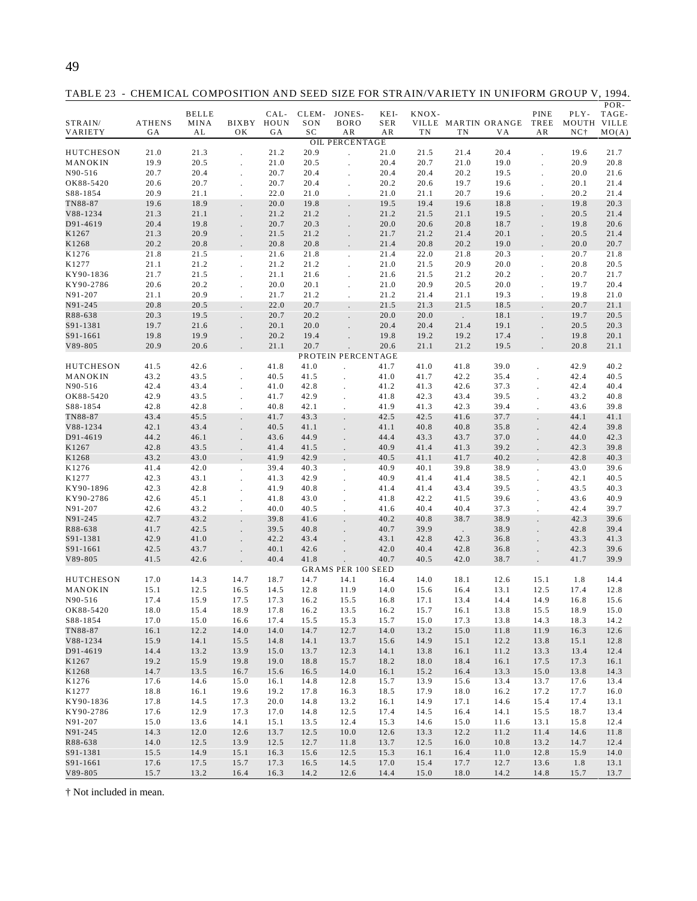TABLE 23 - CHEM ICAL COMPOSITION AND SEED SIZE FOR STRAIN/VARIETY IN UNIFORM GROUP V, 1994.

| STRAIN/<br>VARIETY     | ATHENS<br>GA | <b>BELLE</b><br>MINA<br>AL | BIXBY<br>OK          | CAL-<br>HOUN<br>GА | CLEM-<br>SON<br>SC | JONES-<br><b>BORO</b><br>ΑR   | KEI-<br>SER<br>AR | KNOX-<br>TN  | TN           | VILLE MARTIN ORANGE<br>VA | PINE<br>TREE<br>AR   | PLY-<br>MOUTH VILLE<br>NC <sub>1</sub> | POR-<br>TAGE-<br>MO(A) |
|------------------------|--------------|----------------------------|----------------------|--------------------|--------------------|-------------------------------|-------------------|--------------|--------------|---------------------------|----------------------|----------------------------------------|------------------------|
|                        |              |                            |                      |                    |                    | <b>OIL PERCENTAGE</b>         |                   |              |              |                           |                      |                                        |                        |
| <b>HUTCHESON</b>       | 21.0         | 21.3                       |                      | 21.2               | 20.9               |                               | 21.0              | 21.5         | 21.4         | 20.4                      |                      | 19.6                                   | 21.7                   |
| MANOKIN                | 19.9         | 20.5                       |                      | 21.0               | 20.5               |                               | 20.4              | 20.7         | 21.0         | 19.0                      |                      | 20.9                                   | 20.8                   |
| N90-516<br>OK88-5420   | 20.7<br>20.6 | 20.4<br>20.7               | $\ddot{\phantom{0}}$ | 20.7<br>20.7       | 20.4<br>20.4       |                               | 20.4<br>20.2      | 20.4<br>20.6 | 20.2<br>19.7 | 19.5<br>19.6              |                      | 20.0<br>20.1                           | 21.6<br>21.4           |
| S88-1854               | 20.9         | 21.1                       | $\ddot{\phantom{0}}$ | 22.0               | 21.0               |                               | 21.0              | 21.1         | 20.7         | 19.6                      |                      | 20.2                                   | 21.4                   |
| TN88-87                | 19.6         | 18.9                       |                      | 20.0               | 19.8               |                               | 19.5              | 19.4         | 19.6         | 18.8                      |                      | 19.8                                   | 20.3                   |
| V88-1234               | 21.3         | 21.1                       | $\ddot{\phantom{a}}$ | 21.2               | 21.2               |                               | 21.2              | 21.5         | 21.1         | 19.5                      |                      | 20.5                                   | 21.4                   |
| D91-4619               | 20.4         | 19.8                       |                      | 20.7               | 20.3               |                               | 20.0              | 20.6         | 20.8         | 18.7                      |                      | 19.8                                   | 20.6                   |
| K1267                  | 21.3         | 20.9                       | $\ddot{\phantom{a}}$ | 21.5               | 21.2               |                               | 21.7              | 21.2         | 21.4         | 20.1                      |                      | 20.5                                   | 21.4                   |
| K1268                  | 20.2         | 20.8                       |                      | 20.8               | 20.8               |                               | 21.4              | 20.8         | 20.2         | 19.0                      |                      | 20.0                                   | 20.7                   |
| K1276                  | 21.8         | 21.5                       | $\blacksquare$       | 21.6               | 21.8               | $\ddot{\phantom{0}}$          | 21.4              | 22.0         | 21.8         | 20.3                      | ÷.                   | 20.7                                   | 21.8                   |
| K1277                  | 21.1         | 21.2                       | ÷.                   | 21.2               | 21.2               |                               | 21.0              | 21.5<br>21.5 | 20.9<br>21.2 | 20.0                      |                      | 20.8                                   | 20.5<br>21.7           |
| KY90-1836<br>KY90-2786 | 21.7<br>20.6 | 21.5<br>20.2               | $\ddot{\phantom{0}}$ | 21.1<br>20.0       | 21.6<br>20.1       |                               | 21.6<br>21.0      | 20.9         | 20.5         | 20.2<br>20.0              |                      | 20.7<br>19.7                           | 20.4                   |
| N91-207                | 21.1         | 20.9                       | $\Box$               | 21.7               | 21.2               | $\cdot$                       | 21.2              | 21.4         | 21.1         | 19.3                      | $\ddot{\phantom{a}}$ | 19.8                                   | 21.0                   |
| N91-245                | 20.8         | 20.5                       |                      | 22.0               | 20.7               |                               | 21.5              | 21.3         | 21.5         | 18.5                      |                      | 20.7                                   | 21.1                   |
| R88-638                | 20.3         | 19.5                       | $\mathbf{r}$         | 20.7               | 20.2               |                               | 20.0              | 20.0         | $\sim$       | 18.1                      | $\mathbf{r}$         | 19.7                                   | 20.5                   |
| S91-1381               | 19.7         | 21.6                       |                      | 20.1               | 20.0               |                               | 20.4              | 20.4         | 21.4         | 19.1                      |                      | 20.5                                   | 20.3                   |
| S91-1661               | 19.8         | 19.9                       | $\ddot{\phantom{a}}$ | 20.2               | 19.4               |                               | 19.8              | 19.2         | 19.2         | 17.4                      |                      | 19.8                                   | 20.1                   |
| V89-805                | 20.9         | 20.6                       |                      | 21.1               | 20.7               |                               | 20.6              | 21.1         | 21.2         | 19.5                      |                      | 20.8                                   | 21.1                   |
| <b>HUTCHESON</b>       | 41.5         | 42.6                       | ÷.                   | 41.8               | 41.0               | PROTEIN PERCENTAGE<br>$\cdot$ | 41.7              | 41.0         | 41.8         | 39.0                      |                      | 42.9                                   | 40.2                   |
| MANOKIN                | 43.2         | 43.5                       | $\ddot{\phantom{0}}$ | 40.5               | 41.5               | $\cdot$                       | 41.0              | 41.7         | 42.2         | 35.4                      | $\ddot{\phantom{a}}$ | 42.4                                   | 40.5                   |
| N90-516                | 42.4         | 43.4                       |                      | 41.0               | 42.8               |                               | 41.2              | 41.3         | 42.6         | 37.3                      |                      | 42.4                                   | 40.4                   |
| OK88-5420              | 42.9         | 43.5                       | $\ddot{\phantom{0}}$ | 41.7               | 42.9               | $\cdot$                       | 41.8              | 42.3         | 43.4         | 39.5                      | $\ddot{\phantom{a}}$ | 43.2                                   | 40.8                   |
| S88-1854               | 42.8         | 42.8                       | $\blacksquare$       | 40.8               | 42.1               | $\lambda$                     | 41.9              | 41.3         | 42.3         | 39.4                      | $\overline{a}$       | 43.6                                   | 39.8                   |
| TN88-87                | 43.4         | 45.5                       |                      | 41.7               | 43.3               |                               | 42.5              | 42.5         | 41.6         | 37.7                      |                      | 44.1                                   | 41.1                   |
| V88-1234               | 42.1         | 43.4                       |                      | 40.5               | 41.1               |                               | 41.1              | 40.8         | 40.8         | 35.8                      |                      | 42.4                                   | 39.8                   |
| D91-4619               | 44.2         | 46.1                       | $\ddot{\phantom{a}}$ | 43.6               | 44.9               |                               | 44.4              | 43.3         | 43.7         | 37.0                      |                      | 44.0                                   | 42.3                   |
| K1267                  | 42.8         | 43.5                       |                      | 41.4               | 41.5               |                               | 40.9              | 41.4         | 41.3         | 39.2                      |                      | 42.3                                   | 39.8                   |
| K1268<br>K1276         | 43.2<br>41.4 | 43.0<br>42.0               | $\blacksquare$       | 41.9<br>39.4       | 42.9<br>40.3       |                               | 40.5<br>40.9      | 41.1<br>40.1 | 41.7<br>39.8 | 40.2<br>38.9              |                      | 42.8<br>43.0                           | 40.3<br>39.6           |
| K1277                  | 42.3         | 43.1                       | $\ddot{\phantom{0}}$ | 41.3               | 42.9               | $\ddot{\phantom{0}}$          | 40.9              | 41.4         | 41.4         | 38.5                      | $\ddot{\phantom{0}}$ | 42.1                                   | 40.5                   |
| KY90-1896              | 42.3         | 42.8                       |                      | 41.9               | 40.8               |                               | 41.4              | 41.4         | 43.4         | 39.5                      |                      | 43.5                                   | 40.3                   |
| KY90-2786              | 42.6         | 45.1                       | $\ddot{\phantom{0}}$ | 41.8               | 43.0               |                               | 41.8              | 42.2         | 41.5         | 39.6                      |                      | 43.6                                   | 40.9                   |
| N91-207                | 42.6         | 43.2                       |                      | 40.0               | 40.5               |                               | 41.6              | 40.4         | 40.4         | 37.3                      | $\ddot{\phantom{a}}$ | 42.4                                   | 39.7                   |
| N91-245                | 42.7         | 43.2                       |                      | 39.8               | 41.6               |                               | 40.2              | 40.8         | 38.7         | 38.9                      |                      | 42.3                                   | 39.6                   |
| R88-638                | 41.7         | 42.5                       | $\ddot{\phantom{a}}$ | 39.5               | 40.8               |                               | 40.7              | 39.9         | $\Box$       | 38.9                      |                      | 42.8                                   | 39.4                   |
| S91-1381               | 42.9         | 41.0                       | $\ddot{\phantom{a}}$ | 42.2               | 43.4               |                               | 43.1              | 42.8         | 42.3         | 36.8                      |                      | 43.3                                   | 41.3                   |
| S91-1661               | 42.5         | 43.7                       |                      | 40.1               | 42.6               |                               | 42.0              | 40.4         | 42.8         | 36.8                      |                      | 42.3                                   | 39.6                   |
| V89-805                | 41.5         | 42.6                       |                      | 40.4               | 41.8               | <b>GRAMS PER 100 SEED</b>     | 40.7              | 40.5         | 42.0         | 38.7                      |                      | 41.7                                   | 39.9                   |
| <b>HUTCHESON</b>       | 17.0         | 14.3                       | 14.7                 | 18.7               | 14.7               | 14.1                          | 16.4              | 14.0         | 18.1         | 12.6                      | 15.1                 | 1.8                                    | 14.4                   |
| MANOKIN                | 15.1         | 12.5                       | 16.5                 | 14.5               | 12.8               | 11.9                          | 14.0              | 15.6         | 16.4         | 13.1                      | 12.5                 | 17.4                                   | 12.8                   |
| N90-516                | 17.4         | 15.9                       | 17.5                 | 17.3               | 16.2               | 15.5                          | 16.8              | 17.1         | 13.4         | 14.4                      | 14.9                 | 16.8                                   | 15.6                   |
| OK88-5420              | 18.0         | 15.4                       | 18.9                 | 17.8               | 16.2               | 13.5                          | 16.2              | 15.7         | 16.1         | 13.8                      | 15.5                 | 18.9                                   | 15.0                   |
| S88-1854               | 17.0         | 15.0                       | 16.6                 | 17.4               | 15.5               | 15.3                          | 15.7              | 15.0         | 17.3         | 13.8                      | 14.3                 | 18.3                                   | 14.2                   |
| TN88-87                | 16.1         | 12.2                       | 14.0                 | 14.0               | 14.7               | 12.7                          | 14.0              | 13.2         | 15.0         | 11.8                      | 11.9                 | 16.3                                   | 12.6                   |
| V88-1234               | 15.9         | 14.1                       | 15.5                 | 14.8               | 14.1               | 13.7                          | 15.6              | 14.9         | 15.1         | 12.2                      | 13.8                 | 15.1                                   | 12.8                   |
| D91-4619               | 14.4         | 13.2                       | 13.9                 | 15.0               | 13.7               | 12.3                          | 14.1              | 13.8         | 16.1         | 11.2                      | 13.3                 | 13.4                                   | 12.4                   |
| K1267                  | 19.2         | 15.9                       | 19.8                 | 19.0               | 18.8               | 15.7                          | 18.2              | 18.0         | 18.4         | 16.1                      | 17.5                 | 17.3                                   | 16.1                   |
| K1268                  | 14.7         | 13.5                       | 16.7                 | 15.6               | 16.5               | 14.0                          | 16.1              | 15.2         | 16.4         | 13.3                      | 15.0                 | 13.8                                   | 14.3                   |
| K1276                  | 17.6         | 14.6                       | 15.0                 | 16.1               | 14.8               | 12.8                          | 15.7              | 13.9         | 15.6         | 13.4                      | 13.7                 | 17.6                                   | 13.4                   |
| K1277<br>KY90-1836     | 18.8<br>17.8 | 16.1<br>14.5               | 19.6<br>17.3         | 19.2<br>20.0       | 17.8<br>14.8       | 16.3<br>13.2                  | 18.5<br>16.1      | 17.9<br>14.9 | 18.0<br>17.1 | 16.2<br>14.6              | 17.2<br>15.4         | 17.7<br>17.4                           | 16.0<br>13.1           |
| KY90-2786              | 17.6         | 12.9                       | 17.3                 | 17.0               | 14.8               | 12.5                          | 17.4              | 14.5         | 16.4         | 14.1                      | 15.5                 | 18.7                                   | 13.4                   |
| N91-207                | 15.0         | 13.6                       | 14.1                 | 15.1               | 13.5               | 12.4                          | 15.3              | 14.6         | 15.0         | 11.6                      | 13.1                 | 15.8                                   | 12.4                   |
| N91-245                | 14.3         | 12.0                       | 12.6                 | 13.7               | 12.5               | 10.0                          | 12.6              | 13.3         | 12.2         | 11.2                      | 11.4                 | 14.6                                   | 11.8                   |
| R88-638                | 14.0         | 12.5                       | 13.9                 | 12.5               | 12.7               | 11.8                          | 13.7              | 12.5         | 16.0         | 10.8                      | 13.2                 | 14.7                                   | 12.4                   |
| S91-1381               | 15.5         | 14.9                       | 15.1                 | 16.3               | 15.6               | 12.5                          | 15.3              | 16.1         | 16.4         | 11.0                      | 12.8                 | 15.9                                   | 14.0                   |
| S91-1661               | 17.6         | 17.5                       | 15.7                 | 17.3               | 16.5               | 14.5                          | 17.0              | 15.4         | 17.7         | 12.7                      | 13.6                 | 1.8                                    | 13.1                   |
| V89-805                | 15.7         | 13.2                       | 16.4                 | 16.3               | 14.2               | 12.6                          | 14.4              | 15.0         | 18.0         | 14.2                      | 14.8                 | 15.7                                   | 13.7                   |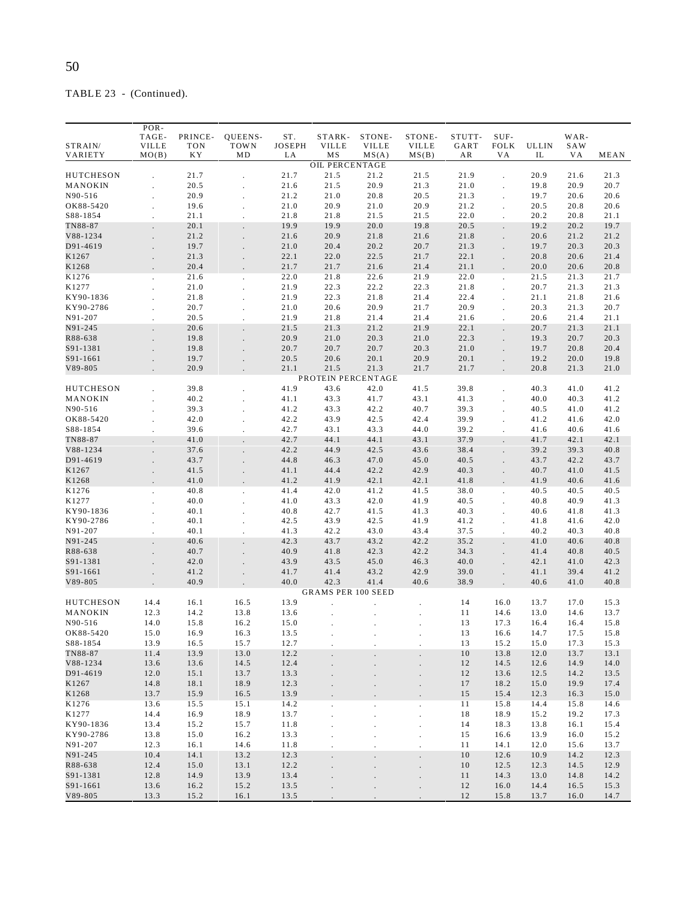TABLE 23 - (Continued).

| STRAIN/<br>VARIETY    | POR-<br>TAGE-<br><b>VILLE</b><br>MO(B) | PRINCE-<br><b>TON</b><br>K Y | QUEENS-<br>TOWN<br>MD | ST.<br><b>JOSEPH</b><br>LA | STARK-<br><b>VILLE</b><br>MS | STONE-<br><b>VILLE</b><br>MS(A) | STONE-<br><b>VILLE</b><br>MS(B) | STUTT-<br>GART<br>AR | SUF-<br><b>FOLK</b><br>V A | <b>ULLIN</b><br>IL | WAR-<br>SAW<br>VА | MEAN         |
|-----------------------|----------------------------------------|------------------------------|-----------------------|----------------------------|------------------------------|---------------------------------|---------------------------------|----------------------|----------------------------|--------------------|-------------------|--------------|
|                       |                                        |                              |                       |                            | <b>OIL PERCENTAGE</b>        |                                 |                                 |                      |                            |                    |                   |              |
| HUTCHESON             |                                        | 21.7                         |                       | 21.7                       | 21.5                         | 21.2                            | 21.5                            | 21.9                 |                            | 20.9               | 21.6              | 21.3         |
| MANOKIN               |                                        | 20.5                         |                       | 21.6                       | 21.5                         | 20.9                            | 21.3                            | 21.0                 |                            | 19.8               | 20.9              | 20.7         |
| N90-516               |                                        | 20.9                         |                       | 21.2                       | 21.0                         | 20.8                            | 20.5                            | 21.3                 |                            | 19.7               | 20.6              | 20.6         |
| OK88-5420             |                                        | 19.6                         |                       | 21.0                       | 20.9                         | 21.0                            | 20.9                            | 21.2                 |                            | 20.5               | 20.8              | 20.6         |
| S88-1854              |                                        | 21.1                         |                       | 21.8                       | 21.8                         | 21.5                            | 21.5                            | 22.0                 |                            | 20.2               | 20.8              | 21.1         |
| TN88-87               |                                        | 20.1                         |                       | 19.9                       | 19.9                         | 20.0                            | 19.8                            | 20.5                 |                            | 19.2               | 20.2              | 19.7         |
| V88-1234              |                                        | 21.2                         |                       | 21.6                       | 20.9                         | 21.8                            | 21.6                            | 21.8                 |                            | 20.6               | 21.2              | 21.2         |
| D91-4619              |                                        | 19.7                         | $\overline{a}$        | 21.0                       | 20.4                         | 20.2                            | 20.7                            | 21.3                 |                            | 19.7               | 20.3              | 20.3         |
| K1267                 |                                        | 21.3                         |                       | 22.1                       | 22.0                         | 22.5                            | 21.7                            | 22.1                 |                            | 20.8               | 20.6              | 21.4         |
| K1268                 |                                        | 20.4                         |                       | 21.7                       | 21.7                         | 21.6                            | 21.4                            | 21.1                 |                            | 20.0               | 20.6              | 20.8         |
| K1276                 |                                        | 21.6                         |                       | 22.0                       | 21.8                         | 22.6                            | 21.9                            | 22.0                 |                            | 21.5               | 21.3              | 21.7         |
| K1277                 |                                        | 21.0                         |                       | 21.9                       | 22.3                         | 22.2                            | 22.3                            | 21.8                 |                            | 20.7               | 21.3              | 21.3         |
| KY90-1836             |                                        | 21.8                         |                       | 21.9                       | 22.3                         | 21.8                            | 21.4                            | 22.4                 |                            | 21.1               | 21.8              | 21.6         |
| KY90-2786             |                                        | 20.7                         |                       | 21.0                       | 20.6                         | 20.9                            | 21.7                            | 20.9                 |                            | 20.3               | 21.3              | 20.7         |
| N91-207               |                                        | 20.5                         |                       | 21.9                       | 21.8                         | 21.4                            | 21.4                            | 21.6                 |                            | 20.6               | 21.4              | 21.1         |
| N91-245<br>R88-638    |                                        | 20.6<br>19.8                 |                       | 21.5<br>20.9               | 21.3<br>21.0                 | 21.2<br>20.3                    | 21.9<br>21.0                    | 22.1<br>22.3         |                            | 20.7<br>19.3       | 21.3<br>20.7      | 21.1<br>20.3 |
| S91-1381              |                                        | 19.8                         |                       | 20.7                       | 20.7                         | 20.7                            | 20.3                            | 21.0                 |                            | 19.7               | 20.8              | 20.4         |
| S91-1661              |                                        | 19.7                         |                       | 20.5                       | 20.6                         | 20.1                            | 20.9                            | 20.1                 |                            | 19.2               | 20.0              | 19.8         |
| V89-805               |                                        | 20.9                         |                       | 21.1                       | 21.5                         | 21.3                            | 21.7                            | 21.7                 |                            | 20.8               | 21.3              | 21.0         |
|                       |                                        |                              |                       |                            |                              | PROTEIN PERCENTAGE              |                                 |                      |                            |                    |                   |              |
| HUTCHESON             |                                        | 39.8                         |                       | 41.9                       | 43.6                         | 42.0                            | 41.5                            | 39.8                 |                            | 40.3               | 41.0              | 41.2         |
| MANOKIN               |                                        | 40.2                         |                       | 41.1                       | 43.3                         | 41.7                            | 43.1                            | 41.3                 |                            | 40.0               | 40.3              | 41.2         |
| N90-516               |                                        | 39.3                         |                       | 41.2                       | 43.3                         | 42.2                            | 40.7                            | 39.3                 |                            | 40.5               | 41.0              | 41.2         |
| OK88-5420             |                                        | 42.0                         |                       | 42.2                       | 43.9                         | 42.5                            | 42.4                            | 39.9                 |                            | 41.2               | 41.6              | 42.0         |
| S88-1854              |                                        | 39.6                         |                       | 42.7                       | 43.1                         | 43.3                            | 44.0                            | 39.2                 |                            | 41.6               | 40.6              | 41.6         |
| TN88-87               |                                        | 41.0                         |                       | 42.7                       | 44.1                         | 44.1                            | 43.1                            | 37.9                 |                            | 41.7               | 42.1              | 42.1         |
| V88-1234              |                                        | 37.6                         |                       | 42.2                       | 44.9                         | 42.5                            | 43.6                            | 38.4                 |                            | 39.2               | 39.3              | 40.8         |
| D91-4619<br>K1267     |                                        | 43.7<br>41.5                 |                       | 44.8<br>41.1               | 46.3<br>44.4                 | 47.0<br>42.2                    | 45.0<br>42.9                    | 40.5<br>40.3         |                            | 43.7<br>40.7       | 42.2<br>41.0      | 43.7<br>41.5 |
| K1268                 |                                        | 41.0                         |                       | 41.2                       | 41.9                         | 42.1                            | 42.1                            | 41.8                 |                            | 41.9               | 40.6              | 41.6         |
| K1276                 |                                        | 40.8                         |                       | 41.4                       | 42.0                         | 41.2                            | 41.5                            | 38.0                 |                            | 40.5               | 40.5              | 40.5         |
| K1277                 |                                        | 40.0                         |                       | 41.0                       | 43.3                         | 42.0                            | 41.9                            | 40.5                 |                            | 40.8               | 40.9              | 41.3         |
| KY90-1836             |                                        | 40.1                         |                       | 40.8                       | 42.7                         | 41.5                            | 41.3                            | 40.3                 |                            | 40.6               | 41.8              | 41.3         |
| KY90-2786             |                                        | 40.1                         |                       | 42.5                       | 43.9                         | 42.5                            | 41.9                            | 41.2                 |                            | 41.8               | 41.6              | 42.0         |
| N91-207               | $\mathbf{r}$                           | 40.1                         | J.                    | 41.3                       | 42.2                         | 43.0                            | 43.4                            | 37.5                 | ÷.                         | 40.2               | 40.3              | 40.8         |
| N91-245               |                                        | 40.6                         |                       | 42.3                       | 43.7                         | 43.2                            | 42.2                            | 35.2                 |                            | 41.0               | 40.6              | 40.8         |
| R88-638               |                                        | 40.7                         |                       | 40.9                       | 41.8                         | 42.3                            | 42.2                            | 34.3                 |                            | 41.4               | 40.8              | 40.5         |
| S91-1381              |                                        | 42.0                         |                       | 43.9                       | 43.5                         | 45.0                            | 46.3                            | 40.0                 |                            | 42.1               | 41.0              | 42.3         |
| S91-1661              |                                        | 41.2                         |                       | 41.7                       | 41.4                         | 43.2                            | 42.9                            | 39.0                 |                            | 41.1               | 39.4              | 41.2         |
| $V89 - 805$           |                                        | 40.9                         |                       | 40.0                       | 42.3                         | 41.4                            | 40.6                            | 38.9                 |                            | 40.6               | 41.0              | 40.8         |
|                       |                                        |                              |                       |                            |                              | <b>GRAMS PER 100 SEED</b>       |                                 |                      |                            |                    |                   |              |
| HUTCHESON             | 14.4                                   | 16.1                         | 16.5                  | 13.9                       |                              |                                 |                                 | 14                   | 16.0                       | 13.7               | 17.0              | 15.3         |
| MANOKIN               | 12.3                                   | 14.2                         | 13.8                  | 13.6                       |                              |                                 |                                 | 11                   | 14.6                       | 13.0               | 14.6              | 13.7         |
| N90-516               | 14.0                                   | 15.8                         | 16.2                  | 15.0                       |                              |                                 |                                 | 13                   | 17.3                       | 16.4               | 16.4              | 15.8         |
| OK88-5420<br>S88-1854 | 15.0<br>13.9                           | 16.9<br>16.5                 | 16.3<br>15.7          | 13.5<br>12.7               | $\ddot{\phantom{a}}$         |                                 |                                 | 13<br>13             | 16.6                       | 14.7<br>15.0       | 17.5<br>17.3      | 15.8<br>15.3 |
| TN88-87               | 11.4                                   | 13.9                         | 13.0                  | 12.2                       | $\ddot{\phantom{0}}$         |                                 | $\overline{\phantom{a}}$        | 10                   | 15.2<br>13.8               | 12.0               | 13.7              | 13.1         |
| V88-1234              | 13.6                                   | 13.6                         | 14.5                  | 12.4                       | $\ddot{\phantom{0}}$         |                                 |                                 | 12                   | 14.5                       | 12.6               | 14.9              | 14.0         |
| D91-4619              | 12.0                                   | 15.1                         | 13.7                  | 13.3                       |                              |                                 | $\overline{\phantom{a}}$        | 12                   | 13.6                       | 12.5               | 14.2              | 13.5         |
| K1267                 | 14.8                                   | 18.1                         | 18.9                  | 12.3                       |                              |                                 |                                 | 17                   | 18.2                       | 15.0               | 19.9              | 17.4         |
| K1268                 | 13.7                                   | 15.9                         | 16.5                  | 13.9                       |                              |                                 |                                 | 15                   | 15.4                       | 12.3               | 16.3              | 15.0         |
| K1276                 | 13.6                                   | 15.5                         | 15.1                  | 14.2                       | $\ddot{\phantom{0}}$         |                                 | $\ddot{\phantom{a}}$            | 11                   | 15.8                       | 14.4               | 15.8              | 14.6         |
| K1277                 | 14.4                                   | 16.9                         | 18.9                  | 13.7                       | $\ddot{\phantom{0}}$         |                                 | $\Box$                          | 18                   | 18.9                       | 15.2               | 19.2              | 17.3         |
| KY90-1836             | 13.4                                   | 15.2                         | 15.7                  | 11.8                       | $\overline{a}$               |                                 | $\mathbb{Z}^2$                  | 14                   | 18.3                       | 13.8               | 16.1              | 15.4         |
| KY90-2786             | 13.8                                   | 15.0                         | 16.2                  | 13.3                       | $\ddot{\phantom{a}}$         |                                 | $\ddot{\phantom{a}}$            | 15                   | 16.6                       | 13.9               | 16.0              | 15.2         |
| N91-207               | 12.3                                   | 16.1                         | 14.6                  | 11.8                       | $\ddot{\phantom{a}}$         |                                 |                                 | 11                   | 14.1                       | 12.0               | 15.6              | 13.7         |
| N91-245               | 10.4                                   | 14.1                         | 13.2                  | 12.3                       | $\overline{a}$               |                                 |                                 | 10                   | 12.6                       | 10.9               | 14.2              | 12.3         |
| R88-638               | 12.4                                   | 15.0                         | 13.1                  | 12.2                       | $\overline{a}$               |                                 | $\ddot{\phantom{a}}$            | 10                   | 12.5                       | 12.3               | 14.5              | 12.9         |
| S91-1381              | 12.8                                   | 14.9                         | 13.9                  | 13.4                       | ÷.                           |                                 | $\ddot{\phantom{a}}$            | 11                   | 14.3                       | 13.0               | 14.8              | 14.2         |
| S91-1661              | 13.6                                   | 16.2                         | 15.2                  | 13.5                       | $\ddot{\phantom{a}}$         |                                 | $\ddot{\phantom{0}}$            | 12                   | 16.0                       | 14.4               | 16.5              | 15.3         |
| $V89 - 805$           | 13.3                                   | 15.2                         | 16.1                  | 13.5                       |                              |                                 |                                 | 12                   | 15.8                       | 13.7               | 16.0              | 14.7         |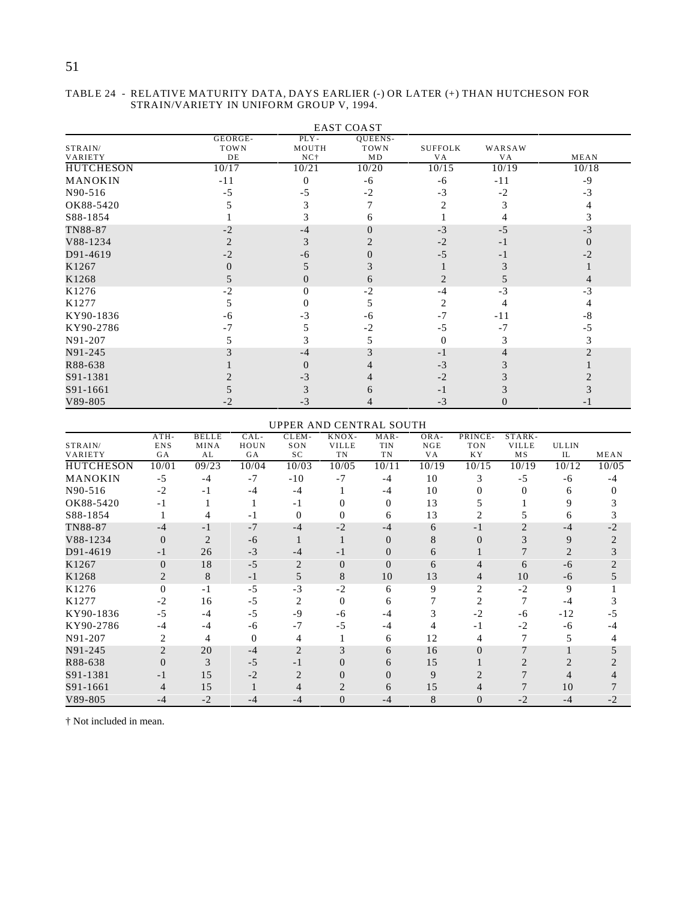# 51

#### EAST COAST STRAIN/ VARIETY GEORGE-T OW N DE PLY - MOUTH NC† QUEENS-TOW<sub>N</sub>  $MD$ SUFFOLK VA WARSAW **MEAN** HUTCHESON 10/17 10/21 10/20 10/15 10/19 10/18<br>MANOKIN -11 0 -6 -6 -11 -9  $MANOKIN$  -11 0 -6 -6 -11 -9  $N90-516$  -5 -5 -2 -3 -2 -3 OK88-5420 5 3 7 2 3 4  $S88-1854$  1 3 6 1 4 3 TN88-87  $-2$   $-4$   $0$   $-3$   $-5$   $-3$  $V88-1234$  2  $2$   $2$   $-2$   $-1$  0  $D91-4619$  -2 -6 0 -5 -1 -2 K1267 0 5 3 1 3 1 K1268 5 0 6 2 5 4 K1276  $-2$  0  $-2$   $-4$   $-3$   $-3$ K1277 5 0 5 2 4 4 KY90-1836 -6 -3 -6 -7 -11 -8 KY90-2786 -7 -7 5 -2 -5 -7 -5 N91-207 5 3 5 0 3 3 N91-245 3  $-4$  3  $-1$  4 2 R88-638 1 0 4 -3 3 1  $S91-1381$  2 -3 4 -2 3 2  $S91-1661$  5 3 6 -1 3 3  $V89-805$  -2 -3 4 -3 0 -1

#### TABLE 24 - RELATIVE MATURITY DATA, DAYS EARLIER (-) OR LATER (+) THAN HUTCHESON FOR STRAIN/VARIETY IN UNIFORM GROUP V, 1994.

#### UPPER AND CENTRAL SOUTH

| STRAIN/          | $ATH-$<br><b>ENS</b> | <b>BELLE</b><br>MINA | $CAL-$<br>HOUN | CLEM-<br>SON   | KNOX-<br><b>VILLE</b> | $MAR-$<br><b>TIN</b> | ORA-<br>NGE | PRINCE-<br><b>TON</b> | STARK-<br><b>VILLE</b> | <b>ULLIN</b> |       |
|------------------|----------------------|----------------------|----------------|----------------|-----------------------|----------------------|-------------|-----------------------|------------------------|--------------|-------|
| VARIETY          | GA                   | AL                   | GA             | SC             | <b>TN</b>             | TN                   | V A         | KY.                   | <b>MS</b>              | IL           | MEAN  |
| <b>HUTCHESON</b> | 10/01                | 09/23                | 10/04          | 10/03          | 10/05                 | 10/11                | 10/19       | 10/15                 | 10/19                  | 10/12        | 10/05 |
| MANOKIN          | $-5$                 | $-4$                 | $-7$           | $-10$          | $-7$                  | $-4$                 | 10          | 3                     | $-5$                   | -6           | $-4$  |
| N90-516          | $-2$                 | $-1$                 | $-4$           | $-4$           |                       | $-4$                 | 10          |                       |                        | 6            |       |
| OK88-5420        | $-1$                 |                      |                | $-1$           |                       | 0                    | 13          |                       |                        |              |       |
| S88-1854         |                      |                      | - 1            | 0              | 0                     | 6                    | 13          |                       |                        | 6            |       |
| TN88-87          | $-4$                 | $-1$                 | $-7$           | $-4$           | $-2$                  | $-4$                 | 6           | $-1$                  |                        | $-4$         | -2    |
| V88-1234         | $\theta$             | $\overline{2}$       | -6             |                |                       | $\theta$             | 8           |                       |                        | 9            |       |
| D91-4619         | - 1                  | 26                   | $-3$           | -4             | - 1                   |                      | h           |                       |                        |              |       |
| K1267            | $\Omega$             | 18                   | $-5$           | 2              | $\Omega$              | $\Omega$             | 6           |                       | 6                      | -6           |       |
| K1268            | 2                    | 8                    | $-1$           | 5              | 8                     | 10                   | 13          | 4                     | 10                     | -6           |       |
| K1276            | $\Omega$             | $-1$                 | $-5$           | $-3$           | $-2$                  | 6                    | $\mathbf Q$ | $\mathfrak{D}$        | $-2$                   | 9            |       |
| K1277            | $-2$                 | 16                   | $-5$           | $\overline{c}$ | $\Omega$              | 6                    |             | 2                     |                        | -4           |       |
| KY90-1836        | $-5$                 | $-4$                 | $-5$           | -9             | -6                    | -4                   |             | $-2$                  | -6                     | $-12$        | -5    |
| KY90-2786        | $-4$                 | $-4$                 | -6             | $-7$           | $-5$                  | -4                   |             | - 1                   | $-2$                   | -6           |       |
| N91-207          | 2                    | 4                    | 0              | 4              |                       | 6                    | 12          |                       |                        |              |       |
| N91-245          | $\overline{2}$       | 20                   | $-4$           | $\overline{2}$ | 3                     | 6                    | 16          | $\Omega$              | $\mathbf{r}$           |              |       |
| R88-638          | 0                    | 3                    | $-5$           | - 1            |                       | 6                    | 15          |                       |                        |              |       |
| S91-1381         | - 1                  | 15                   | $-2$           | 2              |                       |                      | 9           |                       |                        |              |       |
| S91-1661         | 4                    | 15                   |                |                |                       | 6                    | 15          |                       |                        | 10           |       |
| V89-805          | $-4$                 | $-2$                 | -4             | -4             | 0                     | -4                   | 8           | 0                     | $-2$                   | $-4$         |       |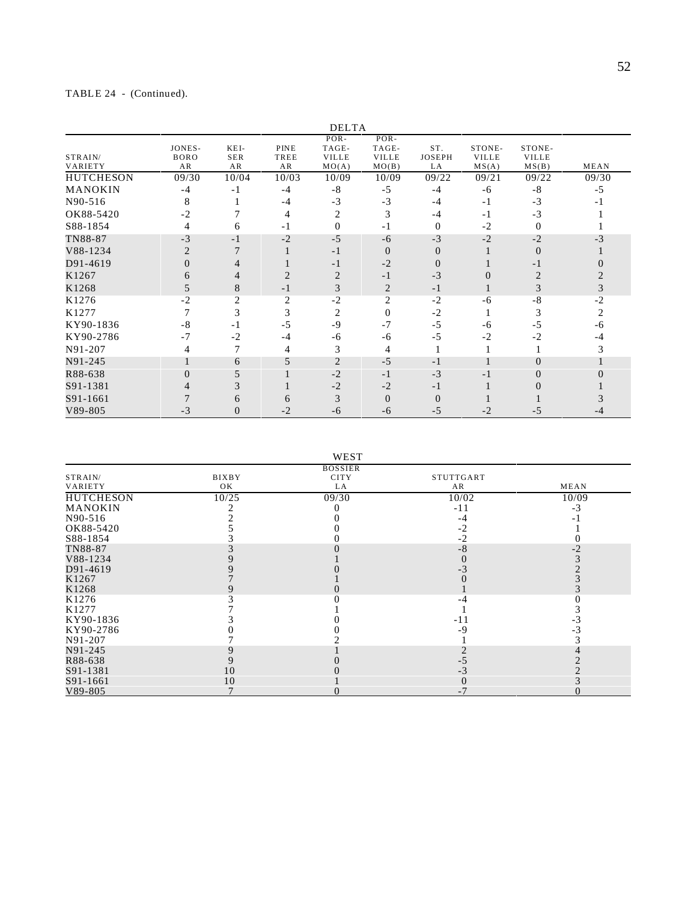# TABLE 24 - (Continued).

|                    |                             |                          |                    | <b>DELTA</b>                           |                                          |                            |                                 |                                 |                |
|--------------------|-----------------------------|--------------------------|--------------------|----------------------------------------|------------------------------------------|----------------------------|---------------------------------|---------------------------------|----------------|
| STRAIN/<br>VARIETY | JONES-<br><b>BORO</b><br>AR | KEI-<br><b>SER</b><br>AR | PINE<br>TREE<br>AR | POR-<br>TAGE-<br><b>VILLE</b><br>MO(A) | $POR-$<br>TAGE-<br><b>VILLE</b><br>MO(B) | ST.<br><b>JOSEPH</b><br>LA | STONE-<br><b>VILLE</b><br>MS(A) | STONE-<br><b>VILLE</b><br>MS(B) | MEAN           |
| <b>HUTCHESON</b>   | 09/30                       | 10/04                    | 10/03              | 10/09                                  | 10/09                                    | 09/22                      | 09/21                           | 09/22                           | 09/30          |
| MANOKIN            | -4                          | $-1$                     | $-4$               | $-8$                                   | $-5$                                     | $-4$                       | $-6$                            | $-8$                            | $-5$           |
| N90-516            | 8                           |                          | $-4$               | $-3$                                   | $-3$                                     | -4                         | $-1$                            | $-3$                            |                |
| OK88-5420          | $-2$                        |                          | $\overline{4}$     | $\overline{c}$                         | 3                                        | -4                         | $-1$                            | $-3$                            |                |
| S88-1854           | 4                           | 6                        | $-1$               | $\mathbf{0}$                           | $-1$                                     | $\theta$                   | $-2$                            | $\Omega$                        |                |
| TN88-87            | $-3$                        | $-1$                     | $-2$               | $-5$                                   | -6                                       | $-3$                       | $-2$                            | $-2$                            | -3             |
| V88-1234           | $\overline{2}$              |                          |                    | $-1$                                   | $\Omega$                                 | $\Omega$                   |                                 | $\Omega$                        |                |
| D91-4619           | 0                           |                          |                    | $-1$                                   | $-2$                                     | $\Omega$                   |                                 | - 1                             |                |
| K1267              | 6                           | 4                        | $\overline{2}$     | $\overline{2}$                         | $-1$                                     | $-3$                       | $\Omega$                        | $\overline{c}$                  |                |
| K1268              | 5                           | 8                        | $-1$               | 3                                      | $\overline{2}$                           | $-1$                       | $\mathbf{I}$                    | 3                               |                |
| K1276              | $-2$                        | $\mathfrak{D}$           | $\overline{c}$     | $-2$                                   | $\overline{2}$                           | $-2$                       | $-6$                            | $-8$                            | $-2$           |
| K1277              |                             | 3                        | 3                  | $\overline{2}$                         | $\Omega$                                 | $-2$                       |                                 | 3                               | $\mathfrak{D}$ |
| KY90-1836          | -8                          | $-1$                     | $-5$               | $-9$                                   | $-7$                                     | $-5$                       | -6                              | -5                              | -6             |
| KY90-2786          | $-7$                        | $-2$                     | -4                 | -6                                     | -6                                       | -5                         | $-2$                            | $-2$                            | -4             |
| N91-207            | 4                           |                          | 4                  | 3                                      | 4                                        |                            |                                 |                                 |                |
| N91-245            |                             | 6                        | 5                  | $\overline{2}$                         | $-5$                                     | $-1$                       |                                 | $\Omega$                        |                |
| R88-638            |                             |                          |                    | $-2$                                   | $-1$                                     | $-3$                       | - 1                             |                                 |                |
| S91-1381           |                             | 3                        |                    | $-2$                                   | $-2$                                     | $-1$                       |                                 |                                 |                |
| S91-1661           |                             | h                        | 6                  | 3                                      | $\Omega$                                 | $\Omega$                   |                                 |                                 |                |
| V89-805            | $-3$                        | $\Omega$                 | $-2$               | -6                                     | -6                                       | $-5$                       | $-2$                            | -5                              |                |

| ×, |
|----|
|----|

|                  |              | <b>BOSSIER</b> |           |       |
|------------------|--------------|----------------|-----------|-------|
| STRAIN/          | <b>BIXBY</b> | <b>CITY</b>    | STUTTGART |       |
| VARIETY          | OK           | LA             | AR        | MEAN  |
| <b>HUTCHESON</b> | 10/25        | 09/30          | 10/02     | 10/09 |
| <b>MANOKIN</b>   |              |                | $-11$     |       |
| N90-516          |              |                | -4        |       |
| OK88-5420        |              |                | $-2$      |       |
| S88-1854         |              |                | $-2$      |       |
| TN88-87          |              |                | -8        |       |
| V88-1234         |              |                |           |       |
| D91-4619         |              |                |           |       |
| K1267            |              |                |           |       |
| K1268            |              |                |           |       |
| K1276            |              |                |           |       |
| K1277            |              |                |           |       |
| KY90-1836        |              |                | -11       |       |
| KY90-2786        |              |                | -9        |       |
| N91-207          |              |                |           |       |
| N91-245          |              |                |           |       |
| R88-638          |              |                |           |       |
| S91-1381         | 10           |                |           |       |
| S91-1661         | 10           |                |           |       |
| V89-805          |              |                |           |       |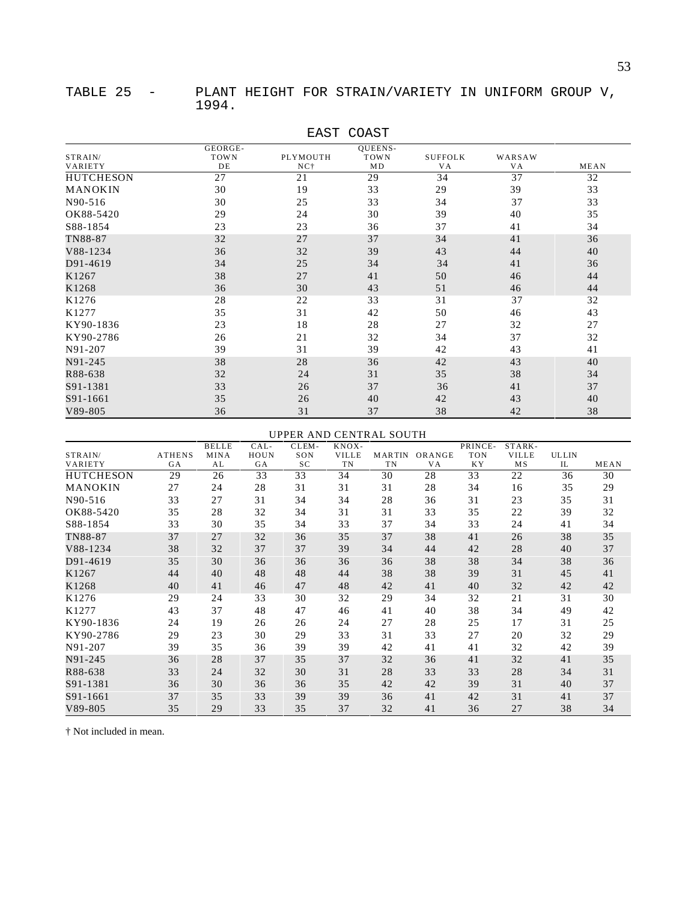|                  | GEORGE- |                 | <b>QUEENS-</b> |                |                 |      |
|------------------|---------|-----------------|----------------|----------------|-----------------|------|
| STRAIN/          | TOWN    | PLYMOUTH        | <b>TOWN</b>    | <b>SUFFOLK</b> | WARSAW          |      |
| VARIETY          | DE      | NC <sub>1</sub> | MD             | VA             | VA              | MEAN |
| <b>HUTCHESON</b> | 27      | 21              | 29             | 34             | $\overline{37}$ | 32   |
| MANOKIN          | 30      | 19              | 33             | 29             | 39              | 33   |
| N90-516          | 30      | 25              | 33             | 34             | 37              | 33   |
| OK88-5420        | 29      | 24              | 30             | 39             | 40              | 35   |
| S88-1854         | 23      | 23              | 36             | 37             | 41              | 34   |
| TN88-87          | 32      | 27              | 37             | 34             | 41              | 36   |
| V88-1234         | 36      | 32              | 39             | 43             | 44              | 40   |
| D91-4619         | 34      | 25              | 34             | 34             | 41              | 36   |
| K1267            | 38      | 27              | 41             | 50             | 46              | 44   |
| K1268            | 36      | 30              | 43             | 51             | 46              | 44   |
| K1276            | 28      | 22              | 33             | 31             | 37              | 32   |
| K1277            | 35      | 31              | 42             | 50             | 46              | 43   |
| KY90-1836        | 23      | 18              | 28             | 27             | 32              | 27   |
| KY90-2786        | 26      | 21              | 32             | 34             | 37              | 32   |
| N91-207          | 39      | 31              | 39             | 42             | 43              | 41   |
| N91-245          | 38      | 28              | 36             | 42             | 43              | 40   |
| R88-638          | 32      | 24              | 31             | 35             | 38              | 34   |
| S91-1381         | 33      | 26              | 37             | 36             | 41              | 37   |
| S91-1661         | 35      | 26              | 40             | 42             | 43              | 40   |
| $V89 - 805$      | 36      | 31              | 37             | 38             | 42              | 38   |

# EAST COAST

### UPPER AND CENTRAL SOUTH

|                  |               | <b>BELLE</b> | CAL- | CLEM- | KNOX-        |               |        | PRINCE-    | STARK-       |              |      |
|------------------|---------------|--------------|------|-------|--------------|---------------|--------|------------|--------------|--------------|------|
| STRAIN/          | <b>ATHENS</b> | MINA         | HOUN | SON   | <b>VILLE</b> | <b>MARTIN</b> | ORANGE | <b>TON</b> | <b>VILLE</b> | <b>ULLIN</b> |      |
| <b>VARIETY</b>   | GA            | AL           | GA   | SC    | TN           | TN            | VA     | KY.        | M S          | IL           | MEAN |
| <b>HUTCHESON</b> | 29            | 26           | 33   | 33    | 34           | 30            | 28     | 33         | 22           | 36           | 30   |
| MANOKIN          | 27            | 24           | 28   | 31    | 31           | 31            | 28     | 34         | 16           | 35           | 29   |
| N90-516          | 33            | 27           | 31   | 34    | 34           | 28            | 36     | 31         | 23           | 35           | 31   |
| OK88-5420        | 35            | 28           | 32   | 34    | 31           | 31            | 33     | 35         | 22           | 39           | 32   |
| S88-1854         | 33            | 30           | 35   | 34    | 33           | 37            | 34     | 33         | 24           | 41           | 34   |
| TN88-87          | 37            | 27           | 32   | 36    | 35           | 37            | 38     | 41         | 26           | 38           | 35   |
| V88-1234         | 38            | 32           | 37   | 37    | 39           | 34            | 44     | 42         | 28           | 40           | 37   |
| D91-4619         | 35            | 30           | 36   | 36    | 36           | 36            | 38     | 38         | 34           | 38           | 36   |
| K1267            | 44            | 40           | 48   | 48    | 44           | 38            | 38     | 39         | 31           | 45           | 41   |
| K1268            | 40            | 41           | 46   | 47    | 48           | 42            | 41     | 40         | 32           | 42           | 42   |
| K1276            | 29            | 24           | 33   | 30    | 32           | 29            | 34     | 32         | 21           | 31           | 30   |
| K1277            | 43            | 37           | 48   | 47    | 46           | 41            | 40     | 38         | 34           | 49           | 42   |
| KY90-1836        | 24            | 19           | 26   | 26    | 24           | 27            | 28     | 25         | 17           | 31           | 25   |
| KY90-2786        | 29            | 23           | 30   | 29    | 33           | 31            | 33     | 27         | 20           | 32           | 29   |
| N91-207          | 39            | 35           | 36   | 39    | 39           | 42            | 41     | 41         | 32           | 42           | 39   |
| N91-245          | 36            | 28           | 37   | 35    | 37           | 32            | 36     | 41         | 32           | 41           | 35   |
| R88-638          | 33            | 24           | 32   | 30    | 31           | 28            | 33     | 33         | 28           | 34           | 31   |
| S91-1381         | 36            | 30           | 36   | 36    | 35           | 42            | 42     | 39         | 31           | 40           | 37   |
| S91-1661         | 37            | 35           | 33   | 39    | 39           | 36            | 41     | 42         | 31           | 41           | 37   |
| V89-805          | 35            | 29           | 33   | 35    | 37           | 32            | 41     | 36         | 27           | 38           | 34   |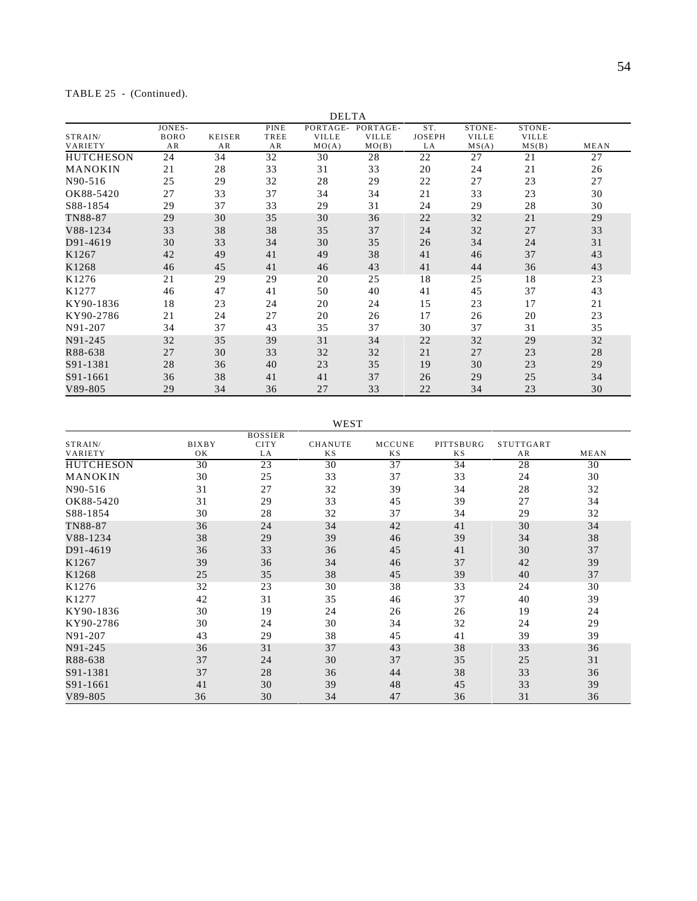# TABLE 25 - (Continued).

|                    |                             |                     |                    | <b>DELTA</b>                      |                                   |                            |                                 |                                 |      |
|--------------------|-----------------------------|---------------------|--------------------|-----------------------------------|-----------------------------------|----------------------------|---------------------------------|---------------------------------|------|
| STRAIN/<br>VARIETY | JONES-<br><b>BORO</b><br>AR | <b>KEISER</b><br>AR | PINE<br>TREE<br>AR | PORTAGE-<br><b>VILLE</b><br>MO(A) | PORTAGE-<br><b>VILLE</b><br>MO(B) | ST.<br><b>JOSEPH</b><br>LA | STONE-<br><b>VILLE</b><br>MS(A) | STONE-<br><b>VILLE</b><br>MS(B) | MEAN |
| <b>HUTCHESON</b>   | 24                          | 34                  | 32                 | 30                                | 28                                | 22                         | 27                              | 21                              | 27   |
| MANOKIN            | 21                          | 28                  | 33                 | 31                                | 33                                | 20                         | 24                              | 21                              | 26   |
| N90-516            | 25                          | 29                  | 32                 | 28                                | 29                                | 22                         | 27                              | 23                              | 27   |
| OK88-5420          | 27                          | 33                  | 37                 | 34                                | 34                                | 21                         | 33                              | 23                              | 30   |
| S88-1854           | 29                          | 37                  | 33                 | 29                                | 31                                | 24                         | 29                              | 28                              | 30   |
| TN88-87            | 29                          | 30                  | 35                 | 30                                | 36                                | 22                         | 32                              | 21                              | 29   |
| V88-1234           | 33                          | 38                  | 38                 | 35                                | 37                                | 24                         | 32                              | 27                              | 33   |
| D91-4619           | 30                          | 33                  | 34                 | 30                                | 35                                | 26                         | 34                              | 24                              | 31   |
| K1267              | 42                          | 49                  | 41                 | 49                                | 38                                | 41                         | 46                              | 37                              | 43   |
| K1268              | 46                          | 45                  | 41                 | 46                                | 43                                | 41                         | 44                              | 36                              | 43   |
| K1276              | 21                          | 29                  | 29                 | 20                                | 25                                | 18                         | 25                              | 18                              | 23   |
| K1277              | 46                          | 47                  | 41                 | 50                                | 40                                | 41                         | 45                              | 37                              | 43   |
| KY90-1836          | 18                          | 23                  | 24                 | 20                                | 24                                | 15                         | 23                              | 17                              | 21   |
| KY90-2786          | 21                          | 24                  | 27                 | 20                                | 26                                | 17                         | 26                              | 20                              | 23   |
| N91-207            | 34                          | 37                  | 43                 | 35                                | 37                                | 30                         | 37                              | 31                              | 35   |
| N91-245            | 32                          | 35                  | 39                 | 31                                | 34                                | 22                         | 32                              | 29                              | 32   |
| R88-638            | 27                          | 30                  | 33                 | 32                                | 32                                | 21                         | 27                              | 23                              | 28   |
| S91-1381           | 28                          | 36                  | 40                 | 23                                | 35                                | 19                         | 30                              | 23                              | 29   |
| S91-1661           | 36                          | 38                  | 41                 | 41                                | 37                                | 26                         | 29                              | 25                              | 34   |
| V89-805            | 29                          | 34                  | 36                 | 27                                | 33                                | 22                         | 34                              | 23                              | 30   |

WEST

|                  |              | <b>BOSSIER</b> |                |               |           |                  |      |
|------------------|--------------|----------------|----------------|---------------|-----------|------------------|------|
| STRAIN/          | <b>BIXBY</b> | <b>CITY</b>    | <b>CHANUTE</b> | <b>MCCUNE</b> | PITTSBURG | <b>STUTTGART</b> |      |
| VARIETY          | OK           | LA             | K S            | K S           | <b>KS</b> | AR               | MEAN |
| <b>HUTCHESON</b> | 30           | 23             | 30             | 37            | 34        | 28               | 30   |
| <b>MANOKIN</b>   | 30           | 25             | 33             | 37            | 33        | 24               | 30   |
| N90-516          | 31           | 27             | 32             | 39            | 34        | 28               | 32   |
| OK88-5420        | 31           | 29             | 33             | 45            | 39        | 27               | 34   |
| S88-1854         | 30           | 28             | 32             | 37            | 34        | 29               | 32   |
| TN88-87          | 36           | 24             | 34             | 42            | 41        | 30               | 34   |
| V88-1234         | 38           | 29             | 39             | 46            | 39        | 34               | 38   |
| D91-4619         | 36           | 33             | 36             | 45            | 41        | 30               | 37   |
| K1267            | 39           | 36             | 34             | 46            | 37        | 42               | 39   |
| K1268            | 25           | 35             | 38             | 45            | 39        | 40               | 37   |
| K1276            | 32           | 23             | 30             | 38            | 33        | 24               | 30   |
| K1277            | 42           | 31             | 35             | 46            | 37        | 40               | 39   |
| KY90-1836        | 30           | 19             | 24             | 26            | 26        | 19               | 24   |
| KY90-2786        | 30           | 24             | 30             | 34            | 32        | 24               | 29   |
| N91-207          | 43           | 29             | 38             | 45            | 41        | 39               | 39   |
| N91-245          | 36           | 31             | 37             | 43            | 38        | 33               | 36   |
| R88-638          | 37           | 24             | 30             | 37            | 35        | 25               | 31   |
| S91-1381         | 37           | 28             | 36             | 44            | 38        | 33               | 36   |
| S91-1661         | 41           | 30             | 39             | 48            | 45        | 33               | 39   |
| $V89 - 805$      | 36           | 30             | 34             | 47            | 36        | 31               | 36   |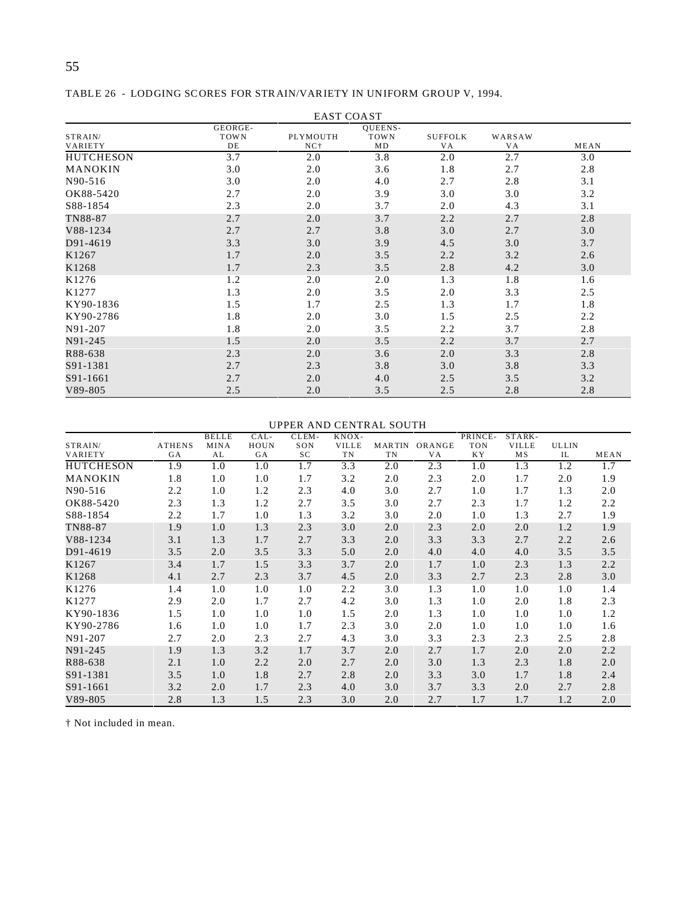|                    |                       | <b>EAST COAST</b> |                                     |                             |                     |      |
|--------------------|-----------------------|-------------------|-------------------------------------|-----------------------------|---------------------|------|
| STRAIN/<br>VARIETY | GEORGE-<br>TOWN<br>DE | PLYMOUTH<br>$NC+$ | <b>OUEENS-</b><br><b>TOWN</b><br>MD | <b>SUFFOLK</b><br><b>VA</b> | WARSAW<br><b>VA</b> | MEAN |
| <b>HUTCHESON</b>   | 3.7                   | 2.0               | 3.8                                 | 2.0                         | 2.7                 | 3.0  |
| MANOKIN            | 3.0                   | 2.0               | 3.6                                 | 1.8                         | 2.7                 | 2.8  |
| N90-516            | 3.0                   | 2.0               | 4.0                                 | 2.7                         | 2.8                 | 3.1  |
| OK88-5420          | 2.7                   | 2.0               | 3.9                                 | 3.0                         | 3.0                 | 3.2  |
| S88-1854           | 2.3                   | 2.0               | 3.7                                 | 2.0                         | 4.3                 | 3.1  |
| TN88-87            | 2.7                   | 2.0               | 3.7                                 | 2.2                         | 2.7                 | 2.8  |
| V88-1234           | 2.7                   | 2.7               | 3.8                                 | 3.0                         | 2.7                 | 3.0  |
| D91-4619           | 3.3                   | 3.0               | 3.9                                 | 4.5                         | 3.0                 | 3.7  |
| K1267              | 1.7                   | 2.0               | 3.5                                 | 2.2                         | 3.2                 | 2.6  |
| K1268              | 1.7                   | 2.3               | 3.5                                 | 2.8                         | 4.2                 | 3.0  |
| K1276              | 1.2                   | 2.0               | 2.0                                 | 1.3                         | 1.8                 | 1.6  |
| K1277              | 1.3                   | 2.0               | 3.5                                 | 2.0                         | 3.3                 | 2.5  |
| KY90-1836          | 1.5                   | 1.7               | 2.5                                 | 1.3                         | 1.7                 | 1.8  |
| KY90-2786          | 1.8                   | 2.0               | 3.0                                 | 1.5                         | 2.5                 | 2.2  |
| N91-207            | 1.8                   | 2.0               | 3.5                                 | 2.2                         | 3.7                 | 2.8  |
| N91-245            | 1.5                   | 2.0               | 3.5                                 | 2.2                         | 3.7                 | 2.7  |
| R88-638            | 2.3                   | 2.0               | 3.6                                 | 2.0                         | 3.3                 | 2.8  |
| S91-1381           | 2.7                   | 2.3               | 3.8                                 | 3.0                         | 3.8                 | 3.3  |
| S91-1661           | 2.7                   | 2.0               | 4.0                                 | 2.5                         | 3.5                 | 3.2  |
| $V89 - 805$        | 2.5                   | 2.0               | 3.5                                 | 2.5                         | 2.8                 | 2.8  |

TABLE 26 - LODGING SCORES FOR STRAIN/VARIETY IN UNIFORM GROUP V, 1994.

### UPPER AND CENTRAL SOUTH

|                   |               | <b>BELLE</b> | CAL-      | CLEM- | KNOX-        |               |           | PRINCE-    | STARK-       |              |      |
|-------------------|---------------|--------------|-----------|-------|--------------|---------------|-----------|------------|--------------|--------------|------|
| STRAIN/           | <b>ATHENS</b> | <b>MINA</b>  | HOUN      | SON   | <b>VILLE</b> | <b>MARTIN</b> | ORANGE    | <b>TON</b> | <b>VILLE</b> | <b>ULLIN</b> |      |
| VARIETY           | <b>GA</b>     | AL           | <b>GA</b> | SC    | TN           | TN            | <b>VA</b> | <b>KY</b>  | MS           | IL           | MEAN |
| <b>HUTCHESON</b>  | 1.9           | 1.0          | 1.0       | 1.7   | 3.3          | 2.0           | 2.3       | 1.0        | 1.3          | 1.2          | 1.7  |
| <b>MANOKIN</b>    | 1.8           | 1.0          | 1.0       | 1.7   | 3.2          | 2.0           | 2.3       | 2.0        | 1.7          | 2.0          | 1.9  |
| N90-516           | 2.2           | 1.0          | 1.2       | 2.3   | 4.0          | 3.0           | 2.7       | 1.0        | 1.7          | 1.3          | 2.0  |
| OK88-5420         | 2.3           | 1.3          | 1.2       | 2.7   | 3.5          | 3.0           | 2.7       | 2.3        | 1.7          | 1.2          | 2.2  |
| S88-1854          | 2.2           | 1.7          | 1.0       | 1.3   | 3.2          | 3.0           | 2.0       | 1.0        | 1.3          | 2.7          | 1.9  |
| TN88-87           | 1.9           | 1.0          | 1.3       | 2.3   | 3.0          | 2.0           | 2.3       | 2.0        | 2.0          | 1.2          | 1.9  |
| V88-1234          | 3.1           | 1.3          | 1.7       | 2.7   | 3.3          | 2.0           | 3.3       | 3.3        | 2.7          | 2.2          | 2.6  |
| D91-4619          | 3.5           | 2.0          | 3.5       | 3.3   | 5.0          | 2.0           | 4.0       | 4.0        | 4.0          | 3.5          | 3.5  |
| K1267             | 3.4           | 1.7          | 1.5       | 3.3   | 3.7          | 2.0           | 1.7       | 1.0        | 2.3          | 1.3          | 2.2  |
| K1268             | 4.1           | 2.7          | 2.3       | 3.7   | 4.5          | 2.0           | 3.3       | 2.7        | 2.3          | 2.8          | 3.0  |
| K <sub>1276</sub> | 1.4           | 1.0          | 1.0       | 1.0   | 2.2          | 3.0           | 1.3       | 1.0        | 1.0          | 1.0          | 1.4  |
| K1277             | 2.9           | 2.0          | 1.7       | 2.7   | 4.2          | 3.0           | 1.3       | 1.0        | 2.0          | 1.8          | 2.3  |
| KY90-1836         | 1.5           | 1.0          | 1.0       | 1.0   | 1.5          | 2.0           | 1.3       | 1.0        | 1.0          | 1.0          | 1.2  |
| KY90-2786         | 1.6           | 1.0          | 1.0       | 1.7   | 2.3          | 3.0           | 2.0       | 1.0        | 1.0          | 1.0          | 1.6  |
| N91-207           | 2.7           | 2.0          | 2.3       | 2.7   | 4.3          | 3.0           | 3.3       | 2.3        | 2.3          | 2.5          | 2.8  |
| N91-245           | 1.9           | 1.3          | 3.2       | 1.7   | 3.7          | 2.0           | 2.7       | 1.7        | 2.0          | 2.0          | 2.2  |
| R88-638           | 2.1           | 1.0          | 2.2       | 2.0   | 2.7          | 2.0           | 3.0       | 1.3        | 2.3          | 1.8          | 2.0  |
| S91-1381          | 3.5           | 1.0          | 1.8       | 2.7   | 2.8          | 2.0           | 3.3       | 3.0        | 1.7          | 1.8          | 2.4  |
| S91-1661          | 3.2           | 2.0          | 1.7       | 2.3   | 4.0          | 3.0           | 3.7       | 3.3        | 2.0          | 2.7          | 2.8  |
| V89-805           | 2.8           | 1.3          | 1.5       | 2.3   | 3.0          | 2.0           | 2.7       | 1.7        | 1.7          | 1.2          | 2.0  |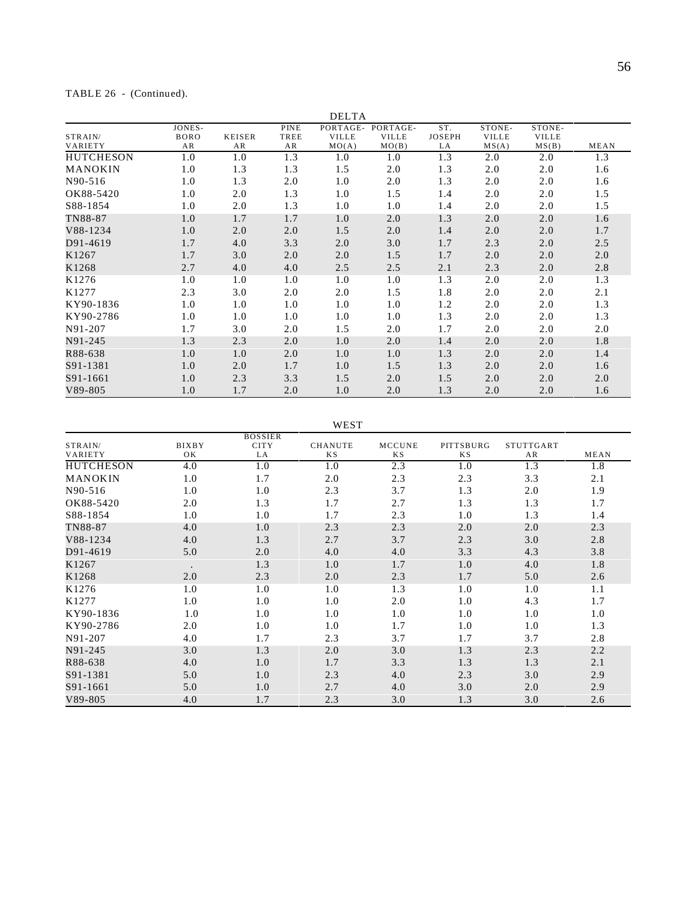# TABLE 26 - (Continued).

|                           |                             |                     |                           | <b>DELTA</b>                      |                                   |                            |                                 |                                 |      |
|---------------------------|-----------------------------|---------------------|---------------------------|-----------------------------------|-----------------------------------|----------------------------|---------------------------------|---------------------------------|------|
| STRAIN/<br><b>VARIETY</b> | JONES-<br><b>BORO</b><br>AR | <b>KEISER</b><br>AR | <b>PINE</b><br>TREE<br>AR | PORTAGE-<br><b>VILLE</b><br>MO(A) | PORTAGE-<br><b>VILLE</b><br>MO(B) | ST.<br><b>JOSEPH</b><br>LA | STONE-<br><b>VILLE</b><br>MS(A) | STONE-<br><b>VILLE</b><br>MS(B) | MEAN |
| <b>HUTCHESON</b>          | 1.0                         | 1.0                 | 1.3                       | 1.0                               | 1.0                               | 1.3                        | 2.0                             | 2.0                             | 1.3  |
| <b>MANOKIN</b>            | 1.0                         | 1.3                 | 1.3                       | 1.5                               | 2.0                               | 1.3                        | 2.0                             | 2.0                             | 1.6  |
| N90-516                   | 1.0                         | 1.3                 | 2.0                       | 1.0                               | 2.0                               | 1.3                        | 2.0                             | 2.0                             | 1.6  |
| OK88-5420                 | 1.0                         | 2.0                 | 1.3                       | 1.0                               | 1.5                               | 1.4                        | 2.0                             | 2.0                             | 1.5  |
| S88-1854                  | 1.0                         | 2.0                 | 1.3                       | 1.0                               | 1.0                               | 1.4                        | 2.0                             | 2.0                             | 1.5  |
| TN88-87                   | 1.0                         | 1.7                 | 1.7                       | 1.0                               | 2.0                               | 1.3                        | 2.0                             | 2.0                             | 1.6  |
| V88-1234                  | 1.0                         | 2.0                 | 2.0                       | 1.5                               | 2.0                               | 1.4                        | 2.0                             | 2.0                             | 1.7  |
| D91-4619                  | 1.7                         | 4.0                 | 3.3                       | 2.0                               | 3.0                               | 1.7                        | 2.3                             | 2.0                             | 2.5  |
| K1267                     | 1.7                         | 3.0                 | 2.0                       | 2.0                               | 1.5                               | 1.7                        | 2.0                             | 2.0                             | 2.0  |
| K1268                     | 2.7                         | 4.0                 | 4.0                       | 2.5                               | 2.5                               | 2.1                        | 2.3                             | 2.0                             | 2.8  |
| K1276                     | 1.0                         | 1.0                 | 1.0                       | 1.0                               | 1.0                               | 1.3                        | 2.0                             | 2.0                             | 1.3  |
| K1277                     | 2.3                         | 3.0                 | 2.0                       | 2.0                               | 1.5                               | 1.8                        | 2.0                             | 2.0                             | 2.1  |
| KY90-1836                 | 1.0                         | 1.0                 | 1.0                       | 1.0                               | 1.0                               | 1.2                        | 2.0                             | 2.0                             | 1.3  |
| KY90-2786                 | 1.0                         | 1.0                 | 1.0                       | 1.0                               | 1.0                               | 1.3                        | 2.0                             | 2.0                             | 1.3  |
| N91-207                   | 1.7                         | 3.0                 | 2.0                       | 1.5                               | 2.0                               | 1.7                        | 2.0                             | 2.0                             | 2.0  |
| N91-245                   | 1.3                         | 2.3                 | 2.0                       | 1.0                               | 2.0                               | 1.4                        | 2.0                             | 2.0                             | 1.8  |
| R88-638                   | 1.0                         | 1.0                 | 2.0                       | 1.0                               | 1.0                               | 1.3                        | 2.0                             | 2.0                             | 1.4  |
| S91-1381                  | 1.0                         | 2.0                 | 1.7                       | 1.0                               | 1.5                               | 1.3                        | 2.0                             | 2.0                             | 1.6  |
| S91-1661                  | 1.0                         | 2.3                 | 3.3                       | 1.5                               | 2.0                               | 1.5                        | 2.0                             | 2.0                             | 2.0  |
| $V89 - 805$               | 1.0                         | 1.7                 | 2.0                       | 1.0                               | 2.0                               | 1.3                        | 2.0                             | 2.0                             | 1.6  |

WEST

|                    |                    | <b>BOSSIER</b>    |                             |                     |                 |                 |      |
|--------------------|--------------------|-------------------|-----------------------------|---------------------|-----------------|-----------------|------|
| STRAIN/<br>VARIETY | <b>BIXBY</b><br>OK | <b>CITY</b><br>LA | <b>CHANUTE</b><br><b>KS</b> | <b>MCCUNE</b><br>ΚS | PITTSBURG<br>ΚS | STUTTGART<br>AR | MEAN |
| <b>HUTCHESON</b>   | 4.0                | 1.0               | 1.0                         | 2.3                 | 1.0             | 1.3             | 1.8  |
| MANOKIN            | 1.0                | 1.7               | 2.0                         | 2.3                 | 2.3             | 3.3             | 2.1  |
| N90-516            | 1.0                | 1.0               | 2.3                         | 3.7                 | 1.3             | 2.0             | 1.9  |
| OK88-5420          | 2.0                | 1.3               | 1.7                         | 2.7                 | 1.3             | 1.3             | 1.7  |
| S88-1854           | 1.0                | 1.0               | 1.7                         | 2.3                 | 1.0             | 1.3             | 1.4  |
| TN88-87            | 4.0                | 1.0               | 2.3                         | 2.3                 | 2.0             | 2.0             | 2.3  |
| V88-1234           | 4.0                | 1.3               | 2.7                         | 3.7                 | 2.3             | 3.0             | 2.8  |
| D91-4619           | 5.0                | 2.0               | 4.0                         | 4.0                 | 3.3             | 4.3             | 3.8  |
| K1267              | $\bullet$          | 1.3               | 1.0                         | 1.7                 | 1.0             | 4.0             | 1.8  |
| K1268              | 2.0                | 2.3               | 2.0                         | 2.3                 | 1.7             | 5.0             | 2.6  |
| K1276              | 1.0                | 1.0               | 1.0                         | 1.3                 | 1.0             | 1.0             | 1.1  |
| K1277              | 1.0                | 1.0               | 1.0                         | 2.0                 | 1.0             | 4.3             | 1.7  |
| KY90-1836          | 1.0                | 1.0               | 1.0                         | 1.0                 | 1.0             | 1.0             | 1.0  |
| KY90-2786          | 2.0                | 1.0               | 1.0                         | 1.7                 | 1.0             | 1.0             | 1.3  |
| N91-207            | 4.0                | 1.7               | 2.3                         | 3.7                 | 1.7             | 3.7             | 2.8  |
| N91-245            | 3.0                | 1.3               | 2.0                         | 3.0                 | 1.3             | 2.3             | 2.2  |
| R88-638            | 4.0                | 1.0               | 1.7                         | 3.3                 | 1.3             | 1.3             | 2.1  |
| S91-1381           | 5.0                | 1.0               | 2.3                         | 4.0                 | 2.3             | 3.0             | 2.9  |
| S91-1661           | 5.0                | 1.0               | 2.7                         | 4.0                 | 3.0             | 2.0             | 2.9  |
| V89-805            | 4.0                | 1.7               | 2.3                         | 3.0                 | 1.3             | 3.0             | 2.6  |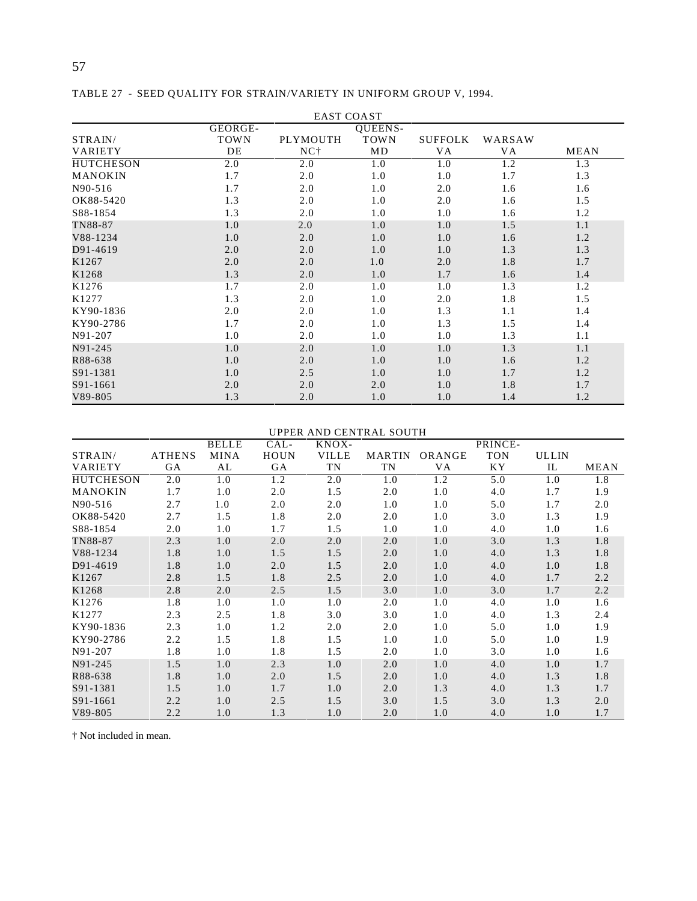|                  |             | <b>EAST COAST</b> |             |                |        |      |
|------------------|-------------|-------------------|-------------|----------------|--------|------|
|                  | GEORGE-     |                   | QUEENS-     |                |        |      |
| STRAIN/          | <b>TOWN</b> | PLYMOUTH          | <b>TOWN</b> | <b>SUFFOLK</b> | WARSAW |      |
| <b>VARIETY</b>   | DE          | NC <sup>+</sup>   | MD          | <b>VA</b>      | VA     | MEAN |
| <b>HUTCHESON</b> | 2.0         | 2.0               | 1.0         | 1.0            | 1.2    | 1.3  |
| MANOKIN          | 1.7         | 2.0               | 1.0         | 1.0            | 1.7    | 1.3  |
| N90-516          | 1.7         | 2.0               | 1.0         | 2.0            | 1.6    | 1.6  |
| OK88-5420        | 1.3         | 2.0               | 1.0         | 2.0            | 1.6    | 1.5  |
| S88-1854         | 1.3         | 2.0               | 1.0         | 1.0            | 1.6    | 1.2  |
| TN88-87          | 1.0         | 2.0               | 1.0         | 1.0            | 1.5    | 1.1  |
| V88-1234         | 1.0         | 2.0               | 1.0         | 1.0            | 1.6    | 1.2  |
| D91-4619         | 2.0         | 2.0               | 1.0         | 1.0            | 1.3    | 1.3  |
| K1267            | 2.0         | 2.0               | 1.0         | 2.0            | 1.8    | 1.7  |
| K1268            | 1.3         | 2.0               | 1.0         | 1.7            | 1.6    | 1.4  |
| K1276            | 1.7         | 2.0               | 1.0         | 1.0            | 1.3    | 1.2  |
| K1277            | 1.3         | 2.0               | 1.0         | 2.0            | 1.8    | 1.5  |
| KY90-1836        | 2.0         | 2.0               | 1.0         | 1.3            | 1.1    | 1.4  |
| KY90-2786        | 1.7         | 2.0               | 1.0         | 1.3            | 1.5    | 1.4  |
| N91-207          | 1.0         | 2.0               | 1.0         | 1.0            | 1.3    | 1.1  |
| N91-245          | 1.0         | 2.0               | 1.0         | 1.0            | 1.3    | 1.1  |
| R88-638          | 1.0         | 2.0               | 1.0         | 1.0            | 1.6    | 1.2  |
| S91-1381         | 1.0         | 2.5               | 1.0         | 1.0            | 1.7    | 1.2  |
| S91-1661         | 2.0         | 2.0               | 2.0         | 1.0            | 1.8    | 1.7  |
| $V89-805$        | 1.3         | 2.0               | 1.0         | 1.0            | 1.4    | 1.2  |

TABLE 27 - SEED QUALITY FOR STRAIN/VARIETY IN UNIFORM GROUP V, 1994.

# UPPER AND CENTRAL SOUTH

|                   |               | <b>BELLE</b> | CAL-        | KNOX-        |               |        | PRINCE-    |              |             |
|-------------------|---------------|--------------|-------------|--------------|---------------|--------|------------|--------------|-------------|
| STRAIN/           | <b>ATHENS</b> | <b>MINA</b>  | <b>HOUN</b> | <b>VILLE</b> | <b>MARTIN</b> | ORANGE | <b>TON</b> | <b>ULLIN</b> |             |
| <b>VARIETY</b>    | GA            | AL           | GA          | TN           | TN            | VA     | ΚY         | IL           | <b>MEAN</b> |
| <b>HUTCHESON</b>  | 2.0           | 1.0          | 1.2         | 2.0          | 1.0           | 1.2    | 5.0        | 1.0          | 1.8         |
| <b>MANOKIN</b>    | 1.7           | 1.0          | 2.0         | 1.5          | 2.0           | 1.0    | 4.0        | 1.7          | 1.9         |
| N90-516           | 2.7           | 1.0          | 2.0         | 2.0          | 1.0           | 1.0    | 5.0        | 1.7          | 2.0         |
| OK88-5420         | 2.7           | 1.5          | 1.8         | 2.0          | 2.0           | 1.0    | 3.0        | 1.3          | 1.9         |
| S88-1854          | 2.0           | 1.0          | 1.7         | 1.5          | 1.0           | 1.0    | 4.0        | 1.0          | 1.6         |
| TN88-87           | 2.3           | 1.0          | 2.0         | 2.0          | 2.0           | 1.0    | 3.0        | 1.3          | 1.8         |
| V88-1234          | 1.8           | 1.0          | 1.5         | 1.5          | 2.0           | 1.0    | 4.0        | 1.3          | 1.8         |
| D91-4619          | 1.8           | 1.0          | 2.0         | 1.5          | 2.0           | 1.0    | 4.0        | 1.0          | 1.8         |
| K1267             | 2.8           | 1.5          | 1.8         | 2.5          | 2.0           | 1.0    | 4.0        | 1.7          | 2.2         |
| K1268             | 2.8           | 2.0          | 2.5         | 1.5          | 3.0           | 1.0    | 3.0        | 1.7          | 2.2         |
| K <sub>1276</sub> | 1.8           | 1.0          | 1.0         | 1.0          | 2.0           | 1.0    | 4.0        | 1.0          | 1.6         |
| K1277             | 2.3           | 2.5          | 1.8         | 3.0          | 3.0           | 1.0    | 4.0        | 1.3          | 2.4         |
| KY90-1836         | 2.3           | 1.0          | 1.2         | 2.0          | 2.0           | 1.0    | 5.0        | 1.0          | 1.9         |
| KY90-2786         | 2.2           | 1.5          | 1.8         | 1.5          | 1.0           | 1.0    | 5.0        | 1.0          | 1.9         |
| N91-207           | 1.8           | 1.0          | 1.8         | 1.5          | 2.0           | 1.0    | 3.0        | 1.0          | 1.6         |
| N91-245           | 1.5           | 1.0          | 2.3         | 1.0          | 2.0           | 1.0    | 4.0        | 1.0          | 1.7         |
| R88-638           | 1.8           | 1.0          | 2.0         | 1.5          | 2.0           | 1.0    | 4.0        | 1.3          | 1.8         |
| S91-1381          | 1.5           | 1.0          | 1.7         | 1.0          | 2.0           | 1.3    | 4.0        | 1.3          | 1.7         |
| S91-1661          | 2.2           | 1.0          | 2.5         | 1.5          | 3.0           | 1.5    | 3.0        | 1.3          | 2.0         |
| V89-805           | 2.2           | 1.0          | 1.3         | 1.0          | 2.0           | 1.0    | 4.0        | 1.0          | 1.7         |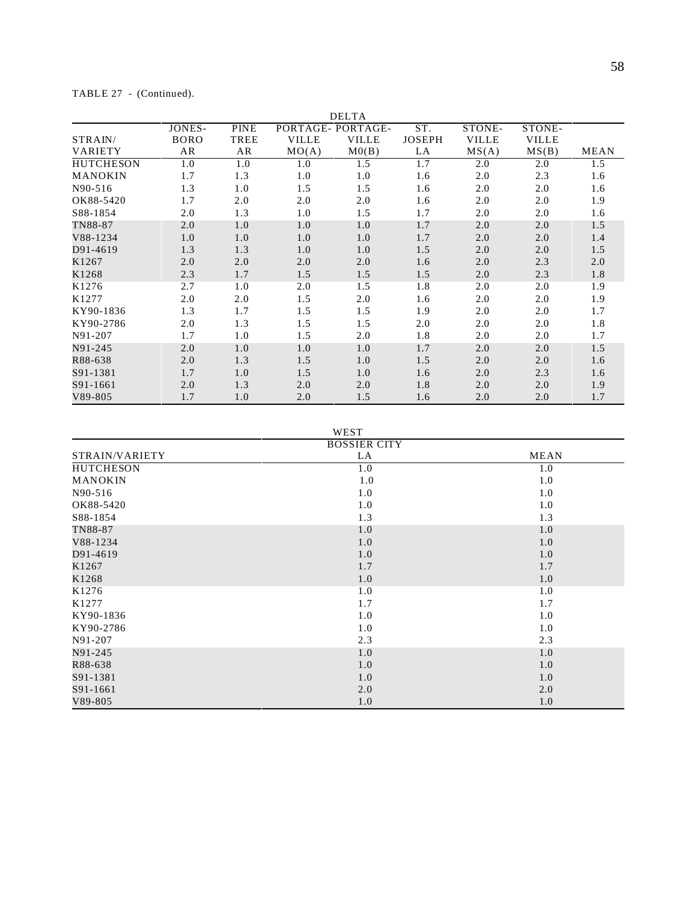| TABLE 27 |  | (Continued). |
|----------|--|--------------|
|----------|--|--------------|

|                  |             |             |                  | <b>DELTA</b> |               |              |              |             |
|------------------|-------------|-------------|------------------|--------------|---------------|--------------|--------------|-------------|
|                  | JONES-      | <b>PINE</b> | PORTAGE-PORTAGE- |              | ST.           | STONE-       | STONE-       |             |
| STRAIN/          | <b>BORO</b> | <b>TREE</b> | <b>VILLE</b>     | <b>VILLE</b> | <b>JOSEPH</b> | <b>VILLE</b> | <b>VILLE</b> |             |
| <b>VARIETY</b>   | AR          | AR          | MO(A)            | M(0)         | LA            | MS(A)        | MS(B)        | <b>MEAN</b> |
| <b>HUTCHESON</b> | 1.0         | 1.0         | 1.0              | 1.5          | 1.7           | 2.0          | 2.0          | 1.5         |
| MANOKIN          | 1.7         | 1.3         | 1.0              | 1.0          | 1.6           | 2.0          | 2.3          | 1.6         |
| N90-516          | 1.3         | 1.0         | 1.5              | 1.5          | 1.6           | 2.0          | 2.0          | 1.6         |
| OK88-5420        | 1.7         | 2.0         | 2.0              | 2.0          | 1.6           | 2.0          | 2.0          | 1.9         |
| S88-1854         | 2.0         | 1.3         | 1.0              | 1.5          | 1.7           | 2.0          | 2.0          | 1.6         |
| TN88-87          | 2.0         | 1.0         | 1.0              | 1.0          | 1.7           | 2.0          | 2.0          | 1.5         |
| V88-1234         | 1.0         | 1.0         | 1.0              | 1.0          | 1.7           | 2.0          | 2.0          | 1.4         |
| D91-4619         | 1.3         | 1.3         | 1.0              | 1.0          | 1.5           | 2.0          | 2.0          | 1.5         |
| K1267            | 2.0         | 2.0         | 2.0              | 2.0          | 1.6           | 2.0          | 2.3          | 2.0         |
| K1268            | 2.3         | 1.7         | 1.5              | 1.5          | 1.5           | 2.0          | 2.3          | 1.8         |
| K1276            | 2.7         | 1.0         | 2.0              | 1.5          | 1.8           | 2.0          | 2.0          | 1.9         |
| K1277            | 2.0         | 2.0         | 1.5              | 2.0          | 1.6           | 2.0          | 2.0          | 1.9         |
| KY90-1836        | 1.3         | 1.7         | 1.5              | 1.5          | 1.9           | 2.0          | 2.0          | 1.7         |
| KY90-2786        | 2.0         | 1.3         | 1.5              | 1.5          | 2.0           | 2.0          | 2.0          | 1.8         |
| N91-207          | 1.7         | 1.0         | 1.5              | 2.0          | 1.8           | 2.0          | 2.0          | 1.7         |
| N91-245          | 2.0         | 1.0         | 1.0              | 1.0          | 1.7           | 2.0          | 2.0          | 1.5         |
| R88-638          | 2.0         | 1.3         | 1.5              | 1.0          | 1.5           | 2.0          | 2.0          | 1.6         |
| S91-1381         | 1.7         | 1.0         | 1.5              | 1.0          | 1.6           | 2.0          | 2.3          | 1.6         |
| S91-1661         | 2.0         | 1.3         | 2.0              | 2.0          | 1.8           | 2.0          | 2.0          | 1.9         |
| $V89 - 805$      | 1.7         | 1.0         | 2.0              | 1.5          | 1.6           | 2.0          | 2.0          | 1.7         |

WEST

|                  | <b>BOSSIER CITY</b> |             |
|------------------|---------------------|-------------|
| STRAIN/VARIETY   | LA                  | <b>MEAN</b> |
| <b>HUTCHESON</b> | 1.0                 | 1.0         |
| <b>MANOKIN</b>   | 1.0                 | 1.0         |
| N90-516          | 1.0                 | 1.0         |
| OK88-5420        | 1.0                 | 1.0         |
| S88-1854         | 1.3                 | 1.3         |
| TN88-87          | 1.0                 | 1.0         |
| V88-1234         | 1.0                 | 1.0         |
| D91-4619         | 1.0                 | 1.0         |
| K1267            | 1.7                 | 1.7         |
| K1268            | 1.0                 | 1.0         |
| K1276            | 1.0                 | 1.0         |
| K1277            | 1.7                 | 1.7         |
| KY90-1836        | 1.0                 | 1.0         |
| KY90-2786        | 1.0                 | 1.0         |
| N91-207          | 2.3                 | 2.3         |
| N91-245          | 1.0                 | 1.0         |
| R88-638          | 1.0                 | 1.0         |
| S91-1381         | 1.0                 | 1.0         |
| S91-1661         | 2.0                 | 2.0         |
| $V89-805$        | 1.0                 | 1.0         |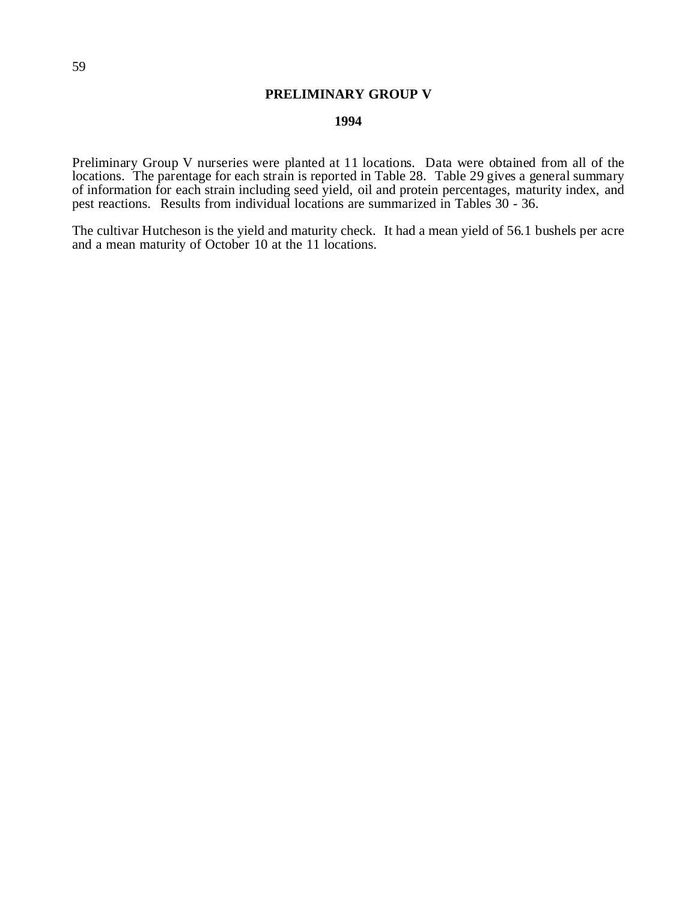# **PRELIMINARY GROUP V**

# **1994**

Preliminary Group V nurseries were planted at 11 locations. Data were obtained from all of the locations. The parentage for each strain is reported in Table 28. Table 29 gives a general summary of information for each strain including seed yield, oil and protein percentages, maturity index, and pest reactions. Results from individual locations are summarized in Tables 30 - 36.

The cultivar Hutcheson is the yield and maturity check. It had a mean yield of 56.1 bushels per acre and a mean maturity of October 10 at the 11 locations.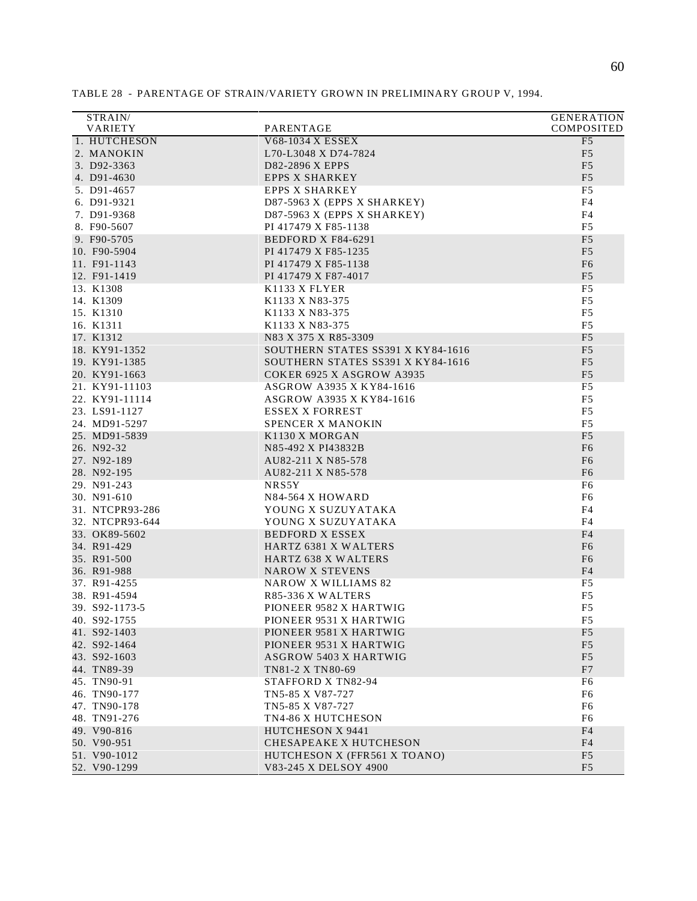| STRAIN/                    |                                          | <b>GENERATION</b>                |
|----------------------------|------------------------------------------|----------------------------------|
| VARIETY                    | PARENTAGE                                | COMPOSITED                       |
| 1. HUTCHESON               | V68-1034 X ESSEX                         | F <sub>5</sub>                   |
| 2. MANOKIN                 | L70-L3048 X D74-7824                     | F <sub>5</sub>                   |
| 3. D92-3363                | D82-2896 X EPPS                          | F <sub>5</sub>                   |
| 4. D91-4630                | <b>EPPS X SHARKEY</b>                    | F <sub>5</sub>                   |
| 5. D91-4657                | <b>EPPS X SHARKEY</b>                    | F <sub>5</sub>                   |
| 6. D91-9321                | D87-5963 X (EPPS X SHARKEY)              | F4                               |
| 7. D91-9368                | D87-5963 X (EPPS X SHARKEY)              | F4                               |
| 8. F90-5607                | PI 417479 X F85-1138                     | F <sub>5</sub>                   |
| 9. F90-5705                | BEDFORD X F84-6291                       | F <sub>5</sub>                   |
| 10. F90-5904               | PI 417479 X F85-1235                     | F <sub>5</sub>                   |
| 11. F91-1143               | PI 417479 X F85-1138                     | F <sub>6</sub>                   |
| 12. F91-1419               | PI 417479 X F87-4017                     | F <sub>5</sub>                   |
| 13. K1308                  | K <sub>1133</sub> X FLYER                | F <sub>5</sub>                   |
| 14. K1309                  | K1133 X N83-375                          | F <sub>5</sub>                   |
| 15. K1310                  | K1133 X N83-375                          | F <sub>5</sub>                   |
| 16. K1311                  | K1133 X N83-375                          | F <sub>5</sub>                   |
| 17. K1312                  | N83 X 375 X R85-3309                     | F <sub>5</sub>                   |
| 18. KY91-1352              | SOUTHERN STATES SS391 X KY84-1616        | F <sub>5</sub>                   |
| 19. KY91-1385              | SOUTHERN STATES SS391 X KY84-1616        | F <sub>5</sub>                   |
| 20. KY91-1663              | COKER 6925 X ASGROW A3935                | F <sub>5</sub>                   |
| 21. KY91-11103             | ASGROW A3935 X KY84-1616                 | F <sub>5</sub>                   |
| 22. KY91-11114             | ASGROW A3935 X KY84-1616                 | F <sub>5</sub>                   |
| 23. LS91-1127              | <b>ESSEX X FORREST</b>                   | F <sub>5</sub>                   |
| 24. MD91-5297              | SPENCER X MANOKIN                        | F <sub>5</sub>                   |
| 25. MD91-5839              | K1130 X MORGAN                           | F <sub>5</sub>                   |
| 26. N92-32                 | N85-492 X PI43832B                       | F <sub>6</sub>                   |
| 27. N92-189<br>28. N92-195 | AU82-211 X N85-578<br>AU82-211 X N85-578 | F <sub>6</sub><br>F <sub>6</sub> |
| 29. N91-243                | NRS5Y                                    | F <sub>6</sub>                   |
| 30. N91-610                | N84-564 X HOWARD                         | F <sub>6</sub>                   |
| 31. NTCPR93-286            | YOUNG X SUZUYATAKA                       | F4                               |
| 32. NTCPR93-644            | YOUNG X SUZUYATAKA                       | F <sub>4</sub>                   |
| 33. OK89-5602              | <b>BEDFORD X ESSEX</b>                   | F <sub>4</sub>                   |
| 34. R91-429                | HARTZ 6381 X WALTERS                     | F <sub>6</sub>                   |
| 35. R91-500                | <b>HARTZ 638 X WALTERS</b>               | F <sub>6</sub>                   |
| 36. R91-988                | <b>NAROW X STEVENS</b>                   | F <sub>4</sub>                   |
| 37. R91-4255               | <b>NAROW X WILLIAMS 82</b>               | F5                               |
| 38. R91-4594               | R85-336 X WALTERS                        | F <sub>5</sub>                   |
| 39. S92-1173-5             | PIONEER 9582 X HARTWIG                   | F <sub>5</sub>                   |
| 40. S92-1755               | PIONEER 9531 X HARTWIG                   | F5                               |
| 41. S92-1403               | PIONEER 9581 X HARTWIG                   | F <sub>5</sub>                   |
| 42. S92-1464               | PIONEER 9531 X HARTWIG                   | F <sub>5</sub>                   |
| 43. S92-1603               | <b>ASGROW 5403 X HARTWIG</b>             | F <sub>5</sub>                   |
| 44. TN89-39                | TN81-2 X TN80-69                         | F7                               |
| 45. TN90-91                | STAFFORD X TN82-94                       | F6                               |
| 46. TN90-177               | TN5-85 X V87-727                         | F6                               |
| 47. TN90-178               | TN5-85 X V87-727                         | F <sub>6</sub>                   |
| 48. TN91-276               | TN4-86 X HUTCHESON                       | F6                               |
| 49. V90-816                | HUTCHESON X 9441                         | F4                               |
| 50. V90-951                | CHESAPEAKE X HUTCHESON                   | F4                               |
| 51. V90-1012               | HUTCHESON X (FFR561 X TOANO)             | F <sub>5</sub>                   |
| 52. V90-1299               | V83-245 X DELSOY 4900                    | F <sub>5</sub>                   |

TABLE 28 - PARENTAGE OF STRAIN/VARIETY GROWN IN PRELIMINARY GROUP V, 1994.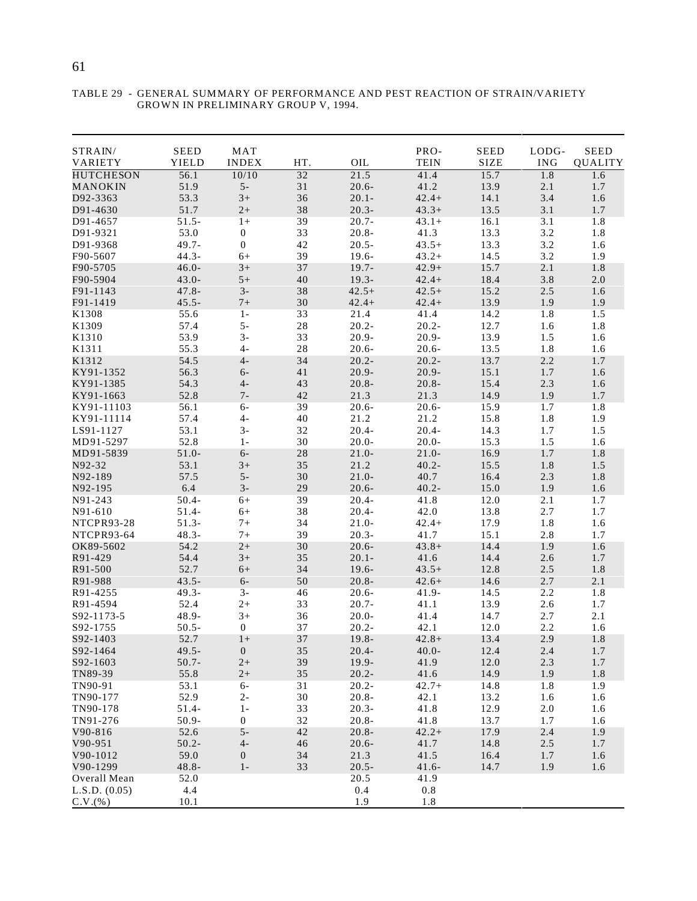| STRAIN/          | <b>SEED</b>          | MAT              |        |          | PRO-        | <b>SEED</b> | LODG-                | <b>SEED</b>    |
|------------------|----------------------|------------------|--------|----------|-------------|-------------|----------------------|----------------|
| VARIETY          | <b>YIELD</b>         | <b>INDEX</b>     | HT.    | OIL      | <b>TEIN</b> | <b>SIZE</b> | $\operatorname{ING}$ | <b>QUALITY</b> |
| <b>HUTCHESON</b> | 56.1                 | 10/10            | 32     | 21.5     | 41.4        | 15.7        | 1.8                  | 1.6            |
| MANOKIN          | 51.9                 | $5-$             | 31     | $20.6 -$ | 41.2        | 13.9        | 2.1                  | 1.7            |
| D92-3363         | 53.3                 | $3+$             | 36     | $20.1 -$ | $42.4+$     | 14.1        | 3.4                  | 1.6            |
| D91-4630         | 51.7                 | $2+$             | 38     | $20.3 -$ | $43.3+$     | 13.5        | 3.1                  | 1.7            |
| D91-4657         | $51.5 -$             | $1+$             | 39     | $20.7 -$ | $43.1+$     | 16.1        | 3.1                  | 1.8            |
| D91-9321         | 53.0                 | $\boldsymbol{0}$ | 33     | $20.8 -$ | 41.3        | 13.3        | 3.2                  | 1.8            |
| D91-9368         | $49.7 -$             | $\boldsymbol{0}$ | 42     | $20.5 -$ | $43.5+$     | 13.3        | 3.2                  | 1.6            |
| F90-5607         | $44.3 -$             | $6+$             | 39     | $19.6 -$ | $43.2+$     | 14.5        | 3.2                  | 1.9            |
| F90-5705         | $46.0 -$             | $3+$             | 37     | $19.7 -$ | $42.9+$     | 15.7        | 2.1                  | 1.8            |
| F90-5904         | $43.0 -$             | $5+$             | 40     | $19.3 -$ | $42.4+$     | 18.4        | 3.8                  | 2.0            |
| F91-1143         | $47.8 -$             | $3-$             | 38     | $42.5+$  | $42.5+$     | 15.2        | 2.5                  | 1.6            |
| F91-1419         | $45.5 -$             | $7+$             | $30\,$ | $42.4+$  | $42.4+$     | 13.9        | 1.9                  | 1.9            |
| K1308            | 55.6                 | $1 -$            | 33     | 21.4     | 41.4        | 14.2        | 1.8                  | 1.5            |
| K1309            | 57.4                 | $5-$             | 28     | $20.2 -$ | $20.2 -$    | 12.7        | 1.6                  | 1.8            |
| K1310            | 53.9                 | $3-$             | 33     | $20.9 -$ | $20.9 -$    | 13.9        | 1.5                  | 1.6            |
| K1311            | 55.3                 | $4-$             | 28     | $20.6 -$ | $20.6 -$    | 13.5        | 1.8                  | 1.6            |
| K1312            | 54.5                 | $4-$             | 34     | $20.2 -$ | $20.2 -$    | 13.7        | 2.2                  | 1.7            |
| KY91-1352        | 56.3                 | $6-$             | 41     | $20.9 -$ | $20.9 -$    | 15.1        | 1.7                  | 1.6            |
| KY91-1385        | 54.3                 | $4-$             | 43     | $20.8 -$ | $20.8 -$    | 15.4        | 2.3                  | 1.6            |
| KY91-1663        | 52.8                 | $7 -$            | 42     | 21.3     | 21.3        | 14.9        | 1.9                  | 1.7            |
| KY91-11103       | 56.1                 | $6-$             | 39     | $20.6 -$ | $20.6 -$    | 15.9        | 1.7                  | 1.8            |
| KY91-11114       | 57.4                 | $4-$             | 40     | 21.2     | 21.2        | 15.8        | 1.8                  | 1.9            |
| LS91-1127        | 53.1                 | $3-$             | 32     | $20.4 -$ | $20.4 -$    | 14.3        | 1.7                  | 1.5            |
| MD91-5297        | 52.8                 | $1 -$            | 30     | $20.0 -$ | $20.0 -$    | 15.3        | 1.5                  | 1.6            |
| MD91-5839        | $51.0 -$             | $6-$             | 28     | $21.0 -$ | $21.0 -$    | 16.9        | 1.7                  | 1.8            |
| N92-32           | 53.1                 | $3+$             | 35     | 21.2     | $40.2 -$    | 15.5        | 1.8                  | 1.5            |
| N92-189          | 57.5                 | $5-$             | 30     | $21.0 -$ | 40.7        | 16.4        | 2.3                  | 1.8            |
| N92-195          | 6.4                  | $3-$             | 29     | $20.6 -$ | $40.2 -$    | 15.0        | 1.9                  | 1.6            |
| N91-243          | $50.4 -$             | $6+$             | 39     | $20.4 -$ | 41.8        | 12.0        | 2.1                  | 1.7            |
| N91-610          | $51.4 -$             | $6+$             | 38     | $20.4 -$ | 42.0        | 13.8        | 2.7                  | 1.7            |
| NTCPR93-28       | $51.3-$              | $7+$             | 34     | $21.0 -$ | $42.4+$     | 17.9        | 1.8                  | 1.6            |
| NTCPR93-64       | $48.3 -$             | $7+$             | 39     | $20.3 -$ | 41.7        | 15.1        | 2.8                  | 1.7            |
| OK89-5602        | 54.2                 | $2+$             | 30     | $20.6 -$ | $43.8+$     | 14.4        | 1.9                  | 1.6            |
| R91-429          | 54.4                 | $3+$             | 35     | $20.1 -$ | 41.6        | 14.4        | 2.6                  | 1.7            |
| R91-500          | 52.7                 | $6+$             | 34     | $19.6 -$ | $43.5+$     | 12.8        | 2.5                  | 1.8            |
| R91-988          | $43.5 -$             | $6-$             | 50     | $20.8 -$ | $42.6+$     | 14.6        | 2.7                  | 2.1            |
| R91-4255         | $49.3 -$             | $3-$             | 46     | $20.6 -$ | $41.9 -$    | 14.5        | 2.2                  | 1.8            |
| R91-4594         | 52.4                 | $2+$             | 33     | $20.7 -$ | 41.1        | 13.9        | 2.6                  | 1.7            |
| S92-1173-5       | $48.9 -$             | $3+$             | 36     | $20.0 -$ | 41.4        | 14.7        | 2.7                  | 2.1            |
| S92-1755         | $50.5 -$             | $\boldsymbol{0}$ | 37     | $20.2 -$ | 42.1        | 12.0        | 2.2                  | 1.6            |
| S92-1403         | 52.7                 |                  | 37     | $19.8 -$ | $42.8+$     | 13.4        | 2.9                  |                |
|                  |                      | $1+$             |        |          |             |             |                      | 1.8            |
| S92-1464         | $49.5 -$<br>$50.7 -$ | $\mathbf{0}$     | 35     | $20.4 -$ | $40.0 -$    | 12.4        | 2.4                  | 1.7            |
| S92-1603         |                      | $2+$             | 39     | 19.9-    | 41.9        | 12.0        | 2.3                  | 1.7            |
| TN89-39          | 55.8                 | $2+$             | 35     | $20.2 -$ | 41.6        | 14.9        | 1.9                  | 1.8            |
| TN90-91          | 53.1                 | $6-$             | 31     | $20.2 -$ | $42.7+$     | 14.8        | 1.8                  | 1.9            |
| TN90-177         | 52.9                 | $2 -$            | 30     | $20.8 -$ | 42.1        | 13.2        | 1.6                  | 1.6            |
| TN90-178         | $51.4-$              | $1 -$            | 33     | $20.3 -$ | 41.8        | 12.9        | 2.0                  | 1.6            |
| TN91-276         | $50.9 -$             | 0                | 32     | $20.8 -$ | 41.8        | 13.7        | 1.7                  | 1.6            |
| V90-816          | 52.6                 | $5-$             | 42     | $20.8 -$ | $42.2+$     | 17.9        | 2.4                  | 1.9            |
| V90-951          | $50.2 -$             | $4-$             | 46     | $20.6 -$ | 41.7        | 14.8        | $2.5\,$              | 1.7            |
| V90-1012         | 59.0                 | $\overline{0}$   | 34     | 21.3     | 41.5        | 16.4        | 1.7                  | 1.6            |
| V90-1299         | $48.8 -$             | $1 -$            | 33     | $20.5 -$ | $41.6 -$    | 14.7        | 1.9                  | 1.6            |
| Overall Mean     | 52.0                 |                  |        | 20.5     | 41.9        |             |                      |                |
| L.S.D. (0.05)    | 4.4                  |                  |        | 0.4      | 0.8         |             |                      |                |
| C.V.(%)          | 10.1                 |                  |        | 1.9      | 1.8         |             |                      |                |

#### TABLE 29 - GENERAL SUMMARY OF PERFORMANCE AND PEST REACTION OF STRAIN/VARIETY GROWN IN PRELIMINARY GROUP V, 1994.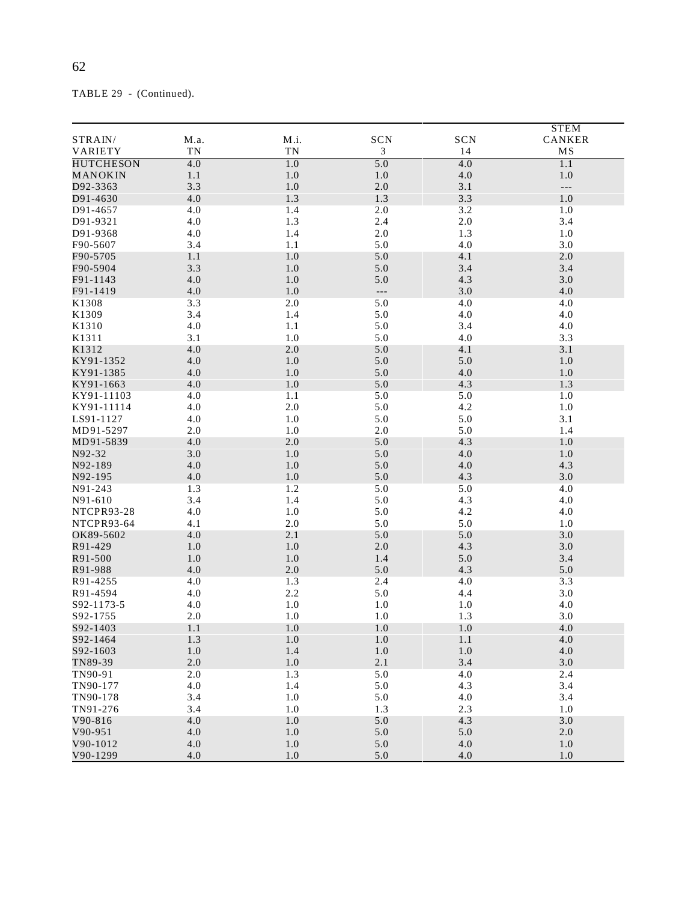|                   |            |                |            |                | <b>STEM</b>              |
|-------------------|------------|----------------|------------|----------------|--------------------------|
| STRAIN/           | M.a.       | M.i.           | <b>SCN</b> | SCN            | CANKER                   |
| VARIETY           | TN         | TN             | 3          | 14             | MS                       |
| <b>HUTCHESON</b>  | 4.0        | 1.0            | 5.0        | 4.0            | 1.1                      |
| MANOKIN           | 1.1        | 1.0            | 1.0        | $4.0\,$        | 1.0                      |
| D92-3363          | 3.3        | 1.0            | 2.0        | 3.1            | $\overline{\phantom{a}}$ |
| D91-4630          | 4.0        | 1.3            | 1.3        | 3.3            | 1.0                      |
| D91-4657          | 4.0        | 1.4            | 2.0        | 3.2            | 1.0                      |
| D91-9321          | 4.0        | 1.3            | 2.4        | $2.0\,$        | 3.4                      |
| D91-9368          | 4.0        | 1.4            | 2.0        | 1.3            | 1.0                      |
| F90-5607          | 3.4        | 1.1            | 5.0        | 4.0            | 3.0                      |
| F90-5705          | 1.1        | $1.0\,$        | 5.0        | 4.1            | 2.0                      |
| F90-5904          | 3.3        | 1.0<br>$1.0\,$ | 5.0        | 3.4            | 3.4                      |
| F91-1143          | 4.0        |                | 5.0        | 4.3            | 3.0                      |
| F91-1419<br>K1308 | 4.0<br>3.3 | 1.0<br>2.0     | ---<br>5.0 | $3.0\,$<br>4.0 | 4.0<br>4.0               |
| K1309             | 3.4        | 1.4            | 5.0        | 4.0            | 4.0                      |
| K1310             | 4.0        | 1.1            | 5.0        | 3.4            | 4.0                      |
| K1311             | 3.1        | $1.0\,$        | 5.0        | 4.0            | 3.3                      |
| K1312             | 4.0        | 2.0            | 5.0        | 4.1            | 3.1                      |
| KY91-1352         | 4.0        | 1.0            | 5.0        | 5.0            | 1.0                      |
| KY91-1385         | 4.0        | 1.0            | 5.0        | $4.0\,$        | 1.0                      |
| KY91-1663         | 4.0        | 1.0            | 5.0        | 4.3            | 1.3                      |
| KY91-11103        | 4.0        | 1.1            | 5.0        | 5.0            | 1.0                      |
| KY91-11114        | 4.0        | 2.0            | 5.0        | 4.2            | 1.0                      |
| LS91-1127         | 4.0        | 1.0            | 5.0        | 5.0            | 3.1                      |
| MD91-5297         | 2.0        | 1.0            | 2.0        | 5.0            | 1.4                      |
| MD91-5839         | 4.0        | 2.0            | 5.0        | 4.3            | 1.0                      |
| N92-32            | 3.0        | 1.0            | 5.0        | 4.0            | 1.0                      |
| N92-189           | 4.0        | 1.0            | 5.0        | 4.0            | 4.3                      |
| N92-195           | 4.0        | 1.0            | 5.0        | 4.3            | 3.0                      |
| N91-243           | 1.3        | 1.2            | 5.0        | 5.0            | 4.0                      |
| N91-610           | 3.4        | 1.4            | 5.0        | 4.3            | 4.0                      |
| NTCPR93-28        | 4.0        | $1.0\,$        | 5.0        | 4.2            | 4.0                      |
| NTCPR93-64        | 4.1        | 2.0            | 5.0        | 5.0            | 1.0                      |
| OK89-5602         | 4.0        | 2.1            | 5.0        | 5.0            | 3.0                      |
| R91-429           | 1.0        | 1.0            | 2.0        | 4.3            | 3.0                      |
| R91-500           | 1.0        | 1.0            | 1.4        | 5.0            | 3.4                      |
| R91-988           | 4.0        | 2.0            | 5.0        | 4.3            | 5.0                      |
| R91-4255          | 4.0        | 1.3            | 2.4        | 4.0            | 3.3                      |
| R91-4594          | 4.0        | 2.2            | 5.0        | 4.4            | 3.0                      |
| S92-1173-5        | 4.0        | $1.0\,$        | 1.0        | 1.0            | 4.0                      |
| S92-1755          | 2.0        | 1.0            | 1.0        | 1.3            | 3.0                      |
| S92-1403          | 1.1        | 1.0            | 1.0        | 1.0            | 4.0                      |
| S92-1464          | 1.3        | 1.0            | 1.0        | $1.1\,$        | 4.0                      |
| S92-1603          | 1.0        | 1.4            | 1.0        | $1.0\,$        | 4.0                      |
| TN89-39           | 2.0        | $1.0\,$        | 2.1        | 3.4            | 3.0                      |
| TN90-91           | 2.0        | 1.3            | 5.0        | 4.0            | 2.4                      |
| TN90-177          | 4.0        | 1.4            | 5.0        | 4.3            | 3.4                      |
| TN90-178          | 3.4        | 1.0            | 5.0        | 4.0            | 3.4                      |
| TN91-276          | 3.4        | 1.0            | 1.3        | 2.3            | 1.0                      |
| V90-816           | 4.0        | $1.0\,$        | 5.0        | 4.3            | 3.0                      |
| $V90-951$         | 4.0        | 1.0            | 5.0        | 5.0            | 2.0                      |
| V90-1012          | 4.0        | $1.0\,$        | 5.0        | $4.0$          | 1.0                      |
| V90-1299          | 4.0        | $1.0\,$        | 5.0        | 4.0            | 1.0                      |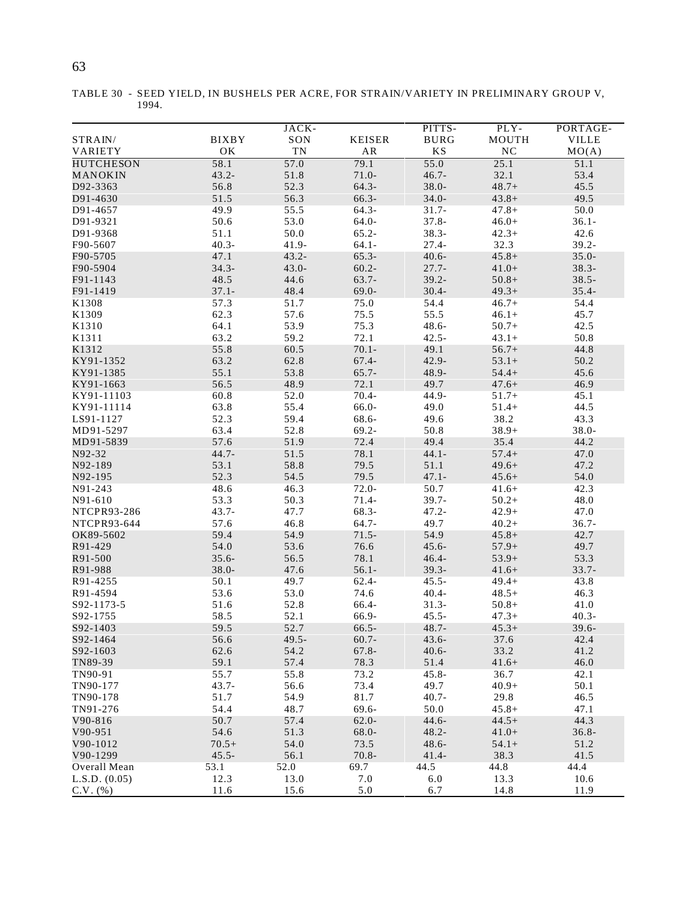| . .  | I<br>I |
|------|--------|
| ۰    |        |
| 정도 시 |        |
|      |        |
|      |        |
|      |        |
| I    | ۰.     |
|      | ۰.     |
| ×    | ×      |
| ۰.   | ۰.     |
|      |        |

TABLE 30 - SEED YIELD, IN BUSHELS PER ACRE, FOR STRAIN/VARIETY IN PRELIMINARY GROUP V, 1994.

| STRAIN/            | <b>BIXBY</b> | JACK-<br>SON | <b>KEISER</b> | PITTS-<br><b>BURG</b>  | PLY-<br>MOUTH    | PORTAGE-<br><b>VILLE</b> |
|--------------------|--------------|--------------|---------------|------------------------|------------------|--------------------------|
| VARIETY            | OK           | ${\rm TN}$   | ${\sf AR}$    | $\mathbf{K}\mathbf{S}$ | $_{\mathrm{NC}}$ | MO(A)                    |
| <b>HUTCHESON</b>   | 58.1         | 57.0         | 79.1          | 55.0                   | 25.1             | 51.1                     |
| MANOKIN            | $43.2 -$     | 51.8         | $71.0-$       | $46.7 -$               | 32.1             | 53.4                     |
| D92-3363           | 56.8         | 52.3         | $64.3-$       | $38.0 -$               | $48.7 +$         | 45.5                     |
| D91-4630           | 51.5         | 56.3         | 66.3-         | $34.0 -$               | $43.8+$          | 49.5                     |
| D91-4657           | 49.9         | 55.5         | $64.3 -$      | $31.7 -$               | $47.8+$          | 50.0                     |
| D91-9321           | 50.6         | 53.0         | 64.0-         | $37.8 -$               | $46.0+$          | $36.1 -$                 |
| D91-9368           | 51.1         | 50.0         | $65.2 -$      | $38.3 -$               | $42.3+$          | 42.6                     |
| F90-5607           | $40.3 -$     | $41.9 -$     | $64.1 -$      | $27.4 -$               | 32.3             | $39.2 -$                 |
| F90-5705           | 47.1         | $43.2 -$     | $65.3-$       | $40.6 -$               | $45.8+$          | $35.0 -$                 |
|                    |              |              |               |                        |                  |                          |
| F90-5904           | $34.3 -$     | $43.0 -$     | $60.2 -$      | $27.7 -$               | $41.0+$          | $38.3 -$                 |
| F91-1143           | 48.5         | 44.6         | $63.7 -$      | $39.2 -$               | $50.8+$          | $38.5 -$                 |
| F91-1419           | $37.1 -$     | 48.4         | $69.0 -$      | $30.4 -$               | $49.3+$          | $35.4 -$                 |
| K1308              | 57.3         | 51.7         | 75.0          | 54.4                   | $46.7+$          | 54.4                     |
| K1309              | 62.3         | 57.6         | 75.5          | 55.5                   | $46.1+$          | 45.7                     |
| K1310              | 64.1         | 53.9         | 75.3          | $48.6 -$               | $50.7+$          | 42.5                     |
| K1311              | 63.2         | 59.2         | 72.1          | $42.5 -$               | $43.1+$          | 50.8                     |
| K1312              | 55.8         | 60.5         | $70.1 -$      | 49.1                   | $56.7+$          | 44.8                     |
| KY91-1352          | 63.2         | 62.8         | $67.4 -$      | $42.9 -$               | $53.1+$          | 50.2                     |
| KY91-1385          | 55.1         | 53.8         | $65.7 -$      | 48.9-                  | $54.4+$          | 45.6                     |
| KY91-1663          | 56.5         | 48.9         | 72.1          | 49.7                   | $47.6+$          | 46.9                     |
| KY91-11103         | 60.8         | 52.0         | $70.4 -$      | 44.9-                  | $51.7+$          | 45.1                     |
| KY91-11114         | 63.8         | 55.4         | 66.0-         | 49.0                   | $51.4+$          | 44.5                     |
| LS91-1127          | 52.3         | 59.4         | 68.6-         | 49.6                   | 38.2             | 43.3                     |
| MD91-5297          | 63.4         | 52.8         | $69.2 -$      | 50.8                   | $38.9+$          | $38.0 -$                 |
| MD91-5839          | 57.6         | 51.9         | 72.4          | 49.4                   | 35.4             | 44.2                     |
| N92-32             | $44.7 -$     | 51.5         | 78.1          | $44.1 -$               | $57.4+$          | 47.0                     |
| N92-189            | 53.1         | 58.8         | 79.5          | 51.1                   | $49.6+$          | 47.2                     |
| N92-195            | 52.3         | 54.5         | 79.5          | $47.1 -$               | $45.6+$          | 54.0                     |
| N91-243            | 48.6         | 46.3         | $72.0 -$      | 50.7                   | $41.6+$          | 42.3                     |
| N91-610            | 53.3         | 50.3         | $71.4-$       | $39.7 -$               | $50.2+$          | 48.0                     |
| <b>NTCPR93-286</b> | $43.7 -$     | 47.7         | 68.3-         | $47.2 -$               | $42.9+$          | 47.0                     |
| NTCPR93-644        | 57.6         | 46.8         | $64.7 -$      | 49.7                   | $40.2+$          | $36.7 -$                 |
| OK89-5602          | 59.4         | 54.9         | $71.5 -$      | 54.9                   | $45.8+$          | 42.7                     |
| R91-429            | 54.0         | 53.6         | 76.6          | $45.6 -$               | $57.9+$          | 49.7                     |
| R91-500            | $35.6 -$     | 56.5         | 78.1          | $46.4 -$               | $53.9+$          | 53.3                     |
| R91-988            | $38.0 -$     | 47.6         | $56.1 -$      | $39.3 -$               | $41.6+$          | $33.7 -$                 |
| R91-4255           | 50.1         | 49.7         | $62.4-$       | $45.5 -$               | $49.4+$          | 43.8                     |
| R91-4594           | 53.6         | 53.0         | 74.6          | $40.4 -$               | $48.5+$          | 46.3                     |
| S92-1173-5         | 51.6         | 52.8         | 66.4-         | $31.3-$                | $50.8+$          | 41.0                     |
| S92-1755           | 58.5         | 52.1         | 66.9-         | $45.5 -$               | $47.3+$          | $40.3 -$                 |
| S92-1403           | 59.5         | 52.7         | $66.5 -$      | $48.7 -$               | $45.3+$          | $39.6 -$                 |
| S92-1464           | 56.6         | $49.5 -$     | $60.7 -$      | $43.6 -$               | 37.6             | 42.4                     |
| S92-1603           | 62.6         | 54.2         | $67.8 -$      | $40.6 -$               | 33.2             | 41.2                     |
| TN89-39            | 59.1         | 57.4         | 78.3          | 51.4                   | $41.6+$          | 46.0                     |
| TN90-91            | 55.7         | 55.8         | 73.2          | $45.8 -$               | 36.7             | 42.1                     |
| TN90-177           | $43.7 -$     | 56.6         | 73.4          | 49.7                   | $40.9+$          | 50.1                     |
| TN90-178           | 51.7         | 54.9         | 81.7          | $40.7 -$               | 29.8             | 46.5                     |
| TN91-276           | 54.4         | 48.7         | 69.6-         | 50.0                   | $45.8+$          | 47.1                     |
| $V90-816$          | 50.7         | 57.4         | $62.0 -$      | $44.6 -$               | $44.5+$          | 44.3                     |
| $V90-951$          | 54.6         | 51.3         | 68.0-         | $48.2 -$               | $41.0+$          | $36.8 -$                 |
| V90-1012           | $70.5+$      | 54.0         | 73.5          | $48.6 -$               | $54.1+$          | 51.2                     |
| V90-1299           | $45.5 -$     | 56.1         | $70.8 -$      | $41.4-$                | 38.3             | 41.5                     |
| Overall Mean       | 53.1         | 52.0         | 69.7          | 44.5                   | 44.8             | 44.4                     |
| L.S.D. (0.05)      | 12.3         | 13.0         | 7.0           | 6.0                    | 13.3             | 10.6                     |
| $C.V.$ $(\% )$     | 11.6         | 15.6         | 5.0           | 6.7                    | 14.8             | 11.9                     |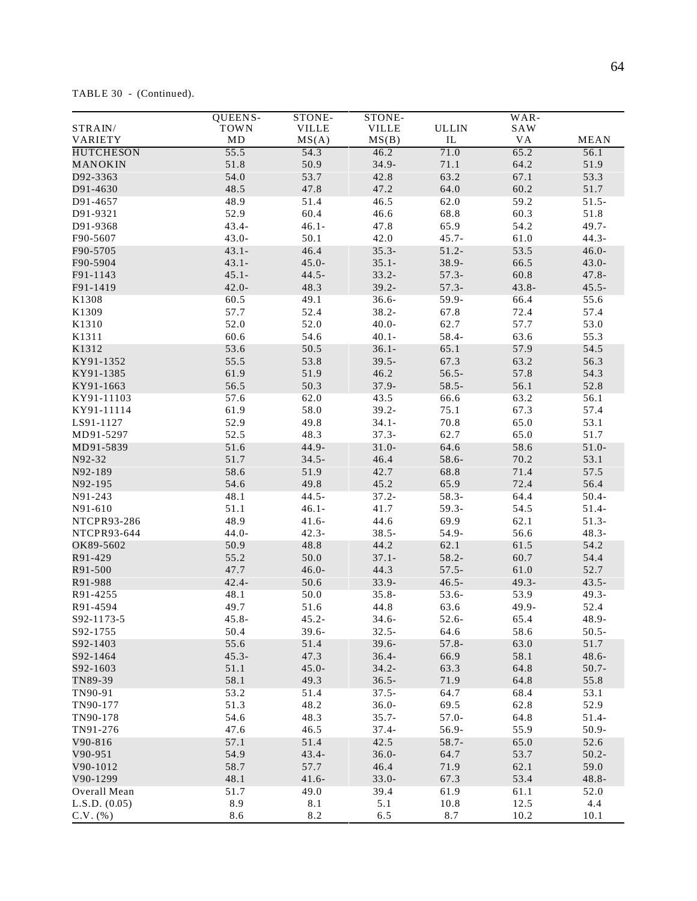TABLE 30 - (Continued).

|                                       | <b>QUEENS-</b> | STONE-       | STONE-       |              | $WAR-$   |             |
|---------------------------------------|----------------|--------------|--------------|--------------|----------|-------------|
| $\ensuremath{\mathsf{STRAIN}}\xspace$ | <b>TOWN</b>    | <b>VILLE</b> | <b>VILLE</b> | <b>ULLIN</b> | SAW      |             |
| VARIETY                               | MD             | MS(A)        | MS(B)        | IL           | VA       | <b>MEAN</b> |
| <b>HUTCHESON</b>                      | 55.5           | 54.3         | 46.2         | 71.0         | 65.2     | 56.1        |
| MANOKIN                               | 51.8           | 50.9         | $34.9 -$     | 71.1         | 64.2     | 51.9        |
| D92-3363                              | 54.0           | 53.7         | 42.8         | 63.2         | 67.1     | 53.3        |
| D91-4630                              | 48.5           | 47.8         | 47.2         | 64.0         | 60.2     | 51.7        |
| D91-4657                              | 48.9           | 51.4         | 46.5         | 62.0         | 59.2     | $51.5 -$    |
|                                       | 52.9           | 60.4         | 46.6         | 68.8         | 60.3     | 51.8        |
| D91-9321                              |                |              |              |              |          |             |
| D91-9368                              | $43.4 -$       | $46.1 -$     | 47.8         | 65.9         | 54.2     | $49.7 -$    |
| F90-5607                              | $43.0 -$       | 50.1         | 42.0         | $45.7 -$     | 61.0     | $44.3 -$    |
| F90-5705                              | $43.1 -$       | 46.4         | $35.3-$      | $51.2 -$     | 53.5     | $46.0 -$    |
| F90-5904                              | $43.1 -$       | $45.0 -$     | $35.1 -$     | 38.9-        | 66.5     | $43.0 -$    |
| F91-1143                              | $45.1 -$       | $44.5 -$     | $33.2 -$     | $57.3-$      | 60.8     | $47.8 -$    |
| F91-1419                              | $42.0 -$       | 48.3         | $39.2 -$     | $57.3-$      | $43.8 -$ | $45.5 -$    |
| K1308                                 | 60.5           | 49.1         | $36.6 -$     | 59.9-        | 66.4     | 55.6        |
| K1309                                 | 57.7           | 52.4         | $38.2 -$     | 67.8         | 72.4     | 57.4        |
| K1310                                 | 52.0           | 52.0         | $40.0 -$     | 62.7         | 57.7     | 53.0        |
| K1311                                 | 60.6           | 54.6         | $40.1 -$     | 58.4-        | 63.6     | 55.3        |
| K1312                                 | 53.6           | 50.5         | $36.1 -$     | 65.1         | 57.9     | 54.5        |
| KY91-1352                             | 55.5           | 53.8         | $39.5 -$     | 67.3         | 63.2     | 56.3        |
| KY91-1385                             | 61.9           | 51.9         | 46.2         | $56.5 -$     | 57.8     | 54.3        |
| KY91-1663                             | 56.5           | 50.3         | $37.9 -$     | $58.5 -$     | 56.1     | 52.8        |
| KY91-11103                            |                |              |              |              |          |             |
|                                       | 57.6           | 62.0         | 43.5         | 66.6         | 63.2     | 56.1        |
| KY91-11114                            | 61.9           | 58.0         | $39.2 -$     | 75.1         | 67.3     | 57.4        |
| LS91-1127                             | 52.9           | 49.8         | $34.1 -$     | 70.8         | 65.0     | 53.1        |
| MD91-5297                             | 52.5           | 48.3         | $37.3 -$     | 62.7         | 65.0     | 51.7        |
| MD91-5839                             | 51.6           | $44.9 -$     | $31.0 -$     | 64.6         | 58.6     | $51.0 -$    |
| N92-32                                | 51.7           | $34.5 -$     | 46.4         | 58.6-        | 70.2     | 53.1        |
| N92-189                               | 58.6           | 51.9         | 42.7         | 68.8         | 71.4     | 57.5        |
| N92-195                               | 54.6           | 49.8         | 45.2         | 65.9         | 72.4     | 56.4        |
| N91-243                               | 48.1           | $44.5 -$     | $37.2 -$     | $58.3 -$     | 64.4     | $50.4 -$    |
| N91-610                               | 51.1           | $46.1 -$     | 41.7         | $59.3 -$     | 54.5     | $51.4-$     |
| NTCPR93-286                           | 48.9           | $41.6 -$     | 44.6         | 69.9         | 62.1     | $51.3-$     |
| NTCPR93-644                           | $44.0 -$       | $42.3 -$     | $38.5 -$     | 54.9-        | 56.6     | $48.3 -$    |
| OK89-5602                             | 50.9           | 48.8         | 44.2         | 62.1         | 61.5     | 54.2        |
| R91-429                               | 55.2           | 50.0         | $37.1 -$     | $58.2 -$     | 60.7     | 54.4        |
| R91-500                               | 47.7           | $46.0 -$     | 44.3         | $57.5 -$     | 61.0     | 52.7        |
|                                       | $42.4 -$       | 50.6         | $33.9 -$     | $46.5 -$     | $49.3 -$ | $43.5 -$    |
| R91-988                               |                |              |              |              |          |             |
| R91-4255                              | 48.1           | 50.0         | $35.8 -$     | 53.6-        | 53.9     | $49.3 -$    |
| R91-4594                              | 49.7           | 51.6         | 44.8         | 63.6         | 49.9-    | 52.4        |
| S92-1173-5                            | $45.8 -$       | $45.2 -$     | $34.6 -$     | 52.6-        | 65.4     | 48.9-       |
| S92-1755                              | 50.4           | $39.6 -$     | $32.5 -$     | 64.6         | 58.6     | $50.5 -$    |
| S92-1403                              | 55.6           | 51.4         | $39.6 -$     | $57.8 -$     | 63.0     | 51.7        |
| S92-1464                              | $45.3 -$       | 47.3         | $36.4 -$     | 66.9         | 58.1     | $48.6 -$    |
| S92-1603                              | 51.1           | $45.0 -$     | $34.2 -$     | 63.3         | 64.8     | $50.7 -$    |
| TN89-39                               | 58.1           | 49.3         | $36.5 -$     | 71.9         | 64.8     | 55.8        |
| TN90-91                               | 53.2           | 51.4         | $37.5 -$     | 64.7         | 68.4     | 53.1        |
| TN90-177                              | 51.3           | 48.2         | $36.0 -$     | 69.5         | 62.8     | 52.9        |
| TN90-178                              | 54.6           | 48.3         | $35.7 -$     | $57.0 -$     | 64.8     | $51.4-$     |
| TN91-276                              | 47.6           | 46.5         | $37.4 -$     | 56.9-        | 55.9     | 50.9-       |
| $V90-816$                             | 57.1           | 51.4         | 42.5         | $58.7 -$     | 65.0     | 52.6        |
| V90-951                               | 54.9           | $43.4 -$     | $36.0 -$     | 64.7         | 53.7     | $50.2 -$    |
|                                       |                |              |              |              |          |             |
| V90-1012                              | 58.7           | 57.7         | 46.4         | 71.9         | 62.1     | 59.0        |
| V90-1299                              | 48.1           | $41.6 -$     | $33.0 -$     | 67.3         | 53.4     | $48.8 -$    |
| Overall Mean                          | 51.7           | 49.0         | 39.4         | 61.9         | 61.1     | 52.0        |
| L.S.D. (0.05)                         | 8.9            | 8.1          | 5.1          | 10.8         | 12.5     | 4.4         |
| $C.V.$ (%)                            | 8.6            | 8.2          | 6.5          | 8.7          | 10.2     | 10.1        |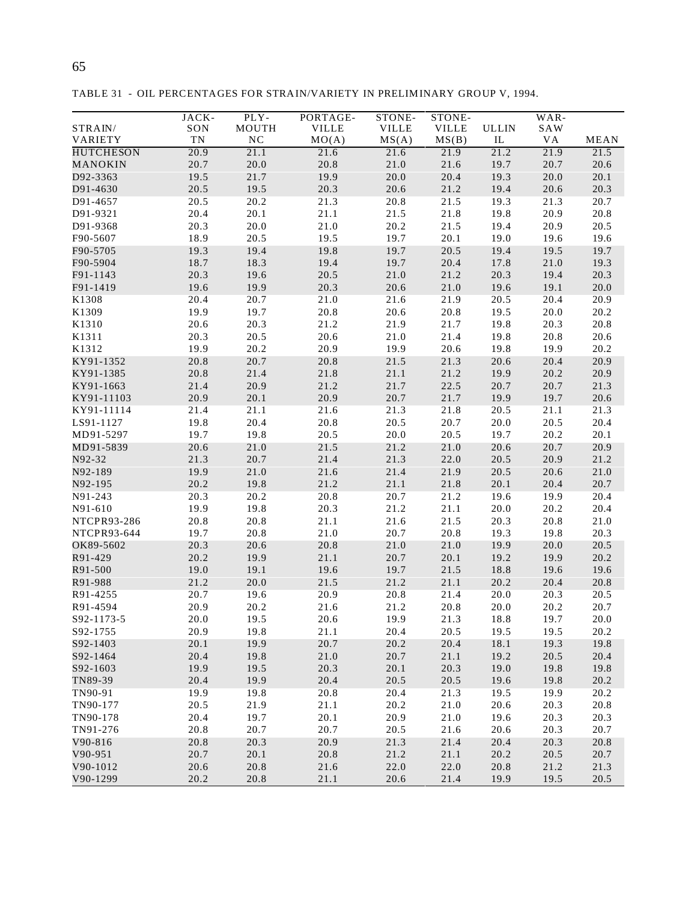| ۰<br>정도 시<br>I<br>×<br>۰, | I<br>٠<br>۰.<br>×<br>٠ |
|---------------------------|------------------------|
|                           |                        |

TABLE 31 - OIL PERCENTAGES FOR STRAIN/VARIETY IN PRELIMINARY GROUP V, 1994.

|                  | JACK-      | PLY-             | PORTAGE-     | STONE-       | STONE-       |              | WAR- |             |
|------------------|------------|------------------|--------------|--------------|--------------|--------------|------|-------------|
| STRAIN/          | SON        | MOUTH            | <b>VILLE</b> | <b>VILLE</b> | <b>VILLE</b> | <b>ULLIN</b> | SAW  |             |
| VARIETY          | ${\rm TN}$ | $_{\mathrm{NC}}$ | MO(A)        | MS(A)        | MS(B)        | IL           | VA   | <b>MEAN</b> |
| <b>HUTCHESON</b> | 20.9       | 21.1             | 21.6         | 21.6         | 21.9         | 21.2         | 21.9 | 21.5        |
| MANOKIN          | 20.7       | 20.0             | 20.8         | 21.0         | 21.6         | 19.7         | 20.7 | 20.6        |
| D92-3363         | 19.5       | 21.7             | 19.9         | 20.0         | 20.4         | 19.3         | 20.0 | 20.1        |
| D91-4630         | 20.5       | 19.5             | 20.3         | 20.6         | 21.2         | 19.4         | 20.6 | 20.3        |
| D91-4657         | 20.5       | 20.2             | 21.3         | 20.8         | 21.5         | 19.3         | 21.3 | 20.7        |
| D91-9321         | 20.4       | 20.1             | 21.1         | 21.5         | 21.8         | 19.8         | 20.9 | 20.8        |
| D91-9368         | 20.3       | 20.0             | 21.0         | 20.2         | 21.5         | 19.4         | 20.9 | 20.5        |
| F90-5607         | 18.9       | 20.5             | 19.5         | 19.7         | 20.1         | 19.0         | 19.6 | 19.6        |
| F90-5705         | 19.3       | 19.4             | 19.8         | 19.7         | 20.5         | 19.4         | 19.5 | 19.7        |
| F90-5904         | 18.7       | 18.3             | 19.4         | 19.7         | 20.4         | 17.8         | 21.0 | 19.3        |
| F91-1143         | 20.3       | 19.6             | 20.5         | 21.0         | 21.2         | 20.3         | 19.4 | 20.3        |
| F91-1419         | 19.6       | 19.9             | 20.3         | 20.6         | 21.0         | 19.6         | 19.1 | 20.0        |
| K1308            | 20.4       | 20.7             | 21.0         | 21.6         | 21.9         | 20.5         | 20.4 | 20.9        |
| K1309            | 19.9       | 19.7             | 20.8         | 20.6         | 20.8         | 19.5         | 20.0 | 20.2        |
| K1310            | 20.6       | 20.3             | 21.2         | 21.9         | 21.7         | 19.8         | 20.3 | 20.8        |
| K1311            | 20.3       | 20.5             | 20.6         | 21.0         | 21.4         | 19.8         | 20.8 | 20.6        |
| K1312            | 19.9       | 20.2             | 20.9         | 19.9         | 20.6         | 19.8         | 19.9 | 20.2        |
| KY91-1352        | 20.8       | 20.7             | 20.8         | 21.5         | 21.3         | 20.6         | 20.4 | 20.9        |
| KY91-1385        | 20.8       | 21.4             | 21.8         | 21.1         | 21.2         | 19.9         | 20.2 | 20.9        |
| KY91-1663        | 21.4       | 20.9             | 21.2         | 21.7         | 22.5         | 20.7         | 20.7 | 21.3        |
| KY91-11103       | 20.9       | 20.1             | 20.9         | 20.7         | 21.7         | 19.9         | 19.7 | 20.6        |
| KY91-11114       | 21.4       | 21.1             | 21.6         | 21.3         | 21.8         | 20.5         | 21.1 | 21.3        |
| LS91-1127        | 19.8       | 20.4             | 20.8         | 20.5         | 20.7         | 20.0         | 20.5 | 20.4        |
| MD91-5297        | 19.7       | 19.8             | 20.5         | 20.0         | 20.5         | 19.7         | 20.2 | 20.1        |
| MD91-5839        | 20.6       | 21.0             | 21.5         | 21.2         | 21.0         | 20.6         | 20.7 | 20.9        |
| N92-32           | 21.3       | 20.7             | 21.4         | 21.3         | 22.0         | 20.5         | 20.9 | 21.2        |
| N92-189          | 19.9       | 21.0             | 21.6         | 21.4         | 21.9         | 20.5         | 20.6 | 21.0        |
| N92-195          | 20.2       | 19.8             | 21.2         | 21.1         | 21.8         | 20.1         | 20.4 | 20.7        |
| N91-243          | 20.3       | 20.2             | 20.8         | 20.7         | 21.2         | 19.6         | 19.9 | 20.4        |
| N91-610          | 19.9       | 19.8             | 20.3         | 21.2         | 21.1         | 20.0         | 20.2 | 20.4        |
| NTCPR93-286      | 20.8       | 20.8             | 21.1         | 21.6         | 21.5         | 20.3         | 20.8 | 21.0        |
| NTCPR93-644      | 19.7       | 20.8             | 21.0         | 20.7         | 20.8         | 19.3         | 19.8 | 20.3        |
| OK89-5602        | 20.3       | 20.6             | 20.8         | 21.0         | 21.0         | 19.9         | 20.0 | 20.5        |
| R91-429          | 20.2       | 19.9             | 21.1         | 20.7         | 20.1         | 19.2         | 19.9 | 20.2        |
| R91-500          | 19.0       | 19.1             | 19.6         | 19.7         | 21.5         | 18.8         | 19.6 | 19.6        |
| R91-988          | 21.2       | 20.0             | 21.5         | 21.2         | 21.1         | 20.2         | 20.4 | 20.8        |
| R91-4255         | 20.7       | 19.6             | 20.9         | 20.8         | 21.4         | 20.0         | 20.3 | 20.5        |
| R91-4594         | 20.9       | 20.2             | 21.6         | 21.2         | 20.8         | 20.0         | 20.2 | 20.7        |
| S92-1173-5       | 20.0       | 19.5             | 20.6         | 19.9         | 21.3         | 18.8         | 19.7 | 20.0        |
| S92-1755         | 20.9       | 19.8             | 21.1         | 20.4         | 20.5         | 19.5         | 19.5 | 20.2        |
| S92-1403         | 20.1       | 19.9             | 20.7         | 20.2         | 20.4         | 18.1         | 19.3 | 19.8        |
| S92-1464         | 20.4       | 19.8             | 21.0         | 20.7         | 21.1         | 19.2         | 20.5 | 20.4        |
| S92-1603         | 19.9       | 19.5             | 20.3         | 20.1         | 20.3         | 19.0         | 19.8 | 19.8        |
| TN89-39          | 20.4       | 19.9             | 20.4         | 20.5         | 20.5         | 19.6         | 19.8 | 20.2        |
| TN90-91          | 19.9       | 19.8             | 20.8         | 20.4         | 21.3         | 19.5         | 19.9 | 20.2        |
| TN90-177         | 20.5       | 21.9             | 21.1         | 20.2         | 21.0         | 20.6         | 20.3 | 20.8        |
| TN90-178         | 20.4       | 19.7             | 20.1         | 20.9         | 21.0         | 19.6         | 20.3 | 20.3        |
| TN91-276         | 20.8       | 20.7             | 20.7         | 20.5         | 21.6         | 20.6         | 20.3 | 20.7        |
| $V90-816$        | 20.8       | 20.3             | 20.9         | 21.3         | 21.4         | 20.4         | 20.3 | 20.8        |
| V90-951          | 20.7       | 20.1             | 20.8         | 21.2         | 21.1         | 20.2         | 20.5 | 20.7        |
| V90-1012         | 20.6       | 20.8             | 21.6         | 22.0         | 22.0         | 20.8         | 21.2 | 21.3        |
| V90-1299         | 20.2       | 20.8             | 21.1         | 20.6         | 21.4         | 19.9         | 19.5 | 20.5        |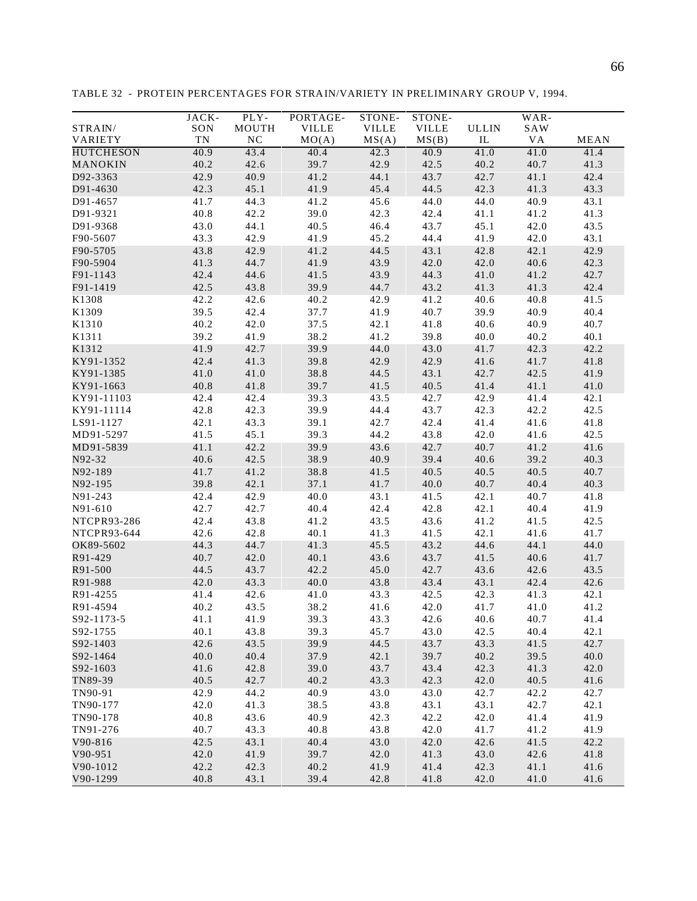| SON<br>MOUTH<br><b>VILLE</b><br><b>VILLE</b><br><b>VILLE</b><br><b>ULLIN</b><br>SAW<br>STRAIN/<br>TN<br><b>NC</b><br>MO(A)<br>MS(A)<br>MS(B)<br><b>VA</b><br><b>MEAN</b><br>VARIETY<br>IL<br><b>HUTCHESON</b><br>40.9<br>43.4<br>40.4<br>42.3<br>40.9<br>41.0<br>41.0<br>41.4<br>40.2<br>42.6<br>39.7<br>42.9<br>42.5<br>40.2<br>40.7<br>41.3<br>MANOKIN<br>D92-3363<br>42.9<br>40.9<br>41.2<br>44.1<br>43.7<br>42.7<br>41.1<br>42.4<br>D91-4630<br>42.3<br>45.1<br>41.9<br>45.4<br>44.5<br>42.3<br>41.3<br>43.3<br>45.6<br>44.0<br>44.0<br>D91-4657<br>41.7<br>44.3<br>41.2<br>40.9<br>43.1<br>40.8<br>42.2<br>39.0<br>42.3<br>42.4<br>41.1<br>41.3<br>D91-9321<br>41.2<br>43.0<br>44.1<br>40.5<br>46.4<br>43.7<br>45.1<br>42.0<br>43.5<br>D91-9368<br>43.1<br>F90-5607<br>43.3<br>42.9<br>41.9<br>45.2<br>44.4<br>41.9<br>42.0<br>F90-5705<br>43.8<br>42.9<br>41.2<br>44.5<br>43.1<br>42.8<br>42.1<br>42.9<br>41.9<br>F90-5904<br>41.3<br>43.9<br>42.0<br>42.0<br>40.6<br>42.3<br>44.7<br>42.4<br>44.6<br>41.5<br>43.9<br>44.3<br>41.0<br>42.7<br>F91-1143<br>41.2<br>F91-1419<br>42.5<br>43.8<br>39.9<br>44.7<br>43.2<br>41.3<br>41.3<br>42.4<br>K1308<br>42.2<br>42.6<br>40.2<br>42.9<br>41.2<br>40.6<br>40.8<br>41.5<br>39.9<br>40.4<br>K1309<br>39.5<br>42.4<br>37.7<br>41.9<br>40.7<br>40.9<br>K1310<br>40.2<br>37.5<br>42.1<br>40.6<br>40.9<br>40.7<br>42.0<br>41.8<br>K1311<br>39.2<br>38.2<br>41.2<br>39.8<br>40.1<br>41.9<br>40.0<br>40.2<br>K1312<br>41.9<br>42.7<br>39.9<br>44.0<br>43.0<br>41.7<br>42.2<br>42.3<br>41.3<br>39.8<br>KY91-1352<br>42.4<br>42.9<br>42.9<br>41.6<br>41.7<br>41.8<br>38.8<br>KY91-1385<br>41.0<br>41.0<br>44.5<br>43.1<br>42.7<br>42.5<br>41.9<br>40.8<br>41.8<br>39.7<br>41.5<br>40.5<br>41.4<br>41.1<br>41.0<br>KY91-1663<br>KY91-11103<br>42.4<br>39.3<br>43.5<br>42.7<br>42.9<br>42.1<br>42.4<br>41.4<br>42.8<br>42.3<br>39.9<br>44.4<br>43.7<br>42.3<br>42.2<br>42.5<br>KY91-11114<br>39.1<br>42.7<br>LS91-1127<br>42.1<br>43.3<br>42.4<br>41.4<br>41.6<br>41.8<br>39.3<br>MD91-5297<br>41.5<br>45.1<br>44.2<br>43.8<br>42.0<br>42.5<br>41.6<br>41.1<br>42.2<br>39.9<br>43.6<br>42.7<br>40.7<br>41.2<br>41.6<br>MD91-5839<br>N92-32<br>40.6<br>42.5<br>38.9<br>40.9<br>39.4<br>40.6<br>39.2<br>40.3<br>41.7<br>41.2<br>38.8<br>41.5<br>40.5<br>40.5<br>40.5<br>40.7<br>N92-189<br>39.8<br>42.1<br>37.1<br>N92-195<br>41.7<br>40.0<br>40.7<br>40.4<br>40.3<br>40.0<br>N91-243<br>42.4<br>42.9<br>43.1<br>41.5<br>42.1<br>40.7<br>41.8<br>N91-610<br>42.7<br>40.4<br>42.4<br>42.8<br>42.1<br>40.4<br>41.9<br>42.7<br>NTCPR93-286<br>42.4<br>43.8<br>41.2<br>43.5<br>43.6<br>41.2<br>42.5<br>41.5<br>42.6<br>42.8<br>40.1<br>41.3<br>41.5<br>42.1<br>41.6<br>41.7<br>44.3<br>44.7<br>41.3<br>45.5<br>43.2<br>44.6<br>44.1<br>44.0<br>40.7<br>42.0<br>40.1<br>43.6<br>41.5<br>43.7<br>40.6<br>41.7<br>R91-500<br>44.5<br>42.2<br>45.0<br>43.5<br>43.7<br>42.7<br>43.6<br>42.6<br>R91-988<br>42.0<br>43.3<br>40.0<br>43.8<br>43.4<br>43.1<br>42.4<br>42.6<br>41.4<br>41.0<br>43.3<br>42.5<br>42.3<br>42.1<br>42.6<br>41.3<br>40.2<br>43.5<br>38.2<br>41.6<br>42.0<br>41.7<br>41.0<br>41.2<br>39.3<br>43.3<br>41.1<br>41.9<br>42.6<br>40.6<br>40.7<br>41.4<br>40.1<br>43.8<br>39.3<br>45.7<br>43.0<br>42.5<br>40.4<br>42.1<br>42.6<br>43.5<br>39.9<br>44.5<br>43.7<br>43.3<br>42.7<br>41.5<br>37.9<br>39.7<br>40.0<br>40.4<br>42.1<br>40.2<br>39.5<br>40.0<br>41.6<br>42.8<br>39.0<br>43.7<br>43.4<br>42.3<br>41.3<br>42.0<br>40.5<br>42.7<br>40.2<br>43.3<br>42.3<br>42.0<br>40.5<br>41.6<br>42.9<br>40.9<br>44.2<br>43.0<br>43.0<br>42.7<br>42.2<br>42.7<br>42.0<br>42.7<br>42.1<br>41.3<br>38.5<br>43.8<br>43.1<br>43.1<br>40.8<br>43.6<br>40.9<br>42.3<br>42.2<br>42.0<br>41.4<br>41.9<br>TN91-276<br>43.3<br>40.8<br>43.8<br>42.0<br>41.7<br>41.2<br>41.9<br>40.7<br>V90-816<br>42.5<br>40.4<br>41.5<br>42.2<br>43.1<br>43.0<br>42.0<br>42.6<br>V90-951<br>42.0<br>41.9<br>39.7<br>42.0<br>41.3<br>43.0<br>42.6<br>41.8<br>42.2<br>40.2<br>V90-1012<br>42.3<br>41.9<br>41.4<br>42.3<br>41.1<br>41.6 |             | JACK- | PLY- | PORTAGE- | STONE- | STONE- |      | WAR- |      |
|--------------------------------------------------------------------------------------------------------------------------------------------------------------------------------------------------------------------------------------------------------------------------------------------------------------------------------------------------------------------------------------------------------------------------------------------------------------------------------------------------------------------------------------------------------------------------------------------------------------------------------------------------------------------------------------------------------------------------------------------------------------------------------------------------------------------------------------------------------------------------------------------------------------------------------------------------------------------------------------------------------------------------------------------------------------------------------------------------------------------------------------------------------------------------------------------------------------------------------------------------------------------------------------------------------------------------------------------------------------------------------------------------------------------------------------------------------------------------------------------------------------------------------------------------------------------------------------------------------------------------------------------------------------------------------------------------------------------------------------------------------------------------------------------------------------------------------------------------------------------------------------------------------------------------------------------------------------------------------------------------------------------------------------------------------------------------------------------------------------------------------------------------------------------------------------------------------------------------------------------------------------------------------------------------------------------------------------------------------------------------------------------------------------------------------------------------------------------------------------------------------------------------------------------------------------------------------------------------------------------------------------------------------------------------------------------------------------------------------------------------------------------------------------------------------------------------------------------------------------------------------------------------------------------------------------------------------------------------------------------------------------------------------------------------------------------------------------------------------------------------------------------------------------------------------------------------------------------------------------------------------------------------------------------------------------------------------------------------------------------------------------------------------------------------------------------------------------------------------------------------------------------------------------------------------------------------------------------------------------------------------------------------------------------------------------------------------------------------------------------------------------------------------------------------------------------------------------------------------------------------------------------------------------------------------------------------------------------------------------------------------------------------------------------------|-------------|-------|------|----------|--------|--------|------|------|------|
|                                                                                                                                                                                                                                                                                                                                                                                                                                                                                                                                                                                                                                                                                                                                                                                                                                                                                                                                                                                                                                                                                                                                                                                                                                                                                                                                                                                                                                                                                                                                                                                                                                                                                                                                                                                                                                                                                                                                                                                                                                                                                                                                                                                                                                                                                                                                                                                                                                                                                                                                                                                                                                                                                                                                                                                                                                                                                                                                                                                                                                                                                                                                                                                                                                                                                                                                                                                                                                                                                                                                                                                                                                                                                                                                                                                                                                                                                                                                                                                                                                                  |             |       |      |          |        |        |      |      |      |
|                                                                                                                                                                                                                                                                                                                                                                                                                                                                                                                                                                                                                                                                                                                                                                                                                                                                                                                                                                                                                                                                                                                                                                                                                                                                                                                                                                                                                                                                                                                                                                                                                                                                                                                                                                                                                                                                                                                                                                                                                                                                                                                                                                                                                                                                                                                                                                                                                                                                                                                                                                                                                                                                                                                                                                                                                                                                                                                                                                                                                                                                                                                                                                                                                                                                                                                                                                                                                                                                                                                                                                                                                                                                                                                                                                                                                                                                                                                                                                                                                                                  |             |       |      |          |        |        |      |      |      |
|                                                                                                                                                                                                                                                                                                                                                                                                                                                                                                                                                                                                                                                                                                                                                                                                                                                                                                                                                                                                                                                                                                                                                                                                                                                                                                                                                                                                                                                                                                                                                                                                                                                                                                                                                                                                                                                                                                                                                                                                                                                                                                                                                                                                                                                                                                                                                                                                                                                                                                                                                                                                                                                                                                                                                                                                                                                                                                                                                                                                                                                                                                                                                                                                                                                                                                                                                                                                                                                                                                                                                                                                                                                                                                                                                                                                                                                                                                                                                                                                                                                  |             |       |      |          |        |        |      |      |      |
|                                                                                                                                                                                                                                                                                                                                                                                                                                                                                                                                                                                                                                                                                                                                                                                                                                                                                                                                                                                                                                                                                                                                                                                                                                                                                                                                                                                                                                                                                                                                                                                                                                                                                                                                                                                                                                                                                                                                                                                                                                                                                                                                                                                                                                                                                                                                                                                                                                                                                                                                                                                                                                                                                                                                                                                                                                                                                                                                                                                                                                                                                                                                                                                                                                                                                                                                                                                                                                                                                                                                                                                                                                                                                                                                                                                                                                                                                                                                                                                                                                                  |             |       |      |          |        |        |      |      |      |
|                                                                                                                                                                                                                                                                                                                                                                                                                                                                                                                                                                                                                                                                                                                                                                                                                                                                                                                                                                                                                                                                                                                                                                                                                                                                                                                                                                                                                                                                                                                                                                                                                                                                                                                                                                                                                                                                                                                                                                                                                                                                                                                                                                                                                                                                                                                                                                                                                                                                                                                                                                                                                                                                                                                                                                                                                                                                                                                                                                                                                                                                                                                                                                                                                                                                                                                                                                                                                                                                                                                                                                                                                                                                                                                                                                                                                                                                                                                                                                                                                                                  |             |       |      |          |        |        |      |      |      |
|                                                                                                                                                                                                                                                                                                                                                                                                                                                                                                                                                                                                                                                                                                                                                                                                                                                                                                                                                                                                                                                                                                                                                                                                                                                                                                                                                                                                                                                                                                                                                                                                                                                                                                                                                                                                                                                                                                                                                                                                                                                                                                                                                                                                                                                                                                                                                                                                                                                                                                                                                                                                                                                                                                                                                                                                                                                                                                                                                                                                                                                                                                                                                                                                                                                                                                                                                                                                                                                                                                                                                                                                                                                                                                                                                                                                                                                                                                                                                                                                                                                  |             |       |      |          |        |        |      |      |      |
|                                                                                                                                                                                                                                                                                                                                                                                                                                                                                                                                                                                                                                                                                                                                                                                                                                                                                                                                                                                                                                                                                                                                                                                                                                                                                                                                                                                                                                                                                                                                                                                                                                                                                                                                                                                                                                                                                                                                                                                                                                                                                                                                                                                                                                                                                                                                                                                                                                                                                                                                                                                                                                                                                                                                                                                                                                                                                                                                                                                                                                                                                                                                                                                                                                                                                                                                                                                                                                                                                                                                                                                                                                                                                                                                                                                                                                                                                                                                                                                                                                                  |             |       |      |          |        |        |      |      |      |
|                                                                                                                                                                                                                                                                                                                                                                                                                                                                                                                                                                                                                                                                                                                                                                                                                                                                                                                                                                                                                                                                                                                                                                                                                                                                                                                                                                                                                                                                                                                                                                                                                                                                                                                                                                                                                                                                                                                                                                                                                                                                                                                                                                                                                                                                                                                                                                                                                                                                                                                                                                                                                                                                                                                                                                                                                                                                                                                                                                                                                                                                                                                                                                                                                                                                                                                                                                                                                                                                                                                                                                                                                                                                                                                                                                                                                                                                                                                                                                                                                                                  |             |       |      |          |        |        |      |      |      |
|                                                                                                                                                                                                                                                                                                                                                                                                                                                                                                                                                                                                                                                                                                                                                                                                                                                                                                                                                                                                                                                                                                                                                                                                                                                                                                                                                                                                                                                                                                                                                                                                                                                                                                                                                                                                                                                                                                                                                                                                                                                                                                                                                                                                                                                                                                                                                                                                                                                                                                                                                                                                                                                                                                                                                                                                                                                                                                                                                                                                                                                                                                                                                                                                                                                                                                                                                                                                                                                                                                                                                                                                                                                                                                                                                                                                                                                                                                                                                                                                                                                  |             |       |      |          |        |        |      |      |      |
|                                                                                                                                                                                                                                                                                                                                                                                                                                                                                                                                                                                                                                                                                                                                                                                                                                                                                                                                                                                                                                                                                                                                                                                                                                                                                                                                                                                                                                                                                                                                                                                                                                                                                                                                                                                                                                                                                                                                                                                                                                                                                                                                                                                                                                                                                                                                                                                                                                                                                                                                                                                                                                                                                                                                                                                                                                                                                                                                                                                                                                                                                                                                                                                                                                                                                                                                                                                                                                                                                                                                                                                                                                                                                                                                                                                                                                                                                                                                                                                                                                                  |             |       |      |          |        |        |      |      |      |
|                                                                                                                                                                                                                                                                                                                                                                                                                                                                                                                                                                                                                                                                                                                                                                                                                                                                                                                                                                                                                                                                                                                                                                                                                                                                                                                                                                                                                                                                                                                                                                                                                                                                                                                                                                                                                                                                                                                                                                                                                                                                                                                                                                                                                                                                                                                                                                                                                                                                                                                                                                                                                                                                                                                                                                                                                                                                                                                                                                                                                                                                                                                                                                                                                                                                                                                                                                                                                                                                                                                                                                                                                                                                                                                                                                                                                                                                                                                                                                                                                                                  |             |       |      |          |        |        |      |      |      |
|                                                                                                                                                                                                                                                                                                                                                                                                                                                                                                                                                                                                                                                                                                                                                                                                                                                                                                                                                                                                                                                                                                                                                                                                                                                                                                                                                                                                                                                                                                                                                                                                                                                                                                                                                                                                                                                                                                                                                                                                                                                                                                                                                                                                                                                                                                                                                                                                                                                                                                                                                                                                                                                                                                                                                                                                                                                                                                                                                                                                                                                                                                                                                                                                                                                                                                                                                                                                                                                                                                                                                                                                                                                                                                                                                                                                                                                                                                                                                                                                                                                  |             |       |      |          |        |        |      |      |      |
|                                                                                                                                                                                                                                                                                                                                                                                                                                                                                                                                                                                                                                                                                                                                                                                                                                                                                                                                                                                                                                                                                                                                                                                                                                                                                                                                                                                                                                                                                                                                                                                                                                                                                                                                                                                                                                                                                                                                                                                                                                                                                                                                                                                                                                                                                                                                                                                                                                                                                                                                                                                                                                                                                                                                                                                                                                                                                                                                                                                                                                                                                                                                                                                                                                                                                                                                                                                                                                                                                                                                                                                                                                                                                                                                                                                                                                                                                                                                                                                                                                                  |             |       |      |          |        |        |      |      |      |
|                                                                                                                                                                                                                                                                                                                                                                                                                                                                                                                                                                                                                                                                                                                                                                                                                                                                                                                                                                                                                                                                                                                                                                                                                                                                                                                                                                                                                                                                                                                                                                                                                                                                                                                                                                                                                                                                                                                                                                                                                                                                                                                                                                                                                                                                                                                                                                                                                                                                                                                                                                                                                                                                                                                                                                                                                                                                                                                                                                                                                                                                                                                                                                                                                                                                                                                                                                                                                                                                                                                                                                                                                                                                                                                                                                                                                                                                                                                                                                                                                                                  |             |       |      |          |        |        |      |      |      |
|                                                                                                                                                                                                                                                                                                                                                                                                                                                                                                                                                                                                                                                                                                                                                                                                                                                                                                                                                                                                                                                                                                                                                                                                                                                                                                                                                                                                                                                                                                                                                                                                                                                                                                                                                                                                                                                                                                                                                                                                                                                                                                                                                                                                                                                                                                                                                                                                                                                                                                                                                                                                                                                                                                                                                                                                                                                                                                                                                                                                                                                                                                                                                                                                                                                                                                                                                                                                                                                                                                                                                                                                                                                                                                                                                                                                                                                                                                                                                                                                                                                  |             |       |      |          |        |        |      |      |      |
|                                                                                                                                                                                                                                                                                                                                                                                                                                                                                                                                                                                                                                                                                                                                                                                                                                                                                                                                                                                                                                                                                                                                                                                                                                                                                                                                                                                                                                                                                                                                                                                                                                                                                                                                                                                                                                                                                                                                                                                                                                                                                                                                                                                                                                                                                                                                                                                                                                                                                                                                                                                                                                                                                                                                                                                                                                                                                                                                                                                                                                                                                                                                                                                                                                                                                                                                                                                                                                                                                                                                                                                                                                                                                                                                                                                                                                                                                                                                                                                                                                                  |             |       |      |          |        |        |      |      |      |
|                                                                                                                                                                                                                                                                                                                                                                                                                                                                                                                                                                                                                                                                                                                                                                                                                                                                                                                                                                                                                                                                                                                                                                                                                                                                                                                                                                                                                                                                                                                                                                                                                                                                                                                                                                                                                                                                                                                                                                                                                                                                                                                                                                                                                                                                                                                                                                                                                                                                                                                                                                                                                                                                                                                                                                                                                                                                                                                                                                                                                                                                                                                                                                                                                                                                                                                                                                                                                                                                                                                                                                                                                                                                                                                                                                                                                                                                                                                                                                                                                                                  |             |       |      |          |        |        |      |      |      |
|                                                                                                                                                                                                                                                                                                                                                                                                                                                                                                                                                                                                                                                                                                                                                                                                                                                                                                                                                                                                                                                                                                                                                                                                                                                                                                                                                                                                                                                                                                                                                                                                                                                                                                                                                                                                                                                                                                                                                                                                                                                                                                                                                                                                                                                                                                                                                                                                                                                                                                                                                                                                                                                                                                                                                                                                                                                                                                                                                                                                                                                                                                                                                                                                                                                                                                                                                                                                                                                                                                                                                                                                                                                                                                                                                                                                                                                                                                                                                                                                                                                  |             |       |      |          |        |        |      |      |      |
|                                                                                                                                                                                                                                                                                                                                                                                                                                                                                                                                                                                                                                                                                                                                                                                                                                                                                                                                                                                                                                                                                                                                                                                                                                                                                                                                                                                                                                                                                                                                                                                                                                                                                                                                                                                                                                                                                                                                                                                                                                                                                                                                                                                                                                                                                                                                                                                                                                                                                                                                                                                                                                                                                                                                                                                                                                                                                                                                                                                                                                                                                                                                                                                                                                                                                                                                                                                                                                                                                                                                                                                                                                                                                                                                                                                                                                                                                                                                                                                                                                                  |             |       |      |          |        |        |      |      |      |
|                                                                                                                                                                                                                                                                                                                                                                                                                                                                                                                                                                                                                                                                                                                                                                                                                                                                                                                                                                                                                                                                                                                                                                                                                                                                                                                                                                                                                                                                                                                                                                                                                                                                                                                                                                                                                                                                                                                                                                                                                                                                                                                                                                                                                                                                                                                                                                                                                                                                                                                                                                                                                                                                                                                                                                                                                                                                                                                                                                                                                                                                                                                                                                                                                                                                                                                                                                                                                                                                                                                                                                                                                                                                                                                                                                                                                                                                                                                                                                                                                                                  |             |       |      |          |        |        |      |      |      |
|                                                                                                                                                                                                                                                                                                                                                                                                                                                                                                                                                                                                                                                                                                                                                                                                                                                                                                                                                                                                                                                                                                                                                                                                                                                                                                                                                                                                                                                                                                                                                                                                                                                                                                                                                                                                                                                                                                                                                                                                                                                                                                                                                                                                                                                                                                                                                                                                                                                                                                                                                                                                                                                                                                                                                                                                                                                                                                                                                                                                                                                                                                                                                                                                                                                                                                                                                                                                                                                                                                                                                                                                                                                                                                                                                                                                                                                                                                                                                                                                                                                  |             |       |      |          |        |        |      |      |      |
|                                                                                                                                                                                                                                                                                                                                                                                                                                                                                                                                                                                                                                                                                                                                                                                                                                                                                                                                                                                                                                                                                                                                                                                                                                                                                                                                                                                                                                                                                                                                                                                                                                                                                                                                                                                                                                                                                                                                                                                                                                                                                                                                                                                                                                                                                                                                                                                                                                                                                                                                                                                                                                                                                                                                                                                                                                                                                                                                                                                                                                                                                                                                                                                                                                                                                                                                                                                                                                                                                                                                                                                                                                                                                                                                                                                                                                                                                                                                                                                                                                                  |             |       |      |          |        |        |      |      |      |
|                                                                                                                                                                                                                                                                                                                                                                                                                                                                                                                                                                                                                                                                                                                                                                                                                                                                                                                                                                                                                                                                                                                                                                                                                                                                                                                                                                                                                                                                                                                                                                                                                                                                                                                                                                                                                                                                                                                                                                                                                                                                                                                                                                                                                                                                                                                                                                                                                                                                                                                                                                                                                                                                                                                                                                                                                                                                                                                                                                                                                                                                                                                                                                                                                                                                                                                                                                                                                                                                                                                                                                                                                                                                                                                                                                                                                                                                                                                                                                                                                                                  |             |       |      |          |        |        |      |      |      |
|                                                                                                                                                                                                                                                                                                                                                                                                                                                                                                                                                                                                                                                                                                                                                                                                                                                                                                                                                                                                                                                                                                                                                                                                                                                                                                                                                                                                                                                                                                                                                                                                                                                                                                                                                                                                                                                                                                                                                                                                                                                                                                                                                                                                                                                                                                                                                                                                                                                                                                                                                                                                                                                                                                                                                                                                                                                                                                                                                                                                                                                                                                                                                                                                                                                                                                                                                                                                                                                                                                                                                                                                                                                                                                                                                                                                                                                                                                                                                                                                                                                  |             |       |      |          |        |        |      |      |      |
|                                                                                                                                                                                                                                                                                                                                                                                                                                                                                                                                                                                                                                                                                                                                                                                                                                                                                                                                                                                                                                                                                                                                                                                                                                                                                                                                                                                                                                                                                                                                                                                                                                                                                                                                                                                                                                                                                                                                                                                                                                                                                                                                                                                                                                                                                                                                                                                                                                                                                                                                                                                                                                                                                                                                                                                                                                                                                                                                                                                                                                                                                                                                                                                                                                                                                                                                                                                                                                                                                                                                                                                                                                                                                                                                                                                                                                                                                                                                                                                                                                                  |             |       |      |          |        |        |      |      |      |
|                                                                                                                                                                                                                                                                                                                                                                                                                                                                                                                                                                                                                                                                                                                                                                                                                                                                                                                                                                                                                                                                                                                                                                                                                                                                                                                                                                                                                                                                                                                                                                                                                                                                                                                                                                                                                                                                                                                                                                                                                                                                                                                                                                                                                                                                                                                                                                                                                                                                                                                                                                                                                                                                                                                                                                                                                                                                                                                                                                                                                                                                                                                                                                                                                                                                                                                                                                                                                                                                                                                                                                                                                                                                                                                                                                                                                                                                                                                                                                                                                                                  |             |       |      |          |        |        |      |      |      |
|                                                                                                                                                                                                                                                                                                                                                                                                                                                                                                                                                                                                                                                                                                                                                                                                                                                                                                                                                                                                                                                                                                                                                                                                                                                                                                                                                                                                                                                                                                                                                                                                                                                                                                                                                                                                                                                                                                                                                                                                                                                                                                                                                                                                                                                                                                                                                                                                                                                                                                                                                                                                                                                                                                                                                                                                                                                                                                                                                                                                                                                                                                                                                                                                                                                                                                                                                                                                                                                                                                                                                                                                                                                                                                                                                                                                                                                                                                                                                                                                                                                  |             |       |      |          |        |        |      |      |      |
|                                                                                                                                                                                                                                                                                                                                                                                                                                                                                                                                                                                                                                                                                                                                                                                                                                                                                                                                                                                                                                                                                                                                                                                                                                                                                                                                                                                                                                                                                                                                                                                                                                                                                                                                                                                                                                                                                                                                                                                                                                                                                                                                                                                                                                                                                                                                                                                                                                                                                                                                                                                                                                                                                                                                                                                                                                                                                                                                                                                                                                                                                                                                                                                                                                                                                                                                                                                                                                                                                                                                                                                                                                                                                                                                                                                                                                                                                                                                                                                                                                                  |             |       |      |          |        |        |      |      |      |
|                                                                                                                                                                                                                                                                                                                                                                                                                                                                                                                                                                                                                                                                                                                                                                                                                                                                                                                                                                                                                                                                                                                                                                                                                                                                                                                                                                                                                                                                                                                                                                                                                                                                                                                                                                                                                                                                                                                                                                                                                                                                                                                                                                                                                                                                                                                                                                                                                                                                                                                                                                                                                                                                                                                                                                                                                                                                                                                                                                                                                                                                                                                                                                                                                                                                                                                                                                                                                                                                                                                                                                                                                                                                                                                                                                                                                                                                                                                                                                                                                                                  |             |       |      |          |        |        |      |      |      |
|                                                                                                                                                                                                                                                                                                                                                                                                                                                                                                                                                                                                                                                                                                                                                                                                                                                                                                                                                                                                                                                                                                                                                                                                                                                                                                                                                                                                                                                                                                                                                                                                                                                                                                                                                                                                                                                                                                                                                                                                                                                                                                                                                                                                                                                                                                                                                                                                                                                                                                                                                                                                                                                                                                                                                                                                                                                                                                                                                                                                                                                                                                                                                                                                                                                                                                                                                                                                                                                                                                                                                                                                                                                                                                                                                                                                                                                                                                                                                                                                                                                  |             |       |      |          |        |        |      |      |      |
|                                                                                                                                                                                                                                                                                                                                                                                                                                                                                                                                                                                                                                                                                                                                                                                                                                                                                                                                                                                                                                                                                                                                                                                                                                                                                                                                                                                                                                                                                                                                                                                                                                                                                                                                                                                                                                                                                                                                                                                                                                                                                                                                                                                                                                                                                                                                                                                                                                                                                                                                                                                                                                                                                                                                                                                                                                                                                                                                                                                                                                                                                                                                                                                                                                                                                                                                                                                                                                                                                                                                                                                                                                                                                                                                                                                                                                                                                                                                                                                                                                                  |             |       |      |          |        |        |      |      |      |
|                                                                                                                                                                                                                                                                                                                                                                                                                                                                                                                                                                                                                                                                                                                                                                                                                                                                                                                                                                                                                                                                                                                                                                                                                                                                                                                                                                                                                                                                                                                                                                                                                                                                                                                                                                                                                                                                                                                                                                                                                                                                                                                                                                                                                                                                                                                                                                                                                                                                                                                                                                                                                                                                                                                                                                                                                                                                                                                                                                                                                                                                                                                                                                                                                                                                                                                                                                                                                                                                                                                                                                                                                                                                                                                                                                                                                                                                                                                                                                                                                                                  |             |       |      |          |        |        |      |      |      |
|                                                                                                                                                                                                                                                                                                                                                                                                                                                                                                                                                                                                                                                                                                                                                                                                                                                                                                                                                                                                                                                                                                                                                                                                                                                                                                                                                                                                                                                                                                                                                                                                                                                                                                                                                                                                                                                                                                                                                                                                                                                                                                                                                                                                                                                                                                                                                                                                                                                                                                                                                                                                                                                                                                                                                                                                                                                                                                                                                                                                                                                                                                                                                                                                                                                                                                                                                                                                                                                                                                                                                                                                                                                                                                                                                                                                                                                                                                                                                                                                                                                  |             |       |      |          |        |        |      |      |      |
|                                                                                                                                                                                                                                                                                                                                                                                                                                                                                                                                                                                                                                                                                                                                                                                                                                                                                                                                                                                                                                                                                                                                                                                                                                                                                                                                                                                                                                                                                                                                                                                                                                                                                                                                                                                                                                                                                                                                                                                                                                                                                                                                                                                                                                                                                                                                                                                                                                                                                                                                                                                                                                                                                                                                                                                                                                                                                                                                                                                                                                                                                                                                                                                                                                                                                                                                                                                                                                                                                                                                                                                                                                                                                                                                                                                                                                                                                                                                                                                                                                                  |             |       |      |          |        |        |      |      |      |
|                                                                                                                                                                                                                                                                                                                                                                                                                                                                                                                                                                                                                                                                                                                                                                                                                                                                                                                                                                                                                                                                                                                                                                                                                                                                                                                                                                                                                                                                                                                                                                                                                                                                                                                                                                                                                                                                                                                                                                                                                                                                                                                                                                                                                                                                                                                                                                                                                                                                                                                                                                                                                                                                                                                                                                                                                                                                                                                                                                                                                                                                                                                                                                                                                                                                                                                                                                                                                                                                                                                                                                                                                                                                                                                                                                                                                                                                                                                                                                                                                                                  | NTCPR93-644 |       |      |          |        |        |      |      |      |
|                                                                                                                                                                                                                                                                                                                                                                                                                                                                                                                                                                                                                                                                                                                                                                                                                                                                                                                                                                                                                                                                                                                                                                                                                                                                                                                                                                                                                                                                                                                                                                                                                                                                                                                                                                                                                                                                                                                                                                                                                                                                                                                                                                                                                                                                                                                                                                                                                                                                                                                                                                                                                                                                                                                                                                                                                                                                                                                                                                                                                                                                                                                                                                                                                                                                                                                                                                                                                                                                                                                                                                                                                                                                                                                                                                                                                                                                                                                                                                                                                                                  | OK89-5602   |       |      |          |        |        |      |      |      |
|                                                                                                                                                                                                                                                                                                                                                                                                                                                                                                                                                                                                                                                                                                                                                                                                                                                                                                                                                                                                                                                                                                                                                                                                                                                                                                                                                                                                                                                                                                                                                                                                                                                                                                                                                                                                                                                                                                                                                                                                                                                                                                                                                                                                                                                                                                                                                                                                                                                                                                                                                                                                                                                                                                                                                                                                                                                                                                                                                                                                                                                                                                                                                                                                                                                                                                                                                                                                                                                                                                                                                                                                                                                                                                                                                                                                                                                                                                                                                                                                                                                  | R91-429     |       |      |          |        |        |      |      |      |
|                                                                                                                                                                                                                                                                                                                                                                                                                                                                                                                                                                                                                                                                                                                                                                                                                                                                                                                                                                                                                                                                                                                                                                                                                                                                                                                                                                                                                                                                                                                                                                                                                                                                                                                                                                                                                                                                                                                                                                                                                                                                                                                                                                                                                                                                                                                                                                                                                                                                                                                                                                                                                                                                                                                                                                                                                                                                                                                                                                                                                                                                                                                                                                                                                                                                                                                                                                                                                                                                                                                                                                                                                                                                                                                                                                                                                                                                                                                                                                                                                                                  |             |       |      |          |        |        |      |      |      |
|                                                                                                                                                                                                                                                                                                                                                                                                                                                                                                                                                                                                                                                                                                                                                                                                                                                                                                                                                                                                                                                                                                                                                                                                                                                                                                                                                                                                                                                                                                                                                                                                                                                                                                                                                                                                                                                                                                                                                                                                                                                                                                                                                                                                                                                                                                                                                                                                                                                                                                                                                                                                                                                                                                                                                                                                                                                                                                                                                                                                                                                                                                                                                                                                                                                                                                                                                                                                                                                                                                                                                                                                                                                                                                                                                                                                                                                                                                                                                                                                                                                  |             |       |      |          |        |        |      |      |      |
|                                                                                                                                                                                                                                                                                                                                                                                                                                                                                                                                                                                                                                                                                                                                                                                                                                                                                                                                                                                                                                                                                                                                                                                                                                                                                                                                                                                                                                                                                                                                                                                                                                                                                                                                                                                                                                                                                                                                                                                                                                                                                                                                                                                                                                                                                                                                                                                                                                                                                                                                                                                                                                                                                                                                                                                                                                                                                                                                                                                                                                                                                                                                                                                                                                                                                                                                                                                                                                                                                                                                                                                                                                                                                                                                                                                                                                                                                                                                                                                                                                                  | R91-4255    |       |      |          |        |        |      |      |      |
|                                                                                                                                                                                                                                                                                                                                                                                                                                                                                                                                                                                                                                                                                                                                                                                                                                                                                                                                                                                                                                                                                                                                                                                                                                                                                                                                                                                                                                                                                                                                                                                                                                                                                                                                                                                                                                                                                                                                                                                                                                                                                                                                                                                                                                                                                                                                                                                                                                                                                                                                                                                                                                                                                                                                                                                                                                                                                                                                                                                                                                                                                                                                                                                                                                                                                                                                                                                                                                                                                                                                                                                                                                                                                                                                                                                                                                                                                                                                                                                                                                                  | R91-4594    |       |      |          |        |        |      |      |      |
|                                                                                                                                                                                                                                                                                                                                                                                                                                                                                                                                                                                                                                                                                                                                                                                                                                                                                                                                                                                                                                                                                                                                                                                                                                                                                                                                                                                                                                                                                                                                                                                                                                                                                                                                                                                                                                                                                                                                                                                                                                                                                                                                                                                                                                                                                                                                                                                                                                                                                                                                                                                                                                                                                                                                                                                                                                                                                                                                                                                                                                                                                                                                                                                                                                                                                                                                                                                                                                                                                                                                                                                                                                                                                                                                                                                                                                                                                                                                                                                                                                                  | S92-1173-5  |       |      |          |        |        |      |      |      |
|                                                                                                                                                                                                                                                                                                                                                                                                                                                                                                                                                                                                                                                                                                                                                                                                                                                                                                                                                                                                                                                                                                                                                                                                                                                                                                                                                                                                                                                                                                                                                                                                                                                                                                                                                                                                                                                                                                                                                                                                                                                                                                                                                                                                                                                                                                                                                                                                                                                                                                                                                                                                                                                                                                                                                                                                                                                                                                                                                                                                                                                                                                                                                                                                                                                                                                                                                                                                                                                                                                                                                                                                                                                                                                                                                                                                                                                                                                                                                                                                                                                  | S92-1755    |       |      |          |        |        |      |      |      |
|                                                                                                                                                                                                                                                                                                                                                                                                                                                                                                                                                                                                                                                                                                                                                                                                                                                                                                                                                                                                                                                                                                                                                                                                                                                                                                                                                                                                                                                                                                                                                                                                                                                                                                                                                                                                                                                                                                                                                                                                                                                                                                                                                                                                                                                                                                                                                                                                                                                                                                                                                                                                                                                                                                                                                                                                                                                                                                                                                                                                                                                                                                                                                                                                                                                                                                                                                                                                                                                                                                                                                                                                                                                                                                                                                                                                                                                                                                                                                                                                                                                  | S92-1403    |       |      |          |        |        |      |      |      |
|                                                                                                                                                                                                                                                                                                                                                                                                                                                                                                                                                                                                                                                                                                                                                                                                                                                                                                                                                                                                                                                                                                                                                                                                                                                                                                                                                                                                                                                                                                                                                                                                                                                                                                                                                                                                                                                                                                                                                                                                                                                                                                                                                                                                                                                                                                                                                                                                                                                                                                                                                                                                                                                                                                                                                                                                                                                                                                                                                                                                                                                                                                                                                                                                                                                                                                                                                                                                                                                                                                                                                                                                                                                                                                                                                                                                                                                                                                                                                                                                                                                  | S92-1464    |       |      |          |        |        |      |      |      |
|                                                                                                                                                                                                                                                                                                                                                                                                                                                                                                                                                                                                                                                                                                                                                                                                                                                                                                                                                                                                                                                                                                                                                                                                                                                                                                                                                                                                                                                                                                                                                                                                                                                                                                                                                                                                                                                                                                                                                                                                                                                                                                                                                                                                                                                                                                                                                                                                                                                                                                                                                                                                                                                                                                                                                                                                                                                                                                                                                                                                                                                                                                                                                                                                                                                                                                                                                                                                                                                                                                                                                                                                                                                                                                                                                                                                                                                                                                                                                                                                                                                  | S92-1603    |       |      |          |        |        |      |      |      |
|                                                                                                                                                                                                                                                                                                                                                                                                                                                                                                                                                                                                                                                                                                                                                                                                                                                                                                                                                                                                                                                                                                                                                                                                                                                                                                                                                                                                                                                                                                                                                                                                                                                                                                                                                                                                                                                                                                                                                                                                                                                                                                                                                                                                                                                                                                                                                                                                                                                                                                                                                                                                                                                                                                                                                                                                                                                                                                                                                                                                                                                                                                                                                                                                                                                                                                                                                                                                                                                                                                                                                                                                                                                                                                                                                                                                                                                                                                                                                                                                                                                  | TN89-39     |       |      |          |        |        |      |      |      |
|                                                                                                                                                                                                                                                                                                                                                                                                                                                                                                                                                                                                                                                                                                                                                                                                                                                                                                                                                                                                                                                                                                                                                                                                                                                                                                                                                                                                                                                                                                                                                                                                                                                                                                                                                                                                                                                                                                                                                                                                                                                                                                                                                                                                                                                                                                                                                                                                                                                                                                                                                                                                                                                                                                                                                                                                                                                                                                                                                                                                                                                                                                                                                                                                                                                                                                                                                                                                                                                                                                                                                                                                                                                                                                                                                                                                                                                                                                                                                                                                                                                  | TN90-91     |       |      |          |        |        |      |      |      |
|                                                                                                                                                                                                                                                                                                                                                                                                                                                                                                                                                                                                                                                                                                                                                                                                                                                                                                                                                                                                                                                                                                                                                                                                                                                                                                                                                                                                                                                                                                                                                                                                                                                                                                                                                                                                                                                                                                                                                                                                                                                                                                                                                                                                                                                                                                                                                                                                                                                                                                                                                                                                                                                                                                                                                                                                                                                                                                                                                                                                                                                                                                                                                                                                                                                                                                                                                                                                                                                                                                                                                                                                                                                                                                                                                                                                                                                                                                                                                                                                                                                  | TN90-177    |       |      |          |        |        |      |      |      |
|                                                                                                                                                                                                                                                                                                                                                                                                                                                                                                                                                                                                                                                                                                                                                                                                                                                                                                                                                                                                                                                                                                                                                                                                                                                                                                                                                                                                                                                                                                                                                                                                                                                                                                                                                                                                                                                                                                                                                                                                                                                                                                                                                                                                                                                                                                                                                                                                                                                                                                                                                                                                                                                                                                                                                                                                                                                                                                                                                                                                                                                                                                                                                                                                                                                                                                                                                                                                                                                                                                                                                                                                                                                                                                                                                                                                                                                                                                                                                                                                                                                  | TN90-178    |       |      |          |        |        |      |      |      |
|                                                                                                                                                                                                                                                                                                                                                                                                                                                                                                                                                                                                                                                                                                                                                                                                                                                                                                                                                                                                                                                                                                                                                                                                                                                                                                                                                                                                                                                                                                                                                                                                                                                                                                                                                                                                                                                                                                                                                                                                                                                                                                                                                                                                                                                                                                                                                                                                                                                                                                                                                                                                                                                                                                                                                                                                                                                                                                                                                                                                                                                                                                                                                                                                                                                                                                                                                                                                                                                                                                                                                                                                                                                                                                                                                                                                                                                                                                                                                                                                                                                  |             |       |      |          |        |        |      |      |      |
|                                                                                                                                                                                                                                                                                                                                                                                                                                                                                                                                                                                                                                                                                                                                                                                                                                                                                                                                                                                                                                                                                                                                                                                                                                                                                                                                                                                                                                                                                                                                                                                                                                                                                                                                                                                                                                                                                                                                                                                                                                                                                                                                                                                                                                                                                                                                                                                                                                                                                                                                                                                                                                                                                                                                                                                                                                                                                                                                                                                                                                                                                                                                                                                                                                                                                                                                                                                                                                                                                                                                                                                                                                                                                                                                                                                                                                                                                                                                                                                                                                                  |             |       |      |          |        |        |      |      |      |
|                                                                                                                                                                                                                                                                                                                                                                                                                                                                                                                                                                                                                                                                                                                                                                                                                                                                                                                                                                                                                                                                                                                                                                                                                                                                                                                                                                                                                                                                                                                                                                                                                                                                                                                                                                                                                                                                                                                                                                                                                                                                                                                                                                                                                                                                                                                                                                                                                                                                                                                                                                                                                                                                                                                                                                                                                                                                                                                                                                                                                                                                                                                                                                                                                                                                                                                                                                                                                                                                                                                                                                                                                                                                                                                                                                                                                                                                                                                                                                                                                                                  |             |       |      |          |        |        |      |      |      |
|                                                                                                                                                                                                                                                                                                                                                                                                                                                                                                                                                                                                                                                                                                                                                                                                                                                                                                                                                                                                                                                                                                                                                                                                                                                                                                                                                                                                                                                                                                                                                                                                                                                                                                                                                                                                                                                                                                                                                                                                                                                                                                                                                                                                                                                                                                                                                                                                                                                                                                                                                                                                                                                                                                                                                                                                                                                                                                                                                                                                                                                                                                                                                                                                                                                                                                                                                                                                                                                                                                                                                                                                                                                                                                                                                                                                                                                                                                                                                                                                                                                  |             |       |      |          |        |        |      |      |      |
|                                                                                                                                                                                                                                                                                                                                                                                                                                                                                                                                                                                                                                                                                                                                                                                                                                                                                                                                                                                                                                                                                                                                                                                                                                                                                                                                                                                                                                                                                                                                                                                                                                                                                                                                                                                                                                                                                                                                                                                                                                                                                                                                                                                                                                                                                                                                                                                                                                                                                                                                                                                                                                                                                                                                                                                                                                                                                                                                                                                                                                                                                                                                                                                                                                                                                                                                                                                                                                                                                                                                                                                                                                                                                                                                                                                                                                                                                                                                                                                                                                                  | V90-1299    | 40.8  | 43.1 | 39.4     | 42.8   | 41.8   | 42.0 | 41.0 | 41.6 |

TABLE 32 - PROTEIN PERCENTAGES FOR STRAIN/VARIETY IN PRELIMINARY GROUP V, 1994.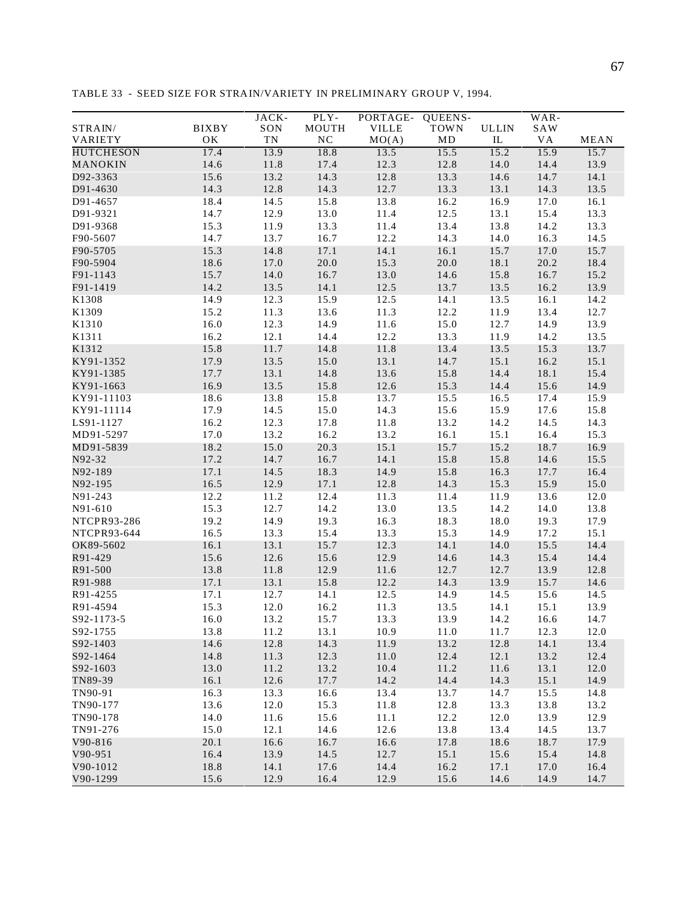|                    |              | JACK-      | PLY-        | PORTAGE-     | QUEENS-  |              | WAR-      |             |
|--------------------|--------------|------------|-------------|--------------|----------|--------------|-----------|-------------|
| STRAIN/            | <b>BIXBY</b> | SON        | MOUTH       | <b>VILLE</b> | TOWN     | <b>ULLIN</b> | SAW       |             |
| VARIETY            | OK           | ${\rm TN}$ | $_{\rm NC}$ | MO(A)        | $\rm MD$ | $\rm IL$     | <b>VA</b> | <b>MEAN</b> |
| <b>HUTCHESON</b>   | 17.4         | 13.9       | 18.8        | 13.5         | 15.5     | 15.2         | 15.9      | 15.7        |
| MANOKIN            | 14.6         | 11.8       | 17.4        | 12.3         | 12.8     | 14.0         | 14.4      | 13.9        |
| D92-3363           | 15.6         | 13.2       | 14.3        | 12.8         | 13.3     | 14.6         | 14.7      | 14.1        |
| D91-4630           | 14.3         | 12.8       | 14.3        | 12.7         | 13.3     | 13.1         | 14.3      | 13.5        |
| D91-4657           | 18.4         | 14.5       | 15.8        | 13.8         | 16.2     | 16.9         | 17.0      | 16.1        |
| D91-9321           | 14.7         | 12.9       | 13.0        | 11.4         | 12.5     | 13.1         | 15.4      | 13.3        |
| D91-9368           | 15.3         | 11.9       | 13.3        | 11.4         | 13.4     | 13.8         | 14.2      | 13.3        |
| F90-5607           | 14.7         | 13.7       | 16.7        | 12.2         | 14.3     | 14.0         | 16.3      | 14.5        |
| F90-5705           | 15.3         | 14.8       | 17.1        | 14.1         | 16.1     | 15.7         | 17.0      | 15.7        |
| F90-5904           | 18.6         | 17.0       | 20.0        | 15.3         | 20.0     | 18.1         | 20.2      | 18.4        |
| F91-1143           | 15.7         | 14.0       | 16.7        | 13.0         | 14.6     | 15.8         | 16.7      | 15.2        |
| F91-1419           | 14.2         | 13.5       | 14.1        | 12.5         | 13.7     | 13.5         | 16.2      | 13.9        |
| K1308              | 14.9         | 12.3       | 15.9        | 12.5         | 14.1     | 13.5         | 16.1      | 14.2        |
| K1309              | 15.2         | 11.3       | 13.6        | 11.3         | 12.2     | 11.9         | 13.4      | 12.7        |
| K1310              | 16.0         | 12.3       | 14.9        | 11.6         | 15.0     | 12.7         | 14.9      | 13.9        |
| K1311              | 16.2         | 12.1       | 14.4        | 12.2         | 13.3     | 11.9         | 14.2      | 13.5        |
| K1312              | 15.8         | 11.7       | 14.8        | 11.8         | 13.4     | 13.5         | 15.3      | 13.7        |
| KY91-1352          | 17.9         | 13.5       | 15.0        | 13.1         | 14.7     | 15.1         | 16.2      | 15.1        |
| KY91-1385          | 17.7         | 13.1       | 14.8        | 13.6         | 15.8     | 14.4         | 18.1      | 15.4        |
| KY91-1663          | 16.9         | 13.5       | 15.8        | 12.6         | 15.3     | 14.4         | 15.6      | 14.9        |
| KY91-11103         | 18.6         | 13.8       | 15.8        | 13.7         | 15.5     | 16.5         | 17.4      | 15.9        |
| KY91-11114         | 17.9         | 14.5       | 15.0        | 14.3         | 15.6     | 15.9         | 17.6      | 15.8        |
| LS91-1127          | 16.2         | 12.3       | 17.8        | 11.8         | 13.2     | 14.2         | 14.5      | 14.3        |
| MD91-5297          | 17.0         | 13.2       | 16.2        | 13.2         | 16.1     | 15.1         | 16.4      | 15.3        |
| MD91-5839          | 18.2         | 15.0       | 20.3        | 15.1         | 15.7     | 15.2         | 18.7      | 16.9        |
| N92-32             | 17.2         | 14.7       | 16.7        | 14.1         | 15.8     | 15.8         | 14.6      | 15.5        |
| N92-189            | 17.1         | 14.5       | 18.3        | 14.9         | 15.8     | 16.3         | 17.7      | 16.4        |
| N92-195            | 16.5         | 12.9       | 17.1        | 12.8         | 14.3     | 15.3         | 15.9      | 15.0        |
| N91-243            | 12.2         | 11.2       | 12.4        | 11.3         | 11.4     | 11.9         | 13.6      | 12.0        |
| N91-610            | 15.3         | 12.7       | 14.2        | 13.0         | 13.5     | 14.2         | 14.0      | 13.8        |
| <b>NTCPR93-286</b> | 19.2         | 14.9       | 19.3        | 16.3         | 18.3     | 18.0         | 19.3      | 17.9        |
| NTCPR93-644        | 16.5         | 13.3       | 15.4        | 13.3         | 15.3     | 14.9         | 17.2      | 15.1        |
| OK89-5602          | 16.1         | 13.1       | 15.7        | 12.3         | 14.1     | 14.0         | 15.5      | 14.4        |
| R91-429            | 15.6         | 12.6       | 15.6        | 12.9         | 14.6     | 14.3         | 15.4      | 14.4        |
| R91-500            | 13.8         | 11.8       | 12.9        | 11.6         | 12.7     | 12.7         | 13.9      | 12.8        |
| R91-988            | 17.1         | 13.1       | 15.8        | 12.2         | 14.3     | 13.9         | 15.7      | 14.6        |
| R91-4255           | 17.1         | 12.7       | 14.1        | 12.5         | 14.9     | 14.5         | 15.6      | 14.5        |
| R91-4594           | 15.3         | 12.0       | 16.2        | 11.3         | 13.5     | 14.1         | 15.1      | 13.9        |
| S92-1173-5         | 16.0         | 13.2       | 15.7        | 13.3         | 13.9     | 14.2         | 16.6      | 14.7        |
| S92-1755           | 13.8         | 11.2       | 13.1        | 10.9         | 11.0     | 11.7         | 12.3      | 12.0        |
| S92-1403           | 14.6         | 12.8       | 14.3        | 11.9         | 13.2     | 12.8         | 14.1      | 13.4        |
| S92-1464           | 14.8         | 11.3       | 12.3        | 11.0         | 12.4     | 12.1         | 13.2      | 12.4        |
| S92-1603           | 13.0         | 11.2       | 13.2        | 10.4         | 11.2     | 11.6         | 13.1      | 12.0        |
| TN89-39            | 16.1         | 12.6       | 17.7        | 14.2         | 14.4     | 14.3         | 15.1      | 14.9        |
| TN90-91            | 16.3         | 13.3       | 16.6        | 13.4         | 13.7     | 14.7         | 15.5      | 14.8        |
| TN90-177           | 13.6         | 12.0       | 15.3        | 11.8         | 12.8     | 13.3         | 13.8      | 13.2        |
| TN90-178           | 14.0         | 11.6       | 15.6        | 11.1         | 12.2     | 12.0         | 13.9      | 12.9        |
| TN91-276           | 15.0         | 12.1       | 14.6        | 12.6         | 13.8     | 13.4         | 14.5      | 13.7        |
| V90-816            | 20.1         | 16.6       | 16.7        | 16.6         | 17.8     | 18.6         | 18.7      | 17.9        |
| V90-951            | 16.4         | 13.9       | 14.5        | 12.7         | 15.1     | 15.6         | 15.4      | 14.8        |
| V90-1012           | 18.8         | 14.1       | 17.6        | 14.4         | 16.2     | 17.1         | 17.0      | 16.4        |
| V90-1299           | 15.6         | 12.9       | 16.4        | 12.9         | 15.6     | 14.6         | 14.9      | 14.7        |

TABLE 33 - SEED SIZE FOR STRAIN/VARIETY IN PRELIMINARY GROUP V, 1994.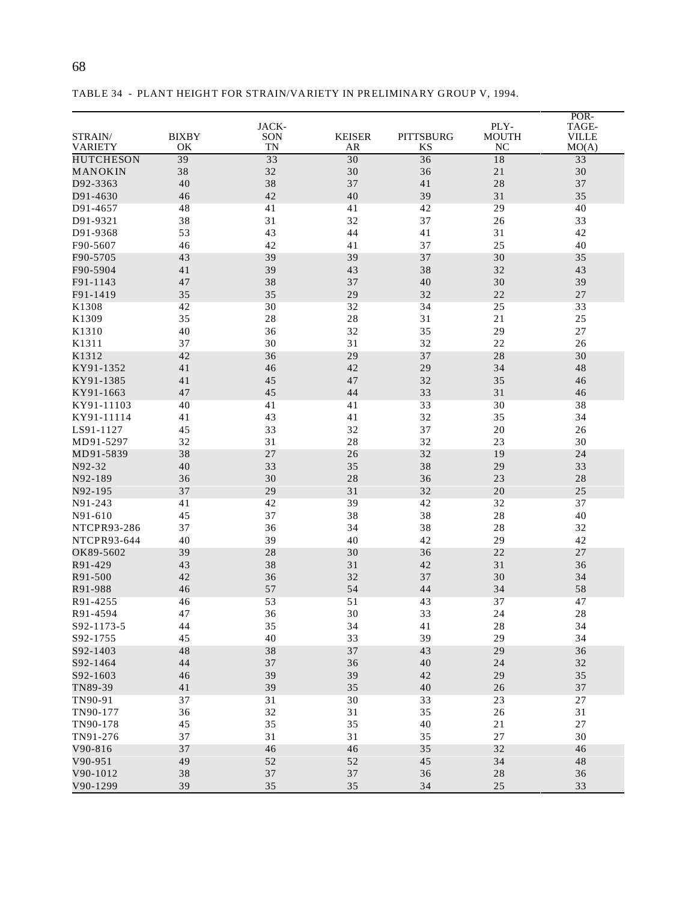|                    |              |             |               |                  |              | POR-         |
|--------------------|--------------|-------------|---------------|------------------|--------------|--------------|
|                    |              | JACK-       |               |                  | PLY-         | TAGE-        |
| STRAIN/            | <b>BIXBY</b> | SON         | <b>KEISER</b> | <b>PITTSBURG</b> | <b>MOUTH</b> | <b>VILLE</b> |
| <b>VARIETY</b>     | ОK           | <b>TN</b>   | AR            | <b>KS</b>        | <b>NC</b>    | MO(A)        |
| <b>HUTCHESON</b>   | 39           | 33          | 30            | 36               | 18           | 33           |
| MANOKIN            | 38           | 32          | 30            | 36               | 21           | $30\,$       |
| D92-3363           | 40           | 38          | 37            | 41               | 28           | 37           |
| D91-4630           | 46           | 42          | 40            | 39               | 31           | 35           |
| D91-4657           | 48           | 41          | 41            | 42               | 29           | 40           |
| D91-9321           | 38           | 31          | 32            | 37               | 26           | 33           |
| D91-9368           | 53           | 43          | 44            | 41               | 31           | 42           |
| F90-5607           | 46           | 42          | 41            | 37               | 25           | 40           |
| F90-5705           | 43           | 39          | 39            | 37               | 30           | 35           |
| F90-5904           | 41           | 39          | 43            | 38               | 32           | 43           |
| F91-1143           | 47           | 38          | 37            | 40               | 30           | 39           |
| F91-1419           | 35           | 35          | 29            | 32               | 22           | $27\,$       |
| K1308              | 42           | 30          | 32            | 34               | 25           | 33           |
|                    |              | $2\sqrt{8}$ |               |                  |              | 25           |
| K1309              | 35           |             | 28            | 31               | 21           |              |
| K1310              | 40           | 36          | 32            | 35               | 29           | 27           |
| K1311              | 37           | 30          | 31            | 32               | 22           | 26           |
| K1312              | 42           | 36          | 29            | 37               | 28           | 30           |
| KY91-1352          | 41           | 46          | 42            | 29               | 34           | 48           |
| KY91-1385          | 41           | 45          | 47            | 32               | 35           | 46           |
| KY91-1663          | 47           | 45          | 44            | 33               | 31           | 46           |
| KY91-11103         | 40           | 41          | 41            | 33               | 30           | 38           |
| KY91-11114         | 41           | 43          | 41            | 32               | 35           | 34           |
| LS91-1127          | 45           | 33          | 32            | 37               | 20           | 26           |
| MD91-5297          | 32           | 31          | 28            | 32               | 23           | 30           |
| MD91-5839          | 38           | 27          | 26            | 32               | 19           | 24           |
| N92-32             | 40           | 33          | 35            | 38               | 29           | 33           |
| N92-189            | 36           | 30          | 28            | 36               | 23           | 28           |
| N92-195            | 37           | 29          | 31            | 32               | 20           | 25           |
| N91-243            | 41           | 42          | 39            | 42               | 32           | 37           |
| N91-610            | 45           | 37          | 38            | 38               | 28           | 40           |
| <b>NTCPR93-286</b> | 37           | 36          | 34            | 38               | 28           | 32           |
| NTCPR93-644        | 40           | 39          | 40            | 42               | 29           | 42           |
| OK89-5602          | 39           | 28          | 30            | 36               | 22           | 27           |
| R91-429            | 43           | 38          | 31            | 42               | 31           | 36           |
| R91-500            | 42           | 36          | 32            | 37               | 30           | 34           |
| R91-988            | 46           | 57          | 54            | 44               | 34           | 58           |
| R91-4255           | 46           | 53          | 51            | 43               | 37           | 47           |
| R91-4594           | 47           | 36          | 30            | 33               | 24           | $2\sqrt{8}$  |
| S92-1173-5         | 44           | 35          | 34            | 41               | 28           | 34           |
| S92-1755           | 45           | 40          | 33            | 39               | 29           | 34           |
| S92-1403           |              |             |               |                  |              |              |
|                    | 48           | 38          | 37<br>36      | 43               | 29           | 36<br>32     |
| S92-1464           | 44           | 37          |               | 40               | 24           |              |
| S92-1603           | 46           | 39          | 39            | 42               | 29           | 35           |
| TN89-39            | 41           | 39          | 35            | 40               | 26           | 37           |
| TN90-91            | 37           | 31          | $30\,$        | 33               | 23           | 27           |
| TN90-177           | 36           | 32          | 31            | 35               | 26           | 31           |
| TN90-178           | 45           | 35          | 35            | 40               | $2\sqrt{1}$  | $27\,$       |
| TN91-276           | 37           | 31          | 31            | 35               | $27\,$       | 30           |
| V90-816            | 37           | 46          | 46            | 35               | 32           | 46           |
| V90-951            | 49           | $52\,$      | $52\,$        | 45               | 34           | 48           |
| V90-1012           | 38           | 37          | $37\,$        | 36               | $2\sqrt{8}$  | 36           |
| V90-1299           | 39           | 35          | 35            | 34               | 25           | 33           |

TABLE 34 - PLANT HEIGHT FOR STRAIN/VARIETY IN PRELIMINARY GROUP V, 1994.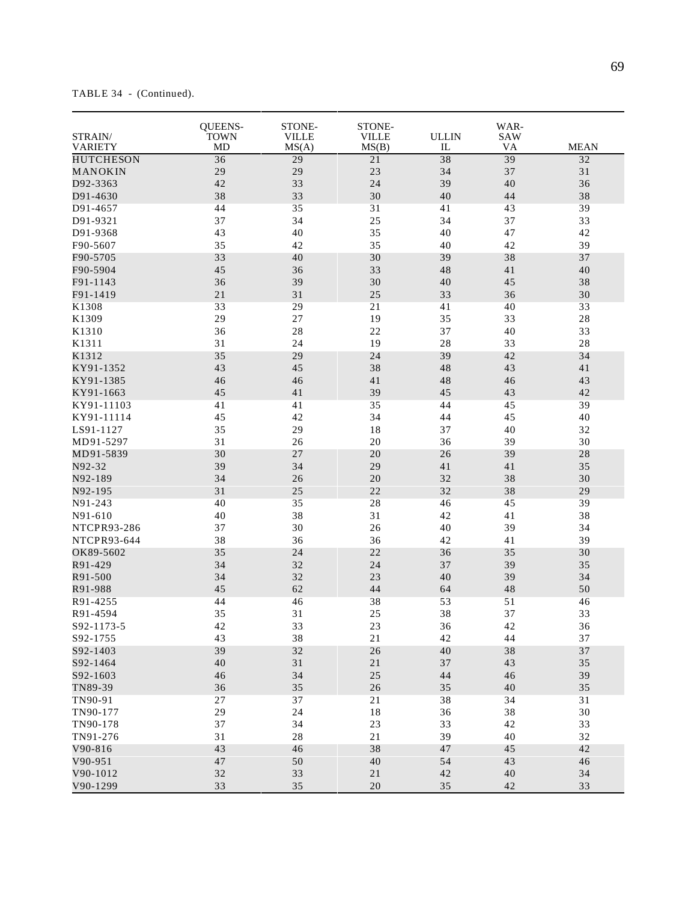TABLE 34 - (Continued).

| STRAIN/<br><b>VARIETY</b> | QUEENS-<br><b>TOWN</b><br><b>MD</b> | STONE-<br><b>VILLE</b><br>MS(A) | STONE-<br><b>VILLE</b><br>MS(B) | <b>ULLIN</b><br>IL | WAR-<br>SAW<br>VA | <b>MEAN</b> |
|---------------------------|-------------------------------------|---------------------------------|---------------------------------|--------------------|-------------------|-------------|
| <b>HUTCHESON</b>          | 36                                  | 29                              | 21                              | 38                 | 39                | 32          |
| MANOKIN                   | 29                                  | 29                              | 23                              | 34                 | 37                | 31          |
| D92-3363                  | 42                                  | 33                              | 24                              | 39                 | $40\,$            | 36          |
| D91-4630                  | 38                                  | 33                              | 30                              | 40                 | 44                | 38          |
| D91-4657                  | 44                                  | 35                              | 31                              | 41                 | 43                | 39          |
| D91-9321                  | 37                                  | 34                              | 25                              | 34                 | 37                | 33          |
| D91-9368                  | 43                                  | 40                              | 35                              | 40                 | 47                | 42          |
| F90-5607                  | 35                                  | 42                              | 35                              | 40                 | 42                | 39          |
| F90-5705                  | 33                                  | 40                              | 30                              | 39                 | 38                | 37          |
| F90-5904                  | 45                                  | 36                              | 33                              | 48                 | 41                | $40\,$      |
| F91-1143                  | 36                                  | 39                              | 30                              | 40                 | 45                | 38          |
| F91-1419                  | 21                                  | 31                              | 25                              | 33                 | 36                | 30          |
| K1308                     | 33                                  | 29                              | 21                              | 41                 | 40                | 33          |
| K1309                     | 29                                  | $27\,$                          | 19                              | 35                 | 33                | $28\,$      |
| K1310                     | 36                                  | 28                              | 22                              | 37                 | 40                | 33          |
| K1311                     | 31                                  | 24                              | 19                              | 28                 | 33                | $2\sqrt{8}$ |
| K1312                     | 35                                  | 29                              | 24                              | 39                 | 42                | 34          |
| KY91-1352                 | 43                                  | 45                              | 38                              | 48                 | 43                | 41          |
| KY91-1385                 | 46                                  | 46                              | 41                              | 48                 | 46                | 43          |
| KY91-1663                 | 45                                  | 41                              | 39                              | 45                 | 43                | 42          |
| KY91-11103                | 41                                  | 41                              | 35                              | 44                 | 45                | 39          |
| KY91-11114                | 45                                  | 42                              | 34                              | 44                 | 45                | 40          |
| LS91-1127                 | 35                                  | 29                              | $1\,8$                          | 37                 | 40                | 32          |
| MD91-5297                 | 31                                  | 26                              | $20\,$                          | 36                 | 39                | 30          |
| MD91-5839                 | 30                                  | 27                              | 20                              | 26                 | 39                | 28          |
| N92-32                    | 39                                  | 34                              | 29                              | 41                 | 41                | 35          |
| N92-189                   | 34                                  | 26                              | 20                              | 32                 | 38                | $30\,$      |
| N92-195                   | 31                                  | 25                              | 22                              | 32                 | 38                | 29          |
| N91-243                   | 40                                  | 35                              | 28                              | 46                 | 45                | 39          |
| N91-610                   | 40                                  | 38                              | 31                              | 42                 | 41                | 38          |
| <b>NTCPR93-286</b>        | 37                                  | 30                              | 26                              | 40                 | 39                | 34          |
| NTCPR93-644               | 38                                  | 36                              | 36                              | 42                 | 41                | 39          |
| OK89-5602                 | 35                                  | 24                              | 22                              | 36                 | 35                | 30          |
| R91-429                   | 34                                  | 32                              | 24                              | 37                 | 39                | 35          |
| R91-500                   | 34                                  | 32                              | 23                              | 40                 | 39                | 34          |
| R91-988                   | 45                                  | 62                              | 44                              | 64                 | 48                | 50          |
| R91-4255                  | 44                                  | 46                              | 38                              | 53                 | 51                | 46          |
| R91-4594                  | 35                                  | 31                              | 25                              | 38                 | 37                | 33          |
| S92-1173-5                | 42                                  | 33                              | 23                              | 36                 | 42                | 36          |
| S92-1755                  | 43                                  | 38                              | 21                              | 42                 | 44                | 37          |
| S92-1403                  | 39                                  | 32                              | 26                              | 40                 | 38                | $37\,$      |
| S92-1464                  | 40                                  | $3\sqrt{1}$                     | 21                              | 37                 | 43                | 35          |
| S92-1603                  | 46                                  | 34                              | $25\,$                          | 44                 | 46                | 39          |
| TN89-39                   | 36                                  | 35                              | $26\,$                          | 35                 | $40\,$            | 35          |
| TN90-91                   | 27                                  | 37                              | 21                              | 38                 | 34                | 31          |
| TN90-177                  | 29                                  | 24                              | $1\,8$                          | 36                 | $3\,8$            | 30          |
| TN90-178                  | 37                                  | 34                              | 23                              | 33                 | 42                | 33          |
| TN91-276                  | 31                                  | 28                              | $21\,$                          | 39                 | 40                | 32          |
| V90-816                   | 43                                  | 46                              | 38                              | 47                 | 45                | 42          |
| V90-951                   | $47\,$                              | 50                              | 40                              | 54                 | 43                | 46          |
| V90-1012                  | 32                                  | 33                              | $2\sqrt{1}$                     | 42                 | $40\,$            | 34          |
| V90-1299                  | 33                                  | 35                              | 20                              | 35                 | 42                | 33          |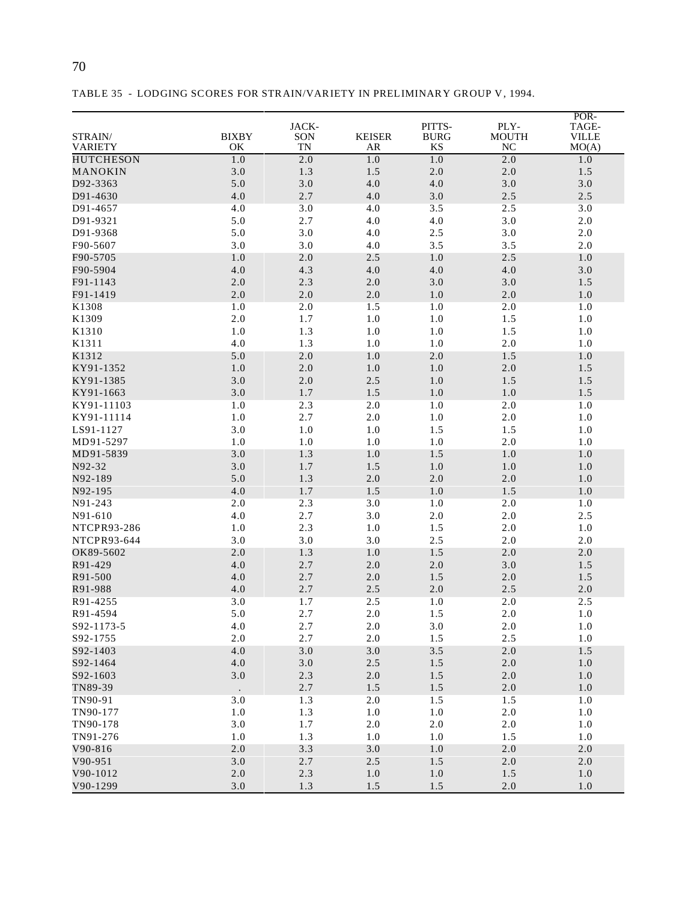|                      |              | JACK-     |               | PITTS-      | PLY-           | POR-<br>TAGE- |
|----------------------|--------------|-----------|---------------|-------------|----------------|---------------|
| STRAIN/              | <b>BIXBY</b> | SON       | <b>KEISER</b> | <b>BURG</b> | <b>MOUTH</b>   | <b>VILLE</b>  |
| <b>VARIETY</b>       | OK           | <b>TN</b> | AR            | KS          | NC             | MO(A)         |
| <b>HUTCHESON</b>     | 1.0          | 2.0       | 1.0           | 1.0         | 2.0            | 1.0           |
| MANOKIN              | 3.0          | 1.3       | 1.5           | 2.0         | $2.0\,$        | 1.5           |
| D92-3363             | 5.0          | 3.0       | 4.0           | 4.0         | 3.0            | 3.0           |
| D91-4630             | 4.0          | 2.7       | 4.0           | 3.0         | 2.5            | 2.5           |
| D91-4657             | 4.0          | 3.0       | 4.0           | 3.5         | 2.5            | 3.0           |
| D91-9321             | 5.0          | 2.7       | 4.0           | 4.0         | 3.0            | $2.0\,$       |
| D91-9368             | 5.0          | 3.0       | 4.0           | 2.5         | 3.0            | $2.0\,$       |
| F90-5607             | 3.0          | 3.0       | 4.0           | 3.5         | 3.5            | $2.0\,$       |
| F90-5705             | 1.0          | 2.0       | 2.5           | 1.0         | 2.5            | 1.0           |
| F90-5904             | 4.0          | 4.3       | 4.0           | 4.0         | 4.0            | 3.0           |
| F91-1143             | 2.0          | 2.3       | 2.0           | 3.0         | 3.0            | 1.5           |
| F91-1419             | 2.0          | 2.0       | 2.0           | 1.0         | $2.0\,$        | $1.0\,$       |
| K1308                | 1.0          | 2.0       | 1.5           | 1.0         | 2.0            | 1.0           |
| K1309                | 2.0          | 1.7       | $1.0\,$       | $1.0\,$     | 1.5            | $1.0\,$       |
| K1310                | 1.0          | 1.3       | 1.0           | $1.0\,$     | 1.5            | $1.0\,$       |
| K1311                | 4.0          | 1.3       | 1.0           | 1.0         | $2.0\,$        | 1.0           |
| K1312                | 5.0          | 2.0       | 1.0           | 2.0         | 1.5            | 1.0           |
| KY91-1352            | 1.0          | $2.0$     | $1.0\,$       | 1.0         | 2.0            | 1.5           |
| KY91-1385            | 3.0          | $2.0$     | 2.5           | 1.0         | 1.5            | 1.5           |
| KY91-1663            | 3.0          | 1.7       | 1.5           | 1.0         | 1.0            | 1.5           |
| KY91-11103           | 1.0          | 2.3       | 2.0           | 1.0         | 2.0            | 1.0           |
| KY91-11114           | 1.0          | 2.7       | 2.0           | 1.0         | $2.0\,$        | 1.0           |
| LS91-1127            | 3.0          | $1.0\,$   | $1.0\,$       | 1.5         | 1.5            | $1.0\,$       |
| MD91-5297            | 1.0          | $1.0\,$   | 1.0           | $1.0\,$     | $2.0\,$        | $1.0\,$       |
| MD91-5839            | 3.0          | 1.3       | 1.0           | 1.5         | 1.0            | 1.0           |
| N92-32               | 3.0          | 1.7       | 1.5           | 1.0         | 1.0            | 1.0           |
| N92-189              | 5.0          | 1.3       | 2.0           | 2.0         | 2.0            | 1.0           |
| N92-195              | 4.0          | 1.7       | 1.5           | $1.0\,$     | 1.5            | $1.0\,$       |
| N91-243              | 2.0          | 2.3       | 3.0           | 1.0         | 2.0            | 1.0           |
| N91-610              | 4.0          | 2.7       | 3.0           | $2.0\,$     | $2.0\,$        | 2.5           |
| <b>NTCPR93-286</b>   | 1.0          | 2.3       | 1.0           | 1.5         | 2.0            | 1.0           |
| NTCPR93-644          | 3.0          | 3.0       | 3.0           | 2.5         | $2.0\,$        | 2.0           |
| OK89-5602            | 2.0          | 1.3       | 1.0           | 1.5         | 2.0            | 2.0           |
| R91-429              | 4.0          | 2.7       | 2.0           | 2.0         | 3.0            | 1.5           |
| R91-500              | 4.0          | 2.7       | 2.0           | 1.5         | $2.0\,$        | 1.5           |
| R91-988              | 4.0          | 2.7       | 2.5           | 2.0         | 2.5            | $2.0$         |
| R91-4255             | 3.0          | 1.7       | 2.5           | 1.0         | 2.0            | 2.5           |
| R91-4594             | 5.0          | 2.7       | 2.0           | 1.5         | 2.0            | $1.0\,$       |
| S92-1173-5           | 4.0          | 2.7       | 2.0           | $3.0$       | $2.0\,$        | 1.0           |
| S92-1755             | 2.0          | 2.7       | 2.0           | 1.5         | 2.5            | 1.0           |
| S92-1403             | $4.0$        | $3.0\,$   | 3.0           | $3.5$       | $2.0\,$        | 1.5           |
| S92-1464             | 4.0          | $3.0\,$   | $2.5\,$       | 1.5         | $2.0\,$        | 1.0           |
| S92-1603             | 3.0          | 2.3       | $2.0\,$       | 1.5         | $2.0\,$        | 1.0           |
| TN89-39              |              | 2.7       | 1.5           | $1.5$       | $2.0\,$        | 1.0           |
| TN90-91              | 3.0          | 1.3       | 2.0           | 1.5         | 1.5            | 1.0           |
| TN90-177             | 1.0          | 1.3       | 1.0           | 1.0         | $2.0\,$        | 1.0           |
| TN90-178             | 3.0          | 1.7       | 2.0           | $2.0\,$     | $2.0\,$        | 1.0           |
|                      | $1.0\,$      | 1.3       |               |             |                | $1.0\,$       |
| TN91-276             |              |           | 1.0           | 1.0         | 1.5            |               |
| V90-816              | $2.0\,$      | 3.3       | 3.0           | 1.0         | $2.0\,$        | $2.0\,$       |
| V90-951              | $3.0$        | 2.7       | 2.5           | 1.5         | $2.0\,$        | 2.0           |
| V90-1012<br>V90-1299 | 2.0<br>3.0   | 2.3       | 1.0<br>1.5    | 1.0<br>1.5  | 1.5<br>$2.0\,$ | 1.0<br>1.0    |
|                      |              | 1.3       |               |             |                |               |

TABLE 35 - LODGING SCORES FOR STRAIN/VARIETY IN PRELIMINARY GROUP V, 1994.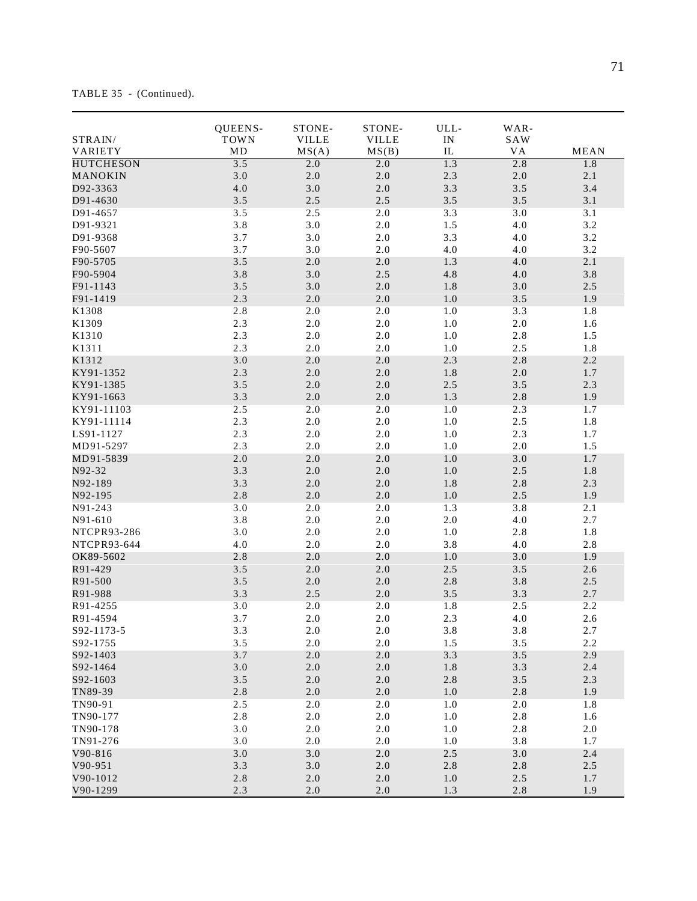TABLE 35 - (Continued).

|                    | QUEENS-     | STONE-       | STONE-       | ULL-       | WAR-    |             |
|--------------------|-------------|--------------|--------------|------------|---------|-------------|
| STRAIN/            | <b>TOWN</b> | <b>VILLE</b> | <b>VILLE</b> | IN         | SAW     |             |
| VARIETY            | MD          | MS(A)        | MS(B)        | ${\rm IL}$ | VA      | <b>MEAN</b> |
| <b>HUTCHESON</b>   | 3.5         | 2.0          | 2.0          | 1.3        | 2.8     | 1.8         |
| MANOKIN            | 3.0         | $2.0\,$      | $2.0\,$      | 2.3        | $2.0\,$ | 2.1         |
| D92-3363           | $4.0\,$     | 3.0          | $2.0$        | 3.3        | 3.5     | 3.4         |
| D91-4630           | 3.5         | 2.5          | 2.5          | 3.5        | 3.5     | 3.1         |
| D91-4657           | 3.5         | 2.5          | $2.0\,$      | 3.3        | 3.0     | 3.1         |
| D91-9321           | 3.8         | 3.0          | $2.0\,$      | 1.5        | 4.0     | 3.2         |
| D91-9368           | 3.7         | 3.0          | $2.0\,$      | 3.3        | 4.0     | 3.2         |
| F90-5607           | 3.7         | 3.0          | 2.0          | 4.0        | 4.0     | 3.2         |
| F90-5705           | 3.5         | 2.0          | 2.0          | 1.3        | 4.0     | 2.1         |
| F90-5904           | 3.8         | $3.0\,$      | $2.5\,$      | 4.8        | $4.0\,$ | 3.8         |
| F91-1143           | 3.5         | 3.0          | $2.0\,$      | 1.8        | $3.0\,$ | 2.5         |
| F91-1419           | 2.3         | $2.0\,$      | $2.0\,$      | $1.0\,$    | 3.5     | 1.9         |
| K1308              | 2.8         | 2.0          | 2.0          | 1.0        | 3.3     | 1.8         |
| K1309              | 2.3         | $2.0\,$      | 2.0          | 1.0        | $2.0\,$ | 1.6         |
| K1310              | 2.3         | $2.0\,$      | 2.0          | $1.0\,$    | $2.8\,$ | 1.5         |
| K1311              | 2.3         | $2.0\,$      | 2.0          | 1.0        | 2.5     | 1.8         |
| K1312              | 3.0         | $2.0$        | 2.0          | 2.3        | 2.8     | 2.2         |
| KY91-1352          | 2.3         | $2.0\,$      | 2.0          | 1.8        | $2.0\,$ | 1.7         |
| KY91-1385          | $3.5$       | 2.0          | 2.0          | $2.5\,$    | 3.5     | 2.3         |
| KY91-1663          | 3.3         | $2.0\,$      | $2.0\,$      | 1.3        | $2.8\,$ | 1.9         |
| KY91-11103         | 2.5         | 2.0          | 2.0          | $1.0\,$    | 2.3     | 1.7         |
| KY91-11114         | 2.3         | $2.0\,$      | $2.0\,$      | $1.0\,$    | 2.5     | 1.8         |
| LS91-1127          | 2.3         | $2.0\,$      | $2.0\,$      | 1.0        | 2.3     | 1.7         |
| MD91-5297          | 2.3         | $2.0\,$      | 2.0          | $1.0\,$    | $2.0\,$ | 1.5         |
| MD91-5839          | $2.0\,$     | $2.0\,$      | $2.0\,$      | $1.0\,$    | $3.0\,$ | 1.7         |
| N92-32             | 3.3         | $2.0\,$      | 2.0          | 1.0        | 2.5     | 1.8         |
| N92-189            | 3.3         | $2.0\,$      | 2.0          | 1.8        | $2.8\,$ | 2.3         |
| N92-195            | 2.8         | $2.0\,$      | 2.0          | $1.0\,$    | 2.5     | 1.9         |
| N91-243            | 3.0         | 2.0          | 2.0          | 1.3        | 3.8     | 2.1         |
| N91-610            | 3.8         | $2.0\,$      | $2.0\,$      | $2.0\,$    | 4.0     | 2.7         |
| <b>NTCPR93-286</b> | 3.0         | $2.0\,$      | $2.0\,$      | $1.0\,$    | $2.8\,$ | 1.8         |
| NTCPR93-644        | 4.0         | $2.0\,$      | $2.0\,$      | 3.8        | 4.0     | $2.8\,$     |
| OK89-5602          | 2.8         | 2.0          | 2.0          | $1.0\,$    | 3.0     | 1.9         |
| R91-429            | $3.5$       | $2.0\,$      | 2.0          | 2.5        | 3.5     | $2.6\,$     |
| R91-500            | 3.5         | $2.0\,$      | $2.0\,$      | 2.8        | $3.8\,$ | 2.5         |
| R91-988            | 3.3         | 2.5          | 2.0          | $3.5$      | 3.3     | 2.7         |
| R91-4255           | 3.0         | 2.0          | 2.0          | 1.8        | 2.5     | 2.2         |
| R91-4594           | 3.7         | 2.0          | 2.0          | 2.3        | 4.0     | 2.6         |
| S92-1173-5         | 3.3         | 2.0          | 2.0          | 3.8        | 3.8     | 2.7         |
| S92-1755           | 3.5         | $2.0\,$      | $2.0\,$      | 1.5        | 3.5     | 2.2         |
| S92-1403           | 3.7         | $2.0\,$      | $2.0\,$      | 3.3        | 3.5     | 2.9         |
| S92-1464           | $3.0\,$     | 2.0          | 2.0          | 1.8        | 3.3     | 2.4         |
| S92-1603           | $3.5$       | $2.0\,$      | 2.0          | 2.8        | $3.5$   | 2.3         |
| TN89-39            | $2.8\,$     | 2.0          | 2.0          | 1.0        | 2.8     | 1.9         |
| TN90-91            | 2.5         | 2.0          | $2.0\,$      | 1.0        | $2.0\,$ | 1.8         |
| TN90-177           | $2.8\,$     | $2.0\,$      | $2.0\,$      | $1.0\,$    | $2.8\,$ | 1.6         |
| TN90-178           | 3.0         | $2.0\,$      | $2.0$        | 1.0        | $2.8\,$ | 2.0         |
| TN91-276           | 3.0         | 2.0          | $2.0\,$      | 1.0        | 3.8     | 1.7         |
| $V90-816$          | 3.0         | 3.0          | $2.0$        | 2.5        | 3.0     | 2.4         |
| V90-951            | 3.3         | $3.0\,$      | $2.0\,$      | $2.8\,$    | $2.8\,$ | $2.5\,$     |
| V90-1012           | 2.8         | 2.0          | 2.0          | $1.0\,$    | $2.5\,$ | 1.7         |
| V90-1299           | 2.3         | $2.0\,$      | $2.0\,$      | 1.3        | $2.8\,$ | 1.9         |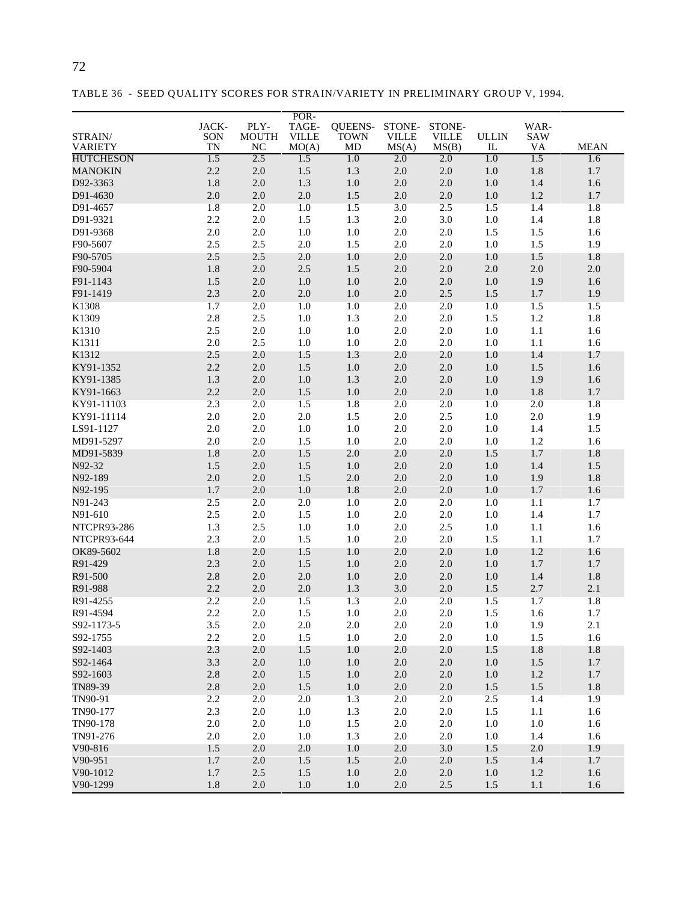|                           |           |                    | POR-                  |                   |                       |                       |                              |                         |             |
|---------------------------|-----------|--------------------|-----------------------|-------------------|-----------------------|-----------------------|------------------------------|-------------------------|-------------|
|                           | JACK-     | PLY-               | TAGE-                 | <b>OUEENS-</b>    | STONE-                | STONE-                |                              | WAR-                    |             |
| STRAIN/<br><b>VARIETY</b> | SON<br>TN | <b>MOUTH</b><br>NC | <b>VILLE</b><br>MO(A) | <b>TOWN</b><br>MD | <b>VILLE</b><br>MS(A) | <b>VILLE</b><br>MS(B) | <b>ULLIN</b><br>$\mathbf{I}$ | <b>SAW</b><br><b>VA</b> | <b>MEAN</b> |
| <b>HUTCHESON</b>          | 1.5       | 2.5                | 1.5                   | 1.0               | 2.0                   | 2.0                   | 1.0                          | 1.5                     | 1.6         |
| <b>MANOKIN</b>            | 2.2       | 2.0                | $1.5\,$               | 1.3               | $2.0\,$               | $2.0\,$               | 1.0                          | $1.8\,$                 | 1.7         |
| D92-3363                  | $1.8\,$   | 2.0                | 1.3                   | $1.0\,$           | $2.0\,$               | $2.0\,$               | 1.0                          | 1.4                     | 1.6         |
| D91-4630                  | $2.0\,$   | $2.0\,$            | $2.0\,$               | 1.5               | $2.0\,$               | 2.0                   | 1.0                          | $1.2\,$                 | 1.7         |
| D91-4657                  | $1.8\,$   | $2.0\,$            | 1.0                   | $1.5\,$           | 3.0                   | 2.5                   | 1.5                          | 1.4                     | 1.8         |
| D91-9321                  | 2.2       | 2.0                | 1.5                   | 1.3               | 2.0                   | 3.0                   | 1.0                          | 1.4                     | 1.8         |
| D91-9368                  | $2.0\,$   | 2.0                | 1.0                   | $1.0\,$           | 2.0                   | $2.0\,$               | 1.5                          | 1.5                     | 1.6         |
| F90-5607                  | 2.5       | 2.5                | $2.0\,$               | 1.5               | 2.0                   | $2.0\,$               | 1.0                          | 1.5                     | 1.9         |
| F90-5705                  | 2.5       | 2.5                | 2.0                   | 1.0               | 2.0                   | 2.0                   | 1.0                          | 1.5                     | 1.8         |
| F90-5904                  | 1.8       | $2.0\,$            | 2.5                   | 1.5               | 2.0                   | $2.0\,$               | $2.0$                        | 2.0                     | 2.0         |
| F91-1143                  | $1.5\,$   | $2.0$              | 1.0                   | $1.0\,$           | 2.0                   | $2.0\,$               | 1.0                          | 1.9                     | 1.6         |
| F91-1419                  | 2.3       | $2.0$              | $2.0\,$               | $1.0\,$           | 2.0                   | 2.5                   | 1.5                          | 1.7                     | 1.9         |
| K1308                     | 1.7       | 2.0                | 1.0                   | $1.0\,$           | 2.0                   | 2.0                   | 1.0                          | 1.5                     | 1.5         |
| K1309                     | 2.8       | 2.5                | 1.0                   | 1.3               | 2.0                   | $2.0\,$               | 1.5                          | 1.2                     | 1.8         |
| K1310                     | 2.5       | 2.0                | 1.0                   | $1.0\,$           | 2.0                   | 2.0                   | 1.0                          | $1.1\,$                 | 1.6         |
| K1311                     | 2.0       | 2.5                | 1.0                   | 1.0               | 2.0                   | $2.0\,$               | 1.0                          | 1.1                     | 1.6         |
| K1312                     | 2.5       | 2.0                | 1.5                   | 1.3               | 2.0                   | 2.0                   | 1.0                          | 1.4                     | 1.7         |
| KY91-1352                 | 2.2       | 2.0                | 1.5                   | $1.0\,$           | 2.0                   | 2.0                   | 1.0                          | 1.5                     | 1.6         |
| KY91-1385                 | 1.3       | 2.0                | $1.0\,$               | 1.3               | 2.0                   | 2.0                   | 1.0                          | 1.9                     | 1.6         |
| KY91-1663                 | 2.2       | 2.0                | 1.5                   | $1.0\,$           | 2.0                   | 2.0                   | 1.0                          | 1.8                     | 1.7         |
| KY91-11103                | 2.3       | 2.0                | 1.5                   | 1.8               | 2.0                   | 2.0                   | 1.0                          | 2.0                     | 1.8         |
| KY91-11114                | $2.0\,$   | 2.0                | $2.0\,$               | 1.5               | 2.0                   | 2.5                   | 1.0                          | 2.0                     | 1.9         |
| LS91-1127                 | $2.0\,$   | 2.0                | $1.0\,$               | $1.0\,$           | 2.0                   | 2.0                   | 1.0                          | 1.4                     | 1.5         |
| MD91-5297                 | $2.0\,$   | 2.0                | 1.5                   | $1.0\,$           | 2.0                   | 2.0                   | 1.0                          | 1.2                     | 1.6         |
| MD91-5839                 | 1.8       | 2.0                | 1.5                   | 2.0               | 2.0                   | 2.0                   | 1.5                          | 1.7                     | 1.8         |
| N92-32                    | $1.5\,$   | $2.0\,$            | 1.5                   | $1.0\,$           | $2.0\,$               | $2.0\,$               | $1.0\,$                      | 1.4                     | 1.5         |
| N92-189                   | $2.0\,$   | 2.0                | 1.5                   | 2.0               | 2.0                   | $2.0\,$               | 1.0                          | 1.9                     | 1.8         |
| N92-195                   | $1.7\,$   | $2.0\,$            | $1.0\,$               | $1.8\,$           | 2.0                   | $2.0\,$               | 1.0                          | $1.7\,$                 | 1.6         |
| N91-243                   | 2.5       | 2.0                | 2.0                   | $1.0\,$           | 2.0                   | 2.0                   | $1.0\,$                      | 1.1                     | 1.7         |
| N91-610                   | 2.5       | $2.0\,$            | 1.5                   | $1.0\,$           | 2.0                   | 2.0                   | $1.0\,$                      | 1.4                     | 1.7         |
| NTCPR93-286               | 1.3       | 2.5                | $1.0\,$               | $1.0\,$           | 2.0                   | 2.5                   | 1.0                          | $1.1\,$                 | 1.6         |
| NTCPR93-644               | 2.3       | 2.0                | 1.5                   | 1.0               | 2.0                   | 2.0                   | 1.5                          | 1.1                     | 1.7         |

OK89-5602 1.8 2.0 1.5 1.0 2.0 2.0 1.0 1.2 1.6 R91-429 2.3 2.0 1.5 1.0 2.0 2.0 1.0 1.7 1.7 R91-500 2.8 2.0 2.0 1.0 2.0 2.0 1.0 1.4 1.8 R91-988 2.2 2.0 2.0 1.3 3.0 2.0 1.5 2.7 2.1 R91-4255 2.2 2.0 1.5 1.3 2.0 2.0 1.5 1.7 1.8 R91-4594 2.2 2.0 1.5 1.0 2.0 2.0 1.5 1.6 1.7 S92-1173-5 3.5 2.0 2.0 2.0 2.0 2.0 1.0 1.9 2.1 S92-1755 2.2 2.0 1.5 1.0 2.0 2.0 1.0 1.5 1.6 S92-1403 2.3 2.0 1.5 1.0 2.0 2.0 1.5 1.8 1.8 S92-1464 3.3 2.0 1.0 1.0 2.0 2.0 1.0 1.5 1.7 S92-1603 2.8 2.0 1.5 1.0 2.0 2.0 1.0 1.2 1.7 TN89-39 2.8 2.0 1.5 1.0 2.0 2.0 1.5 1.5 1.8 TN90-91 2.2 2.0 2.0 1.3 2.0 2.0 2.5 1.4 1.9 TN90-177 2.3 2.0 1.0 1.3 2.0 2.0 1.5 1.1 1.6 TN90-178 2.0 2.0 1.0 1.5 2.0 2.0 1.0 1.0 1.6 TN91-276 2.0 2.0 1.0 1.3 2.0 2.0 1.0 1.4 1.6 V90-816 1.5 2.0 2.0 1.0 2.0 3.0 1.5 2.0 1.9 V90-951 1.7 2.0 1.5 1.5 2.0 2.0 1.5 1.4 1.7 V90-1012 1.7 2.5 1.5 1.0 2.0 2.0 1.0 1.2 1.6 V90-1299 1.8 2.0 1.0 1.0 2.0 2.5 1.5 1.1 1.6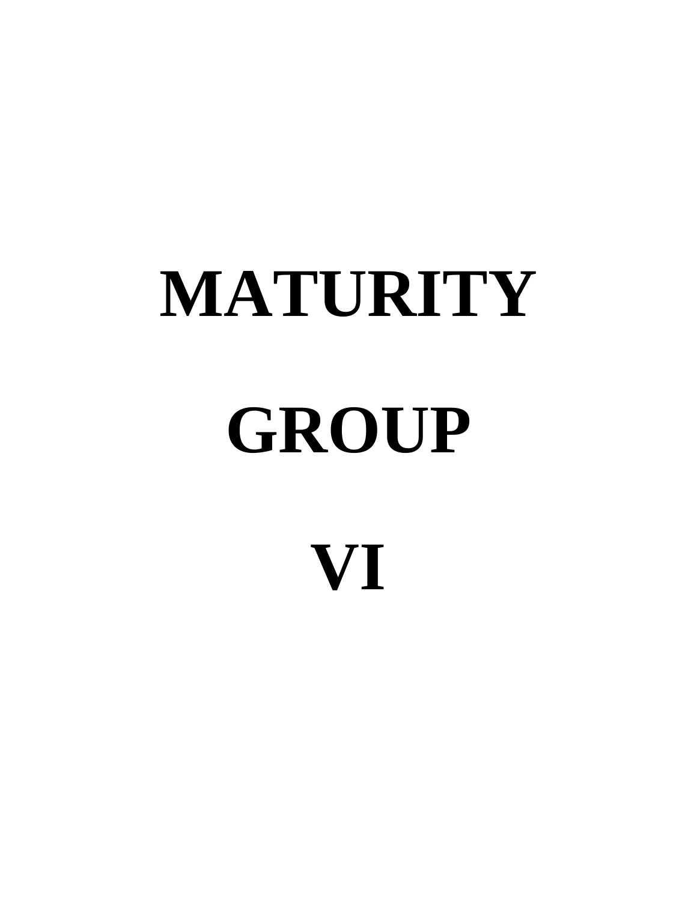# **MATURITY GROUP VI**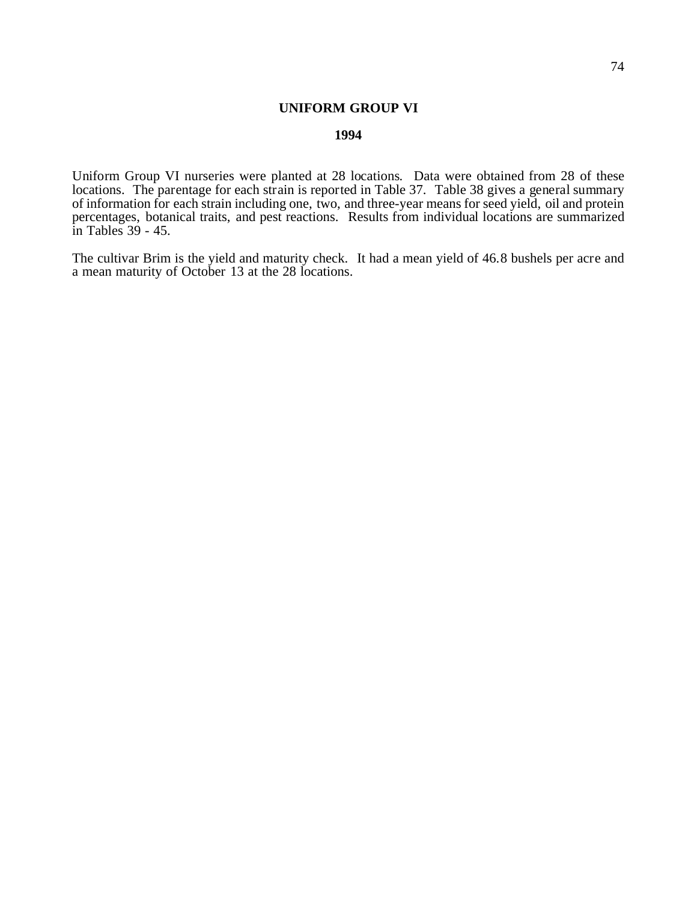# **UNIFORM GROUP VI**

# **1994**

Uniform Group VI nurseries were planted at 28 locations. Data were obtained from 28 of these locations. The parentage for each strain is reported in Table 37. Table 38 gives a general summary of information for each strain including one, two, and three-year means for seed yield, oil and protein percentages, botanical traits, and pest reactions. Results from individual locations are summarized in Tables 39 - 45.

The cultivar Brim is the yield and maturity check. It had a mean yield of 46.8 bushels per acre and a mean maturity of October 13 at the 28 locations.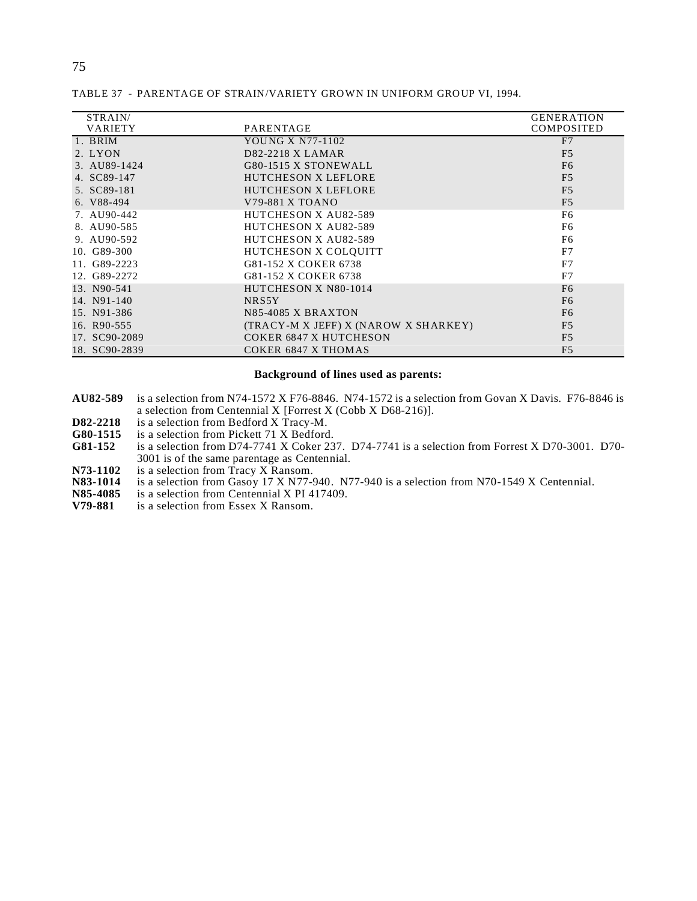| STRAIN/        |                                      | <b>GENERATION</b> |
|----------------|--------------------------------------|-------------------|
| <b>VARIETY</b> | PARENTAGE                            | <b>COMPOSITED</b> |
| 1. BRIM        | YOUNG X N77-1102                     | F7                |
| 2. LYON        | D82-2218 X LAMAR                     | F <sub>5</sub>    |
| 3. AU89-1424   | G80-1515 X STONEWALL                 | F <sub>6</sub>    |
| 4. SC89-147    | <b>HUTCHESON X LEFLORE</b>           | F <sub>5</sub>    |
| 5. SC89-181    | HUTCHESON X LEFLORE                  | F <sub>5</sub>    |
| 6. V88-494     | V79-881 X TOANO                      | F <sub>5</sub>    |
| 7. AU90-442    | <b>HUTCHESON X AU82-589</b>          | F <sub>6</sub>    |
| 8. AU90-585    | HUTCHESON X AU82-589                 | F <sub>6</sub>    |
| 9. AU90-592    | <b>HUTCHESON X AU82-589</b>          | F <sub>6</sub>    |
| 10. G89-300    | HUTCHESON X COLQUITT                 | F7                |
| 11. G89-2223   | G81-152 X COKER 6738                 | F7                |
| 12. G89-2272   | G81-152 X COKER 6738                 | F7                |
| 13. N90-541    | HUTCHESON X N80-1014                 | F <sub>6</sub>    |
| 14. N91-140    | NRS5Y                                | F <sub>6</sub>    |
| 15. N91-386    | <b>N85-4085 X BRAXTON</b>            | F <sub>6</sub>    |
| 16. R90-555    | (TRACY-M X JEFF) X (NAROW X SHARKEY) | F <sub>5</sub>    |
| 17. SC90-2089  | <b>COKER 6847 X HUTCHESON</b>        | F <sub>5</sub>    |
| 18. SC90-2839  | COKER 6847 X THOMAS                  | F <sub>5</sub>    |

TABLE 37 - PARENTAGE OF STRAIN/VARIETY GROWN IN UNIFORM GROUP VI, 1994.

## **Background of lines used as parents:**

- **AU82-589** is a selection from N74-1572 X F76-8846. N74-1572 is a selection from Govan X Davis. F76-8846 is a selection from Centennial X [Forrest X (Cobb X D68-216)].
- **D82-2218** is a selection from Bedford X Tracy-M.<br>**G80-1515** is a selection from Pickett 71 X Bedford
- G80-1515 is a selection from Pickett 71 X Bedford.<br>
G81-152 is a selection from D74-7741 X Coker 23
- **G81-152** is a selection from D74-7741 X Coker 237. D74-7741 is a selection from Forrest X D70-3001. D70- 3001 is of the same parentage as Centennial.
- **N73-1102** is a selection from Tracy X Ransom.<br>**N83-1014** is a selection from Gasoy 17 X N77-9
- **N83-1014** is a selection from Gasoy 17 X N77-940. N77-940 is a selection from N70-1549 X Centennial.<br>**N85-4085** is a selection from Centennial X PI 417409.
- **N85-4085** is a selection from Centennial X PI 417409.<br>**V79-881** is a selection from Essex X Ransom.
- is a selection from Essex X Ransom.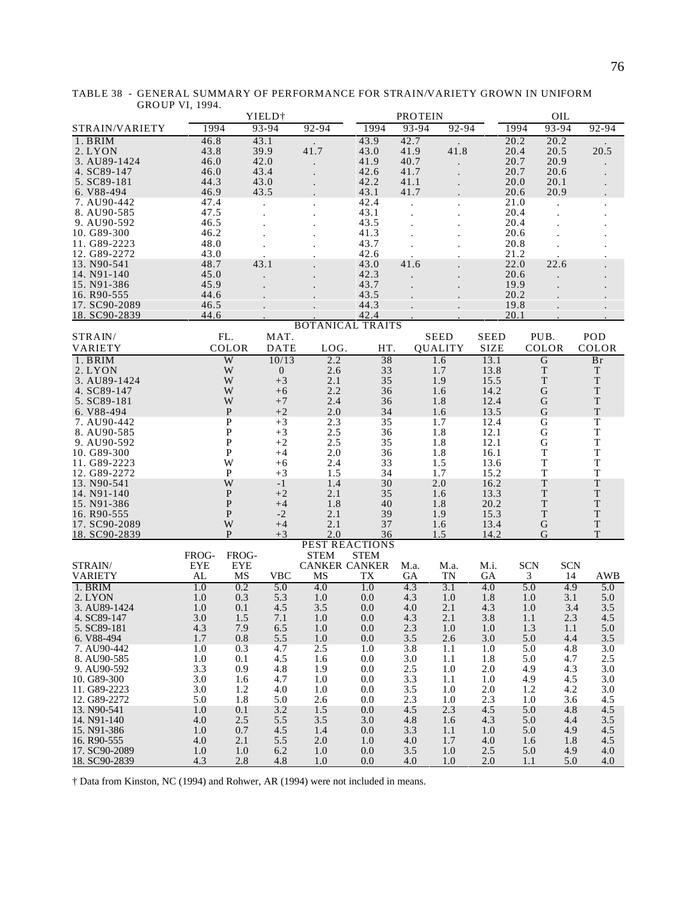|                             | YIELD <sup>+</sup> |                   |                  | <b>PROTEIN</b>          |              |            |                | OIL          |                            |            |                  |
|-----------------------------|--------------------|-------------------|------------------|-------------------------|--------------|------------|----------------|--------------|----------------------------|------------|------------------|
| STRAIN/VARIETY              | 1994               |                   | 93-94            | 92-94                   | 1994         | 93-94      | 92-94          |              | 1994                       | 93-94      | 92-94            |
| 1. BRIM                     | 46.8               |                   | 43.1             |                         | 43.9         | 42.7       |                |              | 20.2                       | 20.2       |                  |
| 2. LYON                     | 43.8               |                   | 39.9             | 41.7                    | 43.0         | 41.9       | 41.8           |              | 20.4                       | 20.5       | 20.5             |
| 3. AU89-1424                | 46.0               |                   | 42.0             |                         | 41.9         | 40.7       |                |              | 20.7                       | 20.9       |                  |
| 4. SC89-147                 | 46.0               |                   | 43.4             |                         | 42.6         | 41.7       |                |              | 20.7                       | 20.6       |                  |
| 5. SC89-181                 | 44.3               |                   | 43.0             |                         | 42.2         | 41.1       |                |              | 20.0                       | 20.1       |                  |
| 6. V88-494                  | 46.9               |                   | 43.5             |                         | 43.1         | 41.7       |                |              | 20.6                       | 20.9       |                  |
| 7. AU90-442                 | 47.4               |                   |                  |                         | 42.4         |            |                |              | 21.0                       |            |                  |
| 8. AU90-585                 | 47.5               |                   |                  |                         | 43.1         |            |                |              | 20.4                       |            |                  |
| 9. AU90-592                 | 46.5               |                   |                  |                         | 43.5         |            |                |              | 20.4                       |            |                  |
| 10. G89-300<br>11. G89-2223 | 46.2               |                   |                  |                         | 41.3         |            |                |              | 20.6                       |            |                  |
| 12. G89-2272                | 48.0<br>43.0       |                   |                  |                         | 43.7<br>42.6 |            |                |              | 20.8<br>21.2               |            |                  |
| 13. N90-541                 | 48.7               |                   | 43.1             |                         | 43.0         | 41.6       |                |              | 22.0                       | 22.6       |                  |
| 14. N91-140                 | 45.0               |                   |                  |                         | 42.3         |            |                |              | 20.6                       |            |                  |
| 15. N91-386                 | 45.9               |                   |                  |                         | 43.7         |            |                |              | 19.9                       |            |                  |
| 16. R90-555                 | 44.6               |                   |                  |                         | 43.5         |            |                |              | 20.2                       |            |                  |
| 17. SC90-2089               | 46.5               |                   |                  |                         | 44.3         |            |                |              | 19.8                       |            |                  |
| 18. SC90-2839               | 44.6               |                   |                  |                         | 42.4         |            |                |              | 20.1                       |            |                  |
|                             |                    |                   |                  | <b>BOTANICAL TRAITS</b> |              |            |                |              |                            |            |                  |
| STRAIN/                     |                    | FL.               | MAT.             |                         |              |            | <b>SEED</b>    | <b>SEED</b>  | PUB.                       |            | POD              |
| <b>VARIETY</b>              |                    | COLOR             | <b>DATE</b>      | LOG.                    | HT.          |            | <b>QUALITY</b> | <b>SIZE</b>  | <b>COLOR</b>               |            | COLOR            |
| 1. BRIM                     |                    | W                 | 10/13            | 2.2                     | 38           |            | 1.6            | 13.1         | $\overline{G}$             |            | <b>Br</b>        |
| 2. LYON                     |                    | W                 | $\boldsymbol{0}$ | 2.6                     | 33           |            | 1.7            | 13.8         | $\mathbf T$                |            | T                |
| 3. AU89-1424                |                    | W                 | $+3$             | 2.1                     | 35           |            | 1.9            | 15.5         | $\mathbf T$                |            | T                |
| 4. SC89-147                 |                    | W                 | $+6$             | 2.2                     | 36           |            | 1.6            | 14.2         | $\mathbf G$                |            | $\mathbf T$      |
| 5. SC89-181                 |                    | W                 | $+7$             | 2.4                     | 36           |            | 1.8            | 12.4         | G                          |            | $\mathbf T$      |
| 6. V88-494                  |                    | $\mathbf{P}$      | $+2$             | 2.0                     | 34           |            | 1.6            | 13.5         | $\mathbf G$                |            | $\mathbf T$      |
| 7. AU90-442                 |                    | P                 | $+3$             | 2.3                     | 35           |            | 1.7            | 12.4         | G                          |            | $\mathbf T$      |
| 8. AU90-585                 |                    | P                 | $+3$             | 2.5                     | 36           |            | 1.8            | 12.1         | $\mathbf G$                |            | $\mathbf T$      |
| 9. AU90-592                 |                    | P                 | $+2$             | 2.5                     | 35           |            | 1.8            | 12.1         | G                          |            | $\mathbf T$      |
| 10. G89-300                 |                    | P                 | $+4$             | 2.0                     | 36           |            | 1.8            | 16.1         | $\mathbf T$                |            | $\mathbf T$      |
| 11. G89-2223                |                    | W<br>$\mathbf{P}$ | $+6$<br>$+3$     | 2.4<br>1.5              | 33<br>34     |            | 1.5<br>1.7     | 13.6<br>15.2 | $\mathbf T$<br>$\mathbf T$ |            | T<br>$\mathbf T$ |
| 12. G89-2272<br>13. N90-541 |                    | W                 | $-1$             | 1.4                     | 30           |            | 2.0            | 16.2         | $\mathbf T$                |            | T                |
| 14. N91-140                 |                    | $\mathbf{P}$      | $+2$             | 2.1                     | 35           |            | 1.6            | 13.3         | $\mathbf T$                |            | $\mathbf T$      |
| 15. N91-386                 |                    | $\mathbf{P}$      | $+4$             | 1.8                     | 40           |            | 1.8            | 20.2         | $\mathbf T$                |            | T                |
| 16. R90-555                 |                    | $\mathbf{P}$      | $-2$             | 2.1                     | 39           |            | 1.9            | 15.3         | $\mathbf T$                |            | $\mathbf T$      |
| 17. SC90-2089               |                    | W                 | $+4$             | 2.1                     | 37           |            | 1.6            | 13.4         | G                          |            | $\mathbf T$      |
| 18. SC90-2839               |                    | P                 | $+3$             | 2.0                     | 36           |            | 1.5            | 14.2         | G                          |            | T                |
|                             |                    |                   |                  | <b>PEST REACTIONS</b>   |              |            |                |              |                            |            |                  |
|                             | FROG-              | FROG-             |                  | <b>STEM</b>             | <b>STEM</b>  |            |                |              |                            |            |                  |
| STRAIN/                     | <b>EYE</b>         | <b>EYE</b>        |                  | <b>CANKER CANKER</b>    |              | M.a.       | M.a.           | M.i.         | <b>SCN</b>                 | <b>SCN</b> |                  |
| <b>VARIETY</b>              | AL                 | MS                | <b>VBC</b>       | MS                      | TX           | GA         | TN             | <b>GA</b>    | 3                          | 14         | AWB              |
| 1. BRIM                     | 1.0                | 0.2               | 5.0              | 4.0                     | 1.0          | 4.3        | 3.1            | 4.0          | 5.0                        | 4.9        | 5.0              |
| 2. LYON<br>3. AU89-1424     | 1.0                | 0.3               | 5.3              | 1.0                     | 0.0          | 4.3        | 1.0<br>2.1     | 1.8          | 1.0                        | 3.1<br>3.4 | 5.0              |
|                             | 1.0                | 0.1               | 4.5              | 3.5                     | 0.0<br>0.0   | 4.0        |                | 4.3          | 1.0                        |            | 3.5              |
| 4. SC89-147<br>5. SC89-181  | 3.0<br>4.3         | 1.5<br>7.9        | 7.1<br>6.5       | 1.0<br>1.0              | 0.0          | 4.3<br>2.3 | 2.1<br>1.0     | 3.8<br>1.0   | 1.1<br>1.3                 | 2.3<br>1.1 | 4.5<br>5.0       |
| 6. V88-494                  | 1.7                | 0.8               | 5.5              | 1.0                     | 0.0          | 3.5        | 2.6            | 3.0          | 5.0                        | 4.4        | 3.5              |
| 7. AU90-442                 | 1.0                | 0.3               | 4.7              | 2.5                     | 1.0          | 3.8        | 1.1            | 1.0          | 5.0                        | 4.8        | 3.0              |
| 8. AU90-585                 | 1.0                | 0.1               | 4.5              | 1.6                     | 0.0          | 3.0        | 1.1            | 1.8          | 5.0                        | 4.7        | 2.5              |
| 9. AU90-592                 | 3.3                | 0.9               | 4.8              | 1.9                     | 0.0          | 2.5        | 1.0            | 2.0          | 4.9                        | 4.3        | 3.0              |
| 10. G89-300                 | 3.0                | 1.6               | 4.7              | 1.0                     | 0.0          | 3.3        | 1.1            | 1.0          | 4.9                        | 4.5        | 3.0              |
| 11. G89-2223                | 3.0                | 1.2               | 4.0              | 1.0                     | 0.0          | 3.5        | 1.0            | 2.0          | 1.2                        | 4.2        | 3.0              |
| 12. G89-2272                | 5.0                | 1.8               | 5.0              | 2.6                     | 0.0          | 2.3        | 1.0            | 2.3          | 1.0                        | 3.6        | 4.5              |
| 13. N90-541                 | 1.0                | 0.1               | 3.2              | 1.5                     | 0.0          | 4.5        | 2.3            | 4.5          | 5.0                        | 4.8        | 4.5              |
| 14. N91-140                 | 4.0                | 2.5               | 5.5              | 3.5                     | 3.0          | 4.8        | 1.6            | 4.3          | 5.0                        | 4.4        | 3.5              |
| 15. N91-386                 | 1.0                | 0.7               | 4.5              | 1.4                     | 0.0          | 3.3        | 1.1            | 1.0          | 5.0                        | 4.9        | 4.5              |
| 16. R90-555                 | 4.0                | 2.1               | 5.5              | 2.0                     | 1.0          | 4.0        | 1.7            | 4.0          | 1.6                        | 1.8        | 4.5              |
| 17. SC90-2089               | 1.0                | 1.0               | 6.2              | 1.0                     | 0.0          | 3.5        | 1.0            | 2.5          | 5.0                        | 4.9        | 4.0              |
| 18. SC90-2839               | 4.3                | 2.8               | 4.8              | 1.0                     | 0.0          | 4.0        | 1.0            | 2.0          | 1.1                        | 5.0        | 4.0              |

TABLE 38 - GENERAL SUMMARY OF PERFORMANCE FOR STRAIN/VARIETY GROWN IN UNIFORM GROUP VI, 1994.

† Data from Kinston, NC (1994) and Rohwer, AR (1994) were not included in means.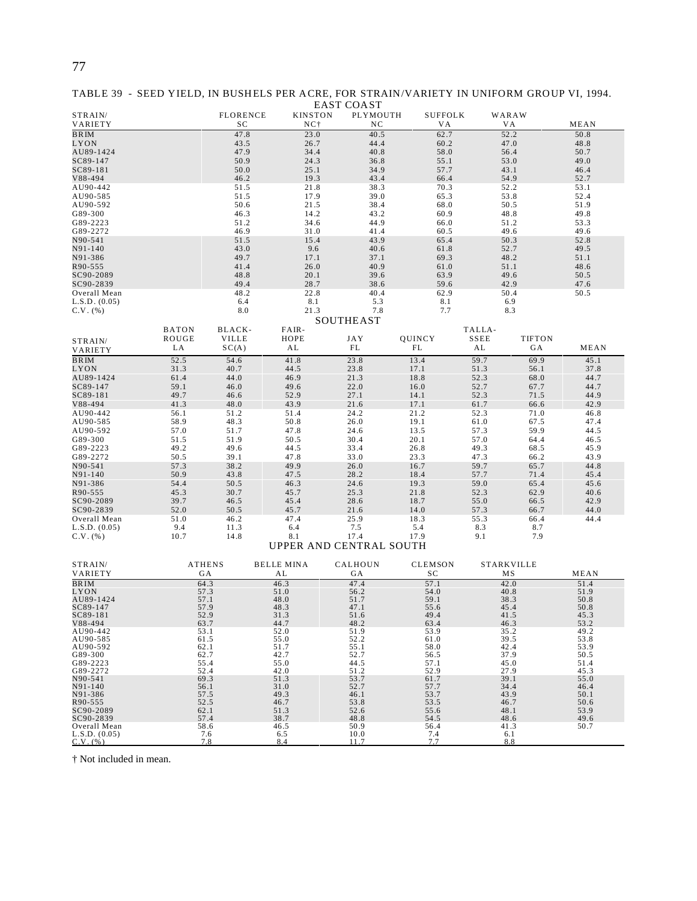| TABLE 39 - SEED YIELD, IN BUSHELS PER ACRE, FOR STRAIN/VARIETY IN UNIFORM GROUP VI, 1994. |            |  |  |
|-------------------------------------------------------------------------------------------|------------|--|--|
|                                                                                           | EAST COAST |  |  |

| STRAIN/                       |               | <b>FLORENCE</b> | <b>KINSTON</b>    | LINI COILDI<br>PLYMOUTH | <b>SUFFOLK</b> |              | WARAW             |                     |  |
|-------------------------------|---------------|-----------------|-------------------|-------------------------|----------------|--------------|-------------------|---------------------|--|
| VARIETY                       |               | SC              | $NC+$             | NC                      | V A            |              | V A               | MEAN                |  |
| <b>BRIM</b>                   |               | 47.8            | 23.0              | 40.5                    | 62.7           |              | 52.2              | 50.8                |  |
| LYON                          |               | 43.5            | 26.7              | 44.4                    | 60.2           |              | 47.0              | 48.8                |  |
| AU89-1424<br>SC89-147         |               | 47.9<br>50.9    | 34.4              | 40.8<br>36.8            | 58.0           |              | 56.4<br>53.0      | 50.7<br>49.0        |  |
| SC89-181                      |               | 50.0            | 24.3<br>25.1      | 34.9                    | 55.1<br>57.7   |              | 43.1              | 46.4                |  |
| V88-494                       |               | 46.2            | 19.3              | 43.4                    | 66.4           |              | 54.9              | 52.7                |  |
| AU90-442                      |               | 51.5            | 21.8              | 38.3                    | 70.3           |              | 52.2              | 53.1                |  |
| AU90-585                      |               | 51.5            | 17.9              | 39.0                    | 65.3           |              | 53.8              | 52.4                |  |
| AU90-592                      |               | 50.6            | 21.5              | 38.4                    | 68.0           |              | 50.5              | 51.9                |  |
| G89-300                       |               | 46.3            | 14.2              | 43.2                    | 60.9           |              | 48.8              | 49.8                |  |
| G89-2223                      |               | 51.2            | 34.6              | 44.9                    | 66.0           |              | 51.2              | 53.3                |  |
| G89-2272                      |               | 46.9            | 31.0              | 41.4                    | 60.5           |              | 49.6              | 49.6                |  |
| N90-541                       |               | 51.5            | 15.4              | 43.9                    | 65.4           |              | 50.3              | 52.8                |  |
| N91-140                       |               | 43.0            | 9.6               | 40.6                    | 61.8           |              | 52.7              | 49.5                |  |
| N91-386                       |               | 49.7            | 17.1              | 37.1<br>40.9            | 69.3           |              | 48.2              | 51.1                |  |
| R90-555<br>SC90-2089          |               | 41.4<br>48.8    | 26.0<br>20.1      | 39.6                    | 61.0<br>63.9   |              | 51.1<br>49.6      | 48.6<br>50.5        |  |
| SC90-2839                     |               | 49.4            | 28.7              | 38.6                    | 59.6           |              | 42.9              | 47.6                |  |
| Overall Mean                  |               | 48.2            | 22.8              | 40.4                    | 62.9           |              | 50.4              | 50.5                |  |
| L.S.D. (0.05)                 |               | 6.4             | 8.1               | 5.3                     | 8.1            |              | 6.9               |                     |  |
| $C.V.$ $(\%)$                 |               | 8.0             | 21.3              | 7.8                     | 7.7            |              | 8.3               |                     |  |
|                               |               |                 |                   | SOUTHEAST               |                |              |                   |                     |  |
|                               | <b>BATON</b>  | BLACK-          | FAIR-             |                         |                | TALLA-       |                   |                     |  |
| STRAIN/                       | ROUGE         | <b>VILLE</b>    | HOPE              | JAY                     | QUINCY         | SSEE         | <b>TIFTON</b>     |                     |  |
| VARIETY                       | LA            | SC(A)           | AL                | FL                      | FL             | AL           | <b>GA</b>         | MEAN                |  |
| BRIM                          | 52.5          | 54.6            | 41.8              | 23.8                    | 13.4           | 59.7         | 69.9              | 45.1                |  |
| LYON                          | 31.3          | 40.7            | 44.5              | 23.8                    | 17.1           | 51.3         | 56.1              | 37.8                |  |
| AU89-1424                     | 61.4          | 44.0            | 46.9              | 21.3                    | 18.8           | 52.3         | 68.0              | 44.7                |  |
| SC89-147                      | 59.1          | 46.0            | 49.6              | 22.0                    | 16.0           | 52.7         | 67.7              | 44.7                |  |
| SC89-181                      | 49.7          | 46.6            | 52.9              | 27.1                    | 14.1           | 52.3         | 71.5              | 44.9                |  |
| V88-494                       | 41.3          | 48.0            | 43.9              | 21.6                    | 17.1           | 61.7         | 66.6              | 42.9                |  |
| AU90-442                      | 56.1          | 51.2            | 51.4              | 24.2                    | 21.2           | 52.3         | 71.0              | 46.8                |  |
| AU90-585                      | 58.9          | 48.3            | 50.8              | 26.0                    | 19.1           | 61.0         | 67.5              | 47.4                |  |
| AU90-592                      | 57.0          | 51.7            | 47.8              | 24.6                    | 13.5           | 57.3         | 59.9              | 44.5                |  |
| G89-300<br>G89-2223           | 51.5<br>49.2  | 51.9<br>49.6    | 50.5<br>44.5      | 30.4<br>33.4            | 20.1<br>26.8   | 57.0<br>49.3 | 64.4<br>68.5      | 46.5<br>45.9        |  |
| G89-2272                      | 50.5          | 39.1            | 47.8              | 33.0                    | 23.3           | 47.3         | 66.2              | 43.9                |  |
| N90-541                       | 57.3          | 38.2            | 49.9              | 26.0                    | 16.7           | 59.7         | 65.7              | 44.8                |  |
| N91-140                       | 50.9          | 43.8            | 47.5              | 28.2                    | 18.4           | 57.7         | 71.4              | 45.4                |  |
| N91-386                       | 54.4          | 50.5            | 46.3              | 24.6                    | 19.3           | 59.0         | 65.4              | 45.6                |  |
| R90-555                       | 45.3          | 30.7            | 45.7              | 25.3                    | 21.8           | 52.3         | 62.9              | 40.6                |  |
| SC90-2089                     | 39.7          | 46.5            | 45.4              | 28.6                    | 18.7           | 55.0         | 66.5              | 42.9                |  |
| SC90-2839                     | 52.0          | 50.5            | 45.7              | 21.6                    | 14.0           | 57.3         | 66.7              | 44.0                |  |
| Overall Mean                  | 51.0          | 46.2            | 47.4              | 25.9                    | 18.3           | 55.3         | 66.4              | 44.4                |  |
| L.S.D. (0.05)                 | 9.4           | 11.3            | 6.4               | 7.5                     | 5.4            | 8.3          | 8.7               |                     |  |
| $C.V.$ (%)                    | 10.7          | 14.8            | 8.1               | 17.4                    | 17.9           | 9.1          | 7.9               |                     |  |
|                               |               |                 |                   | UPPER AND CENTRAL SOUTH |                |              |                   |                     |  |
| STRAIN/                       | <b>ATHENS</b> |                 | <b>BELLE MINA</b> | CALHOUN                 | <b>CLEMSON</b> |              | <b>STARKVILLE</b> |                     |  |
| VARIETY                       | GА            |                 | AL                | GА                      | SC             |              | МS                | MEAN                |  |
| <b>BRIM</b>                   | 64.3          |                 | 46.3              | 47.4                    | 57.1           |              | 42.0              | 51.4                |  |
| LYON                          | 57.3          |                 | 51.0              | 56.2                    | 54.0           |              | 40.8              |                     |  |
| AU89-1424                     | 57.1          |                 | 48.0              | 51.7                    | 59.1           |              | 38.3              | $\frac{51.9}{50.8}$ |  |
| SC89-147                      | 57.9          |                 | 48.3              | 47.1                    | 55.6           |              | 45.4              | 50.8                |  |
| SC89-181                      | 52.9          |                 | 31.3              | 51.6                    | 49.4           |              | 41.5              | 45.3                |  |
| V88-494<br>AU90-442           | 63.7<br>53.1  |                 | 44.7<br>52.0      | 48.2                    | 63.4<br>53.9   |              | 46.3              | 53.2<br>49.2        |  |
| AU90-585                      | 61.5          |                 | 55.0              | $51.9$<br>$52.2$        | 61.0           |              | $35.2$<br>$39.5$  | 53.8                |  |
| AU90-592                      | 62.1          |                 | 51.7              | 55.1                    | 58.0           |              | 42.4              | 53.9                |  |
| G89-300                       | 62.7          |                 | 42.7              | 52.7                    | 56.5           |              | 37.9              | 50.5                |  |
| G89-2223                      | 55.4          |                 | 55.0              | 44.5                    | 57.1           |              | 45.0              | 51.4                |  |
| G89-2272                      | 52.4          |                 | 42.0              | 51.2                    | 52.9           |              | 27.9              | 45.3                |  |
| N90-541<br>N91-140            | 69.3<br>56.1  |                 | 51.3<br>31.0      | 53.7<br>52.7            | 61.7<br>57.7   |              | 39.1<br>34.4      | 55.0<br>46.4        |  |
| N91-386                       | 57.5          |                 | 49.3              | 46.1                    | 53.7           |              | 43.9              | 50.1                |  |
| R90-555                       | 52.5          |                 | 46.7              | 53.8                    | 53.5           |              | 46.7              | 50.6                |  |
| SC90-2089                     | 62.1          |                 | 51.3              | 52.6                    | 55.6           |              | 48.1              | 53.9                |  |
| SC90-2839                     | 57.4          |                 | 38.7              | 48.8                    | 54.5           |              | 48.6              | 49.6                |  |
| Overall Mean<br>L.S.D. (0.05) | 58.6<br>7.6   |                 | 46.5<br>6.5       | 50.9<br>$10.0\,$        | 56.4<br>7.4    |              | 41.3<br>6.1       | 50.7                |  |
| C.V. (%)                      | 7.8           |                 | 8.4               | 11.7                    | 7.7            |              | 8.8               |                     |  |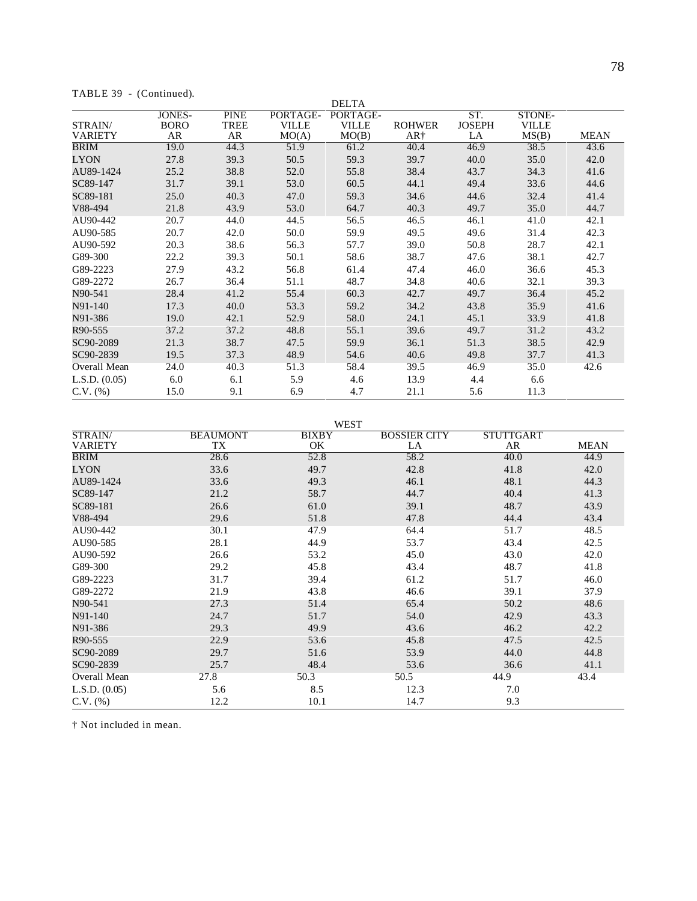| TABLE 39 |  | - (Continued). |
|----------|--|----------------|
|----------|--|----------------|

|                | $\sqrt{2}$                   |                     |                          | <b>DELTA</b>             |               |                      |                        |             |
|----------------|------------------------------|---------------------|--------------------------|--------------------------|---------------|----------------------|------------------------|-------------|
| STRAIN/        | <b>JONES-</b><br><b>BORO</b> | <b>PINE</b><br>TREE | PORTAGE-<br><b>VILLE</b> | PORTAGE-<br><b>VILLE</b> | <b>ROHWER</b> | ST.<br><b>JOSEPH</b> | STONE-<br><b>VILLE</b> |             |
| <b>VARIETY</b> | AR                           | AR                  | MO(A)                    | MO(B)                    | AR†           | LA                   | MS(B)                  | <b>MEAN</b> |
| <b>BRIM</b>    | 19.0                         | 44.3                | 51.9                     | 61.2                     | 40.4          | 46.9                 | 38.5                   | 43.6        |
| <b>LYON</b>    | 27.8                         | 39.3                | 50.5                     | 59.3                     | 39.7          | 40.0                 | 35.0                   | 42.0        |
| AU89-1424      | 25.2                         | 38.8                | 52.0                     | 55.8                     | 38.4          | 43.7                 | 34.3                   | 41.6        |
| SC89-147       | 31.7                         | 39.1                | 53.0                     | 60.5                     | 44.1          | 49.4                 | 33.6                   | 44.6        |
| SC89-181       | 25.0                         | 40.3                | 47.0                     | 59.3                     | 34.6          | 44.6                 | 32.4                   | 41.4        |
| V88-494        | 21.8                         | 43.9                | 53.0                     | 64.7                     | 40.3          | 49.7                 | 35.0                   | 44.7        |
| AU90-442       | 20.7                         | 44.0                | 44.5                     | 56.5                     | 46.5          | 46.1                 | 41.0                   | 42.1        |
| AU90-585       | 20.7                         | 42.0                | 50.0                     | 59.9                     | 49.5          | 49.6                 | 31.4                   | 42.3        |
| AU90-592       | 20.3                         | 38.6                | 56.3                     | 57.7                     | 39.0          | 50.8                 | 28.7                   | 42.1        |
| G89-300        | 22.2                         | 39.3                | 50.1                     | 58.6                     | 38.7          | 47.6                 | 38.1                   | 42.7        |
| G89-2223       | 27.9                         | 43.2                | 56.8                     | 61.4                     | 47.4          | 46.0                 | 36.6                   | 45.3        |
| G89-2272       | 26.7                         | 36.4                | 51.1                     | 48.7                     | 34.8          | 40.6                 | 32.1                   | 39.3        |
| N90-541        | 28.4                         | 41.2                | 55.4                     | 60.3                     | 42.7          | 49.7                 | 36.4                   | 45.2        |
| N91-140        | 17.3                         | 40.0                | 53.3                     | 59.2                     | 34.2          | 43.8                 | 35.9                   | 41.6        |
| N91-386        | 19.0                         | 42.1                | 52.9                     | 58.0                     | 24.1          | 45.1                 | 33.9                   | 41.8        |
| R90-555        | 37.2                         | 37.2                | 48.8                     | 55.1                     | 39.6          | 49.7                 | 31.2                   | 43.2        |
| SC90-2089      | 21.3                         | 38.7                | 47.5                     | 59.9                     | 36.1          | 51.3                 | 38.5                   | 42.9        |
| SC90-2839      | 19.5                         | 37.3                | 48.9                     | 54.6                     | 40.6          | 49.8                 | 37.7                   | 41.3        |
| Overall Mean   | 24.0                         | 40.3                | 51.3                     | 58.4                     | 39.5          | 46.9                 | 35.0                   | 42.6        |
| L.S.D. (0.05)  | 6.0                          | 6.1                 | 5.9                      | 4.6                      | 13.9          | 4.4                  | 6.6                    |             |
| $C.V.$ $(\% )$ | 15.0                         | 9.1                 | 6.9                      | 4.7                      | 21.1          | 5.6                  | 11.3                   |             |

WEST

| STRAIN/        | <b>BEAUMONT</b> | <b>BIXBY</b> | <b>BOSSIER CITY</b> | <b>STUTTGART</b> |             |
|----------------|-----------------|--------------|---------------------|------------------|-------------|
| <b>VARIETY</b> | TX              | OK.          | LA                  | AR               | <b>MEAN</b> |
| BRIM           | 28.6            | 52.8         | 58.2                | 40.0             | 44.9        |
| <b>LYON</b>    | 33.6            | 49.7         | 42.8                | 41.8             | 42.0        |
| AU89-1424      | 33.6            | 49.3         | 46.1                | 48.1             | 44.3        |
| SC89-147       | 21.2            | 58.7         | 44.7                | 40.4             | 41.3        |
| SC89-181       | 26.6            | 61.0         | 39.1                | 48.7             | 43.9        |
| V88-494        | 29.6            | 51.8         | 47.8                | 44.4             | 43.4        |
| AU90-442       | 30.1            | 47.9         | 64.4                | 51.7             | 48.5        |
| AU90-585       | 28.1            | 44.9         | 53.7                | 43.4             | 42.5        |
| AU90-592       | 26.6            | 53.2         | 45.0                | 43.0             | 42.0        |
| G89-300        | 29.2            | 45.8         | 43.4                | 48.7             | 41.8        |
| G89-2223       | 31.7            | 39.4         | 61.2                | 51.7             | 46.0        |
| G89-2272       | 21.9            | 43.8         | 46.6                | 39.1             | 37.9        |
| N90-541        | 27.3            | 51.4         | 65.4                | 50.2             | 48.6        |
| N91-140        | 24.7            | 51.7         | 54.0                | 42.9             | 43.3        |
| N91-386        | 29.3            | 49.9         | 43.6                | 46.2             | 42.2        |
| R90-555        | 22.9            | 53.6         | 45.8                | 47.5             | 42.5        |
| SC90-2089      | 29.7            | 51.6         | 53.9                | 44.0             | 44.8        |
| SC90-2839      | 25.7            | 48.4         | 53.6                | 36.6             | 41.1        |
| Overall Mean   | 27.8            | 50.3         | 50.5                | 44.9             | 43.4        |
| L.S.D. (0.05)  | 5.6             | 8.5          | 12.3                | 7.0              |             |
| $C.V.$ $%$     | 12.2            | 10.1         | 14.7                | 9.3              |             |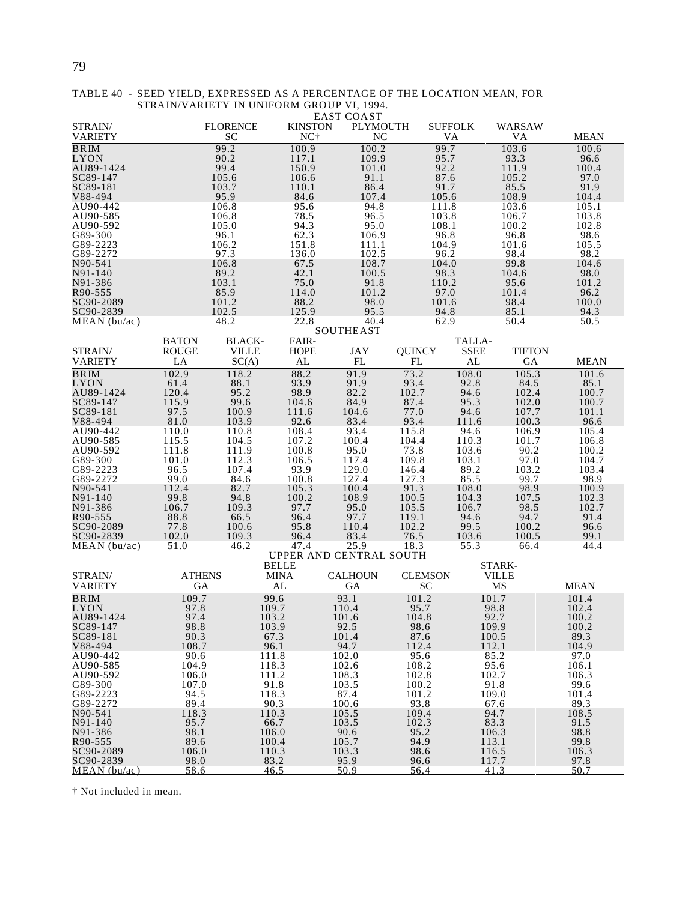|                      |               |                 |                         | <b>EAST COAST</b> |                |                |               |               |
|----------------------|---------------|-----------------|-------------------------|-------------------|----------------|----------------|---------------|---------------|
| STRAIN/              |               | <b>FLORENCE</b> | <b>KINSTON</b>          | <b>PLYMOUTH</b>   |                | <b>SUFFOLK</b> | WARSAW        |               |
| <b>VARIETY</b>       |               | <b>SC</b>       | NC <sup>+</sup>         | <b>NC</b>         |                | VA             | VA            | <b>MEAN</b>   |
| <b>BRIM</b>          |               | 99.2            | 100.9                   | 100.2             | 99.7           |                | 103.6         | 100.6         |
| LYON                 |               | 90.2            | 117.1                   | 109.9             | 95.7           |                | 93.3          | 96.6          |
| AU89-1424            |               | 99.4            | 150.9                   | 101.0             | 92.2           |                | 111.9         | 100.4         |
| SC89-147             |               | 105.6           | 106.6                   | 91.1              | 87.6           |                | 105.2         | 97.0          |
| SC89-181             |               | 103.7           | 110.1                   | 86.4              | 91.7           |                | 85.5          | 91.9          |
| V88-494              |               | 95.9            | 84.6                    | 107.4             | 105.6          |                | 108.9         | 104.4         |
| AU90-442             |               | 106.8           | 95.6                    | 94.8              | 111.8          |                | 103.6         | 105.1         |
| AU90-585             |               | 106.8           | 78.5                    | 96.5              | 103.8          |                | 106.7         | 103.8         |
| AU90-592             |               | 105.0           | 94.3                    | 95.0              | 108.1          |                | 100.2         | 102.8         |
| G89-300              |               | 96.1            | 62.3                    | 106.9             | 96.8           |                | 96.8          | 98.6          |
| G89-2223             |               | 106.2           | 151.8                   | 111.1             | 104.9          |                | 101.6         | 105.5         |
| G89-2272<br>N90-541  |               | 97.3<br>106.8   | 136.0<br>67.5           | 102.5<br>108.7    | 96.2<br>104.0  |                | 98.4<br>99.8  | 98.2<br>104.6 |
| N91-140              |               | 89.2            | 42.1                    | 100.5             | 98.3           |                | 104.6         | 98.0          |
| N91-386              |               | 103.1           | 75.0                    | 91.8              | 110.2          |                | 95.6          | 101.2         |
| R90-555              |               | 85.9            | 114.0                   | 101.2             | 97.0           |                | 101.4         | 96.2          |
| SC90-2089            |               | 101.2           | 88.2                    | 98.0              | 101.6          |                | 98.4          | 100.0         |
| SC90-2839            |               | 102.5           | 125.9                   | 95.5              | 94.8           |                | 85.1          | 94.3          |
| MEAN(bu/ac)          |               | 48.2            | 22.8                    | 40.4              | 62.9           |                | 50.4          | 50.5          |
|                      |               |                 |                         | <b>SOUTHEAST</b>  |                |                |               |               |
|                      | <b>BATON</b>  | <b>BLACK-</b>   | FAIR-                   |                   |                | TALLA-         |               |               |
| STRAIN/              | <b>ROUGE</b>  | <b>VILLE</b>    | <b>HOPE</b>             | JAY               | <b>QUINCY</b>  | <b>SSEE</b>    | <b>TIFTON</b> |               |
| <b>VARIETY</b>       | LA            | SC(A)           | AL                      | FL                | FL             | AL             | GA            | <b>MEAN</b>   |
| <b>BRIM</b>          | 102.9         | 118.2           | 88.2                    | 91.9              | 73.2           | 108.0          | 105.3         | 101.6         |
| LYON                 | 61.4          | 88.1            | 93.9                    | 91.9              | 93.4           | 92.8           | 84.5          | 85.1          |
| AU89-1424            | 120.4         | 95.2            | 98.9                    | 82.2              | 102.7          | 94.6           | 102.4         | 100.7         |
| SC89-147             | 115.9         | 99.6            | 104.6                   | 84.9              | 87.4           | 95.3           | 102.0         | 100.7         |
| SC89-181             | 97.5          | 100.9           | 111.6                   | 104.6             | 77.0           | 94.6           | 107.7         | 101.1         |
| V88-494              | 81.0          | 103.9           | 92.6                    | 83.4              | 93.4           | 111.6          | 100.3         | 96.6          |
| AU90-442             | 110.0         | 110.8           | 108.4                   | 93.4              | 115.8          | 94.6           | 106.9         | 105.4         |
| AU90-585             | 115.5         | 104.5           | 107.2                   | 100.4             | 104.4          | 110.3          | 101.7         | 106.8         |
| AU90-592             | 111.8         | 111.9           | 100.8                   | 95.0              | 73.8           | 103.6          | 90.2          | 100.2         |
| G89-300              | 101.0         | 112.3           | 106.5                   | 117.4             | 109.8          | 103.1          | 97.0          | 104.7         |
| G89-2223             | 96.5          | 107.4           | 93.9                    | 129.0             | 146.4          | 89.2           | 103.2         | 103.4         |
| G89-2272             | 99.0          | 84.6            | 100.8                   | 127.4             | 127.3          | 85.5           | 99.7          | 98.9          |
| N90-541              | 112.4         | 82.7            | 105.3                   | 100.4             | 91.3           | 108.0          | 98.9          | 100.9         |
| N91-140              | 99.8          | 94.8            | 100.2                   | 108.9             | 100.5          | 104.3          | 107.5         | 102.3         |
| N91-386              | 106.7         | 109.3           | 97.7                    | 95.0              | 105.5          | 106.7          | 98.5          | 102.7         |
| R90-555<br>SC90-2089 | 88.8<br>77.8  | 66.5<br>100.6   | 96.4                    | 97.7<br>110.4     | 119.1<br>102.2 | 94.6<br>99.5   | 94.7<br>100.2 | 91.4<br>96.6  |
| SC90-2839            | 102.0         | 109.3           | 95.8<br>96.4            | 83.4              | 76.5           | 103.6          | 100.5         | 99.1          |
| MEAN (bu/ac)         | 51.0          | 46.2            | 47.4                    | 25.9              | 18.3           | 55.3           | 66.4          | 44.4          |
|                      |               |                 | UPPER AND CENTRAL SOUTH |                   |                |                |               |               |
|                      |               |                 | <b>BELLE</b>            |                   |                |                | STARK-        |               |
| STRAIN/              | <b>ATHENS</b> |                 | <b>MINA</b>             | <b>CALHOUN</b>    | <b>CLEMSON</b> |                | <b>VILLE</b>  |               |
| <b>VARIETY</b>       | GА            |                 | AL                      | GA                | SC             |                | MS            | <b>MEAN</b>   |
| <b>BRIM</b>          | 109.7         |                 | 99.6                    | 93.1              | 101.2          | 101.7          |               | 101.4         |
| LYON                 | 97.8          |                 | 109.7                   | 110.4             | 95.7           | 98.8           |               | 102.4         |
| AU89-1424            | 97.4          |                 | 103.2                   | 101.6             | 104.8          | 92.7           |               | 100.2         |
| SC89-147             | 98.8          |                 | 103.9                   | 92.5              | 98.6           | 109.9          |               | 100.2         |
| SC89-181             | 90.3          |                 | 67.3                    | 101.4             | 87.6           | 100.5          |               | 89.3          |
| V88-494              | 108.7         |                 | 96.1                    | 94.7              | 112.4          | 112.1          |               | 104.9         |
| AU90-442             | 90.6          |                 | 111.8                   | 102.0             | 95.6           | 85.2           |               | 97.0          |
| AU90-585             | 104.9         |                 | 118.3                   | 102.6             | 108.2          | 95.6           |               | 106.1         |
| AU90-592             | 106.0         |                 | 111.2                   | 108.3             | 102.8          | 102.7          |               | 106.3         |
| G89-300              | 107.0         |                 | 91.8                    | 103.5             | 100.2          | 91.8           |               | 99.6          |
| G89-2223             | 94.5          |                 | 118.3                   | 87.4              | 101.2          | 109.0          |               | 101.4         |
| G89-2272             | 89.4          |                 | 90.3                    | 100.6             | 93.8           | 67.6           |               | 89.3          |
| N90-541              | 118.3         |                 | 110.3                   | 105.5             | 109.4          | 94.7           |               | 108.5         |
| N91-140              | 95.7          |                 | 66.7                    | 103.5             | 102.3          | 83.3           |               | 91.5          |
| N91-386              | 98.1          |                 | 106.0                   | 90.6              | 95.2           | 106.3          |               | 98.8          |
| R90-555              | 89.6          |                 | 100.4                   | 105.7             | 94.9           | 113.1          |               | 99.8          |
| SC90-2089            | 106.0         |                 | 110.3                   | 103.3             | 98.6           | 116.5          |               | 106.3         |
| SC90-2839            | 98.0          |                 | 83.2                    | 95.9              | 96.6           | 117.7          |               | 97.8          |
| MEAN(bu/ac)          | 58.6          |                 | 46.5                    | 50.9              | 56.4           | 41.3           |               | 50.7          |

#### TABLE 40 - SEED YIELD, EXPRESSED AS A PERCENTAGE OF THE LOCATION MEAN, FOR STRAIN/VARIETY IN UNIFORM GROUP VI, 1994.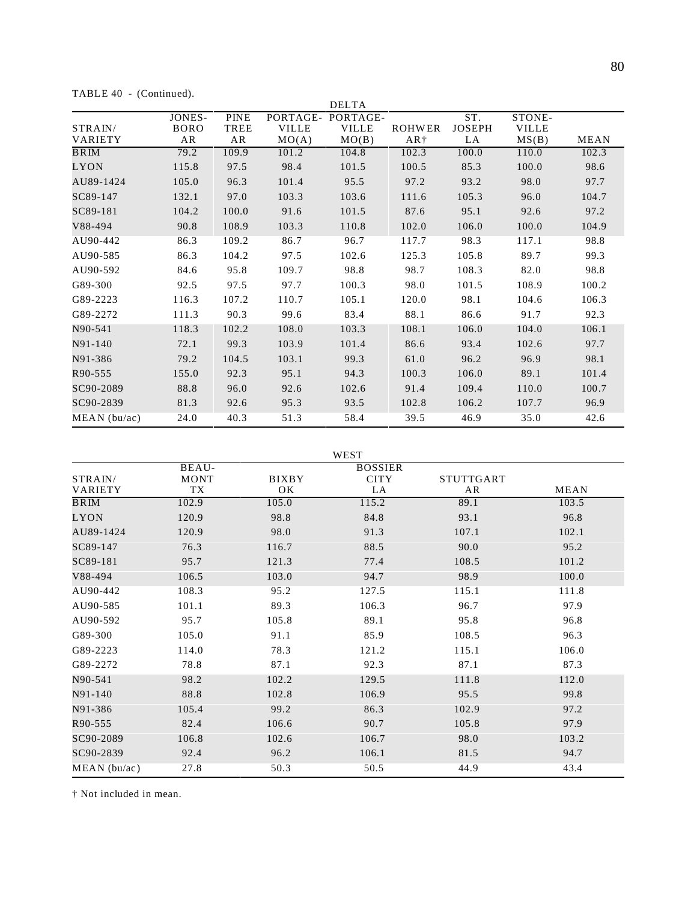TABLE 40 - (Continued).

|                           |                             |                           |                                   | <b>DELTA</b>                      |                        |                            |                                 |             |
|---------------------------|-----------------------------|---------------------------|-----------------------------------|-----------------------------------|------------------------|----------------------------|---------------------------------|-------------|
| STRAIN/<br><b>VARIETY</b> | JONES-<br><b>BORO</b><br>AR | <b>PINE</b><br>TREE<br>AR | PORTAGE-<br><b>VILLE</b><br>MO(A) | PORTAGE-<br><b>VILLE</b><br>MO(B) | <b>ROHWER</b><br>$AR+$ | ST.<br><b>JOSEPH</b><br>LA | STONE-<br><b>VILLE</b><br>MS(B) | <b>MEAN</b> |
| BRIM                      | 79.2                        | 109.9                     | 101.2                             | 104.8                             | 102.3                  | 100.0                      | 110.0                           | 102.3       |
| <b>LYON</b>               | 115.8                       | 97.5                      | 98.4                              | 101.5                             | 100.5                  | 85.3                       | 100.0                           | 98.6        |
| AU89-1424                 | 105.0                       | 96.3                      | 101.4                             | 95.5                              | 97.2                   | 93.2                       | 98.0                            | 97.7        |
| SC89-147                  | 132.1                       | 97.0                      | 103.3                             | 103.6                             | 111.6                  | 105.3                      | 96.0                            | 104.7       |
| SC89-181                  | 104.2                       | 100.0                     | 91.6                              | 101.5                             | 87.6                   | 95.1                       | 92.6                            | 97.2        |
| V88-494                   | 90.8                        | 108.9                     | 103.3                             | 110.8                             | 102.0                  | 106.0                      | 100.0                           | 104.9       |
| AU90-442                  | 86.3                        | 109.2                     | 86.7                              | 96.7                              | 117.7                  | 98.3                       | 117.1                           | 98.8        |
| AU90-585                  | 86.3                        | 104.2                     | 97.5                              | 102.6                             | 125.3                  | 105.8                      | 89.7                            | 99.3        |
| AU90-592                  | 84.6                        | 95.8                      | 109.7                             | 98.8                              | 98.7                   | 108.3                      | 82.0                            | 98.8        |
| G89-300                   | 92.5                        | 97.5                      | 97.7                              | 100.3                             | 98.0                   | 101.5                      | 108.9                           | 100.2       |
| G89-2223                  | 116.3                       | 107.2                     | 110.7                             | 105.1                             | 120.0                  | 98.1                       | 104.6                           | 106.3       |
| G89-2272                  | 111.3                       | 90.3                      | 99.6                              | 83.4                              | 88.1                   | 86.6                       | 91.7                            | 92.3        |
| N90-541                   | 118.3                       | 102.2                     | 108.0                             | 103.3                             | 108.1                  | 106.0                      | 104.0                           | 106.1       |
| N91-140                   | 72.1                        | 99.3                      | 103.9                             | 101.4                             | 86.6                   | 93.4                       | 102.6                           | 97.7        |
| N91-386                   | 79.2                        | 104.5                     | 103.1                             | 99.3                              | 61.0                   | 96.2                       | 96.9                            | 98.1        |
| R90-555                   | 155.0                       | 92.3                      | 95.1                              | 94.3                              | 100.3                  | 106.0                      | 89.1                            | 101.4       |
| SC90-2089                 | 88.8                        | 96.0                      | 92.6                              | 102.6                             | 91.4                   | 109.4                      | 110.0                           | 100.7       |
| SC90-2839                 | 81.3                        | 92.6                      | 95.3                              | 93.5                              | 102.8                  | 106.2                      | 107.7                           | 96.9        |
| MEAN (bu/ac)              | 24.0                        | 40.3                      | 51.3                              | 58.4                              | 39.5                   | 46.9                       | 35.0                            | 42.6        |

WEST STRAIN/ VARIETY BEAU-MONT TX BIXBY OK BOSSIER **CITY** LA STUTTGART AR MEAN **BRIM** 102.9 105.0 115.2 89.1 103.5 LYON 120.9 98.8 84.8 93.1 96.8 AU89-1424 120.9 98.0 91.3 107.1 102.1  $SC89-147$  76.3 116.7 88.5 90.0 95.2  $SC89-181$  95.7 121.3 77.4 108.5 101.2 V88-494 106.5 103.0 94.7 98.9 100.0 AU90-442 108.3 95.2 127.5 115.1 111.8 AU90-585 101.1 89.3 106.3 96.7 97.9 AU90-592 95.7 105.8 89.1 95.8 96.8 G89-300 105.0 91.1 85.9 108.5 96.3 G89-2223 114.0 78.3 121.2 115.1 106.0 G89-2272 78.8 87.1 92.3 87.1 87.3 N90-541 98.2 102.2 129.5 111.8 112.0 N91-140 88.8 102.8 106.9 95.5 99.8 N91-386 105.4 99.2 86.3 102.9 97.2 R90-555 82.4 106.6 90.7 105.8 97.9  $SC90-2089$  106.8 102.6 106.7 98.0 103.2  $S$ C90-2839 92.4 96.2 106.1 81.5 94.7 MEAN (bu/ac) 27.8 50.3 50.5 44.9 43.4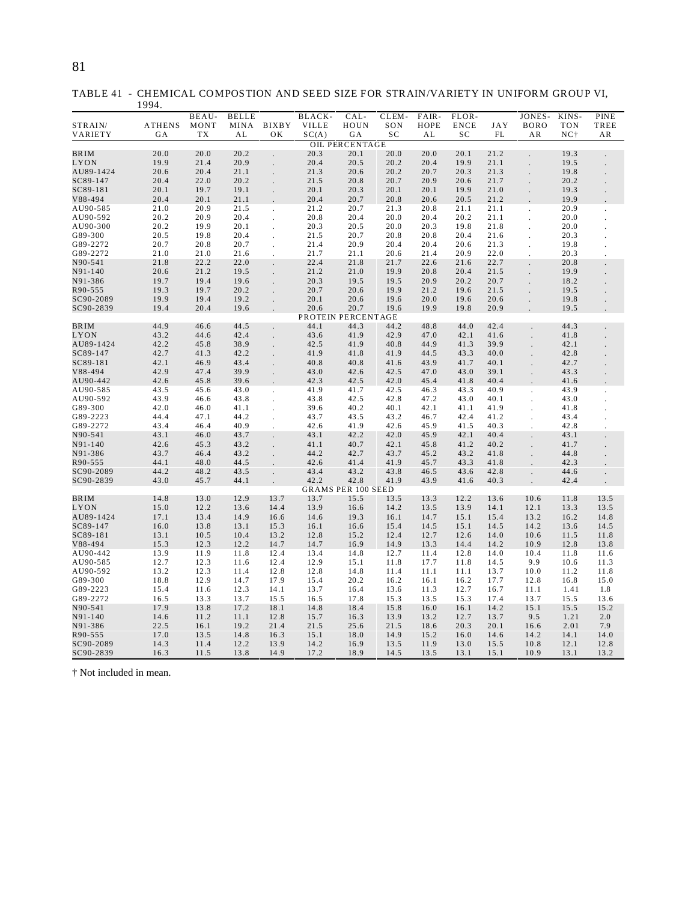TABLE 41 - CHEMICAL COMPOSTION AND SEED SIZE FOR STRAIN/VARIETY IN UNIFORM GROUP VI,

|                      | 1994.         |              |              |                      |                    |                           |              |              |              |              |                      |              |             |
|----------------------|---------------|--------------|--------------|----------------------|--------------------|---------------------------|--------------|--------------|--------------|--------------|----------------------|--------------|-------------|
|                      |               | BEAU-        | <b>BELLE</b> |                      | BLACK-             | CAL-                      | CLEM-        | FAIR-        | FLOR-        |              | JONES-               | KINS-        | PINE        |
| STRAIN/              | <b>ATHENS</b> | MONT         | MINA         | <b>BIXBY</b>         | <b>VILLE</b>       | HOUN                      | SON          | HOPE         | <b>ENCE</b>  | JAY          | <b>BORO</b>          | <b>TON</b>   | TREE        |
| VARIETY              | GA            | TX           | AL           | OК                   | SC(A)              | GA                        | SC           | AL           | SC           | FL           | AR                   | $NC+$        | AR          |
|                      |               |              |              |                      |                    | <b>OIL PERCENTAGE</b>     |              |              |              |              |                      |              |             |
| <b>BRIM</b>          | 20.0          | 20.0         | 20.2         | $\ddot{\phantom{0}}$ | 20.3               | 20.1                      | 20.0         | 20.0         | 20.1         | 21.2         |                      | 19.3         |             |
| LYON<br>AU89-1424    | 19.9<br>20.6  | 21.4<br>20.4 | 20.9<br>21.1 |                      | 20.4<br>21.3       | 20.5<br>20.6              | 20.2<br>20.2 | 20.4<br>20.7 | 19.9<br>20.3 | 21.1<br>21.3 |                      | 19.5<br>19.8 |             |
| SC89-147             | 20.4          | 22.0         | 20.2         |                      | 21.5               | 20.8                      | 20.7         | 20.9         | 20.6         | 21.7         |                      | 20.2         |             |
| SC89-181             | 20.1          | 19.7         | 19.1         |                      | 20.1               | 20.3                      | 20.1         | 20.1         | 19.9         | 21.0         |                      | 19.3         |             |
| V88-494              | 20.4          | 20.1         | 21.1         |                      | 20.4               | 20.7                      | 20.8         | 20.6         | 20.5         | 21.2         |                      | 19.9         |             |
| AU90-585             | 21.0          | 20.9         | 21.5         | $\ddot{\phantom{0}}$ | 21.2               | 20.7                      | 21.3         | 20.8         | 21.1         | 21.1         | ÷.                   | 20.9         |             |
| AU90-592             | 20.2          | 20.9         | 20.4         | $\ddot{\phantom{0}}$ | 20.8               | 20.4                      | 20.0         | 20.4         | 20.2         | 21.1         | ÷.                   | 20.0         |             |
| AU90-300             | 20.2          | 19.9         | 20.1         |                      | 20.3               | 20.5                      | 20.0         | 20.3         | 19.8         | 21.8         |                      | 20.0         |             |
| G89-300              | 20.5          | 19.8         | 20.4         |                      | 21.5               | 20.7                      | 20.8         | 20.8         | 20.4         | 21.6         |                      | 20.3         |             |
| G89-2272             | 20.7          | 20.8         | 20.7         |                      | 21.4               | 20.9                      | 20.4         | 20.4         | 20.6         | 21.3         |                      | 19.8         |             |
| G89-2272             | 21.0          | 21.0         | 21.6         | ÷.                   | 21.7               | 21.1                      | 20.6         | 21.4         | 20.9         | 22.0         |                      | 20.3         |             |
| N90-541              | 21.8          | 22.2         | 22.0         | $\ddot{\phantom{0}}$ | 22.4               | 21.8                      | 21.7         | 22.6         | 21.6         | 22.7         |                      | 20.8         |             |
| N91-140              | 20.6          | 21.2         | 19.5         |                      | 21.2               | 21.0                      | 19.9         | 20.8         | 20.4         | 21.5         |                      | 19.9         |             |
| N91-386              | 19.7          | 19.4         | 19.6         |                      | 20.3               | 19.5                      | 19.5         | 20.9         | 20.2         | 20.7         |                      | 18.2         |             |
| R90-555              | 19.3          | 19.7         | 20.2         |                      | 20.7               | 20.6                      | 19.9         | 21.2         | 19.6         | 21.5         |                      | 19.5         |             |
| SC90-2089            | 19.9          | 19.4         | 19.2         |                      | 20.1               | 20.6                      | 19.6         | 20.0         | 19.6         | 20.6         |                      | 19.8         |             |
| SC90-2839            | 19.4          | 20.4         | 19.6         |                      | 20.6               | 20.7                      | 19.6         | 19.9         | 19.8         | 20.9         |                      | 19.5         |             |
|                      |               |              |              |                      | PROTEIN PERCENTAGE |                           |              |              |              |              |                      |              |             |
| <b>BRIM</b>          | 44.9          | 46.6         | 44.5         |                      | 44.1               | 44.3                      | 44.2         | 48.8         | 44.0         | 42.4         |                      | 44.3         |             |
| LYON                 | 43.2          | 44.6         | 42.4         |                      | 43.6               | 41.9                      | 42.9         | 47.0         | 42.1         | 41.6         |                      | 41.8         |             |
| AU89-1424            | 42.2          | 45.8         | 38.9         | ä,                   | 42.5               | 41.9                      | 40.8         | 44.9         | 41.3         | 39.9         |                      | 42.1         |             |
| SC89-147             | 42.7          | 41.3         | 42.2         |                      | 41.9               | 41.8                      | 41.9         | 44.5         | 43.3         | 40.0         |                      | 42.8         |             |
| SC89-181             | 42.1          | 46.9         | 43.4         |                      | 40.8               | 40.8                      | 41.6         | 43.9         | 41.7         | 40.1         |                      | 42.7         |             |
| V88-494              | 42.9          | 47.4         | 39.9         |                      | 43.0               | 42.6                      | 42.5         | 47.0         | 43.0         | 39.1         |                      | 43.3         |             |
| AU90-442             | 42.6<br>43.5  | 45.8<br>45.6 | 39.6<br>43.0 |                      | 42.3<br>41.9       | 42.5<br>41.7              | 42.0<br>42.5 | 45.4         | 41.8<br>43.3 | 40.4<br>40.9 |                      | 41.6<br>43.9 |             |
| AU90-585<br>AU90-592 | 43.9          | 46.6         | 43.8         | $\cdot$              | 43.8               | 42.5                      | 42.8         | 46.3<br>47.2 | 43.0         | 40.1         | $\cdot$              | 43.0         | ł.          |
| G89-300              | 42.0          | 46.0         | 41.1         | ×.                   | 39.6               | 40.2                      | 40.1         | 42.1         | 41.1         | 41.9         | $\ddot{\phantom{a}}$ | 41.8         |             |
| G89-2223             | 44.4          | 47.1         | 44.2         |                      | 43.7               | 43.5                      | 43.2         | 46.7         | 42.4         | 41.2         |                      | 43.4         |             |
| G89-2272             | 43.4          | 46.4         | 40.9         |                      | 42.6               | 41.9                      | 42.6         | 45.9         | 41.5         | 40.3         |                      | 42.8         |             |
| N90-541              | 43.1          | 46.0         | 43.7         |                      | 43.1               | 42.2                      | 42.0         | 45.9         | 42.1         | 40.4         |                      | 43.1         |             |
| N91-140              | 42.6          | 45.3         | 43.2         |                      | 41.1               | 40.7                      | 42.1         | 45.8         | 41.2         | 40.2         |                      | 41.7         |             |
| N91-386              | 43.7          | 46.4         | 43.2         |                      | 44.2               | 42.7                      | 43.7         | 45.2         | 43.2         | 41.8         |                      | 44.8         |             |
| R90-555              | 44.1          | 48.0         | 44.5         |                      | 42.6               | 41.4                      | 41.9         | 45.7         | 43.3         | 41.8         |                      | 42.3         |             |
| SC90-2089            | 44.2          | 48.2         | 43.5         |                      | 43.4               | 43.2                      | 43.8         | 46.5         | 43.6         | 42.8         |                      | 44.6         |             |
| SC90-2839            | 43.0          | 45.7         | 44.1         |                      | 42.2               | 42.8                      | 41.9         | 43.9         | 41.6         | 40.3         |                      | 42.4         |             |
|                      |               |              |              |                      |                    | <b>GRAMS PER 100 SEED</b> |              |              |              |              |                      |              |             |
| <b>BRIM</b>          | 14.8          | 13.0         | 12.9         | 13.7                 | 13.7               | 15.5                      | 13.5         | 13.3         | 12.2         | 13.6         | 10.6                 | 11.8         | 13.5        |
| LYON                 | 15.0          | 12.2         | 13.6         | 14.4                 | 13.9               | 16.6                      | 14.2         | 13.5         | 13.9         | 14.1         | 12.1                 | 13.3         | 13.5        |
| AU89-1424            | 17.1          | 13.4         | 14.9         | 16.6                 | 14.6               | 19.3                      | 16.1         | 14.7         | 15.1         | 15.4         | 13.2                 | 16.2         | 14.8        |
| SC89-147             | 16.0          | 13.8         | 13.1         | 15.3                 | 16.1               | 16.6                      | 15.4         | 14.5         | 15.1         | 14.5         | 14.2                 | 13.6         | 14.5        |
| SC89-181             | 13.1          | 10.5         | 10.4         | 13.2                 | 12.8               | 15.2                      | 12.4         | 12.7         | 12.6         | 14.0         | 10.6                 | 11.5         | 11.8        |
| V88-494              | 15.3          | 12.3         | 12.2         | 14.7                 | 14.7               | 16.9                      | 14.9         | 13.3         | 14.4         | 14.2         | 10.9                 | 12.8         | 13.8        |
| AU90-442             | 13.9          | 11.9         | 11.8         | 12.4                 | 13.4               | 14.8                      | 12.7         | 11.4         | 12.8         | 14.0         | 10.4                 | 11.8         | 11.6        |
| AU90-585             | 12.7          | 12.3         | 11.6         | 12.4                 | 12.9               | 15.1                      | 11.8         | 17.7         | 11.8         | 14.5         | 9.9                  | 10.6         | 11.3        |
| AU90-592             | 13.2          | 12.3<br>12.9 | 11.4<br>14.7 | 12.8<br>17.9         | 12.8               | 14.8<br>20.2              | 11.4<br>16.2 | 11.1         | 11.1<br>16.2 | 13.7         | 10.0                 | 11.2<br>16.8 | 11.8        |
| G89-300<br>G89-2223  | 18.8<br>15.4  | 11.6         | 12.3         | 14.1                 | 15.4<br>13.7       | 16.4                      | 13.6         | 16.1<br>11.3 | 12.7         | 17.7<br>16.7 | 12.8<br>11.1         | 1.41         | 15.0<br>1.8 |
| G89-2272             | 16.5          | 13.3         | 13.7         | 15.5                 | 16.5               | 17.8                      | 15.3         | 13.5         | 15.3         | 17.4         | 13.7                 | 15.5         | 13.6        |
| N90-541              | 17.9          | 13.8         | 17.2         | 18.1                 | 14.8               | 18.4                      | 15.8         | 16.0         | 16.1         | 14.2         | 15.1                 | 15.5         | 15.2        |
| N91-140              | 14.6          | 11.2         | 11.1         | 12.8                 | 15.7               | 16.3                      | 13.9         | 13.2         | 12.7         | 13.7         | 9.5                  | 1.21         | 2.0         |
| N91-386              | 22.5          | 16.1         | 19.2         | 21.4                 | 21.5               | 25.6                      | 21.5         | 18.6         | 20.3         | 20.1         | 16.6                 | 2.01         | 7.9         |
| R90-555              | 17.0          | 13.5         | 14.8         | 16.3                 | 15.1               | 18.0                      | 14.9         | 15.2         | 16.0         | 14.6         | 14.2                 | 14.1         | 14.0        |
| SC90-2089            | 14.3          | 11.4         | 12.2         | 13.9                 | 14.2               | 16.9                      | 13.5         | 11.9         | 13.0         | 15.5         | 10.8                 | 12.1         | 12.8        |
| SC90-2839            | 16.3          | 11.5         | 13.8         | 14.9                 | 17.2               | 18.9                      | 14.5         | 13.5         | 13.1         | 15.1         | 10.9                 | 13.1         | 13.2        |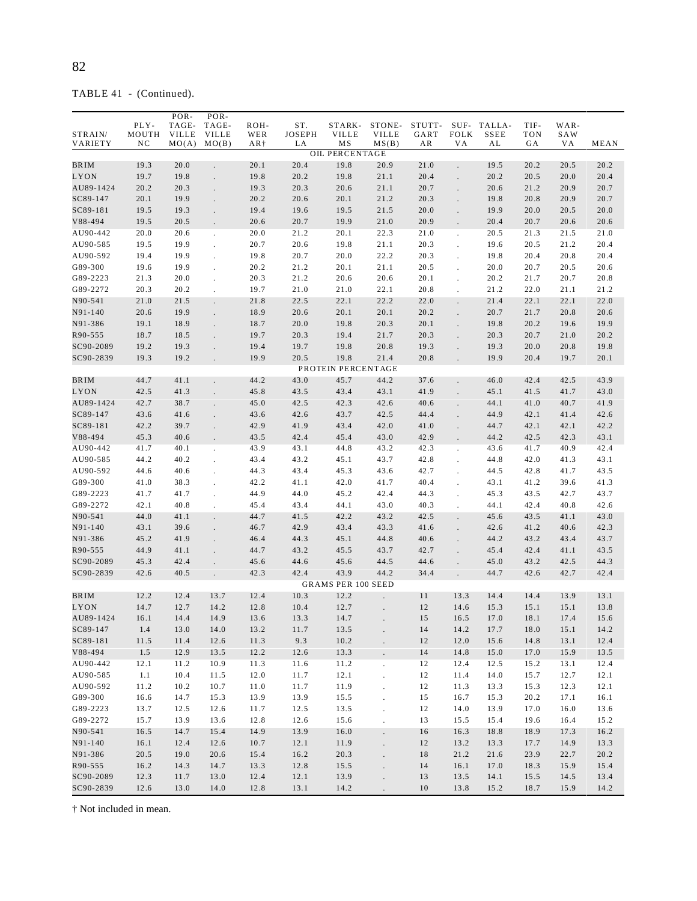TABLE 41 - (Continued).

|             |       | POR-         | POR-                 |       |        |                                    |                      |        |                      |             |            |      |      |
|-------------|-------|--------------|----------------------|-------|--------|------------------------------------|----------------------|--------|----------------------|-------------|------------|------|------|
|             | PLY-  | TAGE-        | TAGE-                | ROH-  | ST.    | STARK-                             | STONE-               | STUTT- |                      | SUF- TALLA- | TIF-       | WAR- |      |
| STRAIN/     | MOUTH | <b>VILLE</b> | <b>VILLE</b>         | WER   | JOSEPH | <b>VILLE</b>                       | <b>VILLE</b>         | GART   | <b>FOLK</b>          | <b>SSEE</b> | <b>TON</b> | SAW  |      |
| VARIETY     | NC    | MO(A)        | MO(B)                | $AR+$ | LA     | <b>MS</b><br><b>OIL PERCENTAGE</b> | MS(B)                | AR     | VA                   | AL          | GА         | VА   | MEAN |
| BR IM       | 19.3  | 20.0         | $\overline{a}$       | 20.1  | 20.4   | 19.8                               | 20.9                 | 21.0   | $\mathbf{r}$         | 19.5        | 20.2       | 20.5 | 20.2 |
| LYON        | 19.7  | 19.8         |                      | 19.8  | 20.2   | 19.8                               | 21.1                 | 20.4   |                      | 20.2        | 20.5       | 20.0 | 20.4 |
| AU89-1424   | 20.2  | 20.3         |                      | 19.3  | 20.3   | 20.6                               | 21.1                 | 20.7   | $\ddot{\phantom{0}}$ | 20.6        | 21.2       | 20.9 | 20.7 |
|             |       |              |                      |       |        |                                    |                      |        | $\Box$               |             |            |      |      |
| SC89-147    | 20.1  | 19.9         |                      | 20.2  | 20.6   | 20.1                               | 21.2                 | 20.3   |                      | 19.8        | 20.8       | 20.9 | 20.7 |
| SC89-181    | 19.5  | 19.3         |                      | 19.4  | 19.6   | 19.5                               | 21.5                 | 20.0   |                      | 19.9        | 20.0       | 20.5 | 20.0 |
| V88-494     | 19.5  | 20.5         |                      | 20.6  | 20.7   | 19.9                               | 21.0                 | 20.9   | $\Box$               | 20.4        | 20.7       | 20.6 | 20.6 |
| AU90-442    | 20.0  | 20.6         | $\overline{a}$       | 20.0  | 21.2   | 20.1                               | 22.3                 | 21.0   | $\Box$               | 20.5        | 21.3       | 21.5 | 21.0 |
| AU90-585    | 19.5  | 19.9         | $\ddot{\phantom{0}}$ | 20.7  | 20.6   | 19.8                               | 21.1                 | 20.3   | $\mathbf{r}$         | 19.6        | 20.5       | 21.2 | 20.4 |
| AU90-592    | 19.4  | 19.9         |                      | 19.8  | 20.7   | 20.0                               | 22.2                 | 20.3   |                      | 19.8        | 20.4       | 20.8 | 20.4 |
| G89-300     | 19.6  | 19.9         |                      | 20.2  | 21.2   | 20.1                               | 21.1                 | 20.5   |                      | 20.0        | 20.7       | 20.5 | 20.6 |
| G89-2223    | 21.3  | 20.0         | $\ddot{\phantom{0}}$ | 20.3  | 21.2   | 20.6                               | 20.6                 | 20.1   | $\mathbf{r}$         | 20.2        | 21.7       | 20.7 | 20.8 |
| G89-2272    | 20.3  | 20.2         |                      | 19.7  | 21.0   | 21.0                               | 22.1                 | 20.8   | ÷.                   | 21.2        | 22.0       | 21.1 | 21.2 |
| N90-541     | 21.0  | 21.5         |                      | 21.8  | 22.5   | 22.1                               | 22.2                 | 22.0   |                      | 21.4        | 22.1       | 22.1 | 22.0 |
| $N91 - 140$ | 20.6  | 19.9         | $\ddot{\phantom{0}}$ | 18.9  | 20.6   | 20.1                               | 20.1                 | 20.2   | $\ddot{\phantom{0}}$ | 20.7        | 21.7       | 20.8 | 20.6 |
| N91-386     | 19.1  | 18.9         |                      | 18.7  | 20.0   | 19.8                               | 20.3                 | 20.1   |                      | 19.8        | 20.2       | 19.6 | 19.9 |
| R90-555     | 18.7  | 18.5         |                      | 19.7  | 20.3   | 19.4                               | 21.7                 | 20.3   |                      | 20.3        | 20.7       | 21.0 | 20.2 |
| SC90-2089   | 19.2  | 19.3         | $\ddot{\phantom{0}}$ | 19.4  | 19.7   | 19.8                               | 20.8                 | 19.3   |                      | 19.3        | 20.0       | 20.8 | 19.8 |
| SC90-2839   | 19.3  | 19.2         |                      | 19.9  | 20.5   | 19.8                               | 21.4                 | 20.8   |                      | 19.9        | 20.4       | 19.7 | 20.1 |
|             |       |              |                      |       |        | PROTEIN PERCENTAGE                 |                      |        |                      |             |            |      |      |
| <b>BRIM</b> | 44.7  | 41.1         |                      | 44.2  | 43.0   | 45.7                               | 44.2                 | 37.6   |                      | 46.0        | 42.4       | 42.5 | 43.9 |
| LYON        | 42.5  | 41.3         |                      | 45.8  | 43.5   | 43.4                               | 43.1                 | 41.9   |                      | 45.1        | 41.5       | 41.7 | 43.0 |
| AU89-1424   | 42.7  | 38.7         | L.                   | 45.0  | 42.5   | 42.3                               | 42.6                 | 40.6   | $\ddot{\phantom{a}}$ | 44.1        | 41.0       | 40.7 | 41.9 |
| SC89-147    | 43.6  | 41.6         | $\ddot{\phantom{0}}$ | 43.6  | 42.6   | 43.7                               | 42.5                 | 44.4   |                      | 44.9        | 42.1       | 41.4 | 42.6 |
| SC89-181    | 42.2  | 39.7         |                      | 42.9  | 41.9   | 43.4                               | 42.0                 | 41.0   |                      | 44.7        | 42.1       | 42.1 | 42.2 |
| V88-494     | 45.3  | 40.6         |                      | 43.5  | 42.4   | 45.4                               | 43.0                 | 42.9   | $\mathbf{r}$         | 44.2        | 42.5       | 42.3 | 43.1 |
| AU90-442    | 41.7  | 40.1         | $\ddot{\phantom{a}}$ | 43.9  | 43.1   | 44.8                               | 43.2                 | 42.3   | $\cdot$              | 43.6        | 41.7       | 40.9 | 42.4 |
| AU90-585    | 44.2  | 40.2         | $\ddot{\phantom{0}}$ | 43.4  | 43.2   | 45.1                               | 43.7                 | 42.8   |                      | 44.8        | 42.0       | 41.3 | 43.1 |
| AU90-592    | 44.6  | 40.6         |                      | 44.3  | 43.4   | 45.3                               | 43.6                 | 42.7   |                      | 44.5        | 42.8       | 41.7 | 43.5 |
| G89-300     | 41.0  | 38.3         |                      | 42.2  | 41.1   | 42.0                               | 41.7                 | 40.4   |                      | 43.1        | 41.2       | 39.6 | 41.3 |
| G89-2223    | 41.7  | 41.7         |                      | 44.9  | 44.0   | 45.2                               | 42.4                 | 44.3   |                      | 45.3        | 43.5       | 42.7 | 43.7 |
| G89-2272    | 42.1  | 40.8         |                      | 45.4  | 43.4   | 44.1                               | 43.0                 | 40.3   |                      | 44.1        | 42.4       | 40.8 | 42.6 |
| N90-541     | 44.0  | 41.1         |                      | 44.7  | 41.5   | 42.2                               | 43.2                 | 42.5   |                      | 45.6        | 43.5       | 41.1 | 43.0 |
| N91-140     | 43.1  | 39.6         | L.                   | 46.7  | 42.9   | 43.4                               | 43.3                 | 41.6   | $\ddot{\phantom{a}}$ | 42.6        | 41.2       | 40.6 | 42.3 |
| N91-386     | 45.2  | 41.9         |                      | 46.4  | 44.3   | 45.1                               | 44.8                 | 40.6   |                      | 44.2        | 43.2       | 43.4 | 43.7 |
| R90-555     | 44.9  | 41.1         |                      | 44.7  | 43.2   | 45.5                               | 43.7                 | 42.7   |                      | 45.4        | 42.4       | 41.1 | 43.5 |
| SC90-2089   | 45.3  | 42.4         |                      | 45.6  | 44.6   | 45.6                               | 44.5                 | 44.6   |                      | 45.0        | 43.2       | 42.5 | 44.3 |
| SC90-2839   | 42.6  | 40.5         |                      | 42.3  | 42.4   | 43.9                               | 44.2                 | 34.4   |                      | 44.7        | 42.6       | 42.7 | 42.4 |
|             |       |              |                      |       |        | <b>GRAMS PER 100 SEED</b>          |                      |        |                      |             |            |      |      |
| BR IM       | 12.2  | 12.4         | 13.7                 | 12.4  | 10.3   | 12.2                               |                      | 11     | 13.3                 | 14.4        | 14.4       | 13.9 | 13.1 |
| LYON        | 14.7  | 12.7         | 14.2                 | 12.8  | 10.4   | 12.7                               |                      | 12     | 14.6                 | 15.3        | 15.1       | 15.1 | 13.8 |
| AU89-1424   | 16.1  | 14.4         | 14.9                 | 13.6  | 13.3   | 14.7                               |                      | 15     | 16.5                 | 17.0        | 18.1       | 17.4 | 15.6 |
| SC89-147    | 1.4   | 13.0         | 14.0                 | 13.2  | 11.7   | 13.5                               |                      | 14     | 14.2                 | 17.7        | 18.0       | 15.1 | 14.2 |
| SC89-181    | 11.5  | 11.4         | 12.6                 | 11.3  | 9.3    | 10.2                               | $\ddot{\phantom{0}}$ | $12\,$ | 12.0                 | 15.6        | 14.8       | 13.1 | 12.4 |
| V88-494     | 1.5   | 12.9         | 13.5                 | 12.2  | 12.6   | 13.3                               | $\Box$               | 14     | 14.8                 | 15.0        | 17.0       | 15.9 | 13.5 |
| AU90-442    | 12.1  | 11.2         | 10.9                 | 11.3  | 11.6   | 11.2                               | $\cdot$              | 12     | 12.4                 | 12.5        | 15.2       | 13.1 | 12.4 |
| AU90-585    | 1.1   | 10.4         | 11.5                 | 12.0  | 11.7   | 12.1                               | $\ddot{\phantom{a}}$ | 12     | 11.4                 | 14.0        | 15.7       | 12.7 | 12.1 |
| AU90-592    | 11.2  | 10.2         | 10.7                 | 11.0  | 11.7   | 11.9                               | $\ddot{\phantom{0}}$ | 12     | 11.3                 | 13.3        | 15.3       | 12.3 | 12.1 |
| G89-300     | 16.6  | 14.7         | 15.3                 | 13.9  | 13.9   | 15.5                               |                      | 15     | 16.7                 | 15.3        | 20.2       | 17.1 | 16.1 |
| G89-2223    | 13.7  | 12.5         | 12.6                 | 11.7  | 12.5   | 13.5                               | $\ddot{\phantom{a}}$ | 12     | 14.0                 | 13.9        | 17.0       | 16.0 | 13.6 |
| G89-2272    | 15.7  | 13.9         | 13.6                 | 12.8  | 12.6   | 15.6                               | $\ddot{\phantom{a}}$ | 13     | 15.5                 | 15.4        | 19.6       | 16.4 | 15.2 |
| N90-541     | 16.5  | 14.7         | 15.4                 | 14.9  | 13.9   | 16.0                               | $\cdot$              | 16     | 16.3                 | 18.8        | 18.9       | 17.3 | 16.2 |
| N91-140     | 16.1  | 12.4         | 12.6                 | 10.7  | 12.1   | 11.9                               | $\Box$               | 12     | 13.2                 | 13.3        | 17.7       | 14.9 | 13.3 |
| N91-386     | 20.5  | 19.0         | 20.6                 | 15.4  | 16.2   | 20.3                               | $\Box$               | 18     | 21.2                 | 21.6        | 23.9       | 22.7 | 20.2 |
| R90-555     | 16.2  | 14.3         | 14.7                 | 13.3  | 12.8   | 15.5                               | $\ddot{\phantom{0}}$ | 14     | 16.1                 | 17.0        | 18.3       | 15.9 | 15.4 |
| SC90-2089   | 12.3  | 11.7         | 13.0                 | 12.4  | 12.1   | 13.9                               | $\Box$               | 13     | 13.5                 | 14.1        | 15.5       | 14.5 | 13.4 |
| SC90-2839   | 12.6  | 13.0         | 14.0                 | 12.8  | 13.1   | 14.2                               |                      | $1\,0$ | 13.8                 | 15.2        | 18.7       | 15.9 | 14.2 |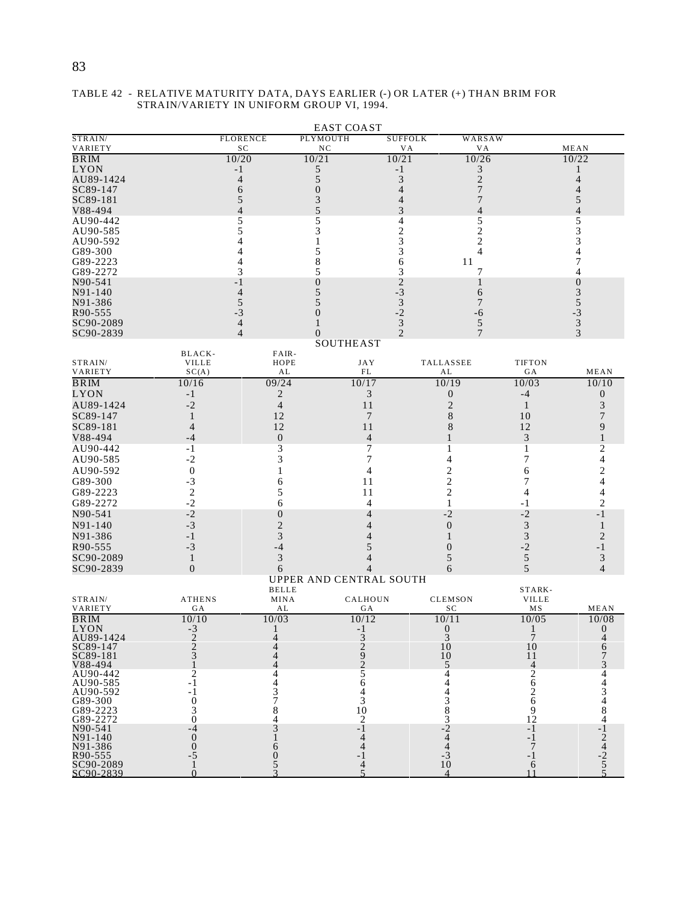# 83

| PLYMOUTH<br><b>FLORENCE</b><br><b>SUFFOLK</b><br>WARSAW<br>VARIETY<br>SC<br>NC<br>MEAN<br>V A<br>V A<br>10/20<br>10/21<br>10/26<br>$\overline{\text{BRIM}}$<br>10/21<br>10/22<br><b>LYON</b><br>3<br>5<br>$-1$<br>-1<br>-<br>$\overline{\mathbf{c}}$<br>AU89-1424<br>5<br>3<br>4<br>4<br>SC89-147<br>7<br>6<br>$\overline{0}$<br>4<br>4<br>SC89-181<br>5<br>7<br>5<br>3<br>4<br>5<br>V88-494<br>$\overline{4}$<br>3<br>4<br>4<br>AU90-442<br>5<br>5<br>5<br>5<br>4<br>$\overline{c}$<br>3<br>5<br>3<br>2<br>AU90-585<br>$\overline{c}$<br>3<br>3<br>4<br>5<br>3<br>4<br>4<br>4<br>8<br>11<br>7<br>4<br>6<br>G89-2272<br>3<br>5<br>3<br>7<br>4<br>$\overline{2}$<br>N90-541<br>$\boldsymbol{0}$<br>$\overline{0}$<br>- 1<br>1<br>$-3$<br>N91-140<br>4<br>5<br>6<br>3<br>$\mathfrak{Z}$<br>5<br>N91-386<br>5<br>5<br>7<br>$-2$<br>$-3$<br>$-3$<br>R90-555<br>$\overline{0}$<br>-6<br>$\mathfrak{Z}$<br>$\ensuremath{\mathfrak{Z}}$<br>$\overline{4}$<br>5<br>SC90-2089<br>$\mathfrak{D}$<br>3<br>SC90-2839<br>$\overline{4}$<br>$\boldsymbol{0}$<br>7<br><b>SOUTHEAST</b><br>BLACK-<br>FAIR-<br>STRAIN/<br><b>VILLE</b><br>HOPE<br><b>JAY</b><br>TALLASSEE<br><b>TIFTON</b><br>VARIETY<br>SC(A)<br>AL<br>GA<br>MEAN<br>FL<br>AL<br>09/24<br><b>BRIM</b><br>10/16<br>10/17<br>10/19<br>10/03<br>10/10<br>$\overline{2}$<br>3<br>LYON<br>$-1$<br>0<br>$-4$<br>$\boldsymbol{0}$<br>$-2$<br>AU89-1424<br>$\overline{4}$<br>11<br>$\overline{2}$<br>3<br>$\mathbf{1}$<br>8<br>SC89-147<br>12<br>7<br>10<br>7<br>1<br>SC89-181<br>12<br>11<br>8<br>12<br>9<br>4<br>3<br>V88-494<br>$\boldsymbol{0}$<br>$\overline{4}$<br>$-4$<br>1<br>3<br>7<br>2<br>AU90-442<br>$-1$<br>1<br>1<br>3<br>4<br>$-2$<br>7<br>7<br>AU90-585<br>4<br>$\boldsymbol{0}$<br>4<br>2<br>2<br>AU90-592<br>1<br>6<br>$\overline{\mathbf{c}}$<br>G89-300<br>$-3$<br>6<br>11<br>7<br>$\sqrt{2}$<br>$\overline{c}$<br>G89-2223<br>5<br>11<br>4<br>4<br>$-2$<br>$\overline{c}$<br>G89-2272<br>6<br>4<br>1<br>-1<br>$-2$<br>N90-541<br>$\boldsymbol{0}$<br>$-2$<br>$-2$<br>$-1$<br>4<br>$\overline{2}$<br>3<br>N91-140<br>$-3$<br>$\boldsymbol{0}$<br>1<br>4<br>3<br>$\mathfrak{Z}$<br>N91-386<br>$\overline{2}$<br>$-1$<br>4<br>1<br>$-3$<br>5<br>$-2$<br>-1<br>R90-555<br>$-4$<br>$\overline{0}$<br>3<br>5<br>5<br>3<br>SC90-2089<br>$\mathbf{1}$<br>4<br>$\boldsymbol{0}$<br>5<br>SC90-2839<br>$\overline{4}$<br>6<br>4<br>6<br>UPPER AND CENTRAL SOUTH<br><b>BELLE</b><br>STARK-<br><b>ATHENS</b><br>CALHOUN<br><b>CLEMSON</b><br>MINA<br><b>VILLE</b><br>VARIETY<br>AL<br>MS<br>GА<br>GА<br>SС<br>MEAN<br><b>BRIM</b><br>10/10<br>10/03<br>10/12<br>10/11<br>10/05<br>10/08<br>$-3$<br>$\mathbf{0}$<br>$\mathbf{0}$<br>$-1$<br>1<br>$\begin{smallmatrix}7\\10\end{smallmatrix}$<br>AU89-1424<br>$\frac{2}{3}$<br>$\frac{3}{2}$<br>$\begin{smallmatrix} 3 \\ 10 \end{smallmatrix}$<br>4<br>4<br>SC89-147<br>4<br>6<br>SC89-181<br>10<br>11<br>$\overline{2}$<br>V88-494<br>5<br>$\overline{4}$<br>$\overline{c}$<br>$\frac{2}{6}$<br>5<br>AU90-442<br>4<br>4<br>- 1<br>6<br>4<br>4<br>$\overline{2}$<br>- 1<br>4<br>$\overline{6}$<br>$\begin{smallmatrix} 0 \\ 3 \\ 0 \end{smallmatrix}$<br>$383 - 244$<br>$443$<br>$-310$<br>G89-300<br>3<br>10<br>9<br>G89-2223<br>8<br>12<br>G89-2272<br>$\overline{2}$<br>4<br>3<br>$-1$<br>$-1$<br>$-4$<br>$\frac{-1}{2}$<br>$\frac{4}{5}$<br>$000 - 5$<br>- 1<br>4<br>$\overline{7}$<br>N91-386<br>6<br>$\overline{0}$<br>5<br>R90-555<br>-1<br>SC90-2089<br>6 |             |          | <b>EAST COAST</b> |                          |    |  |
|------------------------------------------------------------------------------------------------------------------------------------------------------------------------------------------------------------------------------------------------------------------------------------------------------------------------------------------------------------------------------------------------------------------------------------------------------------------------------------------------------------------------------------------------------------------------------------------------------------------------------------------------------------------------------------------------------------------------------------------------------------------------------------------------------------------------------------------------------------------------------------------------------------------------------------------------------------------------------------------------------------------------------------------------------------------------------------------------------------------------------------------------------------------------------------------------------------------------------------------------------------------------------------------------------------------------------------------------------------------------------------------------------------------------------------------------------------------------------------------------------------------------------------------------------------------------------------------------------------------------------------------------------------------------------------------------------------------------------------------------------------------------------------------------------------------------------------------------------------------------------------------------------------------------------------------------------------------------------------------------------------------------------------------------------------------------------------------------------------------------------------------------------------------------------------------------------------------------------------------------------------------------------------------------------------------------------------------------------------------------------------------------------------------------------------------------------------------------------------------------------------------------------------------------------------------------------------------------------------------------------------------------------------------------------------------------------------------------------------------------------------------------------------------------------------------------------------------------------------------------------------------------------------------------------------------------------------------------------------------------------------------------------------------------------------------------------------------------------------------------------------------------------------------------------------------------------------------------------------------------------------------------------------------------------------------------------------------------------------------------------------------------------------------------------------------------------------------|-------------|----------|-------------------|--------------------------|----|--|
|                                                                                                                                                                                                                                                                                                                                                                                                                                                                                                                                                                                                                                                                                                                                                                                                                                                                                                                                                                                                                                                                                                                                                                                                                                                                                                                                                                                                                                                                                                                                                                                                                                                                                                                                                                                                                                                                                                                                                                                                                                                                                                                                                                                                                                                                                                                                                                                                                                                                                                                                                                                                                                                                                                                                                                                                                                                                                                                                                                                                                                                                                                                                                                                                                                                                                                                                                                                                                                                                  | STRAIN/     |          |                   |                          |    |  |
|                                                                                                                                                                                                                                                                                                                                                                                                                                                                                                                                                                                                                                                                                                                                                                                                                                                                                                                                                                                                                                                                                                                                                                                                                                                                                                                                                                                                                                                                                                                                                                                                                                                                                                                                                                                                                                                                                                                                                                                                                                                                                                                                                                                                                                                                                                                                                                                                                                                                                                                                                                                                                                                                                                                                                                                                                                                                                                                                                                                                                                                                                                                                                                                                                                                                                                                                                                                                                                                                  |             |          |                   |                          |    |  |
|                                                                                                                                                                                                                                                                                                                                                                                                                                                                                                                                                                                                                                                                                                                                                                                                                                                                                                                                                                                                                                                                                                                                                                                                                                                                                                                                                                                                                                                                                                                                                                                                                                                                                                                                                                                                                                                                                                                                                                                                                                                                                                                                                                                                                                                                                                                                                                                                                                                                                                                                                                                                                                                                                                                                                                                                                                                                                                                                                                                                                                                                                                                                                                                                                                                                                                                                                                                                                                                                  |             |          |                   |                          |    |  |
|                                                                                                                                                                                                                                                                                                                                                                                                                                                                                                                                                                                                                                                                                                                                                                                                                                                                                                                                                                                                                                                                                                                                                                                                                                                                                                                                                                                                                                                                                                                                                                                                                                                                                                                                                                                                                                                                                                                                                                                                                                                                                                                                                                                                                                                                                                                                                                                                                                                                                                                                                                                                                                                                                                                                                                                                                                                                                                                                                                                                                                                                                                                                                                                                                                                                                                                                                                                                                                                                  |             |          |                   |                          |    |  |
|                                                                                                                                                                                                                                                                                                                                                                                                                                                                                                                                                                                                                                                                                                                                                                                                                                                                                                                                                                                                                                                                                                                                                                                                                                                                                                                                                                                                                                                                                                                                                                                                                                                                                                                                                                                                                                                                                                                                                                                                                                                                                                                                                                                                                                                                                                                                                                                                                                                                                                                                                                                                                                                                                                                                                                                                                                                                                                                                                                                                                                                                                                                                                                                                                                                                                                                                                                                                                                                                  |             |          |                   |                          |    |  |
|                                                                                                                                                                                                                                                                                                                                                                                                                                                                                                                                                                                                                                                                                                                                                                                                                                                                                                                                                                                                                                                                                                                                                                                                                                                                                                                                                                                                                                                                                                                                                                                                                                                                                                                                                                                                                                                                                                                                                                                                                                                                                                                                                                                                                                                                                                                                                                                                                                                                                                                                                                                                                                                                                                                                                                                                                                                                                                                                                                                                                                                                                                                                                                                                                                                                                                                                                                                                                                                                  |             |          |                   |                          |    |  |
|                                                                                                                                                                                                                                                                                                                                                                                                                                                                                                                                                                                                                                                                                                                                                                                                                                                                                                                                                                                                                                                                                                                                                                                                                                                                                                                                                                                                                                                                                                                                                                                                                                                                                                                                                                                                                                                                                                                                                                                                                                                                                                                                                                                                                                                                                                                                                                                                                                                                                                                                                                                                                                                                                                                                                                                                                                                                                                                                                                                                                                                                                                                                                                                                                                                                                                                                                                                                                                                                  |             |          |                   |                          |    |  |
|                                                                                                                                                                                                                                                                                                                                                                                                                                                                                                                                                                                                                                                                                                                                                                                                                                                                                                                                                                                                                                                                                                                                                                                                                                                                                                                                                                                                                                                                                                                                                                                                                                                                                                                                                                                                                                                                                                                                                                                                                                                                                                                                                                                                                                                                                                                                                                                                                                                                                                                                                                                                                                                                                                                                                                                                                                                                                                                                                                                                                                                                                                                                                                                                                                                                                                                                                                                                                                                                  |             |          |                   |                          |    |  |
|                                                                                                                                                                                                                                                                                                                                                                                                                                                                                                                                                                                                                                                                                                                                                                                                                                                                                                                                                                                                                                                                                                                                                                                                                                                                                                                                                                                                                                                                                                                                                                                                                                                                                                                                                                                                                                                                                                                                                                                                                                                                                                                                                                                                                                                                                                                                                                                                                                                                                                                                                                                                                                                                                                                                                                                                                                                                                                                                                                                                                                                                                                                                                                                                                                                                                                                                                                                                                                                                  |             |          |                   |                          |    |  |
|                                                                                                                                                                                                                                                                                                                                                                                                                                                                                                                                                                                                                                                                                                                                                                                                                                                                                                                                                                                                                                                                                                                                                                                                                                                                                                                                                                                                                                                                                                                                                                                                                                                                                                                                                                                                                                                                                                                                                                                                                                                                                                                                                                                                                                                                                                                                                                                                                                                                                                                                                                                                                                                                                                                                                                                                                                                                                                                                                                                                                                                                                                                                                                                                                                                                                                                                                                                                                                                                  | AU90-592    |          |                   |                          |    |  |
|                                                                                                                                                                                                                                                                                                                                                                                                                                                                                                                                                                                                                                                                                                                                                                                                                                                                                                                                                                                                                                                                                                                                                                                                                                                                                                                                                                                                                                                                                                                                                                                                                                                                                                                                                                                                                                                                                                                                                                                                                                                                                                                                                                                                                                                                                                                                                                                                                                                                                                                                                                                                                                                                                                                                                                                                                                                                                                                                                                                                                                                                                                                                                                                                                                                                                                                                                                                                                                                                  | G89-300     |          |                   |                          |    |  |
|                                                                                                                                                                                                                                                                                                                                                                                                                                                                                                                                                                                                                                                                                                                                                                                                                                                                                                                                                                                                                                                                                                                                                                                                                                                                                                                                                                                                                                                                                                                                                                                                                                                                                                                                                                                                                                                                                                                                                                                                                                                                                                                                                                                                                                                                                                                                                                                                                                                                                                                                                                                                                                                                                                                                                                                                                                                                                                                                                                                                                                                                                                                                                                                                                                                                                                                                                                                                                                                                  | G89-2223    |          |                   |                          |    |  |
|                                                                                                                                                                                                                                                                                                                                                                                                                                                                                                                                                                                                                                                                                                                                                                                                                                                                                                                                                                                                                                                                                                                                                                                                                                                                                                                                                                                                                                                                                                                                                                                                                                                                                                                                                                                                                                                                                                                                                                                                                                                                                                                                                                                                                                                                                                                                                                                                                                                                                                                                                                                                                                                                                                                                                                                                                                                                                                                                                                                                                                                                                                                                                                                                                                                                                                                                                                                                                                                                  |             |          |                   |                          |    |  |
|                                                                                                                                                                                                                                                                                                                                                                                                                                                                                                                                                                                                                                                                                                                                                                                                                                                                                                                                                                                                                                                                                                                                                                                                                                                                                                                                                                                                                                                                                                                                                                                                                                                                                                                                                                                                                                                                                                                                                                                                                                                                                                                                                                                                                                                                                                                                                                                                                                                                                                                                                                                                                                                                                                                                                                                                                                                                                                                                                                                                                                                                                                                                                                                                                                                                                                                                                                                                                                                                  |             |          |                   |                          |    |  |
|                                                                                                                                                                                                                                                                                                                                                                                                                                                                                                                                                                                                                                                                                                                                                                                                                                                                                                                                                                                                                                                                                                                                                                                                                                                                                                                                                                                                                                                                                                                                                                                                                                                                                                                                                                                                                                                                                                                                                                                                                                                                                                                                                                                                                                                                                                                                                                                                                                                                                                                                                                                                                                                                                                                                                                                                                                                                                                                                                                                                                                                                                                                                                                                                                                                                                                                                                                                                                                                                  |             |          |                   |                          |    |  |
|                                                                                                                                                                                                                                                                                                                                                                                                                                                                                                                                                                                                                                                                                                                                                                                                                                                                                                                                                                                                                                                                                                                                                                                                                                                                                                                                                                                                                                                                                                                                                                                                                                                                                                                                                                                                                                                                                                                                                                                                                                                                                                                                                                                                                                                                                                                                                                                                                                                                                                                                                                                                                                                                                                                                                                                                                                                                                                                                                                                                                                                                                                                                                                                                                                                                                                                                                                                                                                                                  |             |          |                   |                          |    |  |
|                                                                                                                                                                                                                                                                                                                                                                                                                                                                                                                                                                                                                                                                                                                                                                                                                                                                                                                                                                                                                                                                                                                                                                                                                                                                                                                                                                                                                                                                                                                                                                                                                                                                                                                                                                                                                                                                                                                                                                                                                                                                                                                                                                                                                                                                                                                                                                                                                                                                                                                                                                                                                                                                                                                                                                                                                                                                                                                                                                                                                                                                                                                                                                                                                                                                                                                                                                                                                                                                  |             |          |                   |                          |    |  |
|                                                                                                                                                                                                                                                                                                                                                                                                                                                                                                                                                                                                                                                                                                                                                                                                                                                                                                                                                                                                                                                                                                                                                                                                                                                                                                                                                                                                                                                                                                                                                                                                                                                                                                                                                                                                                                                                                                                                                                                                                                                                                                                                                                                                                                                                                                                                                                                                                                                                                                                                                                                                                                                                                                                                                                                                                                                                                                                                                                                                                                                                                                                                                                                                                                                                                                                                                                                                                                                                  |             |          |                   |                          |    |  |
|                                                                                                                                                                                                                                                                                                                                                                                                                                                                                                                                                                                                                                                                                                                                                                                                                                                                                                                                                                                                                                                                                                                                                                                                                                                                                                                                                                                                                                                                                                                                                                                                                                                                                                                                                                                                                                                                                                                                                                                                                                                                                                                                                                                                                                                                                                                                                                                                                                                                                                                                                                                                                                                                                                                                                                                                                                                                                                                                                                                                                                                                                                                                                                                                                                                                                                                                                                                                                                                                  |             |          |                   |                          |    |  |
|                                                                                                                                                                                                                                                                                                                                                                                                                                                                                                                                                                                                                                                                                                                                                                                                                                                                                                                                                                                                                                                                                                                                                                                                                                                                                                                                                                                                                                                                                                                                                                                                                                                                                                                                                                                                                                                                                                                                                                                                                                                                                                                                                                                                                                                                                                                                                                                                                                                                                                                                                                                                                                                                                                                                                                                                                                                                                                                                                                                                                                                                                                                                                                                                                                                                                                                                                                                                                                                                  |             |          |                   |                          |    |  |
|                                                                                                                                                                                                                                                                                                                                                                                                                                                                                                                                                                                                                                                                                                                                                                                                                                                                                                                                                                                                                                                                                                                                                                                                                                                                                                                                                                                                                                                                                                                                                                                                                                                                                                                                                                                                                                                                                                                                                                                                                                                                                                                                                                                                                                                                                                                                                                                                                                                                                                                                                                                                                                                                                                                                                                                                                                                                                                                                                                                                                                                                                                                                                                                                                                                                                                                                                                                                                                                                  |             |          |                   |                          |    |  |
|                                                                                                                                                                                                                                                                                                                                                                                                                                                                                                                                                                                                                                                                                                                                                                                                                                                                                                                                                                                                                                                                                                                                                                                                                                                                                                                                                                                                                                                                                                                                                                                                                                                                                                                                                                                                                                                                                                                                                                                                                                                                                                                                                                                                                                                                                                                                                                                                                                                                                                                                                                                                                                                                                                                                                                                                                                                                                                                                                                                                                                                                                                                                                                                                                                                                                                                                                                                                                                                                  |             |          |                   |                          |    |  |
|                                                                                                                                                                                                                                                                                                                                                                                                                                                                                                                                                                                                                                                                                                                                                                                                                                                                                                                                                                                                                                                                                                                                                                                                                                                                                                                                                                                                                                                                                                                                                                                                                                                                                                                                                                                                                                                                                                                                                                                                                                                                                                                                                                                                                                                                                                                                                                                                                                                                                                                                                                                                                                                                                                                                                                                                                                                                                                                                                                                                                                                                                                                                                                                                                                                                                                                                                                                                                                                                  |             |          |                   |                          |    |  |
|                                                                                                                                                                                                                                                                                                                                                                                                                                                                                                                                                                                                                                                                                                                                                                                                                                                                                                                                                                                                                                                                                                                                                                                                                                                                                                                                                                                                                                                                                                                                                                                                                                                                                                                                                                                                                                                                                                                                                                                                                                                                                                                                                                                                                                                                                                                                                                                                                                                                                                                                                                                                                                                                                                                                                                                                                                                                                                                                                                                                                                                                                                                                                                                                                                                                                                                                                                                                                                                                  |             |          |                   |                          |    |  |
|                                                                                                                                                                                                                                                                                                                                                                                                                                                                                                                                                                                                                                                                                                                                                                                                                                                                                                                                                                                                                                                                                                                                                                                                                                                                                                                                                                                                                                                                                                                                                                                                                                                                                                                                                                                                                                                                                                                                                                                                                                                                                                                                                                                                                                                                                                                                                                                                                                                                                                                                                                                                                                                                                                                                                                                                                                                                                                                                                                                                                                                                                                                                                                                                                                                                                                                                                                                                                                                                  |             |          |                   |                          |    |  |
|                                                                                                                                                                                                                                                                                                                                                                                                                                                                                                                                                                                                                                                                                                                                                                                                                                                                                                                                                                                                                                                                                                                                                                                                                                                                                                                                                                                                                                                                                                                                                                                                                                                                                                                                                                                                                                                                                                                                                                                                                                                                                                                                                                                                                                                                                                                                                                                                                                                                                                                                                                                                                                                                                                                                                                                                                                                                                                                                                                                                                                                                                                                                                                                                                                                                                                                                                                                                                                                                  |             |          |                   |                          |    |  |
|                                                                                                                                                                                                                                                                                                                                                                                                                                                                                                                                                                                                                                                                                                                                                                                                                                                                                                                                                                                                                                                                                                                                                                                                                                                                                                                                                                                                                                                                                                                                                                                                                                                                                                                                                                                                                                                                                                                                                                                                                                                                                                                                                                                                                                                                                                                                                                                                                                                                                                                                                                                                                                                                                                                                                                                                                                                                                                                                                                                                                                                                                                                                                                                                                                                                                                                                                                                                                                                                  |             |          |                   |                          |    |  |
|                                                                                                                                                                                                                                                                                                                                                                                                                                                                                                                                                                                                                                                                                                                                                                                                                                                                                                                                                                                                                                                                                                                                                                                                                                                                                                                                                                                                                                                                                                                                                                                                                                                                                                                                                                                                                                                                                                                                                                                                                                                                                                                                                                                                                                                                                                                                                                                                                                                                                                                                                                                                                                                                                                                                                                                                                                                                                                                                                                                                                                                                                                                                                                                                                                                                                                                                                                                                                                                                  |             |          |                   |                          |    |  |
|                                                                                                                                                                                                                                                                                                                                                                                                                                                                                                                                                                                                                                                                                                                                                                                                                                                                                                                                                                                                                                                                                                                                                                                                                                                                                                                                                                                                                                                                                                                                                                                                                                                                                                                                                                                                                                                                                                                                                                                                                                                                                                                                                                                                                                                                                                                                                                                                                                                                                                                                                                                                                                                                                                                                                                                                                                                                                                                                                                                                                                                                                                                                                                                                                                                                                                                                                                                                                                                                  |             |          |                   |                          |    |  |
|                                                                                                                                                                                                                                                                                                                                                                                                                                                                                                                                                                                                                                                                                                                                                                                                                                                                                                                                                                                                                                                                                                                                                                                                                                                                                                                                                                                                                                                                                                                                                                                                                                                                                                                                                                                                                                                                                                                                                                                                                                                                                                                                                                                                                                                                                                                                                                                                                                                                                                                                                                                                                                                                                                                                                                                                                                                                                                                                                                                                                                                                                                                                                                                                                                                                                                                                                                                                                                                                  |             |          |                   |                          |    |  |
|                                                                                                                                                                                                                                                                                                                                                                                                                                                                                                                                                                                                                                                                                                                                                                                                                                                                                                                                                                                                                                                                                                                                                                                                                                                                                                                                                                                                                                                                                                                                                                                                                                                                                                                                                                                                                                                                                                                                                                                                                                                                                                                                                                                                                                                                                                                                                                                                                                                                                                                                                                                                                                                                                                                                                                                                                                                                                                                                                                                                                                                                                                                                                                                                                                                                                                                                                                                                                                                                  |             |          |                   |                          |    |  |
|                                                                                                                                                                                                                                                                                                                                                                                                                                                                                                                                                                                                                                                                                                                                                                                                                                                                                                                                                                                                                                                                                                                                                                                                                                                                                                                                                                                                                                                                                                                                                                                                                                                                                                                                                                                                                                                                                                                                                                                                                                                                                                                                                                                                                                                                                                                                                                                                                                                                                                                                                                                                                                                                                                                                                                                                                                                                                                                                                                                                                                                                                                                                                                                                                                                                                                                                                                                                                                                                  |             |          |                   |                          |    |  |
|                                                                                                                                                                                                                                                                                                                                                                                                                                                                                                                                                                                                                                                                                                                                                                                                                                                                                                                                                                                                                                                                                                                                                                                                                                                                                                                                                                                                                                                                                                                                                                                                                                                                                                                                                                                                                                                                                                                                                                                                                                                                                                                                                                                                                                                                                                                                                                                                                                                                                                                                                                                                                                                                                                                                                                                                                                                                                                                                                                                                                                                                                                                                                                                                                                                                                                                                                                                                                                                                  |             |          |                   |                          |    |  |
|                                                                                                                                                                                                                                                                                                                                                                                                                                                                                                                                                                                                                                                                                                                                                                                                                                                                                                                                                                                                                                                                                                                                                                                                                                                                                                                                                                                                                                                                                                                                                                                                                                                                                                                                                                                                                                                                                                                                                                                                                                                                                                                                                                                                                                                                                                                                                                                                                                                                                                                                                                                                                                                                                                                                                                                                                                                                                                                                                                                                                                                                                                                                                                                                                                                                                                                                                                                                                                                                  |             |          |                   |                          |    |  |
|                                                                                                                                                                                                                                                                                                                                                                                                                                                                                                                                                                                                                                                                                                                                                                                                                                                                                                                                                                                                                                                                                                                                                                                                                                                                                                                                                                                                                                                                                                                                                                                                                                                                                                                                                                                                                                                                                                                                                                                                                                                                                                                                                                                                                                                                                                                                                                                                                                                                                                                                                                                                                                                                                                                                                                                                                                                                                                                                                                                                                                                                                                                                                                                                                                                                                                                                                                                                                                                                  |             |          |                   |                          |    |  |
|                                                                                                                                                                                                                                                                                                                                                                                                                                                                                                                                                                                                                                                                                                                                                                                                                                                                                                                                                                                                                                                                                                                                                                                                                                                                                                                                                                                                                                                                                                                                                                                                                                                                                                                                                                                                                                                                                                                                                                                                                                                                                                                                                                                                                                                                                                                                                                                                                                                                                                                                                                                                                                                                                                                                                                                                                                                                                                                                                                                                                                                                                                                                                                                                                                                                                                                                                                                                                                                                  |             |          |                   |                          |    |  |
|                                                                                                                                                                                                                                                                                                                                                                                                                                                                                                                                                                                                                                                                                                                                                                                                                                                                                                                                                                                                                                                                                                                                                                                                                                                                                                                                                                                                                                                                                                                                                                                                                                                                                                                                                                                                                                                                                                                                                                                                                                                                                                                                                                                                                                                                                                                                                                                                                                                                                                                                                                                                                                                                                                                                                                                                                                                                                                                                                                                                                                                                                                                                                                                                                                                                                                                                                                                                                                                                  |             |          |                   |                          |    |  |
|                                                                                                                                                                                                                                                                                                                                                                                                                                                                                                                                                                                                                                                                                                                                                                                                                                                                                                                                                                                                                                                                                                                                                                                                                                                                                                                                                                                                                                                                                                                                                                                                                                                                                                                                                                                                                                                                                                                                                                                                                                                                                                                                                                                                                                                                                                                                                                                                                                                                                                                                                                                                                                                                                                                                                                                                                                                                                                                                                                                                                                                                                                                                                                                                                                                                                                                                                                                                                                                                  |             |          |                   |                          |    |  |
|                                                                                                                                                                                                                                                                                                                                                                                                                                                                                                                                                                                                                                                                                                                                                                                                                                                                                                                                                                                                                                                                                                                                                                                                                                                                                                                                                                                                                                                                                                                                                                                                                                                                                                                                                                                                                                                                                                                                                                                                                                                                                                                                                                                                                                                                                                                                                                                                                                                                                                                                                                                                                                                                                                                                                                                                                                                                                                                                                                                                                                                                                                                                                                                                                                                                                                                                                                                                                                                                  |             |          |                   |                          |    |  |
|                                                                                                                                                                                                                                                                                                                                                                                                                                                                                                                                                                                                                                                                                                                                                                                                                                                                                                                                                                                                                                                                                                                                                                                                                                                                                                                                                                                                                                                                                                                                                                                                                                                                                                                                                                                                                                                                                                                                                                                                                                                                                                                                                                                                                                                                                                                                                                                                                                                                                                                                                                                                                                                                                                                                                                                                                                                                                                                                                                                                                                                                                                                                                                                                                                                                                                                                                                                                                                                                  |             |          |                   |                          |    |  |
|                                                                                                                                                                                                                                                                                                                                                                                                                                                                                                                                                                                                                                                                                                                                                                                                                                                                                                                                                                                                                                                                                                                                                                                                                                                                                                                                                                                                                                                                                                                                                                                                                                                                                                                                                                                                                                                                                                                                                                                                                                                                                                                                                                                                                                                                                                                                                                                                                                                                                                                                                                                                                                                                                                                                                                                                                                                                                                                                                                                                                                                                                                                                                                                                                                                                                                                                                                                                                                                                  |             |          |                   |                          |    |  |
|                                                                                                                                                                                                                                                                                                                                                                                                                                                                                                                                                                                                                                                                                                                                                                                                                                                                                                                                                                                                                                                                                                                                                                                                                                                                                                                                                                                                                                                                                                                                                                                                                                                                                                                                                                                                                                                                                                                                                                                                                                                                                                                                                                                                                                                                                                                                                                                                                                                                                                                                                                                                                                                                                                                                                                                                                                                                                                                                                                                                                                                                                                                                                                                                                                                                                                                                                                                                                                                                  | STRAIN/     |          |                   |                          |    |  |
|                                                                                                                                                                                                                                                                                                                                                                                                                                                                                                                                                                                                                                                                                                                                                                                                                                                                                                                                                                                                                                                                                                                                                                                                                                                                                                                                                                                                                                                                                                                                                                                                                                                                                                                                                                                                                                                                                                                                                                                                                                                                                                                                                                                                                                                                                                                                                                                                                                                                                                                                                                                                                                                                                                                                                                                                                                                                                                                                                                                                                                                                                                                                                                                                                                                                                                                                                                                                                                                                  |             |          |                   |                          |    |  |
|                                                                                                                                                                                                                                                                                                                                                                                                                                                                                                                                                                                                                                                                                                                                                                                                                                                                                                                                                                                                                                                                                                                                                                                                                                                                                                                                                                                                                                                                                                                                                                                                                                                                                                                                                                                                                                                                                                                                                                                                                                                                                                                                                                                                                                                                                                                                                                                                                                                                                                                                                                                                                                                                                                                                                                                                                                                                                                                                                                                                                                                                                                                                                                                                                                                                                                                                                                                                                                                                  | LYON        |          |                   |                          |    |  |
|                                                                                                                                                                                                                                                                                                                                                                                                                                                                                                                                                                                                                                                                                                                                                                                                                                                                                                                                                                                                                                                                                                                                                                                                                                                                                                                                                                                                                                                                                                                                                                                                                                                                                                                                                                                                                                                                                                                                                                                                                                                                                                                                                                                                                                                                                                                                                                                                                                                                                                                                                                                                                                                                                                                                                                                                                                                                                                                                                                                                                                                                                                                                                                                                                                                                                                                                                                                                                                                                  |             |          |                   |                          |    |  |
|                                                                                                                                                                                                                                                                                                                                                                                                                                                                                                                                                                                                                                                                                                                                                                                                                                                                                                                                                                                                                                                                                                                                                                                                                                                                                                                                                                                                                                                                                                                                                                                                                                                                                                                                                                                                                                                                                                                                                                                                                                                                                                                                                                                                                                                                                                                                                                                                                                                                                                                                                                                                                                                                                                                                                                                                                                                                                                                                                                                                                                                                                                                                                                                                                                                                                                                                                                                                                                                                  |             |          |                   |                          |    |  |
|                                                                                                                                                                                                                                                                                                                                                                                                                                                                                                                                                                                                                                                                                                                                                                                                                                                                                                                                                                                                                                                                                                                                                                                                                                                                                                                                                                                                                                                                                                                                                                                                                                                                                                                                                                                                                                                                                                                                                                                                                                                                                                                                                                                                                                                                                                                                                                                                                                                                                                                                                                                                                                                                                                                                                                                                                                                                                                                                                                                                                                                                                                                                                                                                                                                                                                                                                                                                                                                                  |             |          |                   |                          |    |  |
|                                                                                                                                                                                                                                                                                                                                                                                                                                                                                                                                                                                                                                                                                                                                                                                                                                                                                                                                                                                                                                                                                                                                                                                                                                                                                                                                                                                                                                                                                                                                                                                                                                                                                                                                                                                                                                                                                                                                                                                                                                                                                                                                                                                                                                                                                                                                                                                                                                                                                                                                                                                                                                                                                                                                                                                                                                                                                                                                                                                                                                                                                                                                                                                                                                                                                                                                                                                                                                                                  |             |          |                   |                          |    |  |
|                                                                                                                                                                                                                                                                                                                                                                                                                                                                                                                                                                                                                                                                                                                                                                                                                                                                                                                                                                                                                                                                                                                                                                                                                                                                                                                                                                                                                                                                                                                                                                                                                                                                                                                                                                                                                                                                                                                                                                                                                                                                                                                                                                                                                                                                                                                                                                                                                                                                                                                                                                                                                                                                                                                                                                                                                                                                                                                                                                                                                                                                                                                                                                                                                                                                                                                                                                                                                                                                  | AU90-585    |          |                   |                          |    |  |
|                                                                                                                                                                                                                                                                                                                                                                                                                                                                                                                                                                                                                                                                                                                                                                                                                                                                                                                                                                                                                                                                                                                                                                                                                                                                                                                                                                                                                                                                                                                                                                                                                                                                                                                                                                                                                                                                                                                                                                                                                                                                                                                                                                                                                                                                                                                                                                                                                                                                                                                                                                                                                                                                                                                                                                                                                                                                                                                                                                                                                                                                                                                                                                                                                                                                                                                                                                                                                                                                  | AU90-592    |          |                   |                          |    |  |
|                                                                                                                                                                                                                                                                                                                                                                                                                                                                                                                                                                                                                                                                                                                                                                                                                                                                                                                                                                                                                                                                                                                                                                                                                                                                                                                                                                                                                                                                                                                                                                                                                                                                                                                                                                                                                                                                                                                                                                                                                                                                                                                                                                                                                                                                                                                                                                                                                                                                                                                                                                                                                                                                                                                                                                                                                                                                                                                                                                                                                                                                                                                                                                                                                                                                                                                                                                                                                                                                  |             |          |                   |                          |    |  |
|                                                                                                                                                                                                                                                                                                                                                                                                                                                                                                                                                                                                                                                                                                                                                                                                                                                                                                                                                                                                                                                                                                                                                                                                                                                                                                                                                                                                                                                                                                                                                                                                                                                                                                                                                                                                                                                                                                                                                                                                                                                                                                                                                                                                                                                                                                                                                                                                                                                                                                                                                                                                                                                                                                                                                                                                                                                                                                                                                                                                                                                                                                                                                                                                                                                                                                                                                                                                                                                                  |             |          |                   |                          |    |  |
|                                                                                                                                                                                                                                                                                                                                                                                                                                                                                                                                                                                                                                                                                                                                                                                                                                                                                                                                                                                                                                                                                                                                                                                                                                                                                                                                                                                                                                                                                                                                                                                                                                                                                                                                                                                                                                                                                                                                                                                                                                                                                                                                                                                                                                                                                                                                                                                                                                                                                                                                                                                                                                                                                                                                                                                                                                                                                                                                                                                                                                                                                                                                                                                                                                                                                                                                                                                                                                                                  | N90-541     |          |                   |                          |    |  |
|                                                                                                                                                                                                                                                                                                                                                                                                                                                                                                                                                                                                                                                                                                                                                                                                                                                                                                                                                                                                                                                                                                                                                                                                                                                                                                                                                                                                                                                                                                                                                                                                                                                                                                                                                                                                                                                                                                                                                                                                                                                                                                                                                                                                                                                                                                                                                                                                                                                                                                                                                                                                                                                                                                                                                                                                                                                                                                                                                                                                                                                                                                                                                                                                                                                                                                                                                                                                                                                                  | $N91 - 140$ |          |                   |                          |    |  |
|                                                                                                                                                                                                                                                                                                                                                                                                                                                                                                                                                                                                                                                                                                                                                                                                                                                                                                                                                                                                                                                                                                                                                                                                                                                                                                                                                                                                                                                                                                                                                                                                                                                                                                                                                                                                                                                                                                                                                                                                                                                                                                                                                                                                                                                                                                                                                                                                                                                                                                                                                                                                                                                                                                                                                                                                                                                                                                                                                                                                                                                                                                                                                                                                                                                                                                                                                                                                                                                                  |             |          |                   |                          |    |  |
|                                                                                                                                                                                                                                                                                                                                                                                                                                                                                                                                                                                                                                                                                                                                                                                                                                                                                                                                                                                                                                                                                                                                                                                                                                                                                                                                                                                                                                                                                                                                                                                                                                                                                                                                                                                                                                                                                                                                                                                                                                                                                                                                                                                                                                                                                                                                                                                                                                                                                                                                                                                                                                                                                                                                                                                                                                                                                                                                                                                                                                                                                                                                                                                                                                                                                                                                                                                                                                                                  |             |          |                   |                          |    |  |
|                                                                                                                                                                                                                                                                                                                                                                                                                                                                                                                                                                                                                                                                                                                                                                                                                                                                                                                                                                                                                                                                                                                                                                                                                                                                                                                                                                                                                                                                                                                                                                                                                                                                                                                                                                                                                                                                                                                                                                                                                                                                                                                                                                                                                                                                                                                                                                                                                                                                                                                                                                                                                                                                                                                                                                                                                                                                                                                                                                                                                                                                                                                                                                                                                                                                                                                                                                                                                                                                  | SC90-2839   | $\Omega$ |                   | $\overline{\mathcal{L}}$ | 11 |  |

### TABLE 42 - RELATIVE MATURITY DATA, DAYS EARLIER (-) OR LATER (+) THAN BRIM FOR STRAIN/VARIETY IN UNIFORM GROUP VI, 1994.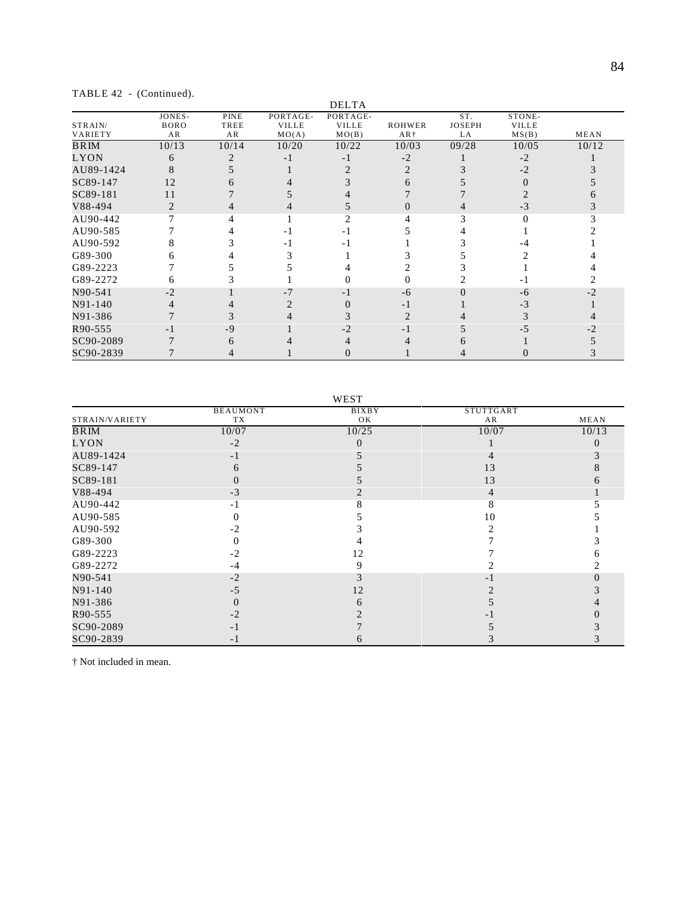|  |  | TABLE 42 - (Continued). |
|--|--|-------------------------|
|--|--|-------------------------|

|                    | $\sqrt{2}$                  |                    |                                   | <b>DELTA</b>                      |                 |                            |                                 |       |
|--------------------|-----------------------------|--------------------|-----------------------------------|-----------------------------------|-----------------|----------------------------|---------------------------------|-------|
| STRAIN/<br>VARIETY | JONES-<br><b>BORO</b><br>AR | PINE<br>TREE<br>AR | PORTAGE-<br><b>VILLE</b><br>MO(A) | PORTAGE-<br><b>VILLE</b><br>MO(B) | ROHWER<br>$AR+$ | ST.<br><b>JOSEPH</b><br>LA | STONE-<br><b>VILLE</b><br>MS(B) | MEAN  |
| <b>BRIM</b>        | 10/13                       | 10/14              | 10/20                             | 10/22                             | 10/03           | 09/28                      | 10/05                           | 10/12 |
| LYON               | 6                           |                    | - 1                               | $-1$                              | $-2$            |                            | $-2$                            |       |
| AU89-1424          |                             |                    |                                   |                                   |                 |                            | $-2$                            |       |
| SC89-147           | 12                          |                    |                                   |                                   |                 |                            |                                 |       |
| SC89-181           | 11                          |                    |                                   |                                   |                 |                            |                                 |       |
| V88-494            |                             |                    |                                   |                                   |                 |                            | $-3$                            |       |
| AU90-442           |                             |                    |                                   |                                   |                 |                            |                                 |       |
| AU90-585           |                             |                    | - 1                               | - 1                               |                 |                            |                                 |       |
| AU90-592           |                             |                    | - 1                               |                                   |                 |                            |                                 |       |
| G89-300            |                             |                    |                                   |                                   |                 |                            |                                 |       |
| G89-2223           |                             |                    |                                   |                                   |                 |                            |                                 |       |
| G89-2272           |                             |                    |                                   |                                   |                 |                            |                                 |       |
| N90-541            | $-2$                        |                    | $-7$                              | - 1                               | -6              |                            | -6                              |       |
| N91-140            |                             |                    |                                   |                                   | - 1             |                            | -3                              |       |
| N91-386            |                             |                    |                                   |                                   |                 |                            |                                 |       |
| R90-555            | - 1                         | -9                 |                                   | $-2$                              |                 |                            |                                 |       |
| SC90-2089          |                             |                    |                                   |                                   |                 |                            |                                 |       |
| SC90-2839          |                             |                    |                                   |                                   |                 |                            |                                 |       |

|                |                 | WEST         |           |       |
|----------------|-----------------|--------------|-----------|-------|
|                | <b>BEAUMONT</b> | <b>BIXBY</b> | STUTTGART |       |
| STRAIN/VARIETY | TX              | OK           | AR        | MEAN  |
| BRIM           | 10/07           | 10/25        | 10/07     | 10/13 |
| LYON           | $-2$            | 0            |           |       |
| AU89-1424      | $-1$            |              |           |       |
| SC89-147       | 6               |              | 13        |       |
| SC89-181       |                 |              | 13        |       |
| V88-494        | $-3$            |              | 4         |       |
| AU90-442       | $-1$            |              |           |       |
| AU90-585       | $\Omega$        |              | 10        |       |
| AU90-592       | $-2$            |              |           |       |
| G89-300        | 0               |              |           |       |
| G89-2223       | $-2$            | 12           |           |       |
| G89-2272       | $-4$            | 9            |           |       |
| N90-541        | $-2$            |              | - 1       |       |
| N91-140        | $-5$            | 12           |           |       |
| N91-386        | $\Omega$        | h            |           |       |
| R90-555        | $-2$            |              |           |       |
| SC90-2089      | $-1$            |              |           |       |
| SC90-2839      | $-1$            | n            |           |       |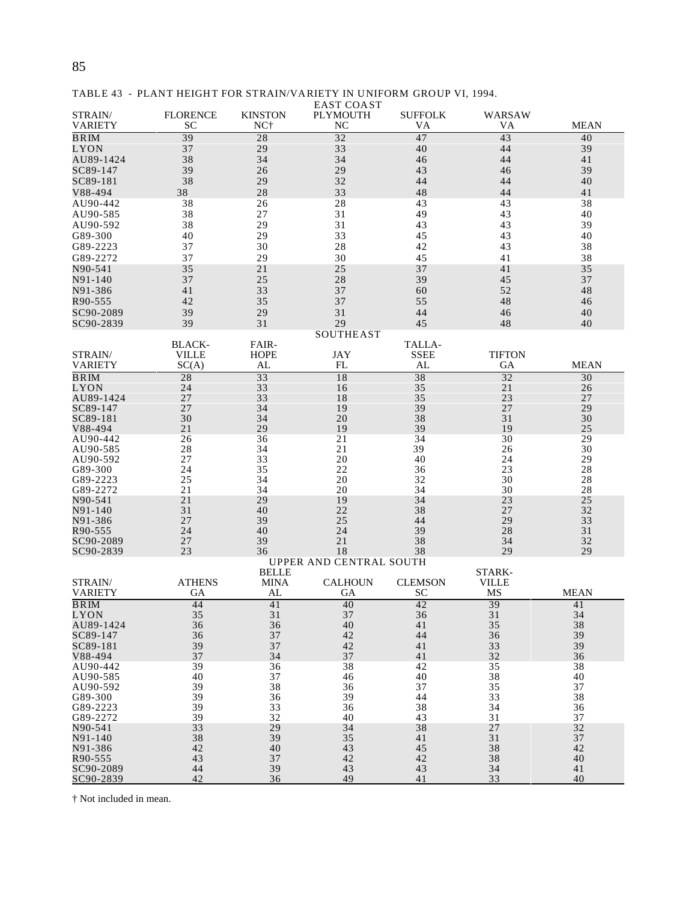#### TABLE 43 - PLANT HEIGHT FOR STRAIN/VARIETY IN UNIFORM GROUP VI, 1994.

|                           |                       |                       | <b>EAST COAST</b>                 |                      |                        |             |
|---------------------------|-----------------------|-----------------------|-----------------------------------|----------------------|------------------------|-------------|
| STRAIN/<br><b>VARIETY</b> | <b>FLORENCE</b><br>SC | <b>KINSTON</b><br>NC† | <b>PLYMOUTH</b><br>N <sub>C</sub> | <b>SUFFOLK</b><br>VA | WARSAW<br>VA           | <b>MEAN</b> |
| <b>BRIM</b>               | 39                    | 28                    | 32                                | 47                   | 43                     | 40          |
| LYON                      | 37                    | 29                    | 33                                | 40                   | 44                     | 39          |
| AU89-1424                 | 38                    | 34                    | 34                                | 46                   | 44                     | 41          |
| SC89-147                  | 39                    | 26                    | 29                                | 43                   | 46                     | 39          |
| SC89-181                  | 38                    | 29                    | 32                                | 44                   | 44                     | 40          |
| V88-494                   | 38                    | 28                    | 33                                | 48                   | 44                     | 41          |
| AU90-442                  | 38                    | 26                    | 28                                | 43                   | 43                     | 38          |
| AU90-585                  | 38                    | 27                    | 31                                | 49                   | 43                     | 40          |
| AU90-592                  | 38                    | 29                    | 31                                | 43                   | 43                     | 39          |
| G89-300                   | 40                    | 29                    | 33                                | 45                   | 43                     | 40          |
| G89-2223                  | 37                    | 30                    | 28                                | 42                   | 43                     | 38          |
| G89-2272<br>N90-541       | 37<br>35              | 29<br>21              | 30<br>25                          | 45<br>37             | 41<br>41               | 38<br>35    |
| N91-140                   | 37                    | 25                    | 28                                | 39                   | 45                     | 37          |
| N91-386                   | 41                    | 33                    | 37                                | 60                   | 52                     | 48          |
| R90-555                   | 42                    | 35                    | 37                                | 55                   | 48                     | 46          |
| SC90-2089                 | 39                    | 29                    | 31                                | 44                   | 46                     | 40          |
| SC90-2839                 | 39                    | 31                    | 29                                | 45                   | 48                     | 40          |
|                           |                       |                       | <b>SOUTHEAST</b>                  |                      |                        |             |
|                           | <b>BLACK-</b>         | FAIR-                 |                                   | TALLA-               |                        |             |
| STRAIN/                   | <b>VILLE</b>          | <b>HOPE</b>           | <b>JAY</b>                        | <b>SSEE</b>          | <b>TIFTON</b>          |             |
| <b>VARIETY</b>            | SC(A)                 | AL                    | FL                                | AL                   | GA                     | <b>MEAN</b> |
| $\overline{\text{BRM}}$   | 28                    | 33                    | 18                                | 38                   | 32                     | 30          |
| LYON                      | 24                    | 33                    | 16                                | 35                   | 21                     | 26          |
| AU89-1424<br>SC89-147     | 27<br>27              | 33<br>34              | 18<br>19                          | 35<br>39             | 23<br>27               | 27<br>29    |
| SC89-181                  | 30                    | 34                    | 20                                | 38                   | 31                     | 30          |
| V88-494                   | 21                    | 29                    | 19                                | 39                   | 19                     | 25          |
| AU90-442                  | 26                    | 36                    | 21                                | 34                   | 30                     | 29          |
| AU90-585                  | 28                    | 34                    | 21                                | 39                   | 26                     | 30          |
| AU90-592                  | 27                    | 33                    | 20                                | 40                   | 24                     | 29          |
| G89-300                   | 24                    | 35                    | 22                                | 36                   | 23                     | 28          |
| G89-2223                  | 25                    | 34                    | 20                                | 32                   | 30                     | 28          |
| G89-2272<br>N90-541       | 21<br>21              | 34<br>29              | 20<br>19                          | 34<br>34             | 30<br>23               | 28<br>25    |
| N91-140                   | 31                    | 40                    | 22                                | 38                   | 27                     | 32          |
| N91-386                   | 27                    | 39                    | 25                                | 44                   | 29                     | 33          |
| R90-555                   | 24                    | 40                    | 24                                | 39                   | 28                     | 31          |
| SC90-2089                 | 27                    | 39                    | 21                                | 38                   | 34                     | 32          |
| SC90-2839                 | 23                    | 36                    | 18                                | 38                   | 29                     | 29          |
|                           |                       |                       | UPPER AND CENTRAL SOUTH           |                      |                        |             |
| STRAIN/                   | <b>ATHENS</b>         | <b>BELLE</b><br>MINA  | <b>CALHOUN</b>                    | <b>CLEMSON</b>       | STARK-<br><b>VILLE</b> |             |
| VARIETY                   | GА                    | AL                    | GА                                | <b>SC</b>            | MS                     | <b>MEAN</b> |
| BRIM                      | 44                    | 41                    | 40                                | 42                   | 39                     | 41          |
| LYON                      | 35                    | 31                    | 37                                | 36                   | 31                     | 34          |
| AU89-1424                 | 36                    | 36                    | 40                                | 41                   | 35                     | 38          |
| SC89-147                  | 36                    | 37                    | 42                                | 44                   | 36                     | 39          |
| SC89-181                  | 39                    | 37                    | 42                                | 41                   | 33                     | 39          |
| V88-494                   | 37                    | 34                    | 37                                | 41                   | 32                     | 36          |
| AU90-442<br>AU90-585      | 39<br>40              | 36<br>37              | 38<br>46                          | 42<br>40             | 35<br>38               | 38<br>40    |
| AU90-592                  | 39                    | 38                    | 36                                | 37                   | 35                     | 37          |
| G89-300                   | 39                    | 36                    | 39                                | 44                   | 33                     | 38          |
| G89-2223                  | 39                    | 33                    | 36                                | 38                   | 34                     | 36          |
| G89-2272                  | 39                    | 32                    | 40                                | 43                   | 31                     | 37          |
| N90-541                   | 33                    | 29                    | 34                                | 38                   | 27                     | 32          |
| N91-140                   | 38                    | 39                    | 35                                | 41                   | 31                     | 37          |
| N91-386                   | 42<br>43              | 40                    | 43                                | 45                   | 38                     | 42<br>40    |
| R90-555<br>SC90-2089      | 44                    | 37<br>39              | 42<br>43                          | 42<br>43             | 38<br>34               | 41          |
| SC90-2839                 | 42                    | 36                    | 49                                | 41                   | 33                     | 40          |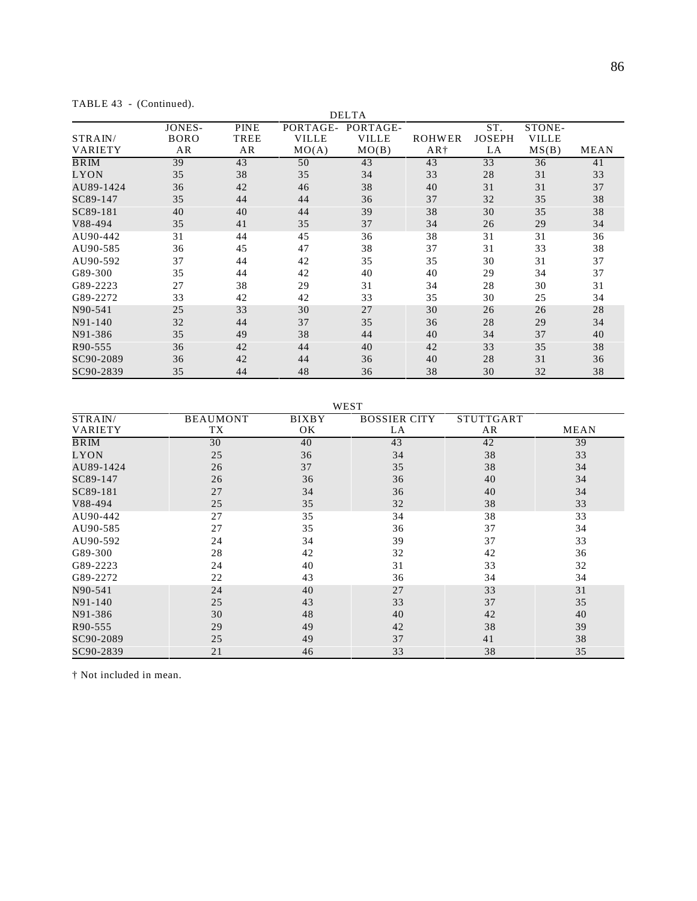|                |             |             |              | <b>DELTA</b> |        |               |              |             |
|----------------|-------------|-------------|--------------|--------------|--------|---------------|--------------|-------------|
|                | JONES-      | <b>PINE</b> | PORTAGE-     | PORTAGE-     |        | ST.           | STONE-       |             |
| STRAIN/        | <b>BORO</b> | TREE        | <b>VILLE</b> | <b>VILLE</b> | ROHWER | <b>JOSEPH</b> | <b>VILLE</b> |             |
| <b>VARIETY</b> | AR          | AR          | MO(A)        | MO(B)        | $AR+$  | LA            | MS(B)        | <b>MEAN</b> |
| <b>BRIM</b>    | 39          | 43          | 50           | 43           | 43     | 33            | 36           | 41          |
| LYON           | 35          | 38          | 35           | 34           | 33     | 28            | 31           | 33          |
| AU89-1424      | 36          | 42          | 46           | 38           | 40     | 31            | 31           | 37          |
| SC89-147       | 35          | 44          | 44           | 36           | 37     | 32            | 35           | 38          |
| SC89-181       | 40          | 40          | 44           | 39           | 38     | 30            | 35           | 38          |
| V88-494        | 35          | 41          | 35           | 37           | 34     | 26            | 29           | 34          |
| AU90-442       | 31          | 44          | 45           | 36           | 38     | 31            | 31           | 36          |
| AU90-585       | 36          | 45          | 47           | 38           | 37     | 31            | 33           | 38          |
| AU90-592       | 37          | 44          | 42           | 35           | 35     | 30            | 31           | 37          |
| G89-300        | 35          | 44          | 42           | 40           | 40     | 29            | 34           | 37          |
| G89-2223       | 27          | 38          | 29           | 31           | 34     | 28            | 30           | 31          |
| G89-2272       | 33          | 42          | 42           | 33           | 35     | 30            | 25           | 34          |
| N90-541        | 25          | 33          | 30           | 27           | 30     | 26            | 26           | 28          |
| N91-140        | 32          | 44          | 37           | 35           | 36     | 28            | 29           | 34          |
| N91-386        | 35          | 49          | 38           | 44           | 40     | 34            | 37           | 40          |
| R90-555        | 36          | 42          | 44           | 40           | 42     | 33            | 35           | 38          |
| SC90-2089      | 36          | 42          | 44           | 36           | 40     | 28            | 31           | 36          |
| SC90-2839      | 35          | 44          | 48           | 36           | 38     | 30            | 32           | 38          |

TABLE 43 - (Continued).

WEST

| STRAIN/        | <b>BEAUMONT</b> | <b>BIXBY</b> | <b>BOSSIER CITY</b> | STUTTGART |      |
|----------------|-----------------|--------------|---------------------|-----------|------|
| <b>VARIETY</b> | TХ              | OК           | LA                  | AR        | MEAN |
| BRIM           | 30              | 40           | 43                  | 42        | 39   |
| LYON           | 25              | 36           | 34                  | 38        | 33   |
| AU89-1424      | 26              | 37           | 35                  | 38        | 34   |
| SC89-147       | 26              | 36           | 36                  | 40        | 34   |
| SC89-181       | 27              | 34           | 36                  | 40        | 34   |
| V88-494        | 25              | 35           | 32                  | 38        | 33   |
| AU90-442       | 27              | 35           | 34                  | 38        | 33   |
| AU90-585       | 27              | 35           | 36                  | 37        | 34   |
| AU90-592       | 24              | 34           | 39                  | 37        | 33   |
| G89-300        | 28              | 42           | 32                  | 42        | 36   |
| G89-2223       | 24              | 40           | 31                  | 33        | 32   |
| G89-2272       | 22              | 43           | 36                  | 34        | 34   |
| N90-541        | 24              | 40           | 27                  | 33        | 31   |
| N91-140        | 25              | 43           | 33                  | 37        | 35   |
| N91-386        | 30              | 48           | 40                  | 42        | 40   |
| R90-555        | 29              | 49           | 42                  | 38        | 39   |
| SC90-2089      | 25              | 49           | 37                  | 41        | 38   |
| SC90-2839      | 21              | 46           | 33                  | 38        | 35   |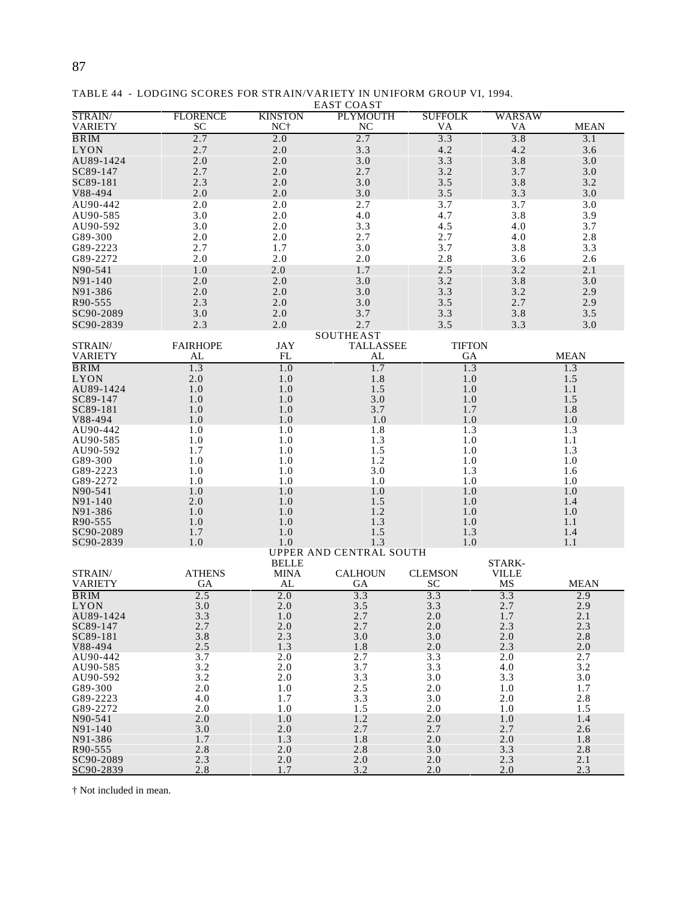| STRAIN/                | <b>FLORENCE</b> | <b>KINSTON</b>  | <b>PLYMOUTH</b>         | <b>SUFFOLK</b> | WARSAW       |             |
|------------------------|-----------------|-----------------|-------------------------|----------------|--------------|-------------|
| <b>VARIETY</b>         | <b>SC</b>       | NC <sup>+</sup> | NC                      | VA             | VA           | <b>MEAN</b> |
| <b>BRIM</b>            | 2.7             | 2.0             | 2.7                     | 3.3            | 3.8          | 3.1         |
| LYON                   | 2.7             | 2.0             | 3.3                     | 4.2            | 4.2          | 3.6         |
| AU89-1424              | $2.0$           | 2.0             | 3.0                     | 3.3            | 3.8          | 3.0         |
| SC89-147               | 2.7             | 2.0             | 2.7                     | 3.2            | 3.7          | 3.0         |
| SC89-181               | 2.3             | 2.0             | 3.0                     | 3.5            | 3.8          | 3.2         |
| V88-494                | 2.0             | 2.0             | 3.0                     | 3.5            | 3.3          | 3.0         |
| AU90-442               | 2.0             | 2.0             | 2.7                     | 3.7            | 3.7          | 3.0         |
| AU90-585               | 3.0             | 2.0             | 4.0                     | 4.7            | 3.8          | 3.9         |
| AU90-592               | 3.0             | 2.0             | 3.3                     | 4.5            | 4.0          | 3.7         |
| G89-300                | 2.0             | 2.0             | 2.7                     | 2.7            | 4.0          | 2.8         |
| G89-2223               | 2.7             | 1.7             | 3.0                     | 3.7            | 3.8          | 3.3         |
| G89-2272               | 2.0             | 2.0             | 2.0                     | 2.8            | 3.6          | 2.6         |
| N90-541                | 1.0             | 2.0             | 1.7                     | 2.5            | 3.2          | 2.1         |
| N91-140                | 2.0             | 2.0             | 3.0                     | 3.2            | 3.8          | 3.0         |
| N91-386                | 2.0             | 2.0             | 3.0                     | 3.3            | 3.2          | 2.9         |
| R90-555                | 2.3             | 2.0             | 3.0                     | 3.5            | 2.7          | 2.9         |
| SC90-2089              | 3.0             | 2.0             | 3.7                     | 3.3            | 3.8          | 3.5         |
| SC90-2839              | 2.3             | 2.0             | 2.7                     | 3.5            | 3.3          | 3.0         |
|                        |                 |                 | SOUTHEAST               |                |              |             |
| STRAIN/                | <b>FAIRHOPE</b> | <b>JAY</b>      | <b>TALLASSEE</b>        | <b>TIFTON</b>  |              |             |
| <b>VARIETY</b>         | AL              | FL              | AL                      | GA             |              | <b>MEAN</b> |
| <b>BRIM</b>            | 1.3             | 1.0             | 1.7                     | 1.3            |              | 1.3         |
| <b>LYON</b>            | 2.0             | 1.0             | 1.8                     | 1.0            |              | 1.5         |
| AU89-1424              | 1.0             | 1.0             | 1.5                     | 1.0            |              | 1.1         |
| SC89-147               | 1.0             | 1.0             | 3.0                     | 1.0            |              | 1.5         |
| SC89-181               | 1.0             | 1.0             | 3.7                     | 1.7            |              | 1.8         |
| V88-494                | 1.0             | 1.0             | 1.0                     | 1.0            |              | 1.0         |
| AU90-442               | 1.0             | 1.0             | 1.8                     | 1.3            |              | 1.3         |
| AU90-585               | 1.0             | 1.0             | 1.3                     | 1.0            |              | 1.1         |
| AU90-592               | 1.7             | 1.0             | 1.5                     | 1.0            |              | 1.3         |
| G89-300<br>G89-2223    | 1.0             | 1.0             | 1.2                     | 1.0<br>1.3     |              | 1.0         |
| G89-2272               | 1.0<br>1.0      | 1.0<br>1.0      | 3.0<br>1.0              | 1.0            |              | 1.6<br>1.0  |
| N90-541                | 1.0             | 1.0             | 1.0                     | 1.0            |              | 1.0         |
| N91-140                | 2.0             | 1.0             | 1.5                     | 1.0            |              | 1.4         |
| N91-386                | 1.0             | 1.0             | 1.2                     | 1.0            |              | 1.0         |
| R90-555                | 1.0             | 1.0             | 1.3                     | 1.0            |              | 1.1         |
| SC90-2089              | 1.7             | 1.0             | 1.5                     | 1.3            |              | 1.4         |
| SC90-2839              | 1.0             | 1.0             | 1.3                     | 1.0            |              | 1.1         |
|                        |                 |                 | UPPER AND CENTRAL SOUTH |                |              |             |
|                        |                 | <b>BELLE</b>    |                         |                | STARK-       |             |
| STRAIN/                | <b>ATHENS</b>   | <b>MINA</b>     | <b>CALHOUN</b>          | <b>CLEMSON</b> | <b>VILLE</b> |             |
| <b>VARIETY</b>         | GA              | AL              | GA                      | SC             | MS           | <b>MEAN</b> |
| <b>BRIM</b><br>LYON    | 2.5<br>3.0      | 2.0<br>2.0      | 3.3<br>3.5              | 3.3<br>3.3     | 3.3<br>2.7   | 2.9<br>2.9  |
| AU89-1424              | 3.3             | 1.0             | 2.7                     | 2.0            | 1.7          | 2.1         |
| SC89-147               | 2.7             | 2.0             | 2.7                     | 2.0            | 2.3          | 2.3         |
| SC89-181               | $3.8$           | 2.3             | 3.0                     | 3.0            | 2.0          | 2.8         |
| V88-494                | 2.5             | 1.3             | 1.8                     | 2.0            | 2.3          | $2.0\,$     |
| AU90-442               | 3.7             | 2.0             | 2.7                     | 3.3            | 2.0          | 2.7         |
| AU90-585               | 3.2             | 2.0             | 3.7                     | 3.3            | 4.0          | 3.2         |
| AU90-592               | 3.2             | 2.0             | 3.3                     | 3.0            | 3.3          | 3.0         |
| G89-300                | 2.0             | 1.0             | 2.5                     | 2.0            | 1.0          | 1.7         |
| G89-2223               | 4.0             | 1.7             | 3.3                     | 3.0            | 2.0          | 2.8         |
| G89-2272               | 2.0             | 1.0             | 1.5                     | 2.0            | 1.0          | 1.5         |
| N90-541                | 2.0             | 1.0             | 1.2                     | 2.0            | 1.0          | 1.4         |
| N91-140                | 3.0             | 2.0             | 2.7                     | 2.7            | 2.7          | 2.6         |
| N91-386                | 1.7             | 1.3             | 1.8                     | 2.0            | 2.0          | 1.8         |
| R90-555                | 2.8             | 2.0             | 2.8                     | 3.0            | 3.3          | 2.8         |
| SC90-2089<br>SC90-2839 | 2.3<br>2.8      | 2.0<br>1.7      | 2.0<br>3.2              | 2.0<br>2.0     | 2.3<br>2.0   | 2.1<br>2.3  |
|                        |                 |                 |                         |                |              |             |

TABLE 44 - LODGING SCORES FOR STRAIN/VARIETY IN UNIFORM GROUP VI, 1994. EAST COAST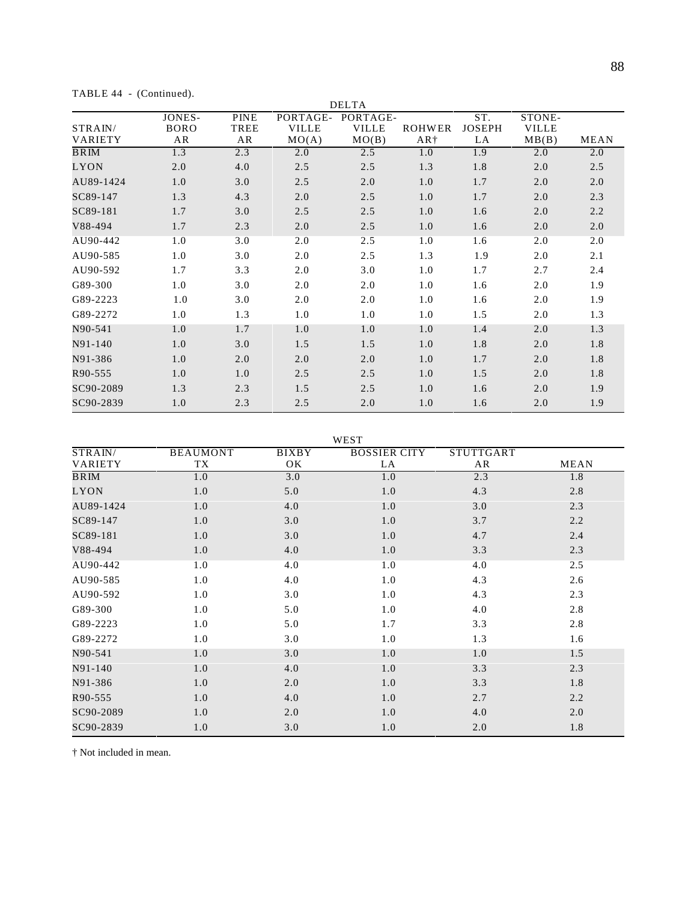TABLE 44 - (Continued).

|                    |                                    |                           |                                   | <b>DELTA</b>                      |                                  |                            |                                 |             |
|--------------------|------------------------------------|---------------------------|-----------------------------------|-----------------------------------|----------------------------------|----------------------------|---------------------------------|-------------|
| STRAIN/<br>VARIETY | <b>JONES-</b><br><b>BORO</b><br>AR | <b>PINE</b><br>TREE<br>AR | PORTAGE-<br><b>VILLE</b><br>MO(A) | PORTAGE-<br><b>VILLE</b><br>MO(B) | <b>ROHWER</b><br>AR <sup>+</sup> | ST.<br><b>JOSEPH</b><br>LA | STONE-<br><b>VILLE</b><br>MB(B) | <b>MEAN</b> |
| BRIM               | 1.3                                | 2.3                       | 2.0                               | 2.5                               | 1.0                              | 1.9                        | 2.0                             | 2.0         |
| <b>LYON</b>        | 2.0                                | 4.0                       | 2.5                               | 2.5                               | 1.3                              | 1.8                        | 2.0                             | 2.5         |
| AU89-1424          | 1.0                                | 3.0                       | 2.5                               | 2.0                               | 1.0                              | 1.7                        | 2.0                             | 2.0         |
| SC89-147           | 1.3                                | 4.3                       | 2.0                               | 2.5                               | 1.0                              | 1.7                        | 2.0                             | 2.3         |
| SC89-181           | 1.7                                | 3.0                       | 2.5                               | 2.5                               | 1.0                              | 1.6                        | 2.0                             | 2.2         |
| V88-494            | 1.7                                | 2.3                       | 2.0                               | 2.5                               | 1.0                              | 1.6                        | 2.0                             | 2.0         |
| AU90-442           | 1.0                                | 3.0                       | 2.0                               | 2.5                               | 1.0                              | 1.6                        | 2.0                             | 2.0         |
| AU90-585           | 1.0                                | 3.0                       | 2.0                               | 2.5                               | 1.3                              | 1.9                        | 2.0                             | 2.1         |
| AU90-592           | 1.7                                | 3.3                       | 2.0                               | 3.0                               | 1.0                              | 1.7                        | 2.7                             | 2.4         |
| G89-300            | 1.0                                | 3.0                       | 2.0                               | 2.0                               | 1.0                              | 1.6                        | 2.0                             | 1.9         |
| G89-2223           | 1.0                                | 3.0                       | 2.0                               | 2.0                               | 1.0                              | 1.6                        | 2.0                             | 1.9         |
| G89-2272           | 1.0                                | 1.3                       | 1.0                               | 1.0                               | 1.0                              | 1.5                        | 2.0                             | 1.3         |
| N90-541            | 1.0                                | 1.7                       | 1.0                               | 1.0                               | 1.0                              | 1.4                        | 2.0                             | 1.3         |
| N91-140            | 1.0                                | 3.0                       | 1.5                               | 1.5                               | 1.0                              | 1.8                        | 2.0                             | 1.8         |
| N91-386            | 1.0                                | 2.0                       | 2.0                               | 2.0                               | 1.0                              | 1.7                        | 2.0                             | 1.8         |
| R90-555            | 1.0                                | 1.0                       | 2.5                               | 2.5                               | 1.0                              | 1.5                        | 2.0                             | 1.8         |
| SC90-2089          | 1.3                                | 2.3                       | 1.5                               | 2.5                               | 1.0                              | 1.6                        | 2.0                             | 1.9         |
| SC90-2839          | 1.0                                | 2.3                       | 2.5                               | 2.0                               | 1.0                              | 1.6                        | 2.0                             | 1.9         |

WEST

|     |                       | ,, Lu              |                           |                        |
|-----|-----------------------|--------------------|---------------------------|------------------------|
|     |                       |                    |                           | <b>MEAN</b>            |
| 1.0 | 3.0                   | 1.0                | 2.3                       | 1.8                    |
| 1.0 | 5.0                   | 1.0                | 4.3                       | 2.8                    |
| 1.0 | 4.0                   | 1.0                | 3.0                       | 2.3                    |
| 1.0 | 3.0                   | 1.0                | 3.7                       | 2.2                    |
| 1.0 | 3.0                   | 1.0                | 4.7                       | 2.4                    |
| 1.0 | 4.0                   | 1.0                | 3.3                       | 2.3                    |
| 1.0 | 4.0                   | 1.0                | 4.0                       | 2.5                    |
| 1.0 | 4.0                   | 1.0                | 4.3                       | 2.6                    |
| 1.0 | 3.0                   | 1.0                | 4.3                       | 2.3                    |
| 1.0 | 5.0                   | 1.0                | 4.0                       | 2.8                    |
| 1.0 | 5.0                   | 1.7                | 3.3                       | 2.8                    |
| 1.0 | 3.0                   | 1.0                | 1.3                       | 1.6                    |
| 1.0 | 3.0                   | 1.0                | 1.0                       | 1.5                    |
| 1.0 | 4.0                   | 1.0                | 3.3                       | 2.3                    |
| 1.0 | 2.0                   | 1.0                | 3.3                       | 1.8                    |
| 1.0 | 4.0                   | 1.0                | 2.7                       | 2.2                    |
| 1.0 | 2.0                   | 1.0                | 4.0                       | 2.0                    |
| 1.0 | 3.0                   | 1.0                | 2.0                       | 1.8                    |
|     | <b>BEAUMONT</b><br>TX | <b>BIXBY</b><br>OK | <b>BOSSIER CITY</b><br>LA | <b>STUTTGART</b><br>AR |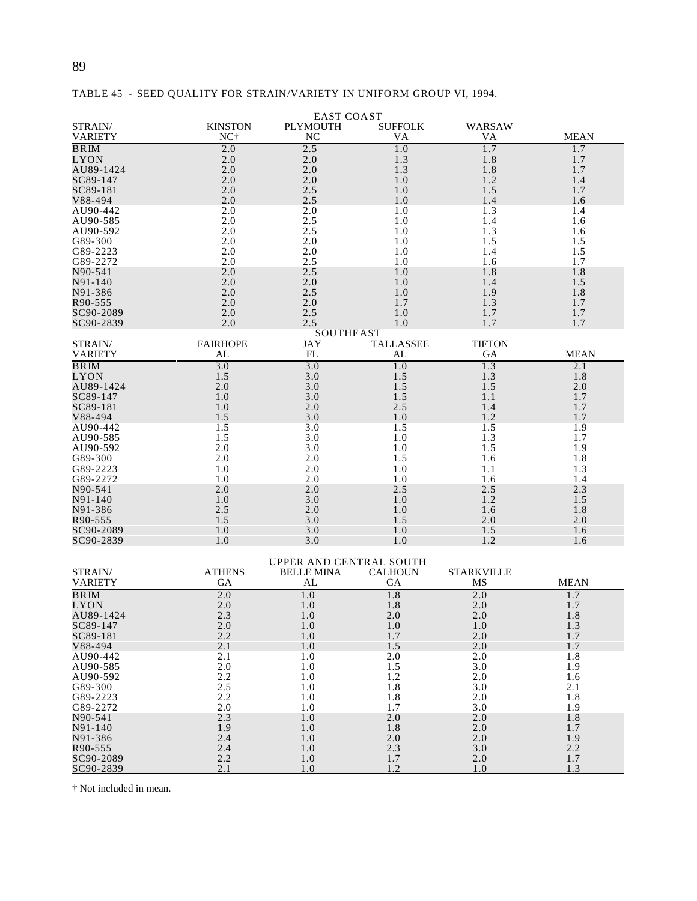|                           |                       | <b>EAST COAST</b>       |                      |                     |             |
|---------------------------|-----------------------|-------------------------|----------------------|---------------------|-------------|
| STRAIN/<br><b>VARIETY</b> | <b>KINSTON</b><br>NC† | <b>PLYMOUTH</b><br>NC   | <b>SUFFOLK</b><br>VA | <b>WARSAW</b><br>VA | <b>MEAN</b> |
| BRIM                      | 2.0                   | 2.5                     | 1.0                  | 1.7                 | 1.7         |
| <b>LYON</b>               | 2.0                   | 2.0                     | 1.3                  | 1.8                 | 1.7         |
| AU89-1424                 | 2.0                   | 2.0                     | 1.3                  | 1.8                 | 1.7         |
| SC89-147                  | 2.0                   | 2.0                     | 1.0                  | 1.2                 | 1.4         |
| SC89-181                  | 2.0                   | 2.5                     | 1.0                  | 1.5                 | 1.7         |
| V88-494                   | 2.0                   | 2.5                     | 1.0                  | 1.4                 | 1.6         |
| AU90-442                  | 2.0                   | 2.0                     | 1.0                  | 1.3                 | 1.4         |
| AU90-585                  | 2.0                   | 2.5                     | 1.0                  | 1.4                 | 1.6         |
| AU90-592                  | 2.0                   | 2.5                     | 1.0                  | 1.3                 | 1.6         |
| G89-300                   | 2.0                   | 2.0                     | 1.0                  | 1.5                 | 1.5         |
| G89-2223                  | 2.0                   | 2.0                     | 1.0                  | 1.4                 | 1.5         |
| G89-2272                  | 2.0                   | 2.5                     | 1.0                  | 1.6                 | 1.7         |
| N90-541                   | 2.0                   | 2.5                     | 1.0                  | 1.8                 | 1.8         |
| N91-140                   | 2.0                   | 2.0                     | 1.0                  | 1.4                 | 1.5         |
| N91-386                   | 2.0                   | 2.5                     | 1.0                  | 1.9                 | 1.8         |
| R90-555                   | 2.0                   | 2.0                     | 1.7                  | 1.3                 | 1.7         |
| SC90-2089                 | 2.0                   | 2.5                     | 1.0                  | 1.7                 | 1.7         |
| SC90-2839                 | 2.0                   | 2.5                     | 1.0                  | 1.7                 | 1.7         |
|                           |                       | <b>SOUTHEAST</b>        |                      |                     |             |
| STRAIN/                   | <b>FAIRHOPE</b>       | JAY                     | <b>TALLASSEE</b>     | <b>TIFTON</b>       |             |
| <b>VARIETY</b>            | AL                    | FL                      | AL                   | GА                  | <b>MEAN</b> |
| <b>BRIM</b>               | 3.0                   | 3.0                     | 1.0                  | 1.3                 | 2.1         |
| LYON                      | 1.5                   | 3.0                     | 1.5                  | 1.3                 | 1.8         |
| AU89-1424                 | 2.0                   | 3.0                     | 1.5                  | 1.5                 | 2.0         |
| SC89-147                  | 1.0                   | 3.0                     | 1.5                  | 1.1                 | 1.7         |
| SC89-181                  | 1.0                   | 2.0                     | 2.5                  | 1.4                 | 1.7         |
| V88-494                   | 1.5                   | 3.0                     | 1.0                  | 1.2                 | 1.7         |
| AU90-442                  | 1.5                   | 3.0                     | 1.5                  | 1.5                 | 1.9         |
| AU90-585                  | 1.5                   | 3.0                     | 1.0                  | 1.3                 | 1.7         |
| AU90-592                  | 2.0                   | 3.0                     | 1.0                  | 1.5                 | 1.9         |
| G89-300<br>G89-2223       | 2.0                   | 2.0<br>2.0              | 1.5                  | 1.6                 | 1.8<br>1.3  |
| G89-2272                  | 1.0<br>1.0            | 2.0                     | 1.0                  | 1.1                 |             |
| N90-541                   | 2.0                   | 2.0                     | 1.0<br>2.5           | 1.6<br>2.5          | 1.4<br>2.3  |
| N91-140                   | 1.0                   | 3.0                     | 1.0                  | 1.2                 | 1.5         |
| N91-386                   | 2.5                   | 2.0                     | 1.0                  | 1.6                 | 1.8         |
| R90-555                   | 1.5                   | 3.0                     | 1.5                  | 2.0                 | 2.0         |
| SC90-2089                 | 1.0                   | 3.0                     | 1.0                  | 1.5                 | 1.6         |
| SC90-2839                 | 1.0                   | 3.0                     | 1.0                  | 1.2                 | 1.6         |
|                           |                       |                         |                      |                     |             |
|                           |                       | UPPER AND CENTRAL SOUTH |                      |                     |             |
| STRAIN/                   | <b>ATHENS</b>         | <b>BELLE MINA</b>       | <b>CALHOUN</b>       | <b>STARKVILLE</b>   |             |
| <b>VARIETY</b>            | GА                    | AL                      | GА                   | MS                  | MEAN        |
| <b>BRIM</b>               | 2.0                   | 1.0                     | 1.8                  | 2.0                 | 1.7         |
| LYON                      | 2.0                   | 1.0                     | 1.8                  | 2.0                 | 1.7         |
| AU89-1424                 | 2.3                   | 1.0                     | $2.0\,$              | 2.0                 | 1.8         |
| SC89-147                  | 2.0                   | 1.0                     | 1.0                  | 1.0                 | 1.3         |
| SC89-181                  | 2.2                   | 1.0                     | 1.7                  | 2.0                 | 1.7         |
| V88-494                   | 2.1                   | 1.0                     | 1.5                  | 2.0                 | 1.7         |
| AU90-442                  | 2.1                   | 1.0                     | 2.0                  | 2.0                 | 1.8         |
| AU90-585                  | 2.0                   | $1.0\,$                 | 1.5                  | 3.0                 | 1.9         |
| AU90-592                  | 2.2                   | 1.0                     | 1.2                  | 2.0                 | 1.6         |
| G89-300                   | 2.5                   | 1.0                     | 1.8                  | 3.0                 | 2.1         |
| G89-2223                  | 2.2                   | 1.0                     | 1.8                  | 2.0                 | 1.8         |
| G89-2272                  | 2.0                   | 1.0                     | 1.7                  | 3.0                 | 1.9         |
| N90-541                   | 2.3                   | 1.0                     | 2.0                  | 2.0                 | 1.8         |
| N91-140                   | 1.9                   | 1.0                     | 1.8                  | 2.0                 | 1.7         |
| N91-386                   | 2.4                   | 1.0                     | 2.0                  | 2.0                 | 1.9         |
| R90-555                   | 2.4                   | 1.0                     | 2.3                  | 3.0                 | 2.2         |
| SC90-2089                 | 2.2                   | 1.0                     | $1.7$                | 2.0                 | 1.7         |
| <u>SC90-2839</u>          | 2.1                   | 1.0                     | 1.2                  | 1.0                 | 1.3         |

|  |  |  |  | TABLE 45 - SEED QUALITY FOR STRAIN/VARIETY IN UNIFORM GROUP VI, 1994. |  |  |
|--|--|--|--|-----------------------------------------------------------------------|--|--|
|--|--|--|--|-----------------------------------------------------------------------|--|--|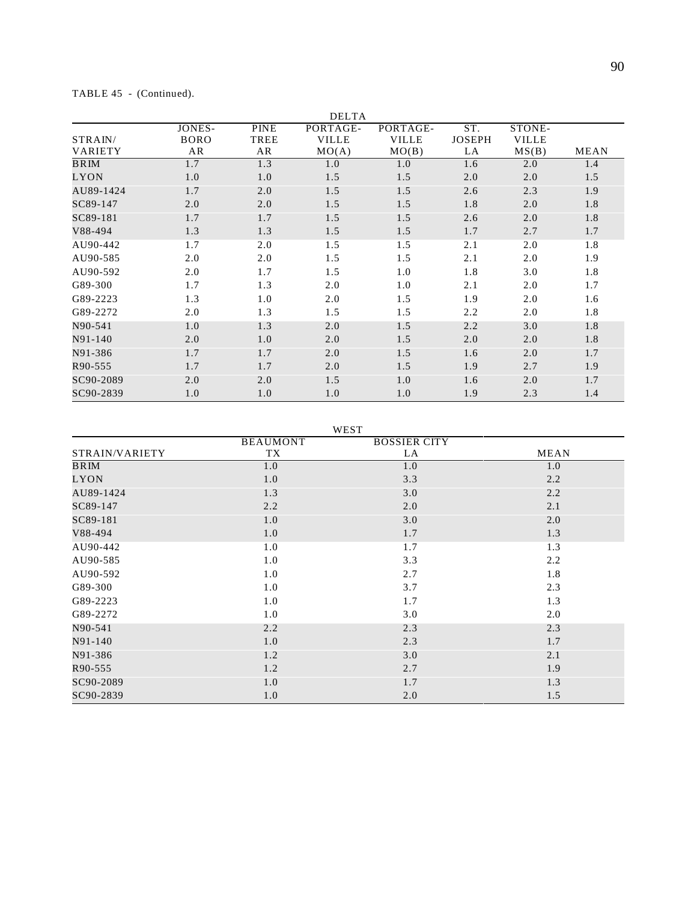|                |             |             | <b>DELTA</b> |              |               |              |             |
|----------------|-------------|-------------|--------------|--------------|---------------|--------------|-------------|
|                | JONES-      | <b>PINE</b> | PORTAGE-     | PORTAGE-     | ST.           | STONE-       |             |
| STRAIN/        | <b>BORO</b> | TREE        | <b>VILLE</b> | <b>VILLE</b> | <b>JOSEPH</b> | <b>VILLE</b> |             |
| <b>VARIETY</b> | AR          | AR          | MO(A)        | MO(B)        | LA            | MS(B)        | <b>MEAN</b> |
| BRIM           | 1.7         | 1.3         | 1.0          | 1.0          | 1.6           | 2.0          | 1.4         |
| LYON           | 1.0         | 1.0         | 1.5          | 1.5          | 2.0           | 2.0          | 1.5         |
| AU89-1424      | 1.7         | 2.0         | 1.5          | 1.5          | 2.6           | 2.3          | 1.9         |
| SC89-147       | 2.0         | 2.0         | 1.5          | 1.5          | 1.8           | 2.0          | 1.8         |
| SC89-181       | 1.7         | 1.7         | 1.5          | 1.5          | 2.6           | 2.0          | 1.8         |
| V88-494        | 1.3         | 1.3         | 1.5          | 1.5          | 1.7           | 2.7          | 1.7         |
| AU90-442       | 1.7         | 2.0         | 1.5          | 1.5          | 2.1           | 2.0          | 1.8         |
| AU90-585       | 2.0         | 2.0         | 1.5          | 1.5          | 2.1           | 2.0          | 1.9         |
| AU90-592       | 2.0         | 1.7         | 1.5          | 1.0          | 1.8           | 3.0          | 1.8         |
| G89-300        | 1.7         | 1.3         | 2.0          | 1.0          | 2.1           | 2.0          | 1.7         |
| G89-2223       | 1.3         | 1.0         | 2.0          | 1.5          | 1.9           | 2.0          | 1.6         |
| G89-2272       | 2.0         | 1.3         | 1.5          | 1.5          | 2.2           | 2.0          | 1.8         |
| N90-541        | 1.0         | 1.3         | 2.0          | 1.5          | 2.2           | 3.0          | 1.8         |
| N91-140        | 2.0         | 1.0         | 2.0          | 1.5          | 2.0           | 2.0          | 1.8         |
| N91-386        | 1.7         | 1.7         | 2.0          | 1.5          | 1.6           | 2.0          | 1.7         |
| R90-555        | 1.7         | 1.7         | 2.0          | 1.5          | 1.9           | 2.7          | 1.9         |
| SC90-2089      | 2.0         | 2.0         | 1.5          | 1.0          | 1.6           | 2.0          | 1.7         |
| SC90-2839      | 1.0         | 1.0         | 1.0          | 1.0          | 1.9           | 2.3          | 1.4         |

TABLE 45 - (Continued).

WEST

|                | <b>BEAUMONT</b> | <b>BOSSIER CITY</b> |      |
|----------------|-----------------|---------------------|------|
| STRAIN/VARIETY | TX              | LA                  | MEAN |
| BRIM           | 1.0             | 1.0                 | 1.0  |
| LYON           | 1.0             | 3.3                 | 2.2  |
| AU89-1424      | 1.3             | 3.0                 | 2.2  |
| SC89-147       | 2.2             | 2.0                 | 2.1  |
| SC89-181       | 1.0             | 3.0                 | 2.0  |
| V88-494        | 1.0             | 1.7                 | 1.3  |
| AU90-442       | 1.0             | 1.7                 | 1.3  |
| AU90-585       | 1.0             | 3.3                 | 2.2  |
| AU90-592       | 1.0             | 2.7                 | 1.8  |
| G89-300        | 1.0             | 3.7                 | 2.3  |
| G89-2223       | 1.0             | 1.7                 | 1.3  |
| G89-2272       | 1.0             | 3.0                 | 2.0  |
| N90-541        | 2.2             | 2.3                 | 2.3  |
| N91-140        | 1.0             | 2.3                 | 1.7  |
| N91-386        | 1.2             | 3.0                 | 2.1  |
| R90-555        | 1.2             | 2.7                 | 1.9  |
| SC90-2089      | 1.0             | 1.7                 | 1.3  |
| SC90-2839      | 1.0             | 2.0                 | 1.5  |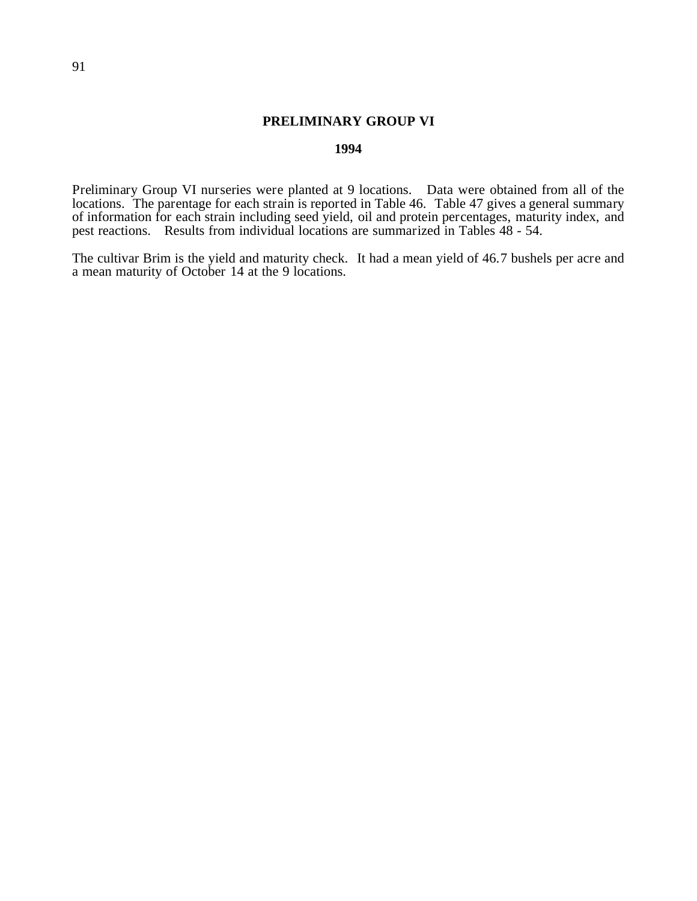# **PRELIMINARY GROUP VI**

## **1994**

Preliminary Group VI nurseries were planted at 9 locations. Data were obtained from all of the locations. The parentage for each strain is reported in Table 46. Table 47 gives a general summary of information for each strain including seed yield, oil and protein percentages, maturity index, and pest reactions. Results from individual locations are summarized in Tables 48 - 54.

The cultivar Brim is the yield and maturity check. It had a mean yield of 46.7 bushels per acre and a mean maturity of October 14 at the 9 locations.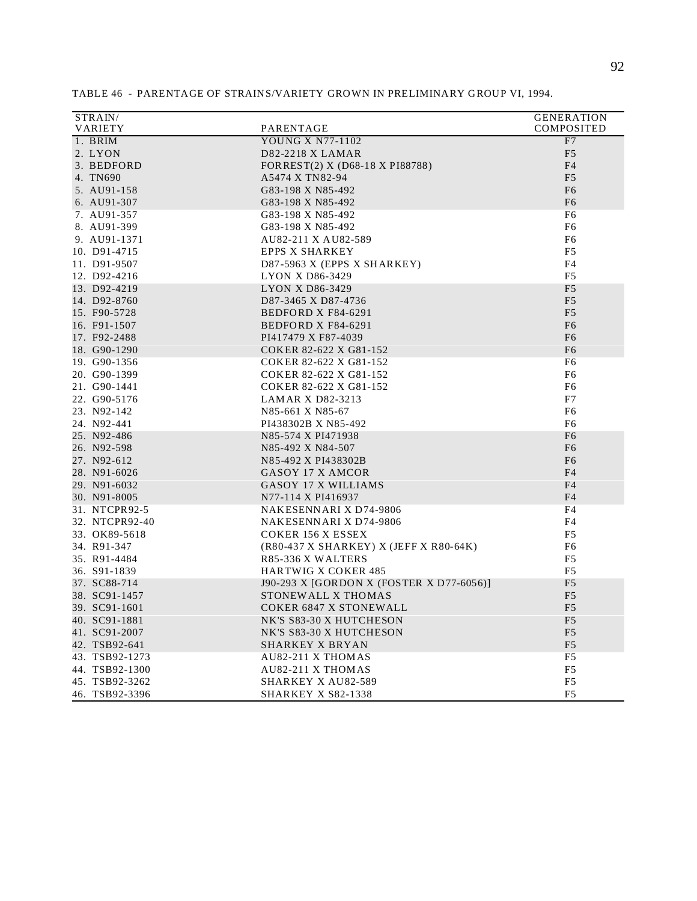| STRAIN/        |                                          | <b>GENERATION</b> |
|----------------|------------------------------------------|-------------------|
| <b>VARIETY</b> | PARENTAGE                                | COMPOSITED        |
| 1. BRIM        | <b>YOUNG X N77-1102</b>                  | F7                |
| 2. LYON        | <b>D82-2218 X LAMAR</b>                  | F <sub>5</sub>    |
| 3. BEDFORD     | FORREST(2) X (D68-18 X PI88788)          | F <sub>4</sub>    |
| 4. TN690       | A5474 X TN82-94                          | F <sub>5</sub>    |
| 5. AU91-158    | G83-198 X N85-492                        | F <sub>6</sub>    |
| 6. AU91-307    | G83-198 X N85-492                        | F <sub>6</sub>    |
| 7. AU91-357    | G83-198 X N85-492                        | F6                |
| 8. AU91-399    | G83-198 X N85-492                        | F <sub>6</sub>    |
| 9. AU91-1371   | AU82-211 X AU82-589                      | F <sub>6</sub>    |
| 10. D91-4715   | <b>EPPS X SHARKEY</b>                    | F <sub>5</sub>    |
| 11. D91-9507   | $D87-5963$ X (EPPS X SHARKEY)            | F <sub>4</sub>    |
| 12. D92-4216   | <b>LYON X D86-3429</b>                   | F <sub>5</sub>    |
| 13. D92-4219   | <b>LYON X D86-3429</b>                   | F <sub>5</sub>    |
| 14. D92-8760   | D87-3465 X D87-4736                      | F <sub>5</sub>    |
| 15. F90-5728   | BEDFORD X F84-6291                       | F <sub>5</sub>    |
| 16. F91-1507   | BEDFORD X F84-6291                       | F <sub>6</sub>    |
| 17. F92-2488   | PI417479 X F87-4039                      | F <sub>6</sub>    |
| 18. G90-1290   | COKER 82-622 X G81-152                   | F <sub>6</sub>    |
| 19. G90-1356   | COKER 82-622 X G81-152                   | F <sub>6</sub>    |
|                |                                          | F <sub>6</sub>    |
| 20. G90-1399   | COKER 82-622 X G81-152                   |                   |
| 21. G90-1441   | COKER 82-622 X G81-152                   | F <sub>6</sub>    |
| 22. G90-5176   | <b>LAMAR X D82-3213</b>                  | F7                |
| 23. N92-142    | N85-661 X N85-67                         | F <sub>6</sub>    |
| 24. N92-441    | PI438302B X N85-492                      | F <sub>6</sub>    |
| 25. N92-486    | N85-574 X PI471938                       | F <sub>6</sub>    |
| 26. N92-598    | N85-492 X N84-507                        | F <sub>6</sub>    |
| 27. N92-612    | N85-492 X PI438302B                      | F <sub>6</sub>    |
| 28. N91-6026   | GASOY 17 X AMCOR                         | F <sub>4</sub>    |
| 29. N91-6032   | GASOY 17 X WILLIAMS                      | F4                |
| 30. N91-8005   | N77-114 X PI416937                       | F <sub>4</sub>    |
| 31. NTCPR92-5  | NAKESENNARI X D74-9806                   | F <sub>4</sub>    |
| 32. NTCPR92-40 | <b>NAKESENNARI X D74-9806</b>            | F <sub>4</sub>    |
| 33. OK89-5618  | <b>COKER 156 X ESSEX</b>                 | F <sub>5</sub>    |
| 34. R91-347    | (R80-437 X SHARKEY) X (JEFF X R80-64K)   | F6                |
| 35. R91-4484   | R85-336 X WALTERS                        | F <sub>5</sub>    |
| 36. S91-1839   | <b>HARTWIG X COKER 485</b>               | F <sub>5</sub>    |
| 37. SC88-714   | J90-293 X [GORDON X (FOSTER X D77-6056)] | F <sub>5</sub>    |
| 38. SC91-1457  | STONEWALL X THOMAS                       | F <sub>5</sub>    |
| 39. SC91-1601  | <b>COKER 6847 X STONEWALL</b>            | F <sub>5</sub>    |
| 40. SC91-1881  | NK'S S83-30 X HUTCHESON                  | F <sub>5</sub>    |
| 41. SC91-2007  | NK'S S83-30 X HUTCHESON                  | F <sub>5</sub>    |
| 42. TSB92-641  | <b>SHARKEY X BRYAN</b>                   | F <sub>5</sub>    |
| 43. TSB92-1273 | <b>AU82-211 X THOMAS</b>                 | F5                |
| 44. TSB92-1300 | <b>AU82-211 X THOMAS</b>                 | F <sub>5</sub>    |
| 45. TSB92-3262 | <b>SHARKEY X AU82-589</b>                | F <sub>5</sub>    |
| 46. TSB92-3396 | <b>SHARKEY X S82-1338</b>                | F <sub>5</sub>    |

TABLE 46 - PARENTAGE OF STRAINS/VARIETY GROWN IN PRELIMINARY GROUP VI, 1994.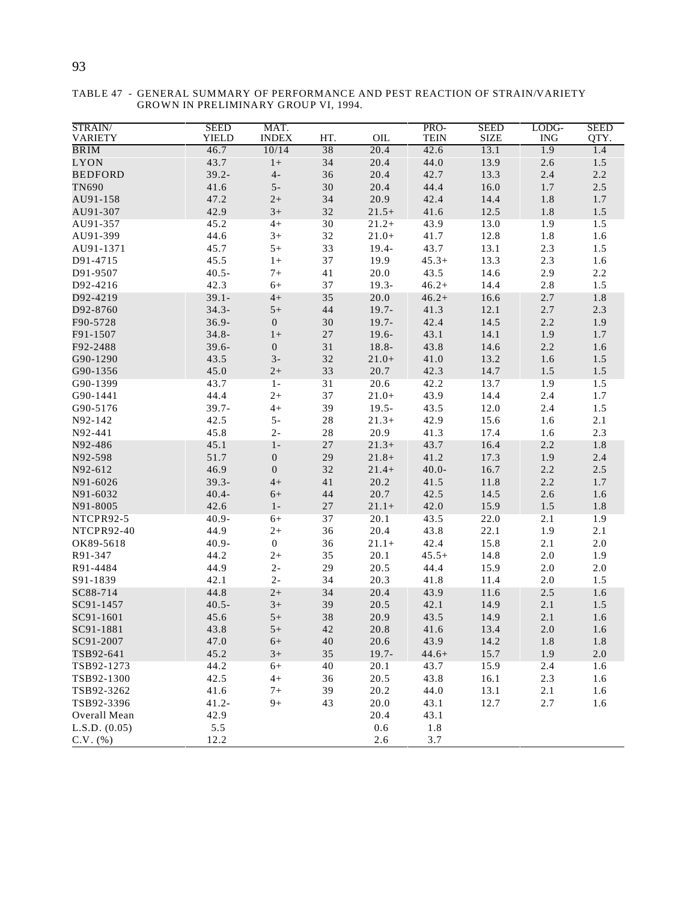| STRAIN/<br><b>VARIETY</b> | <b>SEED</b><br><b>YIELD</b> | MAT.<br><b>INDEX</b> | HT.    | OIL      | PRO-<br><b>TEIN</b> | <b>SEED</b><br><b>SIZE</b> | LODG-<br><b>ING</b> | <b>SEED</b><br>QTY. |
|---------------------------|-----------------------------|----------------------|--------|----------|---------------------|----------------------------|---------------------|---------------------|
| <b>BRIM</b>               | 46.7                        | 10/14                | 38     | 20.4     | 42.6                | 13.1                       | 1.9                 | 1.4                 |
| LYON                      | 43.7                        | $1+$                 | 34     | 20.4     | 44.0                | 13.9                       | 2.6                 | $1.5\,$             |
| <b>BEDFORD</b>            | $39.2 -$                    | $4-$                 | 36     | 20.4     | 42.7                | 13.3                       | 2.4                 | 2.2                 |
| <b>TN690</b>              | 41.6                        | $5-$                 | 30     | 20.4     | 44.4                | 16.0                       | 1.7                 | 2.5                 |
| AU91-158                  | 47.2                        | $2+$                 | 34     | 20.9     | 42.4                | 14.4                       | 1.8                 | 1.7                 |
| AU91-307                  | 42.9                        | $3+$                 | 32     | $21.5+$  | 41.6                | 12.5                       | 1.8                 | 1.5                 |
| AU91-357                  | 45.2                        | $4+$                 | 30     | $21.2+$  | 43.9                | 13.0                       | 1.9                 | 1.5                 |
| AU91-399                  | 44.6                        | $3+$                 | $32\,$ | $21.0+$  | 41.7                | 12.8                       | $1.8\,$             | 1.6                 |
| AU91-1371                 | 45.7                        | $5+$                 | 33     | $19.4 -$ | 43.7                | 13.1                       | 2.3                 | 1.5                 |
| D91-4715                  | 45.5                        | $1+$                 | 37     | 19.9     | $45.3+$             | 13.3                       | 2.3                 | 1.6                 |
| D91-9507                  | $40.5 -$                    | $7+$                 | 41     | 20.0     | 43.5                | 14.6                       | 2.9                 | 2.2                 |
| D92-4216                  | 42.3                        | $6+$                 | 37     | $19.3 -$ | $46.2+$             | 14.4                       | 2.8                 | 1.5                 |
| D92-4219                  | $39.1 -$                    | $4+$                 | 35     | 20.0     | $46.2+$             | 16.6                       | 2.7                 | 1.8                 |
| D92-8760                  | $34.3 -$                    | $5+$                 | $44\,$ | $19.7 -$ | 41.3                | 12.1                       | 2.7                 | 2.3                 |
| F90-5728                  | $36.9 -$                    | $\boldsymbol{0}$     | 30     | $19.7 -$ | 42.4                | 14.5                       | 2.2                 | 1.9                 |
| F91-1507                  | $34.8 -$                    | $1+$                 | 27     | $19.6 -$ | 43.1                | 14.1                       | 1.9                 | 1.7                 |
| F92-2488                  | $39.6 -$                    | $\boldsymbol{0}$     | 31     | 18.8-    | 43.8                | 14.6                       | 2.2                 | 1.6                 |
| G90-1290                  | 43.5                        | $3-$                 | $32\,$ | $21.0+$  | 41.0                | 13.2                       | 1.6                 | 1.5                 |
| G90-1356                  | 45.0                        | $2+$                 | 33     | 20.7     | 42.3                | 14.7                       | 1.5                 | $1.5\,$             |
| G90-1399                  | 43.7                        | $1 -$                | 31     | 20.6     | 42.2                | 13.7                       | 1.9                 | 1.5                 |
| G90-1441                  | 44.4                        | $2+$                 | 37     | $21.0+$  | 43.9                | 14.4                       | 2.4                 | 1.7                 |
| G90-5176                  |                             |                      | 39     |          | 43.5                |                            |                     |                     |
| N92-142                   | $39.7 -$                    | $4+$                 |        | $19.5 -$ |                     | 12.0                       | 2.4                 | 1.5                 |
|                           | 42.5                        | $5-$                 | $28\,$ | $21.3+$  | 42.9                | 15.6                       | 1.6                 | 2.1                 |
| N92-441                   | 45.8                        | $2-$                 | $28\,$ | 20.9     | 41.3                | 17.4                       | 1.6                 | 2.3                 |
| N92-486                   | 45.1                        | $1 -$                | $27\,$ | $21.3+$  | 43.7                | 16.4                       | 2.2                 | 1.8                 |
| N92-598                   | 51.7                        | $\boldsymbol{0}$     | 29     | $21.8+$  | 41.2                | 17.3                       | 1.9                 | 2.4                 |
| N92-612                   | 46.9                        | $\boldsymbol{0}$     | 32     | $21.4+$  | $40.0 -$            | 16.7                       | 2.2                 | $2.5\,$             |
| N91-6026                  | $39.3 -$                    | $4+$                 | 41     | 20.2     | 41.5                | 11.8                       | 2.2                 | 1.7                 |
| N91-6032                  | $40.4 -$                    | $6+$                 | $44\,$ | 20.7     | 42.5                | 14.5                       | 2.6                 | 1.6                 |
| N91-8005                  | 42.6                        | $1-$                 | $27\,$ | $21.1+$  | 42.0                | 15.9                       | 1.5                 | 1.8                 |
| NTCPR92-5                 | $40.9 -$                    | $6+$                 | 37     | 20.1     | 43.5                | 22.0                       | 2.1                 | 1.9                 |
| NTCPR92-40                | 44.9                        | $2+$                 | 36     | 20.4     | 43.8                | 22.1                       | 1.9                 | 2.1                 |
| OK89-5618                 | $40.9 -$                    | $\boldsymbol{0}$     | 36     | $21.1+$  | 42.4                | 15.8                       | 2.1                 | $2.0$               |
| R91-347                   | 44.2                        | $2+$                 | 35     | 20.1     | $45.5+$             | 14.8                       | 2.0                 | 1.9                 |
| R91-4484                  | 44.9                        | $2 -$                | 29     | 20.5     | 44.4                | 15.9                       | 2.0                 | $2.0\,$             |
| S91-1839                  | 42.1                        | $2-$                 | 34     | 20.3     | 41.8                | 11.4                       | 2.0                 | 1.5                 |
| SC88-714                  | 44.8                        | $2+$                 | 34     | 20.4     | 43.9                | 11.6                       | 2.5                 | 1.6                 |
| SC91-1457                 | $40.5 -$                    | $3+$                 | 39     | 20.5     | 42.1                | 14.9                       | 2.1                 | $1.5\,$             |
| SC91-1601                 | 45.6                        | $5+$                 | 38     | 20.9     | 43.5                | 14.9                       | 2.1                 | 1.6                 |
| SC91-1881                 | 43.8                        | $5+$                 | $42\,$ | 20.8     | 41.6                | 13.4                       | 2.0                 | 1.6                 |
| SC91-2007                 | 47.0                        | $6+$                 | 40     | 20.6     | 43.9                | 14.2                       | 1.8                 | 1.8                 |
| TSB92-641                 | 45.2                        | $3+$                 | 35     | $19.7 -$ | $44.6+$             | 15.7                       | 1.9                 | 2.0                 |
| TSB92-1273                | 44.2                        | $6+$                 | 40     | 20.1     | 43.7                | 15.9                       | 2.4                 | 1.6                 |
| TSB92-1300                | 42.5                        | $4+$                 | 36     | 20.5     | 43.8                | 16.1                       | 2.3                 | 1.6                 |
| TSB92-3262                | 41.6                        | $7+$                 | 39     | 20.2     | 44.0                | 13.1                       | 2.1                 | 1.6                 |
| TSB92-3396                | $41.2 -$                    | $9+$                 | 43     | 20.0     | 43.1                | 12.7                       | 2.7                 | 1.6                 |
| Overall Mean              | 42.9                        |                      |        | 20.4     | 43.1                |                            |                     |                     |
| L.S.D. (0.05)             | 5.5                         |                      |        | 0.6      | 1.8                 |                            |                     |                     |
| $C.V.$ $(\% )$            | 12.2                        |                      |        | 2.6      | 3.7                 |                            |                     |                     |

TABLE 47 - GENERAL SUMMARY OF PERFORMANCE AND PEST REACTION OF STRAIN/VARIETY GROWN IN PRELIMINARY GROUP VI, 1994.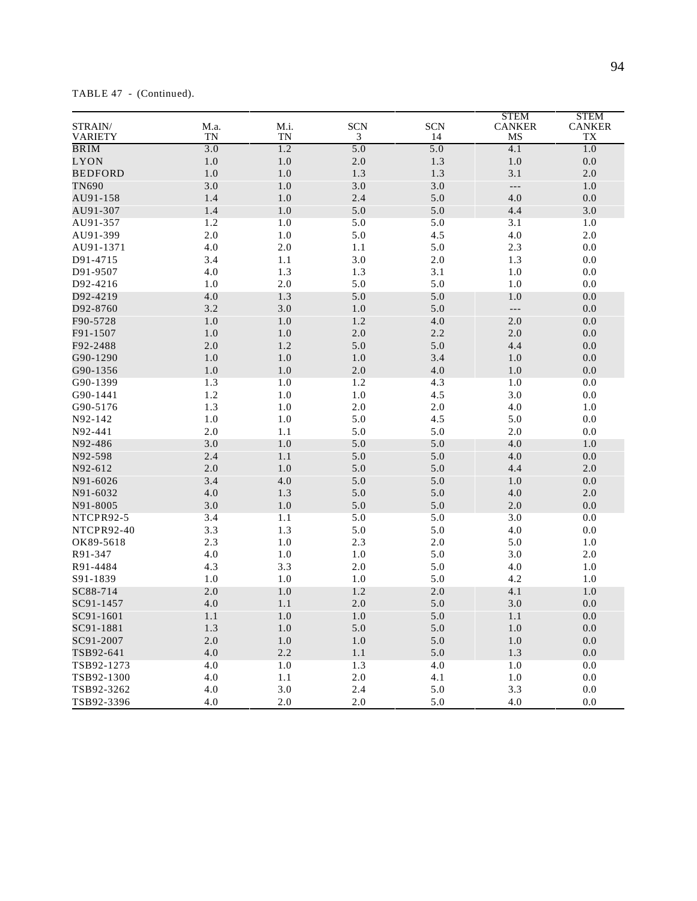| STRAIN/<br><b>VARIETY</b> | M.a.<br><b>TN</b> | M.i.<br><b>TN</b> | <b>SCN</b><br>3 | SCN<br>14 | <b>STEM</b><br><b>CANKER</b><br>MS | <b>STEM</b><br><b>CANKER</b><br>TX |
|---------------------------|-------------------|-------------------|-----------------|-----------|------------------------------------|------------------------------------|
| <b>BRIM</b>               | 3.0               | 1.2               | 5.0             | 5.0       | 4.1                                | 1.0                                |
| LYON                      | 1.0               | 1.0               | 2.0             | 1.3       | 1.0                                | 0.0                                |
| <b>BEDFORD</b>            | $1.0\,$           | 1.0               | 1.3             | 1.3       | 3.1                                | $2.0\,$                            |
| TN690                     | 3.0               | 1.0               | 3.0             | 3.0       | $---$                              | 1.0                                |
| AU91-158                  | 1.4               | 1.0               | 2.4             | 5.0       | 4.0                                | 0.0                                |
| AU91-307                  | 1.4               | 1.0               | 5.0             | 5.0       | 4.4                                | 3.0                                |
| AU91-357                  | 1.2               | 1.0               | 5.0             | 5.0       | 3.1                                | 1.0                                |
| AU91-399                  | 2.0               | 1.0               | 5.0             | 4.5       | 4.0                                | $2.0\,$                            |
| AU91-1371                 | 4.0               | 2.0               | 1.1             | 5.0       | 2.3                                | 0.0                                |
| D91-4715                  | 3.4               | 1.1               | 3.0             | 2.0       | 1.3                                | 0.0                                |
| D91-9507                  | 4.0               | 1.3               | 1.3             | 3.1       | 1.0                                | 0.0                                |
| D92-4216                  | 1.0               | 2.0               | 5.0             | 5.0       | 1.0                                | 0.0                                |
| D92-4219                  | 4.0               | 1.3               | 5.0             | 5.0       | 1.0                                | 0.0                                |
| D92-8760                  | 3.2               | 3.0               | 1.0             | 5.0       | $---$                              | 0.0                                |
| F90-5728                  | $1.0\,$           | 1.0               | 1.2             | 4.0       | 2.0                                | 0.0                                |
| F91-1507                  | $1.0\,$           | 1.0               | $2.0\,$         | 2.2       | 2.0                                | 0.0                                |
| F92-2488                  | $2.0$             | 1.2               | 5.0             | 5.0       | 4.4                                | 0.0                                |
| G90-1290                  | 1.0               | 1.0               | 1.0             | 3.4       | 1.0                                | 0.0                                |
| G90-1356                  | $1.0\,$           | 1.0               | 2.0             | 4.0       | 1.0                                | 0.0                                |
| G90-1399                  | 1.3               | 1.0               | 1.2             | 4.3       | 1.0                                | 0.0                                |
| G90-1441                  | 1.2               | 1.0               | $1.0\,$         | 4.5       | 3.0                                | 0.0                                |
| G90-5176                  | 1.3               | 1.0               | $2.0\,$         | 2.0       | 4.0                                | 1.0                                |
| N92-142                   | 1.0               | 1.0               | 5.0             | 4.5       | 5.0                                | 0.0                                |
| N92-441                   | $2.0$             | 1.1               | 5.0             | 5.0       | 2.0                                | 0.0                                |
| N92-486                   | 3.0               | 1.0               | 5.0             | 5.0       | 4.0                                | 1.0                                |
| N92-598                   | 2.4               | 1.1               | 5.0             | 5.0       | 4.0                                | 0.0                                |
| N92-612                   | $2.0$             | 1.0               | 5.0             | 5.0       | 4.4                                | $2.0\,$                            |
| N91-6026                  | 3.4               | 4.0               | 5.0             | 5.0       | 1.0                                | 0.0                                |
| N91-6032                  | 4.0               | 1.3               | 5.0             | 5.0       | 4.0                                | 2.0                                |
| N91-8005                  | 3.0               | 1.0               | 5.0             | 5.0       | $2.0$                              | $0.0\,$                            |
| NTCPR92-5                 | 3.4               | 1.1               | 5.0             | 5.0       | 3.0                                | 0.0                                |
| NTCPR92-40                | 3.3               | 1.3               | 5.0             | 5.0       | 4.0                                | $0.0\,$                            |
| OK89-5618                 | 2.3               | 1.0               | 2.3             | 2.0       | 5.0                                | 1.0                                |
| R91-347                   | 4.0               | 1.0               | 1.0             | 5.0       | 3.0                                | 2.0                                |
| R91-4484                  | 4.3               | 3.3               | $2.0\,$         | 5.0       | 4.0                                | 1.0                                |
| S91-1839                  | $1.0\,$           | 1.0               | $1.0\,$         | 5.0       | 4.2                                | 1.0                                |
| SC88-714                  | 2.0               | 1.0               | 1.2             | 2.0       | 4.1                                | 1.0                                |
| SC91-1457                 | 4.0               | 1.1               | 2.0             | 5.0       | 3.0                                | 0.0                                |
| SC91-1601                 | 1.1               | 1.0               | 1.0             | 5.0       | 1.1                                | $0.0\,$                            |
| SC91-1881                 | 1.3               | 1.0               | $5.0\,$         | 5.0       | 1.0                                | $0.0\,$                            |
| SC91-2007                 | 2.0               | $1.0\,$           | $1.0\,$         | 5.0       | 1.0                                | $0.0\,$                            |
| TSB92-641                 | $4.0\,$           | 2.2               | 1.1             | 5.0       | 1.3                                | $0.0\,$                            |
| TSB92-1273                | 4.0               | 1.0               | 1.3             | 4.0       | 1.0                                | 0.0                                |
| TSB92-1300                | 4.0               | 1.1               | $2.0\,$         | 4.1       | 1.0                                | 0.0                                |
| TSB92-3262                | $4.0\,$           | $3.0\,$           | 2.4             | 5.0       | 3.3                                | $0.0\,$                            |
| TSB92-3396                | 4.0               | $2.0\,$           | $2.0\,$         | $5.0\,$   | 4.0                                | 0.0                                |

TABLE 47 - (Continued).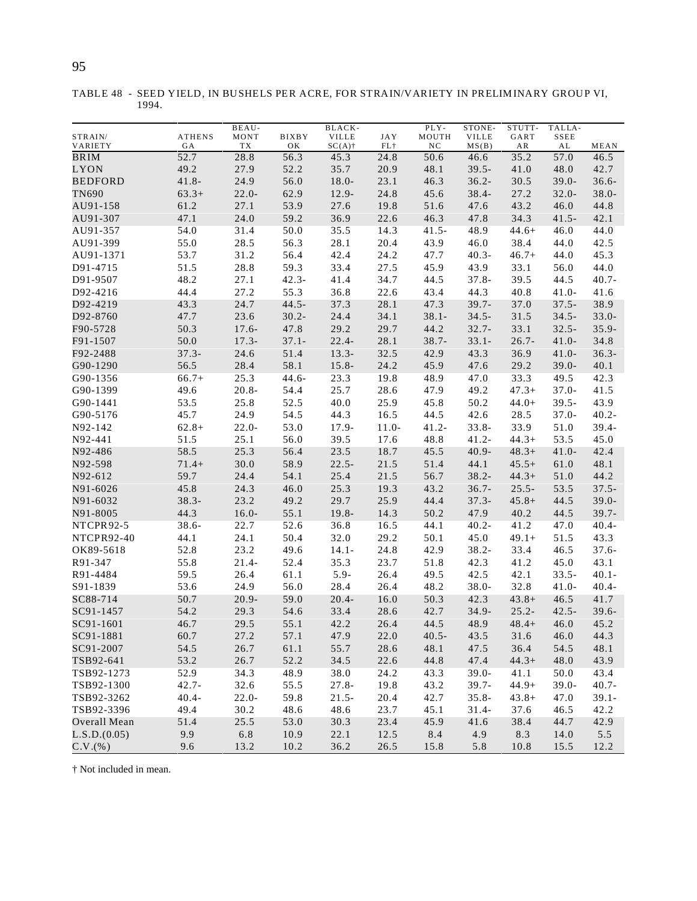|                    |                     | BEAU-      |                    | BLACK-                    |                      | PLY-        | STONE-                | STUTT-     | TALLA-     |          |
|--------------------|---------------------|------------|--------------------|---------------------------|----------------------|-------------|-----------------------|------------|------------|----------|
| STRAIN/<br>VARIETY | <b>ATHENS</b><br>GA | MONT<br>TX | <b>BIXBY</b><br>OK | <b>VILLE</b><br>$SC(A)$ † | <b>JAY</b><br>$FL$ † | MOUTH<br>NC | <b>VILLE</b><br>MS(B) | GART<br>AR | SSEE<br>AL | MEAN     |
| BRIM               | 52.7                | 28.8       | 56.3               | 45.3                      | 24.8                 | 50.6        | 46.6                  | 35.2       | 57.0       | 46.5     |
| LYON               | 49.2                | 27.9       | 52.2               | 35.7                      | 20.9                 | 48.1        | $39.5 -$              | 41.0       | 48.0       | 42.7     |
| <b>BEDFORD</b>     | $41.8 -$            | 24.9       | 56.0               | $18.0 -$                  | 23.1                 | 46.3        | $36.2 -$              | 30.5       | $39.0 -$   | $36.6 -$ |
| TN690              | $63.3+$             | $22.0 -$   | 62.9               | 12.9-                     | 24.8                 | 45.6        | $38.4 -$              | 27.2       | $32.0 -$   | $38.0 -$ |
| AU91-158           | 61.2                | 27.1       | 53.9               | 27.6                      | 19.8                 | 51.6        | 47.6                  | 43.2       | 46.0       | 44.8     |
| AU91-307           | 47.1                | 24.0       | 59.2               | 36.9                      | 22.6                 | 46.3        | 47.8                  | 34.3       | 41.5-      | 42.1     |
| AU91-357           | 54.0                | 31.4       | 50.0               | 35.5                      | 14.3                 | $41.5 -$    | 48.9                  | $44.6+$    | 46.0       | 44.0     |
| AU91-399           | 55.0                | 28.5       | 56.3               | 28.1                      | 20.4                 | 43.9        | 46.0                  | 38.4       | 44.0       | 42.5     |
| AU91-1371          | 53.7                | 31.2       | 56.4               | 42.4                      | 24.2                 | 47.7        | $40.3 -$              | $46.7+$    | 44.0       | 45.3     |
| D91-4715           | 51.5                | 28.8       | 59.3               | 33.4                      | 27.5                 | 45.9        | 43.9                  | 33.1       | 56.0       | 44.0     |
| D91-9507           | 48.2                | 27.1       | $42.3 -$           | 41.4                      | 34.7                 | 44.5        | $37.8 -$              | 39.5       | 44.5       | $40.7 -$ |
| D92-4216           | 44.4                | 27.2       | 55.3               | 36.8                      | 22.6                 | 43.4        | 44.3                  | 40.8       | $41.0 -$   | 41.6     |
| D92-4219           | 43.3                | 24.7       | $44.5 -$           | 37.3                      | 28.1                 | 47.3        | $39.7 -$              | 37.0       | $37.5 -$   | 38.9     |
| D92-8760           | 47.7                | 23.6       | $30.2 -$           | 24.4                      | 34.1                 | $38.1 -$    | $34.5 -$              | 31.5       | $34.5 -$   | $33.0 -$ |
| F90-5728           | 50.3                | $17.6 -$   | 47.8               | 29.2                      | 29.7                 | 44.2        | $32.7 -$              | 33.1       | $32.5 -$   | $35.9 -$ |
| F91-1507           | 50.0                | $17.3-$    | $37.1 -$           | $22.4 -$                  | 28.1                 | $38.7 -$    | $33.1 -$              | $26.7 -$   | $41.0 -$   | 34.8     |
| F92-2488           | $37.3 -$            | 24.6       | 51.4               | $13.3-$                   | 32.5                 | 42.9        | 43.3                  | 36.9       | $41.0 -$   | $36.3 -$ |
| G90-1290           | 56.5                | 28.4       | 58.1               | $15.8 -$                  | 24.2                 | 45.9        | 47.6                  | 29.2       | $39.0 -$   | 40.1     |
| G90-1356           | $66.7+$             | 25.3       | $44.6 -$           | 23.3                      | 19.8                 | 48.9        | 47.0                  | 33.3       | 49.5       | 42.3     |
| G90-1399           | 49.6                | $20.8 -$   | 54.4               | 25.7                      | 28.6                 | 47.9        | 49.2                  | $47.3+$    | $37.0 -$   | 41.5     |
| G90-1441           | 53.5                | 25.8       | 52.5               | 40.0                      | 25.9                 | 45.8        | 50.2                  | $44.0+$    | $39.5 -$   | 43.9     |
| G90-5176           | 45.7                | 24.9       | 54.5               | 44.3                      | 16.5                 | 44.5        | 42.6                  | 28.5       | $37.0 -$   | $40.2 -$ |
| N92-142            | $62.8+$             | $22.0 -$   | 53.0               | $17.9 -$                  | $11.0-$              | $41.2 -$    | $33.8 -$              | 33.9       | 51.0       | $39.4 -$ |
| N92-441            | 51.5                | 25.1       | 56.0               | 39.5                      | 17.6                 | 48.8        | $41.2 -$              | $44.3+$    | 53.5       | 45.0     |
| N92-486            | 58.5                | 25.3       | 56.4               | 23.5                      | 18.7                 | 45.5        | $40.9 -$              | $48.3+$    | $41.0 -$   | 42.4     |
| N92-598            | $71.4+$             | 30.0       | 58.9               | $22.5 -$                  | 21.5                 | 51.4        | 44.1                  | $45.5+$    | 61.0       | 48.1     |
| N92-612            | 59.7                | 24.4       | 54.1               | 25.4                      | 21.5                 | 56.7        | $38.2 -$              | $44.3+$    | 51.0       | 44.2     |
| N91-6026           | 45.8                | 24.3       | 46.0               | 25.3                      | 19.3                 | 43.2        | $36.7 -$              | $25.5 -$   | 53.5       | $37.5 -$ |
| N91-6032           | $38.3 -$            | 23.2       | 49.2               | 29.7                      | 25.9                 | 44.4        | $37.3 -$              | $45.8+$    | 44.5       | $39.0 -$ |
| N91-8005           | 44.3                | $16.0 -$   | 55.1               | 19.8-                     | 14.3                 | 50.2        | 47.9                  | 40.2       | 44.5       | $39.7 -$ |
| NTCPR92-5          | $38.6 -$            | 22.7       | 52.6               | 36.8                      | 16.5                 | 44.1        | $40.2 -$              | 41.2       | 47.0       | $40.4 -$ |
| NTCPR92-40         | 44.1                | 24.1       | 50.4               | 32.0                      | 29.2                 | 50.1        | 45.0                  | $49.1+$    | 51.5       | 43.3     |
| OK89-5618          | 52.8                | 23.2       | 49.6               | $14.1 -$                  | 24.8                 | 42.9        | $38.2 -$              | 33.4       | 46.5       | $37.6 -$ |
| R91-347            | 55.8                | $21.4-$    | 52.4               | 35.3                      | 23.7                 | 51.8        | 42.3                  | 41.2       | 45.0       | 43.1     |
| R91-4484           | 59.5                | 26.4       | 61.1               | $5.9 -$                   | 26.4                 | 49.5        | 42.5                  | 42.1       | $33.5 -$   | $40.1 -$ |
| S91-1839           | 53.6                | 24.9       | 56.0               | 28.4                      | 26.4                 | 48.2        | 38.0-                 | 32.8       | 41.0-      | $40.4 -$ |
| SC88-714           | 50.7                | $20.9 -$   | 59.0               | $20.4 -$                  | 16.0                 | 50.3        | 42.3                  | $43.8+$    | 46.5       | 41.7     |
| SC91-1457          | 54.2                | 29.3       | 54.6               | 33.4                      | 28.6                 | 42.7        | 34.9-                 | $25.2 -$   | $42.5 -$   | $39.6 -$ |
| SC91-1601          | 46.7                | 29.5       | 55.1               | 42.2                      | 26.4                 | 44.5        | 48.9                  | $48.4+$    | 46.0       | 45.2     |
| SC91-1881          | 60.7                | 27.2       | 57.1               | 47.9                      | 22.0                 | $40.5 -$    | 43.5                  | 31.6       | 46.0       | 44.3     |
| SC91-2007          | 54.5                | 26.7       | 61.1               | 55.7                      | 28.6                 | 48.1        | 47.5                  | 36.4       | 54.5       | 48.1     |
| TSB92-641          | 53.2                | 26.7       | 52.2               | 34.5                      | 22.6                 | 44.8        | 47.4                  | $44.3+$    | 48.0       | 43.9     |
| TSB92-1273         | 52.9                | 34.3       | 48.9               | 38.0                      | 24.2                 | 43.3        | $39.0 -$              | 41.1       | 50.0       | 43.4     |
| TSB92-1300         | $42.7 -$            | 32.6       | 55.5               | $27.8 -$                  | 19.8                 | 43.2        | $39.7 -$              | $44.9+$    | $39.0 -$   | $40.7 -$ |
| TSB92-3262         | $40.4 -$            | $22.0 -$   | 59.8               | $21.5 -$                  | 20.4                 | 42.7        | $35.8 -$              | $43.8+$    | 47.0       | $39.1 -$ |
| TSB92-3396         | 49.4                | 30.2       | 48.6               | 48.6                      | 23.7                 | 45.1        | $31.4-$               | 37.6       | 46.5       | 42.2     |
| Overall Mean       | 51.4                | 25.5       | 53.0               | 30.3                      | 23.4                 | 45.9        | 41.6                  | 38.4       | 44.7       | 42.9     |
| L.S.D.(0.05)       | 9.9                 | 6.8        | 10.9               | 22.1                      | 12.5                 | 8.4         | 4.9                   | 8.3        | 14.0       | 5.5      |

C.V.(%) 9.6 13.2 10.2 36.2 26.5 15.8 5.8 10.8 15.5 12.2

TABLE 48 - SEED YIELD, IN BUSHELS PER ACRE, FOR STRAIN/VARIETY IN PRELIMINARY GROUP VI, 1994.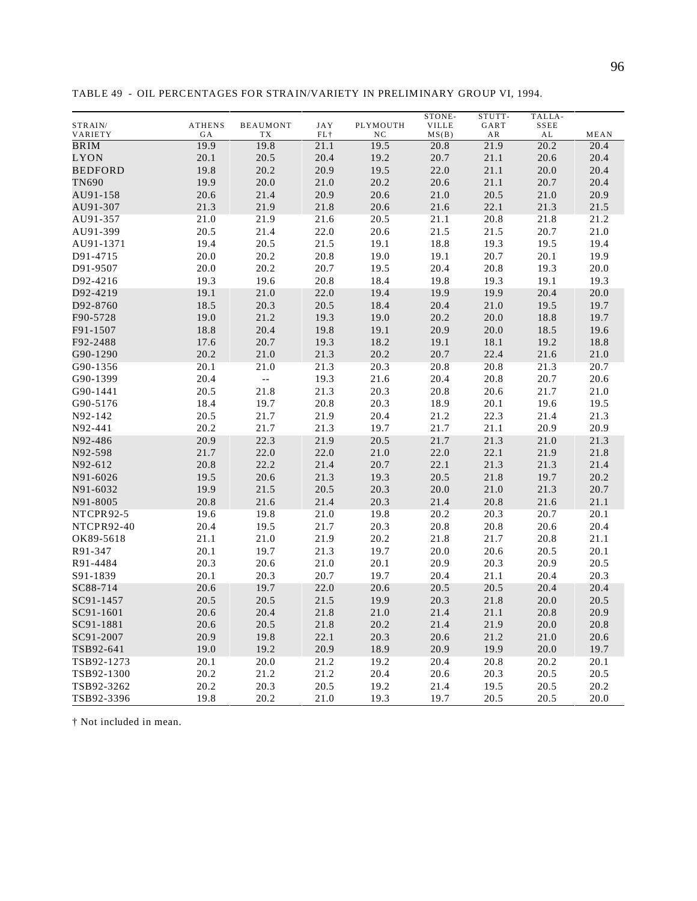|  |  | 96 |
|--|--|----|
|  |  |    |
|  |  |    |

|                      |               |                          |              |              | STONE-       | STUTT- | TALLA-       |              |
|----------------------|---------------|--------------------------|--------------|--------------|--------------|--------|--------------|--------------|
| STRAIN/              | <b>ATHENS</b> | <b>BEAUMONT</b>          | <b>JAY</b>   | PLYMOUTH     | <b>VILLE</b> | GART   | SSEE         |              |
| VARIETY              | GA            | TХ                       | FL+          | NC           | MS(B)        | AR     | AL           | MEAN         |
| <b>BRIM</b>          | 19.9          | 19.8                     | 21.1         | 19.5         | 20.8         | 21.9   | 20.2         | 20.4         |
| LYON                 | 20.1          | 20.5                     | 20.4         | 19.2         | 20.7         | 21.1   | 20.6         | 20.4         |
| <b>BEDFORD</b>       | 19.8          | 20.2                     | 20.9         | 19.5         | 22.0         | 21.1   | 20.0         | 20.4         |
| TN690                | 19.9          | 20.0                     | 21.0         | 20.2         | 20.6         | 21.1   | 20.7         | 20.4         |
| AU91-158             | 20.6          | 21.4                     | 20.9         | 20.6         | 21.0         | 20.5   | 21.0         | 20.9         |
| AU91-307             | 21.3          | 21.9                     | 21.8         | 20.6         | 21.6         | 22.1   | 21.3         | 21.5         |
| AU91-357             | 21.0          | 21.9                     | 21.6         | 20.5         | 21.1         | 20.8   | 21.8         | 21.2         |
| AU91-399             | 20.5          | 21.4                     | 22.0         | 20.6         | 21.5         | 21.5   | 20.7         | 21.0         |
| AU91-1371            | 19.4          | 20.5                     | 21.5         | 19.1         | 18.8         | 19.3   | 19.5         | 19.4         |
| D91-4715             | 20.0          | 20.2                     | 20.8         | 19.0         | 19.1         | 20.7   | 20.1         | 19.9         |
| D91-9507             | 20.0          | 20.2                     | 20.7         | 19.5         | 20.4         | 20.8   | 19.3         | 20.0         |
| D92-4216             | 19.3          | 19.6                     | 20.8         | 18.4         | 19.8         | 19.3   | 19.1         | 19.3         |
| D92-4219             | 19.1          | 21.0                     | 22.0         | 19.4         | 19.9         | 19.9   | 20.4         | 20.0         |
| D92-8760             | 18.5          | 20.3                     | 20.5         | 18.4         | 20.4         | 21.0   | 19.5         | 19.7         |
| F90-5728             | 19.0          | 21.2                     | 19.3         | 19.0         | 20.2         | 20.0   | 18.8         | 19.7         |
| F91-1507             | 18.8          | 20.4                     | 19.8         | 19.1         | 20.9         | 20.0   | 18.5         | 19.6         |
| F92-2488             | 17.6          | 20.7                     | 19.3         | 18.2         | 19.1         | 18.1   | 19.2         | 18.8         |
| G90-1290             | 20.2          | 21.0                     | 21.3         | 20.2         | 20.7         | 22.4   | 21.6         | 21.0         |
| G90-1356             | 20.1          | 21.0                     | 21.3         | 20.3         | 20.8         | 20.8   | 21.3         | 20.7         |
| G90-1399             | 20.4          | $\overline{\phantom{a}}$ | 19.3         | 21.6         | 20.4         | 20.8   | 20.7         | 20.6         |
| G90-1441             | 20.5          | 21.8                     | 21.3         | 20.3         | 20.8         | 20.6   | 21.7         | 21.0         |
| G90-5176             | 18.4          | 19.7                     | 20.8         | 20.3         | 18.9         | 20.1   | 19.6         | 19.5         |
| N92-142              | 20.5          | 21.7                     | 21.9         | 20.4         | 21.2         | 22.3   | 21.4         | 21.3         |
| N92-441              | 20.2          | 21.7                     | 21.3         | 19.7         | 21.7         | 21.1   | 20.9         | 20.9         |
| N92-486              | 20.9          | 22.3                     | 21.9         | 20.5         | 21.7         | 21.3   | 21.0         | 21.3         |
| N92-598              | 21.7          | 22.0                     | 22.0         | 21.0         | 22.0         | 22.1   | 21.9         | 21.8         |
| N92-612              | 20.8          | 22.2                     | 21.4         | 20.7         | 22.1         | 21.3   | 21.3         | 21.4         |
| N91-6026             | 19.5          | 20.6                     | 21.3         | 19.3         | 20.5         | 21.8   | 19.7         | 20.2         |
| N91-6032             | 19.9          | 21.5                     | 20.5         | 20.3         | 20.0         | 21.0   | 21.3         | 20.7         |
| N91-8005             | 20.8          | 21.6                     | 21.4         | 20.3         | 21.4         | 20.8   | 21.6         | 21.1         |
| NTCPR92-5            | 19.6          | 19.8                     | 21.0         | 19.8         | 20.2         | 20.3   | 20.7         | 20.1         |
| NTCPR92-40           | 20.4          |                          |              | 20.3         |              |        |              | 20.4         |
|                      | 21.1          | 19.5<br>21.0             | 21.7<br>21.9 |              | 20.8         | 20.8   | 20.6         |              |
| OK89-5618<br>R91-347 | 20.1          | 19.7                     | 21.3         | 20.2<br>19.7 | 21.8         | 21.7   | 20.8<br>20.5 | 21.1<br>20.1 |
|                      |               |                          |              |              | 20.0         | 20.6   |              |              |
| R91-4484             | 20.3          | 20.6                     | 21.0         | 20.1         | 20.9         | 20.3   | 20.9         | 20.5         |
| S91-1839             | 20.1          | 20.3                     | 20.7         | 19.7         | 20.4         | 21.1   | 20.4         | 20.3         |
| SC88-714             | 20.6          | 19.7                     | 22.0         | 20.6         | 20.5         | 20.5   | 20.4         | 20.4         |
| SC91-1457            | 20.5          | 20.5                     | 21.5         | 19.9         | 20.3         | 21.8   | 20.0         | 20.5         |
| SC91-1601            | 20.6          | 20.4                     | 21.8         | 21.0         | 21.4         | 21.1   | 20.8         | 20.9         |
| SC91-1881            | 20.6          | 20.5                     | 21.8         | 20.2         | 21.4         | 21.9   | 20.0         | 20.8         |
| SC91-2007            | 20.9          | 19.8                     | 22.1         | 20.3         | 20.6         | 21.2   | $21.0\,$     | 20.6         |
| TSB92-641            | 19.0          | 19.2                     | 20.9         | 18.9         | 20.9         | 19.9   | $20.0\,$     | 19.7         |
| TSB92-1273           | 20.1          | 20.0                     | 21.2         | 19.2         | 20.4         | 20.8   | 20.2         | 20.1         |
| TSB92-1300           | 20.2          | 21.2                     | 21.2         | 20.4         | 20.6         | 20.3   | 20.5         | 20.5         |
| TSB92-3262           | 20.2          | 20.3                     | 20.5         | 19.2         | 21.4         | 19.5   | 20.5         | 20.2         |
| TSB92-3396           | 19.8          | 20.2                     | 21.0         | 19.3         | 19.7         | 20.5   | 20.5         | 20.0         |

TABLE 49 - OIL PERCENTAGES FOR STRAIN/VARIETY IN PRELIMINARY GROUP VI, 1994.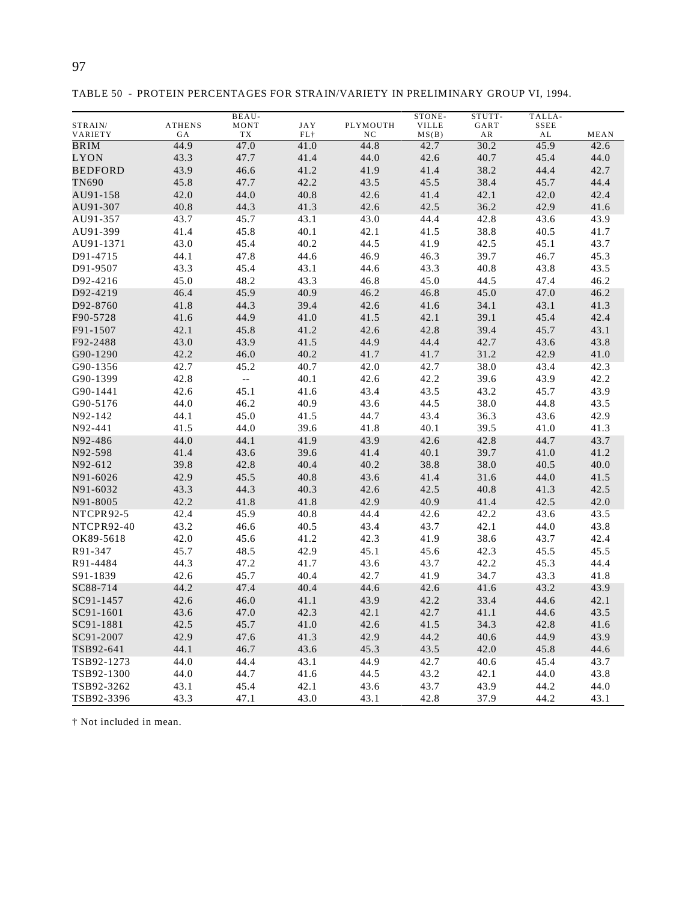| ×<br>¢<br>ī<br>I<br>۰, |  |
|------------------------|--|

TABLE 50 - PROTEIN PERCENTAGES FOR STRAIN/VARIETY IN PRELIMINARY GROUP VI, 1994.

|                |               | <b>BEAU-</b>                                  |            |          | STONE-       | STUTT- | TALLA-          |      |
|----------------|---------------|-----------------------------------------------|------------|----------|--------------|--------|-----------------|------|
| STRAIN/        | <b>ATHENS</b> | MONT                                          | <b>JAY</b> | PLYMOUTH | <b>VILLE</b> | GART   | $\texttt{SSEE}$ |      |
| VARIETY        | GА            | TX                                            | $FL+$      | NC       | MS(B)        | AR     | AL              | MEAN |
| BRIM           | 44.9          | 47.0                                          | 41.0       | 44.8     | 42.7         | 30.2   | 45.9            | 42.6 |
| LYON           | 43.3          | 47.7                                          | 41.4       | 44.0     | 42.6         | 40.7   | 45.4            | 44.0 |
| <b>BEDFORD</b> | 43.9          | 46.6                                          | 41.2       | 41.9     | 41.4         | 38.2   | 44.4            | 42.7 |
| TN690          | 45.8          | 47.7                                          | 42.2       | 43.5     | 45.5         | 38.4   | 45.7            | 44.4 |
| AU91-158       | 42.0          | 44.0                                          | 40.8       | 42.6     | 41.4         | 42.1   | 42.0            | 42.4 |
| AU91-307       | 40.8          | 44.3                                          | 41.3       | 42.6     | 42.5         | 36.2   | 42.9            | 41.6 |
| AU91-357       | 43.7          | 45.7                                          | 43.1       | 43.0     | 44.4         | 42.8   | 43.6            | 43.9 |
| AU91-399       | 41.4          | 45.8                                          | 40.1       | 42.1     | 41.5         | 38.8   | 40.5            | 41.7 |
| AU91-1371      | 43.0          | 45.4                                          | 40.2       | 44.5     | 41.9         | 42.5   | 45.1            | 43.7 |
| D91-4715       | 44.1          | 47.8                                          | 44.6       | 46.9     | 46.3         | 39.7   | 46.7            | 45.3 |
| D91-9507       | 43.3          | 45.4                                          | 43.1       | 44.6     | 43.3         | 40.8   | 43.8            | 43.5 |
| D92-4216       | 45.0          | 48.2                                          | 43.3       | 46.8     | 45.0         | 44.5   | 47.4            | 46.2 |
| D92-4219       | 46.4          | 45.9                                          | 40.9       | 46.2     | 46.8         | 45.0   | 47.0            | 46.2 |
| D92-8760       | 41.8          | 44.3                                          | 39.4       | 42.6     | 41.6         | 34.1   | 43.1            | 41.3 |
| F90-5728       | 41.6          | 44.9                                          | 41.0       | 41.5     | 42.1         | 39.1   | 45.4            | 42.4 |
| F91-1507       | 42.1          | 45.8                                          | 41.2       | 42.6     | 42.8         | 39.4   | 45.7            | 43.1 |
| F92-2488       | 43.0          | 43.9                                          | 41.5       | 44.9     | 44.4         | 42.7   | 43.6            | 43.8 |
| G90-1290       | 42.2          | 46.0                                          | 40.2       | 41.7     | 41.7         | 31.2   | 42.9            | 41.0 |
| G90-1356       | 42.7          | 45.2                                          | 40.7       | 42.0     | 42.7         | 38.0   | 43.4            | 42.3 |
| G90-1399       | 42.8          | $\mathord{\hspace{1pt}\text{--}\hspace{1pt}}$ | 40.1       | 42.6     | 42.2         | 39.6   | 43.9            | 42.2 |
| G90-1441       | 42.6          | 45.1                                          | 41.6       | 43.4     | 43.5         | 43.2   | 45.7            | 43.9 |
| G90-5176       | 44.0          | 46.2                                          | 40.9       | 43.6     | 44.5         | 38.0   | 44.8            | 43.5 |
| N92-142        | 44.1          | 45.0                                          | 41.5       | 44.7     | 43.4         | 36.3   | 43.6            | 42.9 |
| N92-441        | 41.5          | 44.0                                          | 39.6       | 41.8     | 40.1         | 39.5   | 41.0            | 41.3 |
| N92-486        | 44.0          | 44.1                                          | 41.9       | 43.9     | 42.6         | 42.8   | 44.7            | 43.7 |
| N92-598        | 41.4          | 43.6                                          | 39.6       | 41.4     | 40.1         | 39.7   | 41.0            | 41.2 |
| N92-612        | 39.8          | 42.8                                          | 40.4       | 40.2     | 38.8         | 38.0   | 40.5            | 40.0 |
| N91-6026       | 42.9          | 45.5                                          | 40.8       | 43.6     | 41.4         | 31.6   | 44.0            | 41.5 |
| N91-6032       | 43.3          | 44.3                                          | 40.3       | 42.6     | 42.5         | 40.8   | 41.3            | 42.5 |
| N91-8005       | 42.2          | 41.8                                          | 41.8       | 42.9     | 40.9         | 41.4   | 42.5            | 42.0 |
| NTCPR92-5      | 42.4          | 45.9                                          | 40.8       | 44.4     | 42.6         | 42.2   | 43.6            | 43.5 |
| NTCPR92-40     | 43.2          | 46.6                                          | 40.5       | 43.4     | 43.7         | 42.1   | 44.0            | 43.8 |
| OK89-5618      | 42.0          | 45.6                                          | 41.2       | 42.3     | 41.9         | 38.6   | 43.7            | 42.4 |
| R91-347        | 45.7          | 48.5                                          | 42.9       | 45.1     | 45.6         | 42.3   | 45.5            | 45.5 |
| R91-4484       | 44.3          | 47.2                                          | 41.7       | 43.6     | 43.7         | 42.2   | 45.3            | 44.4 |
| S91-1839       | 42.6          | 45.7                                          | 40.4       | 42.7     | 41.9         | 34.7   | 43.3            | 41.8 |
| SC88-714       | 44.2          | 47.4                                          | 40.4       | 44.6     | 42.6         | 41.6   | 43.2            | 43.9 |
| SC91-1457      | 42.6          | 46.0                                          | 41.1       | 43.9     | 42.2         | 33.4   | 44.6            | 42.1 |
| SC91-1601      | 43.6          | 47.0                                          | 42.3       | 42.1     | 42.7         | 41.1   | 44.6            | 43.5 |
| SC91-1881      | 42.5          | 45.7                                          | 41.0       | 42.6     | 41.5         | 34.3   | 42.8            | 41.6 |
| SC91-2007      | 42.9          | 47.6                                          | 41.3       | 42.9     | 44.2         | 40.6   | 44.9            | 43.9 |
| TSB92-641      | 44.1          | 46.7                                          | 43.6       | 45.3     | 43.5         | 42.0   | 45.8            | 44.6 |
| TSB92-1273     | 44.0          | 44.4                                          | 43.1       | 44.9     | 42.7         | 40.6   | 45.4            | 43.7 |
| TSB92-1300     | 44.0          | 44.7                                          | 41.6       | 44.5     | 43.2         | 42.1   | 44.0            | 43.8 |
| TSB92-3262     | 43.1          | 45.4                                          | 42.1       | 43.6     | 43.7         | 43.9   | 44.2            | 44.0 |
| TSB92-3396     | 43.3          | 47.1                                          | 43.0       | 43.1     | 42.8         | 37.9   | 44.2            | 43.1 |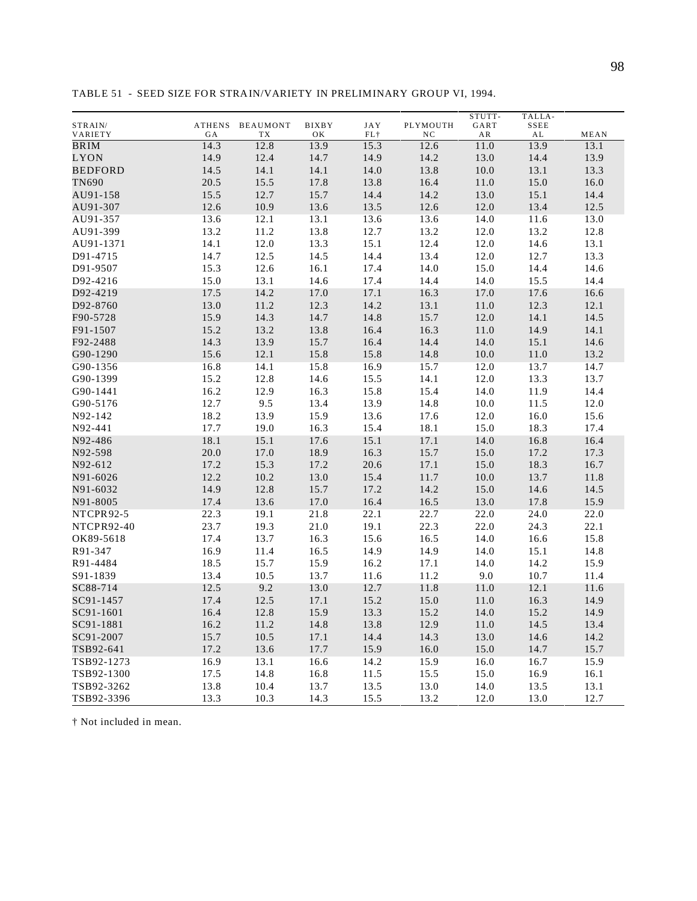|                          |        |                 |              |            |          | STUTT- | TALLA- |      |
|--------------------------|--------|-----------------|--------------|------------|----------|--------|--------|------|
| STRAIN/                  | ATHENS | <b>BEAUMONT</b> | <b>BIXBY</b> | <b>JAY</b> | PLYMOUTH | GART   | SSEE   |      |
| VARIETY                  | GА     | TX              | OΚ           | $FL$ †     | NC       | AR     | AL     | MEAN |
| $\overline{\text{BRIM}}$ | 14.3   | 12.8            | 13.9         | 15.3       | 12.6     | 11.0   | 13.9   | 13.1 |
| LYON                     | 14.9   | 12.4            | 14.7         | 14.9       | 14.2     | 13.0   | 14.4   | 13.9 |
| <b>BEDFORD</b>           | 14.5   | 14.1            | 14.1         | 14.0       | 13.8     | 10.0   | 13.1   | 13.3 |
| TN690                    | 20.5   | 15.5            | 17.8         | 13.8       | 16.4     | 11.0   | 15.0   | 16.0 |
| AU91-158                 | 15.5   | 12.7            | 15.7         | 14.4       | 14.2     | 13.0   | 15.1   | 14.4 |
| AU91-307                 | 12.6   | 10.9            | 13.6         | 13.5       | 12.6     | 12.0   | 13.4   | 12.5 |
| AU91-357                 | 13.6   | 12.1            | 13.1         | 13.6       | 13.6     | 14.0   | 11.6   | 13.0 |
| AU91-399                 | 13.2   | 11.2            | 13.8         | 12.7       | 13.2     | 12.0   | 13.2   | 12.8 |
| AU91-1371                | 14.1   | 12.0            | 13.3         | 15.1       | 12.4     | 12.0   | 14.6   | 13.1 |
| D91-4715                 | 14.7   | 12.5            | 14.5         | 14.4       | 13.4     | 12.0   | 12.7   | 13.3 |
| D91-9507                 | 15.3   | 12.6            | 16.1         | 17.4       | 14.0     | 15.0   | 14.4   | 14.6 |
| D92-4216                 | 15.0   | 13.1            | 14.6         | 17.4       | 14.4     | 14.0   | 15.5   | 14.4 |
| D92-4219                 | 17.5   | 14.2            | 17.0         | 17.1       | 16.3     | 17.0   | 17.6   | 16.6 |
| D92-8760                 | 13.0   | 11.2            | 12.3         | 14.2       | 13.1     | 11.0   | 12.3   | 12.1 |
| F90-5728                 | 15.9   | 14.3            | 14.7         | 14.8       | 15.7     | 12.0   | 14.1   | 14.5 |
| F91-1507                 | 15.2   | 13.2            | 13.8         | 16.4       | 16.3     | 11.0   | 14.9   | 14.1 |
| F92-2488                 | 14.3   | 13.9            | 15.7         | 16.4       | 14.4     | 14.0   | 15.1   | 14.6 |
| G90-1290                 | 15.6   | 12.1            | 15.8         | 15.8       | 14.8     | 10.0   | 11.0   | 13.2 |
| G90-1356                 | 16.8   | 14.1            | 15.8         | 16.9       | 15.7     | 12.0   | 13.7   | 14.7 |
| G90-1399                 | 15.2   | 12.8            | 14.6         | 15.5       | 14.1     | 12.0   | 13.3   | 13.7 |
| G90-1441                 | 16.2   | 12.9            | 16.3         | 15.8       | 15.4     | 14.0   | 11.9   | 14.4 |
| G90-5176                 | 12.7   | 9.5             | 13.4         | 13.9       | 14.8     | 10.0   | 11.5   | 12.0 |
| N92-142                  | 18.2   | 13.9            | 15.9         | 13.6       | 17.6     | 12.0   | 16.0   | 15.6 |
| N92-441                  | 17.7   | 19.0            | 16.3         | 15.4       | 18.1     | 15.0   | 18.3   | 17.4 |
| N92-486                  | 18.1   | 15.1            | 17.6         | 15.1       | 17.1     | 14.0   | 16.8   | 16.4 |
| N92-598                  | 20.0   | 17.0            | 18.9         | 16.3       | 15.7     | 15.0   | 17.2   | 17.3 |
| N92-612                  | 17.2   | 15.3            | 17.2         | 20.6       | 17.1     | 15.0   | 18.3   | 16.7 |
| N91-6026                 | 12.2   | 10.2            | 13.0         | 15.4       | 11.7     | 10.0   | 13.7   | 11.8 |
| N91-6032                 | 14.9   | 12.8            | 15.7         | 17.2       | 14.2     | 15.0   | 14.6   | 14.5 |
| N91-8005                 | 17.4   | 13.6            | 17.0         | 16.4       | 16.5     | 13.0   | 17.8   | 15.9 |
| NTCPR92-5                | 22.3   | 19.1            | 21.8         | 22.1       | 22.7     | 22.0   | 24.0   | 22.0 |
| NTCPR92-40               | 23.7   | 19.3            | 21.0         | 19.1       | 22.3     | 22.0   | 24.3   | 22.1 |
| OK89-5618                | 17.4   | 13.7            | 16.3         | 15.6       | 16.5     | 14.0   | 16.6   | 15.8 |
| R91-347                  | 16.9   | 11.4            | 16.5         | 14.9       | 14.9     | 14.0   | 15.1   | 14.8 |
| R91-4484                 | 18.5   | 15.7            | 15.9         | 16.2       | 17.1     | 14.0   | 14.2   | 15.9 |
| S91-1839                 | 13.4   | 10.5            | 13.7         | 11.6       | 11.2     | 9.0    | 10.7   | 11.4 |
| SC88-714                 | 12.5   | 9.2             | 13.0         | 12.7       | 11.8     | 11.0   | 12.1   | 11.6 |
| SC91-1457                | 17.4   | 12.5            | 17.1         | 15.2       | 15.0     | 11.0   | 16.3   | 14.9 |
| SC91-1601                | 16.4   | 12.8            | 15.9         | 13.3       | 15.2     | 14.0   | 15.2   | 14.9 |
| SC91-1881                | 16.2   | 11.2            | 14.8         | 13.8       | 12.9     | 11.0   | 14.5   | 13.4 |
| SC91-2007                | 15.7   | 10.5            | 17.1         | 14.4       | 14.3     | 13.0   | 14.6   | 14.2 |
| TSB92-641                | 17.2   | 13.6            | 17.7         | 15.9       | 16.0     | 15.0   | 14.7   | 15.7 |
| TSB92-1273               | 16.9   | 13.1            | 16.6         | 14.2       | 15.9     | 16.0   | 16.7   | 15.9 |
| TSB92-1300               | 17.5   | 14.8            | 16.8         | 11.5       | 15.5     | 15.0   | 16.9   | 16.1 |
| TSB92-3262               | 13.8   | 10.4            | 13.7         | 13.5       | 13.0     | 14.0   | 13.5   | 13.1 |
| TSB92-3396               | 13.3   | 10.3            | 14.3         | 15.5       | 13.2     | 12.0   | 13.0   | 12.7 |

TABLE 51 - SEED SIZE FOR STRAIN/VARIETY IN PRELIMINARY GROUP VI, 1994.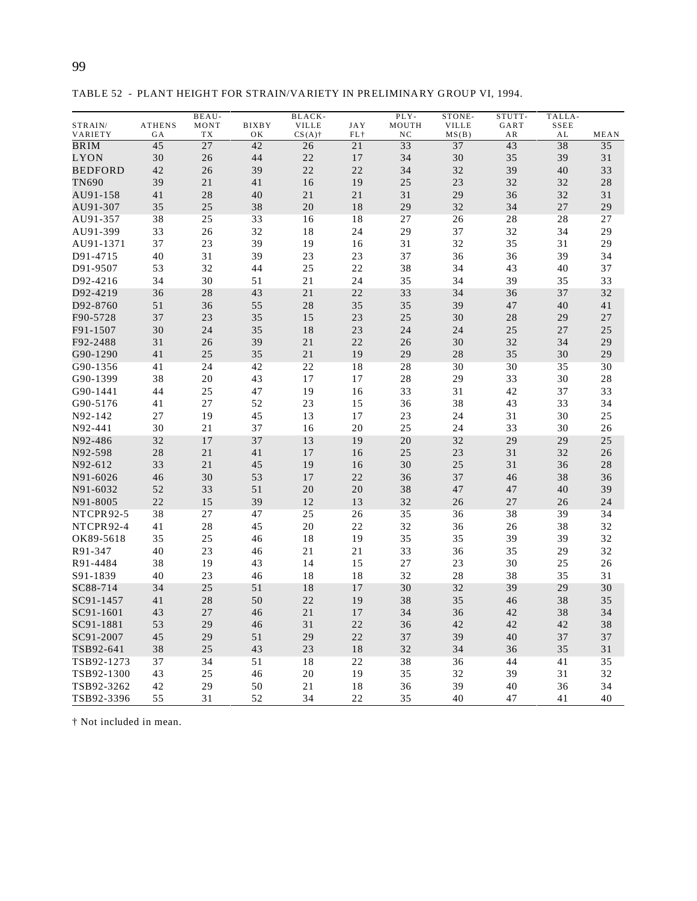| ×<br>¢<br>ī<br>I<br>۰. | ×<br>۰<br>I<br>۰. |
|------------------------|-------------------|
|                        |                   |

TABLE 52 - PLANT HEIGHT FOR STRAIN/VARIETY IN PRELIMINARY GROUP VI, 1994.

| STRAIN/<br><b>ATHENS</b><br>MONT<br><b>BIXBY</b><br><b>VILLE</b><br><b>JAY</b><br>MOUTH<br><b>VILLE</b><br>GART<br>SSEE<br>VARIETY<br>TX<br>$CS(A)$ †<br>$FL$ †<br>NC<br>MS(B)<br>AL<br>GA<br>OК<br>ΑR<br>$\overline{27}$<br>33<br>37<br>38<br><b>BRIM</b><br>45<br>42<br>26<br>21<br>43<br>30<br>44<br>22<br>30<br>35<br>39<br>LYON<br>26<br>17<br>34<br><b>BEDFORD</b><br>42<br>39<br>22<br>22<br>34<br>32<br>39<br>26<br>40<br><b>TN690</b><br>39<br>21<br>16<br>19<br>25<br>23<br>32<br>41<br>32<br>31<br>32<br>41<br>28<br>40<br>21<br>21<br>29<br>36<br>AU91-158<br>AU91-307<br>35<br>25<br>38<br>20<br>$1\,8$<br>29<br>32<br>34<br>27<br>AU91-357<br>38<br>18<br>28<br>25<br>33<br>16<br>27<br>26<br>28<br>AU91-399<br>33<br>32<br>18<br>24<br>29<br>37<br>32<br>34<br>26<br>37<br>23<br>39<br>19<br>31<br>32<br>35<br>31<br>AU91-1371<br>16<br>31<br>40<br>39<br>23<br>23<br>37<br>36<br>36<br>39<br>D91-4715<br>22<br>D91-9507<br>53<br>32<br>44<br>25<br>38<br>34<br>43<br>40<br>34<br>30<br>51<br>21<br>24<br>35<br>34<br>39<br>D92-4216<br>35<br>43<br>21<br>22<br>33<br>37<br>D92-4219<br>36<br>28<br>34<br>36<br>55<br>28<br>35<br>35<br>39<br>D92-8760<br>51<br>36<br>47<br>40 | TALLA-      |
|-----------------------------------------------------------------------------------------------------------------------------------------------------------------------------------------------------------------------------------------------------------------------------------------------------------------------------------------------------------------------------------------------------------------------------------------------------------------------------------------------------------------------------------------------------------------------------------------------------------------------------------------------------------------------------------------------------------------------------------------------------------------------------------------------------------------------------------------------------------------------------------------------------------------------------------------------------------------------------------------------------------------------------------------------------------------------------------------------------------------------------------------------------------------------------------------------|-------------|
|                                                                                                                                                                                                                                                                                                                                                                                                                                                                                                                                                                                                                                                                                                                                                                                                                                                                                                                                                                                                                                                                                                                                                                                               | MEAN        |
|                                                                                                                                                                                                                                                                                                                                                                                                                                                                                                                                                                                                                                                                                                                                                                                                                                                                                                                                                                                                                                                                                                                                                                                               | 35          |
|                                                                                                                                                                                                                                                                                                                                                                                                                                                                                                                                                                                                                                                                                                                                                                                                                                                                                                                                                                                                                                                                                                                                                                                               | 31          |
|                                                                                                                                                                                                                                                                                                                                                                                                                                                                                                                                                                                                                                                                                                                                                                                                                                                                                                                                                                                                                                                                                                                                                                                               | 33          |
|                                                                                                                                                                                                                                                                                                                                                                                                                                                                                                                                                                                                                                                                                                                                                                                                                                                                                                                                                                                                                                                                                                                                                                                               | 28          |
|                                                                                                                                                                                                                                                                                                                                                                                                                                                                                                                                                                                                                                                                                                                                                                                                                                                                                                                                                                                                                                                                                                                                                                                               | 31          |
|                                                                                                                                                                                                                                                                                                                                                                                                                                                                                                                                                                                                                                                                                                                                                                                                                                                                                                                                                                                                                                                                                                                                                                                               | 29          |
|                                                                                                                                                                                                                                                                                                                                                                                                                                                                                                                                                                                                                                                                                                                                                                                                                                                                                                                                                                                                                                                                                                                                                                                               | 27          |
|                                                                                                                                                                                                                                                                                                                                                                                                                                                                                                                                                                                                                                                                                                                                                                                                                                                                                                                                                                                                                                                                                                                                                                                               | 29          |
|                                                                                                                                                                                                                                                                                                                                                                                                                                                                                                                                                                                                                                                                                                                                                                                                                                                                                                                                                                                                                                                                                                                                                                                               | 29          |
|                                                                                                                                                                                                                                                                                                                                                                                                                                                                                                                                                                                                                                                                                                                                                                                                                                                                                                                                                                                                                                                                                                                                                                                               | 34          |
|                                                                                                                                                                                                                                                                                                                                                                                                                                                                                                                                                                                                                                                                                                                                                                                                                                                                                                                                                                                                                                                                                                                                                                                               | 37          |
|                                                                                                                                                                                                                                                                                                                                                                                                                                                                                                                                                                                                                                                                                                                                                                                                                                                                                                                                                                                                                                                                                                                                                                                               |             |
|                                                                                                                                                                                                                                                                                                                                                                                                                                                                                                                                                                                                                                                                                                                                                                                                                                                                                                                                                                                                                                                                                                                                                                                               | 33          |
|                                                                                                                                                                                                                                                                                                                                                                                                                                                                                                                                                                                                                                                                                                                                                                                                                                                                                                                                                                                                                                                                                                                                                                                               | 32          |
|                                                                                                                                                                                                                                                                                                                                                                                                                                                                                                                                                                                                                                                                                                                                                                                                                                                                                                                                                                                                                                                                                                                                                                                               | 41          |
| 35<br>23<br>25<br>37<br>23<br>15<br>30<br>28<br>29<br>F90-5728                                                                                                                                                                                                                                                                                                                                                                                                                                                                                                                                                                                                                                                                                                                                                                                                                                                                                                                                                                                                                                                                                                                                | 27          |
| F91-1507<br>30<br>24<br>35<br>18<br>23<br>24<br>25<br>24<br>27                                                                                                                                                                                                                                                                                                                                                                                                                                                                                                                                                                                                                                                                                                                                                                                                                                                                                                                                                                                                                                                                                                                                | 25          |
| F92-2488<br>31<br>39<br>$2\sqrt{1}$<br>22<br>26<br>30<br>32<br>34<br>26                                                                                                                                                                                                                                                                                                                                                                                                                                                                                                                                                                                                                                                                                                                                                                                                                                                                                                                                                                                                                                                                                                                       | 29          |
| G90-1290<br>41<br>25<br>35<br>21<br>19<br>29<br>28<br>35<br>30                                                                                                                                                                                                                                                                                                                                                                                                                                                                                                                                                                                                                                                                                                                                                                                                                                                                                                                                                                                                                                                                                                                                | 29          |
| 22<br>18<br>28<br>30<br>30<br>G90-1356<br>41<br>24<br>42<br>35                                                                                                                                                                                                                                                                                                                                                                                                                                                                                                                                                                                                                                                                                                                                                                                                                                                                                                                                                                                                                                                                                                                                | 30          |
| 38<br>17<br>20<br>43<br>17<br>28<br>29<br>33<br>30<br>G90-1399                                                                                                                                                                                                                                                                                                                                                                                                                                                                                                                                                                                                                                                                                                                                                                                                                                                                                                                                                                                                                                                                                                                                | $2\sqrt{8}$ |
| 33<br>19<br>31<br>42<br>G90-1441<br>44<br>25<br>47<br>16<br>37                                                                                                                                                                                                                                                                                                                                                                                                                                                                                                                                                                                                                                                                                                                                                                                                                                                                                                                                                                                                                                                                                                                                | 33          |
| 27<br>52<br>23<br>38<br>43<br>33<br>G90-5176<br>41<br>15<br>36                                                                                                                                                                                                                                                                                                                                                                                                                                                                                                                                                                                                                                                                                                                                                                                                                                                                                                                                                                                                                                                                                                                                | 34          |
| N92-142<br>27<br>19<br>45<br>13<br>17<br>23<br>30<br>24<br>31                                                                                                                                                                                                                                                                                                                                                                                                                                                                                                                                                                                                                                                                                                                                                                                                                                                                                                                                                                                                                                                                                                                                 | 25          |
| 30<br>21<br>37<br>16<br>20<br>25<br>24<br>33<br>30<br>N92-441                                                                                                                                                                                                                                                                                                                                                                                                                                                                                                                                                                                                                                                                                                                                                                                                                                                                                                                                                                                                                                                                                                                                 | 26          |
| 32<br>17<br>37<br>13<br>19<br>20<br>32<br>29<br>29<br>N92-486                                                                                                                                                                                                                                                                                                                                                                                                                                                                                                                                                                                                                                                                                                                                                                                                                                                                                                                                                                                                                                                                                                                                 | 25          |
| N92-598<br>28<br>21<br>41<br>16<br>25<br>23<br>31<br>32<br>17                                                                                                                                                                                                                                                                                                                                                                                                                                                                                                                                                                                                                                                                                                                                                                                                                                                                                                                                                                                                                                                                                                                                 | 26          |
| N92-612<br>33<br>21<br>45<br>19<br>30<br>25<br>31<br>16<br>36                                                                                                                                                                                                                                                                                                                                                                                                                                                                                                                                                                                                                                                                                                                                                                                                                                                                                                                                                                                                                                                                                                                                 | 28          |
| N91-6026<br>30<br>53<br>17<br>22<br>36<br>37<br>46<br>38<br>46                                                                                                                                                                                                                                                                                                                                                                                                                                                                                                                                                                                                                                                                                                                                                                                                                                                                                                                                                                                                                                                                                                                                | 36          |
| N91-6032<br>33<br>51<br>20<br>20<br>38<br>52<br>47<br>47<br>40                                                                                                                                                                                                                                                                                                                                                                                                                                                                                                                                                                                                                                                                                                                                                                                                                                                                                                                                                                                                                                                                                                                                | 39          |
| 22<br>39<br>12<br>32<br>15<br>13<br>26<br>27<br>26<br>N91-8005                                                                                                                                                                                                                                                                                                                                                                                                                                                                                                                                                                                                                                                                                                                                                                                                                                                                                                                                                                                                                                                                                                                                | 24          |
| 38<br>27<br>47<br>25<br>26<br>35<br>38<br><b>NTCPR92-5</b><br>36<br>39                                                                                                                                                                                                                                                                                                                                                                                                                                                                                                                                                                                                                                                                                                                                                                                                                                                                                                                                                                                                                                                                                                                        | 34          |
| 22<br>41<br>28<br>45<br>20<br>32<br>38<br>NTCPR92-4<br>36<br>26                                                                                                                                                                                                                                                                                                                                                                                                                                                                                                                                                                                                                                                                                                                                                                                                                                                                                                                                                                                                                                                                                                                               | 32          |
| 35<br>25<br>18<br>19<br>35<br>35<br>39<br>39<br>OK89-5618<br>46                                                                                                                                                                                                                                                                                                                                                                                                                                                                                                                                                                                                                                                                                                                                                                                                                                                                                                                                                                                                                                                                                                                               | 32          |
| R91-347<br>23<br>21<br>21<br>33<br>36<br>35<br>29<br>40<br>46                                                                                                                                                                                                                                                                                                                                                                                                                                                                                                                                                                                                                                                                                                                                                                                                                                                                                                                                                                                                                                                                                                                                 | 32          |
| 38<br>19<br>43<br>14<br>15<br>27<br>23<br>30<br>25<br>R91-4484                                                                                                                                                                                                                                                                                                                                                                                                                                                                                                                                                                                                                                                                                                                                                                                                                                                                                                                                                                                                                                                                                                                                | 26          |
| S91-1839<br>18<br>32<br>28<br>38<br>35<br>40<br>23<br>46<br>18                                                                                                                                                                                                                                                                                                                                                                                                                                                                                                                                                                                                                                                                                                                                                                                                                                                                                                                                                                                                                                                                                                                                | 31          |
| SC88-714<br>25<br>51<br>18<br>17<br>30<br>32<br>39<br>29<br>34                                                                                                                                                                                                                                                                                                                                                                                                                                                                                                                                                                                                                                                                                                                                                                                                                                                                                                                                                                                                                                                                                                                                | 30          |
| SC91-1457<br>41<br>28<br>50<br>22<br>19<br>38<br>35<br>46<br>38                                                                                                                                                                                                                                                                                                                                                                                                                                                                                                                                                                                                                                                                                                                                                                                                                                                                                                                                                                                                                                                                                                                               | 35          |
| 46<br>38<br>SC91-1601<br>43<br>27<br>$2\sqrt{1}$<br>17<br>34<br>36<br>42                                                                                                                                                                                                                                                                                                                                                                                                                                                                                                                                                                                                                                                                                                                                                                                                                                                                                                                                                                                                                                                                                                                      | 34          |
| 53<br>31<br>36<br>42<br>SC91-1881<br>29<br>46<br>22<br>42<br>42                                                                                                                                                                                                                                                                                                                                                                                                                                                                                                                                                                                                                                                                                                                                                                                                                                                                                                                                                                                                                                                                                                                               | 38          |
| 45<br>51<br>29<br>$2\sqrt{2}$<br>39<br>40<br>SC91-2007<br>29<br>37<br>37                                                                                                                                                                                                                                                                                                                                                                                                                                                                                                                                                                                                                                                                                                                                                                                                                                                                                                                                                                                                                                                                                                                      | 37          |
| 38<br>$25\,$<br>43<br>$23\,$<br>$1\,8$<br>32<br>34<br>36<br>35<br>TSB92-641                                                                                                                                                                                                                                                                                                                                                                                                                                                                                                                                                                                                                                                                                                                                                                                                                                                                                                                                                                                                                                                                                                                   | 31          |
| TSB92-1273<br>37<br>34<br>51<br>18<br>22<br>38<br>36<br>44<br>41                                                                                                                                                                                                                                                                                                                                                                                                                                                                                                                                                                                                                                                                                                                                                                                                                                                                                                                                                                                                                                                                                                                              | 35          |
| 19<br>35<br>32<br>TSB92-1300<br>43<br>25<br>46<br>20<br>39<br>31                                                                                                                                                                                                                                                                                                                                                                                                                                                                                                                                                                                                                                                                                                                                                                                                                                                                                                                                                                                                                                                                                                                              | 32          |
| 29<br>$50\,$<br>36<br>39<br>36<br>TSB92-3262<br>42<br>21<br>18<br>40                                                                                                                                                                                                                                                                                                                                                                                                                                                                                                                                                                                                                                                                                                                                                                                                                                                                                                                                                                                                                                                                                                                          | 34          |
| TSB92-3396<br>55<br>31<br>52<br>34<br>22<br>35<br>40<br>41<br>47                                                                                                                                                                                                                                                                                                                                                                                                                                                                                                                                                                                                                                                                                                                                                                                                                                                                                                                                                                                                                                                                                                                              | 40          |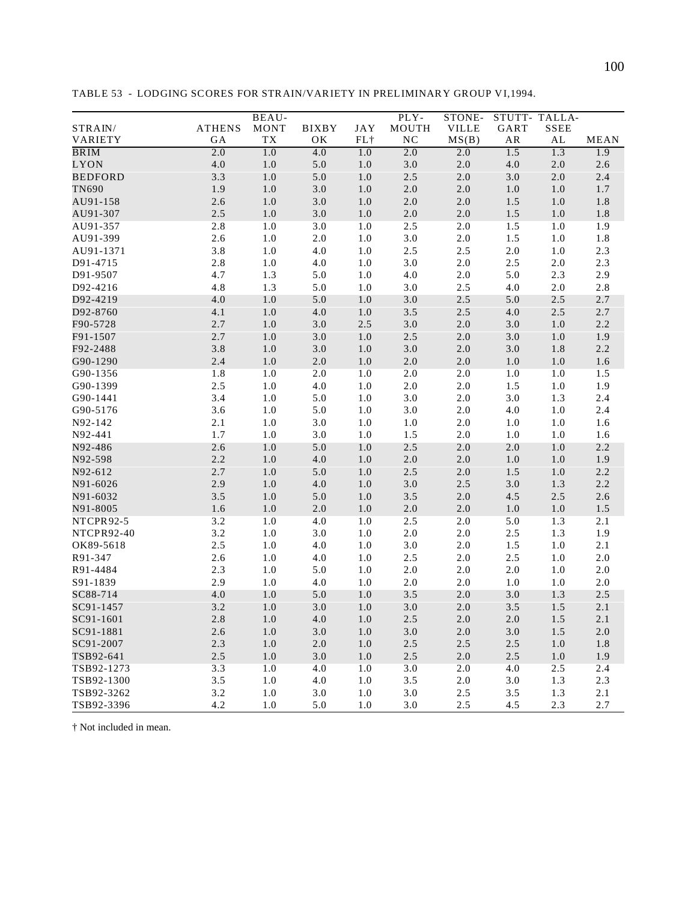|                |               | BEAU-       |              |         | PLY-             | STONE-       | STUTT-TALLA- |               |         |
|----------------|---------------|-------------|--------------|---------|------------------|--------------|--------------|---------------|---------|
| STRAIN/        | <b>ATHENS</b> | <b>MONT</b> | <b>BIXBY</b> | JAY     | MOUTH            | <b>VILLE</b> | GART         | <b>SSEE</b>   |         |
| VARIETY        | GA            | TX          | OK           | $FL+$   | $_{\mathrm{NC}}$ | MS(B)        | ${\sf AR}$   | $\mathbf{AL}$ | MEAN    |
| <b>BRIM</b>    | 2.0           | 1.0         | 4.0          | 1.0     | 2.0              | 2.0          | 1.5          | 1.3           | 1.9     |
| <b>LYON</b>    | 4.0           | $1.0\,$     | $5.0\,$      | $1.0\,$ | $3.0\,$          | $2.0\,$      | $4.0\,$      | $2.0\,$       | $2.6\,$ |
| <b>BEDFORD</b> | 3.3           | $1.0$       | $5.0\,$      | $1.0\,$ | $2.5\,$          | $2.0\,$      | 3.0          | $2.0\,$       | 2.4     |
| TN690          | 1.9           | $1.0\,$     | $3.0\,$      | $1.0\,$ | $2.0\,$          | $2.0\,$      | $1.0\,$      | 1.0           | 1.7     |
| AU91-158       | 2.6           | 1.0         | $3.0\,$      | 1.0     | $2.0\,$          | 2.0          | 1.5          | 1.0           | 1.8     |
| AU91-307       | 2.5           | $1.0$       | $3.0\,$      | $1.0\,$ | $2.0\,$          | $2.0\,$      | 1.5          | $1.0\,$       | 1.8     |
| AU91-357       | 2.8           | 1.0         | 3.0          | $1.0\,$ | 2.5              | $2.0\,$      | 1.5          | $1.0$         | 1.9     |
| AU91-399       | 2.6           | $1.0\,$     | $2.0\,$      | $1.0\,$ | 3.0              | $2.0\,$      | 1.5          | $1.0\,$       | $1.8\,$ |
| AU91-1371      | 3.8           | $1.0\,$     | 4.0          | $1.0\,$ | 2.5              | 2.5          | $2.0\,$      | 1.0           | $2.3\,$ |
| D91-4715       | $2.8\,$       | 1.0         | $4.0\,$      | 1.0     | $3.0\,$          | $2.0\,$      | $2.5\,$      | $2.0$         | $2.3\,$ |
| D91-9507       | 4.7           | 1.3         | $5.0\,$      | $1.0\,$ | $4.0\,$          | $2.0\,$      | 5.0          | 2.3           | 2.9     |
| D92-4216       | 4.8           | 1.3         | 5.0          | $1.0\,$ | 3.0              | 2.5          | 4.0          | $2.0\,$       | $2.8\,$ |
| D92-4219       | 4.0           | 1.0         | 5.0          | $1.0\,$ | $3.0\,$          | 2.5          | 5.0          | $2.5\,$       | 2.7     |
| D92-8760       | 4.1           | $1.0\,$     | $4.0\,$      | $1.0\,$ | $3.5$            | 2.5          | $4.0\,$      | 2.5           | 2.7     |
| F90-5728       | 2.7           | 1.0         | $3.0\,$      | $2.5\,$ | $3.0\,$          | $2.0\,$      | $3.0\,$      | 1.0           | $2.2\,$ |
| F91-1507       | 2.7           | $1.0\,$     | $3.0\,$      | $1.0\,$ | $2.5\,$          | $2.0\,$      | $3.0\,$      | $1.0\,$       | 1.9     |
| F92-2488       | 3.8           | $1.0\,$     | $3.0\,$      | $1.0\,$ | $3.0\,$          | $2.0\,$      | 3.0          | $1.8\,$       | $2.2\,$ |
| G90-1290       | 2.4           | $1.0\,$     | $2.0\,$      | $1.0\,$ | $2.0\,$          | $2.0\,$      | $1.0\,$      | $1.0\,$       | 1.6     |
| G90-1356       | 1.8           | 1.0         | 2.0          | 1.0     | $2.0\,$          | $2.0\,$      | $1.0\,$      | $1.0\,$       | 1.5     |
| G90-1399       | $2.5\,$       | 1.0         | $4.0\,$      | 1.0     | $2.0\,$          | $2.0\,$      | 1.5          | 1.0           | 1.9     |
| G90-1441       | 3.4           | $1.0\,$     | 5.0          | $1.0\,$ | 3.0              | $2.0\,$      | $3.0\,$      | 1.3           | 2.4     |
| G90-5176       | 3.6           | $1.0\,$     | 5.0          | $1.0\,$ | $3.0\,$          | $2.0\,$      | 4.0          | $1.0\,$       | 2.4     |
| N92-142        | 2.1           | 1.0         | $3.0\,$      | 1.0     | $1.0\,$          | $2.0\,$      | 1.0          | $1.0\,$       | 1.6     |
| N92-441        | $1.7\,$       | $1.0\,$     | 3.0          | $1.0\,$ | 1.5              | $2.0\,$      | $1.0\,$      | $1.0$         | 1.6     |
| N92-486        | 2.6           | $1.0\,$     | 5.0          | $1.0\,$ | 2.5              | 2.0          | 2.0          | 1.0           | 2.2     |
| N92-598        | 2.2           | $1.0\,$     | $4.0\,$      | $1.0\,$ | $2.0\,$          | $2.0\,$      | $1.0\,$      | $1.0\,$       | 1.9     |
| N92-612        | 2.7           | $1.0\,$     | 5.0          | $1.0\,$ | $2.5\,$          | $2.0\,$      | $1.5\,$      | $1.0\,$       | 2.2     |
| N91-6026       | 2.9           | $1.0$       | $4.0\,$      | $1.0\,$ | $3.0\,$          | 2.5          | 3.0          | 1.3           | $2.2\,$ |
| N91-6032       | $3.5$         | $1.0\,$     | $5.0\,$      | $1.0\,$ | $3.5$            | $2.0\,$      | 4.5          | $2.5\,$       | $2.6\,$ |
| N91-8005       | $1.6\,$       | 1.0         | $2.0\,$      | 1.0     | $2.0\,$          | $2.0\,$      | $1.0\,$      | 1.0           | 1.5     |
| NTCPR92-5      | 3.2           | 1.0         | 4.0          | 1.0     | 2.5              | $2.0\,$      | 5.0          | 1.3           | 2.1     |
| NTCPR92-40     | 3.2           | $1.0\,$     | 3.0          | $1.0\,$ | 2.0              | $2.0\,$      | 2.5          | 1.3           | 1.9     |
| OK89-5618      | 2.5           | $1.0\,$     | $4.0\,$      | 1.0     | 3.0              | $2.0\,$      | 1.5          | $1.0$         | 2.1     |
| R91-347        | 2.6           | $1.0\,$     | 4.0          | $1.0\,$ | 2.5              | $2.0\,$      | 2.5          | $1.0$         | $2.0\,$ |
| R91-4484       | 2.3           | 1.0         | $5.0\,$      | 1.0     | $2.0\,$          | $2.0\,$      | $2.0\,$      | $1.0\,$       | $2.0\,$ |
| S91-1839       | 2.9           | 1.0         | 4.0          | $1.0\,$ | $2.0\,$          | $2.0\,$      | $1.0\,$      | $1.0\,$       | $2.0\,$ |
| SC88-714       | 4.0           | 1.0         | 5.0          | 1.0     | 3.5              | 2.0          | 3.0          | 1.3           | $2.5$   |
| SC91-1457      | 3.2           | $1.0$       | 3.0          | $1.0$   | 3.0              | $2.0\,$      | 3.5          | 1.5           | 2.1     |
| SC91-1601      | $2.8\,$       | 1.0         | 4.0          | 1.0     | $2.5\,$          | 2.0          | $2.0\,$      | $1.5\,$       | 2.1     |
| SC91-1881      | 2.6           | 1.0         | 3.0          | 1.0     | 3.0              | 2.0          | 3.0          | 1.5           | 2.0     |
| SC91-2007      | 2.3           | 1.0         | $2.0\,$      | $1.0\,$ | 2.5              | 2.5          | $2.5\,$      | 1.0           | 1.8     |
| TSB92-641      | 2.5           | $1.0\,$     | 3.0          | $1.0\,$ | 2.5              | $2.0\,$      | 2.5          | $1.0$         | 1.9     |
| TSB92-1273     | 3.3           | 1.0         | 4.0          | 1.0     | 3.0              | 2.0          | 4.0          | 2.5           | 2.4     |
| TSB92-1300     | 3.5           | 1.0         | 4.0          | $1.0\,$ | 3.5              | $2.0\,$      | 3.0          | 1.3           | 2.3     |
| TSB92-3262     | 3.2           | 1.0         | 3.0          | 1.0     | 3.0              | 2.5          | $3.5$        | 1.3           | 2.1     |
| TSB92-3396     | 4.2           | 1.0         | 5.0          | 1.0     | 3.0              | 2.5          | 4.5          | 2.3           | 2.7     |

TABLE 53 - LODGING SCORES FOR STRAIN/VARIETY IN PRELIMINARY GROUP VI,1994.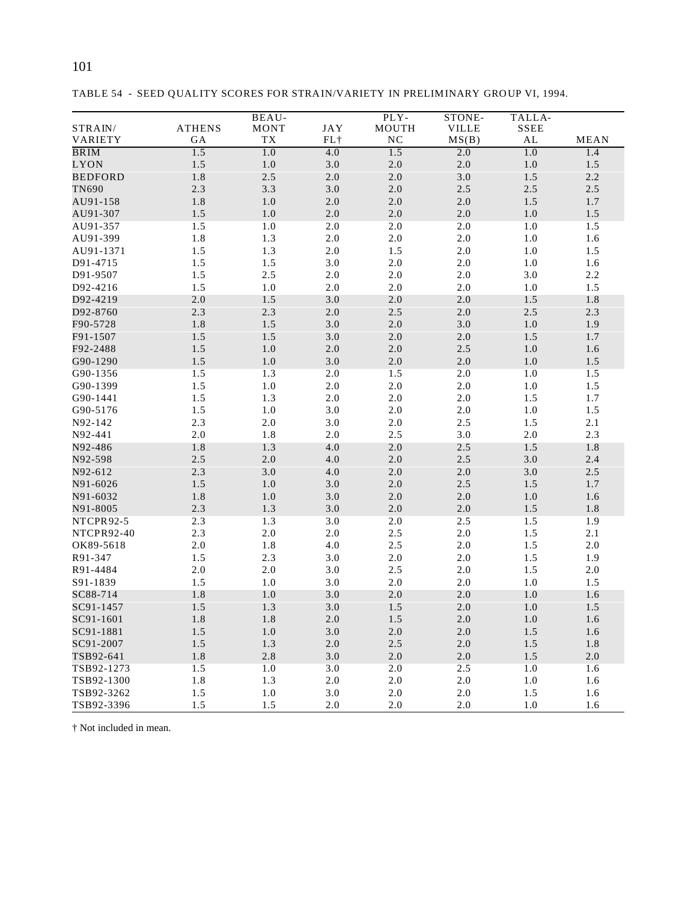| I<br>۰, |  |
|---------|--|
|---------|--|

STRAIN/ VARIETY ATHENS GA BEAU-MONT TX JAY FL† PLY-MOUTH NC STONE-VILLE  $MS(B)$ TALLA-SSEE AL MEAN BRIM 1.5 1.0 4.0 1.5 2.0 1.0 1.4 LYON 1.5 1.0 3.0 2.0 2.0 1.0 1.5 BEDFORD 1.8 2.5 2.0 2.0 3.0 1.5 2.2 TN690 2.3 3.3 3.0 2.0 2.5 2.5 2.5 AU91-158 1.8 1.0 2.0 2.0 2.0 1.5 1.7 AU91-307 1.5 1.0 2.0 2.0 2.0 1.0 1.5 AU91-357 1.5 1.0 2.0 2.0 2.0 1.0 1.5 AU91-399 1.8 1.3 2.0 2.0 2.0 1.0 1.6 AU91-1371 1.5 1.3 2.0 1.5 2.0 1.0 1.5 D91-4715 1.5 1.5 3.0 2.0 2.0 1.0 1.6 D91-9507 1.5 2.5 2.0 2.0 2.0 3.0 2.2 D92-4216 1.5 1.0 2.0 2.0 2.0 1.0 1.5 D92-4219 2.0 1.5 3.0 2.0 2.0 1.5 1.8 D92-8760 2.3 2.3 2.0 2.5 2.0 2.5 2.3 F90-5728 1.8 1.5 3.0 2.0 3.0 1.0 1.9 F91-1507 1.5 1.5 3.0 2.0 2.0 1.5 1.7 F92-2488 1.5 1.0 2.0 2.0 2.5 1.0 1.6 G90-1290 1.5 1.0 3.0 2.0 2.0 1.0 1.5 G90-1356 1.5 1.3 2.0 1.5 2.0 1.0 1.5 G90-1399 1.5 1.0 2.0 2.0 2.0 1.0 1.5 G90-1441 1.5 1.3 2.0 2.0 2.0 1.5 1.7 G90-5176 1.5 1.0 3.0 2.0 2.0 1.0 1.5 N92-142 2.3 2.0 3.0 2.0 2.5 1.5 2.1 N92-441 2.0 1.8 2.0 2.5 3.0 2.0 2.3 N92-486 1.8 1.3 4.0 2.0 2.5 1.5 1.8 N92-598 2.5 2.0 4.0 2.0 2.5 3.0 2.4 N92-612 2.3 3.0 4.0 2.0 2.0 3.0 2.5 N91-6026 1.5 1.0 3.0 2.0 2.5 1.5 1.7 N91-6032 1.8 1.0 3.0 2.0 2.0 1.0 1.6 N91-8005 2.3 1.3 3.0 2.0 2.0 1.5 1.8 NTCPR92-5 2.3 1.3 3.0 2.0 2.5 1.5 1.9 NTCPR92-40 2.3 2.0 2.0 2.5 2.0 1.5 2.1 OK89-5618 2.0 1.8 4.0 2.5 2.0 1.5 2.0 R91-347 1.5 2.3 3.0 2.0 2.0 1.5 1.9 R91-4484 2.0 2.0 3.0 2.5 2.0 1.5 2.0 S91-1839 1.5 1.0 3.0 2.0 2.0 1.0 1.5  $SC88-714$  1.8 1.0 3.0 2.0 2.0 1.0 1.6 SC91-1457 1.5 1.3 3.0 1.5 2.0 1.0 1.5 SC91-1601 1.8 1.8 2.0 1.5 2.0 1.0 1.6 SC91-1881 1.5 1.0 3.0 2.0 2.0 1.5 1.6  $SC91-2007$  1.5 1.3 2.0 2.5 2.0 1.5 1.8 TSB92-641 1.8 2.8 3.0 2.0 2.0 1.5 2.0 TSB92-1273 1.5 1.0 3.0 2.0 2.5 1.0 1.6 TSB92-1300 1.8 1.3 2.0 2.0 2.0 1.0 1.6 TSB92-3262 1.5 1.0 3.0 2.0 2.0 1.5 1.6

TSB92-3396 1.5 1.5 2.0 2.0 2.0 1.0 1.6

|  |  |  |  | TABLE 54 - SEED QUALITY SCORES FOR STRAIN/VARIETY IN PRELIMINARY GROUP VI, 1994. |
|--|--|--|--|----------------------------------------------------------------------------------|
|--|--|--|--|----------------------------------------------------------------------------------|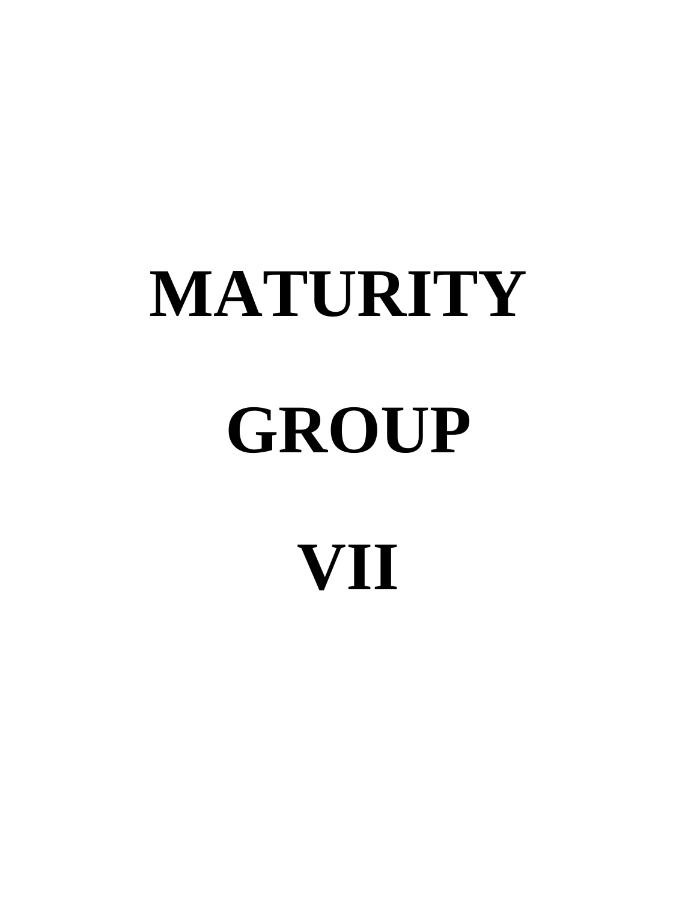# **MATURITY GROUP VII**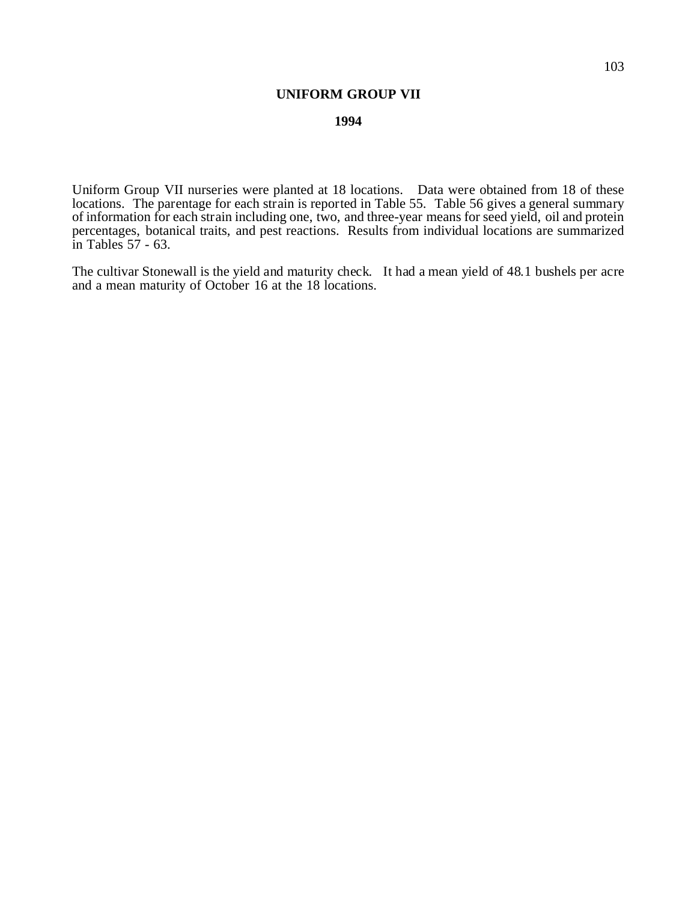## **UNIFORM GROUP VII**

## **1994**

Uniform Group VII nurseries were planted at 18 locations. Data were obtained from 18 of these locations. The parentage for each strain is reported in Table 55. Table 56 gives a general summary of information for each strain including one, two, and three-year means for seed yield, oil and protein percentages, botanical traits, and pest reactions. Results from individual locations are summarized in Tables 57 - 63.

The cultivar Stonewall is the yield and maturity check. It had a mean yield of 48.1 bushels per acre and a mean maturity of October 16 at the 18 locations.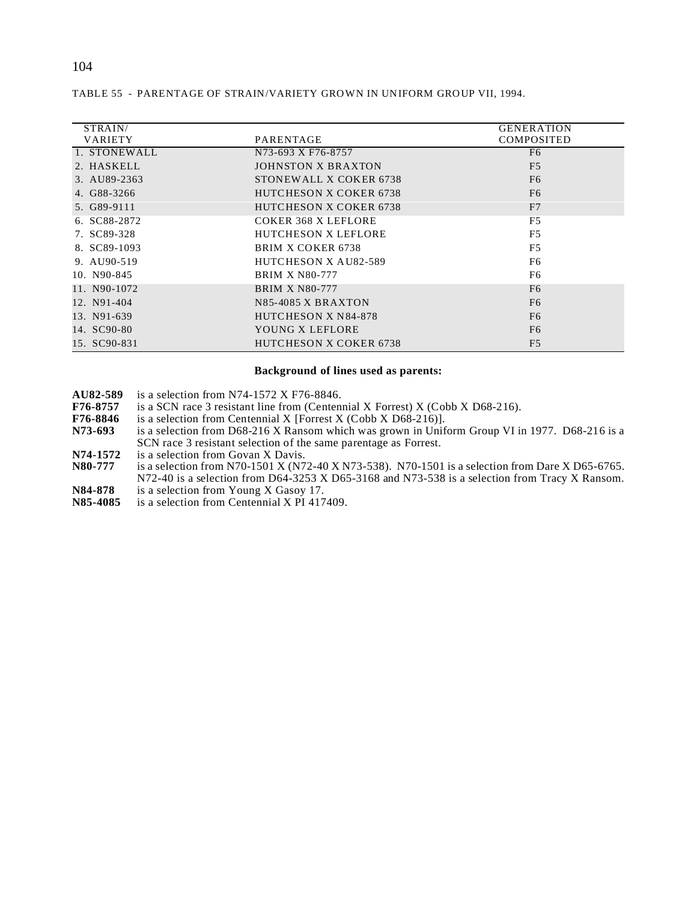| <b>GENERATION</b><br>COMPOSITED                                                                                                                                                                                                                                                                                                                                                                                      |
|----------------------------------------------------------------------------------------------------------------------------------------------------------------------------------------------------------------------------------------------------------------------------------------------------------------------------------------------------------------------------------------------------------------------|
| F <sub>6</sub>                                                                                                                                                                                                                                                                                                                                                                                                       |
| F <sub>5</sub>                                                                                                                                                                                                                                                                                                                                                                                                       |
|                                                                                                                                                                                                                                                                                                                                                                                                                      |
| F <sub>6</sub>                                                                                                                                                                                                                                                                                                                                                                                                       |
| F <sub>6</sub>                                                                                                                                                                                                                                                                                                                                                                                                       |
| F7                                                                                                                                                                                                                                                                                                                                                                                                                   |
| F <sub>5</sub>                                                                                                                                                                                                                                                                                                                                                                                                       |
| F5                                                                                                                                                                                                                                                                                                                                                                                                                   |
| F5                                                                                                                                                                                                                                                                                                                                                                                                                   |
| F <sub>6</sub>                                                                                                                                                                                                                                                                                                                                                                                                       |
| F <sub>6</sub>                                                                                                                                                                                                                                                                                                                                                                                                       |
| F <sub>6</sub>                                                                                                                                                                                                                                                                                                                                                                                                       |
| F <sub>6</sub>                                                                                                                                                                                                                                                                                                                                                                                                       |
| F <sub>6</sub>                                                                                                                                                                                                                                                                                                                                                                                                       |
| F <sub>6</sub>                                                                                                                                                                                                                                                                                                                                                                                                       |
| F <sub>5</sub>                                                                                                                                                                                                                                                                                                                                                                                                       |
| PARENTAGE<br>N73-693 X F76-8757<br><b>JOHNSTON X BRAXTON</b><br>STONEWALL X COKER 6738<br><b>HUTCHESON X COKER 6738</b><br><b>HUTCHESON X COKER 6738</b><br><b>COKER 368 X LEFLORE</b><br><b>HUTCHESON X LEFLORE</b><br><b>BRIM X COKER 6738</b><br>HUTCHESON X AU82-589<br><b>BRIM X N80-777</b><br><b>BRIM X N80-777</b><br>N85-4085 X BRAXTON<br>HUTCHESON X N84-878<br>YOUNG X LEFLORE<br>HUTCHESON X COKER 6738 |

## TABLE 55 - PARENTAGE OF STRAIN/VARIETY GROWN IN UNIFORM GROUP VII, 1994.

### **Background of lines used as parents:**

- **AU82-589** is a selection from N74-1572 X F76-8846.<br>**F76-8757** is a SCN race 3 resistant line from (Centen
- **F76-8757** is a SCN race 3 resistant line from (Centennial X Forrest) X (Cobb X D68-216).<br>**F76-8846** is a selection from Centennial X [Forrest X (Cobb X D68-216)].
- **F76-8846** is a selection from Centennial X [Forrest X (Cobb X D68-216)].<br>**N73-693** is a selection from D68-216 X Ransom which was grown in Unif
- **N73-693** is a selection from D68-216 X Ransom which was grown in Uniform Group VI in 1977. D68-216 is a SCN race 3 resistant selection of the same parentage as Forrest.
- **N74-1572** is a selection from Govan X Davis.<br>**N80-777** is a selection from N70-1501 X (N7)
- is a selection from N70-1501 X (N72-40 X N73-538). N70-1501 is a selection from Dare X D65-6765. N72-40 is a selection from D64-3253 X D65-3168 and N73-538 is a selection from Tracy X Ransom.
- **N84-878** is a selection from Young X Gasoy 17.<br>**N85-4085** is a selection from Centennial X PI 417
- is a selection from Centennial X PI 417409.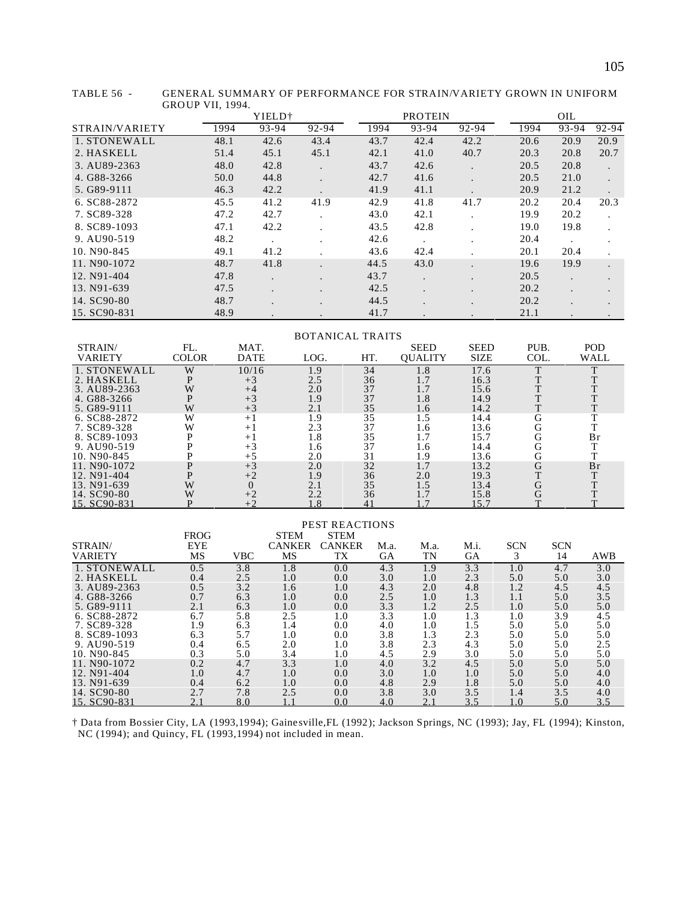|                |      | YIELD <sup>+</sup> |       |      | <b>PROTEIN</b> |         |      | OIL   |           |
|----------------|------|--------------------|-------|------|----------------|---------|------|-------|-----------|
| STRAIN/VARIETY | 1994 | 93-94              | 92-94 | 1994 | 93-94          | 92-94   | 1994 | 93-94 | 92-94     |
| 1. STONEWALL   | 48.1 | 42.6               | 43.4  | 43.7 | 42.4           | 42.2    | 20.6 | 20.9  | 20.9      |
| 2. HASKELL     | 51.4 | 45.1               | 45.1  | 42.1 | 41.0           | 40.7    | 20.3 | 20.8  | 20.7      |
| 3. AU89-2363   | 48.0 | 42.8               |       | 43.7 | 42.6           |         | 20.5 | 20.8  | $\bullet$ |
| 4. G88-3266    | 50.0 | 44.8               |       | 42.7 | 41.6           | $\cdot$ | 20.5 | 21.0  |           |
| 5. G89-9111    | 46.3 | 42.2               |       | 41.9 | 41.1           |         | 20.9 | 21.2  |           |
| 6. SC88-2872   | 45.5 | 41.2               | 41.9  | 42.9 | 41.8           | 41.7    | 20.2 | 20.4  | 20.3      |
| 7. SC89-328    | 47.2 | 42.7               |       | 43.0 | 42.1           |         | 19.9 | 20.2  |           |
| 8. SC89-1093   | 47.1 | 42.2               |       | 43.5 | 42.8           |         | 19.0 | 19.8  |           |
| 9. AU90-519    | 48.2 |                    |       | 42.6 |                |         | 20.4 |       |           |
| 10. N90-845    | 49.1 | 41.2               |       | 43.6 | 42.4           |         | 20.1 | 20.4  |           |
| 11, N90-1072   | 48.7 | 41.8               |       | 44.5 | 43.0           |         | 19.6 | 19.9  |           |
| 12. N91-404    | 47.8 | $\cdot$            |       | 43.7 |                |         | 20.5 |       |           |
| 13. N91-639    | 47.5 | $\sim$             |       | 42.5 |                | $\cdot$ | 20.2 |       |           |
| 14. SC90-80    | 48.7 |                    |       | 44.5 |                |         | 20.2 |       |           |

TABLE 56 - GENERAL SUMMARY OF PERFORMANCE FOR STRAIN/VARIETY GROWN IN UNIFORM GROUP VII, 1994.

 STRAIN/ VARIETY FL. COLOR<br>W<br>P MAT.  $\begin{array}{cccc} \text{DATE} & \text{LOG.} & \text{HT.} \\ \text{10/16} & \text{1.9} & \text{34} \\ +3 & \text{2.5} & \text{36} \\ +4 & \text{2.0} & \text{37} \end{array}$ SEED QUALITY SEED  $\frac{\text{SIZE}}{17.6}$ PUB.  $\begin{array}{c}\n\text{COL} \\
\hline\n\text{T} \\
\text{T}\n\end{array}$ POD  $\begin{array}{c}\n\text{WALL} \\
\begin{array}{c}\n\text{T} \\
\text{T}\n\end{array}\n\end{array}$ 1. STONEWALL W 10/16 1.9 34 1.8 17.6<br>
2. HASKELL P +3 2.5 36 1.7 16.3<br>
3. AU89-2363 W +4 2.0 37 1.7 15.6 2. HASKELL P +3 2.5 36 1.7 16.3 T T 3. AU89-2363 W +4 2.0 37 1.7 15.6 T T 4.  $G88-3266$ <br>
5.  $G89-9111$ <br>  $G6. SC88-2872$ <br>
6.  $SCS8-2872$ <br>
6.  $SCS8-2872$ <br>
6.  $SCS8-2872$ <br>
7.  $SCS8-288$ <br>
8.  $SCS9-1093$ <br>
P  $+1$ <br>  $1.8$ <br>
9.  $AU90-519$ <br>
P  $+3$ <br>
1.6  $1.6$ <br>
1.8  $35$ <br>
1.5  $1.6$ <br>
1.8  $14.4$ <br>  $1.8$ <br>  $3.5$ <br>  $1.7$ <br> 5. G89-9111 W +3 2.1 35 1.6 14.2 T T 6. SC88-2872 W +1 1.9 35 1.5 14.4 G T 7. SC89-328 W +1 2.3 37 1.6 13.6 G T 8. SC89-1093 P +1 1.8 35 1.7 15.7 G Br 9. AU90-519 P +3 1.6 37 1.6 14.4 G T 10. N90-845 P +5 2.0 31 1.9 13.6 G T 11. N90-1072 **P** +3 2.0 32 1.7 13.2 G Br<br>
12. N91-404 **P** +2 1.9 36 2.0 19.3 T T<br>
13. N91-639 W 0 2.1 35 1.5 13.4 G T 12. N91-404 P +2 1.9 36 2.0 19.3 T T 13. N91-639 W 0 2.1 35 1.5 13.4 G T

14. SC90-80 W +2 2.2 36 1.7 15.8 G T 15. SC90-831 P +2 1.8 41 1.7 15.7 T T

BOTANICAL TRAITS

15. SC90-831 48.9 . . . . 41.7 . . . . . . 21.1

| STRAIN/<br>VARIETY                                                        | <b>FROG</b><br><b>EYE</b><br>MS | <b>VBC</b>                      | <b>STEM</b><br><b>CANKER</b><br>MS | <b>PEST REACTIONS</b><br><b>STEM</b><br><b>CANKER</b><br>TX | M.a.<br>GA                      | M.a.<br>TN               | M.i.<br>GA                      | <b>SCN</b><br>3                | <b>SCN</b><br>14                | AWB                             |
|---------------------------------------------------------------------------|---------------------------------|---------------------------------|------------------------------------|-------------------------------------------------------------|---------------------------------|--------------------------|---------------------------------|--------------------------------|---------------------------------|---------------------------------|
| 1. STONEWALL                                                              | 0.5                             | 3.8                             | 1.8                                | 0.0                                                         | 4.3                             | 1.9                      | 3.3                             | 1.0                            | 4.7                             | 3.0                             |
| 2. HASKELL                                                                | 0.4                             | 2.5                             | 1.0                                | 0.0                                                         | 3.0                             | 1.0                      | 2.3                             | 5.0                            | 5.0                             | 3.0                             |
| 3. AU89-2363                                                              | 0.5                             | 3.2                             | 1.6                                | 1.0                                                         | 4.3                             | 2.0                      | 4.8                             | 1.2                            | 4.5                             | 4.5                             |
| 4. G88-3266                                                               | 0.7                             | 6.3                             | 1.0                                | 0.0                                                         | 2.5                             | 1.0                      | 1.3                             | 1.1                            | 5.0                             | 3.5                             |
| 5. G89-9111                                                               | 2.1                             | 6.3                             | 1.0                                | 0.0                                                         | 3.3                             | 1.2                      | 2.5                             | 1.0                            | 5.0                             | 5.0                             |
| 6. SC88-2872                                                              | 6.7                             | 5.8                             | 2.5                                | 1.0                                                         | 3.3                             | 1.0                      | 1.3                             | 1.0                            | 3.9                             | 4.5                             |
| 7. SC89-328                                                               | 1.9                             | 6.3                             | 1.4                                | 0.0                                                         | 4.0                             | 1.0                      | 1.5                             | 5.0                            | 5.0                             | 5.0                             |
| 8. SC89-1093                                                              | 6.3                             | 5.7                             | 1.0                                | 0.0                                                         | 3.8                             | 1.3                      | 2.3                             | 5.0                            | 5.0                             | 5.0                             |
| 9. AU90-519                                                               | 0.4                             | 6.5                             | 2.0                                | 1.0                                                         | 3.8                             | 2.3                      | 4.3                             | 5.0                            | 5.0                             | 2.5                             |
| 10. N90-845                                                               | 0.3                             | 5.0                             | 3.4                                | 1.0                                                         | 4.5                             | 2.9                      | 3.0                             | 5.0                            | 5.0                             | 5.0                             |
| 11. N90-1072<br>12. N91-404<br>13. N91-639<br>14. SC90-80<br>15. SC90-831 | 0.2<br>1.0<br>0.4<br>2.7        | 4.7<br>4.7<br>6.2<br>7.8<br>8.0 | 3.3<br>1.0<br>1.0<br>2.5           | 1.0<br>0.0<br>0.0<br>0.0<br>0.0                             | 4.0<br>3.0<br>4.8<br>3.8<br>4.0 | 3.2<br>1.0<br>2.9<br>3.0 | 4.5<br>1.0<br>1.8<br>3.5<br>3.5 | 5.0<br>5.0<br>5.0<br>1.4<br>.0 | 5.0<br>5.0<br>5.0<br>3.5<br>5.0 | 5.0<br>4.0<br>4.0<br>4.0<br>3.5 |

† Data from Bossier City, LA (1993,1994); Gainesville,FL (1992); Jackson Springs, NC (1993); Jay, FL (1994); Kinston, NC (1994); and Quincy, FL (1993,1994) not included in mean.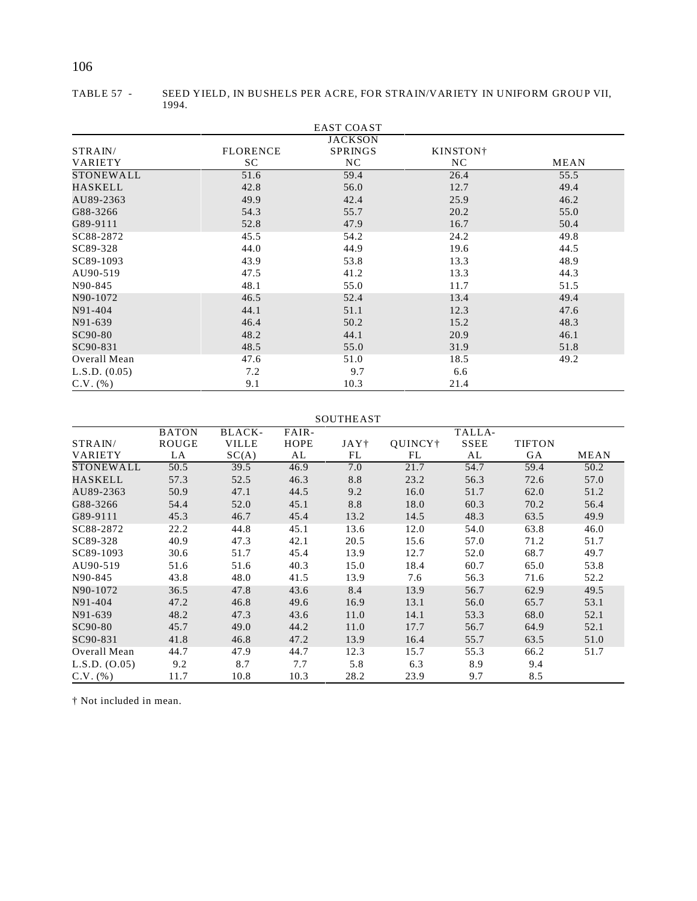# 106

|                    |                       | <b>EAST COAST</b>                      |                             |      |
|--------------------|-----------------------|----------------------------------------|-----------------------------|------|
| STRAIN/<br>VARIETY | <b>FLORENCE</b><br>SC | <b>JACKSON</b><br><b>SPRINGS</b><br>NC | KINSTON <sup>†</sup><br>NC. | MEAN |
| STONEWALL          | 51.6                  | 59.4                                   | 26.4                        | 55.5 |
| HASKELL            | 42.8                  | 56.0                                   | 12.7                        | 49.4 |
| AU89-2363          | 49.9                  | 42.4                                   | 25.9                        | 46.2 |
| G88-3266           | 54.3                  | 55.7                                   | 20.2                        | 55.0 |
| G89-9111           | 52.8                  | 47.9                                   | 16.7                        | 50.4 |
| SC88-2872          | 45.5                  | 54.2                                   | 24.2                        | 49.8 |
| SC89-328           | 44.0                  | 44.9                                   | 19.6                        | 44.5 |
| SC89-1093          | 43.9                  | 53.8                                   | 13.3                        | 48.9 |
| AU90-519           | 47.5                  | 41.2                                   | 13.3                        | 44.3 |
| N90-845            | 48.1                  | 55.0                                   | 11.7                        | 51.5 |
| N90-1072           | 46.5                  | 52.4                                   | 13.4                        | 49.4 |
| N91-404            | 44.1                  | 51.1                                   | 12.3                        | 47.6 |
| N91-639            | 46.4                  | 50.2                                   | 15.2                        | 48.3 |
| SC90-80            | 48.2                  | 44.1                                   | 20.9                        | 46.1 |
| SC90-831           | 48.5                  | 55.0                                   | 31.9                        | 51.8 |
| Overall Mean       | 47.6                  | 51.0                                   | 18.5                        | 49.2 |
| L.S.D. (0.05)      | 7.2                   | 9.7                                    | 6.6                         |      |
| $C.V.$ (%)         | 9.1                   | 10.3                                   | 21.4                        |      |

TABLE 57 - SEED YIELD, IN BUSHELS PER ACRE, FOR STRAIN/VARIETY IN UNIFORM GROUP VII, 1994.

#### SOUTHEAST

|                | <b>BATON</b> | BLACK-       | FAIR- |      |         | TALLA- |               |      |
|----------------|--------------|--------------|-------|------|---------|--------|---------------|------|
| STRAIN/        | ROUGE        | <b>VILLE</b> | HOPE  | JAY† | QUINCY† | SSEE   | <b>TIFTON</b> |      |
| <b>VARIETY</b> | LA           | SC(A)        | AL    | FL   | FL      | AL     | <b>GA</b>     | MEAN |
| STONEWALL      | 50.5         | 39.5         | 46.9  | 7.0  | 21.7    | 54.7   | 59.4          | 50.2 |
| HASKELL        | 57.3         | 52.5         | 46.3  | 8.8  | 23.2    | 56.3   | 72.6          | 57.0 |
| AU89-2363      | 50.9         | 47.1         | 44.5  | 9.2  | 16.0    | 51.7   | 62.0          | 51.2 |
| G88-3266       | 54.4         | 52.0         | 45.1  | 8.8  | 18.0    | 60.3   | 70.2          | 56.4 |
| G89-9111       | 45.3         | 46.7         | 45.4  | 13.2 | 14.5    | 48.3   | 63.5          | 49.9 |
| SC88-2872      | 22.2         | 44.8         | 45.1  | 13.6 | 12.0    | 54.0   | 63.8          | 46.0 |
| SC89-328       | 40.9         | 47.3         | 42.1  | 20.5 | 15.6    | 57.0   | 71.2          | 51.7 |
| SC89-1093      | 30.6         | 51.7         | 45.4  | 13.9 | 12.7    | 52.0   | 68.7          | 49.7 |
| AU90-519       | 51.6         | 51.6         | 40.3  | 15.0 | 18.4    | 60.7   | 65.0          | 53.8 |
| N90-845        | 43.8         | 48.0         | 41.5  | 13.9 | 7.6     | 56.3   | 71.6          | 52.2 |
| N90-1072       | 36.5         | 47.8         | 43.6  | 8.4  | 13.9    | 56.7   | 62.9          | 49.5 |
| N91-404        | 47.2         | 46.8         | 49.6  | 16.9 | 13.1    | 56.0   | 65.7          | 53.1 |
| N91-639        | 48.2         | 47.3         | 43.6  | 11.0 | 14.1    | 53.3   | 68.0          | 52.1 |
| SC90-80        | 45.7         | 49.0         | 44.2  | 11.0 | 17.7    | 56.7   | 64.9          | 52.1 |
| SC90-831       | 41.8         | 46.8         | 47.2  | 13.9 | 16.4    | 55.7   | 63.5          | 51.0 |
| Overall Mean   | 44.7         | 47.9         | 44.7  | 12.3 | 15.7    | 55.3   | 66.2          | 51.7 |
| L.S.D. (0.05)  | 9.2          | 8.7          | 7.7   | 5.8  | 6.3     | 8.9    | 9.4           |      |
| $C.V.$ (%)     | 11.7         | 10.8         | 10.3  | 28.2 | 23.9    | 9.7    | 8.5           |      |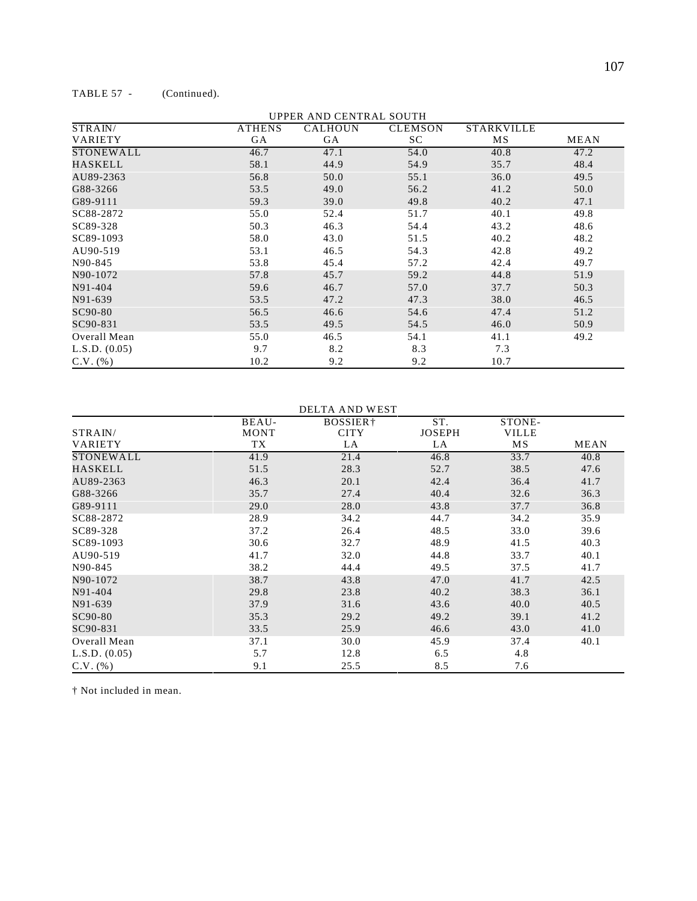| STRAIN/          | <b>ATHENS</b> | <b>CALHOUN</b> | <b>CLEMSON</b> | <b>STARKVILLE</b> |             |
|------------------|---------------|----------------|----------------|-------------------|-------------|
| <b>VARIETY</b>   | GA            | GA             | SC             | MS                | <b>MEAN</b> |
| <b>STONEWALL</b> | 46.7          | 47.1           | 54.0           | 40.8              | 47.2        |
| HASKELL          | 58.1          | 44.9           | 54.9           | 35.7              | 48.4        |
| AU89-2363        | 56.8          | 50.0           | 55.1           | 36.0              | 49.5        |
| G88-3266         | 53.5          | 49.0           | 56.2           | 41.2              | 50.0        |
| G89-9111         | 59.3          | 39.0           | 49.8           | 40.2              | 47.1        |
| SC88-2872        | 55.0          | 52.4           | 51.7           | 40.1              | 49.8        |
| SC89-328         | 50.3          | 46.3           | 54.4           | 43.2              | 48.6        |
| SC89-1093        | 58.0          | 43.0           | 51.5           | 40.2              | 48.2        |
| AU90-519         | 53.1          | 46.5           | 54.3           | 42.8              | 49.2        |
| N90-845          | 53.8          | 45.4           | 57.2           | 42.4              | 49.7        |
| N90-1072         | 57.8          | 45.7           | 59.2           | 44.8              | 51.9        |
| N91-404          | 59.6          | 46.7           | 57.0           | 37.7              | 50.3        |
| N91-639          | 53.5          | 47.2           | 47.3           | 38.0              | 46.5        |
| SC90-80          | 56.5          | 46.6           | 54.6           | 47.4              | 51.2        |
| SC90-831         | 53.5          | 49.5           | 54.5           | 46.0              | 50.9        |
| Overall Mean     | 55.0          | 46.5           | 54.1           | 41.1              | 49.2        |
| L.S.D. (0.05)    | 9.7           | 8.2            | 8.3            | 7.3               |             |
| $C.V.$ (%)       | 10.2          | 9.2            | 9.2            | 10.7              |             |

UPPER AND CENTRAL SOUTH

#### DELTA AND WEST

|                  | BEAU-       | BOSSIER+    | ST.           | STONE-       |             |
|------------------|-------------|-------------|---------------|--------------|-------------|
| STRAIN/          | <b>MONT</b> | <b>CITY</b> | <b>JOSEPH</b> | <b>VILLE</b> |             |
| <b>VARIETY</b>   | TX          | LA          | LA            | MS           | <b>MEAN</b> |
| <b>STONEWALL</b> | 41.9        | 21.4        | 46.8          | 33.7         | 40.8        |
| HASKELL          | 51.5        | 28.3        | 52.7          | 38.5         | 47.6        |
| AU89-2363        | 46.3        | 20.1        | 42.4          | 36.4         | 41.7        |
| G88-3266         | 35.7        | 27.4        | 40.4          | 32.6         | 36.3        |
| G89-9111         | 29.0        | 28.0        | 43.8          | 37.7         | 36.8        |
| SC88-2872        | 28.9        | 34.2        | 44.7          | 34.2         | 35.9        |
| SC89-328         | 37.2        | 26.4        | 48.5          | 33.0         | 39.6        |
| SC89-1093        | 30.6        | 32.7        | 48.9          | 41.5         | 40.3        |
| AU90-519         | 41.7        | 32.0        | 44.8          | 33.7         | 40.1        |
| N90-845          | 38.2        | 44.4        | 49.5          | 37.5         | 41.7        |
| N90-1072         | 38.7        | 43.8        | 47.0          | 41.7         | 42.5        |
| N91-404          | 29.8        | 23.8        | 40.2          | 38.3         | 36.1        |
| N91-639          | 37.9        | 31.6        | 43.6          | 40.0         | 40.5        |
| SC90-80          | 35.3        | 29.2        | 49.2          | 39.1         | 41.2        |
| SC90-831         | 33.5        | 25.9        | 46.6          | 43.0         | 41.0        |
| Overall Mean     | 37.1        | 30.0        | 45.9          | 37.4         | 40.1        |
| L.S.D. (0.05)    | 5.7         | 12.8        | 6.5           | 4.8          |             |
| $C.V.$ (%)       | 9.1         | 25.5        | 8.5           | 7.6          |             |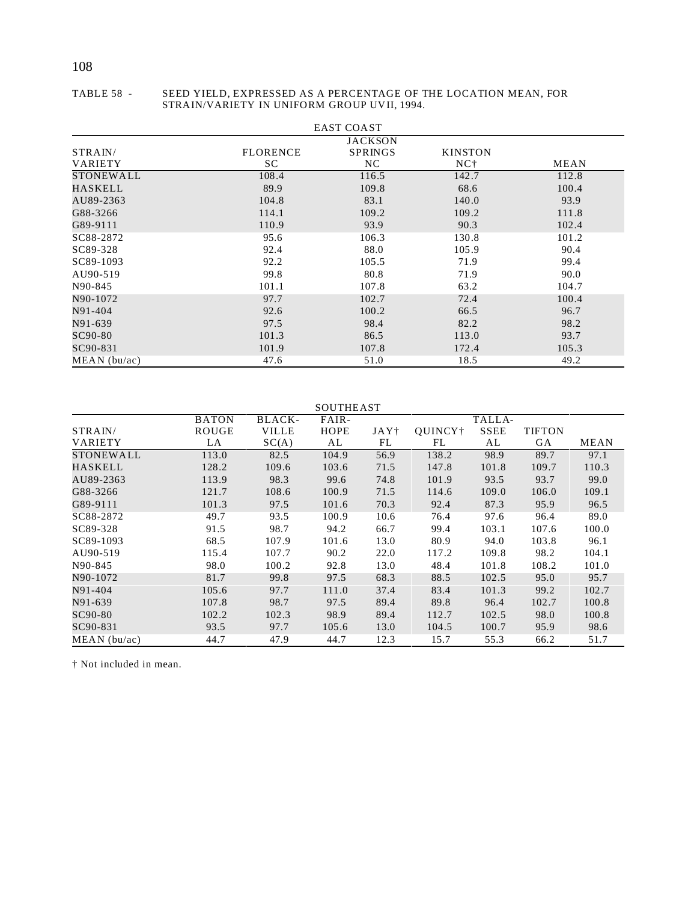#### TABLE 58 - SEED YIELD, EXPRESSED AS A PERCENTAGE OF THE LOCATION MEAN, FOR STRAIN/VARIETY IN UNIFORM GROUP UVII, 1994.

|                  |                 | <b>EAST COAST</b> |                 |       |
|------------------|-----------------|-------------------|-----------------|-------|
|                  |                 | <b>JACKSON</b>    |                 |       |
| STRAIN/          | <b>FLORENCE</b> | <b>SPRINGS</b>    | <b>KINSTON</b>  |       |
| <b>VARIETY</b>   | SC              | NC.               | NC <sup>+</sup> | MEAN  |
| <b>STONEWALL</b> | 108.4           | 116.5             | 142.7           | 112.8 |
| HASKELL          | 89.9            | 109.8             | 68.6            | 100.4 |
| AU89-2363        | 104.8           | 83.1              | 140.0           | 93.9  |
| G88-3266         | 114.1           | 109.2             | 109.2           | 111.8 |
| G89-9111         | 110.9           | 93.9              | 90.3            | 102.4 |
| SC88-2872        | 95.6            | 106.3             | 130.8           | 101.2 |
| SC89-328         | 92.4            | 88.0              | 105.9           | 90.4  |
| SC89-1093        | 92.2            | 105.5             | 71.9            | 99.4  |
| AU90-519         | 99.8            | 80.8              | 71.9            | 90.0  |
| N90-845          | 101.1           | 107.8             | 63.2            | 104.7 |
| N90-1072         | 97.7            | 102.7             | 72.4            | 100.4 |
| N91-404          | 92.6            | 100.2             | 66.5            | 96.7  |
| N91-639          | 97.5            | 98.4              | 82.2            | 98.2  |
| SC90-80          | 101.3           | 86.5              | 113.0           | 93.7  |
| SC90-831         | 101.9           | 107.8             | 172.4           | 105.3 |
| $MEAN$ (bu/ac)   | 47.6            | 51.0              | 18.5            | 49.2  |

#### SOUTHEAST

|                | <b>BATON</b> | BLACK-       | FAIR-       | TALLA- |                     |             |               |       |
|----------------|--------------|--------------|-------------|--------|---------------------|-------------|---------------|-------|
| STRAIN/        | ROUGE        | <b>VILLE</b> | <b>HOPE</b> | JAY†   | OUINCY <sup>+</sup> | <b>SSEE</b> | <b>TIFTON</b> |       |
| <b>VARIETY</b> | LA           | SC(A)        | AL          | FL     | FL                  | AL          | GA            | MEAN  |
| STONEWALL      | 113.0        | 82.5         | 104.9       | 56.9   | 138.2               | 98.9        | 89.7          | 97.1  |
| HASKELL        | 128.2        | 109.6        | 103.6       | 71.5   | 147.8               | 101.8       | 109.7         | 110.3 |
| AU89-2363      | 113.9        | 98.3         | 99.6        | 74.8   | 101.9               | 93.5        | 93.7          | 99.0  |
| G88-3266       | 121.7        | 108.6        | 100.9       | 71.5   | 114.6               | 109.0       | 106.0         | 109.1 |
| G89-9111       | 101.3        | 97.5         | 101.6       | 70.3   | 92.4                | 87.3        | 95.9          | 96.5  |
| SC88-2872      | 49.7         | 93.5         | 100.9       | 10.6   | 76.4                | 97.6        | 96.4          | 89.0  |
| SC89-328       | 91.5         | 98.7         | 94.2        | 66.7   | 99.4                | 103.1       | 107.6         | 100.0 |
| SC89-1093      | 68.5         | 107.9        | 101.6       | 13.0   | 80.9                | 94.0        | 103.8         | 96.1  |
| AU90-519       | 115.4        | 107.7        | 90.2        | 22.0   | 117.2               | 109.8       | 98.2          | 104.1 |
| N90-845        | 98.0         | 100.2        | 92.8        | 13.0   | 48.4                | 101.8       | 108.2         | 101.0 |
| N90-1072       | 81.7         | 99.8         | 97.5        | 68.3   | 88.5                | 102.5       | 95.0          | 95.7  |
| N91-404        | 105.6        | 97.7         | 111.0       | 37.4   | 83.4                | 101.3       | 99.2          | 102.7 |
| N91-639        | 107.8        | 98.7         | 97.5        | 89.4   | 89.8                | 96.4        | 102.7         | 100.8 |
| SC90-80        | 102.2        | 102.3        | 98.9        | 89.4   | 112.7               | 102.5       | 98.0          | 100.8 |
| SC90-831       | 93.5         | 97.7         | 105.6       | 13.0   | 104.5               | 100.7       | 95.9          | 98.6  |
| MEAN (bu/ac)   | 44.7         | 47.9         | 44.7        | 12.3   | 15.7                | 55.3        | 66.2          | 51.7  |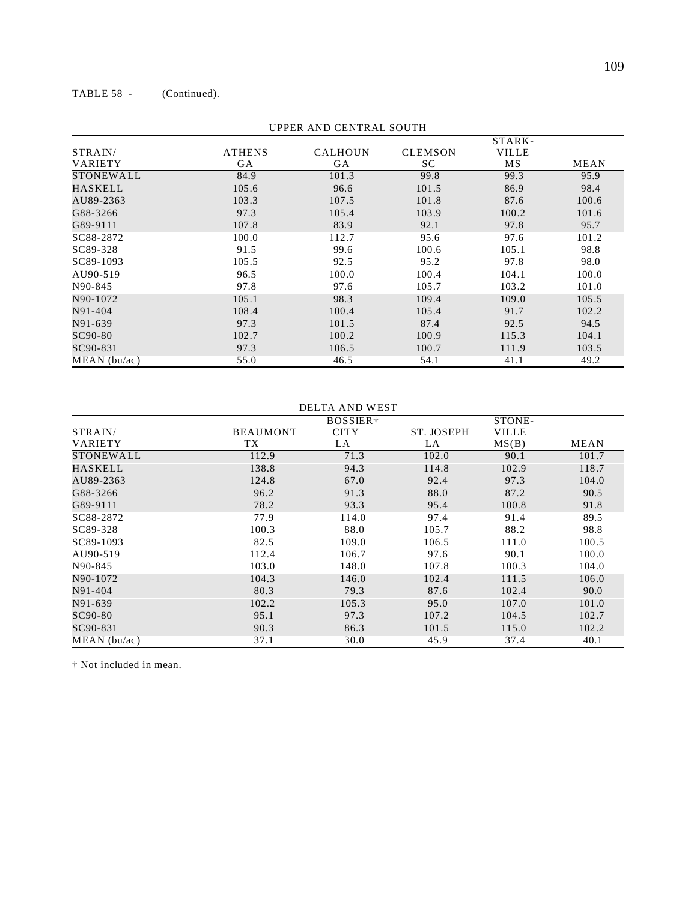TABLE 58 - (Continued).

|                  |               |                |                | STARK-       |             |
|------------------|---------------|----------------|----------------|--------------|-------------|
| STRAIN/          | <b>ATHENS</b> | <b>CALHOUN</b> | <b>CLEMSON</b> | <b>VILLE</b> |             |
| <b>VARIETY</b>   | <b>GA</b>     | GA             | SC             | MS           | <b>MEAN</b> |
| <b>STONEWALL</b> | 84.9          | 101.3          | 99.8           | 99.3         | 95.9        |
| HASKELL          | 105.6         | 96.6           | 101.5          | 86.9         | 98.4        |
| AU89-2363        | 103.3         | 107.5          | 101.8          | 87.6         | 100.6       |
| G88-3266         | 97.3          | 105.4          | 103.9          | 100.2        | 101.6       |
| G89-9111         | 107.8         | 83.9           | 92.1           | 97.8         | 95.7        |
| SC88-2872        | 100.0         | 112.7          | 95.6           | 97.6         | 101.2       |
| SC89-328         | 91.5          | 99.6           | 100.6          | 105.1        | 98.8        |
| SC89-1093        | 105.5         | 92.5           | 95.2           | 97.8         | 98.0        |
| AU90-519         | 96.5          | 100.0          | 100.4          | 104.1        | 100.0       |
| N90-845          | 97.8          | 97.6           | 105.7          | 103.2        | 101.0       |
| N90-1072         | 105.1         | 98.3           | 109.4          | 109.0        | 105.5       |
| N91-404          | 108.4         | 100.4          | 105.4          | 91.7         | 102.2       |
| N91-639          | 97.3          | 101.5          | 87.4           | 92.5         | 94.5        |
| SC90-80          | 102.7         | 100.2          | 100.9          | 115.3        | 104.1       |
| SC90-831         | 97.3          | 106.5          | 100.7          | 111.9        | 103.5       |
| MEAN(bu/ac)      | 55.0          | 46.5           | 54.1           | 41.1         | 49.2        |

UPPER AND CENTRAL SOUTH

### DELTA AND WEST

|             |                 | BOSSIER <sup>+</sup> |            | STONE-       |             |
|-------------|-----------------|----------------------|------------|--------------|-------------|
| STRAIN/     | <b>BEAUMONT</b> | <b>CITY</b>          | ST. JOSEPH | <b>VILLE</b> |             |
| VARIETY     | TX              | LA                   | LA         | MS(B)        | <b>MEAN</b> |
| STONEWALL   | 112.9           | 71.3                 | 102.0      | 90.1         | 101.7       |
| HASKELL     | 138.8           | 94.3                 | 114.8      | 102.9        | 118.7       |
| AU89-2363   | 124.8           | 67.0                 | 92.4       | 97.3         | 104.0       |
| G88-3266    | 96.2            | 91.3                 | 88.0       | 87.2         | 90.5        |
| G89-9111    | 78.2            | 93.3                 | 95.4       | 100.8        | 91.8        |
| SC88-2872   | 77.9            | 114.0                | 97.4       | 91.4         | 89.5        |
| SC89-328    | 100.3           | 88.0                 | 105.7      | 88.2         | 98.8        |
| SC89-1093   | 82.5            | 109.0                | 106.5      | 111.0        | 100.5       |
| AU90-519    | 112.4           | 106.7                | 97.6       | 90.1         | 100.0       |
| N90-845     | 103.0           | 148.0                | 107.8      | 100.3        | 104.0       |
| N90-1072    | 104.3           | 146.0                | 102.4      | 111.5        | 106.0       |
| N91-404     | 80.3            | 79.3                 | 87.6       | 102.4        | 90.0        |
| N91-639     | 102.2           | 105.3                | 95.0       | 107.0        | 101.0       |
| SC90-80     | 95.1            | 97.3                 | 107.2      | 104.5        | 102.7       |
| SC90-831    | 90.3            | 86.3                 | 101.5      | 115.0        | 102.2       |
| MEAN(bu/ac) | 37.1            | 30.0                 | 45.9       | 37.4         | 40.1        |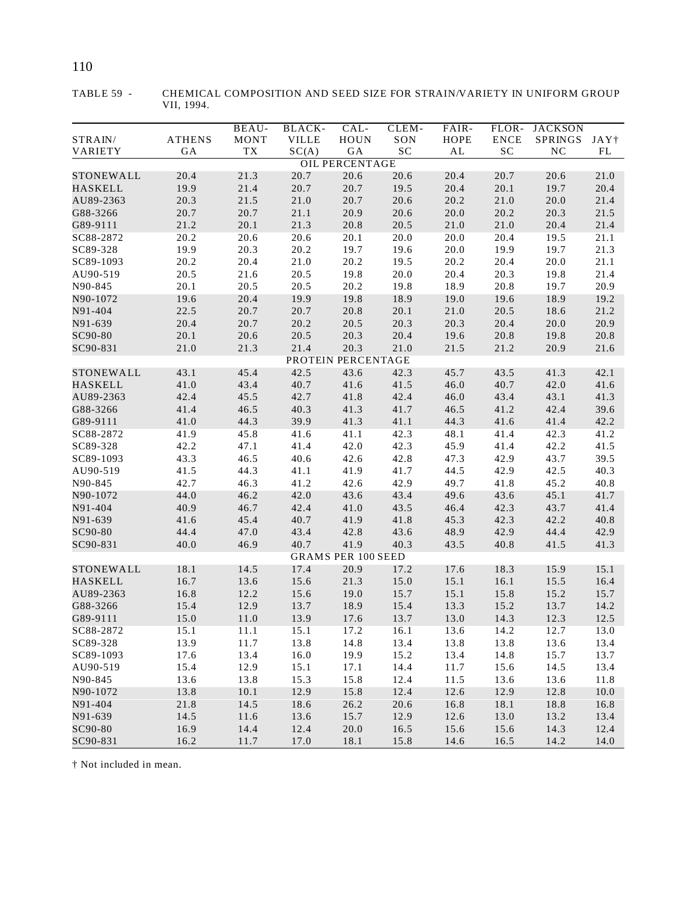|                       |               | BEAU-        | BLACK-       | CAL-                      | CLEM-        | FAIR-         | FLOR-        | <b>JACKSON</b> |                  |
|-----------------------|---------------|--------------|--------------|---------------------------|--------------|---------------|--------------|----------------|------------------|
| STRAIN/               | <b>ATHENS</b> | <b>MONT</b>  | <b>VILLE</b> | <b>HOUN</b>               | SON          | HOPE          | <b>ENCE</b>  | <b>SPRINGS</b> | JAY <sup>†</sup> |
| VARIETY               | GA            | TX           | SC(A)        | $\rm GA$                  | SC           | $\mathbf{AL}$ | $\rm SC$     | NC             | $\mathbf{FL}$    |
|                       |               |              |              | <b>OIL PERCENTAGE</b>     |              |               |              |                |                  |
| STONEWALL             | 20.4          | 21.3         | 20.7         | 20.6                      | 20.6         | 20.4          | 20.7         | 20.6           | 21.0             |
| <b>HASKELL</b>        | 19.9          | 21.4         | 20.7         | 20.7                      | 19.5         | 20.4          | 20.1         | 19.7           | 20.4             |
| AU89-2363             | 20.3          | 21.5         | 21.0         | 20.7                      | 20.6         | 20.2          | 21.0         | 20.0           | 21.4             |
| G88-3266              | 20.7          | 20.7         | 21.1         | 20.9                      | 20.6         | 20.0          | 20.2         | 20.3           | 21.5             |
| G89-9111<br>SC88-2872 | 21.2          | 20.1         | 21.3         | 20.8                      | 20.5         | 21.0          | 21.0         | 20.4           | 21.4             |
| SC89-328              | 20.2<br>19.9  | 20.6<br>20.3 | 20.6         | 20.1                      | 20.0         | 20.0<br>20.0  | 20.4         | 19.5           | 21.1             |
| SC89-1093             | 20.2          | 20.4         | 20.2<br>21.0 | 19.7<br>20.2              | 19.6<br>19.5 | 20.2          | 19.9<br>20.4 | 19.7<br>20.0   | 21.3<br>21.1     |
| AU90-519              | 20.5          | 21.6         | 20.5         | 19.8                      | 20.0         | 20.4          | 20.3         | 19.8           | 21.4             |
| N90-845               | 20.1          | 20.5         | 20.5         | 20.2                      | 19.8         | 18.9          | 20.8         | 19.7           | 20.9             |
| N90-1072              | 19.6          | 20.4         | 19.9         | 19.8                      | 18.9         | 19.0          | 19.6         | 18.9           | 19.2             |
| N91-404               | 22.5          | 20.7         | 20.7         | 20.8                      | 20.1         | 21.0          | 20.5         | 18.6           | 21.2             |
| N91-639               | 20.4          | 20.7         | 20.2         | 20.5                      | 20.3         | 20.3          | 20.4         | 20.0           | 20.9             |
| SC90-80               | 20.1          | 20.6         | 20.5         | 20.3                      | 20.4         | 19.6          | 20.8         | 19.8           | 20.8             |
| SC90-831              | 21.0          | 21.3         | 21.4         | 20.3                      | 21.0         | 21.5          | 21.2         | 20.9           | 21.6             |
|                       |               |              |              | PROTEIN PERCENTAGE        |              |               |              |                |                  |
| STONEWALL             | 43.1          | 45.4         | 42.5         | 43.6                      | 42.3         | 45.7          | 43.5         | 41.3           | 42.1             |
| <b>HASKELL</b>        | 41.0          | 43.4         | 40.7         | 41.6                      | 41.5         | 46.0          | 40.7         | 42.0           | 41.6             |
| AU89-2363             | 42.4          | 45.5         | 42.7         | 41.8                      | 42.4         | 46.0          | 43.4         | 43.1           | 41.3             |
| G88-3266              | 41.4          | 46.5         | 40.3         | 41.3                      | 41.7         | 46.5          | 41.2         | 42.4           | 39.6             |
| G89-9111              | 41.0          | 44.3         | 39.9         | 41.3                      | 41.1         | 44.3          | 41.6         | 41.4           | 42.2             |
| SC88-2872             | 41.9          | 45.8         | 41.6         | 41.1                      | 42.3         | 48.1          | 41.4         | 42.3           | 41.2             |
| SC89-328              | 42.2          | 47.1         | 41.4         | 42.0                      | 42.3         | 45.9          | 41.4         | 42.2           | 41.5             |
| SC89-1093             | 43.3          | 46.5         | 40.6         | 42.6                      | 42.8         | 47.3          | 42.9         | 43.7           | 39.5             |
| AU90-519              | 41.5          | 44.3         | 41.1         | 41.9                      | 41.7         | 44.5          | 42.9         | 42.5           | 40.3             |
| N90-845               | 42.7          | 46.3         | 41.2         | 42.6                      | 42.9         | 49.7          | 41.8         | 45.2           | 40.8             |
| N90-1072              | 44.0          | 46.2         | 42.0         | 43.6                      | 43.4         | 49.6          | 43.6         | 45.1           | 41.7             |
| N91-404               | 40.9          | 46.7         | 42.4         | 41.0                      | 43.5         | 46.4          | 42.3         | 43.7           | 41.4             |
| N91-639               | 41.6          | 45.4         | 40.7         | 41.9                      | 41.8         | 45.3          | 42.3         | 42.2           | 40.8             |
| SC90-80               | 44.4          | 47.0         | 43.4         | 42.8                      | 43.6         | 48.9          | 42.9         | 44.4           | 42.9             |
| SC90-831              | 40.0          | 46.9         | 40.7         | 41.9                      | 40.3         | 43.5          | 40.8         | 41.5           | 41.3             |
|                       |               |              |              | <b>GRAMS PER 100 SEED</b> |              |               |              |                |                  |
| STONEWALL             | 18.1          | 14.5         | 17.4         | 20.9                      | 17.2         | 17.6          | 18.3         | 15.9           | 15.1             |
| HASKELL               | 16.7          | 13.6         | 15.6         | 21.3                      | 15.0         | 15.1          | 16.1         | 15.5           | 16.4             |
| AU89-2363             | 16.8          | 12.2         | 15.6         | 19.0                      | 15.7         | 15.1          | 15.8         | 15.2           | 15.7             |
| G88-3266              | 15.4          | 12.9         | 13.7         | 18.9                      | 15.4         | 13.3          | 15.2         | 13.7           | 14.2             |
| G89-9111              | 15.0          | 11.0         | 13.9         | 17.6                      | 13.7         | 13.0          | 14.3         | 12.3           | 12.5             |
| SC88-2872             | 15.1          | 11.1         | 15.1         | 17.2                      | 16.1         | 13.6          | 14.2         | 12.7           | 13.0             |
| SC89-328              | 13.9          | 11.7         | 13.8         | 14.8                      | 13.4         | 13.8          | 13.8         | 13.6           | 13.4             |
| SC89-1093             | 17.6          | 13.4         | 16.0         | 19.9                      | 15.2         | 13.4          | 14.8         | 15.7           | 13.7             |
| AU90-519              | 15.4          | 12.9         | 15.1         | 17.1                      | 14.4         | 11.7          | 15.6         | 14.5           | 13.4             |
| N90-845               | 13.6          | 13.8         | 15.3         | 15.8                      | 12.4         | 11.5          | 13.6         | 13.6           | 11.8             |
| N90-1072              | 13.8          | 10.1         | 12.9         | 15.8                      | 12.4         | 12.6          | 12.9         | 12.8           | 10.0             |
| N91-404               | 21.8          | 14.5         | 18.6         | 26.2                      | 20.6         | 16.8          | 18.1         | 18.8           | 16.8             |
| N91-639               | 14.5          | 11.6         | 13.6         | 15.7                      | 12.9         | 12.6          | 13.0         | 13.2           | 13.4             |
| SC90-80               | 16.9          | 14.4         | 12.4         | 20.0                      | 16.5         | 15.6          | 15.6         | 14.3           | 12.4             |
| SC90-831              | 16.2          | 11.7         | 17.0         | 18.1                      | 15.8         | 14.6          | 16.5         | 14.2           | 14.0             |

TABLE 59 - CHEMICAL COMPOSITION AND SEED SIZE FOR STRAIN/VARIETY IN UNIFORM GROUP VII, 1994.

# 110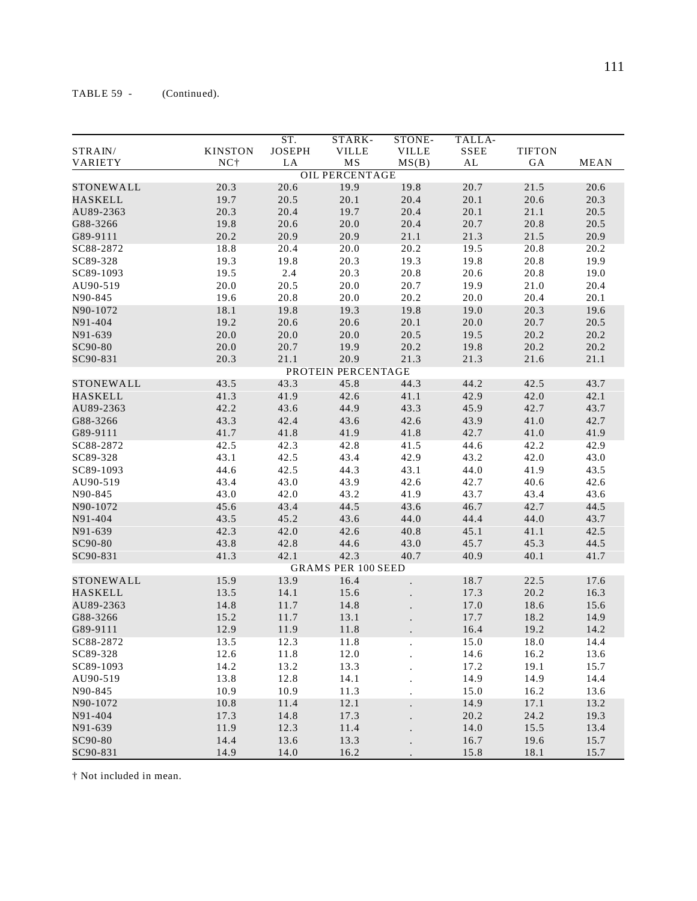|                  |                | ST.           | STARK-                    | STONE-       | TALLA-      |               |             |
|------------------|----------------|---------------|---------------------------|--------------|-------------|---------------|-------------|
| STRAIN/          | <b>KINSTON</b> | <b>JOSEPH</b> | <b>VILLE</b>              | <b>VILLE</b> | <b>SSEE</b> | <b>TIFTON</b> |             |
| VARIETY          | NC†            | LA            | MS                        | MS(B)        | AL          | GA            | <b>MEAN</b> |
|                  |                |               | <b>OIL PERCENTAGE</b>     |              |             |               |             |
| STONEWALL        | 20.3           | 20.6          | 19.9                      | 19.8         | 20.7        | 21.5          | 20.6        |
| <b>HASKELL</b>   | 19.7           | 20.5          | 20.1                      | 20.4         | 20.1        | 20.6          | 20.3        |
| AU89-2363        | 20.3           | 20.4          | 19.7                      | 20.4         | 20.1        | 21.1          | 20.5        |
|                  |                |               | 20.0                      |              |             |               |             |
| G88-3266         | 19.8           | 20.6          |                           | 20.4         | 20.7        | 20.8          | 20.5        |
| G89-9111         | 20.2           | 20.9          | 20.9                      | 21.1         | 21.3        | 21.5          | 20.9        |
| SC88-2872        | 18.8           | 20.4          | 20.0                      | 20.2         | 19.5        | 20.8          | 20.2        |
| SC89-328         | 19.3           | 19.8          | 20.3                      | 19.3         | 19.8        | 20.8          | 19.9        |
| SC89-1093        | 19.5           | 2.4           | 20.3                      | 20.8         | 20.6        | 20.8          | 19.0        |
| AU90-519         | 20.0           | 20.5          | 20.0                      | 20.7         | 19.9        | 21.0          | 20.4        |
| N90-845          | 19.6           | 20.8          | 20.0                      | 20.2         | 20.0        | 20.4          | 20.1        |
| N90-1072         | 18.1           | 19.8          | 19.3                      | 19.8         | 19.0        | 20.3          | 19.6        |
| N91-404          | 19.2           | 20.6          | 20.6                      | 20.1         | 20.0        | 20.7          | 20.5        |
| N91-639          | 20.0           | 20.0          | 20.0                      | 20.5         | 19.5        | 20.2          | 20.2        |
| SC90-80          | 20.0           | 20.7          | 19.9                      | 20.2         | 19.8        | 20.2          | 20.2        |
| SC90-831         | 20.3           | 21.1          | 20.9                      | 21.3         | 21.3        | 21.6          | 21.1        |
|                  |                |               | PROTEIN PERCENTAGE        |              |             |               |             |
| <b>STONEWALL</b> | 43.5           | 43.3          | 45.8                      | 44.3         | 44.2        | 42.5          | 43.7        |
| <b>HASKELL</b>   | 41.3           | 41.9          | 42.6                      | 41.1         | 42.9        | 42.0          | 42.1        |
| AU89-2363        | 42.2           | 43.6          | 44.9                      | 43.3         | 45.9        | 42.7          | 43.7        |
| G88-3266         | 43.3           | 42.4          | 43.6                      | 42.6         | 43.9        | 41.0          | 42.7        |
| G89-9111         | 41.7           | 41.8          | 41.9                      | 41.8         | 42.7        | 41.0          | 41.9        |
| SC88-2872        | 42.5           | 42.3          | 42.8                      | 41.5         | 44.6        | 42.2          | 42.9        |
| SC89-328         | 43.1           | 42.5          | 43.4                      | 42.9         | 43.2        | 42.0          | 43.0        |
| SC89-1093        | 44.6           | 42.5          | 44.3                      | 43.1         | 44.0        | 41.9          | 43.5        |
| AU90-519         | 43.4           | 43.0          | 43.9                      | 42.6         | 42.7        | 40.6          | 42.6        |
| N90-845          | 43.0           | 42.0          | 43.2                      | 41.9         | 43.7        | 43.4          | 43.6        |
| N90-1072         | 45.6           | 43.4          | 44.5                      | 43.6         | 46.7        | 42.7          | 44.5        |
| N91-404          | 43.5           | 45.2          | 43.6                      | 44.0         | 44.4        | 44.0          | 43.7        |
| N91-639          | 42.3           | 42.0          |                           | 40.8         | 45.1        | 41.1          |             |
|                  |                |               | 42.6                      |              |             |               | 42.5        |
| SC90-80          | 43.8           | 42.8          | 44.6                      | 43.0         | 45.7        | 45.3          | 44.5        |
| SC90-831         | 41.3           | 42.1          | 42.3                      | 40.7         | 40.9        | 40.1          | 41.7        |
|                  |                |               | <b>GRAMS PER 100 SEED</b> |              |             |               |             |
| STONEWALL        | 15.9           | 13.9          | 16.4                      |              | 18.7        | 22.5          | 17.6        |
| <b>HASKELL</b>   | 13.5           | 14.1          | 15.6                      |              | 17.3        | 20.2          | 16.3        |
| AU89-2363        | 14.8           | 11.7          | 14.8                      |              | 17.0        | 18.6          | 15.6        |
| G88-3266         | 15.2           | 11.7          | 13.1                      |              | 17.7        | 18.2          | 14.9        |
| G89-9111         | 12.9           | 11.9          | 11.8                      |              | 16.4        | 19.2          | 14.2        |
| SC88-2872        | 13.5           | 12.3          | 11.8                      |              | 15.0        | 18.0          | 14.4        |
| SC89-328         | 12.6           | 11.8          | 12.0                      |              | 14.6        | 16.2          | 13.6        |
| SC89-1093        | 14.2           | 13.2          | 13.3                      |              | 17.2        | 19.1          | 15.7        |
| AU90-519         | 13.8           | 12.8          | 14.1                      |              | 14.9        | 14.9          | 14.4        |
| N90-845          | 10.9           | 10.9          | 11.3                      |              | 15.0        | 16.2          | 13.6        |
| N90-1072         | 10.8           | 11.4          | 12.1                      |              | 14.9        | 17.1          | 13.2        |
| N91-404          | 17.3           | 14.8          | 17.3                      |              | 20.2        | 24.2          | 19.3        |
| N91-639          | 11.9           | 12.3          | 11.4                      |              | 14.0        | 15.5          | 13.4        |
| SC90-80          | 14.4           | 13.6          | 13.3                      |              | 16.7        | 19.6          | 15.7        |
| SC90-831         | 14.9           | 14.0          | 16.2                      |              | 15.8        | 18.1          | 15.7        |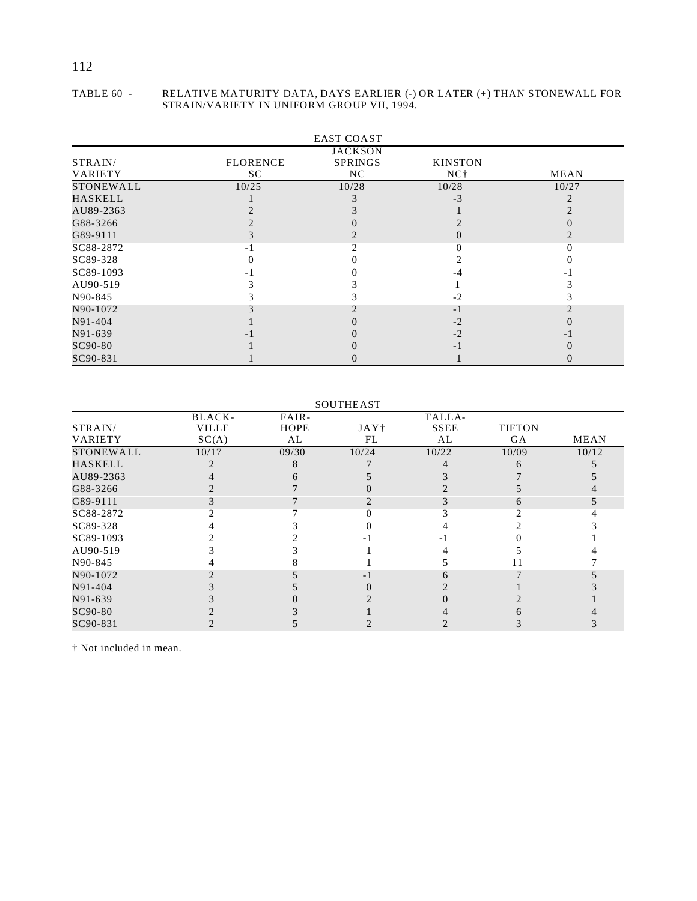#### TABLE 60 - RELATIVE MATURITY DATA, DAYS EARLIER (-) OR LATER (+) THAN STONEWALL FOR STRAIN/VARIETY IN UNIFORM GROUP VII, 1994.

|           |                 | <b>EAST COAST</b> |                 |       |
|-----------|-----------------|-------------------|-----------------|-------|
|           |                 | <b>JACKSON</b>    |                 |       |
| STRAIN/   | <b>FLORENCE</b> | <b>SPRINGS</b>    | <b>KINSTON</b>  |       |
| VARIETY   | SC.             | NC                | NC <sub>1</sub> | MEAN  |
| STONEWALL | 10/25           | 10/28             | 10/28           | 10/27 |
| HASKELL   |                 |                   | $-3$            |       |
| AU89-2363 |                 |                   |                 |       |
| G88-3266  |                 |                   |                 |       |
| G89-9111  |                 |                   | $\mathbf{0}$    |       |
| SC88-2872 | - 1             |                   |                 |       |
| SC89-328  |                 |                   |                 |       |
| SC89-1093 |                 |                   |                 |       |
| AU90-519  |                 |                   |                 |       |
| N90-845   |                 |                   | $-2$            |       |
| N90-1072  |                 |                   | $-1$            |       |
| N91-404   |                 |                   | $-2$            |       |
| N91-639   |                 |                   | $-2$            |       |
| SC90-80   |                 |                   | - 1             |       |
| SC90-831  |                 |                   |                 |       |

#### SOUTHEAST

|                  | BLACK-       | FAIR-       |                  | TALLA-      |               |             |
|------------------|--------------|-------------|------------------|-------------|---------------|-------------|
| STRAIN/          | <b>VILLE</b> | <b>HOPE</b> | JAY <sup>+</sup> | <b>SSEE</b> | <b>TIFTON</b> |             |
| <b>VARIETY</b>   | SC(A)        | AL          | FL               | AL          | GA            | <b>MEAN</b> |
| <b>STONEWALL</b> | 10/17        | 09/30       | 10/24            | 10/22       | 10/09         | 10/12       |
| <b>HASKELL</b>   |              |             |                  |             |               |             |
| AU89-2363        |              |             |                  |             |               |             |
| G88-3266         |              |             |                  |             |               |             |
| G89-9111         |              |             |                  |             |               |             |
| SC88-2872        |              |             |                  |             |               |             |
| SC89-328         |              |             |                  |             |               |             |
| SC89-1093        |              |             |                  |             |               |             |
| AU90-519         |              |             |                  |             |               |             |
| N90-845          |              |             |                  |             |               |             |
| N90-1072         |              |             |                  |             |               |             |
| N91-404          |              |             |                  |             |               |             |
| N91-639          |              |             |                  |             |               |             |
| SC90-80          |              |             |                  |             |               |             |
| SC90-831         |              |             |                  |             |               |             |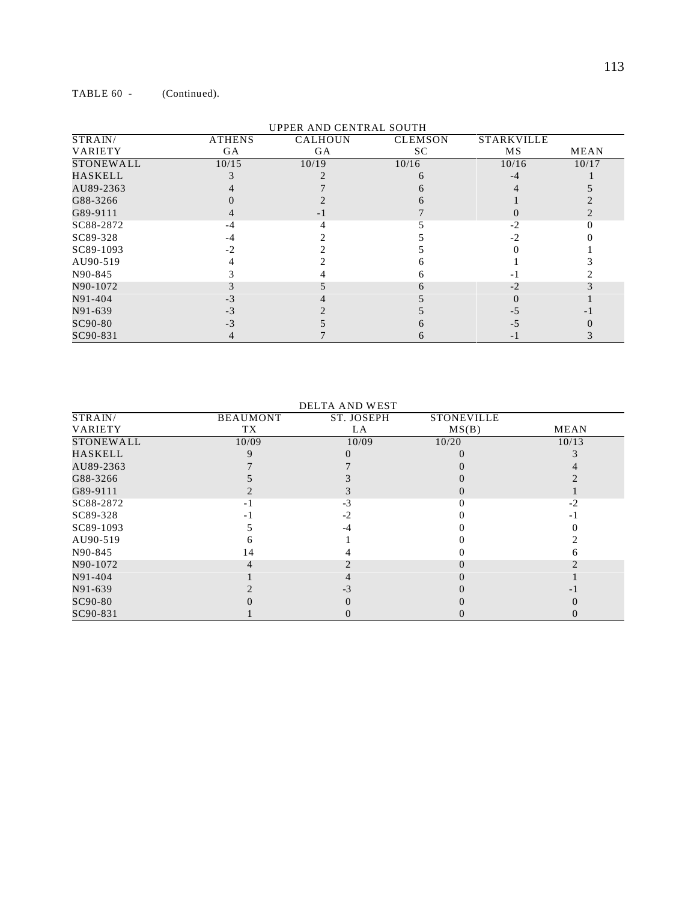| STRAIN/        |               | UFFEN AND CENTRAL SOUTH |                |                   |             |
|----------------|---------------|-------------------------|----------------|-------------------|-------------|
|                | <b>ATHENS</b> | <b>CALHOUN</b>          | <b>CLEMSON</b> | <b>STARKVILLE</b> |             |
| <b>VARIETY</b> | <b>GA</b>     | <b>GA</b>               | SC.            | MS                | <b>MEAN</b> |
| STONEWALL      | 10/15         | 10/19                   | 10/16          | 10/16             | 10/17       |
| HASKELL        |               |                         |                |                   |             |
| AU89-2363      |               |                         |                |                   |             |
| G88-3266       |               |                         |                |                   |             |
| G89-9111       |               |                         |                |                   |             |
| SC88-2872      | -4            |                         |                | $-2$              |             |
| SC89-328       |               |                         |                |                   |             |
| SC89-1093      | $-2$          |                         |                |                   |             |
| AU90-519       |               |                         |                |                   |             |
| N90-845        |               |                         |                |                   |             |
| N90-1072       |               |                         |                |                   |             |
| N91-404        |               |                         |                |                   |             |
| N91-639        |               |                         |                |                   |             |
| SC90-80        |               |                         |                |                   |             |
| SC90-831       |               |                         |                |                   |             |

| <b>DELTA AND WEST</b> |                 |            |                   |             |  |  |
|-----------------------|-----------------|------------|-------------------|-------------|--|--|
| STRAIN/               | <b>BEAUMONT</b> | ST. JOSEPH | <b>STONEVILLE</b> |             |  |  |
| <b>VARIETY</b>        | TX              | LA.        | MS(B)             | <b>MEAN</b> |  |  |
| <b>STONEWALL</b>      | 10/09           | 10/09      | 10/20             | 10/13       |  |  |
| HASKELL               |                 |            |                   |             |  |  |
| AU89-2363             |                 |            |                   |             |  |  |
| G88-3266              |                 |            |                   |             |  |  |
| G89-9111              |                 |            |                   |             |  |  |
| SC88-2872             |                 | -3         |                   | $-2$        |  |  |
| SC89-328              |                 | $-2$       |                   |             |  |  |
| SC89-1093             |                 |            |                   |             |  |  |
| AU90-519              |                 |            |                   |             |  |  |
| N90-845               | 14              |            |                   |             |  |  |
| N90-1072              |                 |            |                   |             |  |  |
| N91-404               |                 |            |                   |             |  |  |
| N91-639               |                 |            |                   |             |  |  |
| SC90-80               |                 |            |                   |             |  |  |
| SC90-831              |                 | $\cup$     |                   | O           |  |  |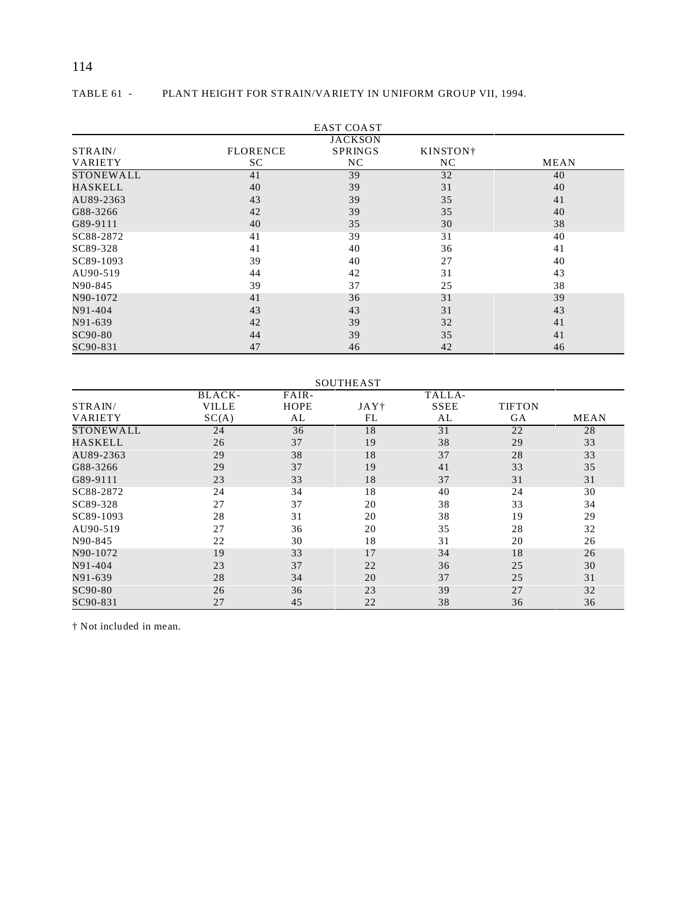# 114

| PLANT HEIGHT FOR STRAIN/VARIETY IN UNIFORM GROUP VII. 1994.<br>TABLE 61 - |  |
|---------------------------------------------------------------------------|--|
|---------------------------------------------------------------------------|--|

|                  |                 | <b>EAST COAST</b> |                      |      |  |  |  |  |
|------------------|-----------------|-------------------|----------------------|------|--|--|--|--|
|                  | <b>JACKSON</b>  |                   |                      |      |  |  |  |  |
| STRAIN/          | <b>FLORENCE</b> | <b>SPRINGS</b>    | KINSTON <sup>+</sup> |      |  |  |  |  |
| <b>VARIETY</b>   | SC.             | NC                | NC.                  | MEAN |  |  |  |  |
| <b>STONEWALL</b> | 41              | 39                | 32                   | 40   |  |  |  |  |
| HASKELL          | 40              | 39                | 31                   | 40   |  |  |  |  |
| AU89-2363        | 43              | 39                | 35                   | 41   |  |  |  |  |
| G88-3266         | 42              | 39                | 35                   | 40   |  |  |  |  |
| G89-9111         | 40              | 35                | 30                   | 38   |  |  |  |  |
| SC88-2872        | 41              | 39                | 31                   | 40   |  |  |  |  |
| SC89-328         | 41              | 40                | 36                   | 41   |  |  |  |  |
| SC89-1093        | 39              | 40                | 27                   | 40   |  |  |  |  |
| AU90-519         | 44              | 42                | 31                   | 43   |  |  |  |  |
| N90-845          | 39              | 37                | 25                   | 38   |  |  |  |  |
| N90-1072         | 41              | 36                | 31                   | 39   |  |  |  |  |
| N91-404          | 43              | 43                | 31                   | 43   |  |  |  |  |
| N91-639          | 42              | 39                | 32                   | 41   |  |  |  |  |
| SC90-80          | 44              | 39                | 35                   | 41   |  |  |  |  |
| SC90-831         | 47              | 46                | 42                   | 46   |  |  |  |  |

| SOUTHEAST        |                        |                      |                  |                       |               |             |
|------------------|------------------------|----------------------|------------------|-----------------------|---------------|-------------|
| STRAIN/          | BLACK-<br><b>VILLE</b> | FAIR-<br><b>HOPE</b> | JAY <sup>+</sup> | TALLA-<br><b>SSEE</b> | <b>TIFTON</b> |             |
| <b>VARIETY</b>   | SC(A)                  | AL                   | FL               | AL                    | GA            | <b>MEAN</b> |
| <b>STONEWALL</b> | 24                     | 36                   | 18               | 31                    | 22            | 28          |
| HASKELL          | 26                     | 37                   | 19               | 38                    | 29            | 33          |
| AU89-2363        | 29                     | 38                   | 18               | 37                    | 28            | 33          |
| G88-3266         | 29                     | 37                   | 19               | 41                    | 33            | 35          |
| G89-9111         | 23                     | 33                   | 18               | 37                    | 31            | 31          |
| SC88-2872        | 24                     | 34                   | 18               | 40                    | 24            | 30          |
| SC89-328         | 27                     | 37                   | 20               | 38                    | 33            | 34          |
| SC89-1093        | 28                     | 31                   | 20               | 38                    | 19            | 29          |
| AU90-519         | 27                     | 36                   | 20               | 35                    | 28            | 32          |
| N90-845          | 22                     | 30                   | 18               | 31                    | 20            | 26          |
| N90-1072         | 19                     | 33                   | 17               | 34                    | 18            | 26          |
| N91-404          | 23                     | 37                   | 22               | 36                    | 25            | 30          |
| N91-639          | 28                     | 34                   | 20               | 37                    | 25            | 31          |
| SC90-80          | 26                     | 36                   | 23               | 39                    | 27            | 32          |
| SC90-831         | 27                     | 45                   | 22               | 38                    | 36            | 36          |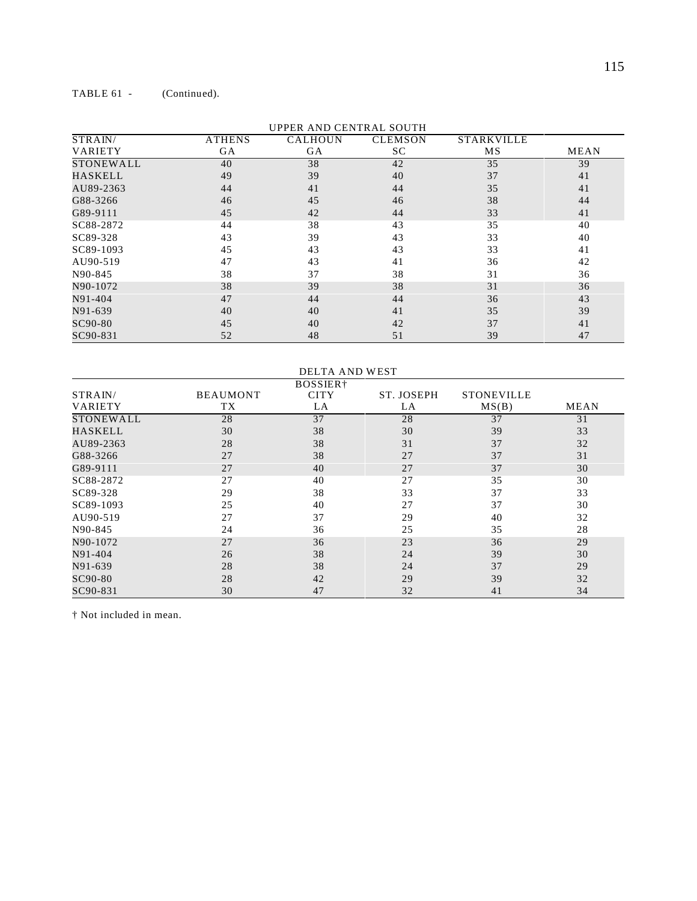## TABLE 61 - (Continued).

|                  | UPPER AND CENTRAL SOUTH |                |                |                   |             |  |  |  |
|------------------|-------------------------|----------------|----------------|-------------------|-------------|--|--|--|
| STRAIN/          | <b>ATHENS</b>           | <b>CALHOUN</b> | <b>CLEMSON</b> | <b>STARKVILLE</b> |             |  |  |  |
| VARIETY          | GA                      | <b>GA</b>      | SC             | MS                | <b>MEAN</b> |  |  |  |
| <b>STONEWALL</b> | 40                      | 38             | 42             | 35                | 39          |  |  |  |
| <b>HASKELL</b>   | 49                      | 39             | 40             | 37                | 41          |  |  |  |
| AU89-2363        | 44                      | 41             | 44             | 35                | 41          |  |  |  |
| G88-3266         | 46                      | 45             | 46             | 38                | 44          |  |  |  |
| G89-9111         | 45                      | 42             | 44             | 33                | 41          |  |  |  |
| SC88-2872        | 44                      | 38             | 43             | 35                | 40          |  |  |  |
| SC89-328         | 43                      | 39             | 43             | 33                | 40          |  |  |  |
| SC89-1093        | 45                      | 43             | 43             | 33                | 41          |  |  |  |
| AU90-519         | 47                      | 43             | 41             | 36                | 42          |  |  |  |
| N90-845          | 38                      | 37             | 38             | 31                | 36          |  |  |  |
| N90-1072         | 38                      | 39             | 38             | 31                | 36          |  |  |  |
| N91-404          | 47                      | 44             | 44             | 36                | 43          |  |  |  |
| N91-639          | 40                      | 40             | 41             | 35                | 39          |  |  |  |
| SC90-80          | 45                      | 40             | 42             | 37                | 41          |  |  |  |
| SC90-831         | 52                      | 48             | 51             | 39                | 47          |  |  |  |

#### UPPER AND CENTRAL SOUTH

| DELTA AND WEST       |                 |             |            |                   |      |  |  |
|----------------------|-----------------|-------------|------------|-------------------|------|--|--|
| BOSSIER <sup>+</sup> |                 |             |            |                   |      |  |  |
| STRAIN/              | <b>BEAUMONT</b> | <b>CITY</b> | ST. JOSEPH | <b>STONEVILLE</b> |      |  |  |
| VARIETY              | TX              | LA          | LA         | MS(B)             | MEAN |  |  |
| STONEWALL            | 28              | 37          | 28         | 37                | 31   |  |  |
| HASKELL              | 30              | 38          | 30         | 39                | 33   |  |  |
| AU89-2363            | 28              | 38          | 31         | 37                | 32   |  |  |
| G88-3266             | 27              | 38          | 27         | 37                | 31   |  |  |
| G89-9111             | 27              | 40          | 27         | 37                | 30   |  |  |
| SC88-2872            | 27              | 40          | 27         | 35                | 30   |  |  |
| SC89-328             | 29              | 38          | 33         | 37                | 33   |  |  |
| SC89-1093            | 25              | 40          | 27         | 37                | 30   |  |  |
| AU90-519             | 27              | 37          | 29         | 40                | 32   |  |  |
| N90-845              | 24              | 36          | 25         | 35                | 28   |  |  |
| N90-1072             | 27              | 36          | 23         | 36                | 29   |  |  |
| N91-404              | 26              | 38          | 24         | 39                | 30   |  |  |
| N91-639              | 28              | 38          | 24         | 37                | 29   |  |  |
| SC90-80              | 28              | 42          | 29         | 39                | 32   |  |  |
| SC90-831             | 30              | 47          | 32         | 41                | 34   |  |  |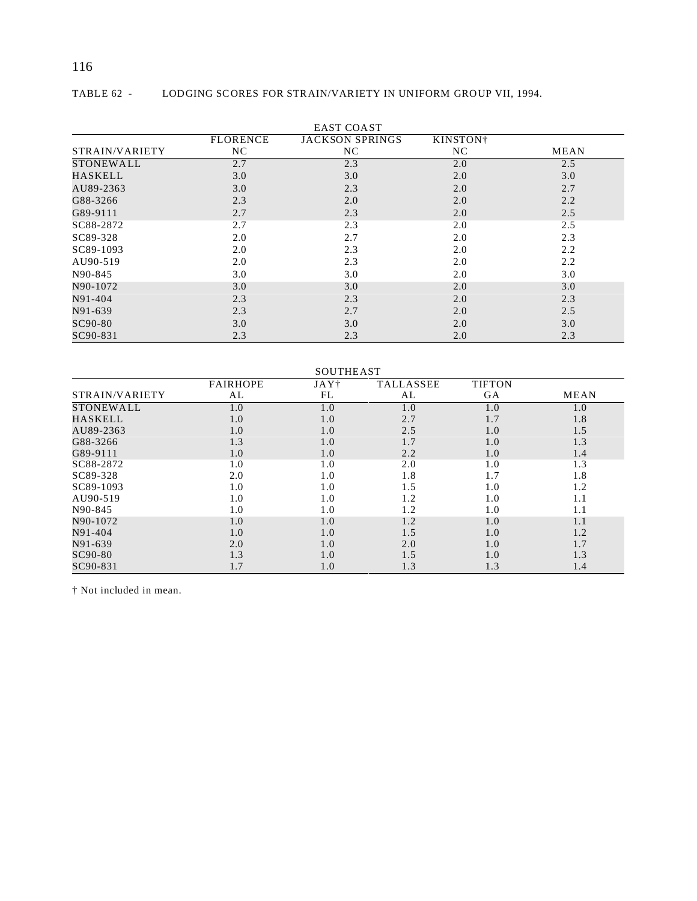# 116

| EAST COAST     |                 |                        |                      |      |  |  |
|----------------|-----------------|------------------------|----------------------|------|--|--|
|                | <b>FLORENCE</b> | <b>JACKSON SPRINGS</b> | KINSTON <sup>+</sup> |      |  |  |
| STRAIN/VARIETY | NC.             | NC                     | NC.                  | MEAN |  |  |
| STONEWALL      | 2.7             | 2.3                    | 2.0                  | 2.5  |  |  |
| HASKELL        | 3.0             | 3.0                    | 2.0                  | 3.0  |  |  |
| AU89-2363      | 3.0             | 2.3                    | 2.0                  | 2.7  |  |  |
| G88-3266       | 2.3             | 2.0                    | 2.0                  | 2.2  |  |  |
| G89-9111       | 2.7             | 2.3                    | 2.0                  | 2.5  |  |  |
| SC88-2872      | 2.7             | 2.3                    | 2.0                  | 2.5  |  |  |
| SC89-328       | 2.0             | 2.7                    | 2.0                  | 2.3  |  |  |
| SC89-1093      | 2.0             | 2.3                    | 2.0                  | 2.2  |  |  |
| AU90-519       | 2.0             | 2.3                    | 2.0                  | 2.2  |  |  |
| N90-845        | 3.0             | 3.0                    | 2.0                  | 3.0  |  |  |
| N90-1072       | 3.0             | 3.0                    | 2.0                  | 3.0  |  |  |
| N91-404        | 2.3             | 2.3                    | 2.0                  | 2.3  |  |  |
| N91-639        | 2.3             | 2.7                    | 2.0                  | 2.5  |  |  |
| SC90-80        | 3.0             | 3.0                    | 2.0                  | 3.0  |  |  |
| SC90-831       | 2.3             | 2.3                    | 2.0                  | 2.3  |  |  |

# TABLE 62 - LODGING SCORES FOR STRAIN/VARIETY IN UNIFORM GROUP VII, 1994.

| <b>SOUTHEAST</b> |                 |                  |                  |               |             |  |
|------------------|-----------------|------------------|------------------|---------------|-------------|--|
|                  | <b>FAIRHOPE</b> | JAY <sup>+</sup> | <b>TALLASSEE</b> | <b>TIFTON</b> |             |  |
| STRAIN/VARIETY   | AL              | FL               | AL               | GA            | <b>MEAN</b> |  |
| STONEWALL        | 1.0             | 1.0              | 1.0              | 1.0           | 1.0         |  |
| HASKELL          | 1.0             | 1.0              | 2.7              | 1.7           | 1.8         |  |
| AU89-2363        | 1.0             | 1.0              | 2.5              | 1.0           | 1.5         |  |
| G88-3266         | 1.3             | 1.0              | 1.7              | 1.0           | 1.3         |  |
| G89-9111         | 1.0             | 1.0              | 2.2              | 1.0           | 1.4         |  |
| SC88-2872        | 1.0             | 1.0              | 2.0              | 1.0           | 1.3         |  |
| SC89-328         | 2.0             | 1.0              | 1.8              | 1.7           | 1.8         |  |
| SC89-1093        | 1.0             | 1.0              | 1.5              | 1.0           | 1.2         |  |
| AU90-519         | 1.0             | 1.0              | 1.2              | 1.0           | 1.1         |  |
| N90-845          | 1.0             | 1.0              | 1.2              | 1.0           | 1.1         |  |
| N90-1072         | 1.0             | 1.0              | 1.2              | 1.0           | 1.1         |  |
| N91-404          | 1.0             | 1.0              | 1.5              | 1.0           | 1.2         |  |
| N91-639          | 2.0             | 1.0              | 2.0              | 1.0           | 1.7         |  |
| SC90-80          | 1.3             | 1.0              | 1.5              | 1.0           | 1.3         |  |
| SC90-831         | 1.7             | 1.0              | 1.3              | 1.3           | 1.4         |  |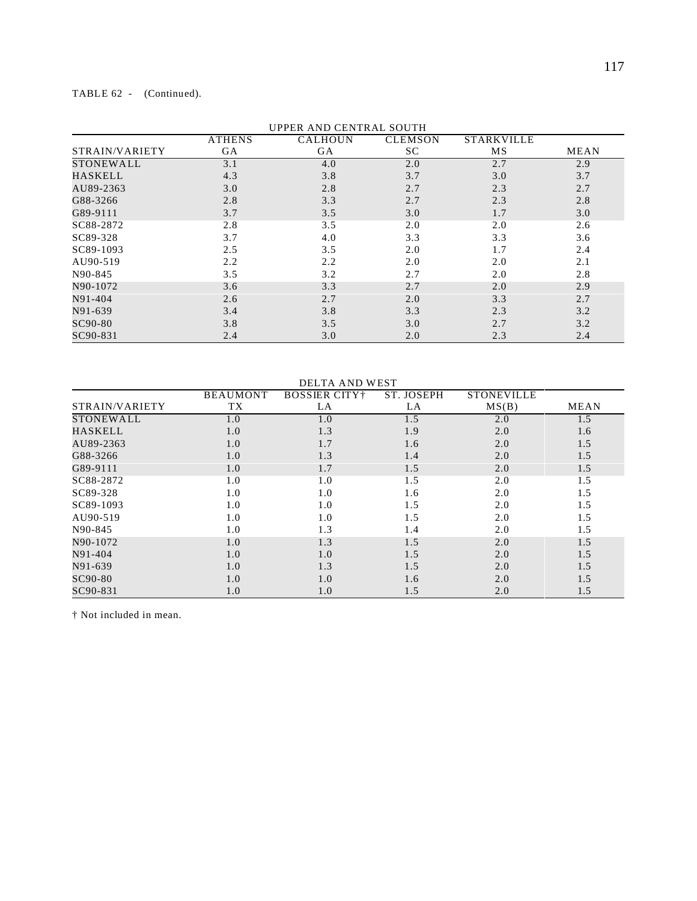### TABLE 62 - (Continued).

|                | <b>ATHENS</b> | UPPER AND CENTRAL SOUTH<br><b>CALHOUN</b> | <b>CLEMSON</b> | <b>STARKVILLE</b> |      |
|----------------|---------------|-------------------------------------------|----------------|-------------------|------|
| STRAIN/VARIETY | <b>GA</b>     | GA                                        | SC             | MS                | MEAN |
| STONEWALL      | 3.1           | 4.0                                       | 2.0            | 2.7               | 2.9  |
| <b>HASKELL</b> | 4.3           | 3.8                                       | 3.7            | 3.0               | 3.7  |
| AU89-2363      | 3.0           | 2.8                                       | 2.7            | 2.3               | 2.7  |
| G88-3266       | 2.8           | 3.3                                       | 2.7            | 2.3               | 2.8  |
| G89-9111       | 3.7           | 3.5                                       | 3.0            | 1.7               | 3.0  |
| SC88-2872      | 2.8           | 3.5                                       | 2.0            | 2.0               | 2.6  |
| SC89-328       | 3.7           | 4.0                                       | 3.3            | 3.3               | 3.6  |
| SC89-1093      | 2.5           | 3.5                                       | 2.0            | 1.7               | 2.4  |
| AU90-519       | 2.2           | 2.2                                       | 2.0            | 2.0               | 2.1  |
| N90-845        | 3.5           | 3.2                                       | 2.7            | 2.0               | 2.8  |
| N90-1072       | 3.6           | 3.3                                       | 2.7            | 2.0               | 2.9  |
| N91-404        | 2.6           | 2.7                                       | 2.0            | 3.3               | 2.7  |
| N91-639        | 3.4           | 3.8                                       | 3.3            | 2.3               | 3.2  |
| SC90-80        | 3.8           | 3.5                                       | 3.0            | 2.7               | 3.2  |
| SC90-831       | 2.4           | 3.0                                       | 2.0            | 2.3               | 2.4  |

UPPER AND CENTRAL SOUTH

|                  | <b>DELTA AND WEST</b> |                       |            |                   |             |  |  |  |  |
|------------------|-----------------------|-----------------------|------------|-------------------|-------------|--|--|--|--|
|                  | <b>BEAUMONT</b>       | <b>BOSSIER CITY</b> † | ST. JOSEPH | <b>STONEVILLE</b> |             |  |  |  |  |
| STRAIN/VARIETY   | <b>TX</b>             | LA                    | LA         | MS(B)             | <b>MEAN</b> |  |  |  |  |
| <b>STONEWALL</b> | 1.0                   | 1.0                   | 1.5        | 2.0               | 1.5         |  |  |  |  |
| <b>HASKELL</b>   | 1.0                   | 1.3                   | 1.9        | 2.0               | 1.6         |  |  |  |  |
| AU89-2363        | 1.0                   | 1.7                   | 1.6        | 2.0               | 1.5         |  |  |  |  |
| G88-3266         | 1.0                   | 1.3                   | 1.4        | 2.0               | 1.5         |  |  |  |  |
| G89-9111         | 1.0                   | 1.7                   | 1.5        | 2.0               | 1.5         |  |  |  |  |
| SC88-2872        | 1.0                   | 1.0                   | 1.5        | 2.0               | 1.5         |  |  |  |  |
| SC89-328         | 1.0                   | 1.0                   | 1.6        | 2.0               | 1.5         |  |  |  |  |
| SC89-1093        | 1.0                   | 1.0                   | 1.5        | 2.0               | 1.5         |  |  |  |  |
| AU90-519         | 1.0                   | 1.0                   | 1.5        | 2.0               | 1.5         |  |  |  |  |
| N90-845          | 1.0                   | 1.3                   | 1.4        | 2.0               | 1.5         |  |  |  |  |
| N90-1072         | 1.0                   | 1.3                   | 1.5        | 2.0               | 1.5         |  |  |  |  |
| N91-404          | 1.0                   | 1.0                   | 1.5        | 2.0               | 1.5         |  |  |  |  |
| N91-639          | 1.0                   | 1.3                   | 1.5        | 2.0               | 1.5         |  |  |  |  |
| SC90-80          | 1.0                   | 1.0                   | 1.6        | 2.0               | 1.5         |  |  |  |  |
| SC90-831         | 1.0                   | 1.0                   | 1.5        | 2.0               | 1.5         |  |  |  |  |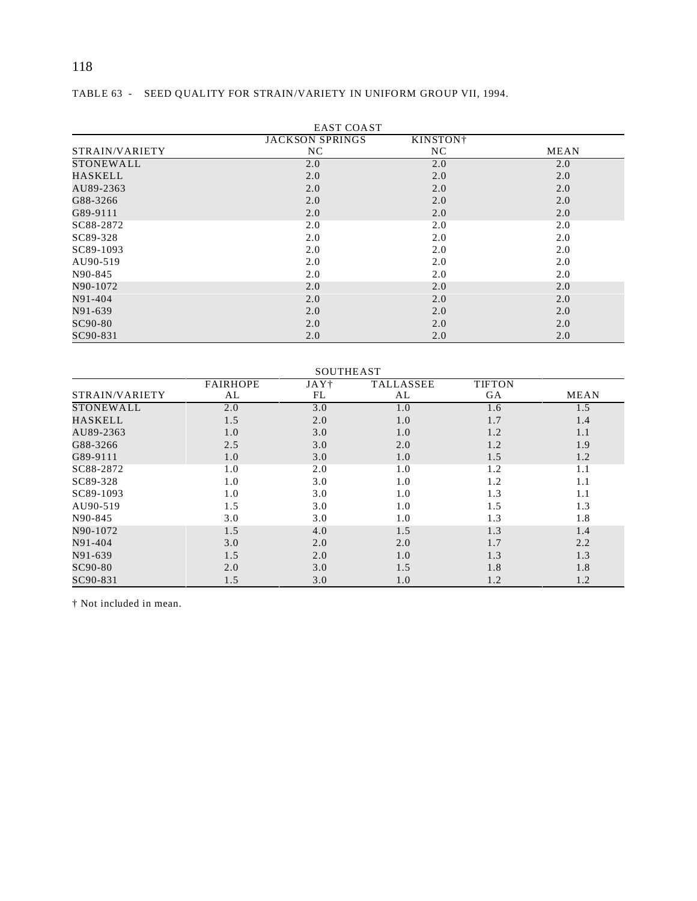# TABLE 63 - SEED QUALITY FOR STRAIN/VARIETY IN UNIFORM GROUP VII, 1994.

|                | <b>EAST COAST</b>      |                      |      |  |  |  |  |  |  |
|----------------|------------------------|----------------------|------|--|--|--|--|--|--|
|                | <b>JACKSON SPRINGS</b> | KINSTON <sup>+</sup> |      |  |  |  |  |  |  |
| STRAIN/VARIETY | NC                     | NC                   | MEAN |  |  |  |  |  |  |
| STONEWALL      | 2.0                    | 2.0                  | 2.0  |  |  |  |  |  |  |
| <b>HASKELL</b> | 2.0                    | 2.0                  | 2.0  |  |  |  |  |  |  |
| AU89-2363      | 2.0                    | 2.0                  | 2.0  |  |  |  |  |  |  |
| G88-3266       | 2.0                    | 2.0                  | 2.0  |  |  |  |  |  |  |
| G89-9111       | 2.0                    | 2.0                  | 2.0  |  |  |  |  |  |  |
| SC88-2872      | 2.0                    | 2.0                  | 2.0  |  |  |  |  |  |  |
| SC89-328       | 2.0                    | 2.0                  | 2.0  |  |  |  |  |  |  |
| SC89-1093      | 2.0                    | 2.0                  | 2.0  |  |  |  |  |  |  |
| AU90-519       | 2.0                    | 2.0                  | 2.0  |  |  |  |  |  |  |
| N90-845        | 2.0                    | 2.0                  | 2.0  |  |  |  |  |  |  |
| N90-1072       | 2.0                    | 2.0                  | 2.0  |  |  |  |  |  |  |
| N91-404        | 2.0                    | 2.0                  | 2.0  |  |  |  |  |  |  |
| N91-639        | 2.0                    | 2.0                  | 2.0  |  |  |  |  |  |  |
| SC90-80        | 2.0                    | 2.0                  | 2.0  |  |  |  |  |  |  |
| SC90-831       | 2.0                    | 2.0                  | 2.0  |  |  |  |  |  |  |

| <b>SOUTHEAST</b> |                 |                  |                  |               |             |  |  |  |
|------------------|-----------------|------------------|------------------|---------------|-------------|--|--|--|
|                  | <b>FAIRHOPE</b> | JAY <sup>†</sup> | <b>TALLASSEE</b> | <b>TIFTON</b> |             |  |  |  |
| STRAIN/VARIETY   | AL              | FL               | AL               | <b>GA</b>     | <b>MEAN</b> |  |  |  |
| <b>STONEWALL</b> | 2.0             | 3.0              | 1.0              | 1.6           | 1.5         |  |  |  |
| <b>HASKELL</b>   | 1.5             | 2.0              | 1.0              | 1.7           | 1.4         |  |  |  |
| AU89-2363        | 1.0             | 3.0              | 1.0              | 1.2           | 1.1         |  |  |  |
| G88-3266         | 2.5             | 3.0              | 2.0              | 1.2           | 1.9         |  |  |  |
| G89-9111         | 1.0             | 3.0              | 1.0              | 1.5           | 1.2         |  |  |  |
| SC88-2872        | 1.0             | 2.0              | 1.0              | 1.2           | 1.1         |  |  |  |
| SC89-328         | 1.0             | 3.0              | 1.0              | 1.2           | 1.1         |  |  |  |
| SC89-1093        | 1.0             | 3.0              | 1.0              | 1.3           | 1.1         |  |  |  |
| AU90-519         | 1.5             | 3.0              | 1.0              | 1.5           | 1.3         |  |  |  |
| N90-845          | 3.0             | 3.0              | 1.0              | 1.3           | 1.8         |  |  |  |
| N90-1072         | 1.5             | 4.0              | 1.5              | 1.3           | 1.4         |  |  |  |
| N91-404          | 3.0             | 2.0              | 2.0              | 1.7           | 2.2         |  |  |  |
| N91-639          | 1.5             | 2.0              | 1.0              | 1.3           | 1.3         |  |  |  |
| SC90-80          | 2.0             | 3.0              | 1.5              | 1.8           | 1.8         |  |  |  |
| SC90-831         | 1.5             | 3.0              | 1.0              | 1.2           | 1.2         |  |  |  |

118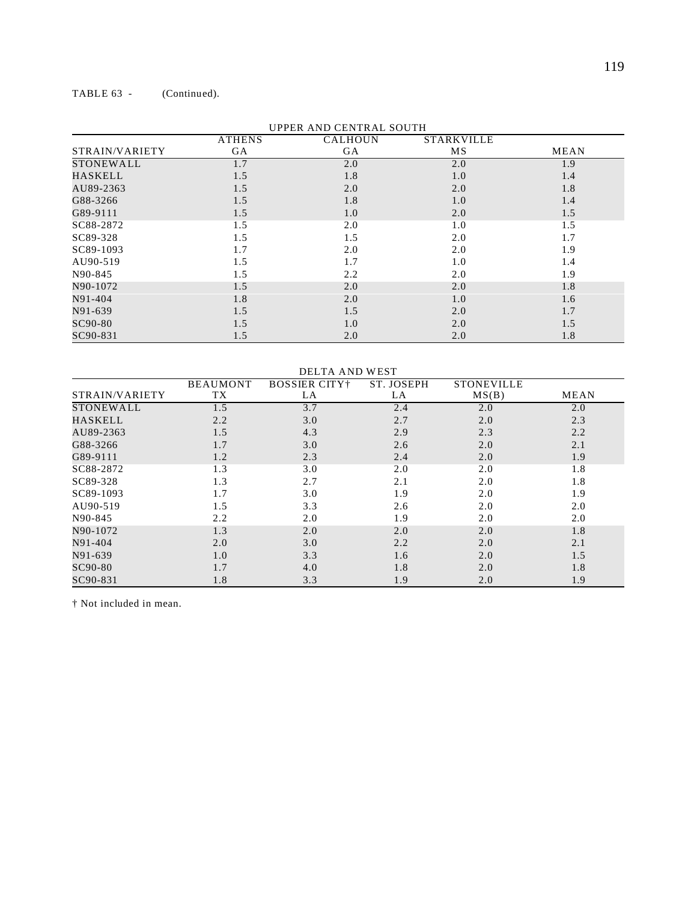#### TABLE 63 - (Continued).

| UPPER AND CENTRAL SOUTH |               |                |                   |             |  |  |  |  |
|-------------------------|---------------|----------------|-------------------|-------------|--|--|--|--|
|                         | <b>ATHENS</b> | <b>CALHOUN</b> | <b>STARKVILLE</b> |             |  |  |  |  |
| STRAIN/VARIETY          | GA            | GA             | MS                | <b>MEAN</b> |  |  |  |  |
| STONEWALL               | 1.7           | 2.0            | 2.0               | 1.9         |  |  |  |  |
| HASKELL                 | 1.5           | 1.8            | 1.0               | 1.4         |  |  |  |  |
| AU89-2363               | 1.5           | 2.0            | 2.0               | 1.8         |  |  |  |  |
| G88-3266                | 1.5           | 1.8            | 1.0               | 1.4         |  |  |  |  |
| G89-9111                | 1.5           | 1.0            | 2.0               | 1.5         |  |  |  |  |
| SC88-2872               | 1.5           | 2.0            | 1.0               | 1.5         |  |  |  |  |
| SC89-328                | 1.5           | 1.5            | 2.0               | 1.7         |  |  |  |  |
| SC89-1093               | 1.7           | 2.0            | 2.0               | 1.9         |  |  |  |  |
| AU90-519                | 1.5           | 1.7            | 1.0               | 1.4         |  |  |  |  |
| N90-845                 | 1.5           | 2.2            | 2.0               | 1.9         |  |  |  |  |
| N90-1072                | 1.5           | 2.0            | 2.0               | 1.8         |  |  |  |  |
| N91-404                 | 1.8           | 2.0            | 1.0               | 1.6         |  |  |  |  |
| N91-639                 | 1.5           | 1.5            | 2.0               | 1.7         |  |  |  |  |
| SC90-80                 | 1.5           | 1.0            | 2.0               | 1.5         |  |  |  |  |
| SC90-831                | 1.5           | 2.0            | 2.0               | 1.8         |  |  |  |  |

#### UPPER AND CENTRAL SOUTH

DELTA AND WEST STRAIN/VARIETY BEAUMONT  $\frac{TX}{1.5}$ BOSSIER CITY† LA ST. JOSEPH  $\frac{LA}{2.4}$ STONEVILLE<br>MS(B)  $MEAN$ STONEWALL 1.5 3.7 2.4 2.0 2.0<br>HASKELL 2.2 3.0 2.7 2.0 2.3 HASKELL 2.2 3.0 2.7 2.0 2.3  $A$ U89-2363 1.5 4.3 2.9 2.3 2.2  $G88-3266$  1.7 3.0 2.6 2.0 2.1 G89-9111 1.2 2.3 2.4 2.0 1.9 SC88-2872 1.3 3.0 2.0 2.0 1.8<br>SC89-328 1.3 2.7 2.1 2.0 1.8  $SC89-328$  1.3 2.7 2.1 2.0 1.8 SC89-1093 1.7 3.0 1.9 2.0 1.9<br>AU90-519 1.5 3.3 2.6 2.0 2.0 AU90-519 1.5 3.3 2.6 2.0 2.0 N90-845 2.2 2.0 1.9 2.0 2.0 2.0 N90-1072 1.3 2.0 2.0 2.0 1.8 N91-404 2.0 3.0 2.2 2.0 2.1 N91-639 1.0 3.3 1.6 2.0 1.5  $SC90-80$  1.7 4.0 1.8 2.0 1.8  $SC90-831$  1.8 3.3 1.9 2.0 1.9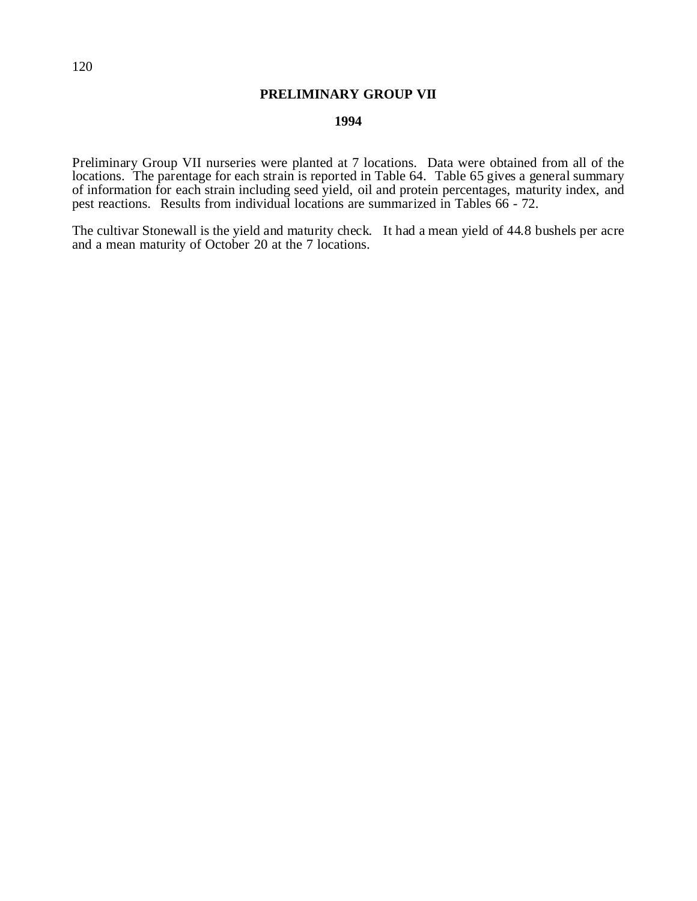## **PRELIMINARY GROUP VII**

#### **1994**

Preliminary Group VII nurseries were planted at 7 locations. Data were obtained from all of the locations. The parentage for each strain is reported in Table 64. Table 65 gives a general summary of information for each strain including seed yield, oil and protein percentages, maturity index, and pest reactions. Results from individual locations are summarized in Tables 66 - 72.

The cultivar Stonewall is the yield and maturity check. It had a mean yield of 44.8 bushels per acre and a mean maturity of October 20 at the 7 locations.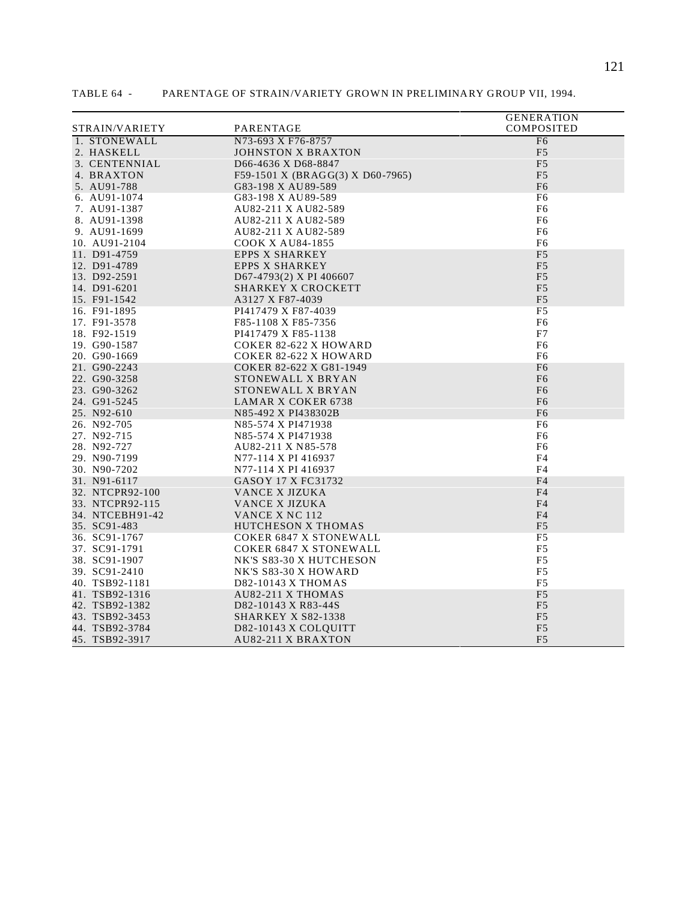|                 |                                  | <b>GENERATION</b> |
|-----------------|----------------------------------|-------------------|
| STRAIN/VARIETY  | PARENTAGE                        | COMPOSITED        |
| 1. STONEWALL    | N73-693 X F76-8757               | F <sub>6</sub>    |
| 2. HASKELL      | <b>JOHNSTON X BRAXTON</b>        | F <sub>5</sub>    |
| 3. CENTENNIAL   | D66-4636 X D68-8847              | F <sub>5</sub>    |
| 4. BRAXTON      | F59-1501 X (BRAGG(3) X D60-7965) | F <sub>5</sub>    |
| 5. AU91-788     | G83-198 X AU89-589               | F <sub>6</sub>    |
| 6. AU91-1074    | G83-198 X AU89-589               | F6                |
| 7. AU91-1387    | AU82-211 X AU82-589              | F <sub>6</sub>    |
| 8. AU91-1398    | AU82-211 X AU82-589              | F6                |
| 9. AU91-1699    | AU82-211 X AU82-589              | F6                |
| 10. AU91-2104   | <b>COOK X AU84-1855</b>          | F6                |
| 11. D91-4759    | <b>EPPS X SHARKEY</b>            | F <sub>5</sub>    |
| 12. D91-4789    | <b>EPPS X SHARKEY</b>            | F <sub>5</sub>    |
| 13. D92-2591    | D67-4793(2) X PI 406607          | F <sub>5</sub>    |
| 14. D91-6201    | SHARKEY X CROCKETT               | F <sub>5</sub>    |
| 15. F91-1542    | A3127 X F87-4039                 | F <sub>5</sub>    |
| 16. F91-1895    | PI417479 X F87-4039              | F <sub>5</sub>    |
| 17. F91-3578    | F85-1108 X F85-7356              | F <sub>6</sub>    |
| 18. F92-1519    | PI417479 X F85-1138              | F7                |
| 19. G90-1587    | <b>COKER 82-622 X HOWARD</b>     | F <sub>6</sub>    |
| 20. G90-1669    | <b>COKER 82-622 X HOWARD</b>     | F <sub>6</sub>    |
| 21. G90-2243    | COKER 82-622 X G81-1949          | F <sub>6</sub>    |
| 22. G90-3258    | STONEWALL X BRYAN                | F <sub>6</sub>    |
| 23. G90-3262    | STONEWALL X BRYAN                | F <sub>6</sub>    |
| 24. G91-5245    | <b>LAMAR X COKER 6738</b>        | F <sub>6</sub>    |
| 25. N92-610     | N85-492 X PI438302B              | F <sub>6</sub>    |
| 26. N92-705     | N85-574 X PI471938               | F6                |
| 27. N92-715     | N85-574 X PI471938               | F6                |
| 28. N92-727     | AU82-211 X N85-578               | F6                |
| 29. N90-7199    | N77-114 X PI 416937              | F4                |
| 30. N90-7202    | N77-114 X PI 416937              | F4                |
| 31. N91-6117    | GASOY 17 X FC31732               | F <sub>4</sub>    |
| 32. NTCPR92-100 | VANCE X JIZUKA                   | F <sub>4</sub>    |
| 33. NTCPR92-115 | VANCE X JIZUKA                   | F <sub>4</sub>    |
| 34. NTCEBH91-42 | VANCE X NC 112                   | F <sub>4</sub>    |
| 35. SC91-483    | <b>HUTCHESON X THOMAS</b>        | F <sub>5</sub>    |
| 36. SC91-1767   | <b>COKER 6847 X STONEWALL</b>    | F5                |
| 37. SC91-1791   | <b>COKER 6847 X STONEWALL</b>    | F5                |
| 38. SC91-1907   | NK'S S83-30 X HUTCHESON          | F <sub>5</sub>    |
| 39. SC91-2410   | NK'S S83-30 X HOWARD             | F5                |
| 40. TSB92-1181  | D82-10143 X THOMAS               | F5                |
| 41. TSB92-1316  | AU82-211 X THOMAS                | F <sub>5</sub>    |
| 42. TSB92-1382  | D82-10143 X R83-44S              | F <sub>5</sub>    |
| 43. TSB92-3453  | <b>SHARKEY X S82-1338</b>        | F <sub>5</sub>    |
| 44. TSB92-3784  | D82-10143 X COLQUITT             | F <sub>5</sub>    |
| 45. TSB92-3917  | <b>AU82-211 X BRAXTON</b>        | F <sub>5</sub>    |

TABLE 64 - PARENTAGE OF STRAIN/VARIETY GROWN IN PRELIMINARY GROUP VII, 1994.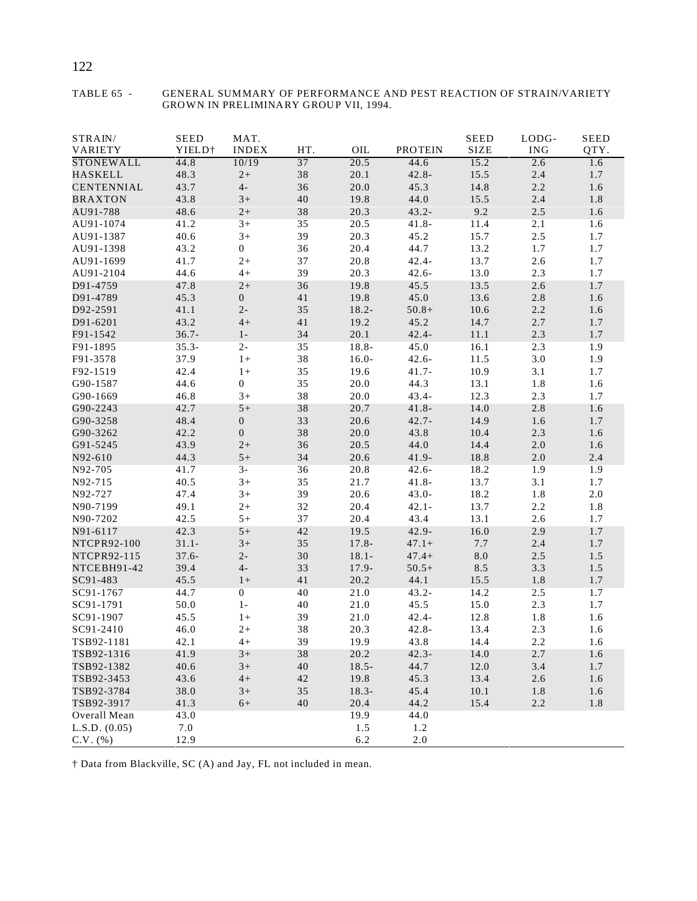| STRAIN/<br>VARIETY | <b>SEED</b><br>YIELD <sup>+</sup> | MAT.<br><b>INDEX</b> | HT.    | OIL      | <b>PROTEIN</b> | <b>SEED</b><br><b>SIZE</b> | LODG-<br><b>ING</b> | <b>SEED</b><br>QTY. |
|--------------------|-----------------------------------|----------------------|--------|----------|----------------|----------------------------|---------------------|---------------------|
| <b>STONEWALL</b>   | 44.8                              | 10/19                | 37     | 20.5     | 44.6           | 15.2                       | 2.6                 | 1.6                 |
| <b>HASKELL</b>     | 48.3                              | $2+$                 | 38     | 20.1     | $42.8 -$       | 15.5                       | 2.4                 | 1.7                 |
| <b>CENTENNIAL</b>  | 43.7                              | $4-$                 | 36     | 20.0     | 45.3           | 14.8                       | 2.2                 | 1.6                 |
| <b>BRAXTON</b>     | 43.8                              | $3+$                 | 40     | 19.8     | 44.0           | 15.5                       | 2.4                 | 1.8                 |
| AU91-788           | 48.6                              | $2+$                 | 38     | 20.3     | $43.2 -$       | 9.2                        | 2.5                 | 1.6                 |
| AU91-1074          | 41.2                              | $3+$                 | 35     | 20.5     | $41.8 -$       | 11.4                       | 2.1                 | 1.6                 |
| AU91-1387          | 40.6                              | $3+$                 | 39     | 20.3     | 45.2           | 15.7                       | 2.5                 | 1.7                 |
| AU91-1398          | 43.2                              | $\boldsymbol{0}$     | 36     | 20.4     | 44.7           | 13.2                       | 1.7                 | 1.7                 |
| AU91-1699          | 41.7                              | $2+$                 | 37     | 20.8     | $42.4 -$       | 13.7                       | 2.6                 | 1.7                 |
| AU91-2104          | 44.6                              | $4+$                 | 39     | 20.3     | $42.6 -$       | 13.0                       | 2.3                 | 1.7                 |
| D91-4759           | 47.8                              | $2+$                 | 36     | 19.8     | 45.5           | 13.5                       | 2.6                 | 1.7                 |
| D91-4789           | 45.3                              | $\boldsymbol{0}$     | 41     | 19.8     | 45.0           | 13.6                       | $2.8\,$             | 1.6                 |
| D92-2591           | 41.1                              | $2-$                 | 35     | $18.2 -$ | $50.8+$        | 10.6                       | 2.2                 | 1.6                 |
| D91-6201           | 43.2                              | $4+$                 | 41     | 19.2     | 45.2           | 14.7                       | 2.7                 | 1.7                 |
| F91-1542           | $36.7 -$                          | $1-$                 | 34     | 20.1     | $42.4 -$       | 11.1                       | 2.3                 | 1.7                 |
| F91-1895           | $35.3 -$                          | $2 -$                | 35     | 18.8-    | 45.0           | 16.1                       | 2.3                 | 1.9                 |
| F91-3578           | 37.9                              | $1+$                 | 38     | $16.0 -$ | $42.6 -$       | 11.5                       | 3.0                 | 1.9                 |
| F92-1519           | 42.4                              | $1+$                 | 35     | 19.6     | $41.7 -$       | 10.9                       | 3.1                 | 1.7                 |
| G90-1587           | 44.6                              | $\boldsymbol{0}$     | 35     | 20.0     | 44.3           | 13.1                       | 1.8                 | 1.6                 |
| G90-1669           | 46.8                              | $3+$                 | 38     | 20.0     | $43.4 -$       | 12.3                       | 2.3                 | 1.7                 |
| G90-2243           | 42.7                              | $5+$                 | 38     | 20.7     | $41.8 -$       | 14.0                       | 2.8                 | 1.6                 |
|                    | 48.4                              | $\boldsymbol{0}$     | 33     | 20.6     | $42.7 -$       | 14.9                       |                     |                     |
| G90-3258           |                                   |                      | 38     |          |                |                            | 1.6                 | 1.7                 |
| G90-3262           | 42.2                              | $\boldsymbol{0}$     |        | 20.0     | 43.8           | 10.4                       | 2.3                 | 1.6                 |
| G91-5245           | 43.9                              | $2+$                 | 36     | 20.5     | 44.0           | 14.4                       | $2.0\,$             | 1.6                 |
| N92-610            | 44.3                              | $5+$                 | 34     | 20.6     | $41.9 -$       | 18.8                       | $2.0\,$             | 2.4                 |
| N92-705            | 41.7                              | $3-$                 | 36     | 20.8     | $42.6 -$       | 18.2                       | 1.9                 | 1.9                 |
| N92-715            | 40.5                              | $3+$                 | 35     | 21.7     | $41.8 -$       | 13.7                       | 3.1                 | 1.7                 |
| N92-727            | 47.4                              | $3+$                 | 39     | 20.6     | $43.0 -$       | 18.2                       | 1.8                 | $2.0\,$             |
| N90-7199           | 49.1                              | $2+$                 | 32     | 20.4     | $42.1 -$       | 13.7                       | 2.2                 | 1.8                 |
| N90-7202           | 42.5                              | $5+$                 | 37     | 20.4     | 43.4           | 13.1                       | 2.6                 | 1.7                 |
| N91-6117           | 42.3                              | $5+$                 | 42     | 19.5     | $42.9 -$       | 16.0                       | 2.9                 | 1.7                 |
| NTCPR92-100        | $31.1 -$                          | $3+$                 | 35     | $17.8 -$ | $47.1+$        | 7.7                        | 2.4                 | 1.7                 |
| NTCPR92-115        | $37.6 -$                          | $2-$                 | $30\,$ | $18.1 -$ | $47.4+$        | $8.0\,$                    | 2.5                 | 1.5                 |
| NTCEBH91-42        | 39.4                              | $4-$                 | 33     | 17.9-    | $50.5+$        | 8.5                        | 3.3                 | 1.5                 |
| SC91-483           | 45.5                              | $1+$                 | 41     | 20.2     | 44.1           | 15.5                       | 1.8                 | 1.7                 |
| SC91-1767          | 44.7                              | $\overline{0}$       | 40     | 21.0     | $43.2 -$       | 14.2                       | $2.5$               | 1.7                 |
| SC91-1791          | 50.0                              | $1 -$                | 40     | 21.0     | 45.5           | 15.0                       | 2.3                 | 1.7                 |
| SC91-1907          | 45.5                              | $1+$                 | 39     | 21.0     | $42.4 -$       | 12.8                       | 1.8                 | 1.6                 |
| SC91-2410          | 46.0                              | $2+$                 | 38     | 20.3     | $42.8 -$       | 13.4                       | 2.3                 | 1.6                 |
| TSB92-1181         | 42.1                              | $4+$                 | 39     | 19.9     | 43.8           | 14.4                       | 2.2                 | 1.6                 |
| TSB92-1316         | 41.9                              | $3+$                 | 38     | 20.2     | $42.3 -$       | 14.0                       | 2.7                 | 1.6                 |
| TSB92-1382         | 40.6                              | $3+$                 | $40\,$ | $18.5 -$ | 44.7           | 12.0                       | 3.4                 | 1.7                 |
| TSB92-3453         | 43.6                              | $4+$                 | 42     | 19.8     | 45.3           | 13.4                       | 2.6                 | 1.6                 |
| TSB92-3784         | 38.0                              | $3+$                 | 35     | $18.3 -$ | 45.4           | 10.1                       | 1.8                 | 1.6                 |
| TSB92-3917         | 41.3                              | $6+$                 | 40     | 20.4     | 44.2           | 15.4                       | 2.2                 | 1.8                 |
| Overall Mean       | 43.0                              |                      |        | 19.9     | 44.0           |                            |                     |                     |
| L.S.D. (0.05)      | 7.0                               |                      |        | 1.5      | 1.2            |                            |                     |                     |
| $C.V.$ (%)         | 12.9                              |                      |        | 6.2      | $2.0\,$        |                            |                     |                     |

#### TABLE 65 - GENERAL SUMMARY OF PERFORMANCE AND PEST REACTION OF STRAIN/VARIETY GROWN IN PRELIMINARY GROUP VII, 1994.

† Data from Blackville, SC (A) and Jay, FL not included in mean.

### 122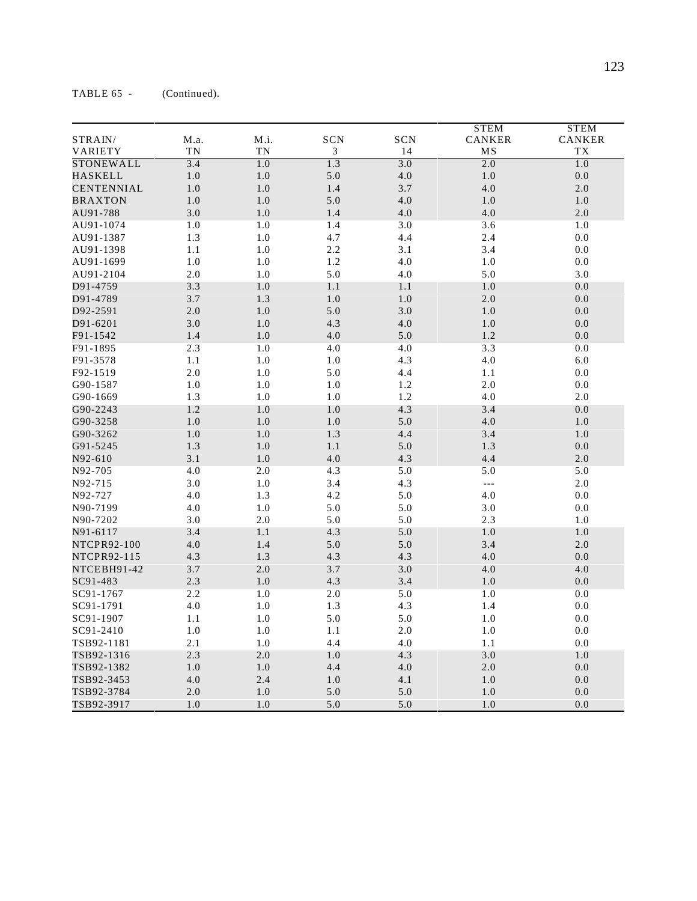|                   |      |      |                             |         | <b>STEM</b>   | <b>STEM</b> |
|-------------------|------|------|-----------------------------|---------|---------------|-------------|
| STRAIN/           | M.a. | M.i. | SCN                         | SCN     | <b>CANKER</b> | CANKER      |
| VARIETY           | TN   | TN   | $\ensuremath{\mathfrak{Z}}$ | 14      | MS            | TX          |
| STONEWALL         | 3.4  | 1.0  | 1.3                         | 3.0     | 2.0           | 1.0         |
| <b>HASKELL</b>    | 1.0  | 1.0  | 5.0                         | $4.0\,$ | $1.0\,$       | $0.0\,$     |
| <b>CENTENNIAL</b> | 1.0  | 1.0  | 1.4                         | 3.7     | 4.0           | 2.0         |
| <b>BRAXTON</b>    | 1.0  | 1.0  | 5.0                         | 4.0     | 1.0           | 1.0         |
| AU91-788          | 3.0  | 1.0  | 1.4                         | 4.0     | 4.0           | 2.0         |
| AU91-1074         | 1.0  | 1.0  | 1.4                         | 3.0     | 3.6           | 1.0         |
| AU91-1387         | 1.3  | 1.0  | 4.7                         | 4.4     | 2.4           | 0.0         |
| AU91-1398         | 1.1  | 1.0  | 2.2                         | 3.1     | 3.4           | 0.0         |
| AU91-1699         | 1.0  | 1.0  | 1.2                         | 4.0     | 1.0           | 0.0         |
| AU91-2104         | 2.0  | 1.0  | 5.0                         | 4.0     | 5.0           | 3.0         |
| D91-4759          | 3.3  | 1.0  | 1.1                         | 1.1     | 1.0           | 0.0         |
| D91-4789          | 3.7  | 1.3  | 1.0                         | 1.0     | 2.0           | 0.0         |
| D92-2591          | 2.0  | 1.0  | 5.0                         | 3.0     | 1.0           | 0.0         |
| D91-6201          | 3.0  | 1.0  | 4.3                         | 4.0     | 1.0           | 0.0         |
| F91-1542          | 1.4  | 1.0  | 4.0                         | 5.0     | $1.2\,$       | 0.0         |
| F91-1895          | 2.3  | 1.0  | 4.0                         | 4.0     | 3.3           | 0.0         |
| F91-3578          | 1.1  | 1.0  | 1.0                         | 4.3     | 4.0           | 6.0         |
| F92-1519          | 2.0  | 1.0  | 5.0                         | 4.4     | 1.1           | 0.0         |
| G90-1587          | 1.0  | 1.0  | 1.0                         | $1.2\,$ | 2.0           | 0.0         |
| G90-1669          | 1.3  | 1.0  | 1.0                         | $1.2\,$ | 4.0           | 2.0         |
| G90-2243          | 1.2  | 1.0  | 1.0                         | 4.3     | 3.4           | 0.0         |
| G90-3258          | 1.0  | 1.0  | 1.0                         | 5.0     | 4.0           | 1.0         |
| G90-3262          | 1.0  | 1.0  | 1.3                         | 4.4     | 3.4           | 1.0         |
| G91-5245          | 1.3  | 1.0  | $1.1\,$                     | 5.0     | 1.3           | 0.0         |
| N92-610           | 3.1  | 1.0  | 4.0                         | 4.3     | 4.4           | 2.0         |
| N92-705           | 4.0  | 2.0  | 4.3                         | 5.0     | 5.0           | 5.0         |
| N92-715           | 3.0  | 1.0  | 3.4                         | 4.3     | $ -$          | 2.0         |
| N92-727           | 4.0  | 1.3  | 4.2                         | 5.0     | 4.0           | 0.0         |
| N90-7199          | 4.0  | 1.0  | 5.0                         | 5.0     | 3.0           | 0.0         |
| N90-7202          | 3.0  | 2.0  | 5.0                         | 5.0     | 2.3           | 1.0         |
| N91-6117          | 3.4  | 1.1  | 4.3                         | 5.0     | $1.0\,$       | $1.0\,$     |
| NTCPR92-100       | 4.0  | 1.4  | 5.0                         | 5.0     | 3.4           | 2.0         |
| NTCPR92-115       | 4.3  | 1.3  | 4.3                         | 4.3     | 4.0           | 0.0         |
| NTCEBH91-42       | 3.7  | 2.0  | 3.7                         | 3.0     | 4.0           | 4.0         |
| SC91-483          | 2.3  | 1.0  | 4.3                         | 3.4     | 1.0           | 0.0         |
| SC91-1767         | 2.2  | 1.0  | 2.0                         | 5.0     | 1.0           | 0.0         |
| SC91-1791         | 4.0  | 1.0  | 1.3                         | 4.3     | 1.4           | 0.0         |
| SC91-1907         | 1.1  | 1.0  | 5.0                         | 5.0     | 1.0           | 0.0         |
| SC91-2410         | 1.0  | 1.0  | 1.1                         | 2.0     | 1.0           | 0.0         |
| TSB92-1181        | 2.1  | 1.0  | 4.4                         | 4.0     | 1.1           | 0.0         |
| TSB92-1316        | 2.3  | 2.0  | 1.0                         | 4.3     | 3.0           | 1.0         |
| TSB92-1382        | 1.0  | 1.0  | 4.4                         | 4.0     | $2.0\,$       | 0.0         |
| TSB92-3453        | 4.0  | 2.4  | 1.0                         | 4.1     | 1.0           | 0.0         |
| TSB92-3784        | 2.0  | 1.0  | 5.0                         | 5.0     | 1.0           | 0.0         |
| TSB92-3917        | 1.0  | 1.0  | 5.0                         | 5.0     | 1.0           | 0.0         |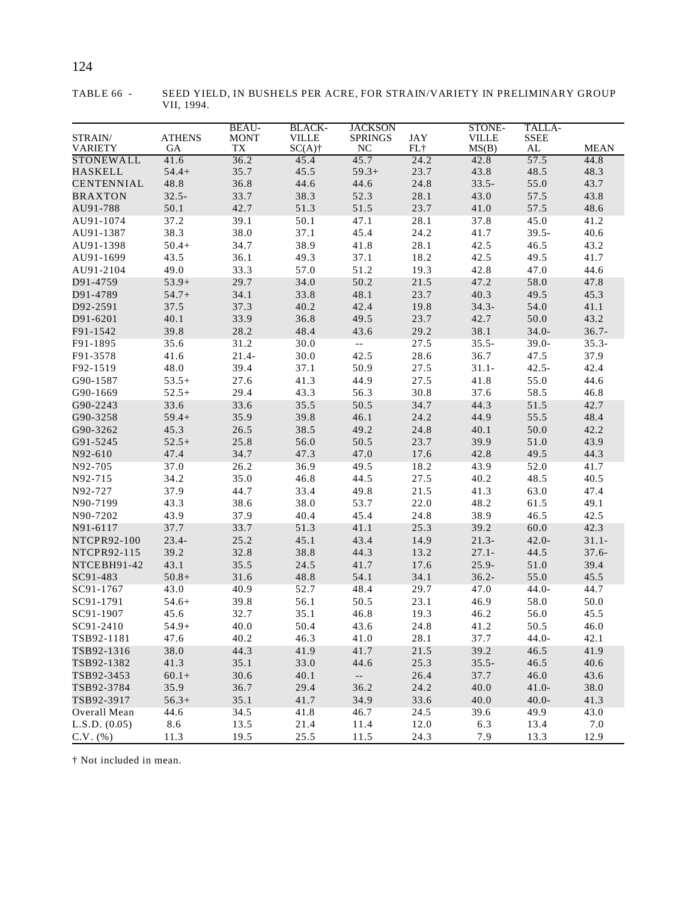|                   |               | <b>BEAU-</b> |                               |                                               |              |                        |                       |             |
|-------------------|---------------|--------------|-------------------------------|-----------------------------------------------|--------------|------------------------|-----------------------|-------------|
| STRAIN/           | <b>ATHENS</b> | <b>MONT</b>  | <b>BLACK-</b><br><b>VILLE</b> | <b>JACKSON</b><br><b>SPRINGS</b>              | $_{\rm JAY}$ | STONE-<br><b>VILLE</b> | TALLA-<br><b>SSEE</b> |             |
| <b>VARIETY</b>    | GA            | <b>TX</b>    | $SC(A)$ †                     | <b>NC</b>                                     | FL+          | MS(B)                  | $\mathbf{AL}$         | <b>MEAN</b> |
| STONEWALL         | 41.6          | 36.2         | 45.4                          | 45.7                                          | 24.2         | 42.8                   | 57.5                  | 44.8        |
| HASKELL           | $54.4+$       | 35.7         | 45.5                          | $59.3+$                                       | 23.7         | 43.8                   | 48.5                  | 48.3        |
| <b>CENTENNIAL</b> | 48.8          | 36.8         | 44.6                          | 44.6                                          | 24.8         | $33.5 -$               | 55.0                  | 43.7        |
| <b>BRAXTON</b>    | $32.5 -$      | 33.7         | 38.3                          | 52.3                                          | 28.1         | 43.0                   | 57.5                  | 43.8        |
| AU91-788          | 50.1          | 42.7         | 51.3                          | 51.5                                          | 23.7         | 41.0                   | 57.5                  | 48.6        |
| AU91-1074         | 37.2          | 39.1         | 50.1                          | 47.1                                          | 28.1         | 37.8                   | 45.0                  | 41.2        |
| AU91-1387         | 38.3          | 38.0         | 37.1                          | 45.4                                          | 24.2         | 41.7                   | $39.5 -$              | 40.6        |
| AU91-1398         | $50.4+$       | 34.7         | 38.9                          | 41.8                                          | 28.1         | 42.5                   | 46.5                  | 43.2        |
| AU91-1699         | 43.5          | 36.1         | 49.3                          | 37.1                                          | 18.2         | 42.5                   | 49.5                  | 41.7        |
| AU91-2104         | 49.0          | 33.3         | 57.0                          | 51.2                                          | 19.3         | 42.8                   | 47.0                  | 44.6        |
| D91-4759          | $53.9+$       | 29.7         | 34.0                          | 50.2                                          | 21.5         | 47.2                   | 58.0                  | 47.8        |
| D91-4789          | $54.7+$       | 34.1         | 33.8                          | 48.1                                          | 23.7         | 40.3                   | 49.5                  | 45.3        |
| D92-2591          | 37.5          | 37.3         | 40.2                          | 42.4                                          | 19.8         | $34.3 -$               | 54.0                  | 41.1        |
| D91-6201          | 40.1          | 33.9         | 36.8                          | 49.5                                          | 23.7         | 42.7                   | 50.0                  | 43.2        |
| F91-1542          | 39.8          | 28.2         | 48.4                          | 43.6                                          | 29.2         | 38.1                   | $34.0 -$              | $36.7 -$    |
| F91-1895          | 35.6          | 31.2         | 30.0                          | $\mathord{\hspace{1pt}\text{--}\hspace{1pt}}$ | 27.5         | $35.5 -$               | $39.0 -$              | $35.3 -$    |
| F91-3578          | 41.6          | $21.4-$      | 30.0                          | 42.5                                          | 28.6         | 36.7                   | 47.5                  | 37.9        |
| F92-1519          | 48.0          | 39.4         | 37.1                          | 50.9                                          | 27.5         | $31.1 -$               | $42.5 -$              | 42.4        |
| G90-1587          | $53.5+$       | 27.6         | 41.3                          | 44.9                                          | 27.5         | 41.8                   | 55.0                  | 44.6        |
| G90-1669          | $52.5+$       | 29.4         | 43.3                          | 56.3                                          | 30.8         | 37.6                   | 58.5                  | 46.8        |
| G90-2243          | 33.6          | 33.6         | 35.5                          | 50.5                                          | 34.7         | 44.3                   | 51.5                  | 42.7        |
| G90-3258          | $59.4+$       | 35.9         | 39.8                          | 46.1                                          | 24.2         | 44.9                   | 55.5                  | 48.4        |
| G90-3262          | 45.3          | 26.5         | 38.5                          | 49.2                                          | 24.8         | 40.1                   | 50.0                  | 42.2        |
| G91-5245          | $52.5+$       | 25.8         | 56.0                          | 50.5                                          | 23.7         | 39.9                   | 51.0                  | 43.9        |
| N92-610           | 47.4          | 34.7         | 47.3                          | 47.0                                          | 17.6         | 42.8                   | 49.5                  | 44.3        |
| N92-705           | 37.0          | 26.2         | 36.9                          | 49.5                                          | 18.2         | 43.9                   | 52.0                  | 41.7        |
| N92-715           | 34.2          | 35.0         | 46.8                          | 44.5                                          | 27.5         | 40.2                   | 48.5                  | 40.5        |
| N92-727           | 37.9          | 44.7         | 33.4                          | 49.8                                          | 21.5         | 41.3                   | 63.0                  | 47.4        |
| N90-7199          | 43.3          | 38.6         | 38.0                          | 53.7                                          | 22.0         | 48.2                   | 61.5                  | 49.1        |
| N90-7202          | 43.9          | 37.9         | 40.4                          | 45.4                                          | 24.8         | 38.9                   | 46.5                  | 42.5        |
| N91-6117          | 37.7          | 33.7         | 51.3                          | 41.1                                          | 25.3         | 39.2                   | 60.0                  | 42.3        |
| NTCPR92-100       | $23.4 -$      | 25.2         | 45.1                          | 43.4                                          | 14.9         | $21.3-$                | $42.0 -$              | $31.1 -$    |
| NTCPR92-115       | 39.2          | 32.8         | 38.8                          | 44.3                                          | 13.2         | $27.1 -$               | 44.5                  | $37.6 -$    |
| NTCEBH91-42       | 43.1          | 35.5         | 24.5                          | 41.7                                          | 17.6         | $25.9 -$               | 51.0                  | 39.4        |
| SC91-483          | $50.8+$       | 31.6         | 48.8                          | 54.1                                          | 34.1         | $36.2 -$               | 55.0                  | 45.5        |
| SC91-1767         | 43.0          | 40.9         | 52.7                          | 48.4                                          | 29.7         | 47.0                   | $44.0 -$              | 44.7        |
| SC91-1791         | $54.6+$       | 39.8         | 56.1                          | 50.5                                          | 23.1         | 46.9                   | 58.0                  | 50.0        |
| SC91-1907         | 45.6          | 32.7         | 35.1                          | 46.8                                          | 19.3         | 46.2                   | 56.0                  | 45.5        |
| SC91-2410         | $54.9+$       | 40.0         | 50.4                          | 43.6                                          | 24.8         | 41.2                   | 50.5                  | 46.0        |
| TSB92-1181        | 47.6          | 40.2         | 46.3                          | 41.0                                          | 28.1         | 37.7                   | $44.0 -$              | 42.1        |
| TSB92-1316        | 38.0          | 44.3         | 41.9                          | 41.7                                          | 21.5         | 39.2                   | 46.5                  | 41.9        |
| TSB92-1382        | 41.3          | 35.1         | 33.0                          | 44.6                                          | 25.3         | $35.5 -$               | 46.5                  | 40.6        |
| TSB92-3453        | $60.1 +$      | 30.6         | 40.1                          | $\sim$                                        | 26.4         | 37.7                   | 46.0                  | 43.6        |
| TSB92-3784        | 35.9          | 36.7         | 29.4                          | 36.2                                          | 24.2         | 40.0                   | $41.0 -$              | 38.0        |
| TSB92-3917        | $56.3+$       | 35.1         | 41.7                          | 34.9                                          | 33.6         | 40.0                   | $40.0 -$              | 41.3        |
| Overall Mean      | 44.6          | 34.5         | 41.8                          | 46.7                                          | 24.5         | 39.6                   | 49.9                  | 43.0        |
| L.S.D. (0.05)     | 8.6           | 13.5         | 21.4                          | 11.4                                          | 12.0         | 6.3                    | 13.4                  | 7.0         |
| $C.V.$ $(\% )$    | 11.3          | 19.5         | 25.5                          | 11.5                                          | 24.3         | 7.9                    | 13.3                  | 12.9        |

TABLE 66 - SEED YIELD, IN BUSHELS PER ACRE, FOR STRAIN/VARIETY IN PRELIMINARY GROUP VII, 1994.

† Not included in mean.

### 124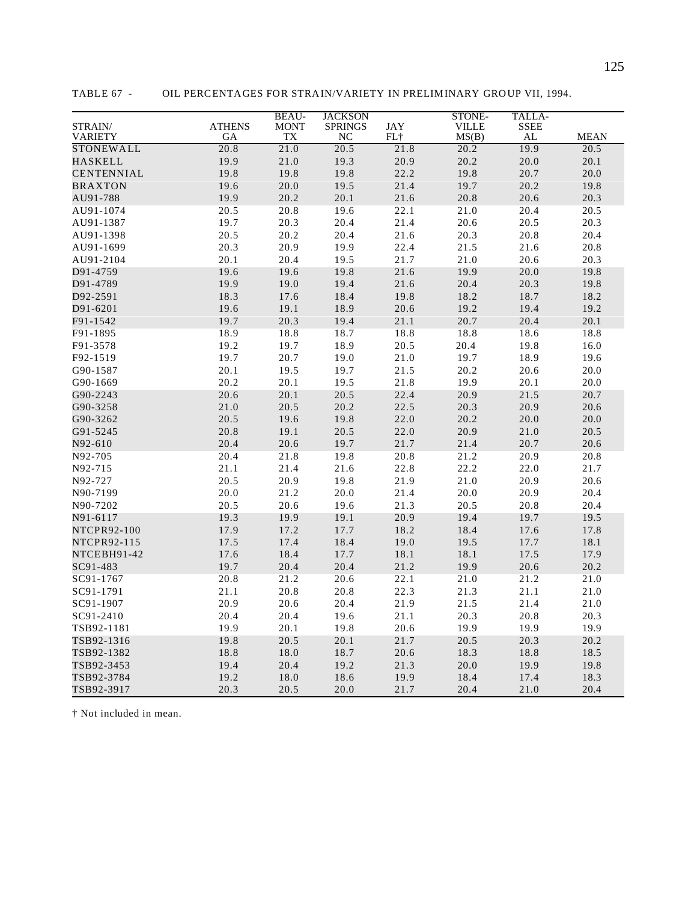|                   |               | <b>BEAU-</b> | <b>JACKSON</b> |       | STONE-       | TALLA-      |             |
|-------------------|---------------|--------------|----------------|-------|--------------|-------------|-------------|
| STRAIN/           | <b>ATHENS</b> | <b>MONT</b>  | <b>SPRINGS</b> | JAY   | <b>VILLE</b> | <b>SSEE</b> |             |
| VARIETY           | GA            | TX           | NC             | $FL+$ | MS(B)        | ${\bf AL}$  | <b>MEAN</b> |
| STONEWALL         | 20.8          | 21.0         | 20.5           | 21.8  | 20.2         | 19.9        | 20.5        |
| <b>HASKELL</b>    | 19.9          | $21.0\,$     | 19.3           | 20.9  | 20.2         | 20.0        | 20.1        |
| <b>CENTENNIAL</b> | 19.8          | 19.8         | 19.8           | 22.2  | 19.8         | 20.7        | 20.0        |
| <b>BRAXTON</b>    | 19.6          | 20.0         | 19.5           | 21.4  | 19.7         | 20.2        | 19.8        |
| AU91-788          | 19.9          | 20.2         | 20.1           | 21.6  | 20.8         | 20.6        | 20.3        |
| AU91-1074         | 20.5          | 20.8         | 19.6           | 22.1  | 21.0         | 20.4        | 20.5        |
| AU91-1387         | 19.7          | 20.3         | 20.4           | 21.4  | 20.6         | 20.5        | 20.3        |
| AU91-1398         | 20.5          | 20.2         | 20.4           | 21.6  | 20.3         | 20.8        | 20.4        |
| AU91-1699         | 20.3          | 20.9         | 19.9           | 22.4  | 21.5         | 21.6        | 20.8        |
| AU91-2104         | 20.1          | 20.4         | 19.5           | 21.7  | 21.0         | 20.6        | 20.3        |
| D91-4759          | 19.6          | 19.6         | 19.8           | 21.6  | 19.9         | 20.0        | 19.8        |
| D91-4789          | 19.9          | 19.0         | 19.4           | 21.6  | 20.4         | 20.3        | 19.8        |
| D92-2591          | 18.3          | 17.6         | 18.4           | 19.8  | 18.2         | 18.7        | 18.2        |
| D91-6201          | 19.6          | 19.1         | 18.9           | 20.6  | 19.2         | 19.4        | 19.2        |
| F91-1542          | 19.7          | 20.3         | 19.4           | 21.1  | 20.7         | 20.4        | 20.1        |
| F91-1895          | 18.9          | 18.8         | 18.7           | 18.8  | 18.8         | 18.6        | 18.8        |
| F91-3578          | 19.2          | 19.7         | 18.9           | 20.5  | 20.4         | 19.8        | 16.0        |
| F92-1519          | 19.7          | 20.7         | 19.0           | 21.0  | 19.7         | 18.9        | 19.6        |
| G90-1587          | 20.1          | 19.5         | 19.7           | 21.5  | 20.2         | 20.6        | 20.0        |
| G90-1669          | 20.2          | 20.1         | 19.5           | 21.8  | 19.9         | 20.1        | 20.0        |
| G90-2243          | 20.6          | 20.1         | 20.5           | 22.4  | 20.9         | 21.5        | 20.7        |
| G90-3258          | 21.0          | 20.5         | 20.2           | 22.5  | 20.3         | 20.9        | 20.6        |
|                   | 20.5          | 19.6         | 19.8           | 22.0  | 20.2         | 20.0        | 20.0        |
| G90-3262          |               |              |                | 22.0  | 20.9         |             |             |
| G91-5245          | 20.8          | 19.1         | 20.5           |       |              | 21.0        | 20.5        |
| N92-610           | 20.4          | 20.6         | 19.7           | 21.7  | 21.4         | 20.7        | 20.6        |
| N92-705           | 20.4          | 21.8         | 19.8           | 20.8  | 21.2         | 20.9        | 20.8        |
| N92-715           | 21.1          | 21.4         | 21.6           | 22.8  | 22.2         | 22.0        | 21.7        |
| N92-727           | 20.5          | 20.9         | 19.8           | 21.9  | 21.0         | 20.9        | 20.6        |
| N90-7199          | 20.0          | 21.2         | $20.0\,$       | 21.4  | 20.0         | 20.9        | 20.4        |
| N90-7202          | 20.5          | 20.6         | 19.6           | 21.3  | 20.5         | 20.8        | 20.4        |
| N91-6117          | 19.3          | 19.9         | 19.1           | 20.9  | 19.4         | 19.7        | 19.5        |
| NTCPR92-100       | 17.9          | 17.2         | 17.7           | 18.2  | 18.4         | 17.6        | 17.8        |
| NTCPR92-115       | 17.5          | 17.4         | 18.4           | 19.0  | 19.5         | 17.7        | 18.1        |
| NTCEBH91-42       | 17.6          | 18.4         | 17.7           | 18.1  | 18.1         | 17.5        | 17.9        |
| SC91-483          | 19.7          | 20.4         | 20.4           | 21.2  | 19.9         | 20.6        | 20.2        |
| SC91-1767         | 20.8          | 21.2         | 20.6           | 22.1  | 21.0         | 21.2        | 21.0        |
| SC91-1791         | 21.1          | 20.8         | 20.8           | 22.3  | 21.3         | 21.1        | 21.0        |
| SC91-1907         | 20.9          | 20.6         | 20.4           | 21.9  | 21.5         | 21.4        | 21.0        |
| SC91-2410         | 20.4          | 20.4         | 19.6           | 21.1  | 20.3         | 20.8        | 20.3        |
| TSB92-1181        | 19.9          | 20.1         | 19.8           | 20.6  | 19.9         | 19.9        | 19.9        |
| TSB92-1316        | 19.8          | 20.5         | 20.1           | 21.7  | 20.5         | 20.3        | 20.2        |
| TSB92-1382        | 18.8          | 18.0         | 18.7           | 20.6  | 18.3         | 18.8        | 18.5        |
| TSB92-3453        | 19.4          | 20.4         | 19.2           | 21.3  | 20.0         | 19.9        | 19.8        |
| TSB92-3784        | 19.2          | 18.0         | 18.6           | 19.9  | 18.4         | 17.4        | 18.3        |
| TSB92-3917        | 20.3          | 20.5         | 20.0           | 21.7  | 20.4         | 21.0        | 20.4        |

TABLE 67 - OIL PERCENTAGES FOR STRAIN/VARIETY IN PRELIMINARY GROUP VII, 1994.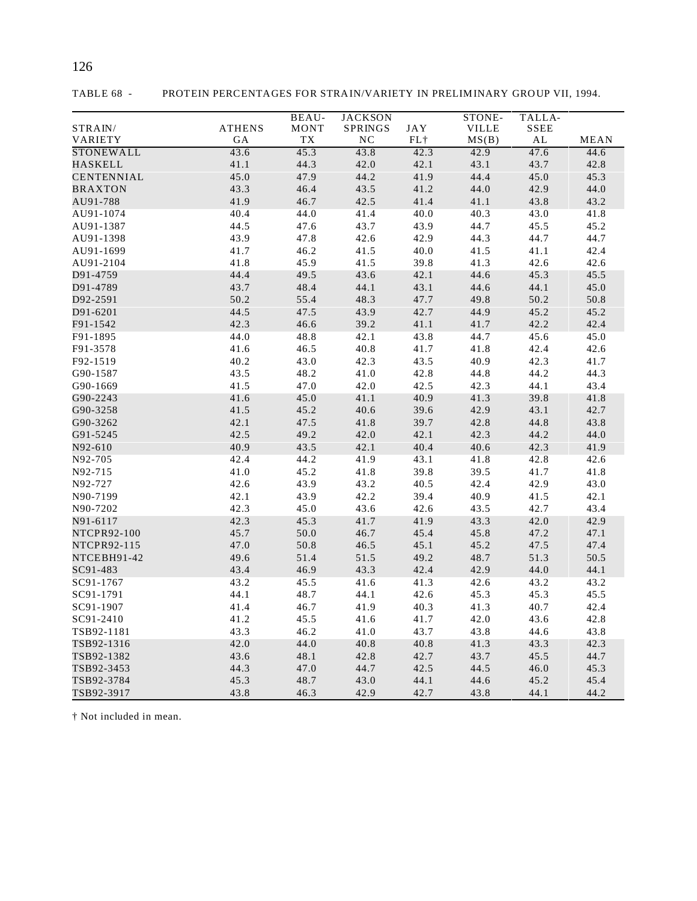|                   |               | BEAU-        | <b>JACKSON</b> |              | STONE-       | TALLA-       |              |
|-------------------|---------------|--------------|----------------|--------------|--------------|--------------|--------------|
| STRAIN/           | <b>ATHENS</b> | <b>MONT</b>  | SPRINGS        | <b>JAY</b>   | <b>VILLE</b> | <b>SSEE</b>  |              |
| VARIETY           | GA            | <b>TX</b>    | NC             | $FL+$        | MS(B)        | AL           | MEAN         |
| <b>STONEWALL</b>  | 43.6          | 45.3         | 43.8           | 42.3         | 42.9         | 47.6         | 44.6         |
| <b>HASKELL</b>    | 41.1          | 44.3         | 42.0           | 42.1         | 43.1         | 43.7         | 42.8         |
| <b>CENTENNIAL</b> | 45.0          | 47.9         | 44.2           | 41.9         | 44.4         | 45.0         | 45.3         |
| <b>BRAXTON</b>    | 43.3          | 46.4         | 43.5           | 41.2         | 44.0         | 42.9         | 44.0         |
| AU91-788          | 41.9          | 46.7         | 42.5           | 41.4         | 41.1         | 43.8         | 43.2         |
| AU91-1074         | 40.4          | 44.0         | 41.4           | 40.0         | 40.3         | 43.0         | 41.8         |
| AU91-1387         | 44.5          | 47.6         | 43.7           | 43.9         | 44.7         | 45.5         | 45.2         |
| AU91-1398         | 43.9          | 47.8         | 42.6           | 42.9         | 44.3         | 44.7         | 44.7         |
| AU91-1699         | 41.7          | 46.2         | 41.5           | 40.0         | 41.5         | 41.1         | 42.4         |
| AU91-2104         | 41.8          | 45.9         | 41.5           | 39.8         | 41.3         | 42.6         | 42.6         |
| D91-4759          | 44.4          | 49.5         | 43.6           | 42.1         | 44.6         | 45.3         | 45.5         |
| D91-4789          | 43.7          | 48.4         | 44.1           | 43.1         | 44.6         | 44.1         | 45.0         |
| D92-2591          | 50.2          | 55.4         | 48.3           | 47.7         | 49.8         | 50.2         | 50.8         |
| D91-6201          | 44.5          | 47.5         | 43.9           | 42.7         | 44.9         | 45.2         | 45.2         |
| F91-1542          | 42.3          | 46.6         | 39.2           | 41.1         | 41.7         | 42.2         | 42.4         |
| F91-1895          | 44.0          | 48.8         | 42.1           | 43.8         | 44.7         | 45.6         | 45.0         |
| F91-3578          | 41.6          | 46.5         | 40.8           | 41.7         | 41.8         | 42.4         | 42.6         |
| F92-1519          | 40.2          | 43.0         | 42.3           | 43.5         | 40.9         | 42.3         | 41.7         |
| G90-1587          | 43.5          | 48.2         | 41.0           | 42.8         | 44.8         | 44.2         | 44.3         |
| G90-1669          | 41.5          | 47.0         | 42.0           | 42.5         | 42.3         | 44.1         | 43.4         |
| G90-2243          | 41.6          | 45.0         | 41.1           | 40.9         | 41.3         | 39.8         | 41.8         |
| G90-3258          | 41.5          | 45.2         | 40.6           | 39.6         | 42.9         | 43.1         | 42.7         |
| G90-3262          | 42.1          | 47.5         | 41.8           | 39.7         | 42.8         | 44.8         | 43.8         |
| G91-5245          | 42.5          | 49.2         | 42.0           | 42.1         | 42.3         | 44.2         | 44.0         |
| N92-610           | 40.9          | 43.5         | 42.1           | 40.4         | 40.6         | 42.3         | 41.9         |
| N92-705           | 42.4          | 44.2         | 41.9           | 43.1         | 41.8         | 42.8         | 42.6         |
| N92-715           | 41.0          | 45.2         | 41.8           | 39.8         | 39.5         | 41.7         | 41.8         |
| N92-727           | 42.6          | 43.9         | 43.2           | 40.5         | 42.4         | 42.9         | 43.0         |
| N90-7199          | 42.1          | 43.9         | 42.2           | 39.4         | 40.9         | 41.5         | 42.1         |
| N90-7202          | 42.3          | 45.0         | 43.6           | 42.6         | 43.5         | 42.7         | 43.4         |
| N91-6117          | 42.3          | 45.3         | 41.7           | 41.9         | 43.3         | 42.0         | 42.9         |
| NTCPR92-100       | 45.7          | 50.0         | 46.7           | 45.4         | 45.8         | 47.2         | 47.1         |
| NTCPR92-115       | 47.0          | 50.8         | 46.5           | 45.1         | 45.2         | 47.5         | 47.4         |
| NTCEBH91-42       | 49.6          | 51.4         | 51.5           | 49.2         | 48.7         | 51.3         | 50.5         |
| SC91-483          | 43.4          | 46.9         | 43.3           | 42.4         | 42.9         | 44.0         | 44.1         |
| SC91-1767         | 43.2          | 45.5         | 41.6           | 41.3         | 42.6         | 43.2         | 43.2         |
| SC91-1791         | 44.1          | 48.7         | 44.1           | 42.6         | 45.3         | 45.3         | 45.5         |
| SC91-1907         | 41.4          | 46.7         | 41.9           | 40.3         | 41.3         | 40.7         | 42.4         |
| SC91-2410         |               |              |                |              |              |              |              |
| TSB92-1181        | 41.2<br>43.3  | 45.5<br>46.2 | 41.6<br>41.0   | 41.7<br>43.7 | 42.0<br>43.8 | 43.6<br>44.6 | 42.8<br>43.8 |
|                   | 42.0          | 44.0         | 40.8           | 40.8         | 41.3         | 43.3         | 42.3         |
| TSB92-1316        |               | 48.1         | 42.8           | 42.7         | 43.7         |              |              |
| TSB92-1382        | 43.6          |              | 44.7           | 42.5         | 44.5         | 45.5         | 44.7         |
| TSB92-3453        | 44.3          | 47.0         |                | 44.1         | 44.6         | 46.0         | 45.3         |
| TSB92-3784        | 45.3          | 48.7         | 43.0           |              |              | 45.2         | 45.4         |
| TSB92-3917        | 43.8          | 46.3         | 42.9           | 42.7         | 43.8         | 44.1         | 44.2         |

TABLE 68 - PROTEIN PERCENTAGES FOR STRAIN/VARIETY IN PRELIMINARY GROUP VII, 1994.

126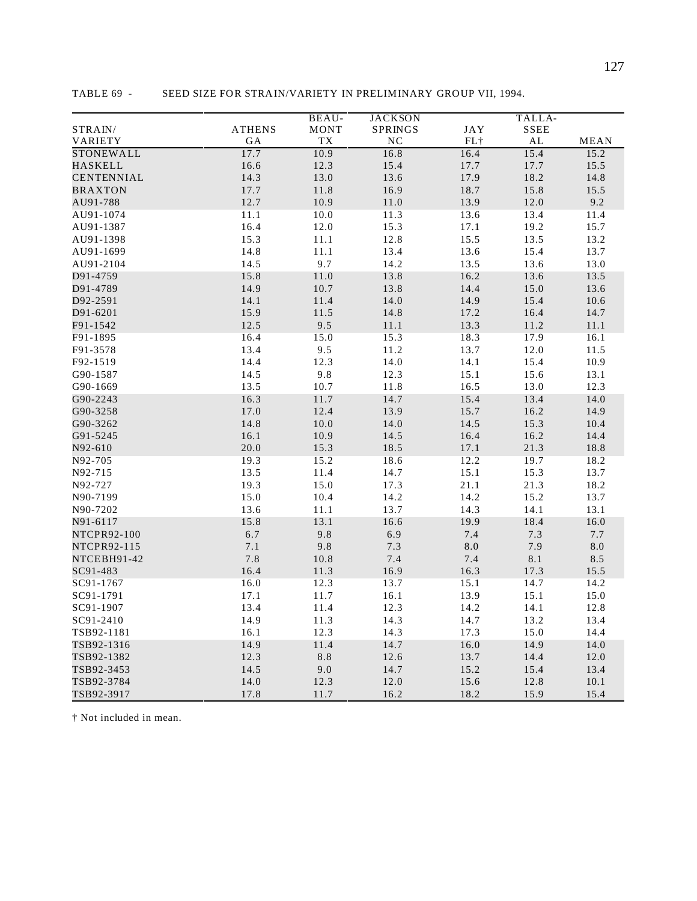|                   |               | BEAU-       | <b>JACKSON</b> |            | TALLA-      |           |
|-------------------|---------------|-------------|----------------|------------|-------------|-----------|
| STRAIN/           | <b>ATHENS</b> | <b>MONT</b> | <b>SPRINGS</b> | <b>JAY</b> | <b>SSEE</b> |           |
| VARIETY           | GA            | TX          | NC             | $FL+$      | AL          | MEAN      |
| STONEWALL         | 17.7          | 10.9        | 16.8           | 16.4       | 15.4        | 15.2      |
| <b>HASKELL</b>    | 16.6          | 12.3        | 15.4           | 17.7       | 17.7        | 15.5      |
| <b>CENTENNIAL</b> | 14.3          | 13.0        | 13.6           | 17.9       | 18.2        | 14.8      |
| <b>BRAXTON</b>    | 17.7          | 11.8        | 16.9           | 18.7       | 15.8        | 15.5      |
| AU91-788          | 12.7          | 10.9        | $11.0\,$       | 13.9       | 12.0        | 9.2       |
| AU91-1074         | 11.1          | 10.0        | 11.3           | 13.6       | 13.4        | 11.4      |
| AU91-1387         | 16.4          | 12.0        | 15.3           | 17.1       | 19.2        | 15.7      |
| AU91-1398         | 15.3          | 11.1        | 12.8           | 15.5       | 13.5        | 13.2      |
| AU91-1699         | 14.8          | 11.1        | 13.4           | 13.6       | 15.4        | 13.7      |
| AU91-2104         | 14.5          | 9.7         | 14.2           | 13.5       | 13.6        | 13.0      |
| D91-4759          | 15.8          | 11.0        | 13.8           | 16.2       | 13.6        | 13.5      |
| D91-4789          | 14.9          | 10.7        | 13.8           | 14.4       | 15.0        | 13.6      |
| D92-2591          | 14.1          | 11.4        | 14.0           | 14.9       | 15.4        | 10.6      |
| D91-6201          | 15.9          | 11.5        | 14.8           | 17.2       | 16.4        | 14.7      |
| F91-1542          | 12.5          | 9.5         | 11.1           | 13.3       | 11.2        | 11.1      |
| F91-1895          | 16.4          | 15.0        | 15.3           | 18.3       | 17.9        | 16.1      |
| F91-3578          | 13.4          | 9.5         | 11.2           | 13.7       | 12.0        | 11.5      |
| F92-1519          | 14.4          | 12.3        | 14.0           | 14.1       | 15.4        | 10.9      |
| G90-1587          | 14.5          | 9.8         | 12.3           | 15.1       | 15.6        | 13.1      |
| G90-1669          | 13.5          | 10.7        | 11.8           | 16.5       | 13.0        | 12.3      |
| G90-2243          | 16.3          | 11.7        | 14.7           | 15.4       | 13.4        | 14.0      |
| G90-3258          | 17.0          | 12.4        | 13.9           | 15.7       | 16.2        | 14.9      |
| G90-3262          | 14.8          | 10.0        | 14.0           | 14.5       | 15.3        | 10.4      |
| G91-5245          | 16.1          | 10.9        | 14.5           | 16.4       | 16.2        | 14.4      |
| N92-610           | 20.0          | 15.3        | 18.5           | 17.1       | 21.3        | 18.8      |
| N92-705           | 19.3          | 15.2        | 18.6           | 12.2       | 19.7        | 18.2      |
| N92-715           | 13.5          | 11.4        | 14.7           | 15.1       | 15.3        | 13.7      |
| N92-727           | 19.3          | 15.0        | 17.3           | 21.1       | 21.3        | 18.2      |
| N90-7199          | 15.0          | 10.4        | 14.2           | 14.2       | 15.2        | 13.7      |
| N90-7202          | 13.6          | 11.1        | 13.7           | 14.3       | 14.1        | 13.1      |
| N91-6117          | 15.8          | 13.1        | 16.6           | 19.9       | 18.4        | 16.0      |
| NTCPR92-100       | 6.7           | 9.8         | 6.9            | 7.4        | 7.3         | 7.7       |
| NTCPR92-115       | 7.1           | 9.8         | 7.3            | 8.0        | 7.9         | $\rm 8.0$ |
| NTCEBH91-42       | 7.8           | 10.8        | 7.4            | 7.4        | 8.1         | 8.5       |
| SC91-483          | 16.4          | 11.3        | 16.9           | 16.3       | 17.3        | 15.5      |
| SC91-1767         | 16.0          | 12.3        | 13.7           | 15.1       | 14.7        | 14.2      |
| SC91-1791         | 17.1          | 11.7        | 16.1           | 13.9       | 15.1        | 15.0      |
| SC91-1907         | 13.4          | 11.4        | 12.3           | 14.2       | 14.1        | 12.8      |
| SC91-2410         | 14.9          | 11.3        | 14.3           | 14.7       | 13.2        | 13.4      |
| TSB92-1181        | 16.1          | 12.3        | 14.3           | 17.3       | 15.0        | 14.4      |
| TSB92-1316        | 14.9          | 11.4        | 14.7           | 16.0       | 14.9        | 14.0      |
| TSB92-1382        | 12.3          | $8.8\,$     | 12.6           | 13.7       | 14.4        | 12.0      |
| TSB92-3453        | 14.5          | $9.0\,$     | 14.7           | 15.2       | 15.4        | 13.4      |
| TSB92-3784        | 14.0          | 12.3        | 12.0           | 15.6       | 12.8        | 10.1      |
| TSB92-3917        | 17.8          | 11.7        | 16.2           | 18.2       | 15.9        | 15.4      |

TABLE 69 - SEED SIZE FOR STRAIN/VARIETY IN PRELIMINARY GROUP VII, 1994.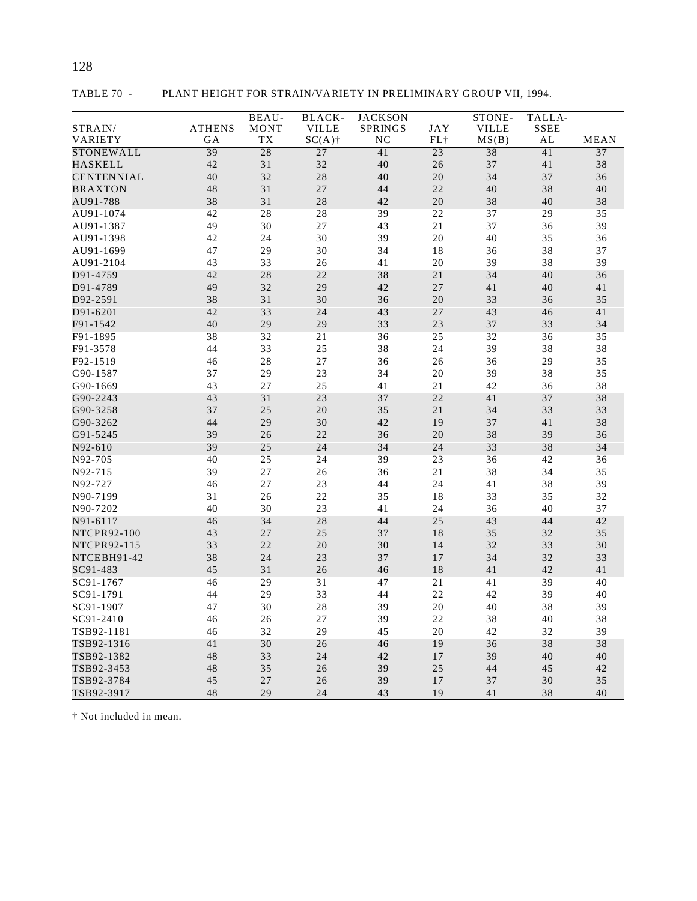|                   |               | <b>BEAU-</b> | <b>BLACK-</b>   | <b>JACKSON</b> |     | STONE-       | TALLA-      |                 |
|-------------------|---------------|--------------|-----------------|----------------|-----|--------------|-------------|-----------------|
| STRAIN/           | <b>ATHENS</b> | <b>MONT</b>  | <b>VILLE</b>    | <b>SPRINGS</b> | JAY | <b>VILLE</b> | <b>SSEE</b> |                 |
| VARIETY           | GА            | TX           | $SC(A)$ †       | NC             | FL+ | MS(B)        | AL          | <b>MEAN</b>     |
| STONEWALL         | 39            | 28           | $\overline{27}$ | 41             | 23  | 38           | 41          | $\overline{37}$ |
| <b>HASKELL</b>    | 42            | 31           | 32              | 40             | 26  | 37           | 41          | 38              |
| <b>CENTENNIAL</b> | 40            | 32           | 28              | 40             | 20  | 34           | 37          | 36              |
| <b>BRAXTON</b>    | 48            | 31           | 27              | 44             | 22  | 40           | 38          | 40              |
| AU91-788          | 38            | 31           | 28              | 42             | 20  | 38           | 40          | 38              |
| AU91-1074         | 42            | 28           | 28              | 39             | 22  | 37           | 29          | 35              |
| AU91-1387         | 49            | 30           | 27              | 43             | 21  | 37           | 36          | 39              |
| AU91-1398         | 42            | 24           | 30              | 39             | 20  | 40           | 35          | 36              |
| AU91-1699         | 47            | 29           | 30              | 34             | 18  | 36           | 38          | 37              |
| AU91-2104         | 43            | 33           | 26              | 41             | 20  | 39           | 38          | 39              |
| D91-4759          | 42            | 28           | 22              | 38             | 21  | 34           | 40          | 36              |
| D91-4789          | 49            | 32           | 29              | 42             | 27  | 41           | 40          | 41              |
| D92-2591          | 38            | 31           | 30              | 36             | 20  | 33           | 36          | 35              |
| D91-6201          | 42            | 33           | 24              | 43             | 27  | 43           | 46          | 41              |
| F91-1542          | 40            | 29           | 29              | 33             | 23  | 37           | 33          | 34              |
| F91-1895          | 38            | 32           | 21              | 36             | 25  | 32           | 36          | 35              |
| F91-3578          | 44            | 33           | 25              | 38             | 24  | 39           | 38          | 38              |
| F92-1519          | 46            | 28           | 27              | 36             | 26  | 36           | 29          | 35              |
| G90-1587          | 37            | 29           | 23              | 34             | 20  | 39           | 38          | 35              |
| G90-1669          | 43            | 27           | 25              | 41             | 21  | 42           | 36          | 38              |
| G90-2243          | 43            | 31           | 23              | 37             | 22  | 41           | 37          | 38              |
| G90-3258          | 37            | 25           | 20              | 35             | 21  | 34           | 33          | 33              |
| G90-3262          | 44            | 29           | 30              | 42             | 19  | 37           | 41          | 38              |
| G91-5245          | 39            | 26           | 22              | 36             | 20  | 38           | 39          | 36              |
| N92-610           | 39            | 25           | 24              | 34             | 24  | 33           | 38          | 34              |
| N92-705           | 40            | 25           | 24              | 39             | 23  | 36           | 42          | 36              |
| N92-715           | 39            | 27           | 26              | 36             | 21  | 38           | 34          | 35              |
| N92-727           | 46            | 27           | 23              | 44             | 24  | 41           | 38          | 39              |
| N90-7199          | 31            | 26           | 22              | 35             | 18  | 33           | 35          | 32              |
| N90-7202          | 40            | 30           | 23              | 41             | 24  | 36           | 40          | 37              |
| N91-6117          | 46            | 34           | 28              | 44             | 25  | 43           | 44          | 42              |
| NTCPR92-100       | 43            | 27           | 25              | 37             | 18  | 35           | 32          | 35              |
| NTCPR92-115       | 33            | 22           | 20              | 30             | 14  | 32           | 33          | 30              |
| NTCEBH91-42       | 38            | 24           | 23              | 37             | 17  | 34           | 32          | 33              |
| SC91-483          | 45            | 31           | 26              | 46             | 18  | 41           | 42          | 41              |
| SC91-1767         | 46            | 29           | 31              | 47             | 21  | 41           | 39          | 40              |
| SC91-1791         | 44            | 29           | 33              | 44             | 22  | 42           | 39          | 40              |
| SC91-1907         | 47            | 30           | 28              | 39             | 20  | 40           | 38          | 39              |
| SC91-2410         | 46            | 26           | 27              | 39             | 22  | 38           | 40          | 38              |
| TSB92-1181        | 46            | 32           | 29              | 45             | 20  | 42           | 32          | 39              |
| TSB92-1316        | 41            | 30           | 26              | 46             | 19  | 36           | 38          | 38              |
| TSB92-1382        | 48            | 33           | 24              | 42             | 17  | 39           | 40          | 40              |
| TSB92-3453        | 48            | 35           | 26              | 39             | 25  | 44           | 45          | 42              |
| TSB92-3784        | 45            | 27           | 26              | 39             | 17  | 37           | 30          | 35              |
| TSB92-3917        | 48            | 29           | 24              | 43             | 19  | 41           | 38          | 40              |

TABLE 70 - PLANT HEIGHT FOR STRAIN/VARIETY IN PRELIMINARY GROUP VII, 1994.

128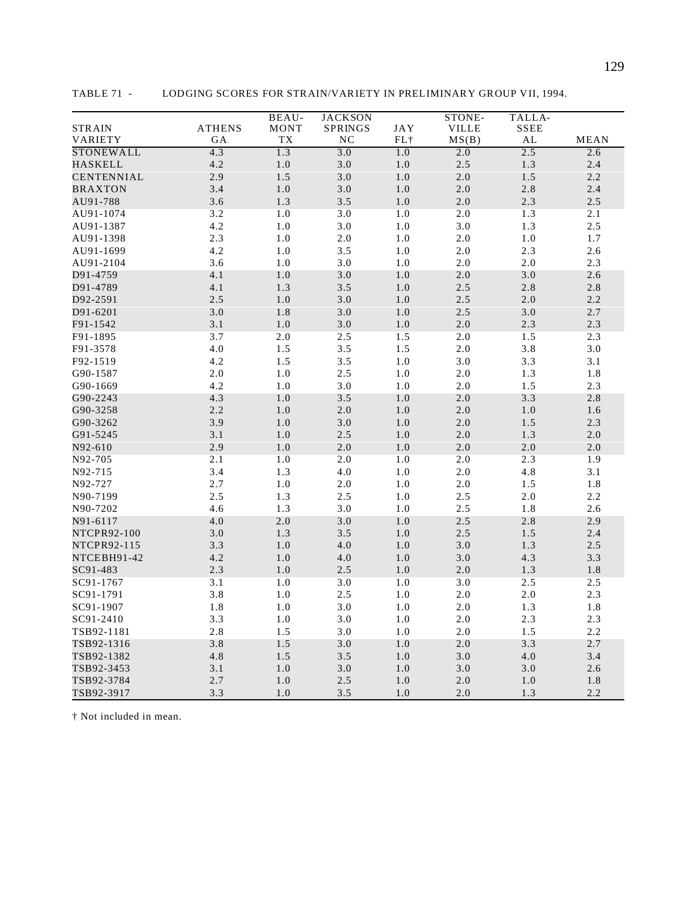|                   |               | BEAU-     | <b>JACKSON</b> |         | STONE-       | TALLA-  |             |
|-------------------|---------------|-----------|----------------|---------|--------------|---------|-------------|
| <b>STRAIN</b>     | <b>ATHENS</b> | MONT      | SPRINGS        | JAY     | <b>VILLE</b> | SSEE    |             |
| VARIETY           | GА            | <b>TX</b> | N <sub>C</sub> | $FL+$   | MS(B)        | AL      | <b>MEAN</b> |
| <b>STONEWALL</b>  | 4.3           | 1.3       | 3.0            | 1.0     | 2.0          | 2.5     | 2.6         |
| <b>HASKELL</b>    | 4.2           | $1.0\,$   | 3.0            | $1.0\,$ | 2.5          | 1.3     | 2.4         |
| <b>CENTENNIAL</b> | 2.9           | 1.5       | 3.0            | $1.0\,$ | $2.0\,$      | 1.5     | 2.2         |
| <b>BRAXTON</b>    | 3.4           | 1.0       | 3.0            | $1.0\,$ | 2.0          | 2.8     | 2.4         |
| AU91-788          | 3.6           | 1.3       | 3.5            | $1.0\,$ | $2.0\,$      | 2.3     | 2.5         |
| AU91-1074         | 3.2           | 1.0       | 3.0            | $1.0$   | 2.0          | 1.3     | 2.1         |
| AU91-1387         | 4.2           | 1.0       | 3.0            | 1.0     | 3.0          | 1.3     | 2.5         |
| AU91-1398         | 2.3           | 1.0       | $2.0$          | 1.0     | $2.0\,$      | 1.0     | 1.7         |
| AU91-1699         | 4.2           | 1.0       | 3.5            | 1.0     | $2.0\,$      | 2.3     | 2.6         |
| AU91-2104         | 3.6           | 1.0       | 3.0            | 1.0     | 2.0          | $2.0$   | 2.3         |
| D91-4759          | 4.1           | 1.0       | 3.0            | $1.0\,$ | 2.0          | 3.0     | 2.6         |
| D91-4789          | 4.1           | 1.3       | 3.5            | $1.0\,$ | 2.5          | 2.8     | $2.8$       |
| D92-2591          | 2.5           | 1.0       | 3.0            | $1.0\,$ | 2.5          | 2.0     | 2.2         |
| D91-6201          | 3.0           | 1.8       | 3.0            | 1.0     | 2.5          | 3.0     | 2.7         |
| F91-1542          | 3.1           | $1.0\,$   | $3.0\,$        | $1.0\,$ | $2.0\,$      | 2.3     | $2.3\,$     |
| F91-1895          | 3.7           | 2.0       | 2.5            | 1.5     | $2.0\,$      | 1.5     | 2.3         |
| F91-3578          | 4.0           | 1.5       | 3.5            | 1.5     | $2.0\,$      | 3.8     | 3.0         |
| F92-1519          | 4.2           | 1.5       | 3.5            | 1.0     | 3.0          | 3.3     | 3.1         |
| G90-1587          | $2.0\,$       | 1.0       | 2.5            | 1.0     | 2.0          | 1.3     | 1.8         |
| G90-1669          | 4.2           | 1.0       | 3.0            | 1.0     | 2.0          | 1.5     | 2.3         |
| G90-2243          | 4.3           | 1.0       | 3.5            | 1.0     | 2.0          | 3.3     | 2.8         |
| G90-3258          | 2.2           | 1.0       | $2.0\,$        | 1.0     | 2.0          | $1.0\,$ | $1.6\,$     |
| G90-3262          | 3.9           | 1.0       | $3.0\,$        | 1.0     | $2.0\,$      | 1.5     | 2.3         |
| G91-5245          | 3.1           | 1.0       | 2.5            | 1.0     | 2.0          | 1.3     | 2.0         |
| N92-610           | 2.9           | $1.0\,$   | $2.0\,$        | $1.0\,$ | $2.0\,$      | $2.0\,$ | $2.0\,$     |
| N92-705           | 2.1           | $1.0\,$   | 2.0            | 1.0     | 2.0          | 2.3     | 1.9         |
| N92-715           | 3.4           | 1.3       | $4.0\,$        | 1.0     | $2.0\,$      | 4.8     | 3.1         |
| N92-727           | 2.7           | 1.0       | $2.0\,$        | 1.0     | 2.0          | 1.5     | 1.8         |
| N90-7199          | 2.5           | 1.3       | 2.5            | 1.0     | 2.5          | 2.0     | 2.2         |
| N90-7202          | 4.6           | 1.3       | 3.0            | 1.0     | 2.5          | $1.8\,$ | 2.6         |
| N91-6117          | 4.0           | 2.0       | 3.0            | 1.0     | 2.5          | 2.8     | 2.9         |
| NTCPR92-100       | 3.0           | 1.3       | 3.5            | $1.0\,$ | $2.5\,$      | 1.5     | 2.4         |
| NTCPR92-115       | 3.3           | $1.0\,$   | $4.0\,$        | $1.0\,$ | 3.0          | 1.3     | $2.5\,$     |
| NTCEBH91-42       | 4.2           | $1.0\,$   | $4.0\,$        | $1.0\,$ | $3.0\,$      | 4.3     | 3.3         |
| SC91-483          | 2.3           | 1.0       | 2.5            | $1.0\,$ | $2.0\,$      | 1.3     | 1.8         |
| SC91-1767         | 3.1           | 1.0       | 3.0            | $1.0$   | 3.0          | 2.5     | 2.5         |
| SC91-1791         | 3.8           | 1.0       | 2.5            | $1.0\,$ | $2.0\,$      | $2.0\,$ | 2.3         |
| SC91-1907         | 1.8           | 1.0       | 3.0            | 1.0     | $2.0\,$      | 1.3     | 1.8         |
| SC91-2410         | 3.3           | 1.0       | 3.0            | 1.0     | $2.0\,$      | 2.3     | 2.3         |
| TSB92-1181        | 2.8           | 1.5       | 3.0            | 1.0     | 2.0          | 1.5     | 2.2         |
| TSB92-1316        | 3.8           | 1.5       | 3.0            | 1.0     | 2.0          | 3.3     | 2.7         |
| TSB92-1382        | 4.8           | 1.5       | 3.5            | 1.0     | 3.0          | 4.0     | 3.4         |
| TSB92-3453        | 3.1           | 1.0       | 3.0            | 1.0     | 3.0          | 3.0     | 2.6         |
| TSB92-3784        | 2.7           | 1.0       | 2.5            | $1.0\,$ | 2.0          | 1.0     | 1.8         |
| TSB92-3917        | 3.3           | 1.0       | 3.5            | 1.0     | 2.0          | 1.3     | 2.2         |

TABLE 71 - LODGING SCORES FOR STRAIN/VARIETY IN PRELIMINARY GROUP VII, 1994.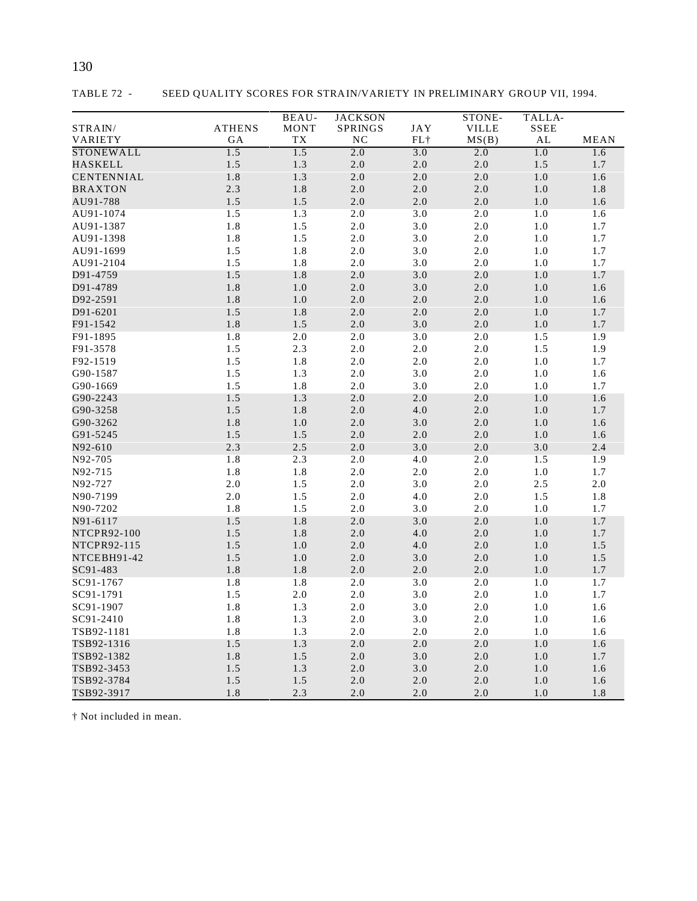| <b>ATHENS</b><br><b>VILLE</b><br><b>SSEE</b><br>STRAIN/<br>MONT<br>SPRINGS<br>JAY<br>VARIETY<br>TХ<br>NC<br>$FL+$<br>MS(B)<br>AL<br><b>MEAN</b><br>GА<br>STONEWALL<br>1.5<br>1.5<br>2.0<br>3.0<br>2.0<br>1.0<br>1.6<br><b>HASKELL</b><br>1.5<br>$1.3$<br>2.0<br>2.0<br>2.0<br>1.5<br>1.7<br>1.8<br>1.3<br>2.0<br><b>CENTENNIAL</b><br>2.0<br>$2.0\,$<br>1.0<br>1.6<br>2.3<br>1.8<br>2.0<br>2.0<br>2.0<br>1.0<br>1.8<br><b>BRAXTON</b><br>1.5<br>1.5<br>2.0<br>$2.0\,$<br>$2.0$<br>$1.0\,$<br>1.6<br>AU91-788<br>1.5<br>1.3<br>2.0<br>3.0<br>2.0<br>1.0<br>1.6<br>AU91-1074<br>1.8<br>1.5<br>2.0<br>3.0<br>$2.0\,$<br>1.0<br>$1.7\,$<br>AU91-1387<br>1.8<br>1.5<br>2.0<br>3.0<br>2.0<br>1.0<br>1.7<br>AU91-1398<br>1.5<br>1.8<br>2.0<br>3.0<br>2.0<br>1.0<br>1.7<br>AU91-1699<br>1.5<br>1.8<br>2.0<br>3.0<br>2.0<br>1.0<br>1.7<br>AU91-2104<br>1.5<br>1.8<br>2.0<br>3.0<br>2.0<br>1.0<br>1.7<br>D91-4759<br>1.8<br>3.0<br>D91-4789<br>1.0<br>2.0<br>2.0<br>1.0<br>$1.6\,$<br>1.8<br>2.0<br>2.0<br>D92-2591<br>1.0<br>2.0<br>1.0<br>1.6<br>1.5<br>1.8<br>2.0<br>$2.0\,$<br>$2.0\,$<br>1.0<br>1.7<br>D91-6201<br>F91-1542<br>1.8<br>1.5<br>$3.0$<br>$2.0\,$<br>1.0<br>1.7<br>2.0<br>1.8<br>2.0<br>2.0<br>3.0<br>$2.0$<br>1.5<br>1.9<br>F91-1895<br>1.5<br>2.0<br>2.0<br>2.3<br>2.0<br>1.5<br>1.9<br>F91-3578<br>1.5<br>1.8<br>2.0<br>2.0<br>2.0<br>1.0<br>1.7<br>F92-1519<br>1.5<br>1.3<br>2.0<br>3.0<br>2.0<br>1.0<br>G90-1587<br>1.6<br>1.5<br>1.8<br>2.0<br>3.0<br>2.0<br>1.0<br>G90-1669<br>1.7<br>G90-2243<br>1.5<br>1.3<br>2.0<br>2.0<br>2.0<br>1.0<br>1.6<br>1.5<br>4.0<br>2.0<br>1.8<br>2.0<br>1.0<br>1.7<br>G90-3258<br>1.8<br>$1.0\,$<br>2.0<br>3.0<br>2.0<br>1.0<br>1.6<br>G90-3262<br>G91-5245<br>1.5<br>1.5<br>2.0<br>2.0<br>2.0<br>1.0<br>1.6<br>2.3<br>$2.5\,$<br>2.0<br>$3.0\,$<br>$2.0\,$<br>3.0<br>2.4<br>N92-610<br>N92-705<br>1.8<br>2.3<br>2.0<br>4.0<br>2.0<br>1.5<br>1.9<br>$2.0\,$<br>$2.0$<br>1.8<br>1.8<br>2.0<br>1.0<br>1.7<br>N92-715<br>2.0<br>1.5<br>2.0<br>3.0<br>2.0<br>2.5<br>2.0<br>N92-727<br>N90-7199<br>2.0<br>1.5<br>2.0<br>4.0<br>2.0<br>1.5<br>1.8<br>1.8<br>1.5<br>2.0<br>3.0<br>2.0<br>1.0<br>1.7<br>N90-7202<br>1.5<br>1.8<br>2.0<br>3.0<br>2.0<br>1.0<br>1.7<br>N91-6117<br>1.5<br>$1.8\,$<br>4.0<br>$2.0$<br>$1.0\,$<br>1.7<br>NTCPR92-100<br>2.0<br>4.0<br>1.5<br>1.0<br>2.0<br>2.0<br>1.0<br>1.5<br>NTCPR92-115<br>$1.0\,$<br>1.0<br>NTCEBH91-42<br>1.5<br>2.0<br>$3.0\,$<br>2.0<br>1.5<br>SC91-483<br>1.8<br>1.8<br>2.0<br>2.0<br>2.0<br>1.0<br>1.7<br>SC91-1767<br>1.8<br>1.8<br>2.0<br>3.0<br>2.0<br>1.0<br>1.7<br>1.5<br>3.0<br>SC91-1791<br>2.0<br>2.0<br>2.0<br>1.0<br>1.7<br>1.8<br>3.0<br>SC91-1907<br>1.3<br>2.0<br>2.0<br>1.0<br>1.6<br>3.0<br>SC91-2410<br>1.8<br>1.3<br>2.0<br>2.0<br>1.0<br>1.6<br>1.8<br>1.3<br>2.0<br>2.0<br>2.0<br>1.0<br>TSB92-1181<br>1.6<br>1.5<br>1.3<br>2.0<br>2.0<br>2.0<br>1.0<br>1.6<br>TSB92-1316<br>2.0<br>1.8<br>1.5<br>2.0<br>3.0<br>1.0<br>1.7<br>TSB92-1382<br>1.5<br>1.3<br>3.0<br>2.0<br>2.0<br>1.0<br>1.6<br>TSB92-3453<br>TSB92-3784<br>1.5<br>1.5<br>2.0<br>2.0<br>2.0<br>1.0<br>1.6 |  | BEAU- | <b>JACKSON</b> | STONE- | TALLA- |  |
|-------------------------------------------------------------------------------------------------------------------------------------------------------------------------------------------------------------------------------------------------------------------------------------------------------------------------------------------------------------------------------------------------------------------------------------------------------------------------------------------------------------------------------------------------------------------------------------------------------------------------------------------------------------------------------------------------------------------------------------------------------------------------------------------------------------------------------------------------------------------------------------------------------------------------------------------------------------------------------------------------------------------------------------------------------------------------------------------------------------------------------------------------------------------------------------------------------------------------------------------------------------------------------------------------------------------------------------------------------------------------------------------------------------------------------------------------------------------------------------------------------------------------------------------------------------------------------------------------------------------------------------------------------------------------------------------------------------------------------------------------------------------------------------------------------------------------------------------------------------------------------------------------------------------------------------------------------------------------------------------------------------------------------------------------------------------------------------------------------------------------------------------------------------------------------------------------------------------------------------------------------------------------------------------------------------------------------------------------------------------------------------------------------------------------------------------------------------------------------------------------------------------------------------------------------------------------------------------------------------------------------------------------------------------------------------------------------------------------------------------------------------------------------------------------------------------------------------------------------------------------------------------------------------------------------------------------------------------------------------------------------------------------------------------------------------------------------------|--|-------|----------------|--------|--------|--|
|                                                                                                                                                                                                                                                                                                                                                                                                                                                                                                                                                                                                                                                                                                                                                                                                                                                                                                                                                                                                                                                                                                                                                                                                                                                                                                                                                                                                                                                                                                                                                                                                                                                                                                                                                                                                                                                                                                                                                                                                                                                                                                                                                                                                                                                                                                                                                                                                                                                                                                                                                                                                                                                                                                                                                                                                                                                                                                                                                                                                                                                                                     |  |       |                |        |        |  |
|                                                                                                                                                                                                                                                                                                                                                                                                                                                                                                                                                                                                                                                                                                                                                                                                                                                                                                                                                                                                                                                                                                                                                                                                                                                                                                                                                                                                                                                                                                                                                                                                                                                                                                                                                                                                                                                                                                                                                                                                                                                                                                                                                                                                                                                                                                                                                                                                                                                                                                                                                                                                                                                                                                                                                                                                                                                                                                                                                                                                                                                                                     |  |       |                |        |        |  |
|                                                                                                                                                                                                                                                                                                                                                                                                                                                                                                                                                                                                                                                                                                                                                                                                                                                                                                                                                                                                                                                                                                                                                                                                                                                                                                                                                                                                                                                                                                                                                                                                                                                                                                                                                                                                                                                                                                                                                                                                                                                                                                                                                                                                                                                                                                                                                                                                                                                                                                                                                                                                                                                                                                                                                                                                                                                                                                                                                                                                                                                                                     |  |       |                |        |        |  |
|                                                                                                                                                                                                                                                                                                                                                                                                                                                                                                                                                                                                                                                                                                                                                                                                                                                                                                                                                                                                                                                                                                                                                                                                                                                                                                                                                                                                                                                                                                                                                                                                                                                                                                                                                                                                                                                                                                                                                                                                                                                                                                                                                                                                                                                                                                                                                                                                                                                                                                                                                                                                                                                                                                                                                                                                                                                                                                                                                                                                                                                                                     |  |       |                |        |        |  |
|                                                                                                                                                                                                                                                                                                                                                                                                                                                                                                                                                                                                                                                                                                                                                                                                                                                                                                                                                                                                                                                                                                                                                                                                                                                                                                                                                                                                                                                                                                                                                                                                                                                                                                                                                                                                                                                                                                                                                                                                                                                                                                                                                                                                                                                                                                                                                                                                                                                                                                                                                                                                                                                                                                                                                                                                                                                                                                                                                                                                                                                                                     |  |       |                |        |        |  |
|                                                                                                                                                                                                                                                                                                                                                                                                                                                                                                                                                                                                                                                                                                                                                                                                                                                                                                                                                                                                                                                                                                                                                                                                                                                                                                                                                                                                                                                                                                                                                                                                                                                                                                                                                                                                                                                                                                                                                                                                                                                                                                                                                                                                                                                                                                                                                                                                                                                                                                                                                                                                                                                                                                                                                                                                                                                                                                                                                                                                                                                                                     |  |       |                |        |        |  |
|                                                                                                                                                                                                                                                                                                                                                                                                                                                                                                                                                                                                                                                                                                                                                                                                                                                                                                                                                                                                                                                                                                                                                                                                                                                                                                                                                                                                                                                                                                                                                                                                                                                                                                                                                                                                                                                                                                                                                                                                                                                                                                                                                                                                                                                                                                                                                                                                                                                                                                                                                                                                                                                                                                                                                                                                                                                                                                                                                                                                                                                                                     |  |       |                |        |        |  |
|                                                                                                                                                                                                                                                                                                                                                                                                                                                                                                                                                                                                                                                                                                                                                                                                                                                                                                                                                                                                                                                                                                                                                                                                                                                                                                                                                                                                                                                                                                                                                                                                                                                                                                                                                                                                                                                                                                                                                                                                                                                                                                                                                                                                                                                                                                                                                                                                                                                                                                                                                                                                                                                                                                                                                                                                                                                                                                                                                                                                                                                                                     |  |       |                |        |        |  |
|                                                                                                                                                                                                                                                                                                                                                                                                                                                                                                                                                                                                                                                                                                                                                                                                                                                                                                                                                                                                                                                                                                                                                                                                                                                                                                                                                                                                                                                                                                                                                                                                                                                                                                                                                                                                                                                                                                                                                                                                                                                                                                                                                                                                                                                                                                                                                                                                                                                                                                                                                                                                                                                                                                                                                                                                                                                                                                                                                                                                                                                                                     |  |       |                |        |        |  |
|                                                                                                                                                                                                                                                                                                                                                                                                                                                                                                                                                                                                                                                                                                                                                                                                                                                                                                                                                                                                                                                                                                                                                                                                                                                                                                                                                                                                                                                                                                                                                                                                                                                                                                                                                                                                                                                                                                                                                                                                                                                                                                                                                                                                                                                                                                                                                                                                                                                                                                                                                                                                                                                                                                                                                                                                                                                                                                                                                                                                                                                                                     |  |       |                |        |        |  |
|                                                                                                                                                                                                                                                                                                                                                                                                                                                                                                                                                                                                                                                                                                                                                                                                                                                                                                                                                                                                                                                                                                                                                                                                                                                                                                                                                                                                                                                                                                                                                                                                                                                                                                                                                                                                                                                                                                                                                                                                                                                                                                                                                                                                                                                                                                                                                                                                                                                                                                                                                                                                                                                                                                                                                                                                                                                                                                                                                                                                                                                                                     |  |       |                |        |        |  |
|                                                                                                                                                                                                                                                                                                                                                                                                                                                                                                                                                                                                                                                                                                                                                                                                                                                                                                                                                                                                                                                                                                                                                                                                                                                                                                                                                                                                                                                                                                                                                                                                                                                                                                                                                                                                                                                                                                                                                                                                                                                                                                                                                                                                                                                                                                                                                                                                                                                                                                                                                                                                                                                                                                                                                                                                                                                                                                                                                                                                                                                                                     |  |       |                |        |        |  |
|                                                                                                                                                                                                                                                                                                                                                                                                                                                                                                                                                                                                                                                                                                                                                                                                                                                                                                                                                                                                                                                                                                                                                                                                                                                                                                                                                                                                                                                                                                                                                                                                                                                                                                                                                                                                                                                                                                                                                                                                                                                                                                                                                                                                                                                                                                                                                                                                                                                                                                                                                                                                                                                                                                                                                                                                                                                                                                                                                                                                                                                                                     |  |       |                |        |        |  |
|                                                                                                                                                                                                                                                                                                                                                                                                                                                                                                                                                                                                                                                                                                                                                                                                                                                                                                                                                                                                                                                                                                                                                                                                                                                                                                                                                                                                                                                                                                                                                                                                                                                                                                                                                                                                                                                                                                                                                                                                                                                                                                                                                                                                                                                                                                                                                                                                                                                                                                                                                                                                                                                                                                                                                                                                                                                                                                                                                                                                                                                                                     |  |       |                |        |        |  |
|                                                                                                                                                                                                                                                                                                                                                                                                                                                                                                                                                                                                                                                                                                                                                                                                                                                                                                                                                                                                                                                                                                                                                                                                                                                                                                                                                                                                                                                                                                                                                                                                                                                                                                                                                                                                                                                                                                                                                                                                                                                                                                                                                                                                                                                                                                                                                                                                                                                                                                                                                                                                                                                                                                                                                                                                                                                                                                                                                                                                                                                                                     |  |       |                |        |        |  |
|                                                                                                                                                                                                                                                                                                                                                                                                                                                                                                                                                                                                                                                                                                                                                                                                                                                                                                                                                                                                                                                                                                                                                                                                                                                                                                                                                                                                                                                                                                                                                                                                                                                                                                                                                                                                                                                                                                                                                                                                                                                                                                                                                                                                                                                                                                                                                                                                                                                                                                                                                                                                                                                                                                                                                                                                                                                                                                                                                                                                                                                                                     |  |       |                |        |        |  |
|                                                                                                                                                                                                                                                                                                                                                                                                                                                                                                                                                                                                                                                                                                                                                                                                                                                                                                                                                                                                                                                                                                                                                                                                                                                                                                                                                                                                                                                                                                                                                                                                                                                                                                                                                                                                                                                                                                                                                                                                                                                                                                                                                                                                                                                                                                                                                                                                                                                                                                                                                                                                                                                                                                                                                                                                                                                                                                                                                                                                                                                                                     |  |       |                |        |        |  |
|                                                                                                                                                                                                                                                                                                                                                                                                                                                                                                                                                                                                                                                                                                                                                                                                                                                                                                                                                                                                                                                                                                                                                                                                                                                                                                                                                                                                                                                                                                                                                                                                                                                                                                                                                                                                                                                                                                                                                                                                                                                                                                                                                                                                                                                                                                                                                                                                                                                                                                                                                                                                                                                                                                                                                                                                                                                                                                                                                                                                                                                                                     |  |       |                |        |        |  |
|                                                                                                                                                                                                                                                                                                                                                                                                                                                                                                                                                                                                                                                                                                                                                                                                                                                                                                                                                                                                                                                                                                                                                                                                                                                                                                                                                                                                                                                                                                                                                                                                                                                                                                                                                                                                                                                                                                                                                                                                                                                                                                                                                                                                                                                                                                                                                                                                                                                                                                                                                                                                                                                                                                                                                                                                                                                                                                                                                                                                                                                                                     |  |       |                |        |        |  |
|                                                                                                                                                                                                                                                                                                                                                                                                                                                                                                                                                                                                                                                                                                                                                                                                                                                                                                                                                                                                                                                                                                                                                                                                                                                                                                                                                                                                                                                                                                                                                                                                                                                                                                                                                                                                                                                                                                                                                                                                                                                                                                                                                                                                                                                                                                                                                                                                                                                                                                                                                                                                                                                                                                                                                                                                                                                                                                                                                                                                                                                                                     |  |       |                |        |        |  |
|                                                                                                                                                                                                                                                                                                                                                                                                                                                                                                                                                                                                                                                                                                                                                                                                                                                                                                                                                                                                                                                                                                                                                                                                                                                                                                                                                                                                                                                                                                                                                                                                                                                                                                                                                                                                                                                                                                                                                                                                                                                                                                                                                                                                                                                                                                                                                                                                                                                                                                                                                                                                                                                                                                                                                                                                                                                                                                                                                                                                                                                                                     |  |       |                |        |        |  |
|                                                                                                                                                                                                                                                                                                                                                                                                                                                                                                                                                                                                                                                                                                                                                                                                                                                                                                                                                                                                                                                                                                                                                                                                                                                                                                                                                                                                                                                                                                                                                                                                                                                                                                                                                                                                                                                                                                                                                                                                                                                                                                                                                                                                                                                                                                                                                                                                                                                                                                                                                                                                                                                                                                                                                                                                                                                                                                                                                                                                                                                                                     |  |       |                |        |        |  |
|                                                                                                                                                                                                                                                                                                                                                                                                                                                                                                                                                                                                                                                                                                                                                                                                                                                                                                                                                                                                                                                                                                                                                                                                                                                                                                                                                                                                                                                                                                                                                                                                                                                                                                                                                                                                                                                                                                                                                                                                                                                                                                                                                                                                                                                                                                                                                                                                                                                                                                                                                                                                                                                                                                                                                                                                                                                                                                                                                                                                                                                                                     |  |       |                |        |        |  |
|                                                                                                                                                                                                                                                                                                                                                                                                                                                                                                                                                                                                                                                                                                                                                                                                                                                                                                                                                                                                                                                                                                                                                                                                                                                                                                                                                                                                                                                                                                                                                                                                                                                                                                                                                                                                                                                                                                                                                                                                                                                                                                                                                                                                                                                                                                                                                                                                                                                                                                                                                                                                                                                                                                                                                                                                                                                                                                                                                                                                                                                                                     |  |       |                |        |        |  |
|                                                                                                                                                                                                                                                                                                                                                                                                                                                                                                                                                                                                                                                                                                                                                                                                                                                                                                                                                                                                                                                                                                                                                                                                                                                                                                                                                                                                                                                                                                                                                                                                                                                                                                                                                                                                                                                                                                                                                                                                                                                                                                                                                                                                                                                                                                                                                                                                                                                                                                                                                                                                                                                                                                                                                                                                                                                                                                                                                                                                                                                                                     |  |       |                |        |        |  |
|                                                                                                                                                                                                                                                                                                                                                                                                                                                                                                                                                                                                                                                                                                                                                                                                                                                                                                                                                                                                                                                                                                                                                                                                                                                                                                                                                                                                                                                                                                                                                                                                                                                                                                                                                                                                                                                                                                                                                                                                                                                                                                                                                                                                                                                                                                                                                                                                                                                                                                                                                                                                                                                                                                                                                                                                                                                                                                                                                                                                                                                                                     |  |       |                |        |        |  |
|                                                                                                                                                                                                                                                                                                                                                                                                                                                                                                                                                                                                                                                                                                                                                                                                                                                                                                                                                                                                                                                                                                                                                                                                                                                                                                                                                                                                                                                                                                                                                                                                                                                                                                                                                                                                                                                                                                                                                                                                                                                                                                                                                                                                                                                                                                                                                                                                                                                                                                                                                                                                                                                                                                                                                                                                                                                                                                                                                                                                                                                                                     |  |       |                |        |        |  |
|                                                                                                                                                                                                                                                                                                                                                                                                                                                                                                                                                                                                                                                                                                                                                                                                                                                                                                                                                                                                                                                                                                                                                                                                                                                                                                                                                                                                                                                                                                                                                                                                                                                                                                                                                                                                                                                                                                                                                                                                                                                                                                                                                                                                                                                                                                                                                                                                                                                                                                                                                                                                                                                                                                                                                                                                                                                                                                                                                                                                                                                                                     |  |       |                |        |        |  |
|                                                                                                                                                                                                                                                                                                                                                                                                                                                                                                                                                                                                                                                                                                                                                                                                                                                                                                                                                                                                                                                                                                                                                                                                                                                                                                                                                                                                                                                                                                                                                                                                                                                                                                                                                                                                                                                                                                                                                                                                                                                                                                                                                                                                                                                                                                                                                                                                                                                                                                                                                                                                                                                                                                                                                                                                                                                                                                                                                                                                                                                                                     |  |       |                |        |        |  |
|                                                                                                                                                                                                                                                                                                                                                                                                                                                                                                                                                                                                                                                                                                                                                                                                                                                                                                                                                                                                                                                                                                                                                                                                                                                                                                                                                                                                                                                                                                                                                                                                                                                                                                                                                                                                                                                                                                                                                                                                                                                                                                                                                                                                                                                                                                                                                                                                                                                                                                                                                                                                                                                                                                                                                                                                                                                                                                                                                                                                                                                                                     |  |       |                |        |        |  |
|                                                                                                                                                                                                                                                                                                                                                                                                                                                                                                                                                                                                                                                                                                                                                                                                                                                                                                                                                                                                                                                                                                                                                                                                                                                                                                                                                                                                                                                                                                                                                                                                                                                                                                                                                                                                                                                                                                                                                                                                                                                                                                                                                                                                                                                                                                                                                                                                                                                                                                                                                                                                                                                                                                                                                                                                                                                                                                                                                                                                                                                                                     |  |       |                |        |        |  |
|                                                                                                                                                                                                                                                                                                                                                                                                                                                                                                                                                                                                                                                                                                                                                                                                                                                                                                                                                                                                                                                                                                                                                                                                                                                                                                                                                                                                                                                                                                                                                                                                                                                                                                                                                                                                                                                                                                                                                                                                                                                                                                                                                                                                                                                                                                                                                                                                                                                                                                                                                                                                                                                                                                                                                                                                                                                                                                                                                                                                                                                                                     |  |       |                |        |        |  |
|                                                                                                                                                                                                                                                                                                                                                                                                                                                                                                                                                                                                                                                                                                                                                                                                                                                                                                                                                                                                                                                                                                                                                                                                                                                                                                                                                                                                                                                                                                                                                                                                                                                                                                                                                                                                                                                                                                                                                                                                                                                                                                                                                                                                                                                                                                                                                                                                                                                                                                                                                                                                                                                                                                                                                                                                                                                                                                                                                                                                                                                                                     |  |       |                |        |        |  |
|                                                                                                                                                                                                                                                                                                                                                                                                                                                                                                                                                                                                                                                                                                                                                                                                                                                                                                                                                                                                                                                                                                                                                                                                                                                                                                                                                                                                                                                                                                                                                                                                                                                                                                                                                                                                                                                                                                                                                                                                                                                                                                                                                                                                                                                                                                                                                                                                                                                                                                                                                                                                                                                                                                                                                                                                                                                                                                                                                                                                                                                                                     |  |       |                |        |        |  |
|                                                                                                                                                                                                                                                                                                                                                                                                                                                                                                                                                                                                                                                                                                                                                                                                                                                                                                                                                                                                                                                                                                                                                                                                                                                                                                                                                                                                                                                                                                                                                                                                                                                                                                                                                                                                                                                                                                                                                                                                                                                                                                                                                                                                                                                                                                                                                                                                                                                                                                                                                                                                                                                                                                                                                                                                                                                                                                                                                                                                                                                                                     |  |       |                |        |        |  |
|                                                                                                                                                                                                                                                                                                                                                                                                                                                                                                                                                                                                                                                                                                                                                                                                                                                                                                                                                                                                                                                                                                                                                                                                                                                                                                                                                                                                                                                                                                                                                                                                                                                                                                                                                                                                                                                                                                                                                                                                                                                                                                                                                                                                                                                                                                                                                                                                                                                                                                                                                                                                                                                                                                                                                                                                                                                                                                                                                                                                                                                                                     |  |       |                |        |        |  |
|                                                                                                                                                                                                                                                                                                                                                                                                                                                                                                                                                                                                                                                                                                                                                                                                                                                                                                                                                                                                                                                                                                                                                                                                                                                                                                                                                                                                                                                                                                                                                                                                                                                                                                                                                                                                                                                                                                                                                                                                                                                                                                                                                                                                                                                                                                                                                                                                                                                                                                                                                                                                                                                                                                                                                                                                                                                                                                                                                                                                                                                                                     |  |       |                |        |        |  |
|                                                                                                                                                                                                                                                                                                                                                                                                                                                                                                                                                                                                                                                                                                                                                                                                                                                                                                                                                                                                                                                                                                                                                                                                                                                                                                                                                                                                                                                                                                                                                                                                                                                                                                                                                                                                                                                                                                                                                                                                                                                                                                                                                                                                                                                                                                                                                                                                                                                                                                                                                                                                                                                                                                                                                                                                                                                                                                                                                                                                                                                                                     |  |       |                |        |        |  |
|                                                                                                                                                                                                                                                                                                                                                                                                                                                                                                                                                                                                                                                                                                                                                                                                                                                                                                                                                                                                                                                                                                                                                                                                                                                                                                                                                                                                                                                                                                                                                                                                                                                                                                                                                                                                                                                                                                                                                                                                                                                                                                                                                                                                                                                                                                                                                                                                                                                                                                                                                                                                                                                                                                                                                                                                                                                                                                                                                                                                                                                                                     |  |       |                |        |        |  |
|                                                                                                                                                                                                                                                                                                                                                                                                                                                                                                                                                                                                                                                                                                                                                                                                                                                                                                                                                                                                                                                                                                                                                                                                                                                                                                                                                                                                                                                                                                                                                                                                                                                                                                                                                                                                                                                                                                                                                                                                                                                                                                                                                                                                                                                                                                                                                                                                                                                                                                                                                                                                                                                                                                                                                                                                                                                                                                                                                                                                                                                                                     |  |       |                |        |        |  |
|                                                                                                                                                                                                                                                                                                                                                                                                                                                                                                                                                                                                                                                                                                                                                                                                                                                                                                                                                                                                                                                                                                                                                                                                                                                                                                                                                                                                                                                                                                                                                                                                                                                                                                                                                                                                                                                                                                                                                                                                                                                                                                                                                                                                                                                                                                                                                                                                                                                                                                                                                                                                                                                                                                                                                                                                                                                                                                                                                                                                                                                                                     |  |       |                |        |        |  |
|                                                                                                                                                                                                                                                                                                                                                                                                                                                                                                                                                                                                                                                                                                                                                                                                                                                                                                                                                                                                                                                                                                                                                                                                                                                                                                                                                                                                                                                                                                                                                                                                                                                                                                                                                                                                                                                                                                                                                                                                                                                                                                                                                                                                                                                                                                                                                                                                                                                                                                                                                                                                                                                                                                                                                                                                                                                                                                                                                                                                                                                                                     |  |       |                |        |        |  |
|                                                                                                                                                                                                                                                                                                                                                                                                                                                                                                                                                                                                                                                                                                                                                                                                                                                                                                                                                                                                                                                                                                                                                                                                                                                                                                                                                                                                                                                                                                                                                                                                                                                                                                                                                                                                                                                                                                                                                                                                                                                                                                                                                                                                                                                                                                                                                                                                                                                                                                                                                                                                                                                                                                                                                                                                                                                                                                                                                                                                                                                                                     |  |       |                |        |        |  |
|                                                                                                                                                                                                                                                                                                                                                                                                                                                                                                                                                                                                                                                                                                                                                                                                                                                                                                                                                                                                                                                                                                                                                                                                                                                                                                                                                                                                                                                                                                                                                                                                                                                                                                                                                                                                                                                                                                                                                                                                                                                                                                                                                                                                                                                                                                                                                                                                                                                                                                                                                                                                                                                                                                                                                                                                                                                                                                                                                                                                                                                                                     |  |       |                |        |        |  |
|                                                                                                                                                                                                                                                                                                                                                                                                                                                                                                                                                                                                                                                                                                                                                                                                                                                                                                                                                                                                                                                                                                                                                                                                                                                                                                                                                                                                                                                                                                                                                                                                                                                                                                                                                                                                                                                                                                                                                                                                                                                                                                                                                                                                                                                                                                                                                                                                                                                                                                                                                                                                                                                                                                                                                                                                                                                                                                                                                                                                                                                                                     |  |       |                |        |        |  |
|                                                                                                                                                                                                                                                                                                                                                                                                                                                                                                                                                                                                                                                                                                                                                                                                                                                                                                                                                                                                                                                                                                                                                                                                                                                                                                                                                                                                                                                                                                                                                                                                                                                                                                                                                                                                                                                                                                                                                                                                                                                                                                                                                                                                                                                                                                                                                                                                                                                                                                                                                                                                                                                                                                                                                                                                                                                                                                                                                                                                                                                                                     |  |       |                |        |        |  |
| 1.8<br>2.3<br>2.0<br>2.0<br>2.0<br>1.0<br>1.8<br>TSB92-3917                                                                                                                                                                                                                                                                                                                                                                                                                                                                                                                                                                                                                                                                                                                                                                                                                                                                                                                                                                                                                                                                                                                                                                                                                                                                                                                                                                                                                                                                                                                                                                                                                                                                                                                                                                                                                                                                                                                                                                                                                                                                                                                                                                                                                                                                                                                                                                                                                                                                                                                                                                                                                                                                                                                                                                                                                                                                                                                                                                                                                         |  |       |                |        |        |  |

TABLE 72 - SEED QUALITY SCORES FOR STRAIN/VARIETY IN PRELIMINARY GROUP VII, 1994.

† Not included in mean.

# 130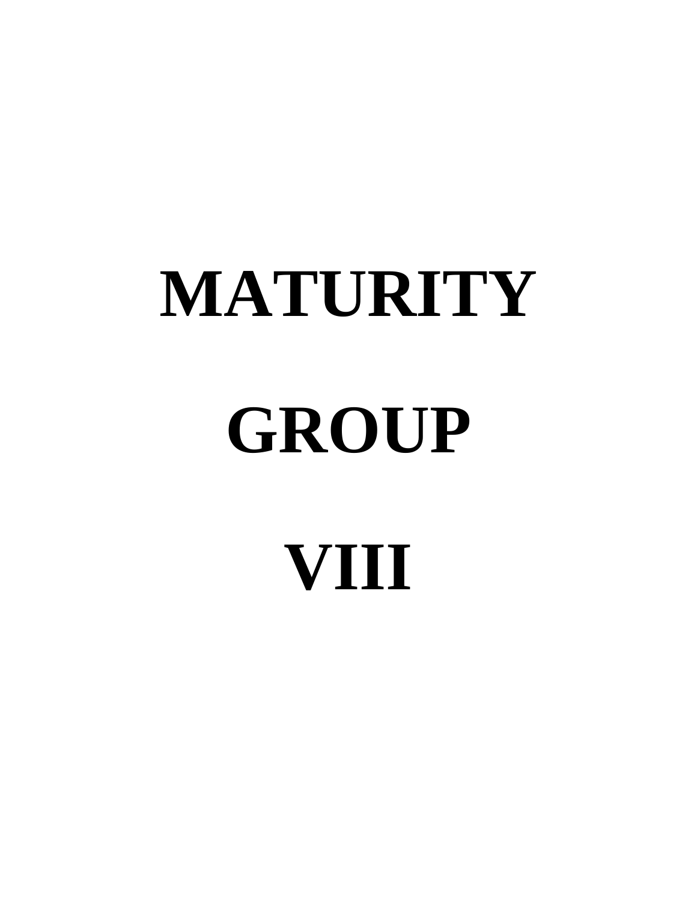# **MATURITY GROUP VIII**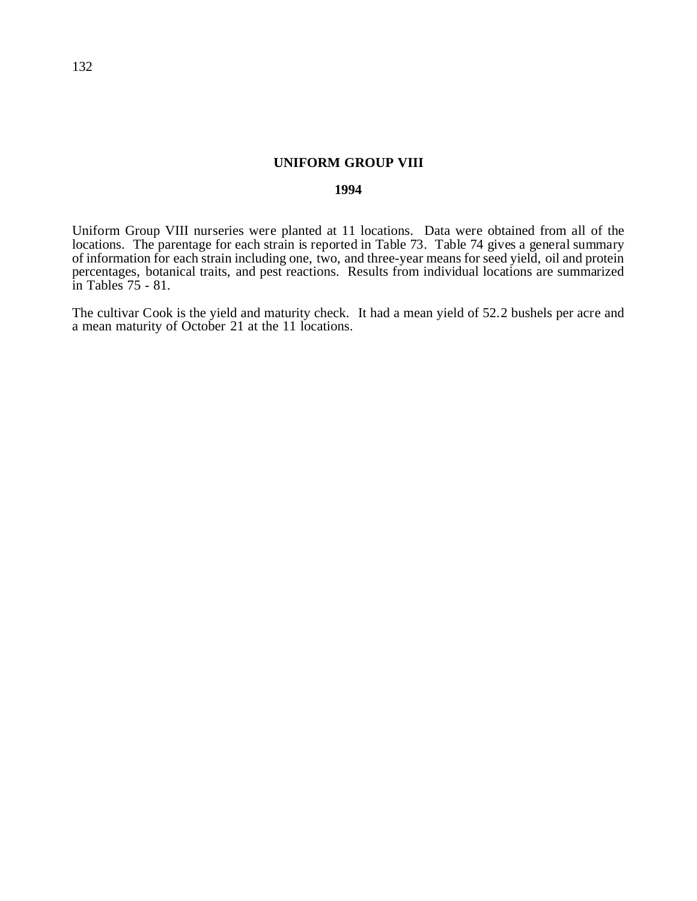## **UNIFORM GROUP VIII**

## **1994**

Uniform Group VIII nurseries were planted at 11 locations. Data were obtained from all of the locations. The parentage for each strain is reported in Table 73. Table 74 gives a general summary of information for each strain including one, two, and three-year means for seed yield, oil and protein percentages, botanical traits, and pest reactions. Results from individual locations are summarized in Tables 75 - 81.

The cultivar Cook is the yield and maturity check. It had a mean yield of 52.2 bushels per acre and a mean maturity of October 21 at the 11 locations.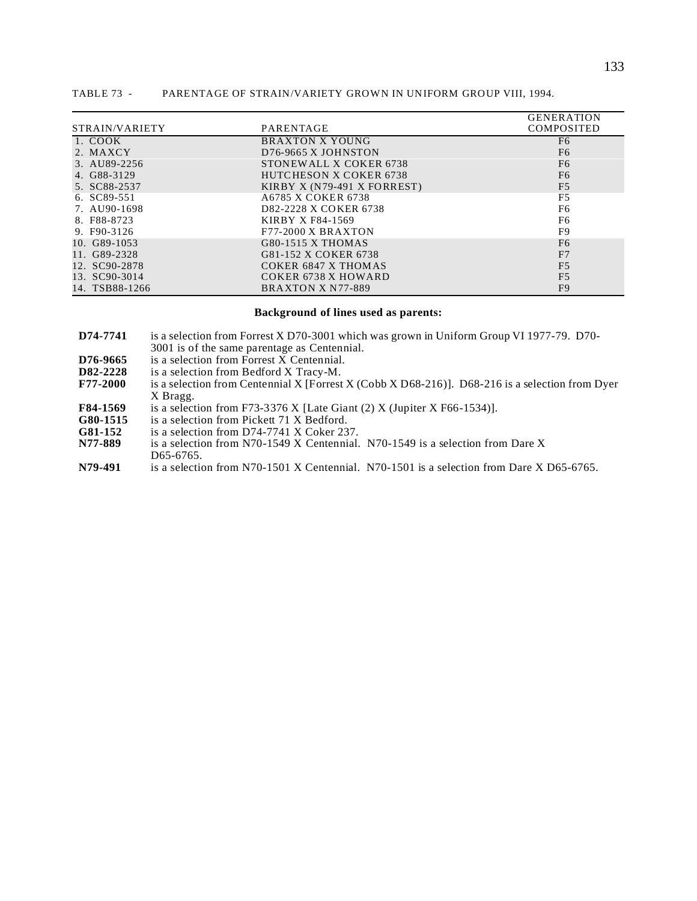|                |                                  | <b>GENERATION</b> |
|----------------|----------------------------------|-------------------|
| STRAIN/VARIETY | PARENTAGE                        | <b>COMPOSITED</b> |
| 1. COOK        | <b>BRAXTON X YOUNG</b>           | F <sub>6</sub>    |
| 2. MAXCY       | D <sub>76</sub> -9665 X JOHNSTON | F <sub>6</sub>    |
| 3. AU89-2256   | STONEWALL X COKER 6738           | F <sub>6</sub>    |
| 4. G88-3129    | <b>HUTCHESON X COKER 6738</b>    | F <sub>6</sub>    |
| 5. SC88-2537   | KIRBY X (N79-491 X FORREST)      | F <sub>5</sub>    |
| 6. SC89-551    | A6785 X COKER 6738               | F <sub>5</sub>    |
| 7. AU90-1698   | D82-2228 X COKER 6738            | F <sub>6</sub>    |
| 8. F88-8723    | KIRBY X F84-1569                 | F6                |
| 9. F90-3126    | $F77-2000X$ BRAXTON              | F9                |
| 10. G89-1053   | G80-1515 X THOMAS                | F <sub>6</sub>    |
| 11. G89-2328   | G81-152 X COKER 6738             | F7                |
| 12. SC90-2878  | COKER 6847 X THOMAS              | F <sub>5</sub>    |
| 13. SC90-3014  | COKER 6738 X HOWARD              | F <sub>5</sub>    |
| 14. TSB88-1266 | BRAXTON X N77-889                | F9                |

#### TABLE 73 - PARENTAGE OF STRAIN/VARIETY GROWN IN UNIFORM GROUP VIII, 1994.

#### **Background of lines used as parents:**

| D74-7741 | is a selection from Forrest X D70-3001 which was grown in Uniform Group VI 1977-79. D70- |  |
|----------|------------------------------------------------------------------------------------------|--|
|          | 3001 is of the same parentage as Centennial.                                             |  |

- **D76-9665** is a selection from Forrest X Centennial.<br>**D82-2228** is a selection from Bedford X Tracy-M.
- **D82-2228** is a selection from Bedford X Tracy-M.<br>**F77-2000** is a selection from Centennial X [Forrest]
- **F** a selection from Centennial X [Forrest X (Cobb X D68-216)]. D68-216 is a selection from Dyer X Bragg.
- **F84-1569** is a selection from F73-3376 X [Late Giant (2) X (Jupiter X F66-1534)].<br>**G80-1515** is a selection from Pickett 71 X Bedford.
- **G80-1515** is a selection from Pickett 71 X Bedford.<br> **G81-152** is a selection from D74-7741 X Coker 23
- G81-152 is a selection from D74-7741 X Coker 237.<br>N77-889 is a selection from N70-1549 X Centennial.
- is a selection from N70-1549 X Centennial. N70-1549 is a selection from Dare X D65-6765.
- **N79-491** is a selection from N70-1501 X Centennial. N70-1501 is a selection from Dare X D65-6765.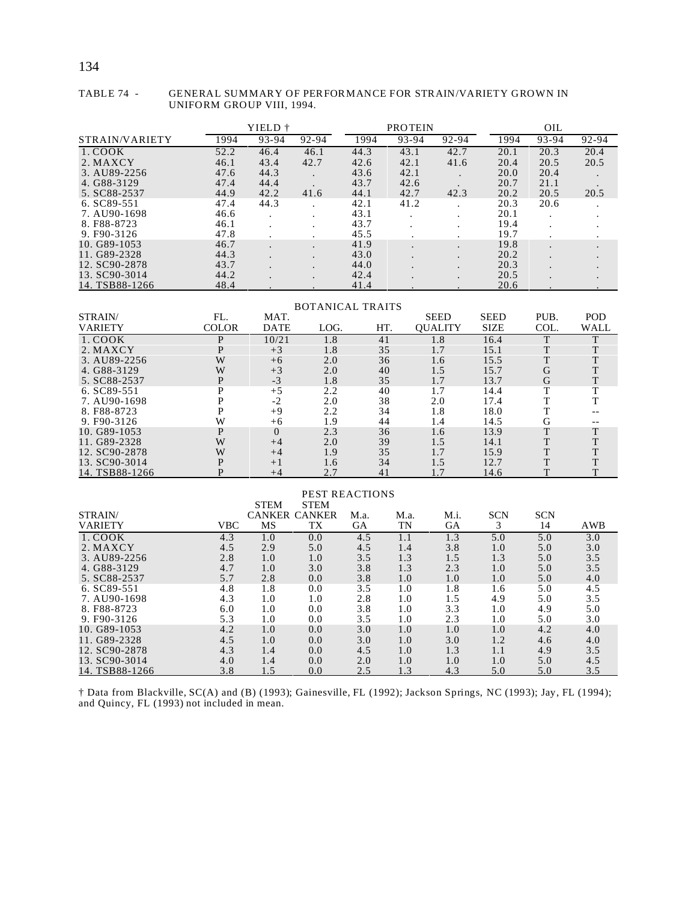#### TABLE 74 - GENERAL SUMMARY OF PERFORMANCE FOR STRAIN/VARIETY GROWN IN UNIFORM GROUP VIII, 1994.

|                |      | YIELD † |       |      | <b>PROTEIN</b> |       |      | OIL                  |       |
|----------------|------|---------|-------|------|----------------|-------|------|----------------------|-------|
| STRAIN/VARIETY | 1994 | 93-94   | 92-94 | 1994 | 93-94          | 92-94 | 1994 | 93-94                | 92-94 |
| 1. COOK        | 52.2 | 46.4    | 46.1  | 44.3 | 43.1           | 42.7  | 20.1 | 20.3                 | 20.4  |
| 2. MAXCY       | 46.1 | 43.4    | 42.7  | 42.6 | 42.1           | 41.6  | 20.4 | 20.5                 | 20.5  |
| 3. AU89-2256   | 47.6 | 44.3    |       | 43.6 | 42.1           |       | 20.0 | 20.4                 |       |
| 4. G88-3129    | 47.4 | 44.4    |       | 43.7 | 42.6           |       | 20.7 | 21.1                 |       |
| 5. SC88-2537   | 44.9 | 42.2    | 41.6  | 44.1 | 42.7           | 42.3  | 20.2 | 20.5                 | 20.5  |
| 6. SC89-551    | 47.4 | 44.3    |       | 42.1 | 41.2           |       | 20.3 | 20.6                 |       |
| 7. AU90-1698   | 46.6 |         |       | 43.1 |                |       | 20.1 |                      |       |
| 8. F88-8723    | 46.1 |         |       | 43.7 |                |       | 19.4 | $\sim$               |       |
| 9. F90-3126    | 47.8 |         |       | 45.5 |                |       | 19.7 |                      |       |
| 10. G89-1053   | 46.7 |         |       | 41.9 | $\bullet$      |       | 19.8 |                      |       |
| 11. G89-2328   | 44.3 |         |       | 43.0 |                |       | 20.2 |                      |       |
| 12. SC90-2878  | 43.7 |         |       | 44.0 |                |       | 20.3 | $\ddot{\phantom{1}}$ |       |
| 13. SC90-3014  | 44.2 |         |       | 42.4 |                |       | 20.5 |                      |       |
| 14. TSB88-1266 | 48.4 |         |       | 41.4 |                |       | 20.6 |                      |       |

|                |              |             | <b>BOTANICAL TRAITS</b> |     |                |             |      |      |
|----------------|--------------|-------------|-------------------------|-----|----------------|-------------|------|------|
| STRAIN/        | FL.          | MAT.        |                         |     | <b>SEED</b>    | <b>SEED</b> | PUB. | POD  |
| <b>VARIETY</b> | <b>COLOR</b> | <b>DATE</b> | LOG.                    | HT. | <b>OUALITY</b> | <b>SIZE</b> | COL. | WALL |
| 1. COOK        | D            | 10/21       | 1.8                     | 41  | 1.8            | 16.4        | ጥ    |      |
| 2. MAXCY       | D            | $+3$        | 1.8                     | 35  | 1.7            | 15.1        | T    |      |
| 3. AU89-2256   | W            | $+6$        | 2.0                     | 36  | 1.6            | 15.5        |      |      |
| 4. G88-3129    | W            | $+3$        | 2.0                     | 40  | 1.5            | 15.7        | G    |      |
| 5. SC88-2537   |              | $-3$        | 1.8                     | 35  | 1.7            | 13.7        | G    |      |
| 6. SC89-551    |              | $+5$        | 2.2                     | 40  | 1.7            | 14.4        |      |      |
| 7. AU90-1698   |              | $-2$        | 2.0                     | 38  | 2.0            | 17.4        |      |      |
| 8. F88-8723    |              | $+9$        | 2.2                     | 34  | 1.8            | 18.0        |      |      |
| 9. F90-3126    | W            | $+6$        | 1.9                     | 44  | 1.4            | 14.5        | G    |      |
| 10. G89-1053   | P            | $\Omega$    | 2.3                     | 36  | 1.6            | 13.9        | T    | T    |
| 11. G89-2328   | W            | $+4$        | 2.0                     | 39  | 1.5            | 14.1        | T    |      |
| 12. SC90-2878  | W            | $+4$        | 1.9                     | 35  | 1.7            | 15.9        | m    |      |
| 13. SC90-3014  | D            | $+1$        | 1.6                     | 34  | 1.5            | 12.7        | m    |      |

#### PEST REACTIONS

14. TSB88-1266 P +4 2.7 41 1.7 14.6 T T

|                |            | <b>STEM</b> | <b>STEM</b>          |      |      |           |            |            |     |
|----------------|------------|-------------|----------------------|------|------|-----------|------------|------------|-----|
| STRAIN/        |            |             | <b>CANKER CANKER</b> | M.a. | M.a. | M.i.      | <b>SCN</b> | <b>SCN</b> |     |
| <b>VARIETY</b> | <b>VBC</b> | MS          | TX                   | GА   | TN   | <b>GA</b> | 3          | 14         | AWB |
| 1. COOK        | 4.3        | 1.0         | 0.0                  | 4.5  | 1.1  | 1.3       | 5.0        | 5.0        | 3.0 |
| 2. MAXCY       | 4.5        | 2.9         | 5.0                  | 4.5  | 1.4  | 3.8       | 1.0        | 5.0        | 3.0 |
| 3. AU89-2256   | 2.8        | 1.0         | 1.0                  | 3.5  | 1.3  | 1.5       | 1.3        | 5.0        | 3.5 |
| 4. G88-3129    | 4.7        | 1.0         | 3.0                  | 3.8  | 1.3  | 2.3       | 1.0        | 5.0        | 3.5 |
| 5. SC88-2537   | 5.7        | 2.8         | 0.0                  | 3.8  | 1.0  | 1.0       | 1.0        | 5.0        | 4.0 |
| 6. SC89-551    | 4.8        | 1.8         | 0.0                  | 3.5  | 1.0  | 1.8       | 1.6        | 5.0        | 4.5 |
| 7. AU90-1698   | 4.3        | 1.0         | 1.0                  | 2.8  | 1.0  | 1.5       | 4.9        | 5.0        | 3.5 |
| 8. F88-8723    | 6.0        | 1.0         | 0.0                  | 3.8  | 1.0  | 3.3       | 1.0        | 4.9        | 5.0 |
| 9. F90-3126    | 5.3        | 1.0         | 0.0                  | 3.5  | 1.0  | 2.3       | $1.0\,$    | 5.0        | 3.0 |
| 10. G89-1053   | 4.2        | 1.0         | 0.0                  | 3.0  | 1.0  | 1.0       | 1.0        | 4.2        | 4.0 |
| 11. G89-2328   | 4.5        | 1.0         | 0.0                  | 3.0  | 1.0  | 3.0       | 1.2        | 4.6        | 4.0 |
| 12. SC90-2878  | 4.3        | 1.4         | 0.0                  | 4.5  | 1.0  | 1.3       | 1.1        | 4.9        | 3.5 |
| 13. SC90-3014  | 4.0        | 1.4         | 0.0                  | 2.0  | 1.0  | 1.0       | 1.0        | 5.0        | 4.5 |
| 14. TSB88-1266 | 3.8        | 1.5         | 0.0                  | 2.5  | 1.3  | 4.3       | 5.0        | 5.0        | 3.5 |

† Data from Blackville, SC(A) and (B) (1993); Gainesville, FL (1992); Jackson Springs, NC (1993); Jay, FL (1994); and Quincy, FL (1993) not included in mean.

## 134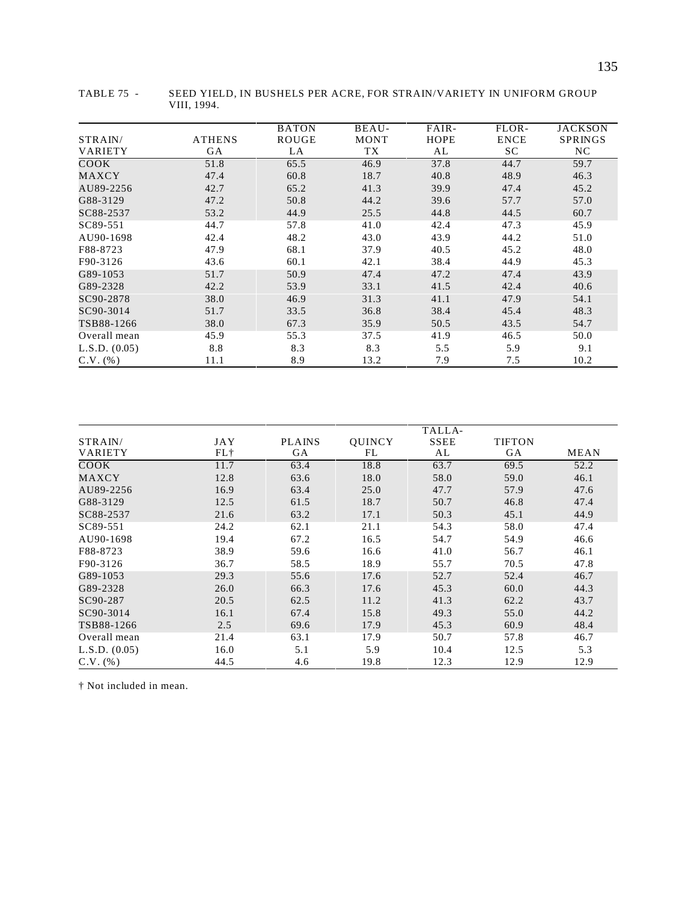|                |               | <b>BATON</b> | BEAU-       | FAIR- | FLOR-       | <b>JACKSON</b> |
|----------------|---------------|--------------|-------------|-------|-------------|----------------|
| STRAIN/        | <b>ATHENS</b> | ROUGE        | <b>MONT</b> | HOPE  | <b>ENCE</b> | <b>SPRINGS</b> |
| <b>VARIETY</b> | GA            | LA           | TX          | AL    | SC.         | NC.            |
| COOK           | 51.8          | 65.5         | 46.9        | 37.8  | 44.7        | 59.7           |
| MAXCY          | 47.4          | 60.8         | 18.7        | 40.8  | 48.9        | 46.3           |
| AU89-2256      | 42.7          | 65.2         | 41.3        | 39.9  | 47.4        | 45.2           |
| G88-3129       | 47.2          | 50.8         | 44.2        | 39.6  | 57.7        | 57.0           |
| SC88-2537      | 53.2          | 44.9         | 25.5        | 44.8  | 44.5        | 60.7           |
| SC89-551       | 44.7          | 57.8         | 41.0        | 42.4  | 47.3        | 45.9           |
| AU90-1698      | 42.4          | 48.2         | 43.0        | 43.9  | 44.2        | 51.0           |
| F88-8723       | 47.9          | 68.1         | 37.9        | 40.5  | 45.2        | 48.0           |
| F90-3126       | 43.6          | 60.1         | 42.1        | 38.4  | 44.9        | 45.3           |
| G89-1053       | 51.7          | 50.9         | 47.4        | 47.2  | 47.4        | 43.9           |
| G89-2328       | 42.2          | 53.9         | 33.1        | 41.5  | 42.4        | 40.6           |
| SC90-2878      | 38.0          | 46.9         | 31.3        | 41.1  | 47.9        | 54.1           |
| SC90-3014      | 51.7          | 33.5         | 36.8        | 38.4  | 45.4        | 48.3           |
| TSB88-1266     | 38.0          | 67.3         | 35.9        | 50.5  | 43.5        | 54.7           |
| Overall mean   | 45.9          | 55.3         | 37.5        | 41.9  | 46.5        | 50.0           |
| L.S.D. (0.05)  | 8.8           | 8.3          | 8.3         | 5.5   | 5.9         | 9.1            |
| $C.V.$ (%)     | 11.1          | 8.9          | 13.2        | 7.9   | 7.5         | 10.2           |

TABLE 75 - SEED YIELD, IN BUSHELS PER ACRE, FOR STRAIN/VARIETY IN UNIFORM GROUP VIII, 1994.

|                |      |               |               | TALLA-      |               |      |
|----------------|------|---------------|---------------|-------------|---------------|------|
| STRAIN/        | JAY  | <b>PLAINS</b> | <b>OUINCY</b> | <b>SSEE</b> | <b>TIFTON</b> |      |
| <b>VARIETY</b> | FL+  | GA            | FL            | AL          | GA            | MEAN |
| COOK           | 11.7 | 63.4          | 18.8          | 63.7        | 69.5          | 52.2 |
| MAXCY          | 12.8 | 63.6          | 18.0          | 58.0        | 59.0          | 46.1 |
| AU89-2256      | 16.9 | 63.4          | 25.0          | 47.7        | 57.9          | 47.6 |
| G88-3129       | 12.5 | 61.5          | 18.7          | 50.7        | 46.8          | 47.4 |
| SC88-2537      | 21.6 | 63.2          | 17.1          | 50.3        | 45.1          | 44.9 |
| SC89-551       | 24.2 | 62.1          | 21.1          | 54.3        | 58.0          | 47.4 |
| AU90-1698      | 19.4 | 67.2          | 16.5          | 54.7        | 54.9          | 46.6 |
| F88-8723       | 38.9 | 59.6          | 16.6          | 41.0        | 56.7          | 46.1 |
| F90-3126       | 36.7 | 58.5          | 18.9          | 55.7        | 70.5          | 47.8 |
| G89-1053       | 29.3 | 55.6          | 17.6          | 52.7        | 52.4          | 46.7 |
| G89-2328       | 26.0 | 66.3          | 17.6          | 45.3        | 60.0          | 44.3 |
| SC90-287       | 20.5 | 62.5          | 11.2          | 41.3        | 62.2          | 43.7 |
| SC90-3014      | 16.1 | 67.4          | 15.8          | 49.3        | 55.0          | 44.2 |
| TSB88-1266     | 2.5  | 69.6          | 17.9          | 45.3        | 60.9          | 48.4 |
| Overall mean   | 21.4 | 63.1          | 17.9          | 50.7        | 57.8          | 46.7 |
| L.S.D. (0.05)  | 16.0 | 5.1           | 5.9           | 10.4        | 12.5          | 5.3  |
| $C.V.$ (%)     | 44.5 | 4.6           | 19.8          | 12.3        | 12.9          | 12.9 |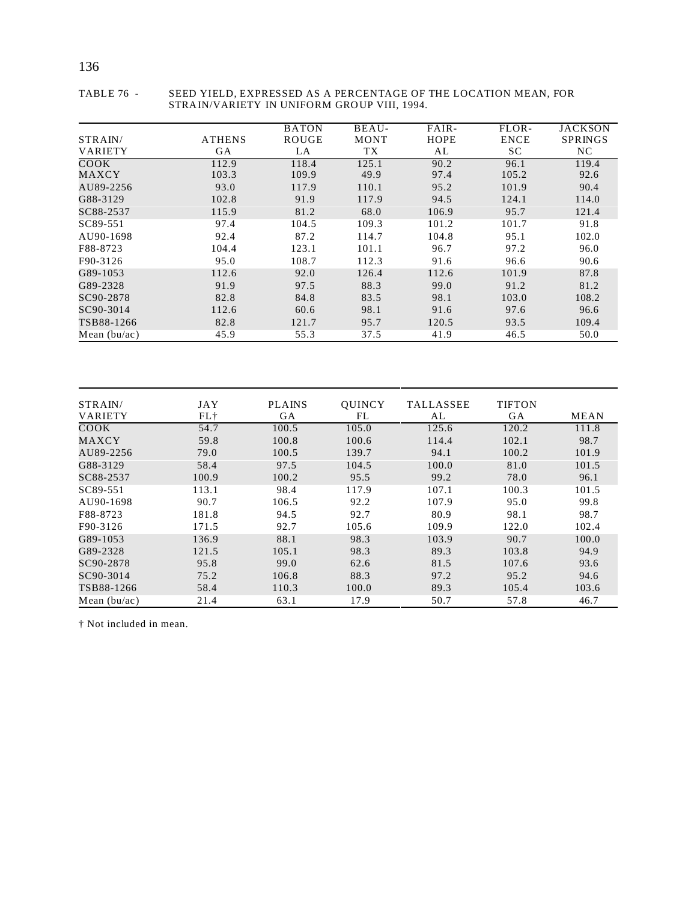|                |               | <b>BATON</b> | BEAU-       | FAIR-       | FLOR-       | <b>JACKSON</b> |
|----------------|---------------|--------------|-------------|-------------|-------------|----------------|
| STRAIN/        | <b>ATHENS</b> | <b>ROUGE</b> | <b>MONT</b> | <b>HOPE</b> | <b>ENCE</b> | <b>SPRINGS</b> |
| <b>VARIETY</b> | GA            | LA           | TX          | AL          | SC          | NC.            |
| COOK           | 112.9         | 118.4        | 125.1       | 90.2        | 96.1        | 119.4          |
| MAXCY          | 103.3         | 109.9        | 49.9        | 97.4        | 105.2       | 92.6           |
| AU89-2256      | 93.0          | 117.9        | 110.1       | 95.2        | 101.9       | 90.4           |
| G88-3129       | 102.8         | 91.9         | 117.9       | 94.5        | 124.1       | 114.0          |
| SC88-2537      | 115.9         | 81.2         | 68.0        | 106.9       | 95.7        | 121.4          |
| SC89-551       | 97.4          | 104.5        | 109.3       | 101.2       | 101.7       | 91.8           |
| AU90-1698      | 92.4          | 87.2         | 114.7       | 104.8       | 95.1        | 102.0          |
| F88-8723       | 104.4         | 123.1        | 101.1       | 96.7        | 97.2        | 96.0           |
| F90-3126       | 95.0          | 108.7        | 112.3       | 91.6        | 96.6        | 90.6           |
| G89-1053       | 112.6         | 92.0         | 126.4       | 112.6       | 101.9       | 87.8           |
| G89-2328       | 91.9          | 97.5         | 88.3        | 99.0        | 91.2        | 81.2           |
| SC90-2878      | 82.8          | 84.8         | 83.5        | 98.1        | 103.0       | 108.2          |
| SC90-3014      | 112.6         | 60.6         | 98.1        | 91.6        | 97.6        | 96.6           |
| TSB88-1266     | 82.8          | 121.7        | 95.7        | 120.5       | 93.5        | 109.4          |
| Mean $(bu/ac)$ | 45.9          | 55.3         | 37.5        | 41.9        | 46.5        | 50.0           |

#### TABLE 76 - SEED YIELD, EXPRESSED AS A PERCENTAGE OF THE LOCATION MEAN, FOR STRAIN/VARIETY IN UNIFORM GROUP VIII, 1994.

| STRAIN/        | JAY   | <b>PLAINS</b> | <b>OUINCY</b> | <b>TALLASSEE</b> | <b>TIFTON</b> |             |
|----------------|-------|---------------|---------------|------------------|---------------|-------------|
| <b>VARIETY</b> | FL+   | GA            | FL            | AL               | GA            | <b>MEAN</b> |
| COOK           | 54.7  | 100.5         | 105.0         | 125.6            | 120.2         | 111.8       |
| MAXCY          | 59.8  | 100.8         | 100.6         | 114.4            | 102.1         | 98.7        |
| AU89-2256      | 79.0  | 100.5         | 139.7         | 94.1             | 100.2         | 101.9       |
| G88-3129       | 58.4  | 97.5          | 104.5         | 100.0            | 81.0          | 101.5       |
| SC88-2537      | 100.9 | 100.2         | 95.5          | 99.2             | 78.0          | 96.1        |
| SC89-551       | 113.1 | 98.4          | 117.9         | 107.1            | 100.3         | 101.5       |
| AU90-1698      | 90.7  | 106.5         | 92.2          | 107.9            | 95.0          | 99.8        |
| F88-8723       | 181.8 | 94.5          | 92.7          | 80.9             | 98.1          | 98.7        |
| F90-3126       | 171.5 | 92.7          | 105.6         | 109.9            | 122.0         | 102.4       |
| G89-1053       | 136.9 | 88.1          | 98.3          | 103.9            | 90.7          | 100.0       |
| G89-2328       | 121.5 | 105.1         | 98.3          | 89.3             | 103.8         | 94.9        |
| SC90-2878      | 95.8  | 99.0          | 62.6          | 81.5             | 107.6         | 93.6        |
| SC90-3014      | 75.2  | 106.8         | 88.3          | 97.2             | 95.2          | 94.6        |
| TSB88-1266     | 58.4  | 110.3         | 100.0         | 89.3             | 105.4         | 103.6       |
| Mean $(bu/ac)$ | 21.4  | 63.1          | 17.9          | 50.7             | 57.8          | 46.7        |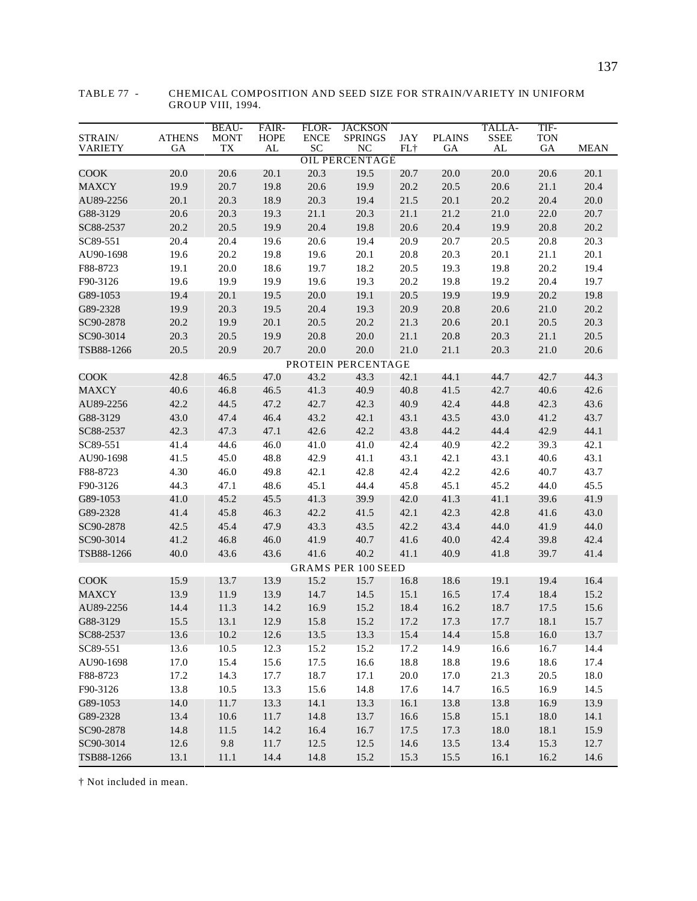| STRAIN/<br><b>VARIETY</b> | <b>ATHENS</b><br>GA | <b>BEAU-</b><br><b>MONT</b><br><b>TX</b> | FAIR-<br><b>HOPE</b><br>AL | FLOR-<br><b>ENCE</b><br>SC | <b>JACKSON</b><br><b>SPRINGS</b><br>NC | JAY<br>FL† | <b>PLAINS</b><br>GA | TALLA-<br><b>SSEE</b><br>AL | TIF-<br><b>TON</b><br>${\rm GA}$ | <b>MEAN</b> |  |
|---------------------------|---------------------|------------------------------------------|----------------------------|----------------------------|----------------------------------------|------------|---------------------|-----------------------------|----------------------------------|-------------|--|
| <b>OIL PERCENTAGE</b>     |                     |                                          |                            |                            |                                        |            |                     |                             |                                  |             |  |
| COOK                      | 20.0                | 20.6                                     | 20.1                       | 20.3                       | 19.5                                   | 20.7       | 20.0                | 20.0                        | 20.6                             | 20.1        |  |
| <b>MAXCY</b>              | 19.9                | 20.7                                     | 19.8                       | 20.6                       | 19.9                                   | 20.2       | 20.5                | 20.6                        | 21.1                             | 20.4        |  |
| AU89-2256                 | 20.1                | 20.3                                     | 18.9                       | 20.3                       | 19.4                                   | 21.5       | 20.1                | 20.2                        | 20.4                             | 20.0        |  |
| G88-3129                  | 20.6                | 20.3                                     | 19.3                       | 21.1                       | 20.3                                   | 21.1       | 21.2                | 21.0                        | 22.0                             | 20.7        |  |
| SC88-2537                 | 20.2                | 20.5                                     | 19.9                       | 20.4                       | 19.8                                   | 20.6       | 20.4                | 19.9                        | 20.8                             | 20.2        |  |
| SC89-551                  | 20.4                | 20.4                                     | 19.6                       | 20.6                       | 19.4                                   | 20.9       | 20.7                | 20.5                        | 20.8                             | 20.3        |  |
| AU90-1698                 | 19.6                | 20.2                                     | 19.8                       | 19.6                       | 20.1                                   | 20.8       | 20.3                | 20.1                        | 21.1                             | 20.1        |  |
| F88-8723                  | 19.1                | 20.0                                     | 18.6                       | 19.7                       | 18.2                                   | 20.5       | 19.3                | 19.8                        | 20.2                             | 19.4        |  |
| F90-3126                  | 19.6                | 19.9                                     | 19.9                       | 19.6                       | 19.3                                   | 20.2       | 19.8                | 19.2                        | 20.4                             | 19.7        |  |
| G89-1053                  | 19.4                | 20.1                                     | 19.5                       | 20.0                       | 19.1                                   | 20.5       | 19.9                | 19.9                        | 20.2                             | 19.8        |  |
| G89-2328                  | 19.9                | 20.3                                     | 19.5                       | 20.4                       | 19.3                                   | 20.9       | 20.8                | 20.6                        | 21.0                             | 20.2        |  |
| SC90-2878                 | 20.2                | 19.9                                     | 20.1                       | 20.5                       | 20.2                                   | 21.3       | 20.6                | 20.1                        | 20.5                             | 20.3        |  |
| SC90-3014                 | 20.3                | 20.5                                     | 19.9                       | 20.8                       | 20.0                                   | 21.1       | 20.8                | 20.3                        | 21.1                             | 20.5        |  |
| TSB88-1266                | 20.5                | 20.9                                     | 20.7                       | $20.0\,$                   | 20.0                                   | 21.0       | 21.1                | 20.3                        | 21.0                             | 20.6        |  |
| PROTEIN PERCENTAGE        |                     |                                          |                            |                            |                                        |            |                     |                             |                                  |             |  |
| COOK                      | 42.8                | 46.5                                     | 47.0                       | 43.2                       | 43.3                                   | 42.1       | 44.1                | 44.7                        | 42.7                             | 44.3        |  |
| <b>MAXCY</b>              | 40.6                | 46.8                                     | 46.5                       | 41.3                       | 40.9                                   | 40.8       | 41.5                | 42.7                        | 40.6                             | 42.6        |  |
| AU89-2256                 | 42.2                | 44.5                                     | 47.2                       | 42.7                       | 42.3                                   | 40.9       | 42.4                | 44.8                        | 42.3                             | 43.6        |  |
| G88-3129                  | 43.0                | 47.4                                     | 46.4                       | 43.2                       | 42.1                                   | 43.1       | 43.5                | 43.0                        | 41.2                             | 43.7        |  |
| SC88-2537                 | 42.3                | 47.3                                     | 47.1                       | 42.6                       | 42.2                                   | 43.8       | 44.2                | 44.4                        | 42.9                             | 44.1        |  |
| SC89-551                  | 41.4                | 44.6                                     | 46.0                       | 41.0                       | 41.0                                   | 42.4       | 40.9                | 42.2                        | 39.3                             | 42.1        |  |
| AU90-1698                 | 41.5                | 45.0                                     | 48.8                       | 42.9                       | 41.1                                   | 43.1       | 42.1                | 43.1                        | 40.6                             | 43.1        |  |
| F88-8723                  | 4.30                | 46.0                                     | 49.8                       | 42.1                       | 42.8                                   | 42.4       | 42.2                | 42.6                        | 40.7                             | 43.7        |  |
| F90-3126                  | 44.3                | 47.1                                     | 48.6                       | 45.1                       | 44.4                                   | 45.8       | 45.1                | 45.2                        | 44.0                             | 45.5        |  |
| G89-1053                  | 41.0                | 45.2                                     | 45.5                       | 41.3                       | 39.9                                   | 42.0       | 41.3                | 41.1                        | 39.6                             | 41.9        |  |
| G89-2328                  | 41.4                | 45.8                                     | 46.3                       | 42.2                       | 41.5                                   | 42.1       | 42.3                | 42.8                        | 41.6                             | 43.0        |  |
| SC90-2878                 | 42.5                | 45.4                                     | 47.9                       | 43.3                       | 43.5                                   | 42.2       | 43.4                | 44.0                        | 41.9                             | 44.0        |  |
| SC90-3014                 | 41.2                | 46.8                                     | 46.0                       | 41.9                       | 40.7                                   | 41.6       | 40.0                | 42.4                        | 39.8                             | 42.4        |  |
| TSB88-1266                | 40.0                | 43.6                                     | 43.6                       | 41.6                       | 40.2                                   | 41.1       | 40.9                | 41.8                        | 39.7                             | 41.4        |  |
|                           |                     |                                          |                            |                            | <b>GRAMS PER 100 SEED</b>              |            |                     |                             |                                  |             |  |
| COOK                      | 15.9                | 13.7                                     | 13.9                       | 15.2                       | 15.7                                   | 16.8       | 18.6                | 19.1                        | 19.4                             | 16.4        |  |
| <b>MAXCY</b>              | 13.9                | 11.9                                     | 13.9                       | 14.7                       | 14.5                                   | 15.1       | 16.5                | 17.4                        | 18.4                             | 15.2        |  |
| AU89-2256                 | 14.4                | 11.3                                     | 14.2                       | 16.9                       | 15.2                                   | 18.4       | 16.2                | 18.7                        | 17.5                             | 15.6        |  |
| G88-3129                  | 15.5                | 13.1                                     | 12.9                       | 15.8                       | 15.2                                   | 17.2       | 17.3                | 17.7                        | 18.1                             | 15.7        |  |
| SC88-2537                 | 13.6                | 10.2                                     | 12.6                       | 13.5                       | 13.3                                   | 15.4       | 14.4                | 15.8                        | 16.0                             | 13.7        |  |
| SC89-551                  | 13.6                | 10.5                                     | 12.3                       | 15.2                       | 15.2                                   | 17.2       | 14.9                | 16.6                        | 16.7                             | 14.4        |  |
| AU90-1698                 | 17.0                | 15.4                                     | 15.6                       | 17.5                       | 16.6                                   | 18.8       | 18.8                | 19.6                        | 18.6                             | 17.4        |  |
| F88-8723                  | 17.2                | 14.3                                     | 17.7                       | 18.7                       | 17.1                                   | 20.0       | 17.0                | 21.3                        | 20.5                             | 18.0        |  |
| F90-3126                  | 13.8                | 10.5                                     | 13.3                       | 15.6                       | 14.8                                   | 17.6       | 14.7                | 16.5                        | 16.9                             | 14.5        |  |
| G89-1053                  | 14.0                | 11.7                                     | 13.3                       | 14.1                       | 13.3                                   | 16.1       | 13.8                | 13.8                        | 16.9                             | 13.9        |  |
| G89-2328                  | 13.4                | 10.6                                     | 11.7                       | 14.8                       | 13.7                                   | 16.6       | 15.8                | 15.1                        | 18.0                             | 14.1        |  |
| SC90-2878                 | 14.8                | 11.5                                     | 14.2                       | 16.4                       | 16.7                                   | 17.5       | 17.3                | 18.0                        | 18.1                             | 15.9        |  |
| SC90-3014                 | 12.6                | 9.8                                      | 11.7                       | 12.5                       | 12.5                                   | 14.6       | 13.5                | 13.4                        | 15.3                             | 12.7        |  |
| TSB88-1266                | 13.1                | 11.1                                     | 14.4                       | 14.8                       | 15.2                                   | 15.3       | 15.5                | 16.1                        | 16.2                             | 14.6        |  |

TABLE 77 - CHEMICAL COMPOSITION AND SEED SIZE FOR STRAIN/VARIETY IN UNIFORM GROUP VIII, 1994.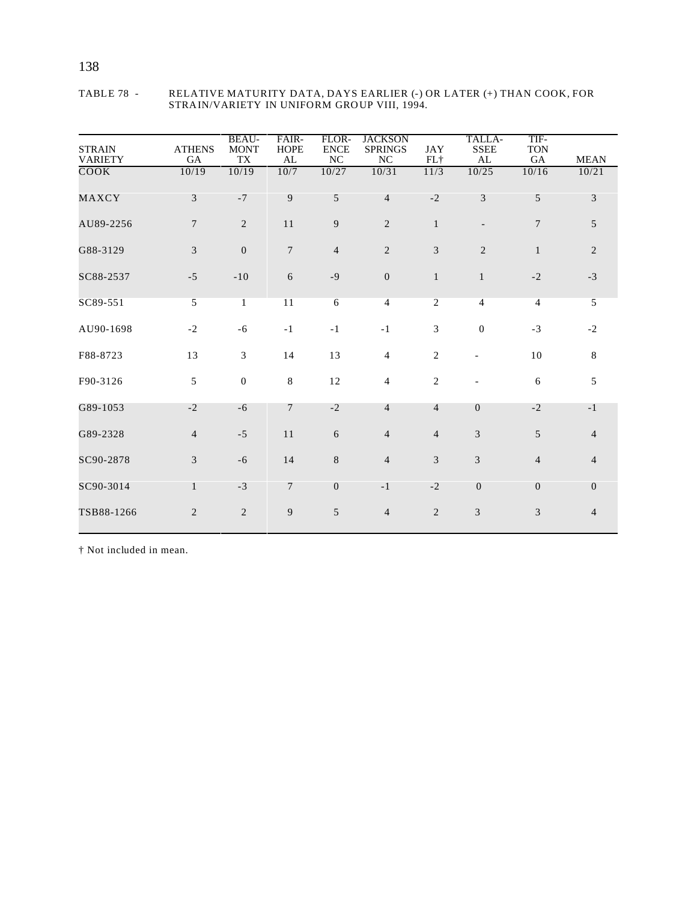| <b>STRAIN</b><br><b>VARIETY</b> | <b>ATHENS</b><br>GA | <b>BEAU-</b><br><b>MONT</b><br><b>TX</b> | FAIR-<br><b>HOPE</b><br>AL | FLOR-<br><b>ENCE</b><br>NC | <b>JACKSON</b><br><b>SPRINGS</b><br>NC | <b>JAY</b><br>FL+ | TALLA-<br><b>SSEE</b><br>AL | TIF-<br><b>TON</b><br>GA | <b>MEAN</b>    |
|---------------------------------|---------------------|------------------------------------------|----------------------------|----------------------------|----------------------------------------|-------------------|-----------------------------|--------------------------|----------------|
| COOK                            | 10/19               | 10/19                                    | 10/7                       | 10/27                      | 10/31                                  | 11/3              | 10/25                       | 10/16                    | 10/21          |
| MAXCY                           | 3                   | $-7$                                     | 9                          | 5                          | $\overline{4}$                         | $-2$              | 3                           | 5                        | $\overline{3}$ |
| AU89-2256                       | $\tau$              | 2                                        | 11                         | 9                          | 2                                      | $\mathbf{1}$      |                             | $\overline{7}$           | 5              |
| G88-3129                        | $\mathfrak{Z}$      | $\overline{0}$                           | $\overline{7}$             | $\overline{4}$             | 2                                      | 3                 | $\overline{2}$              | $\mathbf{1}$             | $\overline{2}$ |
| SC88-2537                       | $-5$                | $-10$                                    | 6                          | $-9$                       | $\overline{0}$                         | $\mathbf{1}$      | $\mathbf{1}$                | $-2$                     | $-3$           |
| SC89-551                        | 5                   | $\mathbf{1}$                             | 11                         | 6                          | $\overline{4}$                         | $\overline{2}$    | $\overline{4}$              | $\overline{4}$           | 5              |
| AU90-1698                       | $-2$                | $-6$                                     | $-1$                       | $-1$                       | $-1$                                   | 3                 | $\overline{0}$              | $-3$                     | $-2$           |
| F88-8723                        | 13                  | $\overline{3}$                           | 14                         | 13                         | $\overline{4}$                         | $\mathbf{2}$      | $\blacksquare$              | 10                       | 8              |
| F90-3126                        | 5                   | $\mathbf{0}$                             | 8                          | 12                         | $\overline{4}$                         | $\overline{2}$    |                             | 6                        | 5              |
| G89-1053                        | $-2$                | $-6$                                     | $7\phantom{.0}$            | $-2$                       | $\overline{4}$                         | $\overline{4}$    | $\overline{0}$              | $-2$                     | $-1$           |
| G89-2328                        | $\overline{4}$      | $-5$                                     | 11                         | 6                          | $\overline{4}$                         | $\overline{4}$    | 3                           | 5                        | $\overline{4}$ |
| SC90-2878                       | 3                   | $-6$                                     | 14                         | 8                          | $\overline{4}$                         | $\mathfrak{Z}$    | 3                           | $\overline{4}$           | $\overline{4}$ |
| SC90-3014                       | $\mathbf{1}$        | $-3$                                     | $\overline{7}$             | $\mathbf{0}$               | $-1$                                   | $-2$              | $\mathbf{0}$                | $\theta$                 | $\overline{0}$ |
| TSB88-1266                      | $\overline{c}$      | $\sqrt{2}$                               | 9                          | $\mathfrak{S}$             | $\overline{4}$                         | $\overline{2}$    | 3                           | $\mathfrak{Z}$           | $\overline{4}$ |

#### TABLE 78 - RELATIVE MATURITY DATA, DAYS EARLIER (-) OR LATER (+) THAN COOK, FOR STRAIN/VARIETY IN UNIFORM GROUP VIII, 1994.

† Not included in mean.

## 138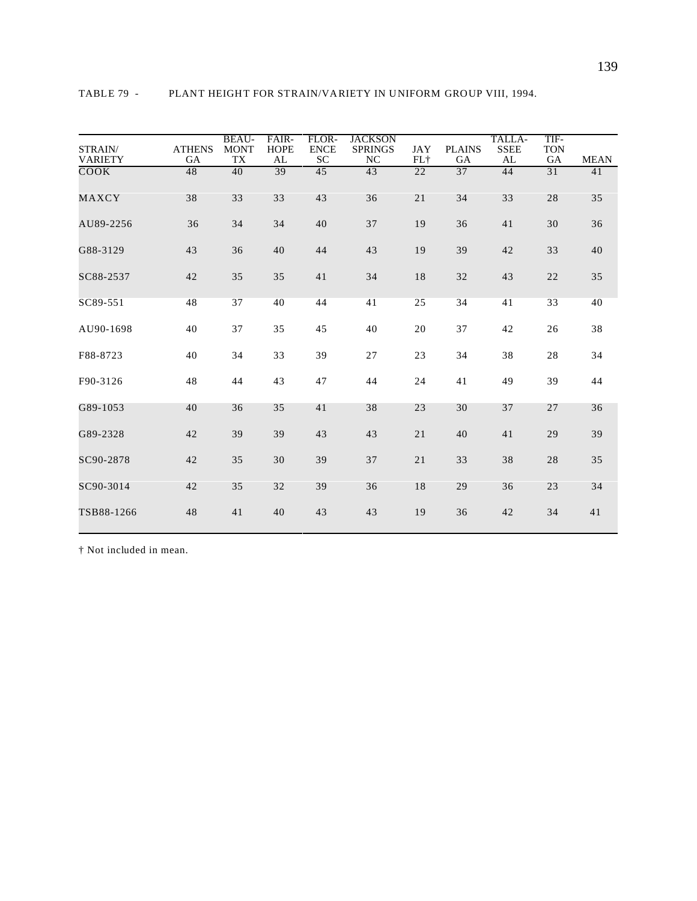| STRAIN/<br><b>VARIETY</b> | <b>ATHENS</b><br>GA | <b>BEAU-</b><br><b>MONT</b><br>TX | FAIR-<br><b>HOPE</b><br>AL | FLOR-<br><b>ENCE</b><br><b>SC</b> | JACKSON<br><b>SPRINGS</b><br>NC | JAY<br>$FL+$ | <b>PLAINS</b><br><b>GA</b> | TALLA-<br><b>SSEE</b><br>AL | TIF-<br><b>TON</b><br><b>GA</b> | <b>MEAN</b> |
|---------------------------|---------------------|-----------------------------------|----------------------------|-----------------------------------|---------------------------------|--------------|----------------------------|-----------------------------|---------------------------------|-------------|
| COOK                      | 48                  | 40                                | 39                         | 45                                | 43                              | 22           | 37                         | 44                          | 31                              | 41          |
| MAXCY                     | 38                  | 33                                | 33                         | 43                                | 36                              | 21           | 34                         | 33                          | 28                              | 35          |
| AU89-2256                 | 36                  | 34                                | 34                         | 40                                | 37                              | 19           | 36                         | 41                          | 30                              | 36          |
| G88-3129                  | 43                  | 36                                | 40                         | 44                                | 43                              | 19           | 39                         | 42                          | 33                              | 40          |
| SC88-2537                 | 42                  | 35                                | 35                         | 41                                | 34                              | 18           | 32                         | 43                          | 22                              | 35          |
| SC89-551                  | 48                  | 37                                | 40                         | 44                                | 41                              | 25           | 34                         | 41                          | 33                              | 40          |
| AU90-1698                 | 40                  | 37                                | 35                         | 45                                | 40                              | 20           | 37                         | 42                          | 26                              | 38          |
| F88-8723                  | 40                  | 34                                | 33                         | 39                                | 27                              | 23           | 34                         | 38                          | 28                              | 34          |
| F90-3126                  | 48                  | 44                                | 43                         | 47                                | 44                              | 24           | 41                         | 49                          | 39                              | 44          |

G89-1053 40 36 35 41 38 23 30 37 27 36

G89-2328 42 39 39 43 43 21 40 41 29 39

SC90-2878 42 35 30 39 37 21 33 38 28 35

SC90-3014 42 35 32 39 36 18 29 36 23 34

TSB88-1266 48 41 40 43 43 19 36 42 34 41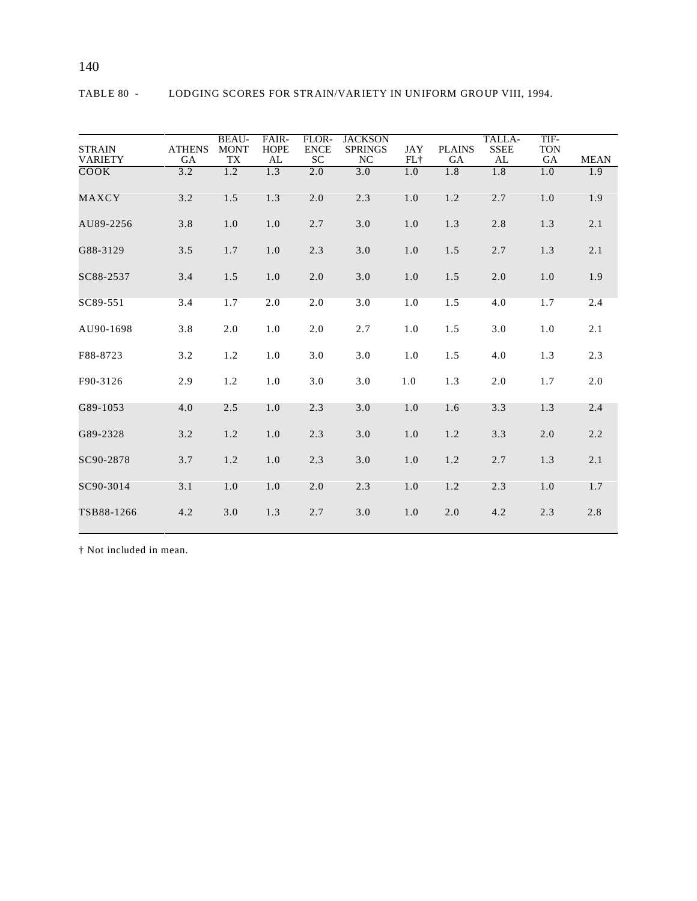| <b>STRAIN</b><br><b>VARIETY</b> | <b>ATHENS</b><br>GA | <b>BEAU-</b><br><b>MONT</b><br>TX | FAIR-<br><b>HOPE</b><br>AL | FLOR-<br><b>ENCE</b><br><b>SC</b> | <b>JACKSON</b><br><b>SPRINGS</b><br>NC | JAY<br>$FL+$ | <b>PLAINS</b><br><b>GA</b> | TALLA-<br><b>SSEE</b><br>AL | TIF-<br><b>TON</b><br>GA | <b>MEAN</b> |
|---------------------------------|---------------------|-----------------------------------|----------------------------|-----------------------------------|----------------------------------------|--------------|----------------------------|-----------------------------|--------------------------|-------------|
| COOK                            | 3.2                 | 1.2                               | 1.3                        | 2.0                               | 3.0                                    | 1.0          | 1.8                        | 1.8                         | 1.0                      | 1.9         |
| MAXCY                           | 3.2                 | 1.5                               | 1.3                        | $2.0$                             | 2.3                                    | 1.0          | 1.2                        | 2.7                         | 1.0                      | 1.9         |
| AU89-2256                       | 3.8                 | 1.0                               | 1.0                        | 2.7                               | 3.0                                    | 1.0          | 1.3                        | 2.8                         | 1.3                      | 2.1         |
| G88-3129                        | 3.5                 | 1.7                               | 1.0                        | 2.3                               | 3.0                                    | 1.0          | 1.5                        | 2.7                         | 1.3                      | 2.1         |
| SC88-2537                       | 3.4                 | 1.5                               | 1.0                        | $2.0$                             | 3.0                                    | 1.0          | 1.5                        | 2.0                         | 1.0                      | 1.9         |
| SC89-551                        | 3.4                 | 1.7                               | 2.0                        | 2.0                               | 3.0                                    | 1.0          | 1.5                        | 4.0                         | 1.7                      | 2.4         |
| AU90-1698                       | 3.8                 | 2.0                               | 1.0                        | 2.0                               | 2.7                                    | 1.0          | 1.5                        | 3.0                         | 1.0                      | 2.1         |
| F88-8723                        | 3.2                 | 1.2                               | 1.0                        | 3.0                               | 3.0                                    | 1.0          | 1.5                        | 4.0                         | 1.3                      | 2.3         |
| F90-3126                        | 2.9                 | 1.2                               | 1.0                        | 3.0                               | 3.0                                    | 1.0          | 1.3                        | 2.0                         | 1.7                      | 2.0         |
| G89-1053                        | 4.0                 | 2.5                               | 1.0                        | 2.3                               | 3.0                                    | 1.0          | 1.6                        | 3.3                         | 1.3                      | 2.4         |
| G89-2328                        | 3.2                 | 1.2                               | 1.0                        | 2.3                               | 3.0                                    | 1.0          | 1.2                        | 3.3                         | 2.0                      | 2.2         |
| SC90-2878                       | 3.7                 | 1.2                               | 1.0                        | 2.3                               | 3.0                                    | 1.0          | 1.2                        | 2.7                         | 1.3                      | 2.1         |
| SC90-3014                       | 3.1                 | 1.0                               | 1.0                        | 2.0                               | 2.3                                    | 1.0          | 1.2                        | 2.3                         | 1.0                      | 1.7         |
| TSB88-1266                      | 4.2                 | 3.0                               | 1.3                        | 2.7                               | 3.0                                    | 1.0          | 2.0                        | 4.2                         | 2.3                      | 2.8         |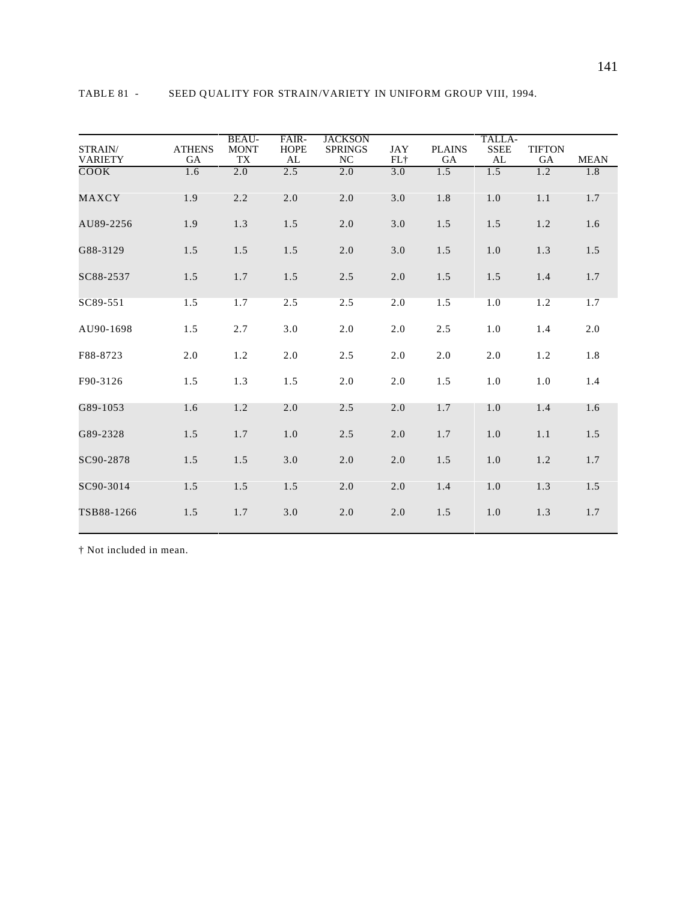| STRAIN/<br><b>VARIETY</b> | <b>ATHENS</b><br><b>GA</b> | <b>BEAU-</b><br><b>MONT</b><br><b>TX</b> | FAIR-<br><b>HOPE</b><br>AL | <b>JACKSON</b><br><b>SPRINGS</b><br><b>NC</b> | <b>JAY</b><br>FL+ | <b>PLAINS</b><br><b>GA</b> | TALLA-<br><b>SSEE</b><br>AL | <b>TIFTON</b><br>GA | <b>MEAN</b> |
|---------------------------|----------------------------|------------------------------------------|----------------------------|-----------------------------------------------|-------------------|----------------------------|-----------------------------|---------------------|-------------|
| COOK                      | 1.6                        | 2.0                                      | 2.5                        | 2.0                                           | 3.0               | 1.5                        | 1.5                         | 1.2                 | 1.8         |
| MAXCY                     | 1.9                        | 2.2                                      | 2.0                        | 2.0                                           | 3.0               | 1.8                        | 1.0                         | 1.1                 | 1.7         |
| AU89-2256                 | 1.9                        | 1.3                                      | 1.5                        | 2.0                                           | 3.0               | 1.5                        | 1.5                         | 1.2                 | 1.6         |
| G88-3129                  | 1.5                        | 1.5                                      | 1.5                        | 2.0                                           | 3.0               | 1.5                        | 1.0                         | 1.3                 | 1.5         |
| SC88-2537                 | 1.5                        | 1.7                                      | 1.5                        | 2.5                                           | 2.0               | 1.5                        | 1.5                         | 1.4                 | 1.7         |
| SC89-551                  | 1.5                        | 1.7                                      | 2.5                        | 2.5                                           | 2.0               | 1.5                        | 1.0                         | 1.2                 | 1.7         |
| AU90-1698                 | 1.5                        | 2.7                                      | 3.0                        | 2.0                                           | 2.0               | 2.5                        | 1.0                         | 1.4                 | 2.0         |
| F88-8723                  | 2.0                        | 1.2                                      | 2.0                        | 2.5                                           | 2.0               | 2.0                        | 2.0                         | 1.2                 | 1.8         |
| F90-3126                  | 1.5                        | 1.3                                      | 1.5                        | 2.0                                           | 2.0               | 1.5                        | 1.0                         | 1.0                 | 1.4         |
| G89-1053                  | 1.6                        | 1.2                                      | 2.0                        | 2.5                                           | 2.0               | 1.7                        | 1.0                         | 1.4                 | 1.6         |
| G89-2328                  | 1.5                        | 1.7                                      | 1.0                        | 2.5                                           | 2.0               | 1.7                        | 1.0                         | 1.1                 | 1.5         |
| SC90-2878                 | 1.5                        | 1.5                                      | 3.0                        | 2.0                                           | 2.0               | 1.5                        | 1.0                         | 1.2                 | 1.7         |
| SC90-3014                 | 1.5                        | 1.5                                      | 1.5                        | 2.0                                           | 2.0               | 1.4                        | 1.0                         | 1.3                 | 1.5         |
| TSB88-1266                | 1.5                        | 1.7                                      | 3.0                        | 2.0                                           | 2.0               | 1.5                        | 1.0                         | 1.3                 | 1.7         |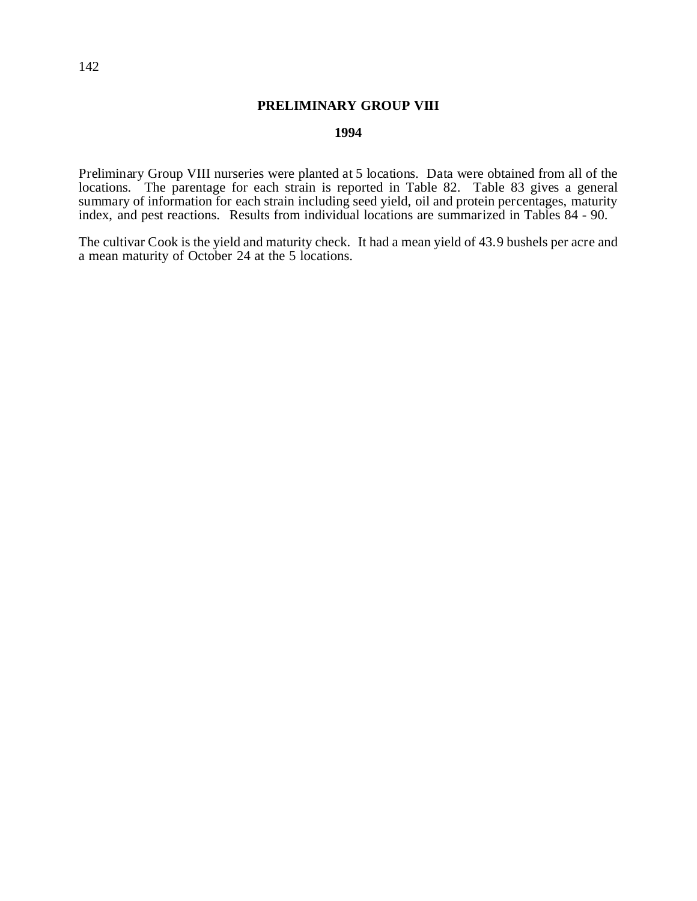## **PRELIMINARY GROUP VIII**

## **1994**

Preliminary Group VIII nurseries were planted at 5 locations. Data were obtained from all of the locations. The parentage for each strain is reported in Table 82. Table 83 gives a general summary of information for each strain including seed yield, oil and protein percentages, maturity index, and pest reactions. Results from individual locations are summarized in Tables 84 - 90.

The cultivar Cook is the yield and maturity check. It had a mean yield of 43.9 bushels per acre and a mean maturity of October 24 at the 5 locations.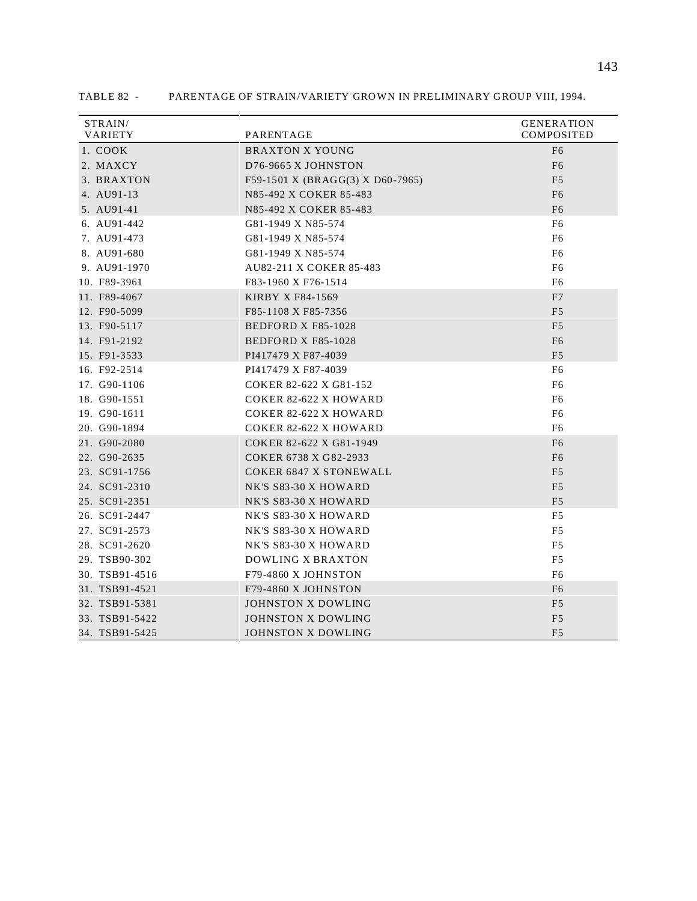| STRAIN/<br>VARIETY | PARENTAGE                        | <b>GENERATION</b><br><b>COMPOSITED</b> |
|--------------------|----------------------------------|----------------------------------------|
| 1. COOK            | <b>BRAXTON X YOUNG</b>           | F <sub>6</sub>                         |
| 2. MAXCY           | D76-9665 X JOHNSTON              | F <sub>6</sub>                         |
| 3. BRAXTON         | F59-1501 X (BRAGG(3) X D60-7965) | F <sub>5</sub>                         |
| 4. AU91-13         | N85-492 X COKER 85-483           | F <sub>6</sub>                         |
| 5. AU91-41         | N85-492 X COKER 85-483           | F <sub>6</sub>                         |
| 6. AU91-442        | G81-1949 X N85-574               | F <sub>6</sub>                         |
| 7. AU91-473        | G81-1949 X N85-574               | F <sub>6</sub>                         |
| 8. AU91-680        | G81-1949 X N85-574               | F <sub>6</sub>                         |
| 9. AU91-1970       | <b>AU82-211 X COKER 85-483</b>   | F <sub>6</sub>                         |
| 10. F89-3961       | F83-1960 X F76-1514              | F6                                     |
| 11. F89-4067       | KIRBY X F84-1569                 | F7                                     |
| 12. F90-5099       | F85-1108 X F85-7356              | F <sub>5</sub>                         |
| 13. F90-5117       | <b>BEDFORD X F85-1028</b>        | F <sub>5</sub>                         |
| 14. F91-2192       | <b>BEDFORD X F85-1028</b>        | F <sub>6</sub>                         |
| 15. F91-3533       | PI417479 X F87-4039              | F <sub>5</sub>                         |
| 16. F92-2514       | PI417479 X F87-4039              | F <sub>6</sub>                         |
| 17. G90-1106       | COKER 82-622 X G81-152           | F <sub>6</sub>                         |
| 18. G90-1551       | <b>COKER 82-622 X HOWARD</b>     | F <sub>6</sub>                         |
| 19. G90-1611       | <b>COKER 82-622 X HOWARD</b>     | F <sub>6</sub>                         |
| 20. G90-1894       | <b>COKER 82-622 X HOWARD</b>     | F6                                     |
| 21. G90-2080       | COKER 82-622 X G81-1949          | F <sub>6</sub>                         |
| 22. G90-2635       | COKER 6738 X G82-2933            | F <sub>6</sub>                         |
| 23. SC91-1756      | <b>COKER 6847 X STONEWALL</b>    | F <sub>5</sub>                         |
| 24. SC91-2310      | NK'S S83-30 X HOWARD             | F <sub>5</sub>                         |
| 25. SC91-2351      | NK'S S83-30 X HOWARD             | F <sub>5</sub>                         |
| 26. SC91-2447      | NK'S S83-30 X HOWARD             | F5                                     |
| 27. SC91-2573      | NK'S S83-30 X HOWARD             | F5                                     |
| 28. SC91-2620      | NK'S S83-30 X HOWARD             | F5                                     |
| 29. TSB90-302      | <b>DOWLING X BRAXTON</b>         | F <sub>5</sub>                         |
| 30. TSB91-4516     | F79-4860 X JOHNSTON              | F <sub>6</sub>                         |
| 31. TSB91-4521     | F79-4860 X JOHNSTON              | F <sub>6</sub>                         |
| 32. TSB91-5381     | JOHNSTON X DOWLING               | F <sub>5</sub>                         |
| 33. TSB91-5422     | JOHNSTON X DOWLING               | F <sub>5</sub>                         |
| 34. TSB91-5425     | JOHNSTON X DOWLING               | F <sub>5</sub>                         |

TABLE 82 - PARENTAGE OF STRAIN/VARIETY GROWN IN PRELIMINARY GROUP VIII, 1994.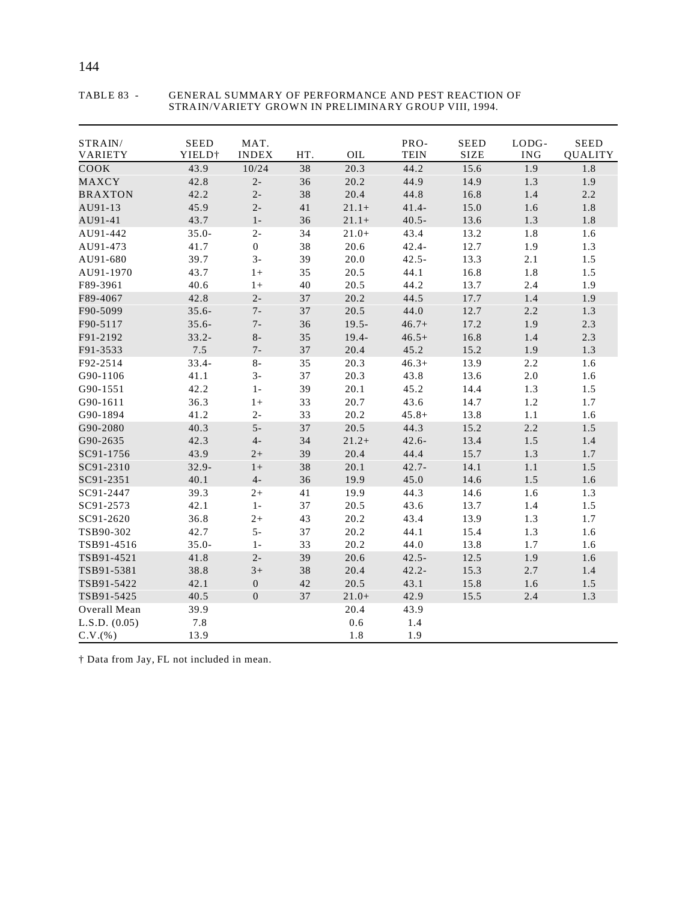| STRAIN/<br>VARIETY | <b>SEED</b><br>YIELD <sup>+</sup> | MAT.<br><b>INDEX</b> | HT. | OIL      | PRO-<br><b>TEIN</b> | <b>SEED</b><br><b>SIZE</b> | LODG-<br><b>ING</b> | <b>SEED</b><br><b>QUALITY</b> |
|--------------------|-----------------------------------|----------------------|-----|----------|---------------------|----------------------------|---------------------|-------------------------------|
| COOK               | 43.9                              | 10/24                | 38  | 20.3     | 44.2                | 15.6                       | 1.9                 | 1.8                           |
| MAXCY              | 42.8                              | $2 -$                | 36  | 20.2     | 44.9                | 14.9                       | 1.3                 | 1.9                           |
| <b>BRAXTON</b>     | 42.2                              | $2 -$                | 38  | 20.4     | 44.8                | 16.8                       | 1.4                 | 2.2                           |
| AU91-13            | 45.9                              | $2 -$                | 41  | $21.1+$  | $41.4-$             | 15.0                       | 1.6                 | 1.8                           |
| AU91-41            | 43.7                              | $1 -$                | 36  | $21.1+$  | $40.5 -$            | 13.6                       | 1.3                 | 1.8                           |
| AU91-442           | $35.0 -$                          | $2 -$                | 34  | $21.0+$  | 43.4                | 13.2                       | 1.8                 | 1.6                           |
| AU91-473           | 41.7                              | $\boldsymbol{0}$     | 38  | 20.6     | $42.4 -$            | 12.7                       | 1.9                 | 1.3                           |
| AU91-680           | 39.7                              | $3-$                 | 39  | 20.0     | $42.5 -$            | 13.3                       | 2.1                 | 1.5                           |
| AU91-1970          | 43.7                              | $1+$                 | 35  | 20.5     | 44.1                | 16.8                       | 1.8                 | 1.5                           |
| F89-3961           | 40.6                              | $1+$                 | 40  | 20.5     | 44.2                | 13.7                       | 2.4                 | 1.9                           |
| F89-4067           | 42.8                              | $2-$                 | 37  | 20.2     | 44.5                | 17.7                       | 1.4                 | 1.9                           |
| F90-5099           | $35.6 -$                          | $7-$                 | 37  | 20.5     | 44.0                | 12.7                       | 2.2                 | 1.3                           |
| F90-5117           | $35.6 -$                          | $7-$                 | 36  | $19.5 -$ | $46.7+$             | 17.2                       | 1.9                 | 2.3                           |
| F91-2192           | $33.2 -$                          | $8-$                 | 35  | $19.4 -$ | $46.5+$             | 16.8                       | 1.4                 | 2.3                           |
| F91-3533           | 7.5                               | $7 -$                | 37  | 20.4     | 45.2                | 15.2                       | 1.9                 | 1.3                           |
| F92-2514           | $33.4 -$                          | $8-$                 | 35  | 20.3     | $46.3+$             | 13.9                       | 2.2                 | 1.6                           |
| G90-1106           | 41.1                              | $3-$                 | 37  | 20.3     | 43.8                | 13.6                       | 2.0                 | 1.6                           |
| G90-1551           | 42.2                              | $1-$                 | 39  | 20.1     | 45.2                | 14.4                       | 1.3                 | 1.5                           |
| G90-1611           | 36.3                              | $1+$                 | 33  | 20.7     | 43.6                | 14.7                       | 1.2                 | 1.7                           |
| G90-1894           | 41.2                              | $2 -$                | 33  | 20.2     | $45.8+$             | 13.8                       | 1.1                 | 1.6                           |
| G90-2080           | 40.3                              | $5-$                 | 37  | 20.5     | 44.3                | 15.2                       | 2.2                 | 1.5                           |
| G90-2635           | 42.3                              | $4-$                 | 34  | $21.2+$  | $42.6 -$            | 13.4                       | 1.5                 | 1.4                           |
| SC91-1756          | 43.9                              | $2+$                 | 39  | 20.4     | 44.4                | 15.7                       | 1.3                 | 1.7                           |
| SC91-2310          | $32.9 -$                          | $1+$                 | 38  | 20.1     | $42.7 -$            | 14.1                       | 1.1                 | 1.5                           |
| SC91-2351          | 40.1                              | $4-$                 | 36  | 19.9     | 45.0                | 14.6                       | 1.5                 | 1.6                           |
| SC91-2447          | 39.3                              | $2+$                 | 41  | 19.9     | 44.3                | 14.6                       | 1.6                 | 1.3                           |
| SC91-2573          | 42.1                              | $1 -$                | 37  | 20.5     | 43.6                | 13.7                       | 1.4                 | 1.5                           |
| SC91-2620          | 36.8                              | $2+$                 | 43  | 20.2     | 43.4                | 13.9                       | 1.3                 | 1.7                           |
| TSB90-302          | 42.7                              | $5-$                 | 37  | 20.2     | 44.1                | 15.4                       | 1.3                 | 1.6                           |
| TSB91-4516         | $35.0 -$                          | $1 -$                | 33  | 20.2     | 44.0                | 13.8                       | 1.7                 | 1.6                           |
| TSB91-4521         | 41.8                              | $2 -$                | 39  | 20.6     | $42.5 -$            | 12.5                       | 1.9                 | 1.6                           |
| TSB91-5381         | 38.8                              | $3+$                 | 38  | 20.4     | $42.2 -$            | 15.3                       | 2.7                 | 1.4                           |
| TSB91-5422         | 42.1                              | $\boldsymbol{0}$     | 42  | 20.5     | 43.1                | 15.8                       | 1.6                 | 1.5                           |
| TSB91-5425         | 40.5                              | $\boldsymbol{0}$     | 37  | $21.0+$  | 42.9                | 15.5                       | 2.4                 | 1.3                           |
| Overall Mean       | 39.9                              |                      |     | 20.4     | 43.9                |                            |                     |                               |
| L.S.D. (0.05)      | 7.8                               |                      |     | 0.6      | 1.4                 |                            |                     |                               |
| C.V.(%)            | 13.9                              |                      |     | 1.8      | 1.9                 |                            |                     |                               |

#### TABLE 83 - GENERAL SUMMARY OF PERFORMANCE AND PEST REACTION OF STRAIN/VARIETY GROWN IN PRELIMINARY GROUP VIII, 1994.

† Data from Jay, FL not included in mean.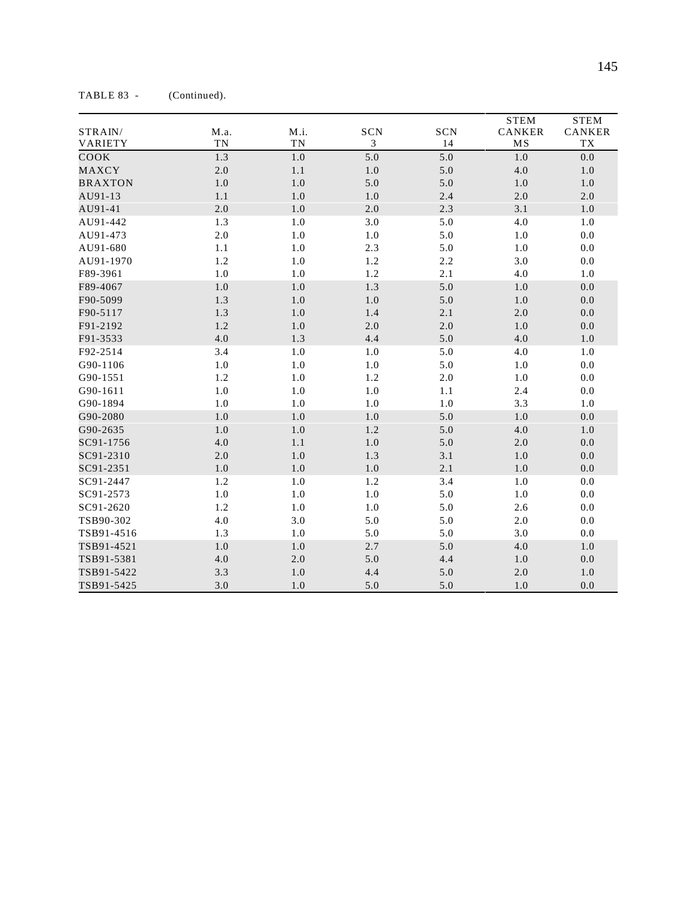| STRAIN/<br>VARIETY | M.a.<br><b>TN</b> | M.i.<br>TN | SCN<br>3 | SCN<br>14 | <b>STEM</b><br>CANKER<br>MS | <b>STEM</b><br>CANKER<br>${\rm T}{\rm X}$ |
|--------------------|-------------------|------------|----------|-----------|-----------------------------|-------------------------------------------|
| COOK               | 1.3               | $1.0\,$    | 5.0      | 5.0       | $1.0$                       | $0.0\,$                                   |
| MAXCY              | $2.0\,$           | 1.1        | $1.0$    | 5.0       | $4.0\,$                     | 1.0                                       |
| <b>BRAXTON</b>     | $1.0\,$           | $1.0\,$    | 5.0      | 5.0       | $1.0\,$                     | 1.0                                       |
| AU91-13            | 1.1               | 1.0        | 1.0      | 2.4       | $2.0\,$                     | 2.0                                       |
| AU91-41            | 2.0               | 1.0        | 2.0      | 2.3       | 3.1                         | 1.0                                       |
| AU91-442           | 1.3               | 1.0        | 3.0      | 5.0       | 4.0                         | $1.0\,$                                   |
| AU91-473           | 2.0               | 1.0        | 1.0      | 5.0       | $1.0\,$                     | 0.0                                       |
| AU91-680           | 1.1               | 1.0        | 2.3      | 5.0       | $1.0\,$                     | 0.0                                       |
| AU91-1970          | 1.2               | 1.0        | 1.2      | 2.2       | 3.0                         | 0.0                                       |
| F89-3961           | 1.0               | 1.0        | 1.2      | 2.1       | 4.0                         | 1.0                                       |
| F89-4067           | 1.0               | 1.0        | 1.3      | 5.0       | $1.0\,$                     | 0.0                                       |
| F90-5099           | 1.3               | 1.0        | $1.0$    | $5.0\,$   | $1.0$                       | $0.0\,$                                   |
| F90-5117           | 1.3               | 1.0        | 1.4      | 2.1       | $2.0\,$                     | $0.0\,$                                   |
| F91-2192           | 1.2               | 1.0        | 2.0      | $2.0\,$   | $1.0$                       | 0.0                                       |
| F91-3533           | 4.0               | 1.3        | 4.4      | 5.0       | $4.0$                       | 1.0                                       |
| F92-2514           | 3.4               | $1.0\,$    | 1.0      | 5.0       | 4.0                         | 1.0                                       |
| G90-1106           | 1.0               | $1.0\,$    | 1.0      | 5.0       | $1.0\,$                     | $0.0\,$                                   |
| G90-1551           | 1.2               | $1.0\,$    | 1.2      | $2.0\,$   | 1.0                         | 0.0                                       |
| G90-1611           | 1.0               | 1.0        | 1.0      | 1.1       | 2.4                         | 0.0                                       |
| G90-1894           | 1.0               | 1.0        | 1.0      | $1.0\,$   | 3.3                         | 1.0                                       |
| G90-2080           | 1.0               | $1.0\,$    | $1.0$    | 5.0       | 1.0                         | 0.0                                       |
| G90-2635           | 1.0               | $1.0\,$    | 1.2      | 5.0       | 4.0                         | 1.0                                       |
| SC91-1756          | 4.0               | 1.1        | $1.0$    | 5.0       | $2.0\,$                     | $0.0\,$                                   |
| SC91-2310          | $2.0\,$           | 1.0        | 1.3      | 3.1       | $1.0$                       | 0.0                                       |
| SC91-2351          | $1.0\,$           | $1.0\,$    | $1.0$    | 2.1       | $1.0$                       | $0.0\,$                                   |
| SC91-2447          | 1.2               | 1.0        | 1.2      | 3.4       | $1.0\,$                     | $0.0\,$                                   |
| SC91-2573          | 1.0               | 1.0        | 1.0      | 5.0       | $1.0\,$                     | $0.0\,$                                   |
| SC91-2620          | 1.2               | 1.0        | 1.0      | 5.0       | 2.6                         | 0.0                                       |
| TSB90-302          | 4.0               | 3.0        | 5.0      | 5.0       | $2.0\,$                     | 0.0                                       |
| TSB91-4516         | 1.3               | 1.0        | 5.0      | 5.0       | 3.0                         | 0.0                                       |
| TSB91-4521         | 1.0               | 1.0        | 2.7      | 5.0       | 4.0                         | 1.0                                       |
| TSB91-5381         | 4.0               | $2.0\,$    | 5.0      | 4.4       | $1.0\,$                     | 0.0                                       |
| TSB91-5422         | 3.3               | $1.0\,$    | 4.4      | 5.0       | 2.0                         | 1.0                                       |
| TSB91-5425         | 3.0               | $1.0\,$    | 5.0      | 5.0       | 1.0                         | 0.0                                       |

TABLE 83 - (Continued).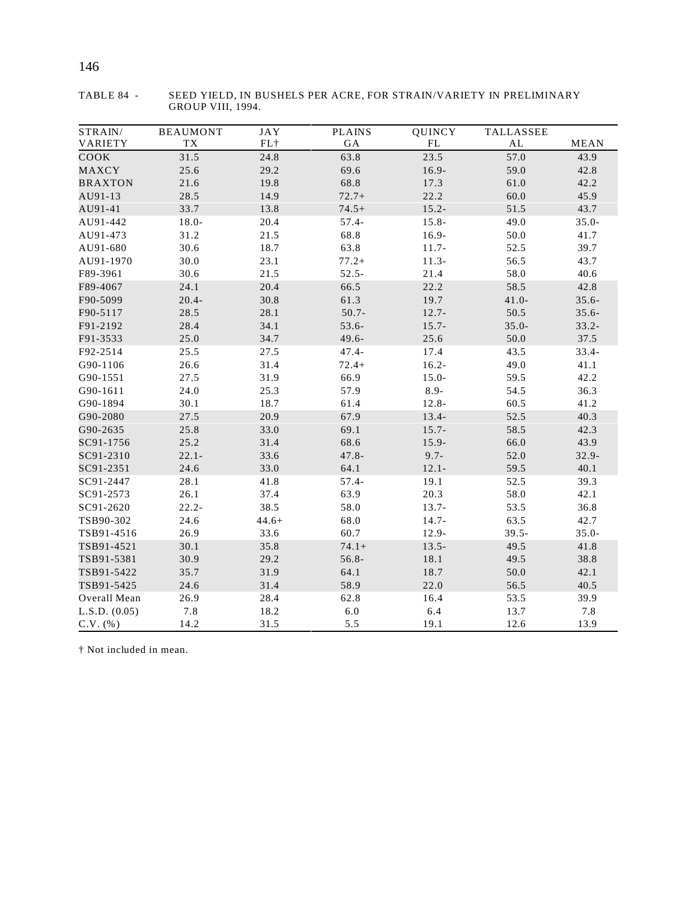| STRAIN/        | <b>BEAUMONT</b>  | <b>JAY</b> | <b>PLAINS</b> | QUINCY   | TALLASSEE |             |
|----------------|------------------|------------|---------------|----------|-----------|-------------|
| VARIETY        | ${\rm T}{\rm X}$ | $FL$ †     | GA            | FL       | AL        | <b>MEAN</b> |
| COOK           | 31.5             | 24.8       | 63.8          | 23.5     | 57.0      | 43.9        |
| MAXCY          | 25.6             | 29.2       | 69.6          | $16.9 -$ | 59.0      | 42.8        |
| <b>BRAXTON</b> | 21.6             | 19.8       | 68.8          | 17.3     | 61.0      | 42.2        |
| AU91-13        | 28.5             | 14.9       | $72.7+$       | 22.2     | 60.0      | 45.9        |
| AU91-41        | 33.7             | 13.8       | $74.5+$       | $15.2 -$ | 51.5      | 43.7        |
| AU91-442       | $18.0 -$         | 20.4       | $57.4 -$      | $15.8 -$ | 49.0      | $35.0 -$    |
| AU91-473       | 31.2             | 21.5       | 68.8          | $16.9 -$ | 50.0      | 41.7        |
| AU91-680       | 30.6             | 18.7       | 63.8          | $11.7-$  | 52.5      | 39.7        |
| AU91-1970      | 30.0             | 23.1       | $77.2+$       | $11.3-$  | 56.5      | 43.7        |
| F89-3961       | 30.6             | 21.5       | $52.5 -$      | 21.4     | 58.0      | 40.6        |
| F89-4067       | 24.1             | 20.4       | 66.5          | 22.2     | 58.5      | 42.8        |
| F90-5099       | $20.4 -$         | 30.8       | 61.3          | 19.7     | $41.0 -$  | $35.6 -$    |
| F90-5117       | 28.5             | 28.1       | $50.7 -$      | $12.7 -$ | 50.5      | $35.6 -$    |
| F91-2192       | 28.4             | 34.1       | 53.6-         | $15.7 -$ | $35.0 -$  | $33.2 -$    |
| F91-3533       | 25.0             | 34.7       | $49.6 -$      | 25.6     | $50.0\,$  | 37.5        |
| F92-2514       | 25.5             | 27.5       | $47.4 -$      | 17.4     | 43.5      | $33.4 -$    |
| G90-1106       | 26.6             | 31.4       | $72.4+$       | $16.2 -$ | 49.0      | 41.1        |
| G90-1551       | 27.5             | 31.9       | 66.9          | $15.0 -$ | 59.5      | 42.2        |
| G90-1611       | 24.0             | 25.3       | 57.9          | $8.9-$   | 54.5      | 36.3        |
| G90-1894       | 30.1             | 18.7       | 61.4          | $12.8 -$ | 60.5      | 41.2        |
| G90-2080       | 27.5             | 20.9       | 67.9          | $13.4-$  | 52.5      | 40.3        |
| G90-2635       | 25.8             | 33.0       | 69.1          | $15.7 -$ | 58.5      | 42.3        |
| SC91-1756      | 25.2             | 31.4       | 68.6          | $15.9 -$ | 66.0      | 43.9        |
| SC91-2310      | $22.1 -$         | 33.6       | $47.8 -$      | $9.7 -$  | 52.0      | $32.9 -$    |
| SC91-2351      | 24.6             | 33.0       | 64.1          | $12.1 -$ | 59.5      | 40.1        |
| SC91-2447      | 28.1             | 41.8       | $57.4 -$      | 19.1     | 52.5      | 39.3        |
| SC91-2573      | 26.1             | 37.4       | 63.9          | 20.3     | 58.0      | 42.1        |
| SC91-2620      | $22.2 -$         | 38.5       | 58.0          | $13.7 -$ | 53.5      | 36.8        |
| TSB90-302      | 24.6             | $44.6+$    | 68.0          | $14.7 -$ | 63.5      | 42.7        |
| TSB91-4516     | 26.9             | 33.6       | 60.7          | $12.9 -$ | $39.5 -$  | $35.0 -$    |
| TSB91-4521     | 30.1             | 35.8       | $74.1+$       | $13.5 -$ | 49.5      | 41.8        |
| TSB91-5381     | 30.9             | 29.2       | $56.8 -$      | 18.1     | 49.5      | 38.8        |
| TSB91-5422     | 35.7             | 31.9       | 64.1          | 18.7     | 50.0      | 42.1        |
| TSB91-5425     | 24.6             | 31.4       | 58.9          | 22.0     | 56.5      | 40.5        |
| Overall Mean   | 26.9             | 28.4       | 62.8          | 16.4     | 53.5      | 39.9        |
| L.S.D. (0.05)  | 7.8              | 18.2       | $6.0\,$       | 6.4      | 13.7      | 7.8         |
| $C.V.$ (%)     | 14.2             | 31.5       | 5.5           | 19.1     | 12.6      | 13.9        |

TABLE 84 - SEED YIELD, IN BUSHELS PER ACRE, FOR STRAIN/VARIETY IN PRELIMINARY GROUP VIII, 1994.

† Not included in mean.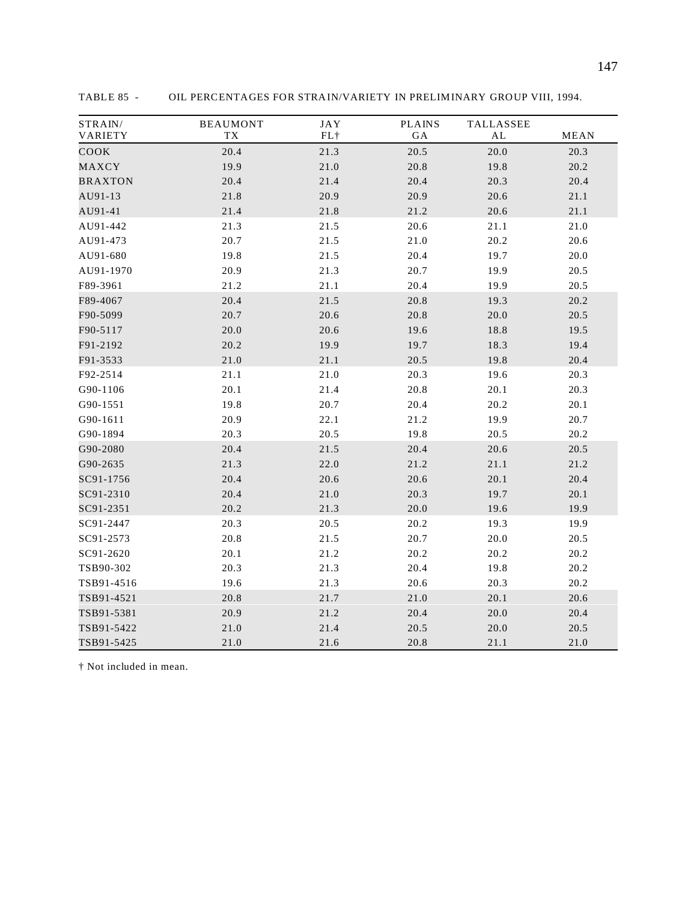| STRAIN/<br>VARIETY | <b>BEAUMONT</b><br>TX | <b>JAY</b><br>$FL+$ | <b>PLAINS</b><br>GA | TALLASSEE<br>AL | <b>MEAN</b> |
|--------------------|-----------------------|---------------------|---------------------|-----------------|-------------|
| COOK               | 20.4                  | 21.3                | 20.5                | 20.0            | 20.3        |
| MAXCY              | 19.9                  | 21.0                | 20.8                | 19.8            | 20.2        |
| <b>BRAXTON</b>     | 20.4                  | 21.4                | 20.4                | 20.3            | 20.4        |
| AU91-13            | 21.8                  | 20.9                | 20.9                | 20.6            | 21.1        |
| AU91-41            | 21.4                  | 21.8                | 21.2                | 20.6            | 21.1        |
| AU91-442           | 21.3                  | 21.5                | 20.6                | 21.1            | 21.0        |
| AU91-473           | 20.7                  | 21.5                | 21.0                | 20.2            | 20.6        |
| AU91-680           | 19.8                  | 21.5                | 20.4                | 19.7            | 20.0        |
| AU91-1970          | 20.9                  | 21.3                | 20.7                | 19.9            | 20.5        |
| F89-3961           | 21.2                  | 21.1                | 20.4                | 19.9            | 20.5        |
| F89-4067           | 20.4                  | 21.5                | 20.8                | 19.3            | 20.2        |
| F90-5099           | 20.7                  | 20.6                | 20.8                | 20.0            | 20.5        |
| F90-5117           | 20.0                  | 20.6                | 19.6                | 18.8            | 19.5        |
| F91-2192           | 20.2                  | 19.9                | 19.7                | 18.3            | 19.4        |
| F91-3533           | 21.0                  | 21.1                | 20.5                | 19.8            | 20.4        |
| F92-2514           | 21.1                  | 21.0                | 20.3                | 19.6            | 20.3        |
| G90-1106           | 20.1                  | 21.4                | 20.8                | 20.1            | 20.3        |
| G90-1551           | 19.8                  | 20.7                | 20.4                | 20.2            | 20.1        |
| G90-1611           | 20.9                  | 22.1                | 21.2                | 19.9            | 20.7        |
| G90-1894           | 20.3                  | 20.5                | 19.8                | 20.5            | 20.2        |
| G90-2080           | 20.4                  | 21.5                | 20.4                | 20.6            | 20.5        |
| G90-2635           | 21.3                  | 22.0                | 21.2                | 21.1            | 21.2        |
| SC91-1756          | 20.4                  | 20.6                | 20.6                | 20.1            | 20.4        |
| SC91-2310          | 20.4                  | 21.0                | 20.3                | 19.7            | 20.1        |
| SC91-2351          | 20.2                  | 21.3                | 20.0                | 19.6            | 19.9        |
| SC91-2447          | 20.3                  | 20.5                | 20.2                | 19.3            | 19.9        |
| SC91-2573          | 20.8                  | 21.5                | 20.7                | 20.0            | 20.5        |
| SC91-2620          | 20.1                  | 21.2                | 20.2                | 20.2            | 20.2        |
| TSB90-302          | 20.3                  | 21.3                | 20.4                | 19.8            | 20.2        |
| TSB91-4516         | 19.6                  | 21.3                | 20.6                | 20.3            | 20.2        |
| TSB91-4521         | 20.8                  | 21.7                | 21.0                | 20.1            | 20.6        |
| TSB91-5381         | 20.9                  | 21.2                | 20.4                | 20.0            | 20.4        |
| TSB91-5422         | 21.0                  | 21.4                | 20.5                | 20.0            | 20.5        |
| TSB91-5425         | 21.0                  | 21.6                | 20.8                | 21.1            | 21.0        |

TABLE 85 - OIL PERCENTAGES FOR STRAIN/VARIETY IN PRELIMINARY GROUP VIII, 1994.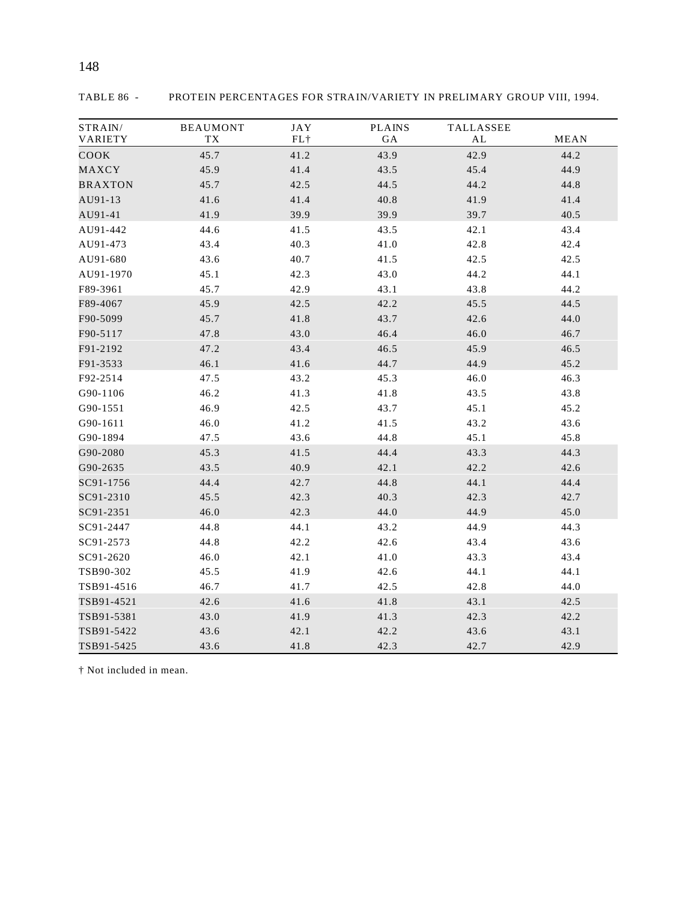| STRAIN/        | <b>BEAUMONT</b> | <b>JAY</b> | <b>PLAINS</b> | TALLASSEE |             |
|----------------|-----------------|------------|---------------|-----------|-------------|
| VARIETY        | TX              | $FL+$      | GA            | AL        | <b>MEAN</b> |
| COOK           | 45.7            | 41.2       | 43.9          | 42.9      | 44.2        |
| MAXCY          | 45.9            | 41.4       | 43.5          | 45.4      | 44.9        |
| <b>BRAXTON</b> | 45.7            | 42.5       | 44.5          | 44.2      | 44.8        |
| AU91-13        | 41.6            | 41.4       | 40.8          | 41.9      | 41.4        |
| AU91-41        | 41.9            | 39.9       | 39.9          | 39.7      | 40.5        |
| AU91-442       | 44.6            | 41.5       | 43.5          | 42.1      | 43.4        |
| AU91-473       | 43.4            | 40.3       | 41.0          | 42.8      | 42.4        |
| AU91-680       | 43.6            | 40.7       | 41.5          | 42.5      | 42.5        |
| AU91-1970      | 45.1            | 42.3       | 43.0          | 44.2      | 44.1        |
| F89-3961       | 45.7            | 42.9       | 43.1          | 43.8      | 44.2        |
| F89-4067       | 45.9            | 42.5       | 42.2          | 45.5      | 44.5        |
| F90-5099       | 45.7            | 41.8       | 43.7          | 42.6      | 44.0        |
| F90-5117       | 47.8            | 43.0       | 46.4          | 46.0      | 46.7        |
| F91-2192       | 47.2            | 43.4       | 46.5          | 45.9      | 46.5        |
| F91-3533       | 46.1            | 41.6       | 44.7          | 44.9      | 45.2        |
| F92-2514       | 47.5            | 43.2       | 45.3          | 46.0      | 46.3        |
| G90-1106       | 46.2            | 41.3       | 41.8          | 43.5      | 43.8        |
| G90-1551       | 46.9            | 42.5       | 43.7          | 45.1      | 45.2        |
| G90-1611       | 46.0            | 41.2       | 41.5          | 43.2      | 43.6        |
| G90-1894       | 47.5            | 43.6       | 44.8          | 45.1      | 45.8        |
| G90-2080       | 45.3            | 41.5       | 44.4          | 43.3      | 44.3        |
| G90-2635       | 43.5            | 40.9       | 42.1          | 42.2      | 42.6        |
| SC91-1756      | 44.4            | 42.7       | 44.8          | 44.1      | 44.4        |
| SC91-2310      | 45.5            | 42.3       | 40.3          | 42.3      | 42.7        |
| SC91-2351      | 46.0            | 42.3       | 44.0          | 44.9      | 45.0        |
| SC91-2447      | 44.8            | 44.1       | 43.2          | 44.9      | 44.3        |
| SC91-2573      | 44.8            | 42.2       | 42.6          | 43.4      | 43.6        |
| SC91-2620      | 46.0            | 42.1       | 41.0          | 43.3      | 43.4        |
| TSB90-302      | 45.5            | 41.9       | 42.6          | 44.1      | 44.1        |
| TSB91-4516     | 46.7            | 41.7       | 42.5          | 42.8      | 44.0        |
| TSB91-4521     | 42.6            | 41.6       | 41.8          | 43.1      | 42.5        |
| TSB91-5381     | 43.0            | 41.9       | 41.3          | 42.3      | 42.2        |
| TSB91-5422     | 43.6            | 42.1       | 42.2          | 43.6      | 43.1        |
| TSB91-5425     | 43.6            | 41.8       | 42.3          | 42.7      | 42.9        |

TABLE 86 - PROTEIN PERCENTAGES FOR STRAIN/VARIETY IN PRELIMARY GROUP VIII, 1994.

† Not included in mean.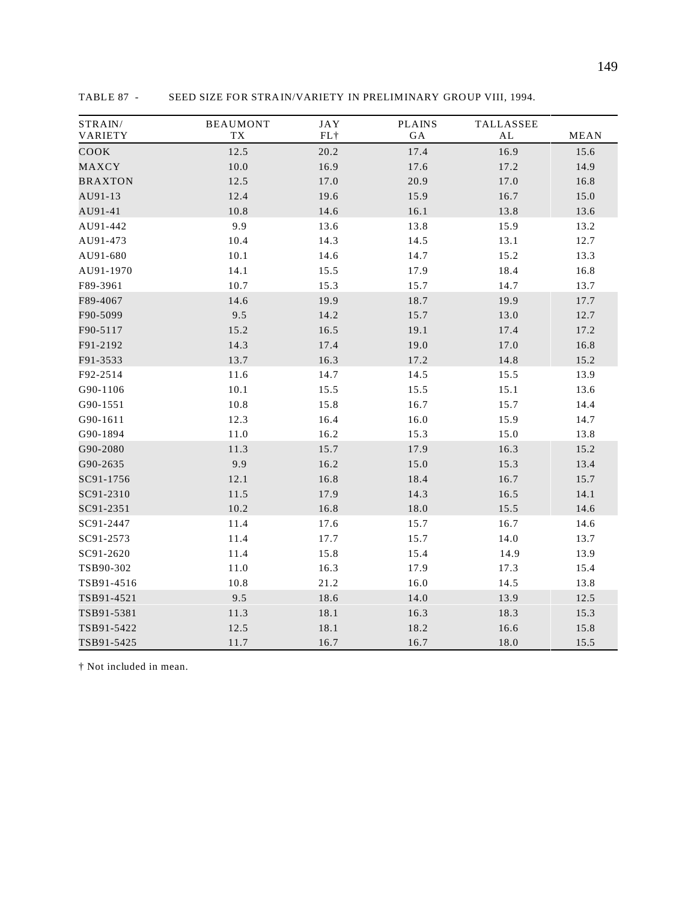| STRAIN/<br>VARIETY | <b>BEAUMONT</b><br>TX | <b>JAY</b><br>$FL\,\dagger$ | <b>PLAINS</b><br>GA | TALLASSEE<br>AL | MEAN |
|--------------------|-----------------------|-----------------------------|---------------------|-----------------|------|
| COOK               | 12.5                  | 20.2                        | 17.4                | 16.9            | 15.6 |
| MAXCY              | 10.0                  | 16.9                        | 17.6                | 17.2            | 14.9 |
| <b>BRAXTON</b>     | 12.5                  | 17.0                        | 20.9                | 17.0            | 16.8 |
| AU91-13            | 12.4                  | 19.6                        | 15.9                | 16.7            | 15.0 |
| AU91-41            | 10.8                  | 14.6                        | 16.1                | 13.8            | 13.6 |
| AU91-442           | 9.9                   | 13.6                        | 13.8                | 15.9            | 13.2 |
| AU91-473           | 10.4                  | 14.3                        | 14.5                | 13.1            | 12.7 |
| AU91-680           | $10.1\,$              | 14.6                        | 14.7                | 15.2            | 13.3 |
| AU91-1970          | 14.1                  | 15.5                        | 17.9                | 18.4            | 16.8 |
| F89-3961           | 10.7                  | 15.3                        | 15.7                | 14.7            | 13.7 |
| F89-4067           | 14.6                  | 19.9                        | 18.7                | 19.9            | 17.7 |
| F90-5099           | 9.5                   | 14.2                        | 15.7                | 13.0            | 12.7 |
| F90-5117           | 15.2                  | 16.5                        | 19.1                | 17.4            | 17.2 |
| F91-2192           | 14.3                  | 17.4                        | 19.0                | 17.0            | 16.8 |
| F91-3533           | 13.7                  | 16.3                        | 17.2                | 14.8            | 15.2 |
| F92-2514           | 11.6                  | 14.7                        | 14.5                | 15.5            | 13.9 |
| G90-1106           | 10.1                  | 15.5                        | 15.5                | 15.1            | 13.6 |
| G90-1551           | 10.8                  | 15.8                        | 16.7                | 15.7            | 14.4 |
| G90-1611           | 12.3                  | 16.4                        | 16.0                | 15.9            | 14.7 |
| G90-1894           | $11.0\,$              | 16.2                        | 15.3                | 15.0            | 13.8 |
| G90-2080           | 11.3                  | 15.7                        | 17.9                | 16.3            | 15.2 |
| G90-2635           | 9.9                   | 16.2                        | 15.0                | 15.3            | 13.4 |
| SC91-1756          | 12.1                  | 16.8                        | 18.4                | 16.7            | 15.7 |
| SC91-2310          | 11.5                  | 17.9                        | 14.3                | 16.5            | 14.1 |
| SC91-2351          | 10.2                  | 16.8                        | $18.0\,$            | 15.5            | 14.6 |
| SC91-2447          | 11.4                  | 17.6                        | 15.7                | 16.7            | 14.6 |
| SC91-2573          | 11.4                  | 17.7                        | 15.7                | 14.0            | 13.7 |
| SC91-2620          | 11.4                  | 15.8                        | 15.4                | 14.9            | 13.9 |
| TSB90-302          | 11.0                  | 16.3                        | 17.9                | 17.3            | 15.4 |
| TSB91-4516         | 10.8                  | 21.2                        | 16.0                | 14.5            | 13.8 |
| TSB91-4521         | 9.5                   | 18.6                        | 14.0                | 13.9            | 12.5 |
| TSB91-5381         | 11.3                  | 18.1                        | 16.3                | 18.3            | 15.3 |
| TSB91-5422         | 12.5                  | 18.1                        | 18.2                | 16.6            | 15.8 |
| TSB91-5425         | 11.7                  | 16.7                        | 16.7                | 18.0            | 15.5 |

TABLE 87 - SEED SIZE FOR STRAIN/VARIETY IN PRELIMINARY GROUP VIII, 1994.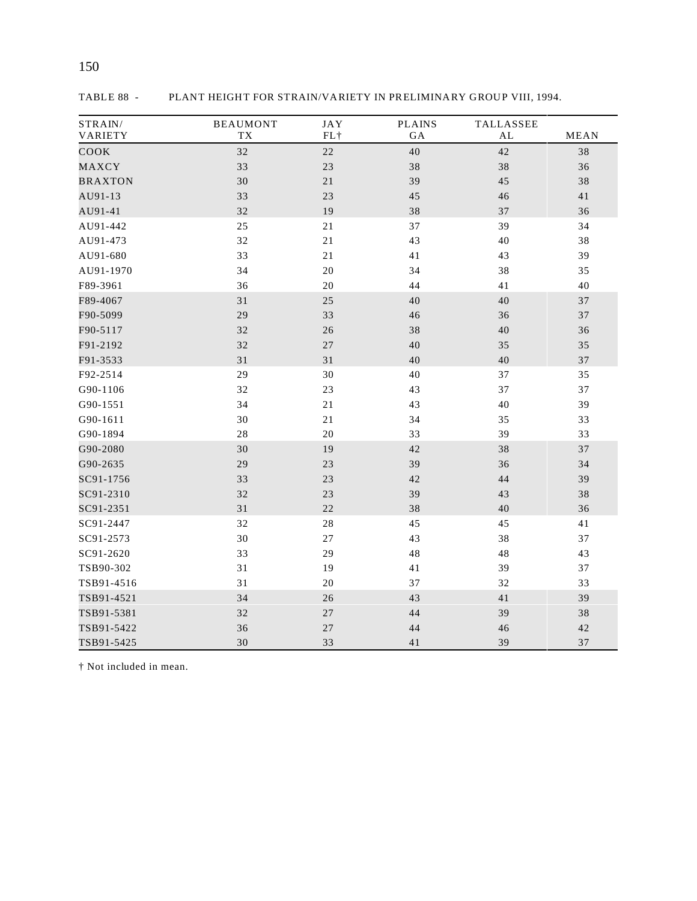| STRAIN/<br>VARIETY | <b>BEAUMONT</b><br><b>TX</b> | <b>JAY</b><br>FL+ | <b>PLAINS</b><br>GA | TALLASSEE<br>AL | <b>MEAN</b> |
|--------------------|------------------------------|-------------------|---------------------|-----------------|-------------|
| COOK               | 32                           | $2\sqrt{2}$       | 40                  | 42              | 38          |
| MAXCY              | 33                           | 23                | 38                  | 38              | 36          |
| <b>BRAXTON</b>     | 30                           | $2\sqrt{1}$       | 39                  | 45              | 38          |
| AU91-13            | 33                           | 23                | 45                  | 46              | 41          |
| AU91-41            | 32                           | 19                | 38                  | 37              | 36          |
| AU91-442           | 25                           | 21                | 37                  | 39              | 34          |
| AU91-473           | 32                           | 21                | 43                  | 40              | 38          |
| AU91-680           | 33                           | 21                | 41                  | 43              | 39          |
| AU91-1970          | 34                           | 20                | 34                  | 38              | 35          |
| F89-3961           | 36                           | 20                | 44                  | 41              | 40          |
| F89-4067           | 31                           | 25                | 40                  | 40              | 37          |
| F90-5099           | 29                           | 33                | 46                  | 36              | 37          |
| F90-5117           | 32                           | 26                | 38                  | 40              | 36          |
| F91-2192           | 32                           | 27                | 40                  | 35              | 35          |
| F91-3533           | 31                           | 31                | 40                  | 40              | 37          |
| F92-2514           | 29                           | 30                | 40                  | 37              | 35          |
| G90-1106           | 32                           | 23                | 43                  | 37              | 37          |
| G90-1551           | 34                           | $21\,$            | 43                  | 40              | 39          |
| G90-1611           | 30                           | 21                | 34                  | 35              | 33          |
| G90-1894           | 28                           | 20                | 33                  | 39              | 33          |
| G90-2080           | 30                           | 19                | 42                  | 38              | 37          |
| G90-2635           | 29                           | 23                | 39                  | 36              | 34          |
| SC91-1756          | 33                           | 23                | 42                  | 44              | 39          |
| SC91-2310          | 32                           | 23                | 39                  | 43              | 38          |
| SC91-2351          | 31                           | 22                | 38                  | 40              | 36          |
| SC91-2447          | 32                           | $2\sqrt{8}$       | 45                  | 45              | 41          |
| SC91-2573          | 30                           | $27\,$            | 43                  | 38              | 37          |
| SC91-2620          | 33                           | 29                | 48                  | 48              | 43          |
| TSB90-302          | 31                           | 19                | 41                  | 39              | 37          |
| TSB91-4516         | 31                           | 20                | 37                  | 32              | 33          |
| TSB91-4521         | 34                           | 26                | 43                  | 41              | 39          |
| TSB91-5381         | 32                           | $27\,$            | 44                  | 39              | 38          |
| TSB91-5422         | 36                           | 27                | 44                  | 46              | 42          |
| TSB91-5425         | 30                           | 33                | 41                  | 39              | 37          |

TABLE 88 - PLANT HEIGHT FOR STRAIN/VARIETY IN PRELIMINARY GROUP VIII, 1994.

150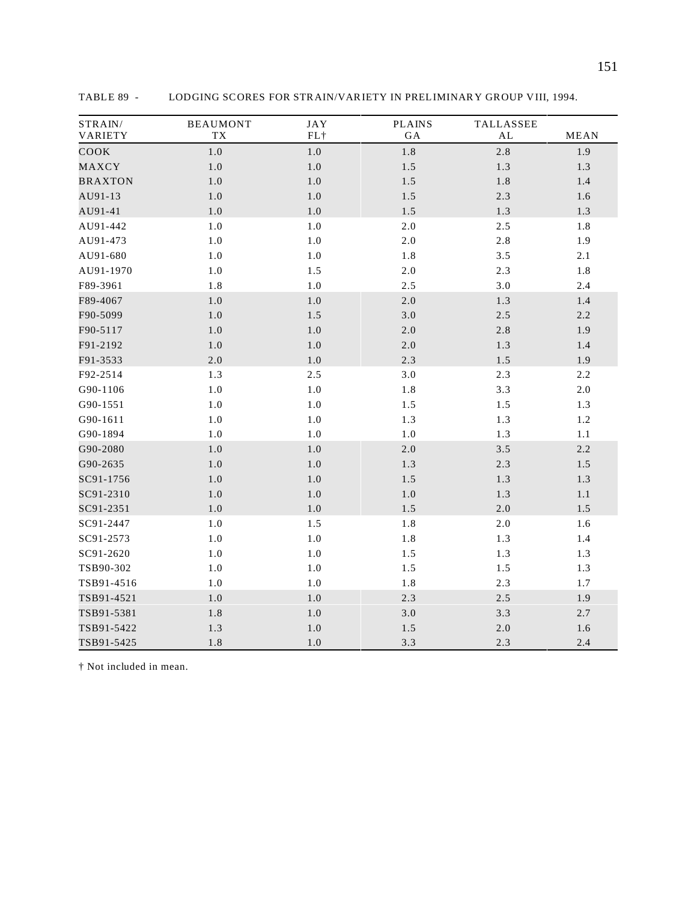| STRAIN/<br>VARIETY | <b>BEAUMONT</b><br>TX | <b>JAY</b><br>FL+ | <b>PLAINS</b><br>$\rm GA$ | TALLASSEE<br>$\mathbf{AL}$ | <b>MEAN</b> |
|--------------------|-----------------------|-------------------|---------------------------|----------------------------|-------------|
| COOK               | 1.0                   | $1.0\,$           | 1.8                       | $2.8\,$                    | 1.9         |
| MAXCY              | $1.0\,$               | $1.0\,$           | 1.5                       | 1.3                        | 1.3         |
| <b>BRAXTON</b>     | 1.0                   | $1.0\,$           | 1.5                       | 1.8                        | 1.4         |
| AU91-13            | 1.0                   | $1.0\,$           | 1.5                       | 2.3                        | 1.6         |
| AU91-41            | $1.0\,$               | $1.0\,$           | 1.5                       | 1.3                        | 1.3         |
| AU91-442           | $1.0\,$               | $1.0\,$           | 2.0                       | 2.5                        | 1.8         |
| AU91-473           | 1.0                   | $1.0\,$           | $2.0\,$                   | 2.8                        | 1.9         |
| AU91-680           | $1.0\,$               | $1.0\,$           | 1.8                       | 3.5                        | 2.1         |
| AU91-1970          | 1.0                   | 1.5               | $2.0\,$                   | 2.3                        | 1.8         |
| F89-3961           | 1.8                   | $1.0\,$           | 2.5                       | 3.0                        | 2.4         |
| F89-4067           | $1.0\,$               | $1.0\,$           | $2.0\,$                   | 1.3                        | 1.4         |
| F90-5099           | 1.0                   | 1.5               | 3.0                       | 2.5                        | 2.2         |
| F90-5117           | 1.0                   | 1.0               | $2.0\,$                   | 2.8                        | 1.9         |
| F91-2192           | $1.0\,$               | $1.0\,$           | $2.0\,$                   | 1.3                        | 1.4         |
| F91-3533           | $2.0\,$               | $1.0\,$           | 2.3                       | 1.5                        | 1.9         |
| F92-2514           | 1.3                   | 2.5               | 3.0                       | 2.3                        | 2.2         |
| G90-1106           | $1.0\,$               | $1.0\,$           | 1.8                       | 3.3                        | $2.0\,$     |
| G90-1551           | 1.0                   | $1.0\,$           | 1.5                       | 1.5                        | 1.3         |
| G90-1611           | $1.0\,$               | $1.0\,$           | 1.3                       | 1.3                        | 1.2         |
| G90-1894           | 1.0                   | $1.0\,$           | $1.0\,$                   | 1.3                        | $1.1\,$     |
| G90-2080           | $1.0\,$               | $1.0\,$           | $2.0\,$                   | $3.5\,$                    | 2.2         |
| G90-2635           | $1.0\,$               | $1.0\,$           | 1.3                       | 2.3                        | 1.5         |
| SC91-1756          | $1.0\,$               | $1.0\,$           | $1.5\,$                   | 1.3                        | 1.3         |
| SC91-2310          | $1.0\,$               | 1.0               | $1.0\,$                   | 1.3                        | 1.1         |
| SC91-2351          | 1.0                   | $1.0\,$           | 1.5                       | 2.0                        | 1.5         |
| SC91-2447          | $1.0\,$               | 1.5               | $1.8\,$                   | $2.0\,$                    | 1.6         |
| SC91-2573          | $1.0\,$               | $1.0\,$           | $1.8\,$                   | 1.3                        | 1.4         |
| SC91-2620          | $1.0\,$               | $1.0\,$           | 1.5                       | 1.3                        | 1.3         |
| TSB90-302          | $1.0\,$               | $1.0\,$           | 1.5                       | 1.5                        | 1.3         |
| TSB91-4516         | 1.0                   | $1.0\,$           | 1.8                       | 2.3                        | $1.7\,$     |
| TSB91-4521         | $1.0\,$               | $1.0\,$           | 2.3                       | 2.5                        | 1.9         |
| TSB91-5381         | 1.8                   | $1.0\,$           | 3.0                       | 3.3                        | 2.7         |
| TSB91-5422         | 1.3                   | $1.0\,$           | 1.5                       | $2.0\,$                    | 1.6         |
| TSB91-5425         | 1.8                   | $1.0\,$           | 3.3                       | 2.3                        | 2.4         |

TABLE 89 - LODGING SCORES FOR STRAIN/VARIETY IN PRELIMINARY GROUP VIII, 1994.